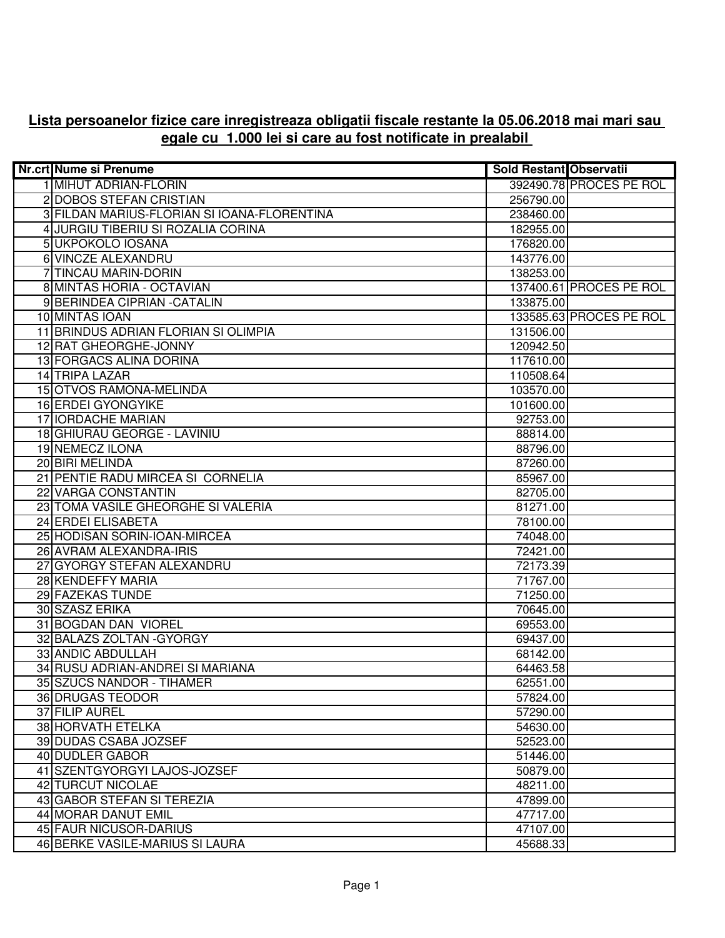## **Lista persoanelor fizice care inregistreaza obligatii fiscale restante la 05.06.2018 mai mari sau egale cu 1.000 lei si care au fost notificate in prealabil**

| <b>Nr.crt Nume si Prenume</b>               | <b>Sold Restant Observatii</b> |                         |
|---------------------------------------------|--------------------------------|-------------------------|
| 1 MIHUT ADRIAN-FLORIN                       |                                | 392490.78 PROCES PE ROL |
| 2 DOBOS STEFAN CRISTIAN                     | 256790.00                      |                         |
| 3 FILDAN MARIUS-FLORIAN SI IOANA-FLORENTINA | 238460.00                      |                         |
| 4 JURGIU TIBERIU SI ROZALIA CORINA          | 182955.00                      |                         |
| 5 UKPOKOLO IOSANA                           | 176820.00                      |                         |
| 6 VINCZE ALEXANDRU                          | 143776.00                      |                         |
| 7 TINCAU MARIN-DORIN                        | 138253.00                      |                         |
| 8 MINTAS HORIA - OCTAVIAN                   |                                | 137400.61 PROCES PE ROL |
| 9 BERINDEA CIPRIAN - CATALIN                | 133875.00                      |                         |
| 10 MINTAS IOAN                              |                                | 133585.63 PROCES PE ROL |
| 11 BRINDUS ADRIAN FLORIAN SI OLIMPIA        | 131506.00                      |                         |
| 12 RAT GHEORGHE-JONNY                       | 120942.50                      |                         |
| 13 FORGACS ALINA DORINA                     | 117610.00                      |                         |
| 14 TRIPA LAZAR                              | 110508.64                      |                         |
| 15 OTVOS RAMONA-MELINDA                     | 103570.00                      |                         |
| 16 ERDEI GYONGYIKE                          | 101600.00                      |                         |
| 17 IORDACHE MARIAN                          | 92753.00                       |                         |
| 18 GHIURAU GEORGE - LAVINIU                 | 88814.00                       |                         |
| 19 NEMECZ ILONA                             | 88796.00                       |                         |
| 20 BIRI MELINDA                             | 87260.00                       |                         |
| 21 PENTIE RADU MIRCEA SI CORNELIA           | 85967.00                       |                         |
| 22 VARGA CONSTANTIN                         | 82705.00                       |                         |
| 23 TOMA VASILE GHEORGHE SI VALERIA          | 81271.00                       |                         |
| 24 ERDEI ELISABETA                          | 78100.00                       |                         |
| 25 HODISAN SORIN-IOAN-MIRCEA                | 74048.00                       |                         |
| 26 AVRAM ALEXANDRA-IRIS                     | 72421.00                       |                         |
| 27 GYORGY STEFAN ALEXANDRU                  | 72173.39                       |                         |
| 28 KENDEFFY MARIA                           | 71767.00                       |                         |
| 29 FAZEKAS TUNDE                            | 71250.00                       |                         |
| 30 SZASZ ERIKA                              | 70645.00                       |                         |
| 31 BOGDAN DAN VIOREL                        | 69553.00                       |                         |
| 32 BALAZS ZOLTAN - GYORGY                   | 69437.00                       |                         |
| 33 ANDIC ABDULLAH                           | 68142.00                       |                         |
| 34 RUSU ADRIAN-ANDREI SI MARIANA            | 64463.58                       |                         |
| 35 SZUCS NANDOR - TIHAMER                   | 62551.00                       |                         |
| 36 DRUGAS TEODOR                            | 57824.00                       |                         |
| 37 FILIP AUREL                              | 57290.00                       |                         |
| 38 HORVATH ETELKA                           | 54630.00                       |                         |
| 39 DUDAS CSABA JOZSEF                       | 52523.00                       |                         |
| 40 DUDLER GABOR                             | 51446.00                       |                         |
| 41 SZENTGYORGYI LAJOS-JOZSEF                | 50879.00                       |                         |
| 42 TURCUT NICOLAE                           | 48211.00                       |                         |
| 43 GABOR STEFAN SI TEREZIA                  | 47899.00                       |                         |
| 44 MORAR DANUT EMIL                         | 47717.00                       |                         |
| 45 FAUR NICUSOR-DARIUS                      | 47107.00                       |                         |
| 46 BERKE VASILE-MARIUS SI LAURA             | 45688.33                       |                         |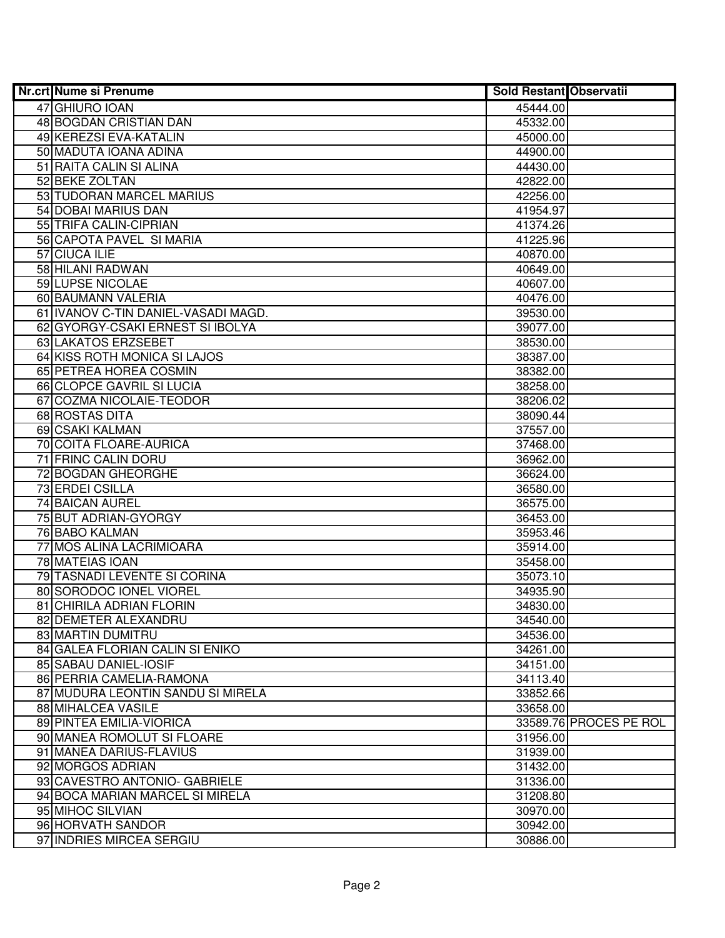| <b>Nr.crt Nume si Prenume</b>       | Sold Restant Observatii |                        |
|-------------------------------------|-------------------------|------------------------|
| 47 GHIURO IOAN                      | 45444.00                |                        |
| 48 BOGDAN CRISTIAN DAN              | 45332.00                |                        |
| 49 KEREZSI EVA-KATALIN              | 45000.00                |                        |
| 50 MADUTA IOANA ADINA               | 44900.00                |                        |
| 51 RAITA CALIN SI ALINA             | 44430.00                |                        |
| 52 BEKE ZOLTAN                      | 42822.00                |                        |
| 53 TUDORAN MARCEL MARIUS            | 42256.00                |                        |
| 54 DOBAI MARIUS DAN                 | 41954.97                |                        |
| 55 TRIFA CALIN-CIPRIAN              | 41374.26                |                        |
| 56 CAPOTA PAVEL SI MARIA            | 41225.96                |                        |
| 57 CIUCA ILIE                       | 40870.00                |                        |
| 58 HILANI RADWAN                    | 40649.00                |                        |
| 59 LUPSE NICOLAE                    | 40607.00                |                        |
| 60 BAUMANN VALERIA                  | 40476.00                |                        |
| 61 IVANOV C-TIN DANIEL-VASADI MAGD. | 39530.00                |                        |
| 62 GYORGY-CSAKI ERNEST SI IBOLYA    | 39077.00                |                        |
| 63 LAKATOS ERZSEBET                 | 38530.00                |                        |
| 64 KISS ROTH MONICA SI LAJOS        | 38387.00                |                        |
| 65 PETREA HOREA COSMIN              | 38382.00                |                        |
| 66 CLOPCE GAVRIL SI LUCIA           | 38258.00                |                        |
| 67 COZMA NICOLAIE-TEODOR            | 38206.02                |                        |
| 68 ROSTAS DITA                      | 38090.44                |                        |
| 69 CSAKI KALMAN                     | 37557.00                |                        |
| 70 COITA FLOARE-AURICA              | 37468.00                |                        |
| 71 FRINC CALIN DORU                 | 36962.00                |                        |
| 72 BOGDAN GHEORGHE                  | 36624.00                |                        |
| 73 ERDEI CSILLA                     | 36580.00                |                        |
| 74 BAICAN AUREL                     | 36575.00                |                        |
| 75 BUT ADRIAN-GYORGY                | 36453.00                |                        |
| 76 BABO KALMAN                      | 35953.46                |                        |
| 77 MOS ALINA LACRIMIOARA            | 35914.00                |                        |
| 78 MATEIAS IOAN                     | 35458.00                |                        |
| 79 TASNADI LEVENTE SI CORINA        | 35073.10                |                        |
| 80 SORODOC IONEL VIOREL             | 34935.90                |                        |
| 81 CHIRILA ADRIAN FLORIN            | 34830.00                |                        |
| 82 DEMETER ALEXANDRU                | 34540.00                |                        |
| 83 MARTIN DUMITRU                   | 34536.00                |                        |
| 84 GALEA FLORIAN CALIN SI ENIKO     | 34261.00                |                        |
| 85 SABAU DANIEL-IOSIF               | 34151.00                |                        |
| 86 PERRIA CAMELIA-RAMONA            | 34113.40                |                        |
| 87 MUDURA LEONTIN SANDU SI MIRELA   | 33852.66                |                        |
| 88 MIHALCEA VASILE                  | 33658.00                |                        |
| 89 PINTEA EMILIA-VIORICA            |                         | 33589.76 PROCES PE ROL |
| 90 MANEA ROMOLUT SI FLOARE          | 31956.00                |                        |
| 91 MANEA DARIUS-FLAVIUS             | 31939.00                |                        |
| 92 MORGOS ADRIAN                    | 31432.00                |                        |
| 93 CAVESTRO ANTONIO- GABRIELE       | 31336.00                |                        |
| 94 BOCA MARIAN MARCEL SI MIRELA     | 31208.80                |                        |
| 95 MIHOC SILVIAN                    | 30970.00                |                        |
| 96 HORVATH SANDOR                   | 30942.00                |                        |
| 97 INDRIES MIRCEA SERGIU            | 30886.00                |                        |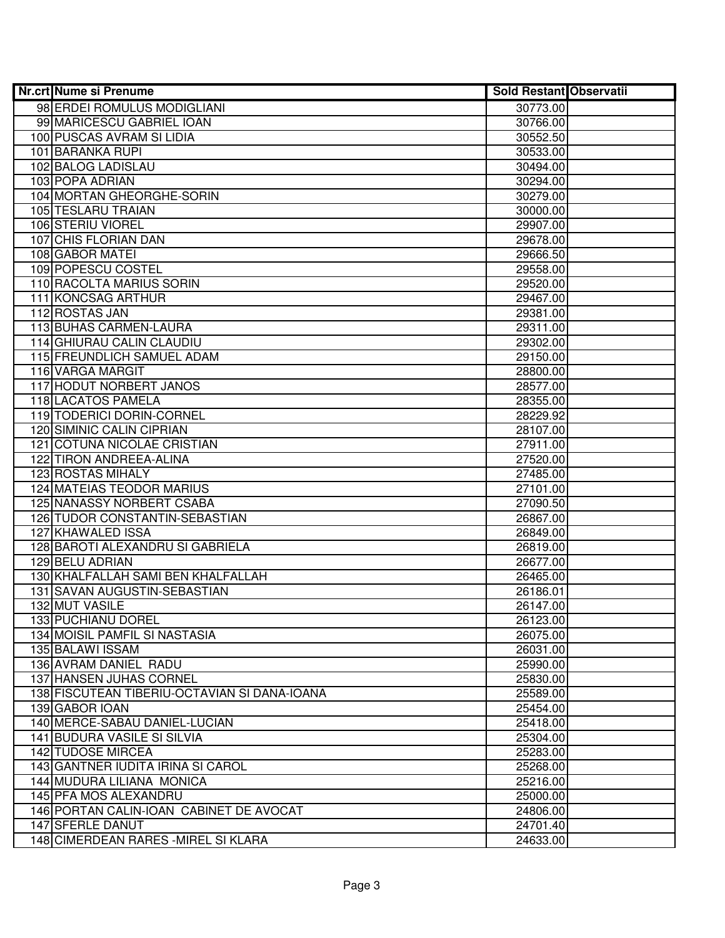| <b>Nr.crt Nume si Prenume</b>                | <b>Sold Restant Observatii</b> |
|----------------------------------------------|--------------------------------|
| 98 ERDEI ROMULUS MODIGLIANI                  | 30773.00                       |
| 99 MARICESCU GABRIEL IOAN                    | 30766.00                       |
| 100 PUSCAS AVRAM SI LIDIA                    | 30552.50                       |
| 101 BARANKA RUPI                             | 30533.00                       |
| 102 BALOG LADISLAU                           | 30494.00                       |
| 103 POPA ADRIAN                              | 30294.00                       |
| 104 MORTAN GHEORGHE-SORIN                    | 30279.00                       |
| 105 TESLARU TRAIAN                           | 30000.00                       |
| 106 STERIU VIOREL                            | 29907.00                       |
| 107 CHIS FLORIAN DAN                         | 29678.00                       |
| <b>108 GABOR MATEI</b>                       | 29666.50                       |
| 109 POPESCU COSTEL                           | 29558.00                       |
| 110 RACOLTA MARIUS SORIN                     | 29520.00                       |
| 111 KONCSAG ARTHUR                           | 29467.00                       |
| 112 ROSTAS JAN                               | 29381.00                       |
| 113 BUHAS CARMEN-LAURA                       | 29311.00                       |
| 114 GHIURAU CALIN CLAUDIU                    | 29302.00                       |
| 115 FREUNDLICH SAMUEL ADAM                   | 29150.00                       |
| 116 VARGA MARGIT                             | 28800.00                       |
| 117 HODUT NORBERT JANOS                      | 28577.00                       |
| 118 LACATOS PAMELA                           | 28355.00                       |
| 119 TODERICI DORIN-CORNEL                    | 28229.92                       |
| 120 SIMINIC CALIN CIPRIAN                    | 28107.00                       |
| 121 COTUNA NICOLAE CRISTIAN                  | 27911.00                       |
| 122 TIRON ANDREEA-ALINA                      | 27520.00                       |
| 123 ROSTAS MIHALY                            | 27485.00                       |
| 124 MATEIAS TEODOR MARIUS                    | 27101.00                       |
| 125 NANASSY NORBERT CSABA                    | 27090.50                       |
| 126 TUDOR CONSTANTIN-SEBASTIAN               | 26867.00                       |
| 127 KHAWALED ISSA                            | 26849.00                       |
| 128 BAROTI ALEXANDRU SI GABRIELA             | 26819.00                       |
| 129 BELU ADRIAN                              | 26677.00                       |
| 130 KHALFALLAH SAMI BEN KHALFALLAH           | 26465.00                       |
| 131 SAVAN AUGUSTIN-SEBASTIAN                 | 26186.01                       |
| 132 MUT VASILE                               | 26147.00                       |
| 133 PUCHIANU DOREL                           | 26123.00                       |
| 134 MOISIL PAMFIL SI NASTASIA                | 26075.00                       |
| <b>135 BALAWI ISSAM</b>                      | 26031.00                       |
| 136 AVRAM DANIEL RADU                        | 25990.00                       |
| 137 HANSEN JUHAS CORNEL                      | 25830.00                       |
| 138 FISCUTEAN TIBERIU-OCTAVIAN SI DANA-IOANA | 25589.00                       |
| 139 GABOR IOAN                               | 25454.00                       |
| 140 MERCE-SABAU DANIEL-LUCIAN                | 25418.00                       |
| 141 BUDURA VASILE SI SILVIA                  | 25304.00                       |
| 142 TUDOSE MIRCEA                            | 25283.00                       |
| 143 GANTNER IUDITA IRINA SI CAROL            | 25268.00                       |
| 144 MUDURA LILIANA MONICA                    | 25216.00                       |
| 145 PFA MOS ALEXANDRU                        | 25000.00                       |
| 146 PORTAN CALIN-IOAN CABINET DE AVOCAT      | 24806.00                       |
| 147 SFERLE DANUT                             | 24701.40                       |
| 148 CIMERDEAN RARES - MIREL SI KLARA         | 24633.00                       |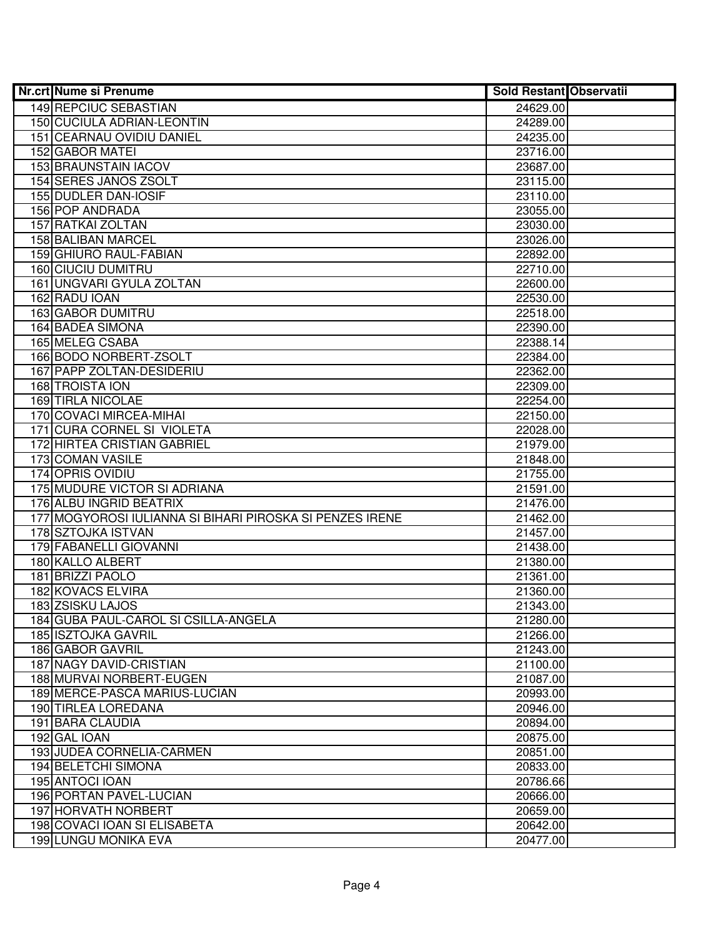| <b>Nr.crt Nume si Prenume</b>                            | <b>Sold Restant Observatii</b> |  |
|----------------------------------------------------------|--------------------------------|--|
| 149 REPCIUC SEBASTIAN                                    | 24629.00                       |  |
| 150 CUCIULA ADRIAN-LEONTIN                               | 24289.00                       |  |
| 151 CEARNAU OVIDIU DANIEL                                | 24235.00                       |  |
| 152 GABOR MATEI                                          | 23716.00                       |  |
| 153 BRAUNSTAIN IACOV                                     | 23687.00                       |  |
| 154 SERES JANOS ZSOLT                                    | 23115.00                       |  |
| 155 DUDLER DAN-IOSIF                                     | 23110.00                       |  |
| <b>156 POP ANDRADA</b>                                   | 23055.00                       |  |
| <b>157 RATKAI ZOLTAN</b>                                 | 23030.00                       |  |
| <b>158 BALIBAN MARCEL</b>                                | 23026.00                       |  |
| 159 GHIURO RAUL-FABIAN                                   | 22892.00                       |  |
| <b>160 CIUCIU DUMITRU</b>                                | 22710.00                       |  |
| 161 UNGVARI GYULA ZOLTAN                                 | 22600.00                       |  |
| 162 RADU IOAN                                            | 22530.00                       |  |
| 163 GABOR DUMITRU                                        | 22518.00                       |  |
| 164 BADEA SIMONA                                         | 22390.00                       |  |
| <b>165 MELEG CSABA</b>                                   | 22388.14                       |  |
| 166 BODO NORBERT-ZSOLT                                   | 22384.00                       |  |
| 167 PAPP ZOLTAN-DESIDERIU                                | 22362.00                       |  |
| 168 TROISTA ION                                          | 22309.00                       |  |
| <b>169 TIRLA NICOLAE</b>                                 | 22254.00                       |  |
| 170 COVACI MIRCEA-MIHAI                                  | 22150.00                       |  |
| 171 CURA CORNEL SI VIOLETA                               | 22028.00                       |  |
| 172 HIRTEA CRISTIAN GABRIEL                              | 21979.00                       |  |
| 173 COMAN VASILE                                         | 21848.00                       |  |
| 174 OPRIS OVIDIU                                         | 21755.00                       |  |
| 175 MUDURE VICTOR SI ADRIANA                             | 21591.00                       |  |
| 176 ALBU INGRID BEATRIX                                  | 21476.00                       |  |
| 177 MOGYOROSI IULIANNA SI BIHARI PIROSKA SI PENZES IRENE | 21462.00                       |  |
| 178 SZTOJKA ISTVAN                                       | 21457.00                       |  |
| 179 FABANELLI GIOVANNI                                   | 21438.00                       |  |
| 180 KALLO ALBERT                                         | 21380.00                       |  |
| 181 BRIZZI PAOLO                                         | 21361.00                       |  |
| <b>182 KOVACS ELVIRA</b>                                 | 21360.00                       |  |
| <b>183 ZSISKU LAJOS</b>                                  | 21343.00                       |  |
| 184 GUBA PAUL-CAROL SI CSILLA-ANGELA                     | 21280.00                       |  |
| 185 ISZTOJKA GAVRIL                                      | 21266.00                       |  |
| 186 GABOR GAVRIL                                         | 21243.00                       |  |
| <b>187 NAGY DAVID-CRISTIAN</b>                           | 21100.00                       |  |
| 188 MURVAI NORBERT-EUGEN                                 | 21087.00                       |  |
| 189 MERCE-PASCA MARIUS-LUCIAN                            | 20993.00                       |  |
| 190 TIRLEA LOREDANA                                      | 20946.00                       |  |
| 191 BARA CLAUDIA                                         | 20894.00                       |  |
| 192 GAL IOAN                                             | 20875.00                       |  |
| 193 JUDEA CORNELIA-CARMEN                                | 20851.00                       |  |
| 194 BELETCHI SIMONA                                      | 20833.00                       |  |
| 195 ANTOCI IOAN                                          | 20786.66                       |  |
| 196 PORTAN PAVEL-LUCIAN                                  | 20666.00                       |  |
| 197 HORVATH NORBERT                                      | 20659.00                       |  |
| 198 COVACI IOAN SI ELISABETA                             | 20642.00                       |  |
| 199 LUNGU MONIKA EVA                                     | 20477.00                       |  |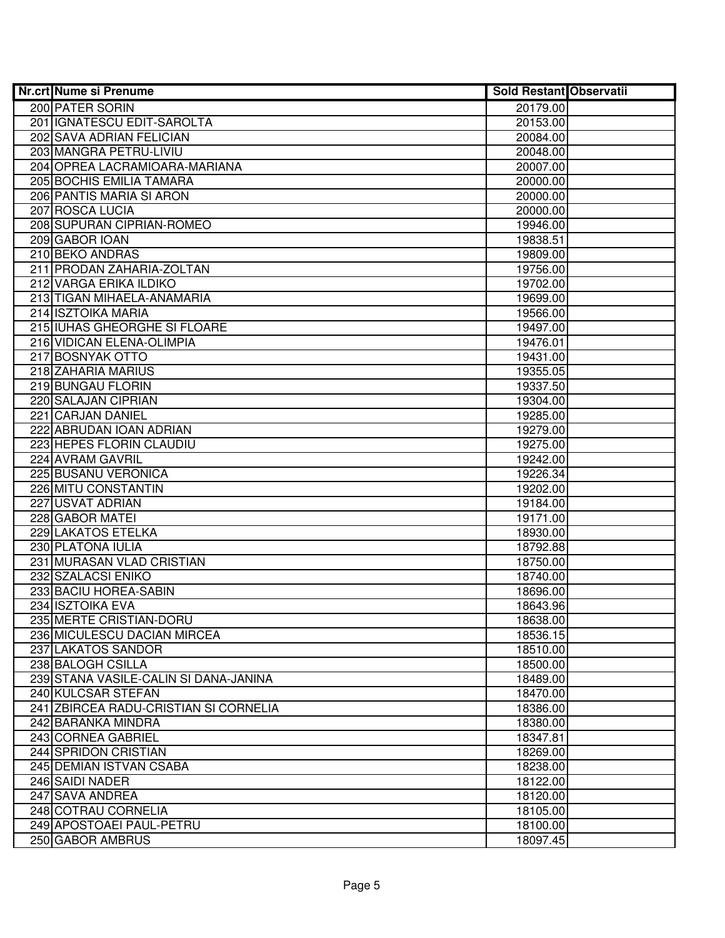| Nr.crt Nume si Prenume                            | <b>Sold Restant Observatii</b> |  |
|---------------------------------------------------|--------------------------------|--|
| 200 PATER SORIN                                   | 20179.00                       |  |
| 201 IGNATESCU EDIT-SAROLTA                        | 20153.00                       |  |
| 202 SAVA ADRIAN FELICIAN                          | 20084.00                       |  |
| 203 MANGRA PETRU-LIVIU                            | 20048.00                       |  |
| 204 OPREA LACRAMIOARA-MARIANA                     | 20007.00                       |  |
| 205 BOCHIS EMILIA TAMARA                          | 20000.00                       |  |
| 206 PANTIS MARIA SI ARON                          | 20000.00                       |  |
| 207 ROSCA LUCIA                                   | 20000.00                       |  |
| 208 SUPURAN CIPRIAN-ROMEO                         | 19946.00                       |  |
| 209 GABOR IOAN                                    | 19838.51                       |  |
| 210 BEKO ANDRAS                                   | 19809.00                       |  |
| 211 PRODAN ZAHARIA-ZOLTAN                         | 19756.00                       |  |
| 212 VARGA ERIKA ILDIKO                            | 19702.00                       |  |
| 213 TIGAN MIHAELA-ANAMARIA                        | 19699.00                       |  |
| 214 ISZTOIKA MARIA                                | 19566.00                       |  |
| 215 IUHAS GHEORGHE SI FLOARE                      | 19497.00                       |  |
| 216 VIDICAN ELENA-OLIMPIA                         | 19476.01                       |  |
| 217 BOSNYAK OTTO                                  | 19431.00                       |  |
| 218 ZAHARIA MARIUS                                | 19355.05                       |  |
| 219 BUNGAU FLORIN                                 | 19337.50                       |  |
| 220 SALAJAN CIPRIAN                               | 19304.00                       |  |
| 221 CARJAN DANIEL                                 | 19285.00                       |  |
| 222 ABRUDAN IOAN ADRIAN                           | 19279.00                       |  |
| 223 HEPES FLORIN CLAUDIU                          | 19275.00                       |  |
| 224 AVRAM GAVRIL                                  | 19242.00                       |  |
| 225 BUSANU VERONICA                               | 19226.34                       |  |
| 226 MITU CONSTANTIN                               | 19202.00                       |  |
| 227 USVAT ADRIAN                                  | 19184.00                       |  |
| 228 GABOR MATEI                                   | 19171.00                       |  |
| 229 LAKATOS ETELKA                                | 18930.00                       |  |
| 230 PLATONA IULIA                                 | 18792.88                       |  |
| 231 MURASAN VLAD CRISTIAN                         | 18750.00                       |  |
| 232 SZALACSI ENIKO                                | 18740.00                       |  |
| 233 BACIU HOREA-SABIN                             | 18696.00                       |  |
| 234 ISZTOIKA EVA                                  | 18643.96                       |  |
| 235 MERTE CRISTIAN-DORU                           | 18638.00                       |  |
| 236 MICULESCU DACIAN MIRCEA<br>237 LAKATOS SANDOR | 18536.15<br>18510.00           |  |
| 238 BALOGH CSILLA                                 | 18500.00                       |  |
| 239 STANA VASILE-CALIN SI DANA-JANINA             |                                |  |
| 240 KULCSAR STEFAN                                | 18489.00<br>18470.00           |  |
| 241 ZBIRCEA RADU-CRISTIAN SI CORNELIA             | 18386.00                       |  |
| 242 BARANKA MINDRA                                | 18380.00                       |  |
| 243 CORNEA GABRIEL                                | 18347.81                       |  |
| 244 SPRIDON CRISTIAN                              | 18269.00                       |  |
| 245 DEMIAN ISTVAN CSABA                           | 18238.00                       |  |
| 246 SAIDI NADER                                   | 18122.00                       |  |
| 247 SAVA ANDREA                                   | 18120.00                       |  |
| 248 COTRAU CORNELIA                               | 18105.00                       |  |
| 249 APOSTOAEI PAUL-PETRU                          | 18100.00                       |  |
| 250 GABOR AMBRUS                                  | 18097.45                       |  |
|                                                   |                                |  |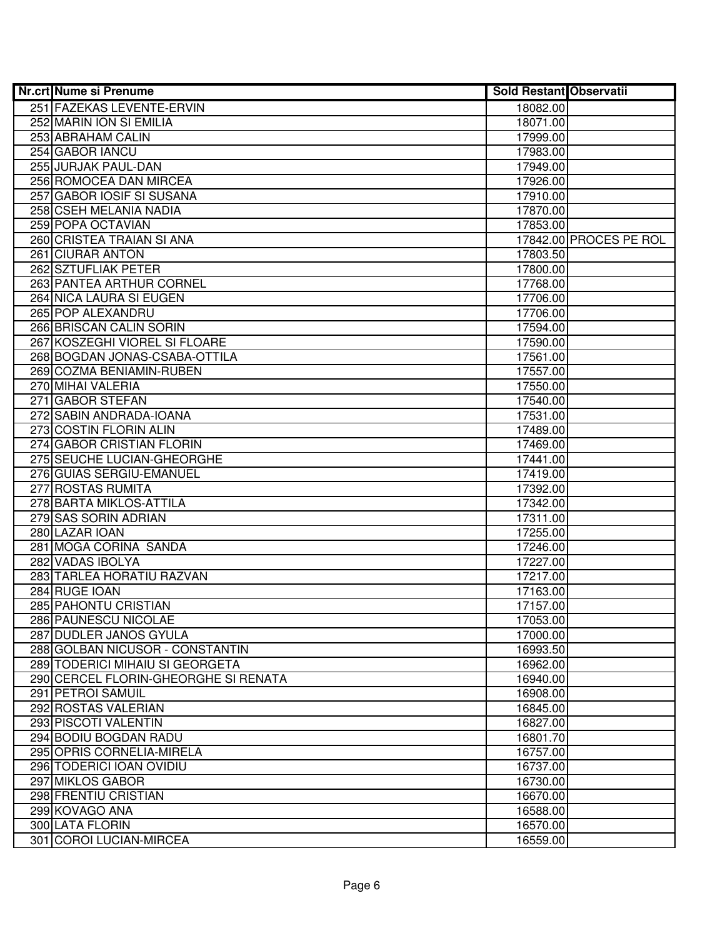| Nr.crt Nume si Prenume               | <b>Sold Restant Observatii</b> |                        |
|--------------------------------------|--------------------------------|------------------------|
| 251 FAZEKAS LEVENTE-ERVIN            | 18082.00                       |                        |
| 252 MARIN ION SI EMILIA              | 18071.00                       |                        |
| 253 ABRAHAM CALIN                    | 17999.00                       |                        |
| 254 GABOR IANCU                      | 17983.00                       |                        |
| 255 JURJAK PAUL-DAN                  | 17949.00                       |                        |
| 256 ROMOCEA DAN MIRCEA               | 17926.00                       |                        |
| 257 GABOR IOSIF SI SUSANA            | 17910.00                       |                        |
| 258 CSEH MELANIA NADIA               | 17870.00                       |                        |
| 259 POPA OCTAVIAN                    | 17853.00                       |                        |
| 260 CRISTEA TRAIAN SI ANA            |                                | 17842.00 PROCES PE ROL |
| <b>261 CIURAR ANTON</b>              | 17803.50                       |                        |
| 262 SZTUFLIAK PETER                  | 17800.00                       |                        |
| 263 PANTEA ARTHUR CORNEL             | 17768.00                       |                        |
| 264 NICA LAURA SI EUGEN              | 17706.00                       |                        |
| 265 POP ALEXANDRU                    | 17706.00                       |                        |
| 266 BRISCAN CALIN SORIN              | 17594.00                       |                        |
| 267 KOSZEGHI VIOREL SI FLOARE        | 17590.00                       |                        |
| 268 BOGDAN JONAS-CSABA-OTTILA        | 17561.00                       |                        |
| 269 COZMA BENIAMIN-RUBEN             | 17557.00                       |                        |
| 270 MIHAI VALERIA                    | 17550.00                       |                        |
| 271 GABOR STEFAN                     | 17540.00                       |                        |
| 272 SABIN ANDRADA-IOANA              | 17531.00                       |                        |
| 273 COSTIN FLORIN ALIN               | 17489.00                       |                        |
| 274 GABOR CRISTIAN FLORIN            | 17469.00                       |                        |
| 275 SEUCHE LUCIAN-GHEORGHE           | 17441.00                       |                        |
| 276 GUIAS SERGIU-EMANUEL             | 17419.00                       |                        |
| 277 ROSTAS RUMITA                    | 17392.00                       |                        |
| 278 BARTA MIKLOS-ATTILA              | 17342.00                       |                        |
| 279 SAS SORIN ADRIAN                 | 17311.00                       |                        |
| 280 LAZAR IOAN                       | 17255.00                       |                        |
| 281 MOGA CORINA SANDA                | 17246.00                       |                        |
| 282 VADAS IBOLYA                     | 17227.00                       |                        |
| 283 TARLEA HORATIU RAZVAN            | 17217.00                       |                        |
| 284 RUGE IOAN                        | 17163.00                       |                        |
| 285 PAHONTU CRISTIAN                 | 17157.00                       |                        |
| <b>286 PAUNESCU NICOLAE</b>          | 17053.00                       |                        |
| 287 DUDLER JANOS GYULA               | 17000.00                       |                        |
| 288 GOLBAN NICUSOR - CONSTANTIN      | 16993.50                       |                        |
| 289 TODERICI MIHAIU SI GEORGETA      | 16962.00                       |                        |
| 290 CERCEL FLORIN-GHEORGHE SI RENATA | 16940.00                       |                        |
| 291 PETROI SAMUIL                    | 16908.00                       |                        |
| 292 ROSTAS VALERIAN                  | 16845.00                       |                        |
| 293 PISCOTI VALENTIN                 | 16827.00                       |                        |
| 294 BODIU BOGDAN RADU                | 16801.70                       |                        |
| 295 OPRIS CORNELIA-MIRELA            | 16757.00                       |                        |
| 296 TODERICI IOAN OVIDIU             | 16737.00                       |                        |
| 297 MIKLOS GABOR                     | 16730.00                       |                        |
| 298 FRENTIU CRISTIAN                 | 16670.00                       |                        |
| 299 KOVAGO ANA                       | 16588.00                       |                        |
| 300 LATA FLORIN                      | 16570.00                       |                        |
| 301 COROI LUCIAN-MIRCEA              | 16559.00                       |                        |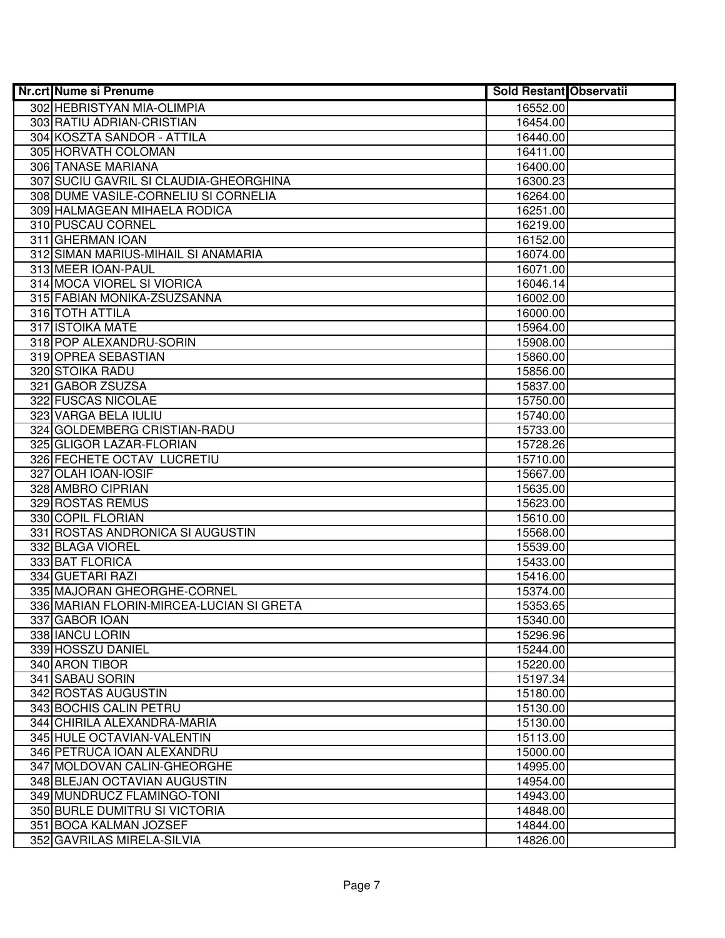| <b>Nr.crt Nume si Prenume</b>            | <b>Sold Restant Observatii</b> |  |
|------------------------------------------|--------------------------------|--|
| 302 HEBRISTYAN MIA-OLIMPIA               | 16552.00                       |  |
| 303 RATIU ADRIAN-CRISTIAN                | 16454.00                       |  |
| 304 KOSZTA SANDOR - ATTILA               | 16440.00                       |  |
| 305 HORVATH COLOMAN                      | 16411.00                       |  |
| 306 TANASE MARIANA                       | 16400.00                       |  |
| 307 SUCIU GAVRIL SI CLAUDIA-GHEORGHINA   | 16300.23                       |  |
| 308 DUME VASILE-CORNELIU SI CORNELIA     | 16264.00                       |  |
| 309 HALMAGEAN MIHAELA RODICA             | 16251.00                       |  |
| 310 PUSCAU CORNEL                        | 16219.00                       |  |
| 311 GHERMAN IOAN                         | 16152.00                       |  |
| 312 SIMAN MARIUS-MIHAIL SI ANAMARIA      | 16074.00                       |  |
| 313 MEER IOAN-PAUL                       | 16071.00                       |  |
| 314 MOCA VIOREL SI VIORICA               | 16046.14                       |  |
| 315 FABIAN MONIKA-ZSUZSANNA              | 16002.00                       |  |
| 316 TOTH ATTILA                          | 16000.00                       |  |
| 317 ISTOIKA MATE                         | 15964.00                       |  |
| 318 POP ALEXANDRU-SORIN                  | 15908.00                       |  |
| 319 OPREA SEBASTIAN                      | 15860.00                       |  |
| 320 STOIKA RADU                          | 15856.00                       |  |
| 321 GABOR ZSUZSA                         | 15837.00                       |  |
| 322 FUSCAS NICOLAE                       | 15750.00                       |  |
| 323 VARGA BELA IULIU                     | 15740.00                       |  |
| 324 GOLDEMBERG CRISTIAN-RADU             | 15733.00                       |  |
| 325 GLIGOR LAZAR-FLORIAN                 | 15728.26                       |  |
| 326 FECHETE OCTAV LUCRETIU               | 15710.00                       |  |
| 327 OLAH IOAN-IOSIF                      | 15667.00                       |  |
| 328 AMBRO CIPRIAN                        | 15635.00                       |  |
| 329 ROSTAS REMUS                         | 15623.00                       |  |
| 330 COPIL FLORIAN                        | 15610.00                       |  |
| 331 ROSTAS ANDRONICA SI AUGUSTIN         | 15568.00                       |  |
| 332 BLAGA VIOREL                         | 15539.00                       |  |
| 333 BAT FLORICA                          | 15433.00                       |  |
| 334 GUETARI RAZI                         | 15416.00                       |  |
| 335 MAJORAN GHEORGHE-CORNEL              | 15374.00                       |  |
| 336 MARIAN FLORIN-MIRCEA-LUCIAN SI GRETA | 15353.65                       |  |
| 337 GABOR IOAN                           | 15340.00                       |  |
| 338 IANCU LORIN                          | 15296.96                       |  |
| 339 HOSSZU DANIEL                        | 15244.00                       |  |
| 340 ARON TIBOR                           | 15220.00                       |  |
| 341 SABAU SORIN                          | 15197.34                       |  |
| 342 ROSTAS AUGUSTIN                      | 15180.00                       |  |
| 343 BOCHIS CALIN PETRU                   | 15130.00                       |  |
| 344 CHIRILA ALEXANDRA-MARIA              | 15130.00                       |  |
| 345 HULE OCTAVIAN-VALENTIN               | 15113.00                       |  |
| 346 PETRUCA IOAN ALEXANDRU               | 15000.00                       |  |
| 347 MOLDOVAN CALIN-GHEORGHE              | 14995.00                       |  |
| 348 BLEJAN OCTAVIAN AUGUSTIN             | 14954.00                       |  |
| 349 MUNDRUCZ FLAMINGO-TONI               | 14943.00                       |  |
| 350 BURLE DUMITRU SI VICTORIA            | 14848.00                       |  |
| 351 BOCA KALMAN JOZSEF                   | 14844.00                       |  |
| 352 GAVRILAS MIRELA-SILVIA               | 14826.00                       |  |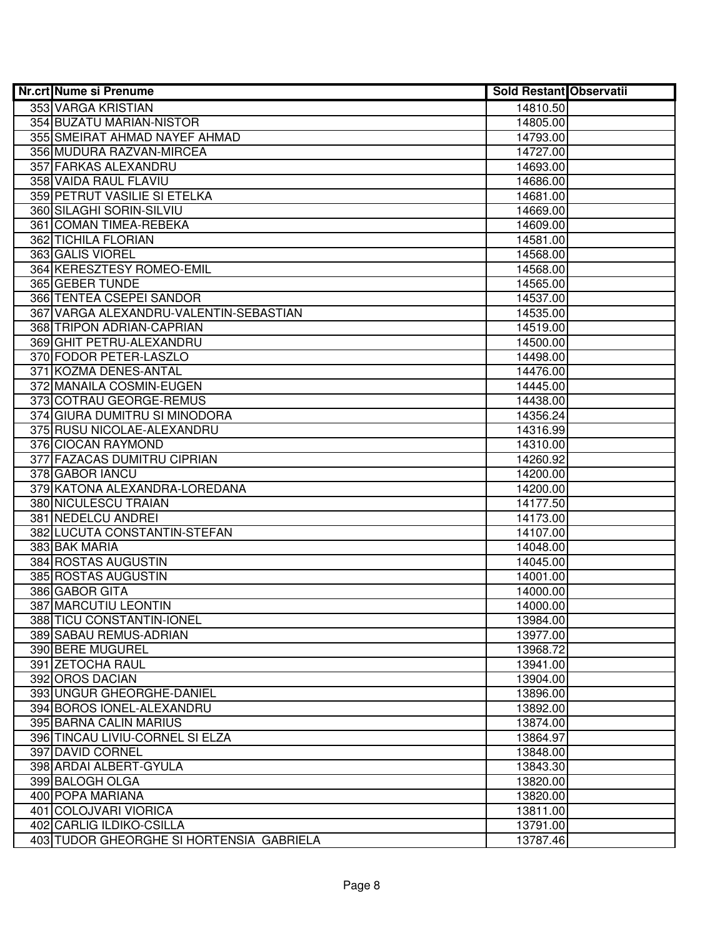| Nr.crt Nume si Prenume                   | <b>Sold Restant Observatii</b> |  |
|------------------------------------------|--------------------------------|--|
| 353 VARGA KRISTIAN                       | 14810.50                       |  |
| 354 BUZATU MARIAN-NISTOR                 | 14805.00                       |  |
| 355 SMEIRAT AHMAD NAYEF AHMAD            | 14793.00                       |  |
| 356 MUDURA RAZVAN-MIRCEA                 | 14727.00                       |  |
| 357 FARKAS ALEXANDRU                     | 14693.00                       |  |
| 358 VAIDA RAUL FLAVIU                    | 14686.00                       |  |
| 359 PETRUT VASILIE SI ETELKA             | 14681.00                       |  |
| 360 SILAGHI SORIN-SILVIU                 | 14669.00                       |  |
| 361 COMAN TIMEA-REBEKA                   | 14609.00                       |  |
| 362 TICHILA FLORIAN                      | 14581.00                       |  |
| 363 GALIS VIOREL                         | 14568.00                       |  |
| 364 KERESZTESY ROMEO-EMIL                | 14568.00                       |  |
| 365 GEBER TUNDE                          | 14565.00                       |  |
| 366 TENTEA CSEPEI SANDOR                 | 14537.00                       |  |
| 367 VARGA ALEXANDRU-VALENTIN-SEBASTIAN   | 14535.00                       |  |
| 368 TRIPON ADRIAN-CAPRIAN                | 14519.00                       |  |
| 369 GHIT PETRU-ALEXANDRU                 | 14500.00                       |  |
| 370 FODOR PETER-LASZLO                   | 14498.00                       |  |
| 371 KOZMA DENES-ANTAL                    | 14476.00                       |  |
| 372 MANAILA COSMIN-EUGEN                 | 14445.00                       |  |
| 373 COTRAU GEORGE-REMUS                  | 14438.00                       |  |
| 374 GIURA DUMITRU SI MINODORA            | 14356.24                       |  |
| 375 RUSU NICOLAE-ALEXANDRU               | 14316.99                       |  |
| 376 CIOCAN RAYMOND                       | 14310.00                       |  |
| 377 FAZACAS DUMITRU CIPRIAN              | 14260.92                       |  |
| 378 GABOR IANCU                          | 14200.00                       |  |
| 379 KATONA ALEXANDRA-LOREDANA            | 14200.00                       |  |
| 380 NICULESCU TRAIAN                     | 14177.50                       |  |
| 381 NEDELCU ANDREI                       | 14173.00                       |  |
| 382 LUCUTA CONSTANTIN-STEFAN             | 14107.00                       |  |
| 383 BAK MARIA                            | 14048.00                       |  |
| 384 ROSTAS AUGUSTIN                      | 14045.00                       |  |
| 385 ROSTAS AUGUSTIN                      | 14001.00                       |  |
| 386 GABOR GITA<br>387 MARCUTIU LEONTIN   | 14000.00                       |  |
| 388 TICU CONSTANTIN-IONEL                | 14000.00<br>13984.00           |  |
| 389 SABAU REMUS-ADRIAN                   | 13977.00                       |  |
| 390 BERE MUGUREL                         | 13968.72                       |  |
| 391 ZETOCHA RAUL                         | 13941.00                       |  |
| 392 OROS DACIAN                          | 13904.00                       |  |
| 393 UNGUR GHEORGHE-DANIEL                | 13896.00                       |  |
| 394 BOROS IONEL-ALEXANDRU                | 13892.00                       |  |
| 395 BARNA CALIN MARIUS                   | 13874.00                       |  |
| 396 TINCAU LIVIU-CORNEL SI ELZA          | 13864.97                       |  |
| 397 DAVID CORNEL                         | 13848.00                       |  |
| 398 ARDAI ALBERT-GYULA                   | 13843.30                       |  |
| 399 BALOGH OLGA                          | 13820.00                       |  |
| 400 POPA MARIANA                         | 13820.00                       |  |
| 401 COLOJVARI VIORICA                    | 13811.00                       |  |
| 402 CARLIG ILDIKO-CSILLA                 | 13791.00                       |  |
| 403 TUDOR GHEORGHE SI HORTENSIA GABRIELA | 13787.46                       |  |
|                                          |                                |  |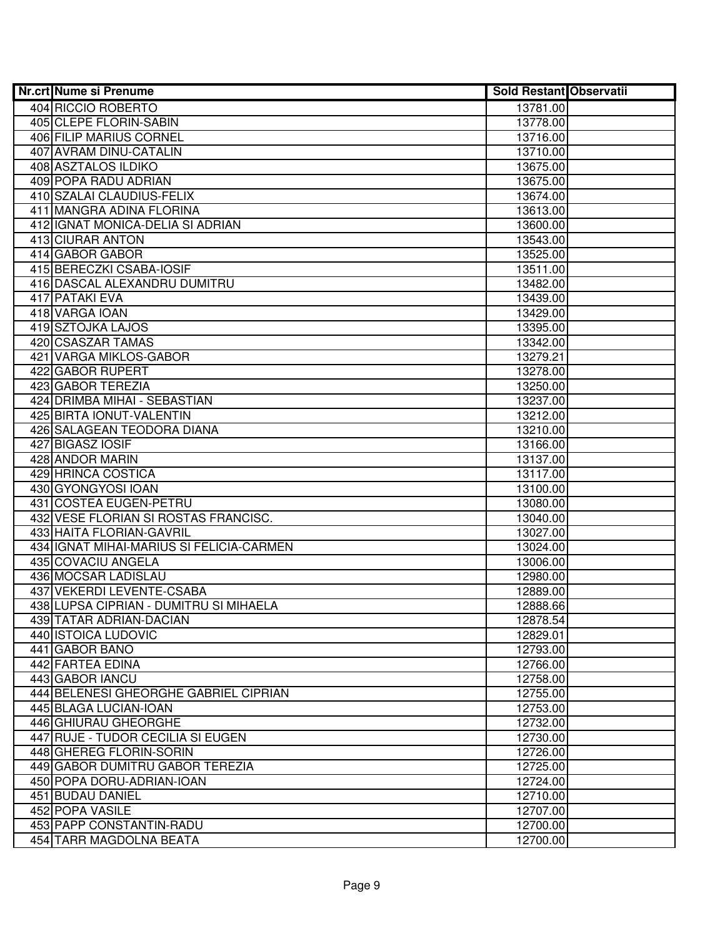| Nr.crt Nume si Prenume                         | <b>Sold Restant Observatii</b> |  |
|------------------------------------------------|--------------------------------|--|
| 404 RICCIO ROBERTO                             | 13781.00                       |  |
| 405 CLEPE FLORIN-SABIN                         | 13778.00                       |  |
| 406 FILIP MARIUS CORNEL                        | 13716.00                       |  |
| 407 AVRAM DINU-CATALIN                         | 13710.00                       |  |
| 408 ASZTALOS ILDIKO                            | 13675.00                       |  |
| 409 POPA RADU ADRIAN                           | 13675.00                       |  |
| 410 SZALAI CLAUDIUS-FELIX                      | 13674.00                       |  |
| 411 MANGRA ADINA FLORINA                       | 13613.00                       |  |
| 412 IGNAT MONICA-DELIA SI ADRIAN               | 13600.00                       |  |
| 413 CIURAR ANTON                               | 13543.00                       |  |
| 414 GABOR GABOR                                | 13525.00                       |  |
| 415 BERECZKI CSABA-IOSIF                       | 13511.00                       |  |
| 416 DASCAL ALEXANDRU DUMITRU                   | 13482.00                       |  |
| 417 PATAKI EVA                                 | 13439.00                       |  |
| 418 VARGA IOAN                                 | 13429.00                       |  |
| 419 SZTOJKA LAJOS                              | 13395.00                       |  |
| 420 CSASZAR TAMAS                              | 13342.00                       |  |
| 421 VARGA MIKLOS-GABOR                         | 13279.21                       |  |
| 422 GABOR RUPERT                               | 13278.00                       |  |
| 423 GABOR TEREZIA                              | 13250.00                       |  |
| 424 DRIMBA MIHAI - SEBASTIAN                   | 13237.00                       |  |
| 425 BIRTA IONUT-VALENTIN                       | 13212.00                       |  |
| 426 SALAGEAN TEODORA DIANA                     | 13210.00                       |  |
| 427 BIGASZ IOSIF                               | 13166.00                       |  |
| 428 ANDOR MARIN                                | 13137.00                       |  |
| 429 HRINCA COSTICA                             | 13117.00                       |  |
| 430 GYONGYOSI IOAN                             | 13100.00                       |  |
| 431 COSTEA EUGEN-PETRU                         | 13080.00                       |  |
| 432 VESE FLORIAN SI ROSTAS FRANCISC.           | 13040.00                       |  |
| 433 HAITA FLORIAN-GAVRIL                       | 13027.00                       |  |
| 434 IGNAT MIHAI-MARIUS SI FELICIA-CARMEN       | 13024.00                       |  |
| 435 COVACIU ANGELA                             | 13006.00                       |  |
| 436 MOCSAR LADISLAU                            | 12980.00                       |  |
| 437 VEKERDI LEVENTE-CSABA                      | 12889.00                       |  |
| 438 LUPSA CIPRIAN - DUMITRU SI MIHAELA         | 12888.66                       |  |
| 439 TATAR ADRIAN-DACIAN<br>440 ISTOICA LUDOVIC | 12878.54                       |  |
| 441 GABOR BANO                                 | 12829.01<br>12793.00           |  |
| <b>442 FARTEA EDINA</b>                        |                                |  |
| 443 GABOR IANCU                                | 12766.00<br>12758.00           |  |
| 444 BELENESI GHEORGHE GABRIEL CIPRIAN          | 12755.00                       |  |
| 445 BLAGA LUCIAN-IOAN                          | 12753.00                       |  |
| 446 GHIURAU GHEORGHE                           | 12732.00                       |  |
| 447 RUJE - TUDOR CECILIA SI EUGEN              | 12730.00                       |  |
| 448 GHEREG FLORIN-SORIN                        | 12726.00                       |  |
| 449 GABOR DUMITRU GABOR TEREZIA                | 12725.00                       |  |
| 450 POPA DORU-ADRIAN-IOAN                      | 12724.00                       |  |
| 451 BUDAU DANIEL                               | 12710.00                       |  |
| 452 POPA VASILE                                | 12707.00                       |  |
| 453 PAPP CONSTANTIN-RADU                       | 12700.00                       |  |
| 454 TARR MAGDOLNA BEATA                        | 12700.00                       |  |
|                                                |                                |  |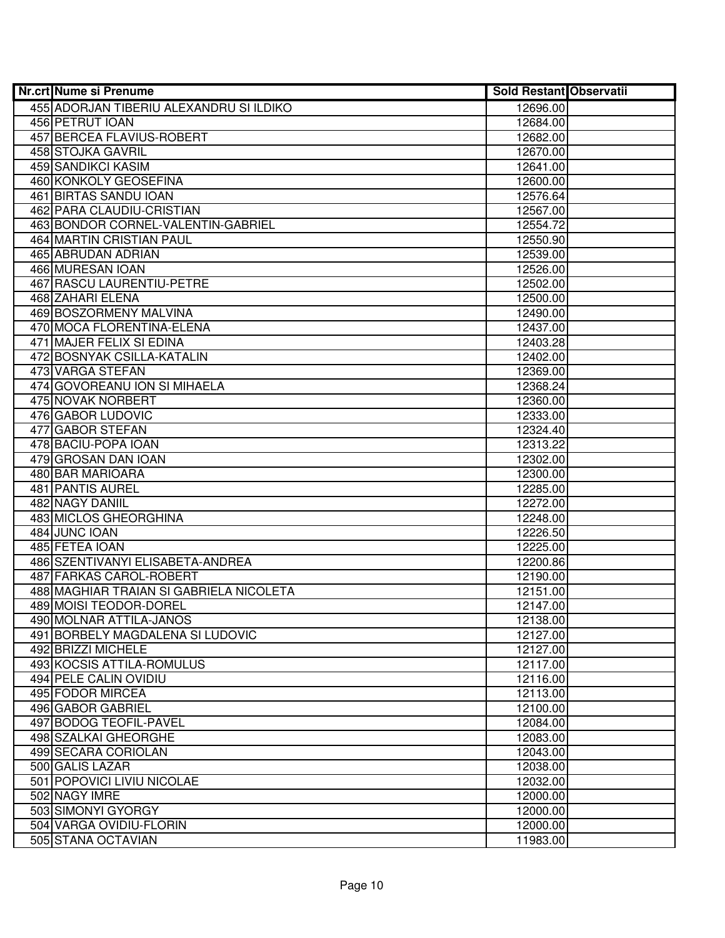| Nr.crt Nume si Prenume                  | <b>Sold Restant Observatii</b> |  |
|-----------------------------------------|--------------------------------|--|
| 455 ADORJAN TIBERIU ALEXANDRU SI ILDIKO | 12696.00                       |  |
| 456 PETRUT IOAN                         | 12684.00                       |  |
| 457 BERCEA FLAVIUS-ROBERT               | 12682.00                       |  |
| 458 STOJKA GAVRIL                       | 12670.00                       |  |
| 459 SANDIKCI KASIM                      | 12641.00                       |  |
| 460 KONKOLY GEOSEFINA                   | 12600.00                       |  |
| 461 BIRTAS SANDU IOAN                   | 12576.64                       |  |
| 462 PARA CLAUDIU-CRISTIAN               | 12567.00                       |  |
| 463 BONDOR CORNEL-VALENTIN-GABRIEL      | 12554.72                       |  |
| <b>464 MARTIN CRISTIAN PAUL</b>         | 12550.90                       |  |
| 465 ABRUDAN ADRIAN                      | 12539.00                       |  |
| <b>466 MURESAN IOAN</b>                 | 12526.00                       |  |
| 467 RASCU LAURENTIU-PETRE               | 12502.00                       |  |
| <b>468 ZAHARI ELENA</b>                 | 12500.00                       |  |
| 469 BOSZORMENY MALVINA                  | 12490.00                       |  |
| 470 MOCA FLORENTINA-ELENA               | 12437.00                       |  |
| 471 MAJER FELIX SI EDINA                | 12403.28                       |  |
| 472 BOSNYAK CSILLA-KATALIN              | 12402.00                       |  |
| 473 VARGA STEFAN                        | 12369.00                       |  |
| 474 GOVOREANU ION SI MIHAELA            | 12368.24                       |  |
| 475 NOVAK NORBERT                       | 12360.00                       |  |
| 476 GABOR LUDOVIC                       | 12333.00                       |  |
| 477 GABOR STEFAN                        | 12324.40                       |  |
| 478 BACIU-POPA IOAN                     | 12313.22                       |  |
| 479 GROSAN DAN IOAN                     | 12302.00                       |  |
| 480 BAR MARIOARA                        | 12300.00                       |  |
| 481 PANTIS AUREL                        | 12285.00                       |  |
| 482 NAGY DANIIL                         | 12272.00                       |  |
| 483 MICLOS GHEORGHINA                   | 12248.00                       |  |
| 484 JUNC IOAN                           | 12226.50                       |  |
| 485 FETEA IOAN                          | 12225.00                       |  |
| 486 SZENTIVANYI ELISABETA-ANDREA        | 12200.86                       |  |
| 487 FARKAS CAROL-ROBERT                 | 12190.00                       |  |
| 488 MAGHIAR TRAIAN SI GABRIELA NICOLETA | 12151.00                       |  |
| 489 MOISI TEODOR-DOREL                  | 12147.00                       |  |
| 490 MOLNAR ATTILA-JANOS                 | 12138.00                       |  |
| 491 BORBELY MAGDALENA SI LUDOVIC        | 12127.00                       |  |
| 492 BRIZZI MICHELE                      | 12127.00                       |  |
| 493 KOCSIS ATTILA-ROMULUS               | 12117.00                       |  |
| 494 PELE CALIN OVIDIU                   | 12116.00                       |  |
| 495 FODOR MIRCEA                        | 12113.00                       |  |
| 496 GABOR GABRIEL                       | 12100.00                       |  |
| 497 BODOG TEOFIL-PAVEL                  | 12084.00                       |  |
| 498 SZALKAI GHEORGHE                    | 12083.00                       |  |
| 499 SECARA CORIOLAN                     | 12043.00                       |  |
| 500 GALIS LAZAR                         | 12038.00                       |  |
| 501 POPOVICI LIVIU NICOLAE              | 12032.00                       |  |
| 502 NAGY IMRE                           | 12000.00                       |  |
| 503 SIMONYI GYORGY                      | 12000.00                       |  |
| 504 VARGA OVIDIU-FLORIN                 | 12000.00                       |  |
| 505 STANA OCTAVIAN                      | 11983.00                       |  |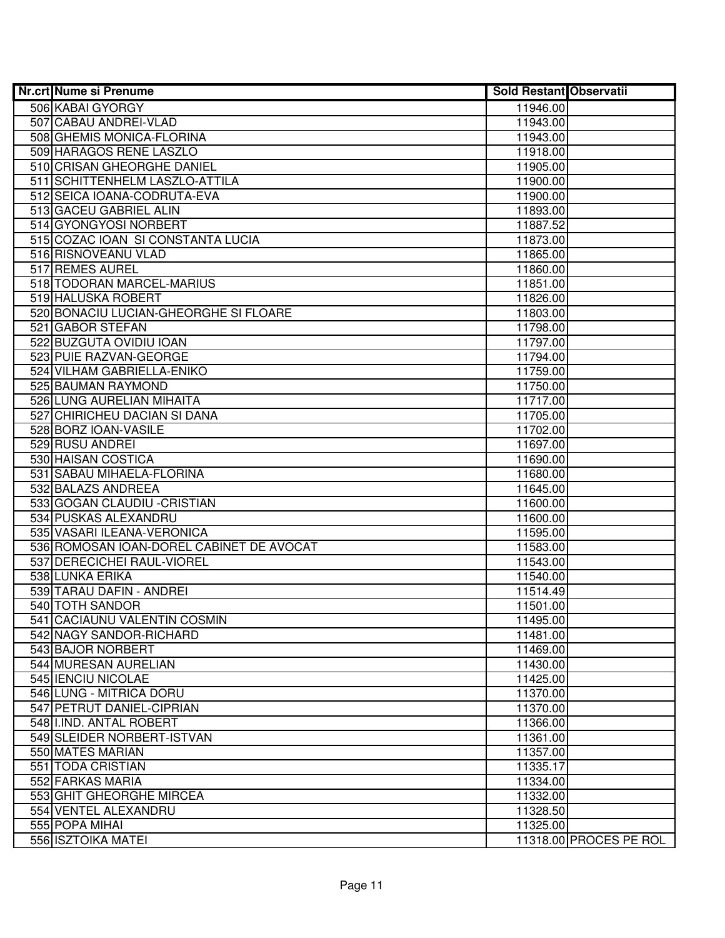| Nr.crt Nume si Prenume                   | <b>Sold Restant Observatii</b> |                        |
|------------------------------------------|--------------------------------|------------------------|
| 506 KABAI GYORGY                         | 11946.00                       |                        |
| 507 CABAU ANDREI-VLAD                    | 11943.00                       |                        |
| 508 GHEMIS MONICA-FLORINA                | 11943.00                       |                        |
| 509 HARAGOS RENE LASZLO                  | 11918.00                       |                        |
| 510 CRISAN GHEORGHE DANIEL               | 11905.00                       |                        |
| 511 SCHITTENHELM LASZLO-ATTILA           | 11900.00                       |                        |
| 512 SEICA IOANA-CODRUTA-EVA              | 11900.00                       |                        |
| 513 GACEU GABRIEL ALIN                   | 11893.00                       |                        |
| 514 GYONGYOSI NORBERT                    | 11887.52                       |                        |
| 515 COZAC IOAN SI CONSTANTA LUCIA        | 11873.00                       |                        |
| 516 RISNOVEANU VLAD                      | 11865.00                       |                        |
| 517 REMES AUREL                          | 11860.00                       |                        |
| 518 TODORAN MARCEL-MARIUS                | 11851.00                       |                        |
| 519 HALUSKA ROBERT                       | 11826.00                       |                        |
| 520 BONACIU LUCIAN-GHEORGHE SI FLOARE    | 11803.00                       |                        |
| 521 GABOR STEFAN                         | 11798.00                       |                        |
| 522 BUZGUTA OVIDIU IOAN                  | 11797.00                       |                        |
| 523 PUIE RAZVAN-GEORGE                   | 11794.00                       |                        |
| 524 VILHAM GABRIELLA-ENIKO               | 11759.00                       |                        |
| 525 BAUMAN RAYMOND                       | 11750.00                       |                        |
| 526 LUNG AURELIAN MIHAITA                | 11717.00                       |                        |
| 527 CHIRICHEU DACIAN SI DANA             | 11705.00                       |                        |
| 528 BORZ IOAN-VASILE                     | 11702.00                       |                        |
| 529 RUSU ANDREI                          | 11697.00                       |                        |
| 530 HAISAN COSTICA                       | 11690.00                       |                        |
| 531 SABAU MIHAELA-FLORINA                | 11680.00                       |                        |
| 532 BALAZS ANDREEA                       | 11645.00                       |                        |
| 533 GOGAN CLAUDIU - CRISTIAN             | 11600.00                       |                        |
| 534 PUSKAS ALEXANDRU                     | 11600.00                       |                        |
| 535 VASARI ILEANA-VERONICA               | 11595.00                       |                        |
| 536 ROMOSAN IOAN-DOREL CABINET DE AVOCAT | 11583.00                       |                        |
| 537 DERECICHEI RAUL-VIOREL               | 11543.00                       |                        |
| 538 LUNKA ERIKA                          | 11540.00                       |                        |
| 539 TARAU DAFIN - ANDREI                 | 11514.49                       |                        |
| <b>540 TOTH SANDOR</b>                   | 11501.00                       |                        |
| 541 CACIAUNU VALENTIN COSMIN             | 11495.00                       |                        |
| 542 NAGY SANDOR-RICHARD                  | 11481.00                       |                        |
| 543 BAJOR NORBERT                        | 11469.00                       |                        |
| 544 MURESAN AURELIAN                     | 11430.00                       |                        |
| 545 IENCIU NICOLAE                       | 11425.00                       |                        |
| 546 LUNG - MITRICA DORU                  | 11370.00                       |                        |
| 547 PETRUT DANIEL-CIPRIAN                | 11370.00                       |                        |
| 548 I.IND. ANTAL ROBERT                  | 11366.00                       |                        |
| 549 SLEIDER NORBERT-ISTVAN               | 11361.00                       |                        |
| 550 MATES MARIAN                         | 11357.00                       |                        |
| 551 TODA CRISTIAN                        | 11335.17                       |                        |
| 552 FARKAS MARIA                         | 11334.00                       |                        |
| 553 GHIT GHEORGHE MIRCEA                 | 11332.00                       |                        |
| 554 VENTEL ALEXANDRU                     | 11328.50                       |                        |
| 555 POPA MIHAI                           | 11325.00                       |                        |
| 556 ISZTOIKA MATEI                       |                                | 11318.00 PROCES PE ROL |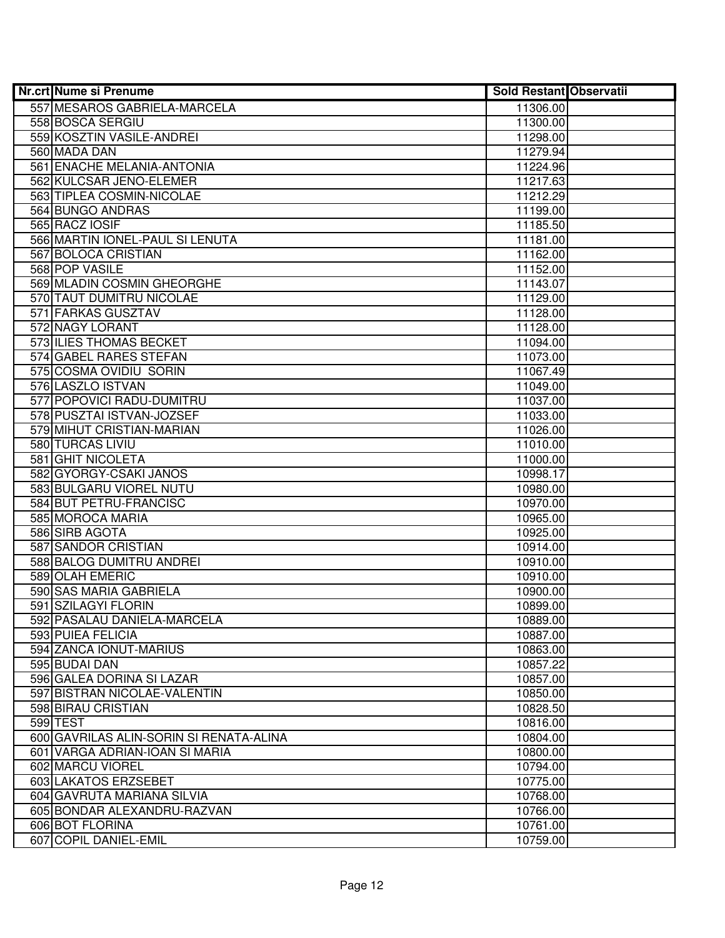| Nr.crt Nume si Prenume                  | <b>Sold Restant Observatii</b> |  |
|-----------------------------------------|--------------------------------|--|
| 557 MESAROS GABRIELA-MARCELA            | 11306.00                       |  |
| 558 BOSCA SERGIU                        | 11300.00                       |  |
| 559 KOSZTIN VASILE-ANDREI               | 11298.00                       |  |
| 560 MADA DAN                            | 11279.94                       |  |
| 561 ENACHE MELANIA-ANTONIA              | 11224.96                       |  |
| 562 KULCSAR JENO-ELEMER                 | 11217.63                       |  |
| 563 TIPLEA COSMIN-NICOLAE               | 11212.29                       |  |
| 564 BUNGO ANDRAS                        | 11199.00                       |  |
| 565 RACZ IOSIF                          | 11185.50                       |  |
| 566 MARTIN IONEL-PAUL SI LENUTA         | 11181.00                       |  |
| 567 BOLOCA CRISTIAN                     | 11162.00                       |  |
| 568 POP VASILE                          | 11152.00                       |  |
| 569 MLADIN COSMIN GHEORGHE              | 11143.07                       |  |
| 570 TAUT DUMITRU NICOLAE                | 11129.00                       |  |
| 571 FARKAS GUSZTAV                      | 11128.00                       |  |
| 572 NAGY LORANT                         | 11128.00                       |  |
| 573 ILIES THOMAS BECKET                 | 11094.00                       |  |
| 574 GABEL RARES STEFAN                  | 11073.00                       |  |
| 575 COSMA OVIDIU SORIN                  | 11067.49                       |  |
| 576 LASZLO ISTVAN                       | 11049.00                       |  |
| 577 POPOVICI RADU-DUMITRU               | 11037.00                       |  |
| 578 PUSZTAI ISTVAN-JOZSEF               | 11033.00                       |  |
| 579 MIHUT CRISTIAN-MARIAN               | 11026.00                       |  |
| 580 TURCAS LIVIU                        | 11010.00                       |  |
| 581 GHIT NICOLETA                       | 11000.00                       |  |
| 582 GYORGY-CSAKI JANOS                  | 10998.17                       |  |
| 583 BULGARU VIOREL NUTU                 | 10980.00                       |  |
| 584 BUT PETRU-FRANCISC                  | 10970.00                       |  |
| 585 MOROCA MARIA                        | 10965.00                       |  |
| 586 SIRB AGOTA                          | 10925.00                       |  |
| 587 SANDOR CRISTIAN                     | 10914.00                       |  |
| 588 BALOG DUMITRU ANDREI                | 10910.00                       |  |
| 589 OLAH EMERIC                         | 10910.00                       |  |
| 590 SAS MARIA GABRIELA                  | 10900.00                       |  |
| 591 SZILAGYI FLORIN                     | 10899.00                       |  |
| 592 PASALAU DANIELA-MARCELA             | 10889.00                       |  |
| <b>593 PUIEA FELICIA</b>                | 10887.00                       |  |
| 594 ZANCA IONUT-MARIUS                  | 10863.00                       |  |
| 595 BUDAI DAN                           | 10857.22                       |  |
| 596 GALEA DORINA SI LAZAR               | 10857.00                       |  |
| 597 BISTRAN NICOLAE-VALENTIN            | 10850.00                       |  |
| 598 BIRAU CRISTIAN                      | 10828.50                       |  |
| 599 TEST                                | 10816.00                       |  |
| 600 GAVRILAS ALIN-SORIN SI RENATA-ALINA | 10804.00                       |  |
| 601 VARGA ADRIAN-IOAN SI MARIA          | 10800.00                       |  |
| 602 MARCU VIOREL                        | 10794.00                       |  |
| 603 LAKATOS ERZSEBET                    | 10775.00                       |  |
| 604 GAVRUTA MARIANA SILVIA              | 10768.00                       |  |
| 605 BONDAR ALEXANDRU-RAZVAN             | 10766.00                       |  |
| 606 BOT FLORINA                         | 10761.00                       |  |
| 607 COPIL DANIEL-EMIL                   | 10759.00                       |  |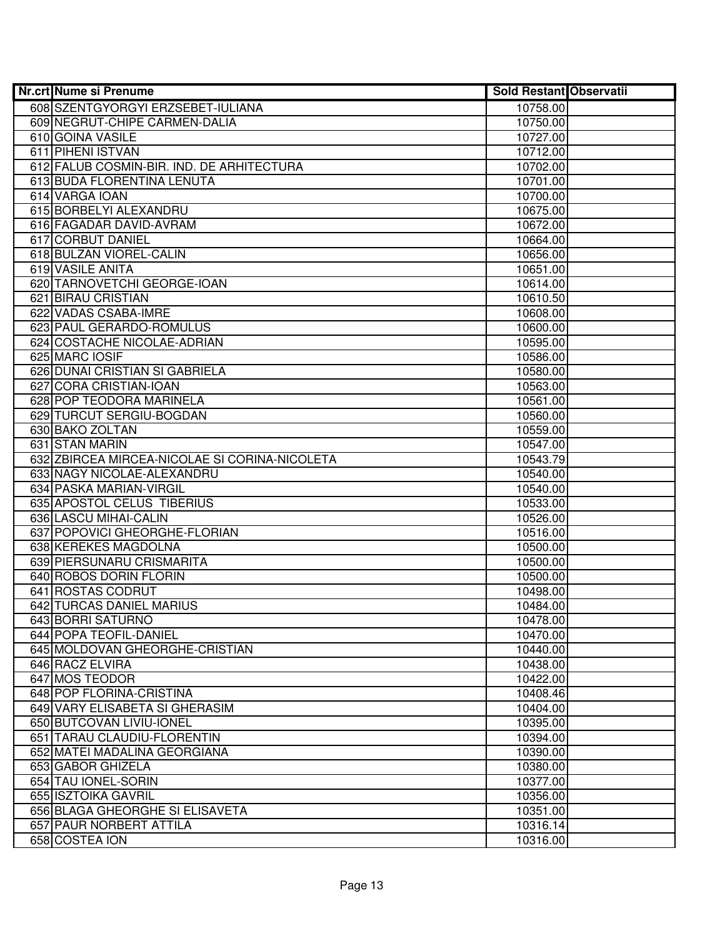| 608 SZENTGYORGYI ERZSEBET-IULIANA<br>10758.00<br>609 NEGRUT-CHIPE CARMEN-DALIA<br>10750.00<br>610 GOINA VASILE<br>10727.00<br>611 PIHENI ISTVAN<br>10712.00<br>612 FALUB COSMIN-BIR. IND. DE ARHITECTURA<br>10702.00<br>613 BUDA FLORENTINA LENUTA<br>10701.00<br>614 VARGA IOAN<br>10700.00<br>615 BORBELYI ALEXANDRU<br>10675.00<br>616 FAGADAR DAVID-AVRAM<br>10672.00<br>617 CORBUT DANIEL<br>10664.00<br>618 BULZAN VIOREL-CALIN<br>10656.00<br>619 VASILE ANITA<br>10651.00<br>620 TARNOVETCHI GEORGE-IOAN<br>10614.00<br>621 BIRAU CRISTIAN<br>10610.50<br>622 VADAS CSABA-IMRE<br>10608.00<br>623 PAUL GERARDO-ROMULUS<br>10600.00<br>624 COSTACHE NICOLAE-ADRIAN<br>10595.00<br>625 MARC IOSIF<br>10586.00<br>626 DUNAI CRISTIAN SI GABRIELA<br>10580.00<br>627 CORA CRISTIAN-IOAN<br>10563.00<br>628 POP TEODORA MARINELA<br>10561.00<br>629 TURCUT SERGIU-BOGDAN<br>10560.00<br>630 BAKO ZOLTAN<br>10559.00<br>631 STAN MARIN<br>10547.00<br>632 ZBIRCEA MIRCEA-NICOLAE SI CORINA-NICOLETA<br>10543.79<br>633 NAGY NICOLAE-ALEXANDRU<br>10540.00<br>634 PASKA MARIAN-VIRGIL<br>10540.00<br>635 APOSTOL CELUS TIBERIUS<br>10533.00<br>636 LASCU MIHAI-CALIN<br>10526.00<br>637 POPOVICI GHEORGHE-FLORIAN<br>10516.00<br>638 KEREKES MAGDOLNA<br>10500.00<br>639 PIERSUNARU CRISMARITA<br>10500.00<br>640 ROBOS DORIN FLORIN<br>10500.00<br>641 ROSTAS CODRUT<br>10498.00<br><b>642 TURCAS DANIEL MARIUS</b><br>10484.00<br>643 BORRI SATURNO<br>10478.00<br>644 POPA TEOFIL-DANIEL<br>10470.00<br>645 MOLDOVAN GHEORGHE-CRISTIAN<br>10440.00<br>646 RACZ ELVIRA<br>10438.00<br>647 MOS TEODOR<br>10422.00<br>648 POP FLORINA-CRISTINA<br>10408.46<br>649 VARY ELISABETA SI GHERASIM<br>10404.00<br>650 BUTCOVAN LIVIU-IONEL<br>10395.00<br>651 TARAU CLAUDIU-FLORENTIN<br>10394.00<br>652 MATEI MADALINA GEORGIANA<br>10390.00<br>653 GABOR GHIZELA<br>10380.00<br>654 TAU IONEL-SORIN<br>10377.00<br>655 ISZTOIKA GAVRIL<br>10356.00 | Nr.crt Nume si Prenume          | <b>Sold Restant Observatii</b> |  |
|-------------------------------------------------------------------------------------------------------------------------------------------------------------------------------------------------------------------------------------------------------------------------------------------------------------------------------------------------------------------------------------------------------------------------------------------------------------------------------------------------------------------------------------------------------------------------------------------------------------------------------------------------------------------------------------------------------------------------------------------------------------------------------------------------------------------------------------------------------------------------------------------------------------------------------------------------------------------------------------------------------------------------------------------------------------------------------------------------------------------------------------------------------------------------------------------------------------------------------------------------------------------------------------------------------------------------------------------------------------------------------------------------------------------------------------------------------------------------------------------------------------------------------------------------------------------------------------------------------------------------------------------------------------------------------------------------------------------------------------------------------------------------------------------------------------------------------------------------------------------------------------------------------------------------------------------------|---------------------------------|--------------------------------|--|
|                                                                                                                                                                                                                                                                                                                                                                                                                                                                                                                                                                                                                                                                                                                                                                                                                                                                                                                                                                                                                                                                                                                                                                                                                                                                                                                                                                                                                                                                                                                                                                                                                                                                                                                                                                                                                                                                                                                                                 |                                 |                                |  |
|                                                                                                                                                                                                                                                                                                                                                                                                                                                                                                                                                                                                                                                                                                                                                                                                                                                                                                                                                                                                                                                                                                                                                                                                                                                                                                                                                                                                                                                                                                                                                                                                                                                                                                                                                                                                                                                                                                                                                 |                                 |                                |  |
|                                                                                                                                                                                                                                                                                                                                                                                                                                                                                                                                                                                                                                                                                                                                                                                                                                                                                                                                                                                                                                                                                                                                                                                                                                                                                                                                                                                                                                                                                                                                                                                                                                                                                                                                                                                                                                                                                                                                                 |                                 |                                |  |
|                                                                                                                                                                                                                                                                                                                                                                                                                                                                                                                                                                                                                                                                                                                                                                                                                                                                                                                                                                                                                                                                                                                                                                                                                                                                                                                                                                                                                                                                                                                                                                                                                                                                                                                                                                                                                                                                                                                                                 |                                 |                                |  |
|                                                                                                                                                                                                                                                                                                                                                                                                                                                                                                                                                                                                                                                                                                                                                                                                                                                                                                                                                                                                                                                                                                                                                                                                                                                                                                                                                                                                                                                                                                                                                                                                                                                                                                                                                                                                                                                                                                                                                 |                                 |                                |  |
|                                                                                                                                                                                                                                                                                                                                                                                                                                                                                                                                                                                                                                                                                                                                                                                                                                                                                                                                                                                                                                                                                                                                                                                                                                                                                                                                                                                                                                                                                                                                                                                                                                                                                                                                                                                                                                                                                                                                                 |                                 |                                |  |
|                                                                                                                                                                                                                                                                                                                                                                                                                                                                                                                                                                                                                                                                                                                                                                                                                                                                                                                                                                                                                                                                                                                                                                                                                                                                                                                                                                                                                                                                                                                                                                                                                                                                                                                                                                                                                                                                                                                                                 |                                 |                                |  |
|                                                                                                                                                                                                                                                                                                                                                                                                                                                                                                                                                                                                                                                                                                                                                                                                                                                                                                                                                                                                                                                                                                                                                                                                                                                                                                                                                                                                                                                                                                                                                                                                                                                                                                                                                                                                                                                                                                                                                 |                                 |                                |  |
|                                                                                                                                                                                                                                                                                                                                                                                                                                                                                                                                                                                                                                                                                                                                                                                                                                                                                                                                                                                                                                                                                                                                                                                                                                                                                                                                                                                                                                                                                                                                                                                                                                                                                                                                                                                                                                                                                                                                                 |                                 |                                |  |
|                                                                                                                                                                                                                                                                                                                                                                                                                                                                                                                                                                                                                                                                                                                                                                                                                                                                                                                                                                                                                                                                                                                                                                                                                                                                                                                                                                                                                                                                                                                                                                                                                                                                                                                                                                                                                                                                                                                                                 |                                 |                                |  |
|                                                                                                                                                                                                                                                                                                                                                                                                                                                                                                                                                                                                                                                                                                                                                                                                                                                                                                                                                                                                                                                                                                                                                                                                                                                                                                                                                                                                                                                                                                                                                                                                                                                                                                                                                                                                                                                                                                                                                 |                                 |                                |  |
|                                                                                                                                                                                                                                                                                                                                                                                                                                                                                                                                                                                                                                                                                                                                                                                                                                                                                                                                                                                                                                                                                                                                                                                                                                                                                                                                                                                                                                                                                                                                                                                                                                                                                                                                                                                                                                                                                                                                                 |                                 |                                |  |
|                                                                                                                                                                                                                                                                                                                                                                                                                                                                                                                                                                                                                                                                                                                                                                                                                                                                                                                                                                                                                                                                                                                                                                                                                                                                                                                                                                                                                                                                                                                                                                                                                                                                                                                                                                                                                                                                                                                                                 |                                 |                                |  |
|                                                                                                                                                                                                                                                                                                                                                                                                                                                                                                                                                                                                                                                                                                                                                                                                                                                                                                                                                                                                                                                                                                                                                                                                                                                                                                                                                                                                                                                                                                                                                                                                                                                                                                                                                                                                                                                                                                                                                 |                                 |                                |  |
|                                                                                                                                                                                                                                                                                                                                                                                                                                                                                                                                                                                                                                                                                                                                                                                                                                                                                                                                                                                                                                                                                                                                                                                                                                                                                                                                                                                                                                                                                                                                                                                                                                                                                                                                                                                                                                                                                                                                                 |                                 |                                |  |
|                                                                                                                                                                                                                                                                                                                                                                                                                                                                                                                                                                                                                                                                                                                                                                                                                                                                                                                                                                                                                                                                                                                                                                                                                                                                                                                                                                                                                                                                                                                                                                                                                                                                                                                                                                                                                                                                                                                                                 |                                 |                                |  |
|                                                                                                                                                                                                                                                                                                                                                                                                                                                                                                                                                                                                                                                                                                                                                                                                                                                                                                                                                                                                                                                                                                                                                                                                                                                                                                                                                                                                                                                                                                                                                                                                                                                                                                                                                                                                                                                                                                                                                 |                                 |                                |  |
|                                                                                                                                                                                                                                                                                                                                                                                                                                                                                                                                                                                                                                                                                                                                                                                                                                                                                                                                                                                                                                                                                                                                                                                                                                                                                                                                                                                                                                                                                                                                                                                                                                                                                                                                                                                                                                                                                                                                                 |                                 |                                |  |
|                                                                                                                                                                                                                                                                                                                                                                                                                                                                                                                                                                                                                                                                                                                                                                                                                                                                                                                                                                                                                                                                                                                                                                                                                                                                                                                                                                                                                                                                                                                                                                                                                                                                                                                                                                                                                                                                                                                                                 |                                 |                                |  |
|                                                                                                                                                                                                                                                                                                                                                                                                                                                                                                                                                                                                                                                                                                                                                                                                                                                                                                                                                                                                                                                                                                                                                                                                                                                                                                                                                                                                                                                                                                                                                                                                                                                                                                                                                                                                                                                                                                                                                 |                                 |                                |  |
|                                                                                                                                                                                                                                                                                                                                                                                                                                                                                                                                                                                                                                                                                                                                                                                                                                                                                                                                                                                                                                                                                                                                                                                                                                                                                                                                                                                                                                                                                                                                                                                                                                                                                                                                                                                                                                                                                                                                                 |                                 |                                |  |
|                                                                                                                                                                                                                                                                                                                                                                                                                                                                                                                                                                                                                                                                                                                                                                                                                                                                                                                                                                                                                                                                                                                                                                                                                                                                                                                                                                                                                                                                                                                                                                                                                                                                                                                                                                                                                                                                                                                                                 |                                 |                                |  |
|                                                                                                                                                                                                                                                                                                                                                                                                                                                                                                                                                                                                                                                                                                                                                                                                                                                                                                                                                                                                                                                                                                                                                                                                                                                                                                                                                                                                                                                                                                                                                                                                                                                                                                                                                                                                                                                                                                                                                 |                                 |                                |  |
|                                                                                                                                                                                                                                                                                                                                                                                                                                                                                                                                                                                                                                                                                                                                                                                                                                                                                                                                                                                                                                                                                                                                                                                                                                                                                                                                                                                                                                                                                                                                                                                                                                                                                                                                                                                                                                                                                                                                                 |                                 |                                |  |
|                                                                                                                                                                                                                                                                                                                                                                                                                                                                                                                                                                                                                                                                                                                                                                                                                                                                                                                                                                                                                                                                                                                                                                                                                                                                                                                                                                                                                                                                                                                                                                                                                                                                                                                                                                                                                                                                                                                                                 |                                 |                                |  |
|                                                                                                                                                                                                                                                                                                                                                                                                                                                                                                                                                                                                                                                                                                                                                                                                                                                                                                                                                                                                                                                                                                                                                                                                                                                                                                                                                                                                                                                                                                                                                                                                                                                                                                                                                                                                                                                                                                                                                 |                                 |                                |  |
|                                                                                                                                                                                                                                                                                                                                                                                                                                                                                                                                                                                                                                                                                                                                                                                                                                                                                                                                                                                                                                                                                                                                                                                                                                                                                                                                                                                                                                                                                                                                                                                                                                                                                                                                                                                                                                                                                                                                                 |                                 |                                |  |
|                                                                                                                                                                                                                                                                                                                                                                                                                                                                                                                                                                                                                                                                                                                                                                                                                                                                                                                                                                                                                                                                                                                                                                                                                                                                                                                                                                                                                                                                                                                                                                                                                                                                                                                                                                                                                                                                                                                                                 |                                 |                                |  |
|                                                                                                                                                                                                                                                                                                                                                                                                                                                                                                                                                                                                                                                                                                                                                                                                                                                                                                                                                                                                                                                                                                                                                                                                                                                                                                                                                                                                                                                                                                                                                                                                                                                                                                                                                                                                                                                                                                                                                 |                                 |                                |  |
|                                                                                                                                                                                                                                                                                                                                                                                                                                                                                                                                                                                                                                                                                                                                                                                                                                                                                                                                                                                                                                                                                                                                                                                                                                                                                                                                                                                                                                                                                                                                                                                                                                                                                                                                                                                                                                                                                                                                                 |                                 |                                |  |
|                                                                                                                                                                                                                                                                                                                                                                                                                                                                                                                                                                                                                                                                                                                                                                                                                                                                                                                                                                                                                                                                                                                                                                                                                                                                                                                                                                                                                                                                                                                                                                                                                                                                                                                                                                                                                                                                                                                                                 |                                 |                                |  |
|                                                                                                                                                                                                                                                                                                                                                                                                                                                                                                                                                                                                                                                                                                                                                                                                                                                                                                                                                                                                                                                                                                                                                                                                                                                                                                                                                                                                                                                                                                                                                                                                                                                                                                                                                                                                                                                                                                                                                 |                                 |                                |  |
|                                                                                                                                                                                                                                                                                                                                                                                                                                                                                                                                                                                                                                                                                                                                                                                                                                                                                                                                                                                                                                                                                                                                                                                                                                                                                                                                                                                                                                                                                                                                                                                                                                                                                                                                                                                                                                                                                                                                                 |                                 |                                |  |
|                                                                                                                                                                                                                                                                                                                                                                                                                                                                                                                                                                                                                                                                                                                                                                                                                                                                                                                                                                                                                                                                                                                                                                                                                                                                                                                                                                                                                                                                                                                                                                                                                                                                                                                                                                                                                                                                                                                                                 |                                 |                                |  |
|                                                                                                                                                                                                                                                                                                                                                                                                                                                                                                                                                                                                                                                                                                                                                                                                                                                                                                                                                                                                                                                                                                                                                                                                                                                                                                                                                                                                                                                                                                                                                                                                                                                                                                                                                                                                                                                                                                                                                 |                                 |                                |  |
|                                                                                                                                                                                                                                                                                                                                                                                                                                                                                                                                                                                                                                                                                                                                                                                                                                                                                                                                                                                                                                                                                                                                                                                                                                                                                                                                                                                                                                                                                                                                                                                                                                                                                                                                                                                                                                                                                                                                                 |                                 |                                |  |
|                                                                                                                                                                                                                                                                                                                                                                                                                                                                                                                                                                                                                                                                                                                                                                                                                                                                                                                                                                                                                                                                                                                                                                                                                                                                                                                                                                                                                                                                                                                                                                                                                                                                                                                                                                                                                                                                                                                                                 |                                 |                                |  |
|                                                                                                                                                                                                                                                                                                                                                                                                                                                                                                                                                                                                                                                                                                                                                                                                                                                                                                                                                                                                                                                                                                                                                                                                                                                                                                                                                                                                                                                                                                                                                                                                                                                                                                                                                                                                                                                                                                                                                 |                                 |                                |  |
|                                                                                                                                                                                                                                                                                                                                                                                                                                                                                                                                                                                                                                                                                                                                                                                                                                                                                                                                                                                                                                                                                                                                                                                                                                                                                                                                                                                                                                                                                                                                                                                                                                                                                                                                                                                                                                                                                                                                                 |                                 |                                |  |
|                                                                                                                                                                                                                                                                                                                                                                                                                                                                                                                                                                                                                                                                                                                                                                                                                                                                                                                                                                                                                                                                                                                                                                                                                                                                                                                                                                                                                                                                                                                                                                                                                                                                                                                                                                                                                                                                                                                                                 |                                 |                                |  |
|                                                                                                                                                                                                                                                                                                                                                                                                                                                                                                                                                                                                                                                                                                                                                                                                                                                                                                                                                                                                                                                                                                                                                                                                                                                                                                                                                                                                                                                                                                                                                                                                                                                                                                                                                                                                                                                                                                                                                 |                                 |                                |  |
|                                                                                                                                                                                                                                                                                                                                                                                                                                                                                                                                                                                                                                                                                                                                                                                                                                                                                                                                                                                                                                                                                                                                                                                                                                                                                                                                                                                                                                                                                                                                                                                                                                                                                                                                                                                                                                                                                                                                                 |                                 |                                |  |
|                                                                                                                                                                                                                                                                                                                                                                                                                                                                                                                                                                                                                                                                                                                                                                                                                                                                                                                                                                                                                                                                                                                                                                                                                                                                                                                                                                                                                                                                                                                                                                                                                                                                                                                                                                                                                                                                                                                                                 |                                 |                                |  |
|                                                                                                                                                                                                                                                                                                                                                                                                                                                                                                                                                                                                                                                                                                                                                                                                                                                                                                                                                                                                                                                                                                                                                                                                                                                                                                                                                                                                                                                                                                                                                                                                                                                                                                                                                                                                                                                                                                                                                 |                                 |                                |  |
|                                                                                                                                                                                                                                                                                                                                                                                                                                                                                                                                                                                                                                                                                                                                                                                                                                                                                                                                                                                                                                                                                                                                                                                                                                                                                                                                                                                                                                                                                                                                                                                                                                                                                                                                                                                                                                                                                                                                                 |                                 |                                |  |
|                                                                                                                                                                                                                                                                                                                                                                                                                                                                                                                                                                                                                                                                                                                                                                                                                                                                                                                                                                                                                                                                                                                                                                                                                                                                                                                                                                                                                                                                                                                                                                                                                                                                                                                                                                                                                                                                                                                                                 |                                 |                                |  |
|                                                                                                                                                                                                                                                                                                                                                                                                                                                                                                                                                                                                                                                                                                                                                                                                                                                                                                                                                                                                                                                                                                                                                                                                                                                                                                                                                                                                                                                                                                                                                                                                                                                                                                                                                                                                                                                                                                                                                 |                                 |                                |  |
|                                                                                                                                                                                                                                                                                                                                                                                                                                                                                                                                                                                                                                                                                                                                                                                                                                                                                                                                                                                                                                                                                                                                                                                                                                                                                                                                                                                                                                                                                                                                                                                                                                                                                                                                                                                                                                                                                                                                                 | 656 BLAGA GHEORGHE SI ELISAVETA | 10351.00                       |  |
| 657 PAUR NORBERT ATTILA<br>10316.14                                                                                                                                                                                                                                                                                                                                                                                                                                                                                                                                                                                                                                                                                                                                                                                                                                                                                                                                                                                                                                                                                                                                                                                                                                                                                                                                                                                                                                                                                                                                                                                                                                                                                                                                                                                                                                                                                                             |                                 |                                |  |
| 658 COSTEA ION<br>10316.00                                                                                                                                                                                                                                                                                                                                                                                                                                                                                                                                                                                                                                                                                                                                                                                                                                                                                                                                                                                                                                                                                                                                                                                                                                                                                                                                                                                                                                                                                                                                                                                                                                                                                                                                                                                                                                                                                                                      |                                 |                                |  |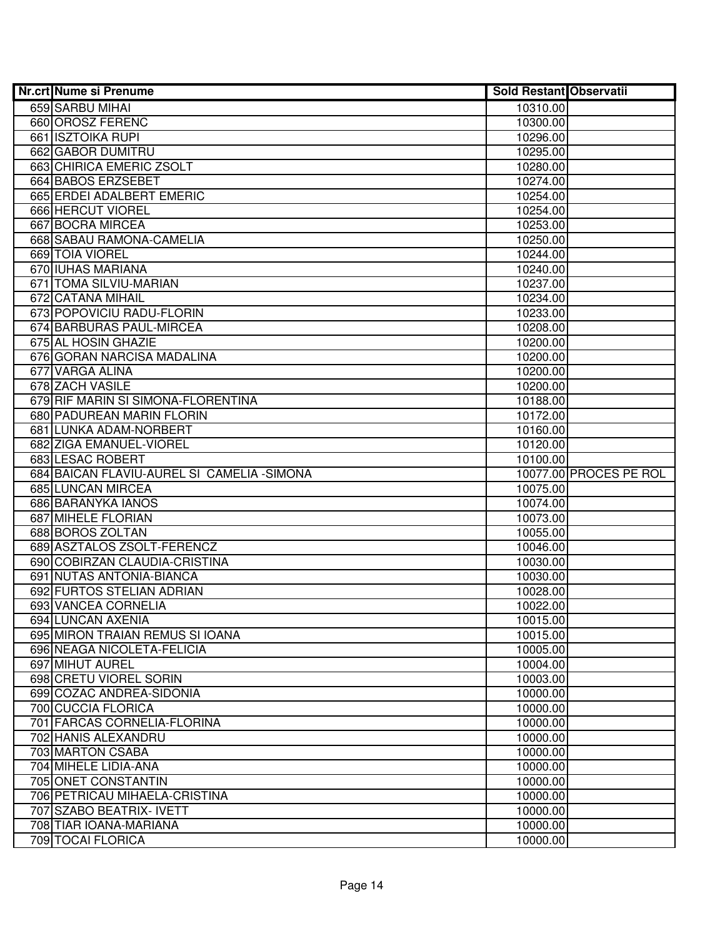| Nr.crt Nume si Prenume                                        | <b>Sold Restant Observatii</b> |                        |
|---------------------------------------------------------------|--------------------------------|------------------------|
| 659 SARBU MIHAI                                               | 10310.00                       |                        |
| 660 OROSZ FERENC                                              | 10300.00                       |                        |
| 661 ISZTOIKA RUPI                                             | 10296.00                       |                        |
| 662 GABOR DUMITRU                                             | 10295.00                       |                        |
| 663 CHIRICA EMERIC ZSOLT                                      | 10280.00                       |                        |
| 664 BABOS ERZSEBET                                            | 10274.00                       |                        |
| 665 ERDEI ADALBERT EMERIC                                     | 10254.00                       |                        |
| 666 HERCUT VIOREL                                             | 10254.00                       |                        |
| 667 BOCRA MIRCEA                                              | 10253.00                       |                        |
| 668 SABAU RAMONA-CAMELIA                                      | 10250.00                       |                        |
| 669 TOIA VIOREL                                               | 10244.00                       |                        |
| 670 IUHAS MARIANA                                             | 10240.00                       |                        |
| 671 TOMA SILVIU-MARIAN                                        | 10237.00                       |                        |
| 672 CATANA MIHAIL                                             | 10234.00                       |                        |
| 673 POPOVICIU RADU-FLORIN                                     | 10233.00                       |                        |
| 674 BARBURAS PAUL-MIRCEA                                      | 10208.00                       |                        |
| 675 AL HOSIN GHAZIE                                           | 10200.00                       |                        |
| 676 GORAN NARCISA MADALINA                                    | 10200.00                       |                        |
| 677 VARGA ALINA                                               | 10200.00                       |                        |
| 678 ZACH VASILE                                               | 10200.00                       |                        |
| 679 RIF MARIN SI SIMONA-FLORENTINA                            | 10188.00                       |                        |
| 680 PADUREAN MARIN FLORIN                                     | 10172.00                       |                        |
| 681 LUNKA ADAM-NORBERT                                        | 10160.00                       |                        |
| 682 ZIGA EMANUEL-VIOREL                                       | 10120.00                       |                        |
| 683 LESAC ROBERT                                              | 10100.00                       |                        |
| 684 BAICAN FLAVIU-AUREL SI CAMELIA - SIMONA                   |                                | 10077.00 PROCES PE ROL |
| 685 LUNCAN MIRCEA                                             | 10075.00                       |                        |
| 686 BARANYKA IANOS                                            | 10074.00                       |                        |
| 687 MIHELE FLORIAN                                            | 10073.00                       |                        |
| 688 BOROS ZOLTAN                                              | 10055.00                       |                        |
| 689 ASZTALOS ZSOLT-FERENCZ                                    | 10046.00                       |                        |
| 690 COBIRZAN CLAUDIA-CRISTINA                                 | 10030.00                       |                        |
| 691 NUTAS ANTONIA-BIANCA                                      | 10030.00                       |                        |
| 692 FURTOS STELIAN ADRIAN                                     | 10028.00                       |                        |
| 693 VANCEA CORNELIA                                           | 10022.00                       |                        |
| <b>694 LUNCAN AXENIA</b>                                      | 10015.00                       |                        |
| 695 MIRON TRAIAN REMUS SI IOANA<br>696 NEAGA NICOLETA-FELICIA | 10015.00<br>10005.00           |                        |
| 697 MIHUT AUREL                                               | 10004.00                       |                        |
| 698 CRETU VIOREL SORIN                                        | 10003.00                       |                        |
| 699 COZAC ANDREA-SIDONIA                                      | 10000.00                       |                        |
| 700 CUCCIA FLORICA                                            | 10000.00                       |                        |
| 701 FARCAS CORNELIA-FLORINA                                   | 10000.00                       |                        |
| 702 HANIS ALEXANDRU                                           | 10000.00                       |                        |
| 703 MARTON CSABA                                              | 10000.00                       |                        |
| 704 MIHELE LIDIA-ANA                                          | 10000.00                       |                        |
| 705 ONET CONSTANTIN                                           | 10000.00                       |                        |
| 706 PETRICAU MIHAELA-CRISTINA                                 | 10000.00                       |                        |
| 707 SZABO BEATRIX- IVETT                                      | 10000.00                       |                        |
| 708 TIAR IOANA-MARIANA                                        | 10000.00                       |                        |
| 709 TOCAI FLORICA                                             | 10000.00                       |                        |
|                                                               |                                |                        |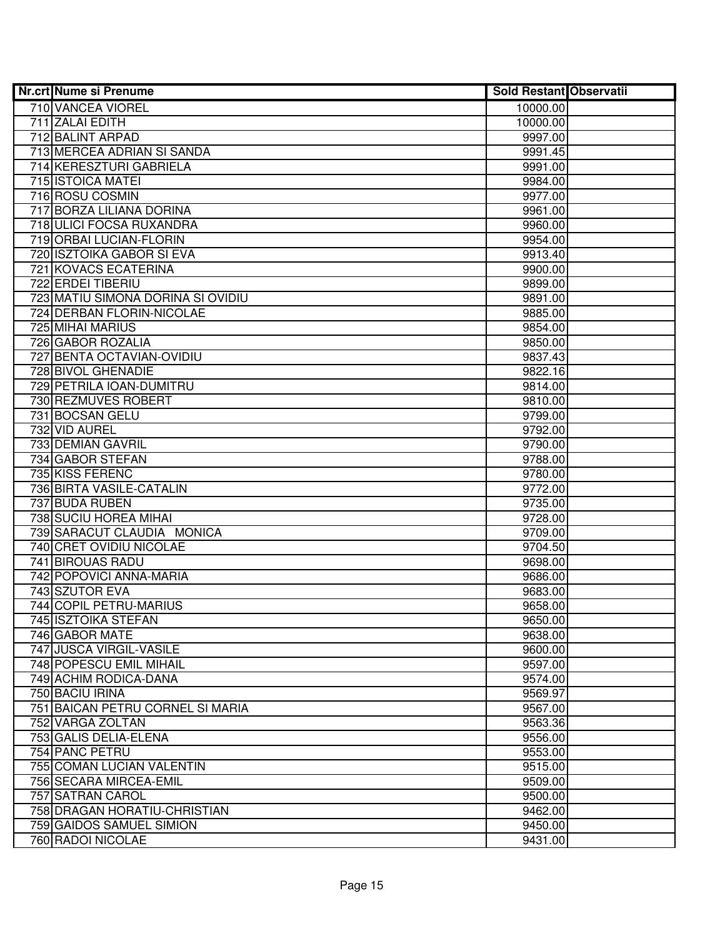| Nr.crt Nume si Prenume            | <b>Sold Restant Observatii</b> |  |
|-----------------------------------|--------------------------------|--|
| 710 VANCEA VIOREL                 | 10000.00                       |  |
| 711 ZALAI EDITH                   | 10000.00                       |  |
| 712 BALINT ARPAD                  | 9997.00                        |  |
| 713 MERCEA ADRIAN SI SANDA        | 9991.45                        |  |
| 714 KERESZTURI GABRIELA           | 9991.00                        |  |
| <b>715 ISTOICA MATEI</b>          | 9984.00                        |  |
| 716 ROSU COSMIN                   | 9977.00                        |  |
| 717 BORZA LILIANA DORINA          | 9961.00                        |  |
| 718 ULICI FOCSA RUXANDRA          | 9960.00                        |  |
| 719 ORBAI LUCIAN-FLORIN           | 9954.00                        |  |
| 720 ISZTOIKA GABOR SI EVA         | 9913.40                        |  |
| 721 KOVACS ECATERINA              | 9900.00                        |  |
| 722 ERDEI TIBERIU                 | 9899.00                        |  |
| 723 MATIU SIMONA DORINA SI OVIDIU | 9891.00                        |  |
| 724 DERBAN FLORIN-NICOLAE         | 9885.00                        |  |
| 725 MIHAI MARIUS                  | 9854.00                        |  |
| 726 GABOR ROZALIA                 | 9850.00                        |  |
| 727 BENTA OCTAVIAN-OVIDIU         | 9837.43                        |  |
| 728 BIVOL GHENADIE                | 9822.16                        |  |
| 729 PETRILA IOAN-DUMITRU          | 9814.00                        |  |
| 730 REZMUVES ROBERT               | 9810.00                        |  |
| 731 BOCSAN GELU                   | 9799.00                        |  |
| 732 VID AUREL                     | 9792.00                        |  |
| 733 DEMIAN GAVRIL                 | 9790.00                        |  |
| 734 GABOR STEFAN                  | 9788.00                        |  |
| 735 KISS FERENC                   | 9780.00                        |  |
| 736 BIRTA VASILE-CATALIN          | 9772.00                        |  |
| 737 BUDA RUBEN                    | 9735.00                        |  |
| 738 SUCIU HOREA MIHAI             | 9728.00                        |  |
| 739 SARACUT CLAUDIA MONICA        | 9709.00                        |  |
| 740 CRET OVIDIU NICOLAE           | 9704.50                        |  |
| 741 BIROUAS RADU                  | 9698.00                        |  |
| 742 POPOVICI ANNA-MARIA           | 9686.00                        |  |
| 743 SZUTOR EVA                    | 9683.00                        |  |
| 744 COPIL PETRU-MARIUS            | 9658.00                        |  |
| 745 ISZTOIKA STEFAN               | 9650.00                        |  |
| 746 GABOR MATE                    | 9638.00                        |  |
| 747 JUSCA VIRGIL-VASILE           | 9600.00                        |  |
| 748 POPESCU EMIL MIHAIL           | 9597.00                        |  |
| 749 ACHIM RODICA-DANA             | 9574.00                        |  |
| 750 BACIU IRINA                   | 9569.97                        |  |
| 751 BAICAN PETRU CORNEL SI MARIA  | 9567.00                        |  |
| 752 VARGA ZOLTAN                  | 9563.36                        |  |
| 753 GALIS DELIA-ELENA             | 9556.00                        |  |
| 754 PANC PETRU                    | 9553.00                        |  |
| 755 COMAN LUCIAN VALENTIN         | 9515.00                        |  |
| 756 SECARA MIRCEA-EMIL            | 9509.00                        |  |
| 757 SATRAN CAROL                  | 9500.00                        |  |
| 758 DRAGAN HORATIU-CHRISTIAN      | 9462.00                        |  |
| 759 GAIDOS SAMUEL SIMION          | 9450.00                        |  |
| 760 RADOI NICOLAE                 | 9431.00                        |  |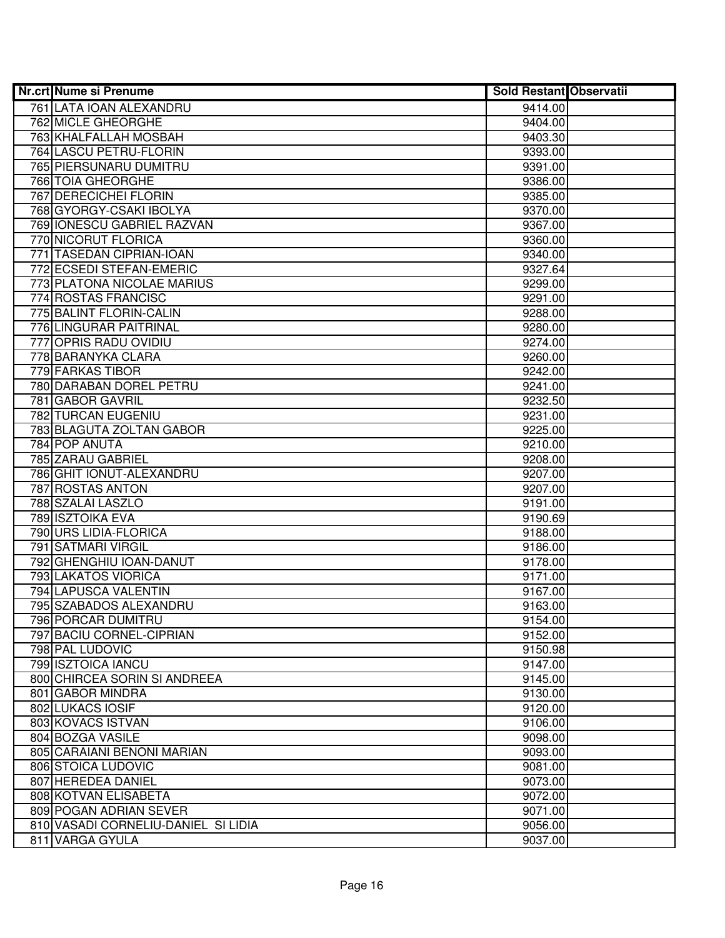| <b>Nr.crt Nume si Prenume</b>       | Sold Restant Observatii |  |
|-------------------------------------|-------------------------|--|
| 761 LATA IOAN ALEXANDRU             | 9414.00                 |  |
| <b>762 MICLE GHEORGHE</b>           | 9404.00                 |  |
| 763 KHALFALLAH MOSBAH               | 9403.30                 |  |
| 764 LASCU PETRU-FLORIN              | 9393.00                 |  |
| 765 PIERSUNARU DUMITRU              | 9391.00                 |  |
| <b>766 TOIA GHEORGHE</b>            | 9386.00                 |  |
| 767 DERECICHEI FLORIN               | 9385.00                 |  |
| 768 GYORGY-CSAKI IBOLYA             | 9370.00                 |  |
| 769 IONESCU GABRIEL RAZVAN          | 9367.00                 |  |
| 770 NICORUT FLORICA                 | 9360.00                 |  |
| 771 TASEDAN CIPRIAN-IOAN            | 9340.00                 |  |
| 772 ECSEDI STEFAN-EMERIC            | 9327.64                 |  |
| 773 PLATONA NICOLAE MARIUS          | 9299.00                 |  |
| 774 ROSTAS FRANCISC                 | 9291.00                 |  |
| 775 BALINT FLORIN-CALIN             | 9288.00                 |  |
| 776 LINGURAR PAITRINAL              | 9280.00                 |  |
| 777 OPRIS RADU OVIDIU               | 9274.00                 |  |
| 778 BARANYKA CLARA                  | 9260.00                 |  |
| 779 FARKAS TIBOR                    | 9242.00                 |  |
| 780 DARABAN DOREL PETRU             | 9241.00                 |  |
| 781 GABOR GAVRIL                    | 9232.50                 |  |
| 782 TURCAN EUGENIU                  | 9231.00                 |  |
| 783 BLAGUTA ZOLTAN GABOR            | 9225.00                 |  |
| 784 POP ANUTA                       | 9210.00                 |  |
| 785 ZARAU GABRIEL                   | 9208.00                 |  |
| 786 GHIT IONUT-ALEXANDRU            | 9207.00                 |  |
| 787 ROSTAS ANTON                    | 9207.00                 |  |
| 788 SZALAI LASZLO                   | 9191.00                 |  |
| 789 ISZTOIKA EVA                    | 9190.69                 |  |
| 790 URS LIDIA-FLORICA               | 9188.00                 |  |
| 791 SATMARI VIRGIL                  | 9186.00                 |  |
| 792 GHENGHIU IOAN-DANUT             | 9178.00                 |  |
| 793 LAKATOS VIORICA                 | 9171.00                 |  |
| 794 LAPUSCA VALENTIN                | 9167.00                 |  |
| 795 SZABADOS ALEXANDRU              | 9163.00                 |  |
| 796 PORCAR DUMITRU                  | 9154.00                 |  |
| 797 BACIU CORNEL-CIPRIAN            | 9152.00                 |  |
| 798 PAL LUDOVIC                     | 9150.98                 |  |
| 799 ISZTOICA IANCU                  | 9147.00                 |  |
| 800 CHIRCEA SORIN SI ANDREEA        | 9145.00                 |  |
| 801 GABOR MINDRA                    | 9130.00                 |  |
| 802 LUKACS IOSIF                    | 9120.00                 |  |
| 803 KOVACS ISTVAN                   | 9106.00                 |  |
| 804 BOZGA VASILE                    | 9098.00                 |  |
| 805 CARAIANI BENONI MARIAN          | 9093.00                 |  |
| 806 STOICA LUDOVIC                  | 9081.00                 |  |
| 807 HEREDEA DANIEL                  | 9073.00                 |  |
| 808 KOTVAN ELISABETA                | 9072.00                 |  |
| 809 POGAN ADRIAN SEVER              | 9071.00                 |  |
| 810 VASADI CORNELIU-DANIEL SI LIDIA | 9056.00                 |  |
| 811 VARGA GYULA                     | 9037.00                 |  |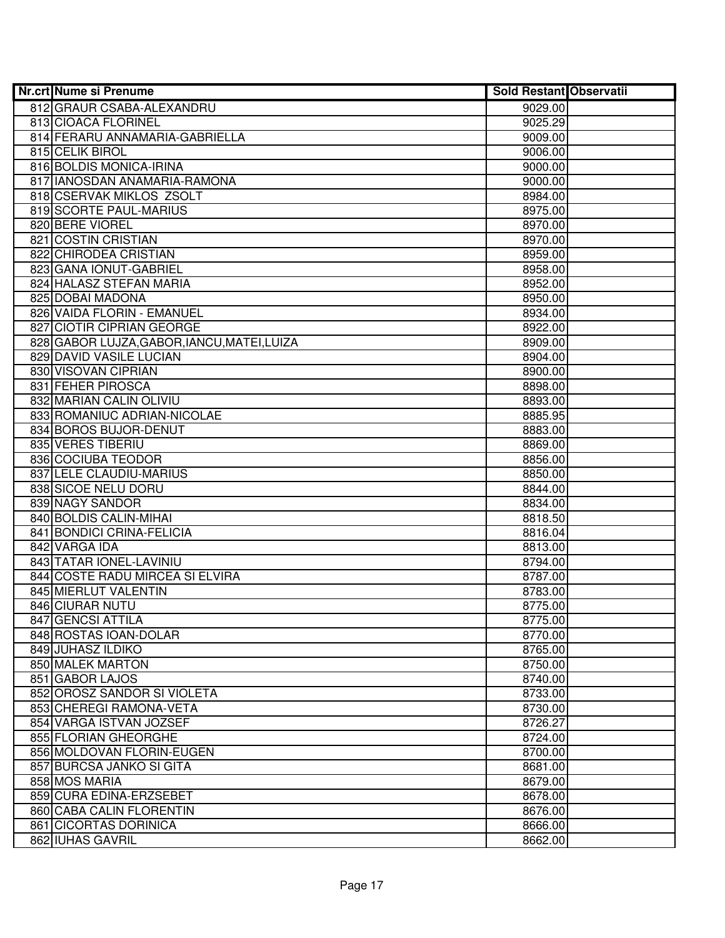| Nr.crt Nume si Prenume                      | <b>Sold Restant Observatii</b> |  |
|---------------------------------------------|--------------------------------|--|
| 812 GRAUR CSABA-ALEXANDRU                   | 9029.00                        |  |
| 813 CIOACA FLORINEL                         | 9025.29                        |  |
| 814 FERARU ANNAMARIA-GABRIELLA              | 9009.00                        |  |
| 815 CELIK BIROL                             | 9006.00                        |  |
| 816 BOLDIS MONICA-IRINA                     | 9000.00                        |  |
| 817 IANOSDAN ANAMARIA-RAMONA                | 9000.00                        |  |
| 818 CSERVAK MIKLOS ZSOLT                    | 8984.00                        |  |
| 819 SCORTE PAUL-MARIUS                      | 8975.00                        |  |
| 820 BERE VIOREL                             | 8970.00                        |  |
| 821 COSTIN CRISTIAN                         | 8970.00                        |  |
| 822 CHIRODEA CRISTIAN                       | 8959.00                        |  |
| 823 GANA IONUT-GABRIEL                      | 8958.00                        |  |
| 824 HALASZ STEFAN MARIA                     | 8952.00                        |  |
| 825 DOBAI MADONA                            | 8950.00                        |  |
| 826 VAIDA FLORIN - EMANUEL                  | 8934.00                        |  |
| 827 CIOTIR CIPRIAN GEORGE                   | 8922.00                        |  |
| 828 GABOR LUJZA, GABOR, IANCU, MATEI, LUIZA | 8909.00                        |  |
| 829 DAVID VASILE LUCIAN                     | 8904.00                        |  |
| 830 VISOVAN CIPRIAN                         | 8900.00                        |  |
| 831 FEHER PIROSCA                           | 8898.00                        |  |
| 832 MARIAN CALIN OLIVIU                     | 8893.00                        |  |
| 833 ROMANIUC ADRIAN-NICOLAE                 | 8885.95                        |  |
| 834 BOROS BUJOR-DENUT                       | 8883.00                        |  |
| 835 VERES TIBERIU                           | 8869.00                        |  |
| 836 COCIUBA TEODOR                          | 8856.00                        |  |
| 837 LELE CLAUDIU-MARIUS                     | 8850.00                        |  |
| 838 SICOE NELU DORU                         | 8844.00                        |  |
| 839 NAGY SANDOR                             | 8834.00                        |  |
| 840 BOLDIS CALIN-MIHAI                      | 8818.50                        |  |
| 841 BONDICI CRINA-FELICIA                   | 8816.04                        |  |
| 842 VARGA IDA                               | 8813.00                        |  |
| 843 TATAR IONEL-LAVINIU                     | 8794.00                        |  |
| 844 COSTE RADU MIRCEA SI ELVIRA             | 8787.00                        |  |
| 845 MIERLUT VALENTIN                        | 8783.00                        |  |
| 846 CIURAR NUTU                             | 8775.00                        |  |
| 847 GENCSI ATTILA                           | 8775.00                        |  |
| 848 ROSTAS IOAN-DOLAR                       | 8770.00                        |  |
| 849 JUHASZ ILDIKO                           | 8765.00                        |  |
| <b>850 MALEK MARTON</b>                     | 8750.00                        |  |
| 851 GABOR LAJOS                             | 8740.00                        |  |
| 852 OROSZ SANDOR SI VIOLETA                 | 8733.00                        |  |
| 853 CHEREGI RAMONA-VETA                     | 8730.00                        |  |
| 854 VARGA ISTVAN JOZSEF                     | 8726.27                        |  |
| 855 FLORIAN GHEORGHE                        | 8724.00                        |  |
| 856 MOLDOVAN FLORIN-EUGEN                   | 8700.00                        |  |
| 857 BURCSA JANKO SI GITA                    | 8681.00                        |  |
| 858 MOS MARIA                               | 8679.00                        |  |
| 859 CURA EDINA-ERZSEBET                     | 8678.00                        |  |
| 860 CABA CALIN FLORENTIN                    | 8676.00                        |  |
| 861 CICORTAS DORINICA                       | 8666.00                        |  |
| 862 IUHAS GAVRIL                            | 8662.00                        |  |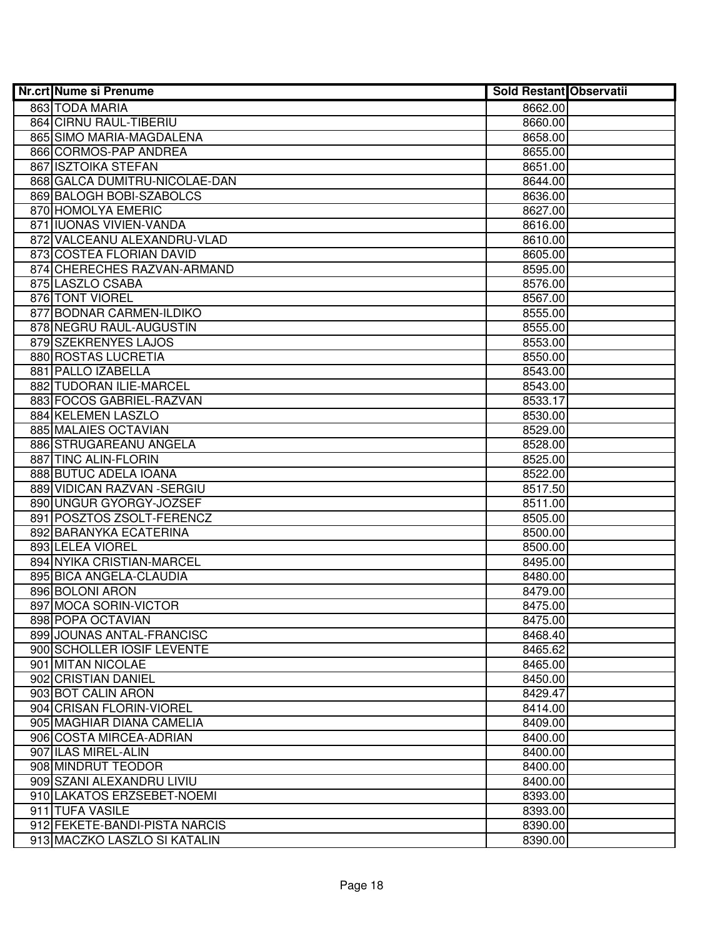| <b>Nr.crt Nume si Prenume</b> | <b>Sold Restant Observatii</b> |  |
|-------------------------------|--------------------------------|--|
| 863 TODA MARIA                | 8662.00                        |  |
| 864 CIRNU RAUL-TIBERIU        | 8660.00                        |  |
| 865 SIMO MARIA-MAGDALENA      | 8658.00                        |  |
| 866 CORMOS-PAP ANDREA         | 8655.00                        |  |
| 867 ISZTOIKA STEFAN           | 8651.00                        |  |
| 868 GALCA DUMITRU-NICOLAE-DAN | 8644.00                        |  |
| 869 BALOGH BOBI-SZABOLCS      | 8636.00                        |  |
| 870 HOMOLYA EMERIC            | 8627.00                        |  |
| 871 IUONAS VIVIEN-VANDA       | 8616.00                        |  |
| 872 VALCEANU ALEXANDRU-VLAD   | 8610.00                        |  |
| 873 COSTEA FLORIAN DAVID      | 8605.00                        |  |
| 874 CHERECHES RAZVAN-ARMAND   | 8595.00                        |  |
| 875 LASZLO CSABA              | 8576.00                        |  |
| 876 TONT VIOREL               | 8567.00                        |  |
| 877 BODNAR CARMEN-ILDIKO      | 8555.00                        |  |
| 878 NEGRU RAUL-AUGUSTIN       | 8555.00                        |  |
| 879 SZEKRENYES LAJOS          | 8553.00                        |  |
| 880 ROSTAS LUCRETIA           | 8550.00                        |  |
| 881 PALLO IZABELLA            | 8543.00                        |  |
| 882 TUDORAN ILIE-MARCEL       | 8543.00                        |  |
| 883 FOCOS GABRIEL-RAZVAN      | 8533.17                        |  |
| 884 KELEMEN LASZLO            | 8530.00                        |  |
| 885 MALAIES OCTAVIAN          | 8529.00                        |  |
| 886 STRUGAREANU ANGELA        | 8528.00                        |  |
| 887 TINC ALIN-FLORIN          | 8525.00                        |  |
| 888 BUTUC ADELA IOANA         | 8522.00                        |  |
| 889 VIDICAN RAZVAN - SERGIU   | 8517.50                        |  |
| 890 UNGUR GYORGY-JOZSEF       | 8511.00                        |  |
| 891 POSZTOS ZSOLT-FERENCZ     | 8505.00                        |  |
| 892 BARANYKA ECATERINA        | 8500.00                        |  |
| 893 LELEA VIOREL              | 8500.00                        |  |
| 894 NYIKA CRISTIAN-MARCEL     | 8495.00                        |  |
| 895 BICA ANGELA-CLAUDIA       | 8480.00                        |  |
| 896 BOLONI ARON               | 8479.00                        |  |
| 897 MOCA SORIN-VICTOR         | 8475.00                        |  |
| 898 POPA OCTAVIAN             | 8475.00                        |  |
| 899 JOUNAS ANTAL-FRANCISC     | 8468.40                        |  |
| 900 SCHOLLER IOSIF LEVENTE    | 8465.62                        |  |
| 901 MITAN NICOLAE             | 8465.00                        |  |
| 902 CRISTIAN DANIEL           | 8450.00                        |  |
| 903 BOT CALIN ARON            | 8429.47                        |  |
| 904 CRISAN FLORIN-VIOREL      | 8414.00                        |  |
| 905 MAGHIAR DIANA CAMELIA     | 8409.00                        |  |
| 906 COSTA MIRCEA-ADRIAN       | 8400.00                        |  |
| 907 ILAS MIREL-ALIN           | 8400.00                        |  |
| 908 MINDRUT TEODOR            | 8400.00                        |  |
| 909 SZANI ALEXANDRU LIVIU     | 8400.00                        |  |
| 910 LAKATOS ERZSEBET-NOEMI    | 8393.00                        |  |
| 911 TUFA VASILE               | 8393.00                        |  |
| 912 FEKETE-BANDI-PISTA NARCIS | 8390.00                        |  |
| 913 MACZKO LASZLO SI KATALIN  | 8390.00                        |  |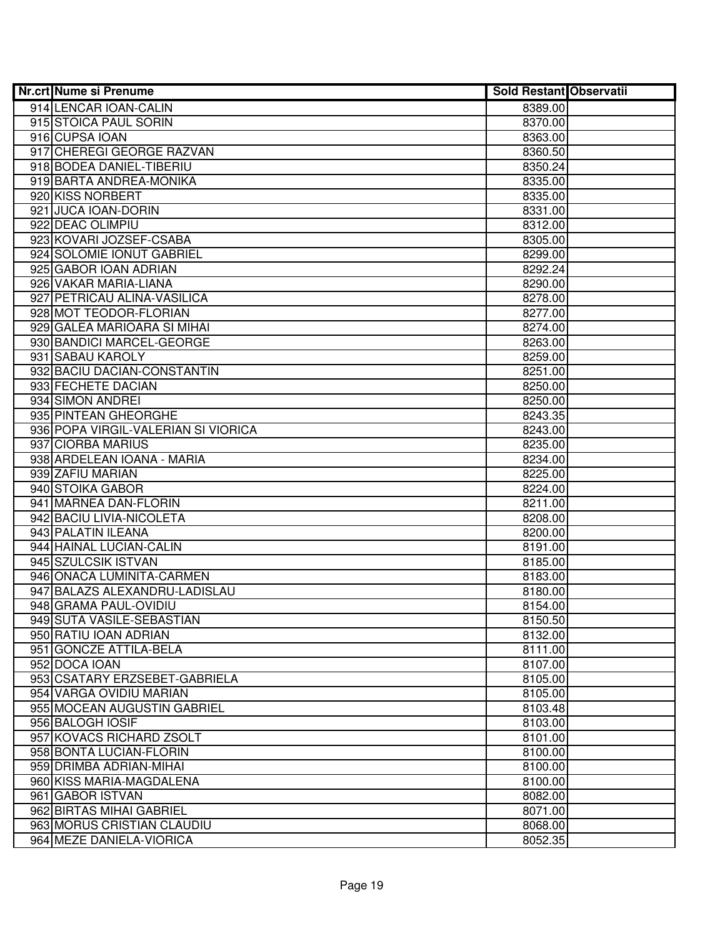| <b>Nr.crt Nume si Prenume</b>       | <b>Sold Restant Observatii</b> |  |
|-------------------------------------|--------------------------------|--|
| 914 LENCAR IOAN-CALIN               | 8389.00                        |  |
| 915 STOICA PAUL SORIN               | 8370.00                        |  |
| 916 CUPSA IOAN                      | 8363.00                        |  |
| 917 CHEREGI GEORGE RAZVAN           | 8360.50                        |  |
| 918 BODEA DANIEL-TIBERIU            | 8350.24                        |  |
| 919 BARTA ANDREA-MONIKA             | 8335.00                        |  |
| 920 KISS NORBERT                    | 8335.00                        |  |
| 921 JUCA IOAN-DORIN                 | 8331.00                        |  |
| 922 DEAC OLIMPIU                    | 8312.00                        |  |
| 923 KOVARI JOZSEF-CSABA             | 8305.00                        |  |
| 924 SOLOMIE IONUT GABRIEL           | 8299.00                        |  |
| 925 GABOR IOAN ADRIAN               | 8292.24                        |  |
| 926 VAKAR MARIA-LIANA               | 8290.00                        |  |
| 927 PETRICAU ALINA-VASILICA         | 8278.00                        |  |
| 928 MOT TEODOR-FLORIAN              | 8277.00                        |  |
| 929 GALEA MARIOARA SI MIHAI         | 8274.00                        |  |
| 930 BANDICI MARCEL-GEORGE           | 8263.00                        |  |
| 931 SABAU KAROLY                    | 8259.00                        |  |
| 932 BACIU DACIAN-CONSTANTIN         | 8251.00                        |  |
| 933 FECHETE DACIAN                  | 8250.00                        |  |
| 934 SIMON ANDREI                    | 8250.00                        |  |
| 935 PINTEAN GHEORGHE                | 8243.35                        |  |
| 936 POPA VIRGIL-VALERIAN SI VIORICA | 8243.00                        |  |
| 937 CIORBA MARIUS                   | 8235.00                        |  |
| 938 ARDELEAN IOANA - MARIA          | 8234.00                        |  |
| 939 ZAFIU MARIAN                    | 8225.00                        |  |
| 940 STOIKA GABOR                    | 8224.00                        |  |
| 941 MARNEA DAN-FLORIN               | 8211.00                        |  |
| 942 BACIU LIVIA-NICOLETA            | 8208.00                        |  |
| 943 PALATIN ILEANA                  | 8200.00                        |  |
| 944 HAINAL LUCIAN-CALIN             | 8191.00                        |  |
| 945 SZULCSIK ISTVAN                 | 8185.00                        |  |
| 946 ONACA LUMINITA-CARMEN           | 8183.00                        |  |
| 947 BALAZS ALEXANDRU-LADISLAU       | 8180.00                        |  |
| 948 GRAMA PAUL-OVIDIU               | 8154.00                        |  |
| 949 SUTA VASILE-SEBASTIAN           | 8150.50                        |  |
| 950 RATIU IOAN ADRIAN               | 8132.00                        |  |
| 951 GONCZE ATTILA-BELA              | 8111.00                        |  |
| 952 DOCA IOAN                       | 8107.00                        |  |
| 953 CSATARY ERZSEBET-GABRIELA       | 8105.00                        |  |
| 954 VARGA OVIDIU MARIAN             | 8105.00                        |  |
| 955 MOCEAN AUGUSTIN GABRIEL         | 8103.48                        |  |
| 956 BALOGH IOSIF                    | 8103.00                        |  |
| 957 KOVACS RICHARD ZSOLT            | 8101.00                        |  |
| 958 BONTA LUCIAN-FLORIN             | 8100.00                        |  |
| 959 DRIMBA ADRIAN-MIHAI             | 8100.00                        |  |
| 960 KISS MARIA-MAGDALENA            | 8100.00                        |  |
| 961 GABOR ISTVAN                    | 8082.00                        |  |
| 962 BIRTAS MIHAI GABRIEL            | 8071.00                        |  |
| 963 MORUS CRISTIAN CLAUDIU          | 8068.00                        |  |
| 964 MEZE DANIELA-VIORICA            | 8052.35                        |  |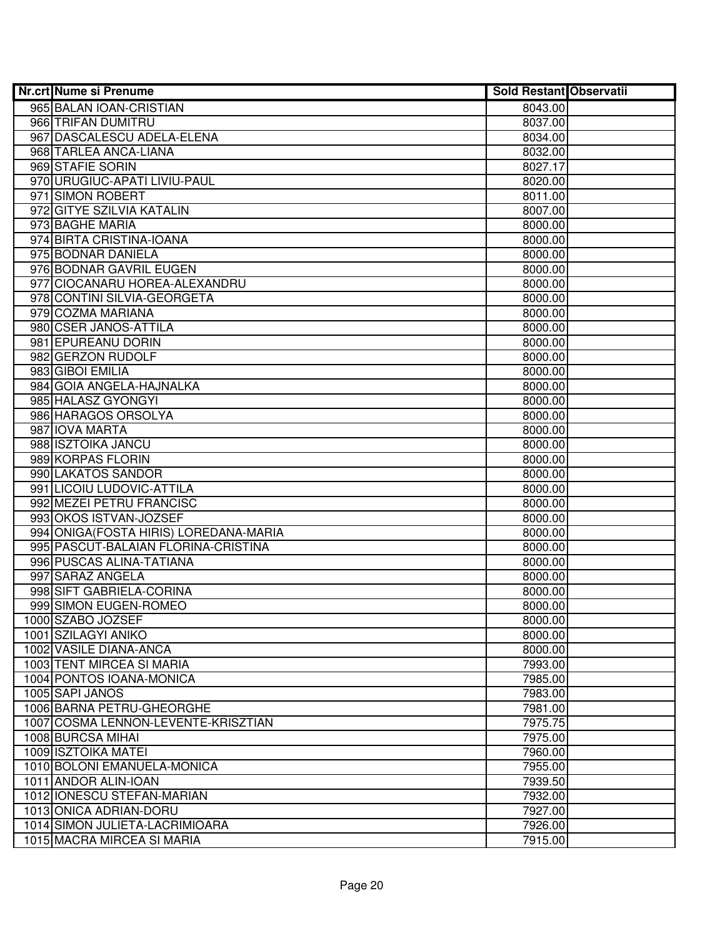| Nr.crt Nume si Prenume                                           | <b>Sold Restant Observatii</b> |  |
|------------------------------------------------------------------|--------------------------------|--|
| 965 BALAN IOAN-CRISTIAN                                          | 8043.00                        |  |
| 966 TRIFAN DUMITRU                                               | 8037.00                        |  |
| 967 DASCALESCU ADELA-ELENA                                       | 8034.00                        |  |
| 968 TARLEA ANCA-LIANA                                            | 8032.00                        |  |
| 969 STAFIE SORIN                                                 | 8027.17                        |  |
| 970 URUGIUC-APATI LIVIU-PAUL                                     | 8020.00                        |  |
| 971 SIMON ROBERT                                                 | 8011.00                        |  |
| 972 GITYE SZILVIA KATALIN                                        | 8007.00                        |  |
| 973 BAGHE MARIA                                                  | 8000.00                        |  |
| 974 BIRTA CRISTINA-IOANA                                         | 8000.00                        |  |
| 975 BODNAR DANIELA                                               | 8000.00                        |  |
| 976 BODNAR GAVRIL EUGEN                                          | 8000.00                        |  |
| 977 CIOCANARU HOREA-ALEXANDRU                                    | 8000.00                        |  |
| 978 CONTINI SILVIA-GEORGETA                                      | 8000.00                        |  |
| 979 COZMA MARIANA                                                | 8000.00                        |  |
| 980 CSER JANOS-ATTILA                                            | 8000.00                        |  |
| 981 EPUREANU DORIN                                               | 8000.00                        |  |
| 982 GERZON RUDOLF                                                | 8000.00                        |  |
| 983 GIBOI EMILIA                                                 | 8000.00                        |  |
| 984 GOIA ANGELA-HAJNALKA                                         | 8000.00                        |  |
| 985 HALASZ GYONGYI                                               | 8000.00                        |  |
| 986 HARAGOS ORSOLYA                                              | 8000.00                        |  |
| 987 IOVA MARTA                                                   | 8000.00                        |  |
| 988 ISZTOIKA JANCU                                               | 8000.00                        |  |
| 989 KORPAS FLORIN                                                | 8000.00                        |  |
| 990 LAKATOS SANDOR                                               | 8000.00                        |  |
| 991 LICOIU LUDOVIC-ATTILA                                        | 8000.00                        |  |
| 992 MEZEI PETRU FRANCISC                                         | 8000.00                        |  |
| 993 OKOS ISTVAN-JOZSEF                                           | 8000.00                        |  |
| 994 ONIGA (FOSTA HIRIS) LOREDANA-MARIA                           | 8000.00                        |  |
| 995 PASCUT-BALAIAN FLORINA-CRISTINA                              | 8000.00                        |  |
| 996 PUSCAS ALINA-TATIANA                                         | 8000.00                        |  |
| 997 SARAZ ANGELA                                                 | 8000.00                        |  |
| 998 SIFT GABRIELA-CORINA                                         | 8000.00                        |  |
| 999 SIMON EUGEN-ROMEO                                            | 8000.00                        |  |
| 1000 SZABO JOZSEF                                                | 8000.00                        |  |
| 1001 SZILAGYI ANIKO                                              | 8000.00                        |  |
| 1002 VASILE DIANA-ANCA                                           | 8000.00                        |  |
| <b>1003 TENT MIRCEA SI MARIA</b>                                 | 7993.00                        |  |
| 1004 PONTOS IOANA-MONICA                                         | 7985.00                        |  |
| 1005 SAPI JANOS                                                  | 7983.00                        |  |
| 1006 BARNA PETRU-GHEORGHE<br>1007 COSMA LENNON-LEVENTE-KRISZTIAN | 7981.00                        |  |
|                                                                  | 7975.75                        |  |
| 1008 BURCSA MIHAI<br>1009 ISZTOIKA MATEI                         | 7975.00                        |  |
| 1010 BOLONI EMANUELA-MONICA                                      | 7960.00                        |  |
| 1011 ANDOR ALIN-IOAN                                             | 7955.00<br>7939.50             |  |
| 1012 IONESCU STEFAN-MARIAN                                       | 7932.00                        |  |
| 1013 ONICA ADRIAN-DORU                                           | 7927.00                        |  |
| 1014 SIMON JULIETA-LACRIMIOARA                                   | 7926.00                        |  |
| 1015 MACRA MIRCEA SI MARIA                                       | 7915.00                        |  |
|                                                                  |                                |  |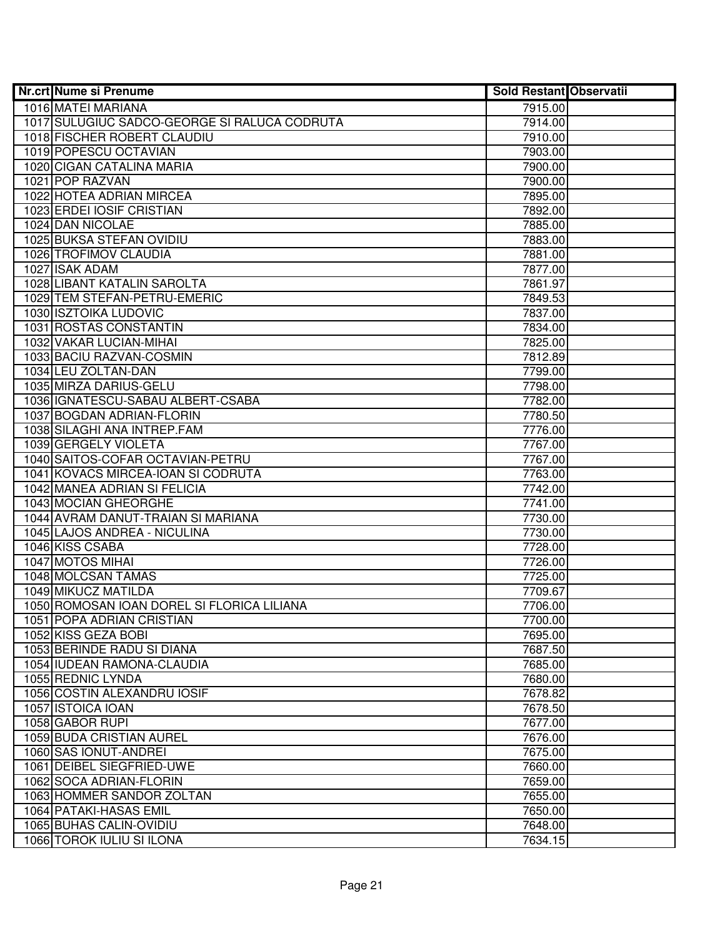| <b>Nr.crt Nume si Prenume</b>                | Sold Restant Observatii |  |
|----------------------------------------------|-------------------------|--|
| 1016 MATEI MARIANA                           | 7915.00                 |  |
| 1017 SULUGIUC SADCO-GEORGE SI RALUCA CODRUTA | 7914.00                 |  |
| 1018 FISCHER ROBERT CLAUDIU                  | 7910.00                 |  |
| 1019 POPESCU OCTAVIAN                        | 7903.00                 |  |
| 1020 CIGAN CATALINA MARIA                    | 7900.00                 |  |
| 1021 POP RAZVAN                              | 7900.00                 |  |
| 1022 HOTEA ADRIAN MIRCEA                     | 7895.00                 |  |
| 1023 ERDEI IOSIF CRISTIAN                    | 7892.00                 |  |
| 1024 DAN NICOLAE                             | 7885.00                 |  |
| <b>1025 BUKSA STEFAN OVIDIU</b>              | 7883.00                 |  |
| 1026 TROFIMOV CLAUDIA                        | 7881.00                 |  |
| 1027 ISAK ADAM                               | 7877.00                 |  |
| 1028 LIBANT KATALIN SAROLTA                  | 7861.97                 |  |
| 1029 TEM STEFAN-PETRU-EMERIC                 | 7849.53                 |  |
| 1030 ISZTOIKA LUDOVIC                        | 7837.00                 |  |
| 1031 ROSTAS CONSTANTIN                       | 7834.00                 |  |
| 1032 VAKAR LUCIAN-MIHAI                      | 7825.00                 |  |
| 1033 BACIU RAZVAN-COSMIN                     | 7812.89                 |  |
| 1034 LEU ZOLTAN-DAN                          | 7799.00                 |  |
| 1035 MIRZA DARIUS-GELU                       | 7798.00                 |  |
| 1036 IGNATESCU-SABAU ALBERT-CSABA            | 7782.00                 |  |
| 1037 BOGDAN ADRIAN-FLORIN                    | 7780.50                 |  |
| 1038 SILAGHI ANA INTREP.FAM                  | 7776.00                 |  |
| 1039 GERGELY VIOLETA                         | 7767.00                 |  |
| 1040 SAITOS-COFAR OCTAVIAN-PETRU             | 7767.00                 |  |
| 1041 KOVACS MIRCEA-IOAN SI CODRUTA           | 7763.00                 |  |
| 1042 MANEA ADRIAN SI FELICIA                 | 7742.00                 |  |
| 1043 MOCIAN GHEORGHE                         | 7741.00                 |  |
| 1044 AVRAM DANUT-TRAIAN SI MARIANA           | 7730.00                 |  |
| 1045 LAJOS ANDREA - NICULINA                 | 7730.00                 |  |
| 1046 KISS CSABA                              | 7728.00                 |  |
| 1047 MOTOS MIHAI                             | 7726.00                 |  |
| 1048 MOLCSAN TAMAS                           | 7725.00                 |  |
| 1049 MIKUCZ MATILDA                          | 7709.67                 |  |
| 1050 ROMOSAN IOAN DOREL SI FLORICA LILIANA   | 7706.00                 |  |
| 1051 POPA ADRIAN CRISTIAN                    | 7700.00                 |  |
| 1052 KISS GEZA BOBI                          | 7695.00                 |  |
| 1053 BERINDE RADU SI DIANA                   | 7687.50                 |  |
| 1054 IUDEAN RAMONA-CLAUDIA                   | 7685.00                 |  |
| 1055 REDNIC LYNDA                            | 7680.00                 |  |
| 1056 COSTIN ALEXANDRU IOSIF                  | 7678.82                 |  |
| 1057 ISTOICA IOAN                            | 7678.50                 |  |
| 1058 GABOR RUPI                              | 7677.00                 |  |
| 1059 BUDA CRISTIAN AUREL                     | 7676.00                 |  |
| 1060 SAS IONUT-ANDREI                        | 7675.00                 |  |
| 1061 DEIBEL SIEGFRIED-UWE                    | 7660.00                 |  |
| 1062 SOCA ADRIAN-FLORIN                      | 7659.00                 |  |
| 1063 HOMMER SANDOR ZOLTAN                    | 7655.00                 |  |
| 1064 PATAKI-HASAS EMIL                       | 7650.00                 |  |
| 1065 BUHAS CALIN-OVIDIU                      | 7648.00                 |  |
| 1066 TOROK IULIU SI ILONA                    | 7634.15                 |  |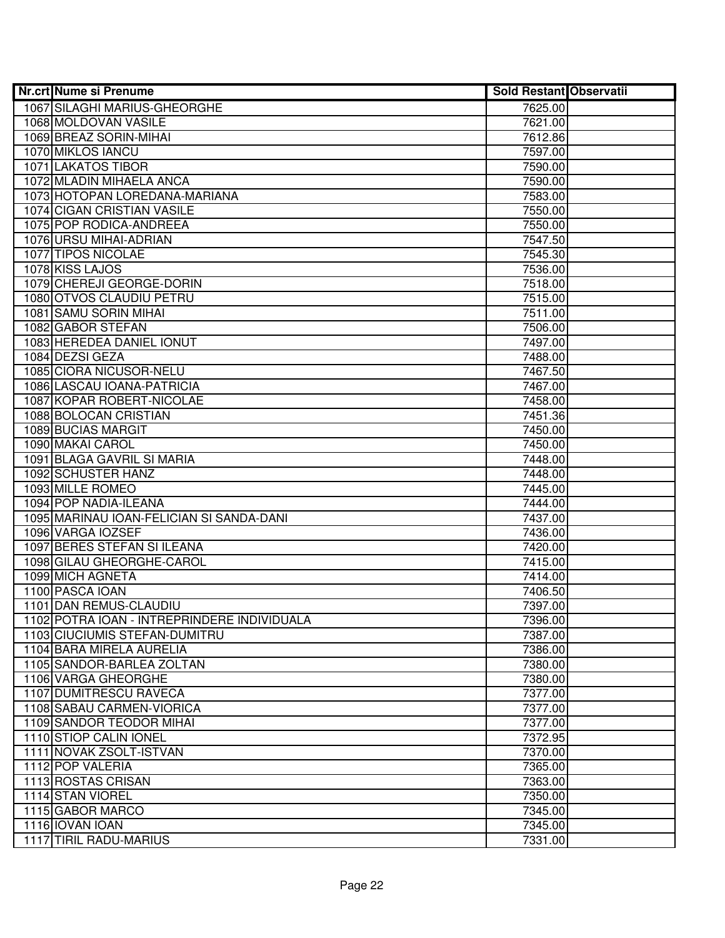| <b>Nr.crt Nume si Prenume</b>               | <b>Sold Restant Observatii</b> |  |
|---------------------------------------------|--------------------------------|--|
| 1067 SILAGHI MARIUS-GHEORGHE                | 7625.00                        |  |
| 1068 MOLDOVAN VASILE                        | 7621.00                        |  |
| 1069 BREAZ SORIN-MIHAI                      | 7612.86                        |  |
| 1070 MIKLOS IANCU                           | 7597.00                        |  |
| 1071 LAKATOS TIBOR                          | 7590.00                        |  |
| 1072 MLADIN MIHAELA ANCA                    | 7590.00                        |  |
| 1073 HOTOPAN LOREDANA-MARIANA               | 7583.00                        |  |
| 1074 CIGAN CRISTIAN VASILE                  | 7550.00                        |  |
| 1075 POP RODICA-ANDREEA                     | 7550.00                        |  |
| 1076 URSU MIHAI-ADRIAN                      | 7547.50                        |  |
| 1077 TIPOS NICOLAE                          | 7545.30                        |  |
| 1078 KISS LAJOS                             | 7536.00                        |  |
| 1079 CHEREJI GEORGE-DORIN                   | 7518.00                        |  |
| 1080 OTVOS CLAUDIU PETRU                    | 7515.00                        |  |
| 1081 SAMU SORIN MIHAI                       | 7511.00                        |  |
| 1082 GABOR STEFAN                           | 7506.00                        |  |
| 1083 HEREDEA DANIEL IONUT                   | 7497.00                        |  |
| 1084 DEZSI GEZA                             | 7488.00                        |  |
| 1085 CIORA NICUSOR-NELU                     | 7467.50                        |  |
| 1086 LASCAU IOANA-PATRICIA                  | 7467.00                        |  |
| 1087 KOPAR ROBERT-NICOLAE                   | 7458.00                        |  |
| 1088 BOLOCAN CRISTIAN                       | 7451.36                        |  |
| 1089 BUCIAS MARGIT                          | 7450.00                        |  |
| 1090 MAKAI CAROL                            | 7450.00                        |  |
| 1091 BLAGA GAVRIL SI MARIA                  | 7448.00                        |  |
| 1092 SCHUSTER HANZ                          | 7448.00                        |  |
| 1093 MILLE ROMEO                            | 7445.00                        |  |
| 1094 POP NADIA-ILEANA                       | 7444.00                        |  |
| 1095 MARINAU IOAN-FELICIAN SI SANDA-DANI    | 7437.00                        |  |
| 1096 VARGA IOZSEF                           | 7436.00                        |  |
| 1097 BERES STEFAN SI ILEANA                 | 7420.00                        |  |
| 1098 GILAU GHEORGHE-CAROL                   | 7415.00                        |  |
| 1099 MICH AGNETA                            | 7414.00                        |  |
| 1100 PASCA IOAN                             | 7406.50                        |  |
| 1101 DAN REMUS-CLAUDIU                      | 7397.00                        |  |
| 1102 POTRA IOAN - INTREPRINDERE INDIVIDUALA | 7396.00                        |  |
| 1103 CIUCIUMIS STEFAN-DUMITRU               | 7387.00                        |  |
| 1104 BARA MIRELA AURELIA                    | 7386.00                        |  |
| 1105 SANDOR-BARLEA ZOLTAN                   | 7380.00                        |  |
| 1106 VARGA GHEORGHE                         | 7380.00                        |  |
| 1107 DUMITRESCU RAVECA                      | 7377.00                        |  |
| 1108 SABAU CARMEN-VIORICA                   | 7377.00                        |  |
| 1109 SANDOR TEODOR MIHAI                    | 7377.00                        |  |
| 1110 STIOP CALIN IONEL                      | 7372.95                        |  |
| 1111 NOVAK ZSOLT-ISTVAN                     | 7370.00                        |  |
| 1112 POP VALERIA                            | 7365.00                        |  |
| 1113 ROSTAS CRISAN                          | 7363.00                        |  |
| 1114 STAN VIOREL                            | 7350.00                        |  |
| 1115 GABOR MARCO                            | 7345.00                        |  |
| 1116 IOVAN IOAN                             | 7345.00                        |  |
| 1117 TIRIL RADU-MARIUS                      | 7331.00                        |  |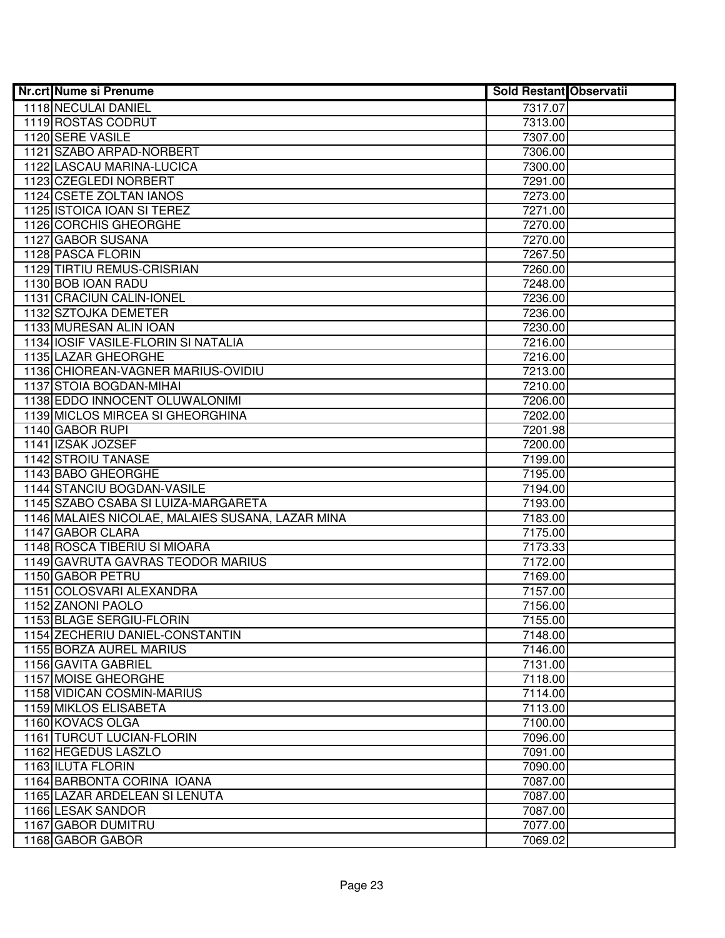| <b>Nr.crt Nume si Prenume</b>                    | <b>Sold Restant Observatii</b> |  |
|--------------------------------------------------|--------------------------------|--|
| 1118 NECULAI DANIEL                              | 7317.07                        |  |
| 1119 ROSTAS CODRUT                               | 7313.00                        |  |
| 1120 SERE VASILE                                 | 7307.00                        |  |
| 1121 SZABO ARPAD-NORBERT                         | 7306.00                        |  |
| 1122 LASCAU MARINA-LUCICA                        | 7300.00                        |  |
| 1123 CZEGLEDI NORBERT                            | 7291.00                        |  |
| 1124 CSETE ZOLTAN IANOS                          | 7273.00                        |  |
| 1125 ISTOICA IOAN SI TEREZ                       | 7271.00                        |  |
| 1126 CORCHIS GHEORGHE                            | 7270.00                        |  |
| 1127 GABOR SUSANA                                | 7270.00                        |  |
| 1128 PASCA FLORIN                                | 7267.50                        |  |
| 1129 TIRTIU REMUS-CRISRIAN                       | 7260.00                        |  |
| 1130 BOB IOAN RADU                               | 7248.00                        |  |
| 1131 CRACIUN CALIN-IONEL                         | 7236.00                        |  |
| 1132 SZTOJKA DEMETER                             | 7236.00                        |  |
| 1133 MURESAN ALIN IOAN                           | 7230.00                        |  |
| 1134 IOSIF VASILE-FLORIN SI NATALIA              | 7216.00                        |  |
| 1135 LAZAR GHEORGHE                              | 7216.00                        |  |
| 1136 CHIOREAN-VAGNER MARIUS-OVIDIU               | 7213.00                        |  |
| 1137 STOIA BOGDAN-MIHAI                          | 7210.00                        |  |
| 1138 EDDO INNOCENT OLUWALONIMI                   | 7206.00                        |  |
| 1139 MICLOS MIRCEA SI GHEORGHINA                 | 7202.00                        |  |
| 1140 GABOR RUPI                                  | 7201.98                        |  |
| 1141 IZSAK JOZSEF                                | 7200.00                        |  |
| 1142 STROIU TANASE                               | 7199.00                        |  |
| 1143 BABO GHEORGHE                               | 7195.00                        |  |
| 1144 STANCIU BOGDAN-VASILE                       | 7194.00                        |  |
| 1145 SZABO CSABA SI LUIZA-MARGARETA              | 7193.00                        |  |
| 1146 MALAIES NICOLAE, MALAIES SUSANA, LAZAR MINA | 7183.00                        |  |
| 1147 GABOR CLARA                                 | 7175.00                        |  |
| 1148 ROSCA TIBERIU SI MIOARA                     | 7173.33                        |  |
| 1149 GAVRUTA GAVRAS TEODOR MARIUS                | 7172.00                        |  |
| 1150 GABOR PETRU<br>1151 COLOSVARI ALEXANDRA     | 7169.00                        |  |
| 1152 ZANONI PAOLO                                | 7157.00                        |  |
| 1153 BLAGE SERGIU-FLORIN                         | 7156.00<br>7155.00             |  |
| 1154 ZECHERIU DANIEL-CONSTANTIN                  | 7148.00                        |  |
| 1155 BORZA AUREL MARIUS                          | 7146.00                        |  |
| 1156 GAVITA GABRIEL                              | 7131.00                        |  |
| 1157 MOISE GHEORGHE                              | 7118.00                        |  |
| 1158 VIDICAN COSMIN-MARIUS                       | 7114.00                        |  |
| 1159 MIKLOS ELISABETA                            | 7113.00                        |  |
| 1160 KOVACS OLGA                                 | 7100.00                        |  |
| 1161 TURCUT LUCIAN-FLORIN                        | 7096.00                        |  |
| 1162 HEGEDUS LASZLO                              | 7091.00                        |  |
| 1163 ILUTA FLORIN                                | 7090.00                        |  |
| 1164 BARBONTA CORINA IOANA                       | 7087.00                        |  |
| 1165 LAZAR ARDELEAN SI LENUTA                    | 7087.00                        |  |
| 1166 LESAK SANDOR                                | 7087.00                        |  |
| 1167 GABOR DUMITRU                               | 7077.00                        |  |
| 1168 GABOR GABOR                                 | 7069.02                        |  |
|                                                  |                                |  |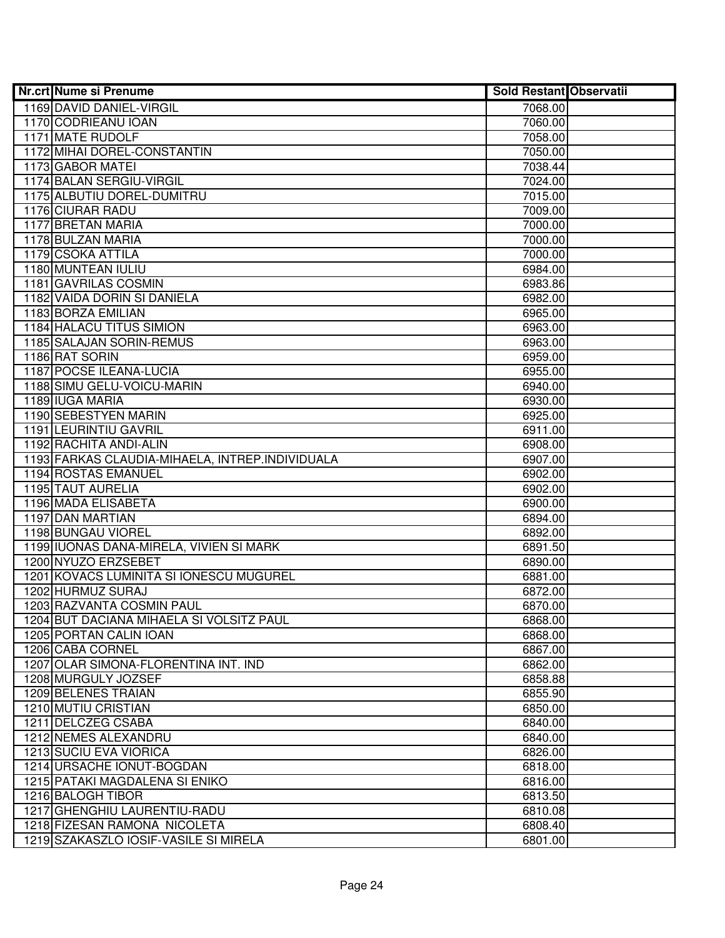| 1169 DAVID DANIEL-VIRGIL<br>7068.00<br>1170 CODRIEANU IOAN<br>7060.00<br>1171 MATE RUDOLF<br>7058.00<br>1172 MIHAI DOREL-CONSTANTIN<br>7050.00<br>1173 GABOR MATEI<br>7038.44<br>1174 BALAN SERGIU-VIRGIL<br>7024.00<br>1175 ALBUTIU DOREL-DUMITRU<br>7015.00<br>1176 CIURAR RADU<br>7009.00<br>1177 BRETAN MARIA<br>7000.00<br>1178 BULZAN MARIA<br>7000.00<br>1179 CSOKA ATTILA<br>7000.00<br>1180 MUNTEAN IULIU<br>6984.00<br>1181 GAVRILAS COSMIN<br>6983.86<br>1182 VAIDA DORIN SI DANIELA<br>6982.00<br>1183 BORZA EMILIAN<br>6965.00<br>1184 HALACU TITUS SIMION<br>6963.00<br>1185 SALAJAN SORIN-REMUS<br>6963.00<br>1186 RAT SORIN<br>6959.00<br>1187 POCSE ILEANA-LUCIA<br>6955.00<br>1188 SIMU GELU-VOICU-MARIN<br>6940.00<br>1189 IUGA MARIA<br>6930.00<br>1190 SEBESTYEN MARIN<br>6925.00<br>1191 LEURINTIU GAVRIL<br>6911.00<br>1192 RACHITA ANDI-ALIN<br>6908.00<br>1193 FARKAS CLAUDIA-MIHAELA, INTREP.INDIVIDUALA<br>6907.00<br>1194 ROSTAS EMANUEL<br>6902.00<br>1195 TAUT AURELIA<br>6902.00<br>1196 MADA ELISABETA<br>6900.00<br>1197 DAN MARTIAN<br>6894.00<br>1198 BUNGAU VIOREL<br>6892.00<br>1199 IUONAS DANA-MIRELA, VIVIEN SI MARK<br>6891.50<br>1200 NYUZO ERZSEBET<br>6890.00<br>1201 KOVACS LUMINITA SI IONESCU MUGUREL<br>6881.00<br>1202 HURMUZ SURAJ<br>6872.00<br>1203 RAZVANTA COSMIN PAUL<br>6870.00<br>1204 BUT DACIANA MIHAELA SI VOLSITZ PAUL<br>6868.00<br>1205 PORTAN CALIN IOAN<br>6868.00<br>1206 CABA CORNEL<br>6867.00<br>1207 OLAR SIMONA-FLORENTINA INT. IND<br>6862.00<br>1208 MURGULY JOZSEF<br>6858.88<br>1209 BELENES TRAIAN<br>6855.90<br>1210 MUTIU CRISTIAN<br>6850.00<br>1211 DELCZEG CSABA<br>6840.00<br>1212 NEMES ALEXANDRU<br>6840.00<br>1213 SUCIU EVA VIORICA<br>6826.00<br>1214 URSACHE IONUT-BOGDAN<br>6818.00<br>1215 PATAKI MAGDALENA SI ENIKO<br>6816.00<br>1216 BALOGH TIBOR<br>6813.50<br>1217 GHENGHIU LAURENTIU-RADU<br>6810.08<br>1218 FIZESAN RAMONA NICOLETA<br>6808.40<br>1219 SZAKASZLO IOSIF-VASILE SI MIRELA<br>6801.00 | <b>Nr.crt Nume si Prenume</b> | <b>Sold Restant Observatii</b> |  |
|-----------------------------------------------------------------------------------------------------------------------------------------------------------------------------------------------------------------------------------------------------------------------------------------------------------------------------------------------------------------------------------------------------------------------------------------------------------------------------------------------------------------------------------------------------------------------------------------------------------------------------------------------------------------------------------------------------------------------------------------------------------------------------------------------------------------------------------------------------------------------------------------------------------------------------------------------------------------------------------------------------------------------------------------------------------------------------------------------------------------------------------------------------------------------------------------------------------------------------------------------------------------------------------------------------------------------------------------------------------------------------------------------------------------------------------------------------------------------------------------------------------------------------------------------------------------------------------------------------------------------------------------------------------------------------------------------------------------------------------------------------------------------------------------------------------------------------------------------------------------------------------------------------------------------------------------------------------------------------------------------------|-------------------------------|--------------------------------|--|
|                                                                                                                                                                                                                                                                                                                                                                                                                                                                                                                                                                                                                                                                                                                                                                                                                                                                                                                                                                                                                                                                                                                                                                                                                                                                                                                                                                                                                                                                                                                                                                                                                                                                                                                                                                                                                                                                                                                                                                                                     |                               |                                |  |
|                                                                                                                                                                                                                                                                                                                                                                                                                                                                                                                                                                                                                                                                                                                                                                                                                                                                                                                                                                                                                                                                                                                                                                                                                                                                                                                                                                                                                                                                                                                                                                                                                                                                                                                                                                                                                                                                                                                                                                                                     |                               |                                |  |
|                                                                                                                                                                                                                                                                                                                                                                                                                                                                                                                                                                                                                                                                                                                                                                                                                                                                                                                                                                                                                                                                                                                                                                                                                                                                                                                                                                                                                                                                                                                                                                                                                                                                                                                                                                                                                                                                                                                                                                                                     |                               |                                |  |
|                                                                                                                                                                                                                                                                                                                                                                                                                                                                                                                                                                                                                                                                                                                                                                                                                                                                                                                                                                                                                                                                                                                                                                                                                                                                                                                                                                                                                                                                                                                                                                                                                                                                                                                                                                                                                                                                                                                                                                                                     |                               |                                |  |
|                                                                                                                                                                                                                                                                                                                                                                                                                                                                                                                                                                                                                                                                                                                                                                                                                                                                                                                                                                                                                                                                                                                                                                                                                                                                                                                                                                                                                                                                                                                                                                                                                                                                                                                                                                                                                                                                                                                                                                                                     |                               |                                |  |
|                                                                                                                                                                                                                                                                                                                                                                                                                                                                                                                                                                                                                                                                                                                                                                                                                                                                                                                                                                                                                                                                                                                                                                                                                                                                                                                                                                                                                                                                                                                                                                                                                                                                                                                                                                                                                                                                                                                                                                                                     |                               |                                |  |
|                                                                                                                                                                                                                                                                                                                                                                                                                                                                                                                                                                                                                                                                                                                                                                                                                                                                                                                                                                                                                                                                                                                                                                                                                                                                                                                                                                                                                                                                                                                                                                                                                                                                                                                                                                                                                                                                                                                                                                                                     |                               |                                |  |
|                                                                                                                                                                                                                                                                                                                                                                                                                                                                                                                                                                                                                                                                                                                                                                                                                                                                                                                                                                                                                                                                                                                                                                                                                                                                                                                                                                                                                                                                                                                                                                                                                                                                                                                                                                                                                                                                                                                                                                                                     |                               |                                |  |
|                                                                                                                                                                                                                                                                                                                                                                                                                                                                                                                                                                                                                                                                                                                                                                                                                                                                                                                                                                                                                                                                                                                                                                                                                                                                                                                                                                                                                                                                                                                                                                                                                                                                                                                                                                                                                                                                                                                                                                                                     |                               |                                |  |
|                                                                                                                                                                                                                                                                                                                                                                                                                                                                                                                                                                                                                                                                                                                                                                                                                                                                                                                                                                                                                                                                                                                                                                                                                                                                                                                                                                                                                                                                                                                                                                                                                                                                                                                                                                                                                                                                                                                                                                                                     |                               |                                |  |
|                                                                                                                                                                                                                                                                                                                                                                                                                                                                                                                                                                                                                                                                                                                                                                                                                                                                                                                                                                                                                                                                                                                                                                                                                                                                                                                                                                                                                                                                                                                                                                                                                                                                                                                                                                                                                                                                                                                                                                                                     |                               |                                |  |
|                                                                                                                                                                                                                                                                                                                                                                                                                                                                                                                                                                                                                                                                                                                                                                                                                                                                                                                                                                                                                                                                                                                                                                                                                                                                                                                                                                                                                                                                                                                                                                                                                                                                                                                                                                                                                                                                                                                                                                                                     |                               |                                |  |
|                                                                                                                                                                                                                                                                                                                                                                                                                                                                                                                                                                                                                                                                                                                                                                                                                                                                                                                                                                                                                                                                                                                                                                                                                                                                                                                                                                                                                                                                                                                                                                                                                                                                                                                                                                                                                                                                                                                                                                                                     |                               |                                |  |
|                                                                                                                                                                                                                                                                                                                                                                                                                                                                                                                                                                                                                                                                                                                                                                                                                                                                                                                                                                                                                                                                                                                                                                                                                                                                                                                                                                                                                                                                                                                                                                                                                                                                                                                                                                                                                                                                                                                                                                                                     |                               |                                |  |
|                                                                                                                                                                                                                                                                                                                                                                                                                                                                                                                                                                                                                                                                                                                                                                                                                                                                                                                                                                                                                                                                                                                                                                                                                                                                                                                                                                                                                                                                                                                                                                                                                                                                                                                                                                                                                                                                                                                                                                                                     |                               |                                |  |
|                                                                                                                                                                                                                                                                                                                                                                                                                                                                                                                                                                                                                                                                                                                                                                                                                                                                                                                                                                                                                                                                                                                                                                                                                                                                                                                                                                                                                                                                                                                                                                                                                                                                                                                                                                                                                                                                                                                                                                                                     |                               |                                |  |
|                                                                                                                                                                                                                                                                                                                                                                                                                                                                                                                                                                                                                                                                                                                                                                                                                                                                                                                                                                                                                                                                                                                                                                                                                                                                                                                                                                                                                                                                                                                                                                                                                                                                                                                                                                                                                                                                                                                                                                                                     |                               |                                |  |
|                                                                                                                                                                                                                                                                                                                                                                                                                                                                                                                                                                                                                                                                                                                                                                                                                                                                                                                                                                                                                                                                                                                                                                                                                                                                                                                                                                                                                                                                                                                                                                                                                                                                                                                                                                                                                                                                                                                                                                                                     |                               |                                |  |
|                                                                                                                                                                                                                                                                                                                                                                                                                                                                                                                                                                                                                                                                                                                                                                                                                                                                                                                                                                                                                                                                                                                                                                                                                                                                                                                                                                                                                                                                                                                                                                                                                                                                                                                                                                                                                                                                                                                                                                                                     |                               |                                |  |
|                                                                                                                                                                                                                                                                                                                                                                                                                                                                                                                                                                                                                                                                                                                                                                                                                                                                                                                                                                                                                                                                                                                                                                                                                                                                                                                                                                                                                                                                                                                                                                                                                                                                                                                                                                                                                                                                                                                                                                                                     |                               |                                |  |
|                                                                                                                                                                                                                                                                                                                                                                                                                                                                                                                                                                                                                                                                                                                                                                                                                                                                                                                                                                                                                                                                                                                                                                                                                                                                                                                                                                                                                                                                                                                                                                                                                                                                                                                                                                                                                                                                                                                                                                                                     |                               |                                |  |
|                                                                                                                                                                                                                                                                                                                                                                                                                                                                                                                                                                                                                                                                                                                                                                                                                                                                                                                                                                                                                                                                                                                                                                                                                                                                                                                                                                                                                                                                                                                                                                                                                                                                                                                                                                                                                                                                                                                                                                                                     |                               |                                |  |
|                                                                                                                                                                                                                                                                                                                                                                                                                                                                                                                                                                                                                                                                                                                                                                                                                                                                                                                                                                                                                                                                                                                                                                                                                                                                                                                                                                                                                                                                                                                                                                                                                                                                                                                                                                                                                                                                                                                                                                                                     |                               |                                |  |
|                                                                                                                                                                                                                                                                                                                                                                                                                                                                                                                                                                                                                                                                                                                                                                                                                                                                                                                                                                                                                                                                                                                                                                                                                                                                                                                                                                                                                                                                                                                                                                                                                                                                                                                                                                                                                                                                                                                                                                                                     |                               |                                |  |
|                                                                                                                                                                                                                                                                                                                                                                                                                                                                                                                                                                                                                                                                                                                                                                                                                                                                                                                                                                                                                                                                                                                                                                                                                                                                                                                                                                                                                                                                                                                                                                                                                                                                                                                                                                                                                                                                                                                                                                                                     |                               |                                |  |
|                                                                                                                                                                                                                                                                                                                                                                                                                                                                                                                                                                                                                                                                                                                                                                                                                                                                                                                                                                                                                                                                                                                                                                                                                                                                                                                                                                                                                                                                                                                                                                                                                                                                                                                                                                                                                                                                                                                                                                                                     |                               |                                |  |
|                                                                                                                                                                                                                                                                                                                                                                                                                                                                                                                                                                                                                                                                                                                                                                                                                                                                                                                                                                                                                                                                                                                                                                                                                                                                                                                                                                                                                                                                                                                                                                                                                                                                                                                                                                                                                                                                                                                                                                                                     |                               |                                |  |
|                                                                                                                                                                                                                                                                                                                                                                                                                                                                                                                                                                                                                                                                                                                                                                                                                                                                                                                                                                                                                                                                                                                                                                                                                                                                                                                                                                                                                                                                                                                                                                                                                                                                                                                                                                                                                                                                                                                                                                                                     |                               |                                |  |
|                                                                                                                                                                                                                                                                                                                                                                                                                                                                                                                                                                                                                                                                                                                                                                                                                                                                                                                                                                                                                                                                                                                                                                                                                                                                                                                                                                                                                                                                                                                                                                                                                                                                                                                                                                                                                                                                                                                                                                                                     |                               |                                |  |
|                                                                                                                                                                                                                                                                                                                                                                                                                                                                                                                                                                                                                                                                                                                                                                                                                                                                                                                                                                                                                                                                                                                                                                                                                                                                                                                                                                                                                                                                                                                                                                                                                                                                                                                                                                                                                                                                                                                                                                                                     |                               |                                |  |
|                                                                                                                                                                                                                                                                                                                                                                                                                                                                                                                                                                                                                                                                                                                                                                                                                                                                                                                                                                                                                                                                                                                                                                                                                                                                                                                                                                                                                                                                                                                                                                                                                                                                                                                                                                                                                                                                                                                                                                                                     |                               |                                |  |
|                                                                                                                                                                                                                                                                                                                                                                                                                                                                                                                                                                                                                                                                                                                                                                                                                                                                                                                                                                                                                                                                                                                                                                                                                                                                                                                                                                                                                                                                                                                                                                                                                                                                                                                                                                                                                                                                                                                                                                                                     |                               |                                |  |
|                                                                                                                                                                                                                                                                                                                                                                                                                                                                                                                                                                                                                                                                                                                                                                                                                                                                                                                                                                                                                                                                                                                                                                                                                                                                                                                                                                                                                                                                                                                                                                                                                                                                                                                                                                                                                                                                                                                                                                                                     |                               |                                |  |
|                                                                                                                                                                                                                                                                                                                                                                                                                                                                                                                                                                                                                                                                                                                                                                                                                                                                                                                                                                                                                                                                                                                                                                                                                                                                                                                                                                                                                                                                                                                                                                                                                                                                                                                                                                                                                                                                                                                                                                                                     |                               |                                |  |
|                                                                                                                                                                                                                                                                                                                                                                                                                                                                                                                                                                                                                                                                                                                                                                                                                                                                                                                                                                                                                                                                                                                                                                                                                                                                                                                                                                                                                                                                                                                                                                                                                                                                                                                                                                                                                                                                                                                                                                                                     |                               |                                |  |
|                                                                                                                                                                                                                                                                                                                                                                                                                                                                                                                                                                                                                                                                                                                                                                                                                                                                                                                                                                                                                                                                                                                                                                                                                                                                                                                                                                                                                                                                                                                                                                                                                                                                                                                                                                                                                                                                                                                                                                                                     |                               |                                |  |
|                                                                                                                                                                                                                                                                                                                                                                                                                                                                                                                                                                                                                                                                                                                                                                                                                                                                                                                                                                                                                                                                                                                                                                                                                                                                                                                                                                                                                                                                                                                                                                                                                                                                                                                                                                                                                                                                                                                                                                                                     |                               |                                |  |
|                                                                                                                                                                                                                                                                                                                                                                                                                                                                                                                                                                                                                                                                                                                                                                                                                                                                                                                                                                                                                                                                                                                                                                                                                                                                                                                                                                                                                                                                                                                                                                                                                                                                                                                                                                                                                                                                                                                                                                                                     |                               |                                |  |
|                                                                                                                                                                                                                                                                                                                                                                                                                                                                                                                                                                                                                                                                                                                                                                                                                                                                                                                                                                                                                                                                                                                                                                                                                                                                                                                                                                                                                                                                                                                                                                                                                                                                                                                                                                                                                                                                                                                                                                                                     |                               |                                |  |
|                                                                                                                                                                                                                                                                                                                                                                                                                                                                                                                                                                                                                                                                                                                                                                                                                                                                                                                                                                                                                                                                                                                                                                                                                                                                                                                                                                                                                                                                                                                                                                                                                                                                                                                                                                                                                                                                                                                                                                                                     |                               |                                |  |
|                                                                                                                                                                                                                                                                                                                                                                                                                                                                                                                                                                                                                                                                                                                                                                                                                                                                                                                                                                                                                                                                                                                                                                                                                                                                                                                                                                                                                                                                                                                                                                                                                                                                                                                                                                                                                                                                                                                                                                                                     |                               |                                |  |
|                                                                                                                                                                                                                                                                                                                                                                                                                                                                                                                                                                                                                                                                                                                                                                                                                                                                                                                                                                                                                                                                                                                                                                                                                                                                                                                                                                                                                                                                                                                                                                                                                                                                                                                                                                                                                                                                                                                                                                                                     |                               |                                |  |
|                                                                                                                                                                                                                                                                                                                                                                                                                                                                                                                                                                                                                                                                                                                                                                                                                                                                                                                                                                                                                                                                                                                                                                                                                                                                                                                                                                                                                                                                                                                                                                                                                                                                                                                                                                                                                                                                                                                                                                                                     |                               |                                |  |
|                                                                                                                                                                                                                                                                                                                                                                                                                                                                                                                                                                                                                                                                                                                                                                                                                                                                                                                                                                                                                                                                                                                                                                                                                                                                                                                                                                                                                                                                                                                                                                                                                                                                                                                                                                                                                                                                                                                                                                                                     |                               |                                |  |
|                                                                                                                                                                                                                                                                                                                                                                                                                                                                                                                                                                                                                                                                                                                                                                                                                                                                                                                                                                                                                                                                                                                                                                                                                                                                                                                                                                                                                                                                                                                                                                                                                                                                                                                                                                                                                                                                                                                                                                                                     |                               |                                |  |
|                                                                                                                                                                                                                                                                                                                                                                                                                                                                                                                                                                                                                                                                                                                                                                                                                                                                                                                                                                                                                                                                                                                                                                                                                                                                                                                                                                                                                                                                                                                                                                                                                                                                                                                                                                                                                                                                                                                                                                                                     |                               |                                |  |
|                                                                                                                                                                                                                                                                                                                                                                                                                                                                                                                                                                                                                                                                                                                                                                                                                                                                                                                                                                                                                                                                                                                                                                                                                                                                                                                                                                                                                                                                                                                                                                                                                                                                                                                                                                                                                                                                                                                                                                                                     |                               |                                |  |
|                                                                                                                                                                                                                                                                                                                                                                                                                                                                                                                                                                                                                                                                                                                                                                                                                                                                                                                                                                                                                                                                                                                                                                                                                                                                                                                                                                                                                                                                                                                                                                                                                                                                                                                                                                                                                                                                                                                                                                                                     |                               |                                |  |
|                                                                                                                                                                                                                                                                                                                                                                                                                                                                                                                                                                                                                                                                                                                                                                                                                                                                                                                                                                                                                                                                                                                                                                                                                                                                                                                                                                                                                                                                                                                                                                                                                                                                                                                                                                                                                                                                                                                                                                                                     |                               |                                |  |
|                                                                                                                                                                                                                                                                                                                                                                                                                                                                                                                                                                                                                                                                                                                                                                                                                                                                                                                                                                                                                                                                                                                                                                                                                                                                                                                                                                                                                                                                                                                                                                                                                                                                                                                                                                                                                                                                                                                                                                                                     |                               |                                |  |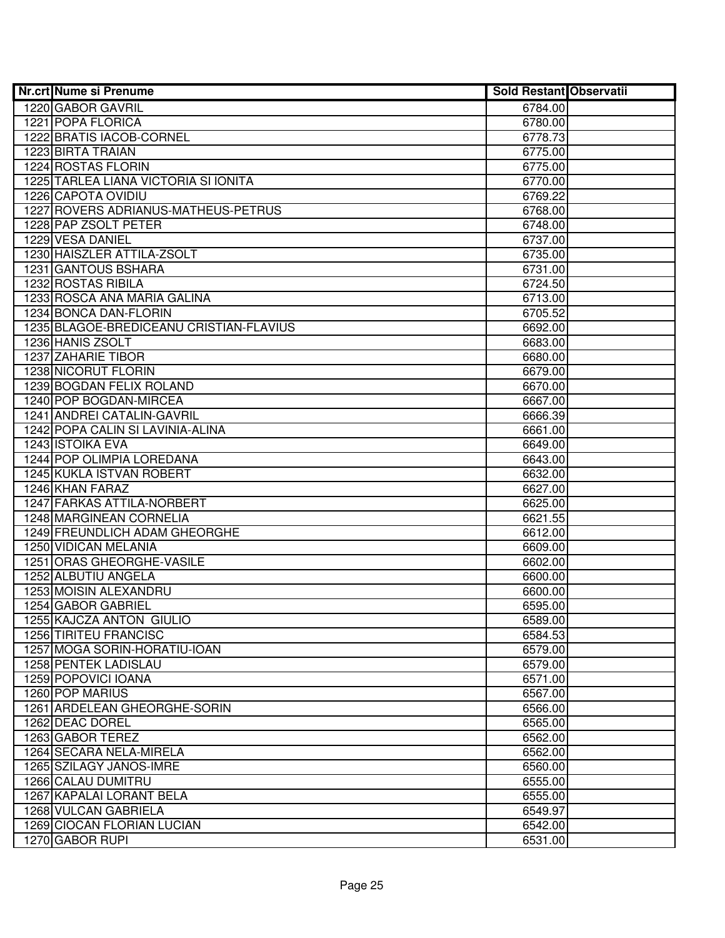| <b>Nr.crt Nume si Prenume</b>           | <b>Sold Restant Observatii</b> |  |
|-----------------------------------------|--------------------------------|--|
| 1220 GABOR GAVRIL                       | 6784.00                        |  |
| 1221 POPA FLORICA                       | 6780.00                        |  |
| 1222 BRATIS IACOB-CORNEL                | 6778.73                        |  |
| 1223 BIRTA TRAIAN                       | 6775.00                        |  |
| 1224 ROSTAS FLORIN                      | 6775.00                        |  |
| 1225 TARLEA LIANA VICTORIA SI IONITA    | 6770.00                        |  |
| 1226 CAPOTA OVIDIU                      | 6769.22                        |  |
| 1227 ROVERS ADRIANUS-MATHEUS-PETRUS     | 6768.00                        |  |
| 1228 PAP ZSOLT PETER                    | 6748.00                        |  |
| 1229 VESA DANIEL                        | 6737.00                        |  |
| 1230 HAISZLER ATTILA-ZSOLT              | 6735.00                        |  |
| 1231 GANTOUS BSHARA                     | 6731.00                        |  |
| 1232 ROSTAS RIBILA                      | 6724.50                        |  |
| 1233 ROSCA ANA MARIA GALINA             | 6713.00                        |  |
| 1234 BONCA DAN-FLORIN                   | 6705.52                        |  |
| 1235 BLAGOE-BREDICEANU CRISTIAN-FLAVIUS | 6692.00                        |  |
| 1236 HANIS ZSOLT                        | 6683.00                        |  |
| 1237 ZAHARIE TIBOR                      | 6680.00                        |  |
| 1238 NICORUT FLORIN                     | 6679.00                        |  |
| 1239 BOGDAN FELIX ROLAND                | 6670.00                        |  |
| 1240 POP BOGDAN-MIRCEA                  | 6667.00                        |  |
| 1241 ANDREI CATALIN-GAVRIL              | 6666.39                        |  |
| 1242 POPA CALIN SI LAVINIA-ALINA        | 6661.00                        |  |
| 1243 ISTOIKA EVA                        | 6649.00                        |  |
| 1244 POP OLIMPIA LOREDANA               | 6643.00                        |  |
| 1245 KUKLA ISTVAN ROBERT                | 6632.00                        |  |
| 1246 KHAN FARAZ                         | 6627.00                        |  |
| 1247 FARKAS ATTILA-NORBERT              | 6625.00                        |  |
| 1248 MARGINEAN CORNELIA                 | 6621.55                        |  |
| 1249 FREUNDLICH ADAM GHEORGHE           | 6612.00                        |  |
| 1250 VIDICAN MELANIA                    | 6609.00                        |  |
| 1251 ORAS GHEORGHE-VASILE               | 6602.00                        |  |
| 1252 ALBUTIU ANGELA                     | 6600.00                        |  |
| 1253 MOISIN ALEXANDRU                   | 6600.00                        |  |
| 1254 GABOR GABRIEL                      | 6595.00                        |  |
| 1255 KAJCZA ANTON GIULIO                | 6589.00                        |  |
| 1256 TIRITEU FRANCISC                   | 6584.53                        |  |
| 1257 MOGA SORIN-HORATIU-IOAN            | 6579.00                        |  |
| 1258 PENTEK LADISLAU                    | 6579.00                        |  |
| 1259 POPOVICI IOANA                     | 6571.00                        |  |
| 1260 POP MARIUS                         | 6567.00                        |  |
| 1261 ARDELEAN GHEORGHE-SORIN            | 6566.00                        |  |
| 1262 DEAC DOREL                         | 6565.00                        |  |
| 1263 GABOR TEREZ                        | 6562.00                        |  |
| 1264 SECARA NELA-MIRELA                 | 6562.00                        |  |
| 1265 SZILAGY JANOS-IMRE                 | 6560.00                        |  |
| 1266 CALAU DUMITRU                      | 6555.00                        |  |
| 1267 KAPALAI LORANT BELA                | 6555.00                        |  |
| 1268 VULCAN GABRIELA                    | 6549.97                        |  |
| 1269 CIOCAN FLORIAN LUCIAN              | 6542.00                        |  |
| 1270 GABOR RUPI                         | 6531.00                        |  |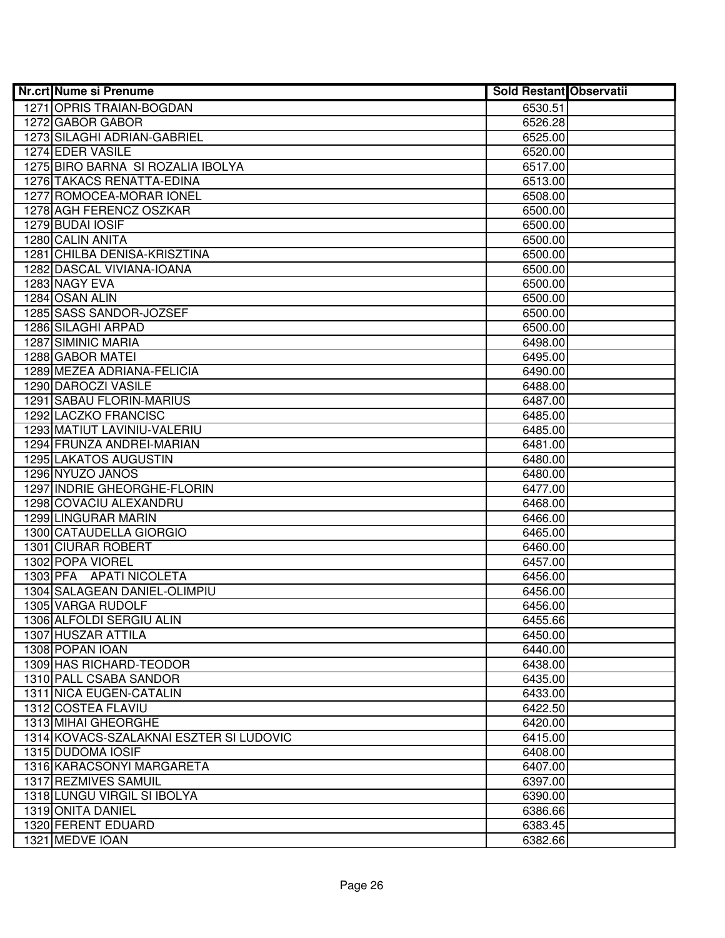| <b>Nr.crt Nume si Prenume</b>           | Sold Restant Observatii |  |
|-----------------------------------------|-------------------------|--|
| 1271 OPRIS TRAIAN-BOGDAN                | 6530.51                 |  |
| 1272 GABOR GABOR                        | 6526.28                 |  |
| 1273 SILAGHI ADRIAN-GABRIEL             | 6525.00                 |  |
| 1274 EDER VASILE                        | 6520.00                 |  |
| 1275 BIRO BARNA SI ROZALIA IBOLYA       | 6517.00                 |  |
| 1276 TAKACS RENATTA-EDINA               | 6513.00                 |  |
| 1277 ROMOCEA-MORAR IONEL                | 6508.00                 |  |
| 1278 AGH FERENCZ OSZKAR                 | 6500.00                 |  |
| 1279 BUDAI IOSIF                        | 6500.00                 |  |
| 1280 CALIN ANITA                        | 6500.00                 |  |
| 1281 CHILBA DENISA-KRISZTINA            | 6500.00                 |  |
| 1282 DASCAL VIVIANA-IOANA               | 6500.00                 |  |
| 1283 NAGY EVA                           | 6500.00                 |  |
| 1284 OSAN ALIN                          | 6500.00                 |  |
| 1285 SASS SANDOR-JOZSEF                 | 6500.00                 |  |
| 1286 SILAGHI ARPAD                      | 6500.00                 |  |
| 1287 SIMINIC MARIA                      | 6498.00                 |  |
| 1288 GABOR MATEI                        | 6495.00                 |  |
| 1289 MEZEA ADRIANA-FELICIA              | 6490.00                 |  |
| 1290 DAROCZI VASILE                     | 6488.00                 |  |
| 1291 SABAU FLORIN-MARIUS                | 6487.00                 |  |
| 1292 LACZKO FRANCISC                    | 6485.00                 |  |
| 1293 MATIUT LAVINIU-VALERIU             | 6485.00                 |  |
| 1294 FRUNZA ANDREI-MARIAN               | 6481.00                 |  |
| 1295 LAKATOS AUGUSTIN                   | 6480.00                 |  |
| 1296 NYUZO JANOS                        | 6480.00                 |  |
| 1297 INDRIE GHEORGHE-FLORIN             | 6477.00                 |  |
| 1298 COVACIU ALEXANDRU                  | 6468.00                 |  |
| 1299 LINGURAR MARIN                     | 6466.00                 |  |
| 1300 CATAUDELLA GIORGIO                 | 6465.00                 |  |
| 1301 CIURAR ROBERT                      | 6460.00                 |  |
| 1302 POPA VIOREL                        | 6457.00                 |  |
| 1303 PFA APATI NICOLETA                 | 6456.00                 |  |
| 1304 SALAGEAN DANIEL-OLIMPIU            | 6456.00                 |  |
| 1305 VARGA RUDOLF                       | 6456.00                 |  |
| 1306 ALFOLDI SERGIU ALIN                | 6455.66                 |  |
| 1307 HUSZAR ATTILA                      | 6450.00                 |  |
| 1308 POPAN IOAN                         | 6440.00                 |  |
| 1309 HAS RICHARD-TEODOR                 | 6438.00                 |  |
| 1310 PALL CSABA SANDOR                  | 6435.00                 |  |
| 1311 NICA EUGEN-CATALIN                 | 6433.00                 |  |
| 1312 COSTEA FLAVIU                      | 6422.50                 |  |
| 1313 MIHAI GHEORGHE                     | 6420.00                 |  |
| 1314 KOVACS-SZALAKNAI ESZTER SI LUDOVIC | 6415.00                 |  |
| 1315 DUDOMA IOSIF                       | 6408.00                 |  |
| 1316 KARACSONYI MARGARETA               | 6407.00                 |  |
| 1317 REZMIVES SAMUIL                    | 6397.00                 |  |
| 1318 LUNGU VIRGIL SI IBOLYA             | 6390.00                 |  |
| 1319 ONITA DANIEL                       | 6386.66                 |  |
| 1320 FERENT EDUARD                      | 6383.45                 |  |
| 1321 MEDVE IOAN                         | 6382.66                 |  |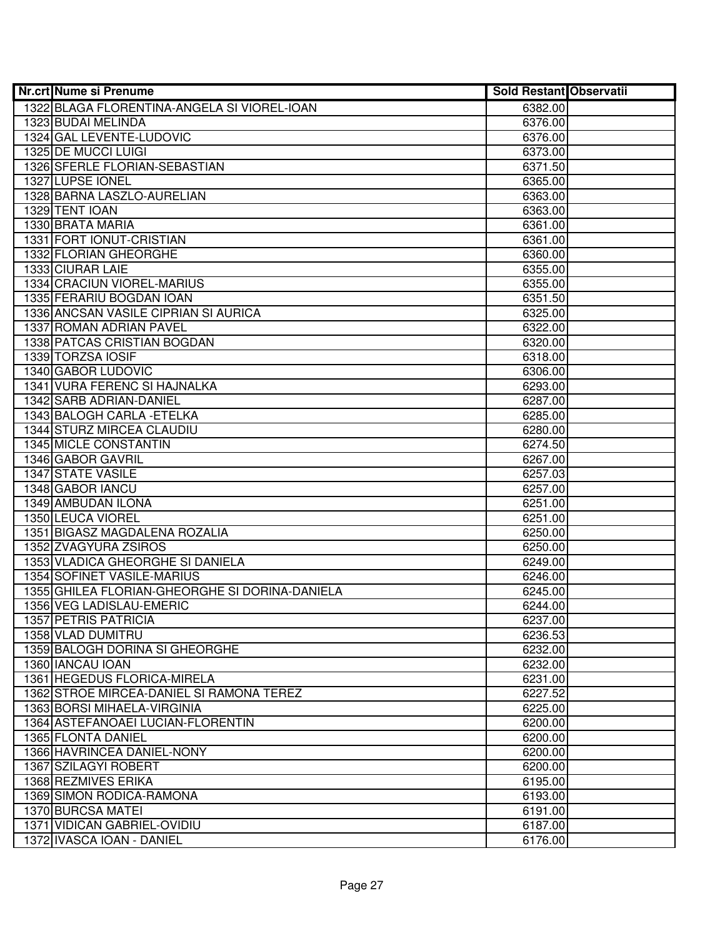| <b>Nr.crt Nume si Prenume</b>                  | <b>Sold Restant Observatii</b> |  |
|------------------------------------------------|--------------------------------|--|
| 1322 BLAGA FLORENTINA-ANGELA SI VIOREL-IOAN    | 6382.00                        |  |
| 1323 BUDAI MELINDA                             | 6376.00                        |  |
| 1324 GAL LEVENTE-LUDOVIC                       | 6376.00                        |  |
| 1325 DE MUCCI LUIGI                            | 6373.00                        |  |
| 1326 SFERLE FLORIAN-SEBASTIAN                  | 6371.50                        |  |
| 1327 LUPSE IONEL                               | 6365.00                        |  |
| 1328 BARNA LASZLO-AURELIAN                     | 6363.00                        |  |
| 1329 TENT IOAN                                 | 6363.00                        |  |
| 1330 BRATA MARIA                               | 6361.00                        |  |
| 1331 FORT IONUT-CRISTIAN                       | 6361.00                        |  |
| 1332 FLORIAN GHEORGHE                          | 6360.00                        |  |
| 1333 CIURAR LAIE                               | 6355.00                        |  |
| 1334 CRACIUN VIOREL-MARIUS                     | 6355.00                        |  |
| 1335 FERARIU BOGDAN IOAN                       | 6351.50                        |  |
| 1336 ANCSAN VASILE CIPRIAN SI AURICA           | 6325.00                        |  |
| 1337 ROMAN ADRIAN PAVEL                        | 6322.00                        |  |
| 1338 PATCAS CRISTIAN BOGDAN                    | 6320.00                        |  |
| 1339 TORZSA IOSIF                              | 6318.00                        |  |
| 1340 GABOR LUDOVIC                             | 6306.00                        |  |
| 1341 VURA FERENC SI HAJNALKA                   | 6293.00                        |  |
| 1342 SARB ADRIAN-DANIEL                        | 6287.00                        |  |
| 1343 BALOGH CARLA - ETELKA                     | 6285.00                        |  |
| 1344 STURZ MIRCEA CLAUDIU                      | 6280.00                        |  |
| 1345 MICLE CONSTANTIN                          | 6274.50                        |  |
| 1346 GABOR GAVRIL                              | 6267.00                        |  |
| 1347 STATE VASILE                              | 6257.03                        |  |
| 1348 GABOR IANCU                               | 6257.00                        |  |
| 1349 AMBUDAN ILONA                             | 6251.00                        |  |
| 1350 LEUCA VIOREL                              | 6251.00                        |  |
| 1351 BIGASZ MAGDALENA ROZALIA                  | 6250.00                        |  |
| 1352 ZVAGYURA ZSIROS                           | 6250.00                        |  |
| 1353 VLADICA GHEORGHE SI DANIELA               | 6249.00                        |  |
| 1354 SOFINET VASILE-MARIUS                     | 6246.00                        |  |
| 1355 GHILEA FLORIAN-GHEORGHE SI DORINA-DANIELA | 6245.00                        |  |
| 1356 VEG LADISLAU-EMERIC                       | 6244.00                        |  |
| 1357 PETRIS PATRICIA                           | 6237.00                        |  |
| 1358 VLAD DUMITRU                              | 6236.53                        |  |
| 1359 BALOGH DORINA SI GHEORGHE                 | 6232.00                        |  |
| 1360 IANCAU IOAN                               | 6232.00                        |  |
| 1361 HEGEDUS FLORICA-MIRELA                    | 6231.00                        |  |
| 1362 STROE MIRCEA-DANIEL SI RAMONA TEREZ       | 6227.52                        |  |
| 1363 BORSI MIHAELA-VIRGINIA                    | 6225.00                        |  |
| 1364 ASTEFANOAEI LUCIAN-FLORENTIN              | 6200.00                        |  |
| 1365 FLONTA DANIEL                             | 6200.00                        |  |
| 1366 HAVRINCEA DANIEL-NONY                     | 6200.00                        |  |
| 1367 SZILAGYI ROBERT                           | 6200.00                        |  |
| 1368 REZMIVES ERIKA                            | 6195.00                        |  |
| 1369 SIMON RODICA-RAMONA                       | 6193.00                        |  |
| 1370 BURCSA MATEI                              | 6191.00                        |  |
| 1371 VIDICAN GABRIEL-OVIDIU                    | 6187.00                        |  |
| 1372 IVASCA IOAN - DANIEL                      | 6176.00                        |  |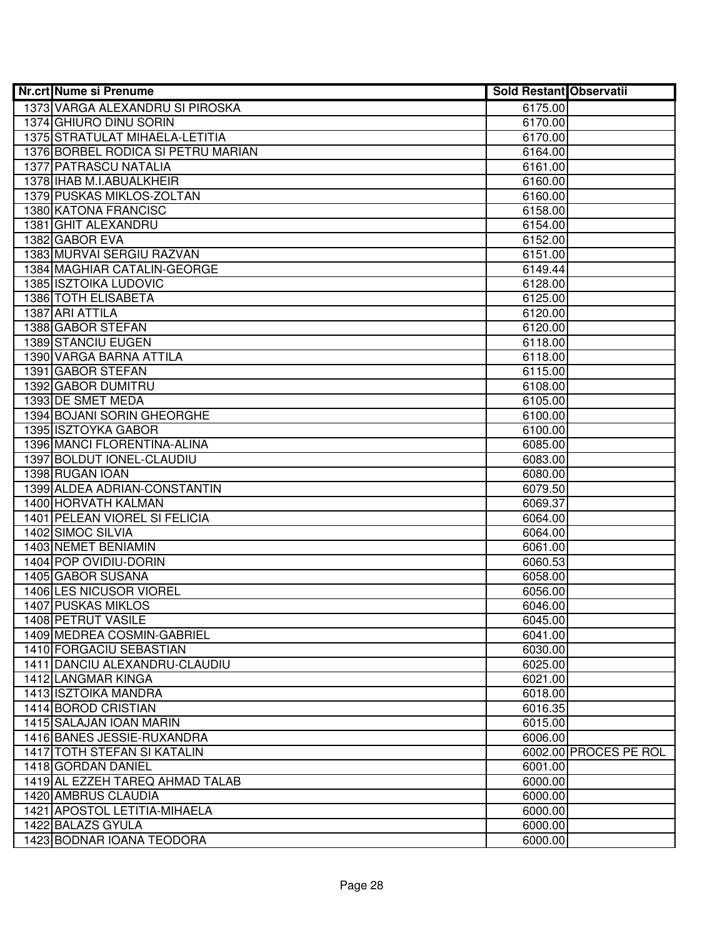| <b>Nr.crt Nume si Prenume</b>      | <b>Sold Restant Observatii</b> |                       |
|------------------------------------|--------------------------------|-----------------------|
| 1373 VARGA ALEXANDRU SI PIROSKA    | 6175.00                        |                       |
| 1374 GHIURO DINU SORIN             | 6170.00                        |                       |
| 1375 STRATULAT MIHAELA-LETITIA     | 6170.00                        |                       |
| 1376 BORBEL RODICA SI PETRU MARIAN | 6164.00                        |                       |
| <b>1377 PATRASCU NATALIA</b>       | 6161.00                        |                       |
| 1378 IHAB M.I.ABUALKHEIR           | 6160.00                        |                       |
| 1379 PUSKAS MIKLOS-ZOLTAN          | 6160.00                        |                       |
| 1380 KATONA FRANCISC               | 6158.00                        |                       |
| 1381 GHIT ALEXANDRU                | 6154.00                        |                       |
| 1382 GABOR EVA                     | 6152.00                        |                       |
| 1383 MURVAI SERGIU RAZVAN          | 6151.00                        |                       |
| 1384 MAGHIAR CATALIN-GEORGE        | 6149.44                        |                       |
| <b>1385 ISZTOIKA LUDOVIC</b>       | 6128.00                        |                       |
| 1386 TOTH ELISABETA                | 6125.00                        |                       |
| 1387 ARI ATTILA                    | 6120.00                        |                       |
| 1388 GABOR STEFAN                  | 6120.00                        |                       |
| 1389 STANCIU EUGEN                 | 6118.00                        |                       |
| 1390 VARGA BARNA ATTILA            | 6118.00                        |                       |
| 1391 GABOR STEFAN                  | 6115.00                        |                       |
| 1392 GABOR DUMITRU                 | 6108.00                        |                       |
| 1393 DE SMET MEDA                  | 6105.00                        |                       |
| 1394 BOJANI SORIN GHEORGHE         | 6100.00                        |                       |
| 1395 ISZTOYKA GABOR                | 6100.00                        |                       |
| 1396 MANCI FLORENTINA-ALINA        | 6085.00                        |                       |
| 1397 BOLDUT IONEL-CLAUDIU          | 6083.00                        |                       |
| 1398 RUGAN IOAN                    | 6080.00                        |                       |
| 1399 ALDEA ADRIAN-CONSTANTIN       | 6079.50                        |                       |
| 1400 HORVATH KALMAN                | 6069.37                        |                       |
| 1401 PELEAN VIOREL SI FELICIA      | 6064.00                        |                       |
| 1402 SIMOC SILVIA                  | 6064.00                        |                       |
| 1403 NEMET BENIAMIN                | 6061.00                        |                       |
| 1404 POP OVIDIU-DORIN              | 6060.53                        |                       |
| 1405 GABOR SUSANA                  | 6058.00                        |                       |
| <b>1406 LES NICUSOR VIOREL</b>     | 6056.00                        |                       |
| <b>1407 PUSKAS MIKLOS</b>          | 6046.00                        |                       |
| 1408 PETRUT VASILE                 | 6045.00                        |                       |
| 1409 MEDREA COSMIN-GABRIEL         | 6041.00                        |                       |
| 1410 FORGACIU SEBASTIAN            | 6030.00                        |                       |
| 1411 DANCIU ALEXANDRU-CLAUDIU      | 6025.00                        |                       |
| 1412 LANGMAR KINGA                 | 6021.00                        |                       |
| <b>1413 ISZTOIKA MANDRA</b>        | 6018.00                        |                       |
| 1414 BOROD CRISTIAN                | 6016.35                        |                       |
| 1415 SALAJAN IOAN MARIN            | 6015.00                        |                       |
| 1416 BANES JESSIE-RUXANDRA         | 6006.00                        |                       |
| 1417 TOTH STEFAN SI KATALIN        |                                | 6002.00 PROCES PE ROL |
| 1418 GORDAN DANIEL                 | 6001.00                        |                       |
| 1419 AL EZZEH TAREQ AHMAD TALAB    | 6000.00                        |                       |
| 1420 AMBRUS CLAUDIA                | 6000.00                        |                       |
| 1421 APOSTOL LETITIA-MIHAELA       | 6000.00                        |                       |
| 1422 BALAZS GYULA                  | 6000.00                        |                       |
| 1423 BODNAR IOANA TEODORA          | 6000.00                        |                       |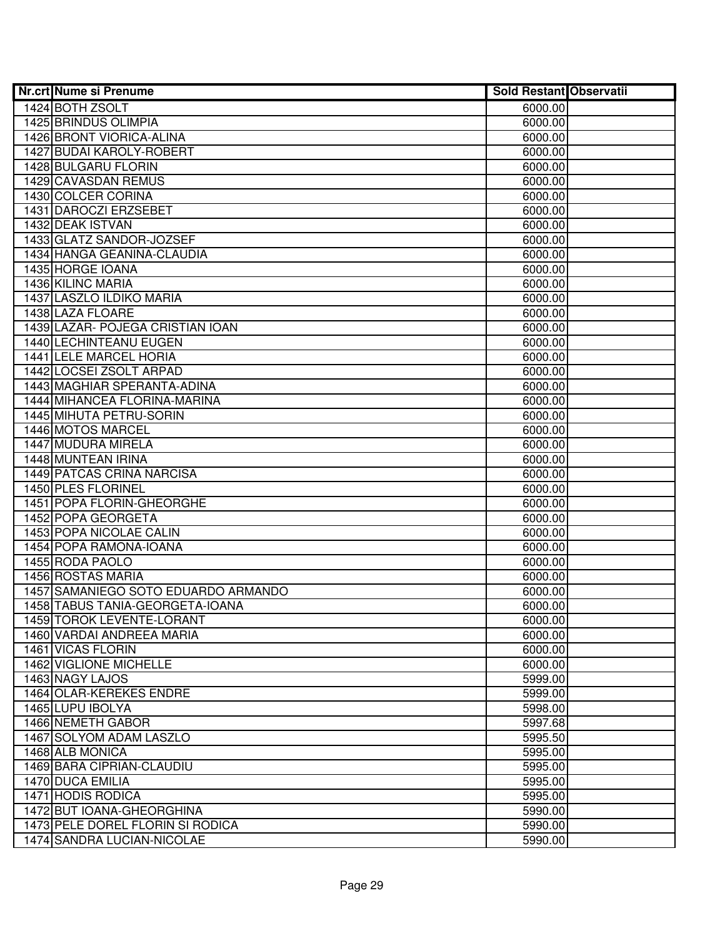| Nr.crt Nume si Prenume              | <b>Sold Restant Observatii</b> |  |
|-------------------------------------|--------------------------------|--|
| 1424 BOTH ZSOLT                     | 6000.00                        |  |
| 1425 BRINDUS OLIMPIA                | 6000.00                        |  |
| 1426 BRONT VIORICA-ALINA            | 6000.00                        |  |
| 1427 BUDAI KAROLY-ROBERT            | 6000.00                        |  |
| 1428 BULGARU FLORIN                 | 6000.00                        |  |
| 1429 CAVASDAN REMUS                 | 6000.00                        |  |
| 1430 COLCER CORINA                  | 6000.00                        |  |
| 1431 DAROCZI ERZSEBET               | 6000.00                        |  |
| 1432 DEAK ISTVAN                    | 6000.00                        |  |
| 1433 GLATZ SANDOR-JOZSEF            | 6000.00                        |  |
| 1434 HANGA GEANINA-CLAUDIA          | 6000.00                        |  |
| 1435 HORGE IOANA                    | 6000.00                        |  |
| 1436 KILINC MARIA                   | 6000.00                        |  |
| 1437 LASZLO ILDIKO MARIA            | 6000.00                        |  |
| 1438 LAZA FLOARE                    | 6000.00                        |  |
| 1439 LAZAR- POJEGA CRISTIAN IOAN    | 6000.00                        |  |
| 1440 LECHINTEANU EUGEN              | 6000.00                        |  |
| 1441 LELE MARCEL HORIA              | 6000.00                        |  |
| 1442 LOCSEI ZSOLT ARPAD             | 6000.00                        |  |
| 1443 MAGHIAR SPERANTA-ADINA         | 6000.00                        |  |
| 1444 MIHANCEA FLORINA-MARINA        | 6000.00                        |  |
| 1445 MIHUTA PETRU-SORIN             | 6000.00                        |  |
| 1446 MOTOS MARCEL                   | 6000.00                        |  |
| 1447 MUDURA MIRELA                  | 6000.00                        |  |
| 1448 MUNTEAN IRINA                  | 6000.00                        |  |
| 1449 PATCAS CRINA NARCISA           | 6000.00                        |  |
| 1450 PLES FLORINEL                  | 6000.00                        |  |
| 1451 POPA FLORIN-GHEORGHE           | 6000.00                        |  |
| 1452 POPA GEORGETA                  | 6000.00                        |  |
| 1453 POPA NICOLAE CALIN             | 6000.00                        |  |
| 1454 POPA RAMONA-IOANA              | 6000.00                        |  |
| 1455 RODA PAOLO                     | 6000.00                        |  |
| 1456 ROSTAS MARIA                   | 6000.00                        |  |
| 1457 SAMANIEGO SOTO EDUARDO ARMANDO | 6000.00                        |  |
| 1458 TABUS TANIA-GEORGETA-IOANA     | 6000.00                        |  |
| 1459 TOROK LEVENTE-LORANT           | 6000.00                        |  |
| 1460 VARDAI ANDREEA MARIA           | 6000.00                        |  |
| 1461 VICAS FLORIN                   | 6000.00                        |  |
| 1462 VIGLIONE MICHELLE              | 6000.00                        |  |
| 1463 NAGY LAJOS                     | 5999.00                        |  |
| 1464 OLAR-KEREKES ENDRE             | 5999.00                        |  |
| 1465 LUPU IBOLYA                    | 5998.00                        |  |
| 1466 NEMETH GABOR                   | 5997.68                        |  |
| 1467 SOLYOM ADAM LASZLO             | 5995.50                        |  |
| 1468 ALB MONICA                     | 5995.00                        |  |
| 1469 BARA CIPRIAN-CLAUDIU           | 5995.00                        |  |
| 1470 DUCA EMILIA                    | 5995.00                        |  |
| 1471 HODIS RODICA                   | 5995.00                        |  |
| 1472 BUT IOANA-GHEORGHINA           | 5990.00                        |  |
| 1473 PELE DOREL FLORIN SI RODICA    | 5990.00                        |  |
| 1474 SANDRA LUCIAN-NICOLAE          | 5990.00                        |  |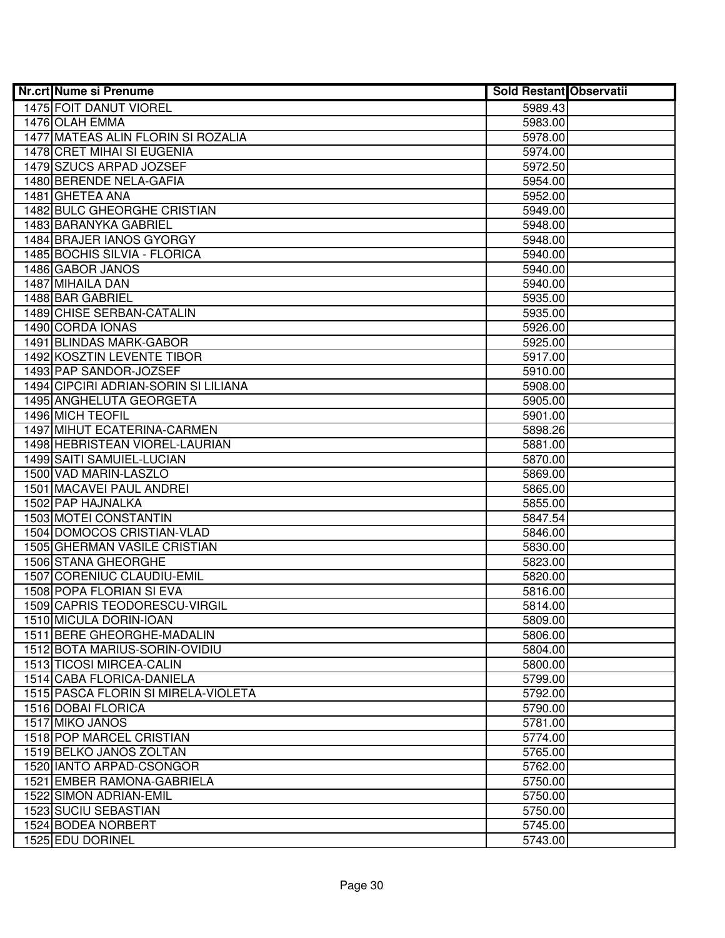| Nr.crt Nume si Prenume                                      | <b>Sold Restant Observatii</b> |  |
|-------------------------------------------------------------|--------------------------------|--|
| 1475 FOIT DANUT VIOREL                                      | 5989.43                        |  |
| 1476 OLAH EMMA                                              | 5983.00                        |  |
| 1477 MATEAS ALIN FLORIN SI ROZALIA                          | 5978.00                        |  |
| 1478 CRET MIHAI SI EUGENIA                                  | 5974.00                        |  |
| 1479 SZUCS ARPAD JOZSEF                                     | 5972.50                        |  |
| 1480 BERENDE NELA-GAFIA                                     | 5954.00                        |  |
| 1481 GHETEA ANA                                             | 5952.00                        |  |
| 1482 BULC GHEORGHE CRISTIAN                                 | 5949.00                        |  |
| 1483 BARANYKA GABRIEL                                       | 5948.00                        |  |
| 1484 BRAJER IANOS GYORGY                                    | 5948.00                        |  |
| 1485 BOCHIS SILVIA - FLORICA                                | 5940.00                        |  |
| 1486 GABOR JANOS                                            | 5940.00                        |  |
| 1487 MIHAILA DAN                                            | 5940.00                        |  |
| 1488 BAR GABRIEL                                            | 5935.00                        |  |
| 1489 CHISE SERBAN-CATALIN                                   | 5935.00                        |  |
| 1490 CORDA IONAS                                            | 5926.00                        |  |
| 1491 BLINDAS MARK-GABOR                                     | 5925.00                        |  |
| 1492 KOSZTIN LEVENTE TIBOR                                  | 5917.00                        |  |
| 1493 PAP SANDOR-JOZSEF                                      | 5910.00                        |  |
| 1494 CIPCIRI ADRIAN-SORIN SI LILIANA                        | 5908.00                        |  |
| 1495 ANGHELUTA GEORGETA                                     | 5905.00                        |  |
| 1496 MICH TEOFIL                                            | 5901.00                        |  |
| 1497 MIHUT ECATERINA-CARMEN                                 | 5898.26                        |  |
| 1498 HEBRISTEAN VIOREL-LAURIAN                              | 5881.00                        |  |
| 1499 SAITI SAMUIEL-LUCIAN                                   | 5870.00                        |  |
| 1500 VAD MARIN-LASZLO                                       | 5869.00                        |  |
| 1501 MACAVEI PAUL ANDREI                                    | 5865.00                        |  |
| 1502 PAP HAJNALKA                                           | 5855.00                        |  |
| 1503 MOTEI CONSTANTIN                                       | 5847.54                        |  |
| 1504 DOMOCOS CRISTIAN-VLAD                                  | 5846.00                        |  |
| 1505 GHERMAN VASILE CRISTIAN                                | 5830.00                        |  |
| 1506 STANA GHEORGHE                                         | 5823.00                        |  |
| 1507 CORENIUC CLAUDIU-EMIL                                  | 5820.00                        |  |
| <b>1508 POPA FLORIAN SI EVA</b>                             | 5816.00                        |  |
| 1509 CAPRIS TEODORESCU-VIRGIL                               | 5814.00                        |  |
| 1510 MICULA DORIN-IOAN                                      | 5809.00                        |  |
| 1511 BERE GHEORGHE-MADALIN<br>1512 BOTA MARIUS-SORIN-OVIDIU | 5806.00<br>5804.00             |  |
| 1513 TICOSI MIRCEA-CALIN                                    | 5800.00                        |  |
| 1514 CABA FLORICA-DANIELA                                   | 5799.00                        |  |
| 1515 PASCA FLORIN SI MIRELA-VIOLETA                         | 5792.00                        |  |
| 1516 DOBAI FLORICA                                          | 5790.00                        |  |
| 1517 MIKO JANOS                                             | 5781.00                        |  |
| 1518 POP MARCEL CRISTIAN                                    | 5774.00                        |  |
| 1519 BELKO JANOS ZOLTAN                                     | 5765.00                        |  |
| 1520 IANTO ARPAD-CSONGOR                                    | 5762.00                        |  |
| 1521 EMBER RAMONA-GABRIELA                                  | 5750.00                        |  |
| 1522 SIMON ADRIAN-EMIL                                      | 5750.00                        |  |
| 1523 SUCIU SEBASTIAN                                        | 5750.00                        |  |
| 1524 BODEA NORBERT                                          | 5745.00                        |  |
| 1525 EDU DORINEL                                            | 5743.00                        |  |
|                                                             |                                |  |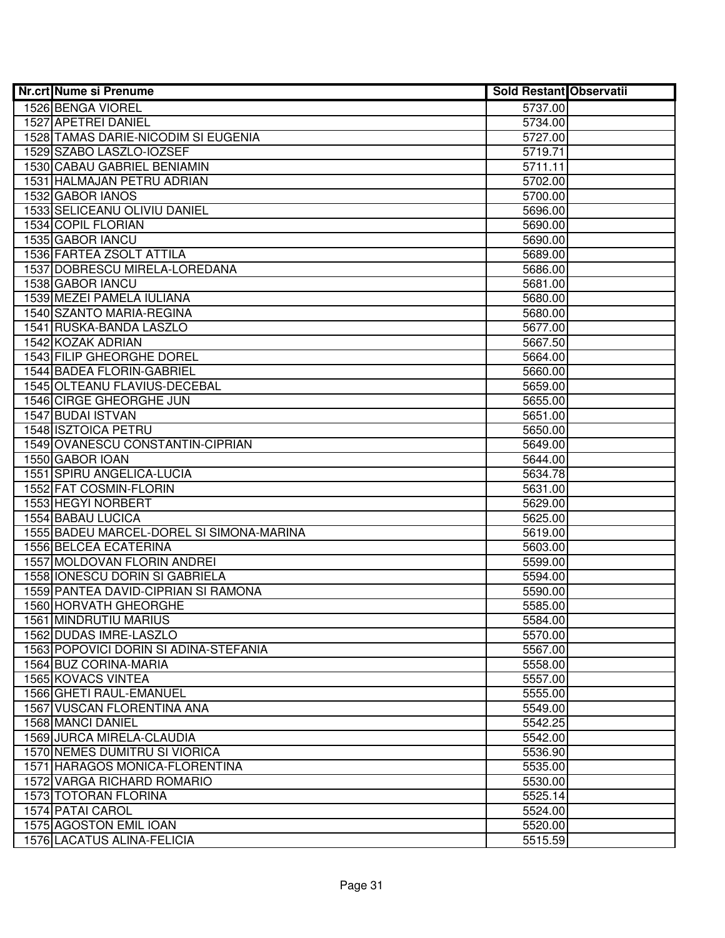| <b>Nr.crt Nume si Prenume</b>              | Sold Restant Observatii |  |
|--------------------------------------------|-------------------------|--|
| 1526 BENGA VIOREL                          | 5737.00                 |  |
| 1527 APETREI DANIEL                        | 5734.00                 |  |
| 1528 TAMAS DARIE-NICODIM SI EUGENIA        | 5727.00                 |  |
| 1529 SZABO LASZLO-IOZSEF                   | 5719.71                 |  |
| 1530 CABAU GABRIEL BENIAMIN                | 5711.11                 |  |
| 1531 HALMAJAN PETRU ADRIAN                 | 5702.00                 |  |
| 1532 GABOR IANOS                           | 5700.00                 |  |
| 1533 SELICEANU OLIVIU DANIEL               | 5696.00                 |  |
| 1534 COPIL FLORIAN                         | 5690.00                 |  |
| 1535 GABOR IANCU                           | 5690.00                 |  |
| 1536 FARTEA ZSOLT ATTILA                   | 5689.00                 |  |
| 1537 DOBRESCU MIRELA-LOREDANA              | 5686.00                 |  |
| 1538 GABOR IANCU                           | 5681.00                 |  |
| 1539 MEZEI PAMELA IULIANA                  | 5680.00                 |  |
| 1540 SZANTO MARIA-REGINA                   | 5680.00                 |  |
| 1541 RUSKA-BANDA LASZLO                    | 5677.00                 |  |
| 1542 KOZAK ADRIAN                          | 5667.50                 |  |
| 1543 FILIP GHEORGHE DOREL                  | 5664.00                 |  |
| 1544 BADEA FLORIN-GABRIEL                  | 5660.00                 |  |
| 1545 OLTEANU FLAVIUS-DECEBAL               | 5659.00                 |  |
| 1546 CIRGE GHEORGHE JUN                    | 5655.00                 |  |
| 1547 BUDAI ISTVAN                          | 5651.00                 |  |
| 1548 ISZTOICA PETRU                        | 5650.00                 |  |
| 1549 OVANESCU CONSTANTIN-CIPRIAN           | 5649.00                 |  |
| 1550 GABOR IOAN                            | 5644.00                 |  |
| 1551 SPIRU ANGELICA-LUCIA                  | 5634.78                 |  |
| 1552 FAT COSMIN-FLORIN                     | 5631.00                 |  |
| 1553 HEGYI NORBERT                         | 5629.00                 |  |
| 1554 BABAU LUCICA                          | 5625.00                 |  |
| 1555 BADEU MARCEL-DOREL SI SIMONA-MARINA   | 5619.00                 |  |
| 1556 BELCEA ECATERINA                      | 5603.00                 |  |
| 1557 MOLDOVAN FLORIN ANDREI                | 5599.00                 |  |
| 1558 IONESCU DORIN SI GABRIELA             | 5594.00                 |  |
| 1559 PANTEA DAVID-CIPRIAN SI RAMONA        | 5590.00                 |  |
| 1560 HORVATH GHEORGHE                      | 5585.00                 |  |
| 1561 MINDRUTIU MARIUS                      | 5584.00                 |  |
| 1562 DUDAS IMRE-LASZLO                     | 5570.00                 |  |
| 1563 POPOVICI DORIN SI ADINA-STEFANIA      | 5567.00                 |  |
| 1564 BUZ CORINA-MARIA                      | 5558.00                 |  |
| 1565 KOVACS VINTEA                         | 5557.00                 |  |
| 1566 GHETI RAUL-EMANUEL                    | 5555.00                 |  |
| 1567 VUSCAN FLORENTINA ANA                 | 5549.00                 |  |
| 1568 MANCI DANIEL                          | 5542.25                 |  |
| 1569 JURCA MIRELA-CLAUDIA                  | 5542.00                 |  |
| 1570 NEMES DUMITRU SI VIORICA              | 5536.90                 |  |
| 1571 HARAGOS MONICA-FLORENTINA             | 5535.00                 |  |
| 1572 VARGA RICHARD ROMARIO                 | 5530.00                 |  |
| 1573 TOTORAN FLORINA                       | 5525.14                 |  |
| 1574 PATAI CAROL<br>1575 AGOSTON EMIL IOAN | 5524.00<br>5520.00      |  |
| 1576 LACATUS ALINA-FELICIA                 |                         |  |
|                                            | 5515.59                 |  |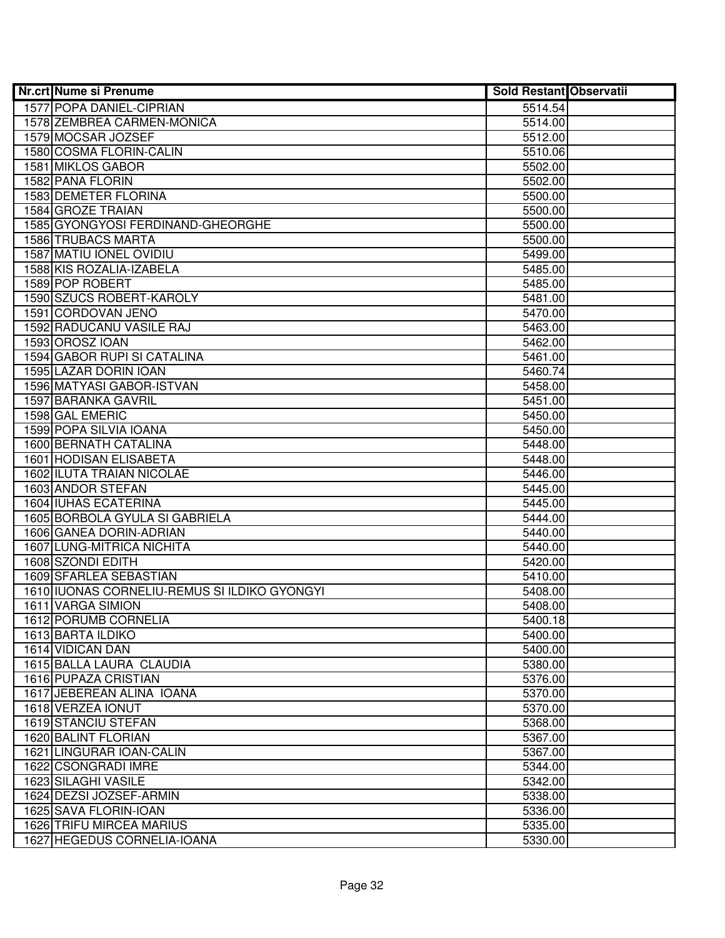| <b>Nr.crt Nume si Prenume</b>                | Sold Restant Observatii |  |
|----------------------------------------------|-------------------------|--|
| 1577 POPA DANIEL-CIPRIAN                     | 5514.54                 |  |
| 1578 ZEMBREA CARMEN-MONICA                   | 5514.00                 |  |
| 1579 MOCSAR JOZSEF                           | 5512.00                 |  |
| 1580 COSMA FLORIN-CALIN                      | 5510.06                 |  |
| 1581 MIKLOS GABOR                            | 5502.00                 |  |
| 1582 PANA FLORIN                             | 5502.00                 |  |
| 1583 DEMETER FLORINA                         | 5500.00                 |  |
| 1584 GROZE TRAIAN                            | 5500.00                 |  |
| 1585 GYONGYOSI FERDINAND-GHEORGHE            | 5500.00                 |  |
| <b>1586 TRUBACS MARTA</b>                    | 5500.00                 |  |
| 1587 MATIU IONEL OVIDIU                      | 5499.00                 |  |
| 1588 KIS ROZALIA-IZABELA                     | 5485.00                 |  |
| 1589 POP ROBERT                              | 5485.00                 |  |
| 1590 SZUCS ROBERT-KAROLY                     | 5481.00                 |  |
| 1591 CORDOVAN JENO                           | 5470.00                 |  |
| 1592 RADUCANU VASILE RAJ                     | 5463.00                 |  |
| 1593 OROSZ IOAN                              | 5462.00                 |  |
| 1594 GABOR RUPI SI CATALINA                  | 5461.00                 |  |
| 1595 LAZAR DORIN IOAN                        | 5460.74                 |  |
| 1596 MATYASI GABOR-ISTVAN                    | 5458.00                 |  |
| <b>1597 BARANKA GAVRIL</b>                   | 5451.00                 |  |
| 1598 GAL EMERIC                              | 5450.00                 |  |
| 1599 POPA SILVIA IOANA                       | 5450.00                 |  |
| <b>1600 BERNATH CATALINA</b>                 | 5448.00                 |  |
| 1601 HODISAN ELISABETA                       | 5448.00                 |  |
| 1602 ILUTA TRAIAN NICOLAE                    | 5446.00                 |  |
| 1603 ANDOR STEFAN                            | 5445.00                 |  |
| 1604 IUHAS ECATERINA                         | 5445.00                 |  |
| 1605 BORBOLA GYULA SI GABRIELA               | 5444.00                 |  |
| 1606 GANEA DORIN-ADRIAN                      | 5440.00                 |  |
| 1607 LUNG-MITRICA NICHITA                    | 5440.00                 |  |
| 1608 SZONDI EDITH                            | 5420.00                 |  |
| 1609 SFARLEA SEBASTIAN                       | 5410.00                 |  |
| 1610 IUONAS CORNELIU-REMUS SI ILDIKO GYONGYI | 5408.00                 |  |
| 1611 VARGA SIMION                            | 5408.00                 |  |
| 1612 PORUMB CORNELIA                         | 5400.18                 |  |
| 1613 BARTA ILDIKO                            | 5400.00                 |  |
| 1614 VIDICAN DAN                             | 5400.00                 |  |
| 1615 BALLA LAURA CLAUDIA                     | 5380.00                 |  |
| 1616 PUPAZA CRISTIAN                         | 5376.00                 |  |
| 1617 JEBEREAN ALINA IOANA                    | 5370.00                 |  |
| 1618 VERZEA IONUT                            | 5370.00                 |  |
| 1619 STANCIU STEFAN                          | 5368.00                 |  |
| 1620 BALINT FLORIAN                          | 5367.00                 |  |
| 1621 LINGURAR IOAN-CALIN                     | 5367.00                 |  |
| 1622 CSONGRADI IMRE                          | 5344.00                 |  |
| 1623 SILAGHI VASILE                          | 5342.00                 |  |
| 1624 DEZSI JOZSEF-ARMIN                      | 5338.00                 |  |
| 1625 SAVA FLORIN-IOAN                        | 5336.00                 |  |
| 1626 TRIFU MIRCEA MARIUS                     | 5335.00                 |  |
| 1627 HEGEDUS CORNELIA-IOANA                  | 5330.00                 |  |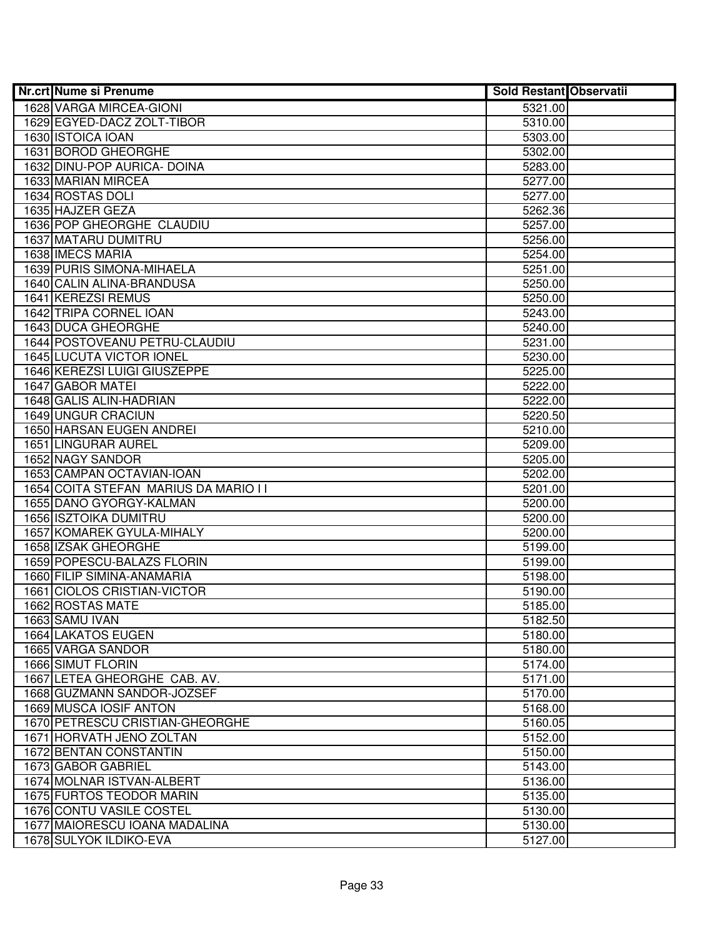| <b>Nr.crt Nume si Prenume</b>         | Sold Restant Observatii |  |
|---------------------------------------|-------------------------|--|
| 1628 VARGA MIRCEA-GIONI               | 5321.00                 |  |
| 1629 EGYED-DACZ ZOLT-TIBOR            | 5310.00                 |  |
| 1630 ISTOICA IOAN                     | 5303.00                 |  |
| 1631 BOROD GHEORGHE                   | 5302.00                 |  |
| 1632 DINU-POP AURICA- DOINA           | 5283.00                 |  |
| 1633 MARIAN MIRCEA                    | 5277.00                 |  |
| 1634 ROSTAS DOLI                      | 5277.00                 |  |
| 1635 HAJZER GEZA                      | 5262.36                 |  |
| 1636 POP GHEORGHE CLAUDIU             | 5257.00                 |  |
| <b>1637 MATARU DUMITRU</b>            | 5256.00                 |  |
| <b>1638 IMECS MARIA</b>               | 5254.00                 |  |
| <b>1639 PURIS SIMONA-MIHAELA</b>      | 5251.00                 |  |
| 1640 CALIN ALINA-BRANDUSA             | 5250.00                 |  |
| 1641 KEREZSI REMUS                    | 5250.00                 |  |
| 1642 TRIPA CORNEL IOAN                | 5243.00                 |  |
| 1643 DUCA GHEORGHE                    | 5240.00                 |  |
| 1644 POSTOVEANU PETRU-CLAUDIU         | 5231.00                 |  |
| 1645 LUCUTA VICTOR IONEL              | 5230.00                 |  |
| 1646 KEREZSI LUIGI GIUSZEPPE          | 5225.00                 |  |
| 1647 GABOR MATEI                      | 5222.00                 |  |
| 1648 GALIS ALIN-HADRIAN               | 5222.00                 |  |
| 1649 UNGUR CRACIUN                    | 5220.50                 |  |
| 1650 HARSAN EUGEN ANDREI              | 5210.00                 |  |
| 1651 LINGURAR AUREL                   | 5209.00                 |  |
| 1652 NAGY SANDOR                      | 5205.00                 |  |
| 1653 CAMPAN OCTAVIAN-IOAN             | 5202.00                 |  |
| 1654 COITA STEFAN MARIUS DA MARIO I I | 5201.00                 |  |
| 1655 DANO GYORGY-KALMAN               | 5200.00                 |  |
| 1656 ISZTOIKA DUMITRU                 | 5200.00                 |  |
| 1657 KOMAREK GYULA-MIHALY             | 5200.00                 |  |
| 1658 IZSAK GHEORGHE                   | 5199.00                 |  |
| 1659 POPESCU-BALAZS FLORIN            | 5199.00                 |  |
| 1660 FILIP SIMINA-ANAMARIA            | 5198.00                 |  |
| 1661 CIOLOS CRISTIAN-VICTOR           | 5190.00                 |  |
| 1662 ROSTAS MATE                      | 5185.00                 |  |
| 1663 SAMU IVAN                        | 5182.50                 |  |
| 1664 LAKATOS EUGEN                    | 5180.00                 |  |
| 1665 VARGA SANDOR                     | 5180.00                 |  |
| 1666 SIMUT FLORIN                     | 5174.00                 |  |
| 1667 LETEA GHEORGHE CAB. AV.          | 5171.00                 |  |
| 1668 GUZMANN SANDOR-JOZSEF            | 5170.00                 |  |
| 1669 MUSCA IOSIF ANTON                | 5168.00                 |  |
| 1670 PETRESCU CRISTIAN-GHEORGHE       | 5160.05                 |  |
| 1671 HORVATH JENO ZOLTAN              | 5152.00                 |  |
| 1672 BENTAN CONSTANTIN                | 5150.00                 |  |
| 1673 GABOR GABRIEL                    | 5143.00                 |  |
| 1674 MOLNAR ISTVAN-ALBERT             | 5136.00                 |  |
| 1675 FURTOS TEODOR MARIN              | 5135.00                 |  |
| 1676 CONTU VASILE COSTEL              | 5130.00                 |  |
| 1677 MAIORESCU IOANA MADALINA         | 5130.00                 |  |
| 1678 SULYOK ILDIKO-EVA                | 5127.00                 |  |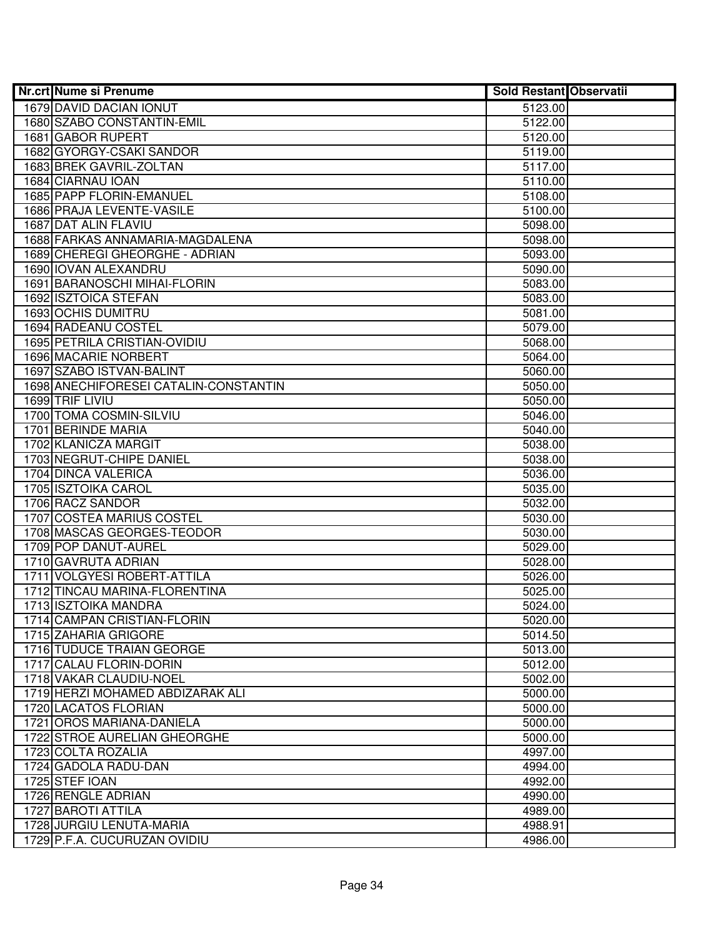| <b>Nr.crt Nume si Prenume</b>         | <b>Sold Restant Observatii</b> |  |
|---------------------------------------|--------------------------------|--|
| 1679 DAVID DACIAN IONUT               | 5123.00                        |  |
| 1680 SZABO CONSTANTIN-EMIL            | 5122.00                        |  |
| 1681 GABOR RUPERT                     | 5120.00                        |  |
| 1682 GYORGY-CSAKI SANDOR              | 5119.00                        |  |
| 1683 BREK GAVRIL-ZOLTAN               | 5117.00                        |  |
| 1684 CIARNAU IOAN                     | 5110.00                        |  |
| 1685 PAPP FLORIN-EMANUEL              | 5108.00                        |  |
| 1686 PRAJA LEVENTE-VASILE             | 5100.00                        |  |
| 1687 DAT ALIN FLAVIU                  | 5098.00                        |  |
| 1688 FARKAS ANNAMARIA-MAGDALENA       | 5098.00                        |  |
| 1689 CHEREGI GHEORGHE - ADRIAN        | 5093.00                        |  |
| 1690 IOVAN ALEXANDRU                  | 5090.00                        |  |
| 1691 BARANOSCHI MIHAI-FLORIN          | 5083.00                        |  |
| 1692 ISZTOICA STEFAN                  | 5083.00                        |  |
| 1693 OCHIS DUMITRU                    | 5081.00                        |  |
| 1694 RADEANU COSTEL                   | 5079.00                        |  |
| 1695 PETRILA CRISTIAN-OVIDIU          | 5068.00                        |  |
| <b>1696 MACARIE NORBERT</b>           | 5064.00                        |  |
| 1697 SZABO ISTVAN-BALINT              | 5060.00                        |  |
| 1698 ANECHIFORESEI CATALIN-CONSTANTIN | 5050.00                        |  |
| 1699 TRIF LIVIU                       | 5050.00                        |  |
| 1700 TOMA COSMIN-SILVIU               | 5046.00                        |  |
| 1701 BERINDE MARIA                    | 5040.00                        |  |
| 1702 KLANICZA MARGIT                  | 5038.00                        |  |
| 1703 NEGRUT-CHIPE DANIEL              | 5038.00                        |  |
| 1704 DINCA VALERICA                   | 5036.00                        |  |
| 1705 ISZTOIKA CAROL                   | 5035.00                        |  |
| 1706 RACZ SANDOR                      | 5032.00                        |  |
| 1707 COSTEA MARIUS COSTEL             | 5030.00                        |  |
| 1708 MASCAS GEORGES-TEODOR            | 5030.00                        |  |
| 1709 POP DANUT-AUREL                  | 5029.00                        |  |
| 1710 GAVRUTA ADRIAN                   | 5028.00                        |  |
| 1711 VOLGYESI ROBERT-ATTILA           | 5026.00                        |  |
| 1712 TINCAU MARINA-FLORENTINA         | 5025.00                        |  |
| 1713 ISZTOIKA MANDRA                  | 5024.00                        |  |
| 1714 CAMPAN CRISTIAN-FLORIN           | 5020.00                        |  |
| 1715 ZAHARIA GRIGORE                  | 5014.50                        |  |
| <b>1716 TUDUCE TRAIAN GEORGE</b>      | 5013.00                        |  |
| 1717 CALAU FLORIN-DORIN               | 5012.00                        |  |
| 1718 VAKAR CLAUDIU-NOEL               | 5002.00                        |  |
| 1719 HERZI MOHAMED ABDIZARAK ALI      | 5000.00                        |  |
| 1720 LACATOS FLORIAN                  | 5000.00                        |  |
| 1721 OROS MARIANA-DANIELA             | 5000.00                        |  |
| 1722 STROE AURELIAN GHEORGHE          | 5000.00                        |  |
| 1723 COLTA ROZALIA                    | 4997.00                        |  |
| 1724 GADOLA RADU-DAN                  | 4994.00                        |  |
| 1725 STEF IOAN                        | 4992.00                        |  |
| 1726 RENGLE ADRIAN                    | 4990.00                        |  |
| 1727 BAROTI ATTILA                    | 4989.00                        |  |
| 1728 JURGIU LENUTA-MARIA              | 4988.91                        |  |
| 1729 P.F.A. CUCURUZAN OVIDIU          | 4986.00                        |  |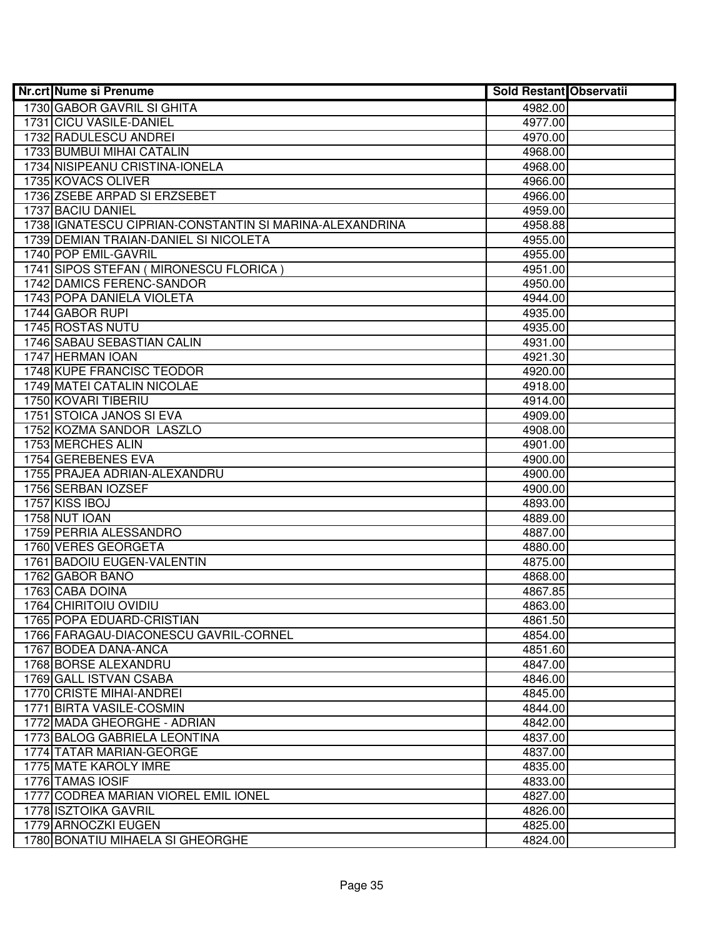| <b>Nr.crt Nume si Prenume</b>                           | <b>Sold Restant Observatii</b> |  |
|---------------------------------------------------------|--------------------------------|--|
| 1730 GABOR GAVRIL SI GHITA                              | 4982.00                        |  |
| 1731 CICU VASILE-DANIEL                                 | 4977.00                        |  |
| 1732 RADULESCU ANDREI                                   | 4970.00                        |  |
| 1733 BUMBUI MIHAI CATALIN                               | 4968.00                        |  |
| 1734 NISIPEANU CRISTINA-IONELA                          | 4968.00                        |  |
| 1735 KOVACS OLIVER                                      | 4966.00                        |  |
| 1736 ZSEBE ARPAD SI ERZSEBET                            | 4966.00                        |  |
| 1737 BACIU DANIEL                                       | 4959.00                        |  |
| 1738 IGNATESCU CIPRIAN-CONSTANTIN SI MARINA-ALEXANDRINA | 4958.88                        |  |
| 1739 DEMIAN TRAIAN-DANIEL SI NICOLETA                   | 4955.00                        |  |
| 1740 POP EMIL-GAVRIL                                    | 4955.00                        |  |
| 1741 SIPOS STEFAN (MIRONESCU FLORICA)                   | 4951.00                        |  |
| 1742 DAMICS FERENC-SANDOR                               | 4950.00                        |  |
| 1743 POPA DANIELA VIOLETA                               | 4944.00                        |  |
| 1744 GABOR RUPI                                         | 4935.00                        |  |
| <b>1745 ROSTAS NUTU</b>                                 | 4935.00                        |  |
| 1746 SABAU SEBASTIAN CALIN                              | 4931.00                        |  |
| 1747 HERMAN IOAN                                        | 4921.30                        |  |
| 1748 KUPE FRANCISC TEODOR                               | 4920.00                        |  |
| 1749 MATEI CATALIN NICOLAE                              | 4918.00                        |  |
| 1750 KOVARI TIBERIU                                     | 4914.00                        |  |
| 1751 STOICA JANOS SI EVA                                | 4909.00                        |  |
| 1752 KOZMA SANDOR LASZLO                                | 4908.00                        |  |
| 1753 MERCHES ALIN                                       | 4901.00                        |  |
| 1754 GEREBENES EVA                                      | 4900.00                        |  |
| 1755 PRAJEA ADRIAN-ALEXANDRU                            | 4900.00                        |  |
| 1756 SERBAN IOZSEF                                      | 4900.00                        |  |
| 1757 KISS IBOJ                                          | 4893.00                        |  |
| 1758 NUT IOAN                                           | 4889.00                        |  |
| 1759 PERRIA ALESSANDRO                                  | 4887.00                        |  |
| 1760 VERES GEORGETA                                     | 4880.00                        |  |
| 1761 BADOIU EUGEN-VALENTIN                              | 4875.00                        |  |
| 1762 GABOR BANO                                         | 4868.00                        |  |
| 1763 CABA DOINA                                         | 4867.85                        |  |
| 1764 CHIRITOIU OVIDIU                                   | 4863.00                        |  |
| 1765 POPA EDUARD-CRISTIAN                               | 4861.50                        |  |
| 1766 FARAGAU-DIACONESCU GAVRIL-CORNEL                   | 4854.00                        |  |
| 1767 BODEA DANA-ANCA                                    | 4851.60                        |  |
| 1768 BORSE ALEXANDRU                                    | 4847.00                        |  |
| 1769 GALL ISTVAN CSABA                                  | 4846.00                        |  |
| 1770 CRISTE MIHAI-ANDREI                                | 4845.00                        |  |
| 1771 BIRTA VASILE-COSMIN                                | 4844.00                        |  |
| 1772 MADA GHEORGHE - ADRIAN                             | 4842.00                        |  |
| 1773 BALOG GABRIELA LEONTINA                            | 4837.00                        |  |
| 1774 TATAR MARIAN-GEORGE                                | 4837.00                        |  |
| 1775 MATE KAROLY IMRE                                   | 4835.00                        |  |
| 1776 TAMAS IOSIF                                        | 4833.00                        |  |
| 1777 CODREA MARIAN VIOREL EMIL IONEL                    | 4827.00                        |  |
| 1778 ISZTOIKA GAVRIL                                    | 4826.00                        |  |
| 1779 ARNOCZKI EUGEN                                     | 4825.00                        |  |
| 1780 BONATIU MIHAELA SI GHEORGHE                        | 4824.00                        |  |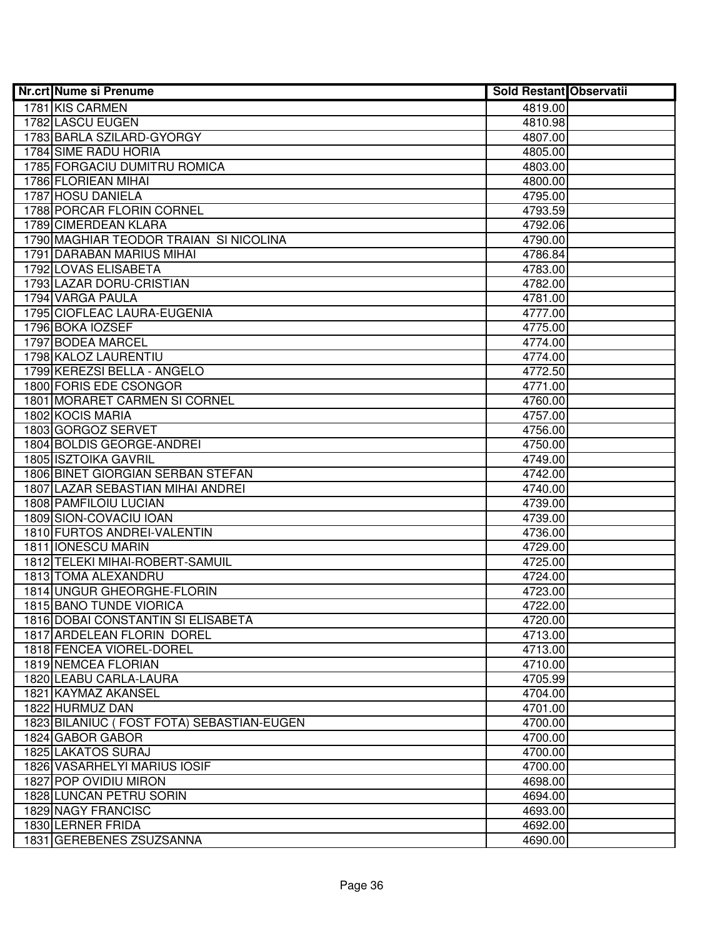| <b>Nr.crt Nume si Prenume</b>             | <b>Sold Restant Observatii</b> |  |
|-------------------------------------------|--------------------------------|--|
| 1781 KIS CARMEN                           | 4819.00                        |  |
| 1782 LASCU EUGEN                          | 4810.98                        |  |
| 1783 BARLA SZILARD-GYORGY                 | 4807.00                        |  |
| 1784 SIME RADU HORIA                      | 4805.00                        |  |
| 1785 FORGACIU DUMITRU ROMICA              | 4803.00                        |  |
| 1786 FLORIEAN MIHAI                       | 4800.00                        |  |
| 1787 HOSU DANIELA                         | 4795.00                        |  |
| 1788 PORCAR FLORIN CORNEL                 | 4793.59                        |  |
| 1789 CIMERDEAN KLARA                      | 4792.06                        |  |
| 1790 MAGHIAR TEODOR TRAIAN SI NICOLINA    | 4790.00                        |  |
| 1791 DARABAN MARIUS MIHAI                 | 4786.84                        |  |
| 1792 LOVAS ELISABETA                      | 4783.00                        |  |
| 1793 LAZAR DORU-CRISTIAN                  | 4782.00                        |  |
| 1794 VARGA PAULA                          | 4781.00                        |  |
| 1795 CIOFLEAC LAURA-EUGENIA               | 4777.00                        |  |
| 1796 BOKA IOZSEF                          | 4775.00                        |  |
| 1797 BODEA MARCEL                         | 4774.00                        |  |
| 1798 KALOZ LAURENTIU                      | 4774.00                        |  |
| 1799 KEREZSI BELLA - ANGELO               | 4772.50                        |  |
| 1800 FORIS EDE CSONGOR                    | 4771.00                        |  |
| 1801 MORARET CARMEN SI CORNEL             | 4760.00                        |  |
| 1802 KOCIS MARIA                          | 4757.00                        |  |
| 1803 GORGOZ SERVET                        | 4756.00                        |  |
| 1804 BOLDIS GEORGE-ANDREI                 | 4750.00                        |  |
| <b>1805 ISZTOIKA GAVRIL</b>               | 4749.00                        |  |
| 1806 BINET GIORGIAN SERBAN STEFAN         | 4742.00                        |  |
| 1807 LAZAR SEBASTIAN MIHAI ANDREI         | 4740.00                        |  |
| 1808 PAMFILOIU LUCIAN                     | 4739.00                        |  |
| 1809 SION-COVACIU IOAN                    | 4739.00                        |  |
| 1810 FURTOS ANDREI-VALENTIN               | 4736.00                        |  |
| 1811 IONESCU MARIN                        | 4729.00                        |  |
| 1812 TELEKI MIHAI-ROBERT-SAMUIL           | 4725.00                        |  |
| 1813 TOMA ALEXANDRU                       | 4724.00                        |  |
| 1814 UNGUR GHEORGHE-FLORIN                | 4723.00                        |  |
| 1815 BANO TUNDE VIORICA                   | 4722.00                        |  |
| 1816 DOBAI CONSTANTIN SI ELISABETA        | 4720.00                        |  |
| 1817 ARDELEAN FLORIN DOREL                | 4713.00                        |  |
| 1818 FENCEA VIOREL-DOREL                  | 4713.00                        |  |
| 1819 NEMCEA FLORIAN                       | 4710.00                        |  |
| 1820 LEABU CARLA-LAURA                    | 4705.99                        |  |
| 1821 KAYMAZ AKANSEL                       | 4704.00                        |  |
| 1822 HURMUZ DAN                           | 4701.00                        |  |
| 1823 BILANIUC (FOST FOTA) SEBASTIAN-EUGEN | 4700.00                        |  |
| 1824 GABOR GABOR                          | 4700.00                        |  |
| 1825 LAKATOS SURAJ                        | 4700.00                        |  |
| 1826 VASARHELYI MARIUS IOSIF              | 4700.00                        |  |
| 1827 POP OVIDIU MIRON                     | 4698.00                        |  |
| 1828 LUNCAN PETRU SORIN                   | 4694.00                        |  |
| 1829 NAGY FRANCISC                        | 4693.00                        |  |
| 1830 LERNER FRIDA                         | 4692.00                        |  |
| 1831 GEREBENES ZSUZSANNA                  | 4690.00                        |  |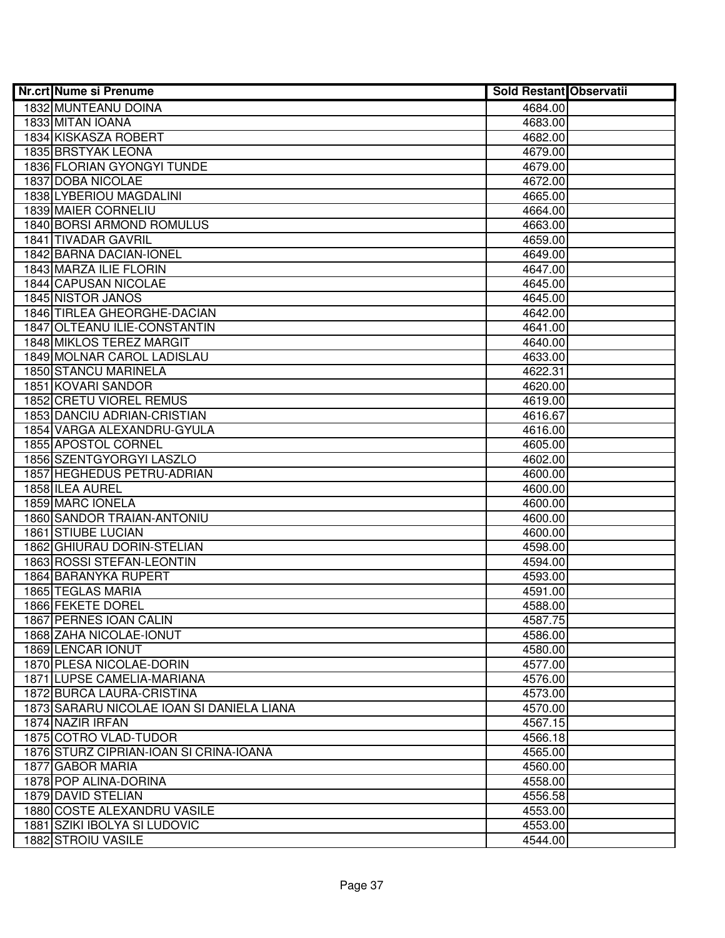| <b>Nr.crt Nume si Prenume</b>             | <b>Sold Restant Observatii</b> |  |
|-------------------------------------------|--------------------------------|--|
| 1832 MUNTEANU DOINA                       | 4684.00                        |  |
| 1833 MITAN IOANA                          | 4683.00                        |  |
| 1834 KISKASZA ROBERT                      | 4682.00                        |  |
| 1835 BRSTYAK LEONA                        | 4679.00                        |  |
| 1836 FLORIAN GYONGYI TUNDE                | 4679.00                        |  |
| 1837 DOBA NICOLAE                         | 4672.00                        |  |
| 1838 LYBERIOU MAGDALINI                   | 4665.00                        |  |
| 1839 MAIER CORNELIU                       | 4664.00                        |  |
| <b>1840 BORSI ARMOND ROMULUS</b>          | 4663.00                        |  |
| 1841 TIVADAR GAVRIL                       | 4659.00                        |  |
| 1842 BARNA DACIAN-IONEL                   | 4649.00                        |  |
| 1843 MARZA ILIE FLORIN                    | 4647.00                        |  |
| 1844 CAPUSAN NICOLAE                      | 4645.00                        |  |
| 1845 NISTOR JANOS                         | 4645.00                        |  |
| 1846 TIRLEA GHEORGHE-DACIAN               | 4642.00                        |  |
| 1847 OLTEANU ILIE-CONSTANTIN              | 4641.00                        |  |
| 1848 MIKLOS TEREZ MARGIT                  | 4640.00                        |  |
| 1849 MOLNAR CAROL LADISLAU                | 4633.00                        |  |
| 1850 STANCU MARINELA                      | 4622.31                        |  |
| 1851 KOVARI SANDOR                        | 4620.00                        |  |
| 1852 CRETU VIOREL REMUS                   | 4619.00                        |  |
| 1853 DANCIU ADRIAN-CRISTIAN               | 4616.67                        |  |
| 1854 VARGA ALEXANDRU-GYULA                | 4616.00                        |  |
| 1855 APOSTOL CORNEL                       | 4605.00                        |  |
| 1856 SZENTGYORGYI LASZLO                  | 4602.00                        |  |
| 1857 HEGHEDUS PETRU-ADRIAN                | 4600.00                        |  |
| 1858 ILEA AUREL                           | 4600.00                        |  |
| 1859 MARC IONELA                          | 4600.00                        |  |
| 1860 SANDOR TRAIAN-ANTONIU                | 4600.00                        |  |
| 1861 STIUBE LUCIAN                        | 4600.00                        |  |
| 1862 GHIURAU DORIN-STELIAN                | 4598.00                        |  |
| 1863 ROSSI STEFAN-LEONTIN                 | 4594.00                        |  |
| 1864 BARANYKA RUPERT                      | 4593.00                        |  |
| 1865 TEGLAS MARIA                         | 4591.00                        |  |
| 1866 FEKETE DOREL                         | 4588.00                        |  |
| 1867 PERNES IOAN CALIN                    | 4587.75                        |  |
| 1868 ZAHA NICOLAE-IONUT                   | 4586.00                        |  |
| 1869 LENCAR IONUT                         | 4580.00                        |  |
| 1870 PLESA NICOLAE-DORIN                  | 4577.00                        |  |
| 1871 LUPSE CAMELIA-MARIANA                | 4576.00                        |  |
| 1872 BURCA LAURA-CRISTINA                 | 4573.00                        |  |
| 1873 SARARU NICOLAE IOAN SI DANIELA LIANA | 4570.00                        |  |
| 1874 NAZIR IRFAN                          | 4567.15                        |  |
| 1875 COTRO VLAD-TUDOR                     | 4566.18                        |  |
| 1876 STURZ CIPRIAN-IOAN SI CRINA-IOANA    | 4565.00                        |  |
| 1877 GABOR MARIA                          | 4560.00                        |  |
| 1878 POP ALINA-DORINA                     | 4558.00                        |  |
| 1879 DAVID STELIAN                        | 4556.58                        |  |
| 1880 COSTE ALEXANDRU VASILE               | 4553.00                        |  |
| 1881 SZIKI IBOLYA SI LUDOVIC              | 4553.00                        |  |
| 1882 STROIU VASILE                        | 4544.00                        |  |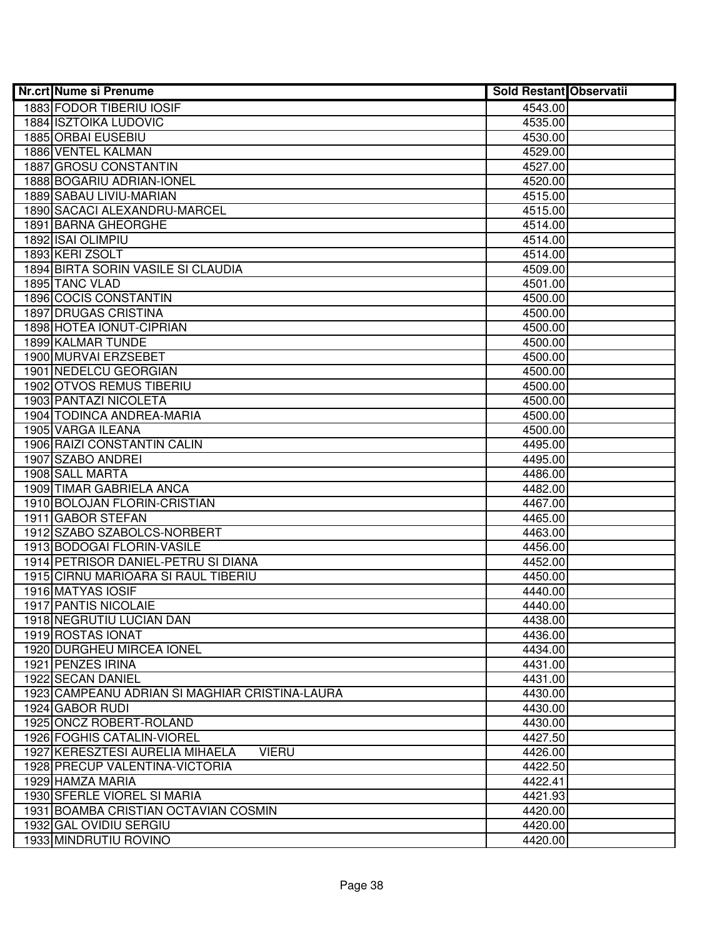| <b>Nr.crt Nume si Prenume</b>                   | <b>Sold Restant Observatii</b> |  |
|-------------------------------------------------|--------------------------------|--|
| <b>1883 FODOR TIBERIU IOSIF</b>                 | 4543.00                        |  |
| <b>1884 ISZTOIKA LUDOVIC</b>                    | 4535.00                        |  |
| 1885 ORBAI EUSEBIU                              | 4530.00                        |  |
| 1886 VENTEL KALMAN                              | 4529.00                        |  |
| 1887 GROSU CONSTANTIN                           | 4527.00                        |  |
| 1888 BOGARIU ADRIAN-IONEL                       | 4520.00                        |  |
| 1889 SABAU LIVIU-MARIAN                         | 4515.00                        |  |
| 1890 SACACI ALEXANDRU-MARCEL                    | 4515.00                        |  |
| 1891 BARNA GHEORGHE                             | 4514.00                        |  |
| 1892 ISAI OLIMPIU                               | 4514.00                        |  |
| 1893 KERI ZSOLT                                 | 4514.00                        |  |
| 1894 BIRTA SORIN VASILE SI CLAUDIA              | 4509.00                        |  |
| 1895 TANC VLAD                                  | 4501.00                        |  |
| 1896 COCIS CONSTANTIN                           | 4500.00                        |  |
| 1897 DRUGAS CRISTINA                            | 4500.00                        |  |
| 1898 HOTEA IONUT-CIPRIAN                        | 4500.00                        |  |
| 1899 KALMAR TUNDE                               | 4500.00                        |  |
| 1900 MURVAI ERZSEBET                            | 4500.00                        |  |
| 1901 NEDELCU GEORGIAN                           | 4500.00                        |  |
| <b>1902 OTVOS REMUS TIBERIU</b>                 | 4500.00                        |  |
| 1903 PANTAZI NICOLETA                           | 4500.00                        |  |
| 1904 TODINCA ANDREA-MARIA                       | 4500.00                        |  |
| 1905 VARGA ILEANA                               | 4500.00                        |  |
| 1906 RAIZI CONSTANTIN CALIN                     | 4495.00                        |  |
| 1907 SZABO ANDREI                               | 4495.00                        |  |
| 1908 SALL MARTA                                 | 4486.00                        |  |
| 1909 TIMAR GABRIELA ANCA                        | 4482.00                        |  |
| 1910 BOLOJAN FLORIN-CRISTIAN                    | 4467.00                        |  |
| 1911 GABOR STEFAN                               | 4465.00                        |  |
| 1912 SZABO SZABOLCS-NORBERT                     | 4463.00                        |  |
| 1913 BODOGAI FLORIN-VASILE                      | 4456.00                        |  |
| 1914 PETRISOR DANIEL-PETRU SI DIANA             | 4452.00                        |  |
| 1915 CIRNU MARIOARA SI RAUL TIBERIU             | 4450.00                        |  |
| 1916 MATYAS IOSIF                               | 4440.00                        |  |
| 1917 PANTIS NICOLAIE                            | 4440.00                        |  |
| 1918 NEGRUTIU LUCIAN DAN                        | 4438.00                        |  |
| 1919 ROSTAS IONAT                               | 4436.00                        |  |
| 1920 DURGHEU MIRCEA IONEL                       | 4434.00                        |  |
| 1921 PENZES IRINA                               | 4431.00                        |  |
| 1922 SECAN DANIEL                               | 4431.00                        |  |
| 1923 CAMPEANU ADRIAN SI MAGHIAR CRISTINA-LAURA  | 4430.00                        |  |
| 1924 GABOR RUDI                                 | 4430.00                        |  |
| 1925 ONCZ ROBERT-ROLAND                         | 4430.00                        |  |
| 1926 FOGHIS CATALIN-VIOREL                      | 4427.50                        |  |
| 1927 KERESZTESI AURELIA MIHAELA<br><b>VIERU</b> | 4426.00                        |  |
| 1928 PRECUP VALENTINA-VICTORIA                  | 4422.50                        |  |
| 1929 HAMZA MARIA                                | 4422.41                        |  |
| 1930 SFERLE VIOREL SI MARIA                     | 4421.93                        |  |
| 1931 BOAMBA CRISTIAN OCTAVIAN COSMIN            | 4420.00                        |  |
| 1932 GAL OVIDIU SERGIU                          | 4420.00                        |  |
| 1933 MINDRUTIU ROVINO                           | 4420.00                        |  |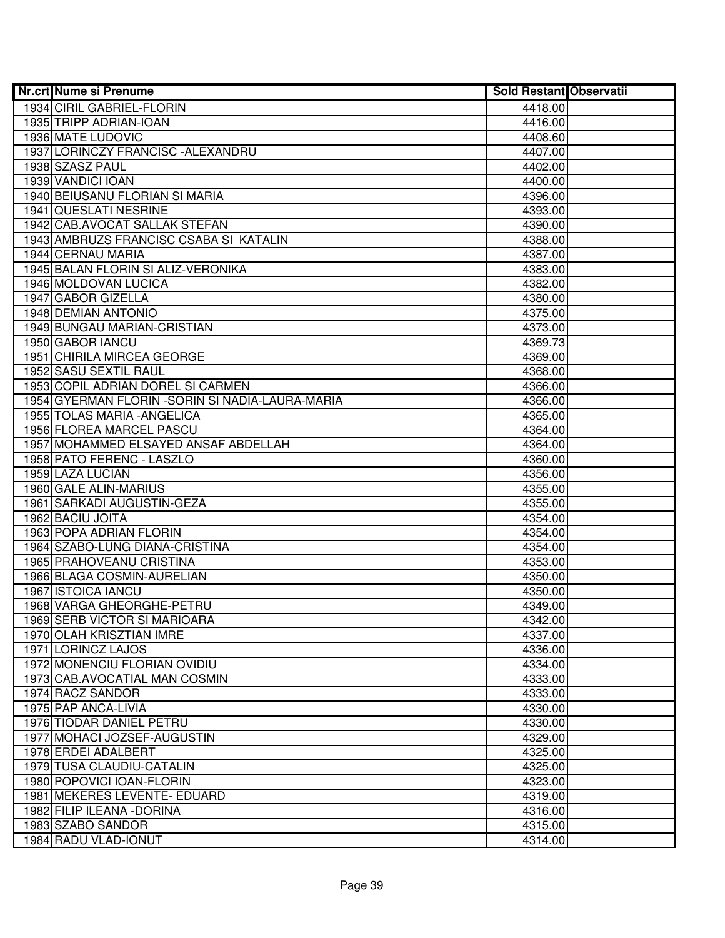| <b>Nr.crt Nume si Prenume</b>                    | <b>Sold Restant Observatii</b> |  |
|--------------------------------------------------|--------------------------------|--|
| 1934 CIRIL GABRIEL-FLORIN                        | 4418.00                        |  |
| 1935 TRIPP ADRIAN-IOAN                           | 4416.00                        |  |
| 1936 MATE LUDOVIC                                | 4408.60                        |  |
| 1937 LORINCZY FRANCISC - ALEXANDRU               | 4407.00                        |  |
| 1938 SZASZ PAUL                                  | 4402.00                        |  |
| 1939 VANDICI IOAN                                | 4400.00                        |  |
| 1940 BEIUSANU FLORIAN SI MARIA                   | 4396.00                        |  |
| 1941 QUESLATI NESRINE                            | 4393.00                        |  |
| 1942 CAB.AVOCAT SALLAK STEFAN                    | 4390.00                        |  |
| 1943 AMBRUZS FRANCISC CSABA SI KATALIN           | 4388.00                        |  |
| 1944 CERNAU MARIA                                | 4387.00                        |  |
| 1945 BALAN FLORIN SI ALIZ-VERONIKA               | 4383.00                        |  |
| 1946 MOLDOVAN LUCICA                             | 4382.00                        |  |
| 1947 GABOR GIZELLA                               | 4380.00                        |  |
| 1948 DEMIAN ANTONIO                              | 4375.00                        |  |
| 1949 BUNGAU MARIAN-CRISTIAN                      | 4373.00                        |  |
| 1950 GABOR IANCU                                 | 4369.73                        |  |
| 1951 CHIRILA MIRCEA GEORGE                       | 4369.00                        |  |
| 1952 SASU SEXTIL RAUL                            | 4368.00                        |  |
| 1953 COPIL ADRIAN DOREL SI CARMEN                | 4366.00                        |  |
| 1954 GYERMAN FLORIN - SORIN SI NADIA-LAURA-MARIA | 4366.00                        |  |
| 1955 TOLAS MARIA - ANGELICA                      | 4365.00                        |  |
| 1956 FLOREA MARCEL PASCU                         | 4364.00                        |  |
| 1957 MOHAMMED ELSAYED ANSAF ABDELLAH             | 4364.00                        |  |
| 1958 PATO FERENC - LASZLO                        | 4360.00                        |  |
| 1959 LAZA LUCIAN                                 | 4356.00                        |  |
| 1960 GALE ALIN-MARIUS                            | 4355.00                        |  |
| 1961 SARKADI AUGUSTIN-GEZA                       | 4355.00                        |  |
| 1962 BACIU JOITA                                 | 4354.00                        |  |
| 1963 POPA ADRIAN FLORIN                          | 4354.00                        |  |
| 1964 SZABO-LUNG DIANA-CRISTINA                   | 4354.00                        |  |
| 1965 PRAHOVEANU CRISTINA                         | 4353.00                        |  |
| 1966 BLAGA COSMIN-AURELIAN                       | 4350.00                        |  |
| 1967 ISTOICA IANCU                               | 4350.00                        |  |
| 1968 VARGA GHEORGHE-PETRU                        | 4349.00                        |  |
| 1969 SERB VICTOR SI MARIOARA                     | 4342.00                        |  |
| 1970 OLAH KRISZTIAN IMRE                         | 4337.00                        |  |
| 1971 LORINCZ LAJOS                               | 4336.00                        |  |
| 1972 MONENCIU FLORIAN OVIDIU                     | 4334.00                        |  |
| 1973 CAB.AVOCATIAL MAN COSMIN                    | 4333.00                        |  |
| 1974 RACZ SANDOR                                 | 4333.00                        |  |
| 1975 PAP ANCA-LIVIA                              | 4330.00                        |  |
| 1976 TIODAR DANIEL PETRU                         | 4330.00                        |  |
| 1977 MOHACI JOZSEF-AUGUSTIN                      | 4329.00                        |  |
| 1978 ERDEI ADALBERT                              | 4325.00                        |  |
| 1979 TUSA CLAUDIU-CATALIN                        | 4325.00                        |  |
| 1980 POPOVICI IOAN-FLORIN                        | 4323.00                        |  |
| 1981 MEKERES LEVENTE- EDUARD                     | 4319.00                        |  |
| 1982 FILIP ILEANA - DORINA                       | 4316.00                        |  |
| 1983 SZABO SANDOR                                | 4315.00                        |  |
| 1984 RADU VLAD-IONUT                             | 4314.00                        |  |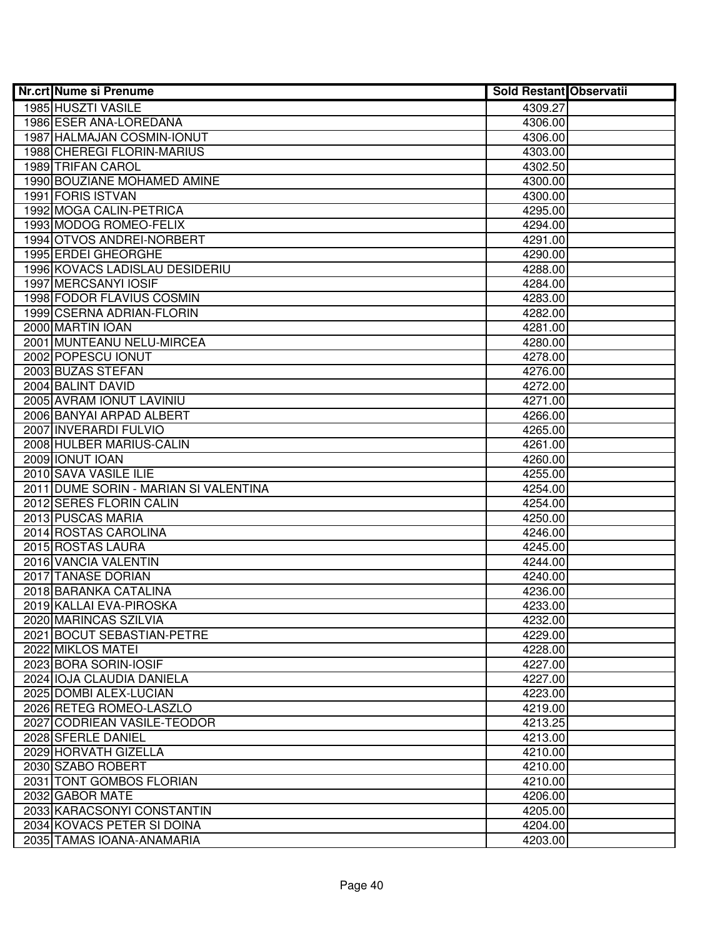| <b>Nr.crt Nume si Prenume</b>         | <b>Sold Restant Observatii</b> |  |
|---------------------------------------|--------------------------------|--|
| 1985 HUSZTI VASILE                    | 4309.27                        |  |
| 1986 ESER ANA-LOREDANA                | 4306.00                        |  |
| 1987 HALMAJAN COSMIN-IONUT            | 4306.00                        |  |
| 1988 CHEREGI FLORIN-MARIUS            | 4303.00                        |  |
| 1989 TRIFAN CAROL                     | 4302.50                        |  |
| 1990 BOUZIANE MOHAMED AMINE           | 4300.00                        |  |
| 1991 FORIS ISTVAN                     | 4300.00                        |  |
| 1992 MOGA CALIN-PETRICA               | 4295.00                        |  |
| 1993 MODOG ROMEO-FELIX                | 4294.00                        |  |
| 1994 OTVOS ANDREI-NORBERT             | 4291.00                        |  |
| 1995 ERDEI GHEORGHE                   | 4290.00                        |  |
| 1996 KOVACS LADISLAU DESIDERIU        | 4288.00                        |  |
| 1997 MERCSANYI IOSIF                  | 4284.00                        |  |
| 1998 FODOR FLAVIUS COSMIN             | 4283.00                        |  |
| 1999 CSERNA ADRIAN-FLORIN             | 4282.00                        |  |
| 2000 MARTIN IOAN                      | 4281.00                        |  |
| 2001 MUNTEANU NELU-MIRCEA             | 4280.00                        |  |
| 2002 POPESCU IONUT                    | 4278.00                        |  |
| 2003 BUZAS STEFAN                     | 4276.00                        |  |
| 2004 BALINT DAVID                     | 4272.00                        |  |
| 2005 AVRAM IONUT LAVINIU              | 4271.00                        |  |
| 2006 BANYAI ARPAD ALBERT              | 4266.00                        |  |
| 2007 INVERARDI FULVIO                 | 4265.00                        |  |
| 2008 HULBER MARIUS-CALIN              | 4261.00                        |  |
| 2009 IONUT IOAN                       | 4260.00                        |  |
| 2010 SAVA VASILE ILIE                 | 4255.00                        |  |
| 2011 DUME SORIN - MARIAN SI VALENTINA | 4254.00                        |  |
| 2012 SERES FLORIN CALIN               | 4254.00                        |  |
| 2013 PUSCAS MARIA                     | 4250.00                        |  |
| 2014 ROSTAS CAROLINA                  | 4246.00                        |  |
| 2015 ROSTAS LAURA                     | 4245.00                        |  |
| 2016 VANCIA VALENTIN                  | 4244.00                        |  |
| 2017 TANASE DORIAN                    | 4240.00                        |  |
| 2018 BARANKA CATALINA                 | 4236.00                        |  |
| 2019 KALLAI EVA-PIROSKA               | 4233.00                        |  |
| 2020 MARINCAS SZILVIA                 | 4232.00                        |  |
| 2021 BOCUT SEBASTIAN-PETRE            | 4229.00                        |  |
| 2022 MIKLOS MATEI                     | 4228.00                        |  |
| 2023 BORA SORIN-IOSIF                 | 4227.00                        |  |
| 2024 IOJA CLAUDIA DANIELA             | 4227.00                        |  |
| 2025 DOMBI ALEX-LUCIAN                | 4223.00                        |  |
| 2026 RETEG ROMEO-LASZLO               | 4219.00                        |  |
| 2027 CODRIEAN VASILE-TEODOR           | 4213.25                        |  |
| 2028 SFERLE DANIEL                    | 4213.00                        |  |
| 2029 HORVATH GIZELLA                  | 4210.00                        |  |
| 2030 SZABO ROBERT                     | 4210.00                        |  |
| 2031 TONT GOMBOS FLORIAN              | 4210.00                        |  |
| 2032 GABOR MATE                       | 4206.00                        |  |
| 2033 KARACSONYI CONSTANTIN            | 4205.00                        |  |
| 2034 KOVACS PETER SI DOINA            | 4204.00                        |  |
| 2035 TAMAS IOANA-ANAMARIA             | 4203.00                        |  |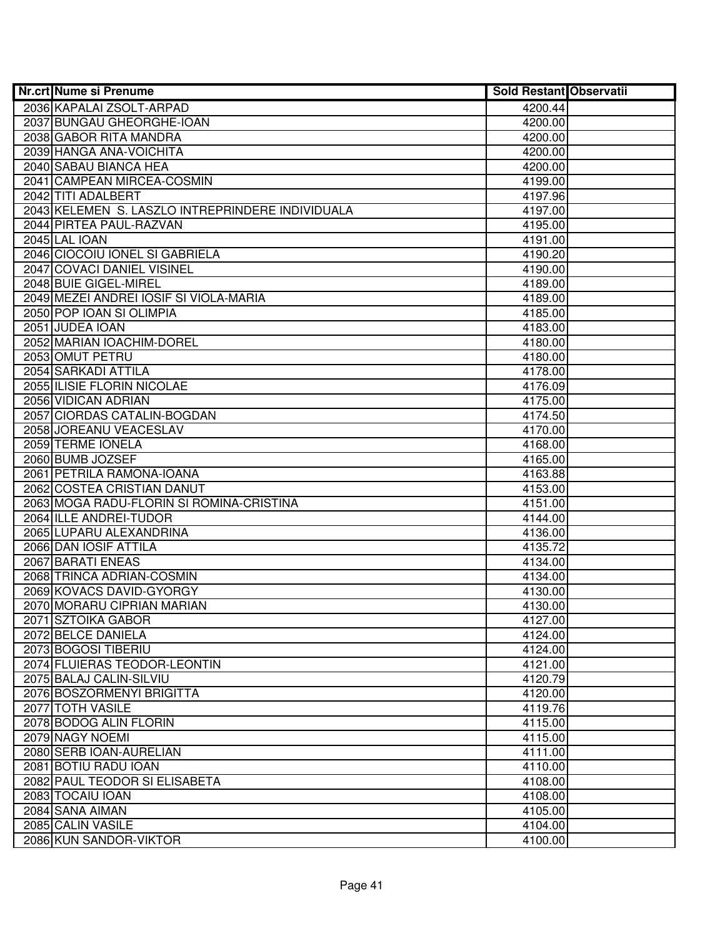| <b>Nr.crt Nume si Prenume</b>                    | <b>Sold Restant Observatii</b> |  |
|--------------------------------------------------|--------------------------------|--|
| 2036 KAPALAI ZSOLT-ARPAD                         | 4200.44                        |  |
| 2037 BUNGAU GHEORGHE-IOAN                        | 4200.00                        |  |
| 2038 GABOR RITA MANDRA                           | 4200.00                        |  |
| 2039 HANGA ANA-VOICHITA                          | 4200.00                        |  |
| 2040 SABAU BIANCA HEA                            | 4200.00                        |  |
| 2041 CAMPEAN MIRCEA-COSMIN                       | 4199.00                        |  |
| 2042 TITI ADALBERT                               | 4197.96                        |  |
| 2043 KELEMEN S. LASZLO INTREPRINDERE INDIVIDUALA | 4197.00                        |  |
| 2044 PIRTEA PAUL-RAZVAN                          | 4195.00                        |  |
| 2045 LAL IOAN                                    | 4191.00                        |  |
| 2046 CIOCOIU IONEL SI GABRIELA                   | 4190.20                        |  |
| 2047 COVACI DANIEL VISINEL                       | 4190.00                        |  |
| 2048 BUIE GIGEL-MIREL                            | 4189.00                        |  |
| 2049 MEZEI ANDREI IOSIF SI VIOLA-MARIA           | 4189.00                        |  |
| 2050 POP IOAN SI OLIMPIA                         | 4185.00                        |  |
| 2051 JUDEA IOAN                                  | 4183.00                        |  |
| 2052 MARIAN IOACHIM-DOREL                        | 4180.00                        |  |
| 2053 OMUT PETRU                                  | 4180.00                        |  |
| 2054 SARKADI ATTILA                              | 4178.00                        |  |
| 2055 ILISIE FLORIN NICOLAE                       | 4176.09                        |  |
| 2056 VIDICAN ADRIAN                              | 4175.00                        |  |
| 2057 CIORDAS CATALIN-BOGDAN                      | 4174.50                        |  |
| 2058 JOREANU VEACESLAV                           | 4170.00                        |  |
| 2059 TERME IONELA                                | 4168.00                        |  |
| 2060 BUMB JOZSEF                                 | 4165.00                        |  |
| 2061 PETRILA RAMONA-IOANA                        | 4163.88                        |  |
| 2062 COSTEA CRISTIAN DANUT                       | 4153.00                        |  |
| 2063 MOGA RADU-FLORIN SI ROMINA-CRISTINA         | 4151.00                        |  |
| 2064 ILLE ANDREI-TUDOR                           | 4144.00                        |  |
| 2065 LUPARU ALEXANDRINA                          | 4136.00                        |  |
| 2066 DAN IOSIF ATTILA                            | 4135.72                        |  |
| 2067 BARATI ENEAS                                | 4134.00                        |  |
| 2068 TRINCA ADRIAN-COSMIN                        | 4134.00                        |  |
| 2069 KOVACS DAVID-GYORGY                         | 4130.00                        |  |
| 2070 MORARU CIPRIAN MARIAN                       | 4130.00                        |  |
| 2071 SZTOIKA GABOR                               | 4127.00                        |  |
| 2072 BELCE DANIELA                               | 4124.00                        |  |
| 2073 BOGOSI TIBERIU                              | 4124.00                        |  |
| 2074 FLUIERAS TEODOR-LEONTIN                     | 4121.00                        |  |
| 2075 BALAJ CALIN-SILVIU                          | 4120.79                        |  |
| 2076 BOSZORMENYI BRIGITTA                        | 4120.00                        |  |
| 2077 TOTH VASILE                                 | 4119.76                        |  |
| 2078 BODOG ALIN FLORIN                           | 4115.00                        |  |
| 2079 NAGY NOEMI                                  | 4115.00                        |  |
| 2080 SERB IOAN-AURELIAN                          | 4111.00                        |  |
| 2081 BOTIU RADU IOAN                             | 4110.00                        |  |
| 2082 PAUL TEODOR SI ELISABETA                    | 4108.00                        |  |
| 2083 TOCAIU IOAN                                 | 4108.00                        |  |
| 2084 SANA AIMAN                                  | 4105.00                        |  |
| 2085 CALIN VASILE                                | 4104.00                        |  |
| 2086 KUN SANDOR-VIKTOR                           | 4100.00                        |  |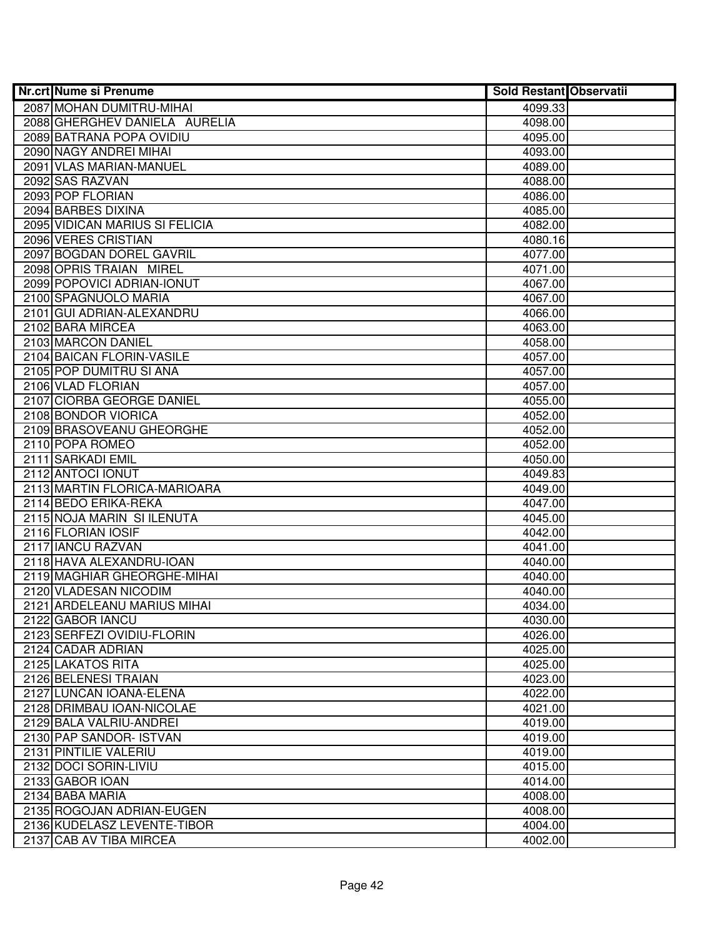| <b>Nr.crt Nume si Prenume</b>                   | <b>Sold Restant Observatii</b> |  |
|-------------------------------------------------|--------------------------------|--|
| 2087 MOHAN DUMITRU-MIHAI                        | 4099.33                        |  |
| 2088 GHERGHEV DANIELA AURELIA                   | 4098.00                        |  |
| 2089 BATRANA POPA OVIDIU                        | 4095.00                        |  |
| 2090 NAGY ANDREI MIHAI                          | 4093.00                        |  |
| 2091 VLAS MARIAN-MANUEL                         | 4089.00                        |  |
| 2092 SAS RAZVAN                                 | 4088.00                        |  |
| 2093 POP FLORIAN                                | 4086.00                        |  |
| 2094 BARBES DIXINA                              | 4085.00                        |  |
| 2095 VIDICAN MARIUS SI FELICIA                  | 4082.00                        |  |
| 2096 VERES CRISTIAN                             | 4080.16                        |  |
| 2097 BOGDAN DOREL GAVRIL                        | 4077.00                        |  |
| 2098 OPRIS TRAIAN MIREL                         | 4071.00                        |  |
| 2099 POPOVICI ADRIAN-IONUT                      | 4067.00                        |  |
| 2100 SPAGNUOLO MARIA                            | 4067.00                        |  |
| 2101 GUI ADRIAN-ALEXANDRU                       | 4066.00                        |  |
| 2102 BARA MIRCEA                                | 4063.00                        |  |
| 2103 MARCON DANIEL                              | 4058.00                        |  |
| 2104 BAICAN FLORIN-VASILE                       | 4057.00                        |  |
| 2105 POP DUMITRU SI ANA                         | 4057.00                        |  |
| 2106 VLAD FLORIAN                               | 4057.00                        |  |
| 2107 CIORBA GEORGE DANIEL                       | 4055.00                        |  |
| 2108 BONDOR VIORICA                             | 4052.00                        |  |
| 2109 BRASOVEANU GHEORGHE                        | 4052.00                        |  |
| 2110 POPA ROMEO                                 | 4052.00                        |  |
| 2111 SARKADI EMIL                               | 4050.00                        |  |
| 2112 ANTOCI IONUT                               | 4049.83                        |  |
| 2113 MARTIN FLORICA-MARIOARA                    | 4049.00                        |  |
| 2114 BEDO ERIKA-REKA                            | 4047.00                        |  |
| 2115 NOJA MARIN SI ILENUTA                      | 4045.00                        |  |
| 2116 FLORIAN IOSIF                              | 4042.00                        |  |
| 2117 IANCU RAZVAN                               | 4041.00                        |  |
| 2118 HAVA ALEXANDRU-IOAN                        | 4040.00                        |  |
| 2119 MAGHIAR GHEORGHE-MIHAI                     | 4040.00                        |  |
| 2120 VLADESAN NICODIM                           | 4040.00                        |  |
| 2121 ARDELEANU MARIUS MIHAI                     | 4034.00                        |  |
| 2122 GABOR IANCU                                | 4030.00                        |  |
| 2123 SERFEZI OVIDIU-FLORIN<br>2124 CADAR ADRIAN | 4026.00                        |  |
|                                                 | 4025.00                        |  |
| 2125 LAKATOS RITA<br>2126 BELENESI TRAIAN       | 4025.00                        |  |
| 2127 LUNCAN IOANA-ELENA                         | 4023.00                        |  |
| 2128 DRIMBAU IOAN-NICOLAE                       | 4022.00                        |  |
| 2129 BALA VALRIU-ANDREI                         | 4021.00<br>4019.00             |  |
| 2130 PAP SANDOR- ISTVAN                         | 4019.00                        |  |
| 2131 PINTILIE VALERIU                           | 4019.00                        |  |
| 2132 DOCI SORIN-LIVIU                           | 4015.00                        |  |
| 2133 GABOR IOAN                                 | 4014.00                        |  |
| 2134 BABA MARIA                                 | 4008.00                        |  |
| 2135 ROGOJAN ADRIAN-EUGEN                       | 4008.00                        |  |
| 2136 KUDELASZ LEVENTE-TIBOR                     | 4004.00                        |  |
| 2137 CAB AV TIBA MIRCEA                         | 4002.00                        |  |
|                                                 |                                |  |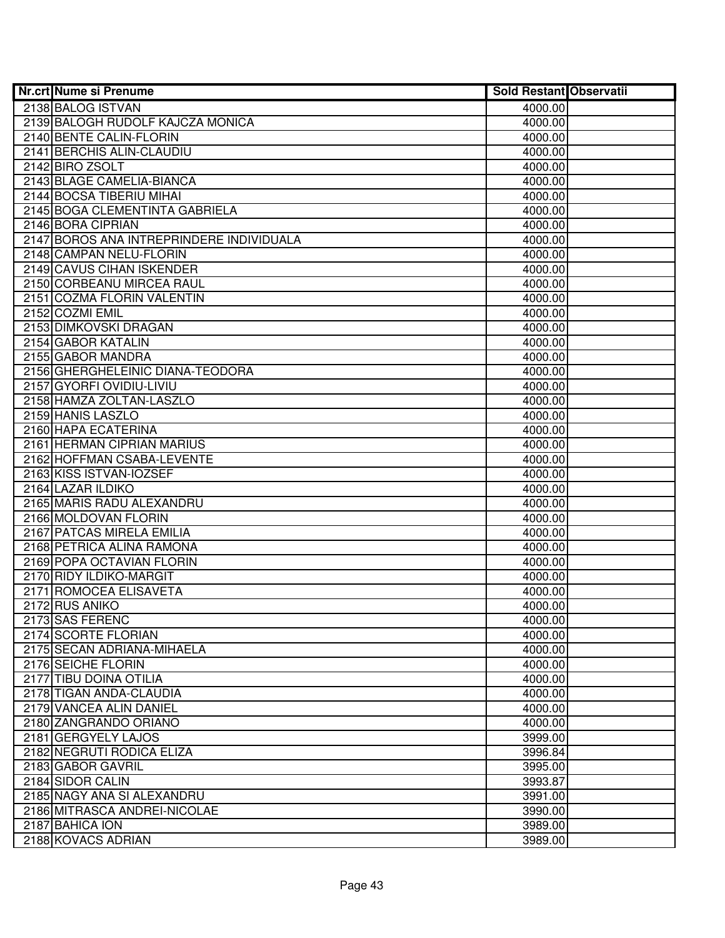| <b>Nr.crt Nume si Prenume</b>            | <b>Sold Restant Observatii</b> |  |
|------------------------------------------|--------------------------------|--|
| 2138 BALOG ISTVAN                        | 4000.00                        |  |
| 2139 BALOGH RUDOLF KAJCZA MONICA         | 4000.00                        |  |
| 2140 BENTE CALIN-FLORIN                  | 4000.00                        |  |
| 2141 BERCHIS ALIN-CLAUDIU                | 4000.00                        |  |
| 2142 BIRO ZSOLT                          | 4000.00                        |  |
| 2143 BLAGE CAMELIA-BIANCA                | 4000.00                        |  |
| 2144 BOCSA TIBERIU MIHAI                 | 4000.00                        |  |
| 2145 BOGA CLEMENTINTA GABRIELA           | 4000.00                        |  |
| 2146 BORA CIPRIAN                        | 4000.00                        |  |
| 2147 BOROS ANA INTREPRINDERE INDIVIDUALA | 4000.00                        |  |
| 2148 CAMPAN NELU-FLORIN                  | 4000.00                        |  |
| 2149 CAVUS CIHAN ISKENDER                | 4000.00                        |  |
| 2150 CORBEANU MIRCEA RAUL                | 4000.00                        |  |
| 2151 COZMA FLORIN VALENTIN               | 4000.00                        |  |
| 2152 COZMI EMIL                          | 4000.00                        |  |
| 2153 DIMKOVSKI DRAGAN                    | 4000.00                        |  |
| 2154 GABOR KATALIN                       | 4000.00                        |  |
| 2155 GABOR MANDRA                        | 4000.00                        |  |
| 2156 GHERGHELEINIC DIANA-TEODORA         | 4000.00                        |  |
| 2157 GYORFI OVIDIU-LIVIU                 | 4000.00                        |  |
| 2158 HAMZA ZOLTAN-LASZLO                 | 4000.00                        |  |
| 2159 HANIS LASZLO                        | 4000.00                        |  |
| 2160 HAPA ECATERINA                      | 4000.00                        |  |
| 2161 HERMAN CIPRIAN MARIUS               | 4000.00                        |  |
| 2162 HOFFMAN CSABA-LEVENTE               | 4000.00                        |  |
| 2163 KISS ISTVAN-IOZSEF                  | 4000.00                        |  |
| 2164 LAZAR ILDIKO                        | 4000.00                        |  |
| 2165 MARIS RADU ALEXANDRU                | 4000.00                        |  |
| 2166 MOLDOVAN FLORIN                     | 4000.00                        |  |
| 2167 PATCAS MIRELA EMILIA                | 4000.00                        |  |
| 2168 PETRICA ALINA RAMONA                | 4000.00                        |  |
| 2169 POPA OCTAVIAN FLORIN                | 4000.00                        |  |
| 2170 RIDY ILDIKO-MARGIT                  | 4000.00                        |  |
| 2171 ROMOCEA ELISAVETA<br>2172 RUS ANIKO | 4000.00                        |  |
| 2173 SAS FERENC                          | 4000.00<br>4000.00             |  |
| 2174 SCORTE FLORIAN                      | 4000.00                        |  |
| 2175 SECAN ADRIANA-MIHAELA               | 4000.00                        |  |
| 2176 SEICHE FLORIN                       | 4000.00                        |  |
| 2177 TIBU DOINA OTILIA                   | 4000.00                        |  |
| 2178 TIGAN ANDA-CLAUDIA                  | 4000.00                        |  |
| 2179 VANCEA ALIN DANIEL                  | 4000.00                        |  |
| 2180 ZANGRANDO ORIANO                    | 4000.00                        |  |
| 2181 GERGYELY LAJOS                      | 3999.00                        |  |
| 2182 NEGRUTI RODICA ELIZA                | 3996.84                        |  |
| 2183 GABOR GAVRIL                        | 3995.00                        |  |
| 2184 SIDOR CALIN                         | 3993.87                        |  |
| 2185 NAGY ANA SI ALEXANDRU               | 3991.00                        |  |
| 2186 MITRASCA ANDREI-NICOLAE             | 3990.00                        |  |
| 2187 BAHICA ION                          | 3989.00                        |  |
| 2188 KOVACS ADRIAN                       | 3989.00                        |  |
|                                          |                                |  |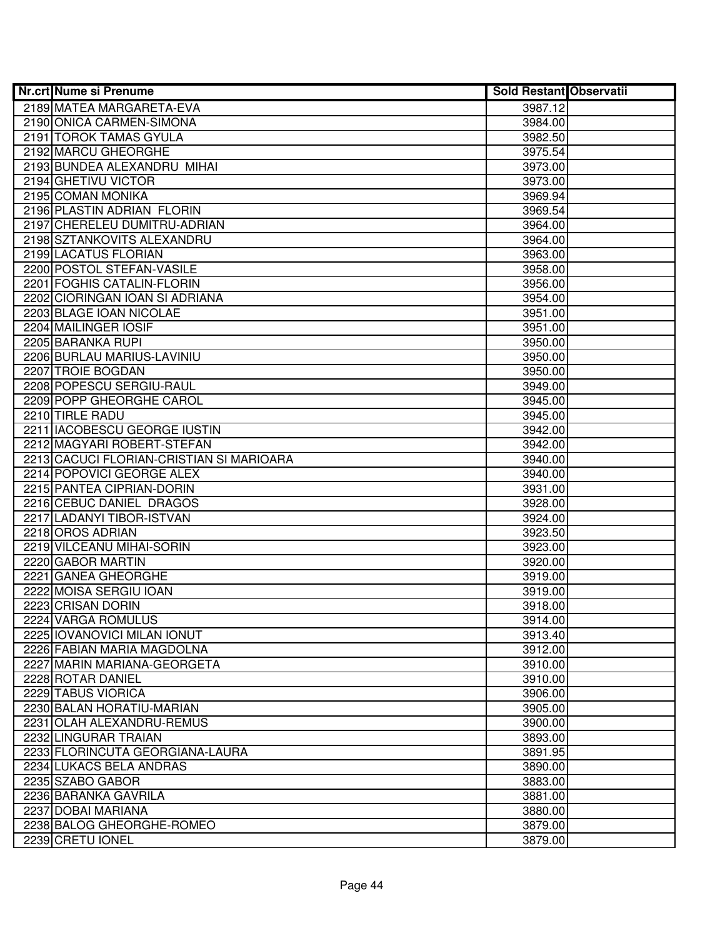| <b>Nr.crt Nume si Prenume</b>            | <b>Sold Restant Observatii</b> |  |
|------------------------------------------|--------------------------------|--|
| 2189 MATEA MARGARETA-EVA                 | 3987.12                        |  |
| 2190 ONICA CARMEN-SIMONA                 | 3984.00                        |  |
| 2191 TOROK TAMAS GYULA                   | 3982.50                        |  |
| 2192 MARCU GHEORGHE                      | 3975.54                        |  |
| 2193 BUNDEA ALEXANDRU MIHAI              | 3973.00                        |  |
| 2194 GHETIVU VICTOR                      | 3973.00                        |  |
| 2195 COMAN MONIKA                        | 3969.94                        |  |
| 2196 PLASTIN ADRIAN FLORIN               | 3969.54                        |  |
| 2197 CHERELEU DUMITRU-ADRIAN             | 3964.00                        |  |
| 2198 SZTANKOVITS ALEXANDRU               | 3964.00                        |  |
| 2199 LACATUS FLORIAN                     | 3963.00                        |  |
| 2200 POSTOL STEFAN-VASILE                | 3958.00                        |  |
| 2201 FOGHIS CATALIN-FLORIN               | 3956.00                        |  |
| 2202 CIORINGAN IOAN SI ADRIANA           | 3954.00                        |  |
| 2203 BLAGE IOAN NICOLAE                  | 3951.00                        |  |
| 2204 MAILINGER IOSIF                     | 3951.00                        |  |
| 2205 BARANKA RUPI                        | 3950.00                        |  |
| 2206 BURLAU MARIUS-LAVINIU               | 3950.00                        |  |
| 2207 TROIE BOGDAN                        | 3950.00                        |  |
| 2208 POPESCU SERGIU-RAUL                 | 3949.00                        |  |
| 2209 POPP GHEORGHE CAROL                 | 3945.00                        |  |
| 2210 TIRLE RADU                          | 3945.00                        |  |
| 2211 IACOBESCU GEORGE IUSTIN             | 3942.00                        |  |
| 2212 MAGYARI ROBERT-STEFAN               | 3942.00                        |  |
| 2213 CACUCI FLORIAN-CRISTIAN SI MARIOARA | 3940.00                        |  |
| 2214 POPOVICI GEORGE ALEX                | 3940.00                        |  |
| 2215 PANTEA CIPRIAN-DORIN                | 3931.00                        |  |
| 2216 CEBUC DANIEL DRAGOS                 | 3928.00                        |  |
| 2217 LADANYI TIBOR-ISTVAN                | 3924.00                        |  |
| 2218 OROS ADRIAN                         | 3923.50                        |  |
| 2219 VILCEANU MIHAI-SORIN                | 3923.00                        |  |
| 2220 GABOR MARTIN                        | 3920.00                        |  |
| 2221 GANEA GHEORGHE                      | 3919.00                        |  |
| 2222 MOISA SERGIU IOAN                   | 3919.00                        |  |
| 2223 CRISAN DORIN<br>2224 VARGA ROMULUS  | 3918.00                        |  |
| 2225 IOVANOVICI MILAN IONUT              | 3914.00<br>3913.40             |  |
| 2226 FABIAN MARIA MAGDOLNA               | 3912.00                        |  |
| 2227 MARIN MARIANA-GEORGETA              | 3910.00                        |  |
| 2228 ROTAR DANIEL                        | 3910.00                        |  |
| 2229 TABUS VIORICA                       | 3906.00                        |  |
| 2230 BALAN HORATIU-MARIAN                | 3905.00                        |  |
| 2231 OLAH ALEXANDRU-REMUS                | 3900.00                        |  |
| 2232 LINGURAR TRAIAN                     | 3893.00                        |  |
| 2233 FLORINCUTA GEORGIANA-LAURA          | 3891.95                        |  |
| 2234 LUKACS BELA ANDRAS                  | 3890.00                        |  |
| 2235 SZABO GABOR                         | 3883.00                        |  |
| 2236 BARANKA GAVRILA                     | 3881.00                        |  |
| 2237 DOBAI MARIANA                       | 3880.00                        |  |
| 2238 BALOG GHEORGHE-ROMEO                | 3879.00                        |  |
| 2239 CRETU IONEL                         | 3879.00                        |  |
|                                          |                                |  |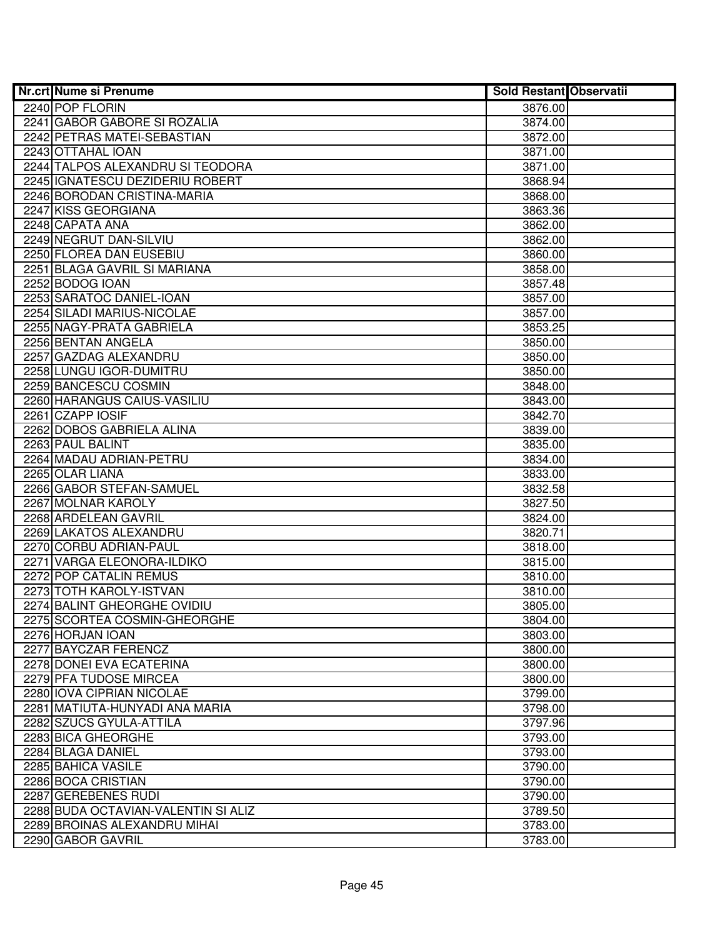| <b>Nr.crt Nume si Prenume</b>                             | <b>Sold Restant Observatii</b> |  |
|-----------------------------------------------------------|--------------------------------|--|
| 2240 POP FLORIN                                           | 3876.00                        |  |
| 2241 GABOR GABORE SI ROZALIA                              | 3874.00                        |  |
| 2242 PETRAS MATEI-SEBASTIAN                               | 3872.00                        |  |
| 2243 OTTAHAL IOAN                                         | 3871.00                        |  |
| 2244 TALPOS ALEXANDRU SI TEODORA                          | 3871.00                        |  |
| 2245 GNATESCU DEZIDERIU ROBERT                            | 3868.94                        |  |
| 2246 BORODAN CRISTINA-MARIA                               | 3868.00                        |  |
| 2247 KISS GEORGIANA                                       | 3863.36                        |  |
| 2248 CAPATA ANA                                           | 3862.00                        |  |
| 2249 NEGRUT DAN-SILVIU                                    | 3862.00                        |  |
| 2250 FLOREA DAN EUSEBIU                                   | 3860.00                        |  |
| 2251 BLAGA GAVRIL SI MARIANA                              | 3858.00                        |  |
| 2252 BODOG IOAN                                           | 3857.48                        |  |
| 2253 SARATOC DANIEL-IOAN                                  | 3857.00                        |  |
| 2254 SILADI MARIUS-NICOLAE                                | 3857.00                        |  |
| 2255 NAGY-PRATA GABRIELA                                  | 3853.25                        |  |
| 2256 BENTAN ANGELA                                        | 3850.00                        |  |
| 2257 GAZDAG ALEXANDRU                                     | 3850.00                        |  |
| 2258 LUNGU IGOR-DUMITRU                                   | 3850.00                        |  |
| 2259 BANCESCU COSMIN                                      | 3848.00                        |  |
| 2260 HARANGUS CAIUS-VASILIU                               | 3843.00                        |  |
| 2261 CZAPP IOSIF                                          | 3842.70                        |  |
| 2262 DOBOS GABRIELA ALINA                                 | 3839.00                        |  |
| 2263 PAUL BALINT                                          | 3835.00                        |  |
| 2264 MADAU ADRIAN-PETRU                                   | 3834.00                        |  |
| 2265 OLAR LIANA                                           | 3833.00                        |  |
| 2266 GABOR STEFAN-SAMUEL                                  | 3832.58                        |  |
| 2267 MOLNAR KAROLY                                        | 3827.50                        |  |
| 2268 ARDELEAN GAVRIL                                      | 3824.00                        |  |
| 2269 LAKATOS ALEXANDRU                                    | 3820.71                        |  |
| 2270 CORBU ADRIAN-PAUL                                    | 3818.00                        |  |
| 2271 VARGA ELEONORA-ILDIKO                                | 3815.00                        |  |
| 2272 POP CATALIN REMUS                                    | 3810.00                        |  |
| 2273 TOTH KAROLY-ISTVAN                                   | 3810.00                        |  |
| 2274 BALINT GHEORGHE OVIDIU                               | 3805.00                        |  |
| 2275 SCORTEA COSMIN-GHEORGHE                              | 3804.00                        |  |
| 2276 HORJAN IOAN<br>2277 BAYCZAR FERENCZ                  | 3803.00                        |  |
|                                                           | 3800.00                        |  |
| 2278 DONEI EVA ECATERINA<br>2279 PFA TUDOSE MIRCEA        | 3800.00                        |  |
| 2280 IOVA CIPRIAN NICOLAE                                 | 3800.00                        |  |
|                                                           | 3799.00                        |  |
| 2281 MATIUTA-HUNYADI ANA MARIA<br>2282 SZUCS GYULA-ATTILA | 3798.00<br>3797.96             |  |
| 2283 BICA GHEORGHE                                        | 3793.00                        |  |
| 2284 BLAGA DANIEL                                         | 3793.00                        |  |
| 2285 BAHICA VASILE                                        | 3790.00                        |  |
| 2286 BOCA CRISTIAN                                        | 3790.00                        |  |
| 2287 GEREBENES RUDI                                       | 3790.00                        |  |
| 2288 BUDA OCTAVIAN-VALENTIN SI ALIZ                       | 3789.50                        |  |
| 2289 BROINAS ALEXANDRU MIHAI                              | 3783.00                        |  |
| 2290 GABOR GAVRIL                                         | 3783.00                        |  |
|                                                           |                                |  |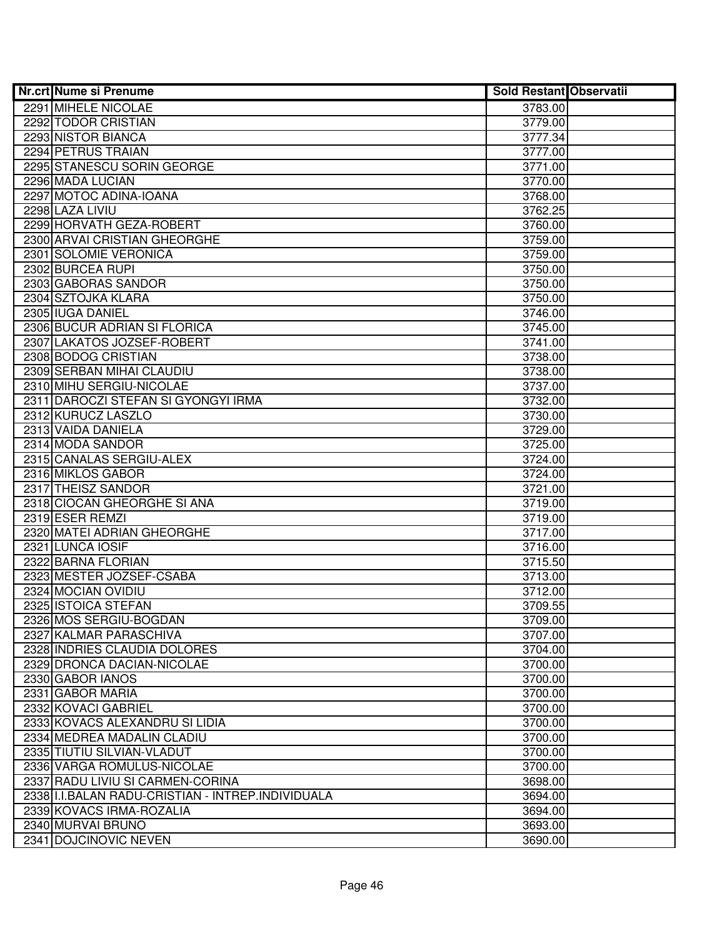| Nr.crt Nume si Prenume                             | <b>Sold Restant Observatii</b> |  |
|----------------------------------------------------|--------------------------------|--|
| 2291 MIHELE NICOLAE                                | 3783.00                        |  |
| 2292 TODOR CRISTIAN                                | 3779.00                        |  |
| 2293 NISTOR BIANCA                                 | 3777.34                        |  |
| 2294 PETRUS TRAIAN                                 | 3777.00                        |  |
| 2295 STANESCU SORIN GEORGE                         | 3771.00                        |  |
| 2296 MADA LUCIAN                                   | 3770.00                        |  |
| 2297 MOTOC ADINA-IOANA                             | 3768.00                        |  |
| 2298 LAZA LIVIU                                    | 3762.25                        |  |
| 2299 HORVATH GEZA-ROBERT                           | 3760.00                        |  |
| 2300 ARVAI CRISTIAN GHEORGHE                       | 3759.00                        |  |
| 2301 SOLOMIE VERONICA                              | 3759.00                        |  |
| 2302 BURCEA RUPI                                   | 3750.00                        |  |
| 2303 GABORAS SANDOR                                | 3750.00                        |  |
| 2304 SZTOJKA KLARA                                 | 3750.00                        |  |
| 2305 IUGA DANIEL                                   | 3746.00                        |  |
| 2306 BUCUR ADRIAN SI FLORICA                       | 3745.00                        |  |
| 2307 LAKATOS JOZSEF-ROBERT                         | 3741.00                        |  |
| 2308 BODOG CRISTIAN                                | 3738.00                        |  |
| 2309 SERBAN MIHAI CLAUDIU                          | 3738.00                        |  |
| 2310 MIHU SERGIU-NICOLAE                           | 3737.00                        |  |
| 2311 DAROCZI STEFAN SI GYONGYI IRMA                | 3732.00                        |  |
| 2312 KURUCZ LASZLO                                 | 3730.00                        |  |
| 2313 VAIDA DANIELA                                 | 3729.00                        |  |
| 2314 MODA SANDOR                                   | 3725.00                        |  |
| 2315 CANALAS SERGIU-ALEX                           | 3724.00                        |  |
| 2316 MIKLOS GABOR                                  | 3724.00                        |  |
| 2317 THEISZ SANDOR                                 | 3721.00                        |  |
| 2318 CIOCAN GHEORGHE SI ANA                        | 3719.00                        |  |
| 2319 ESER REMZI                                    | 3719.00                        |  |
| 2320 MATEI ADRIAN GHEORGHE                         | 3717.00                        |  |
| 2321 LUNCA IOSIF                                   | 3716.00                        |  |
| 2322 BARNA FLORIAN                                 | 3715.50                        |  |
| 2323 MESTER JOZSEF-CSABA                           | 3713.00                        |  |
| 2324 MOCIAN OVIDIU                                 | 3712.00                        |  |
| 2325 ISTOICA STEFAN                                | 3709.55                        |  |
| 2326 MOS SERGIU-BOGDAN                             | 3709.00                        |  |
| 2327 KALMAR PARASCHIVA                             | 3707.00                        |  |
| 2328 INDRIES CLAUDIA DOLORES                       | 3704.00                        |  |
| 2329 DRONCA DACIAN-NICOLAE                         | 3700.00                        |  |
| 2330 GABOR IANOS                                   | 3700.00                        |  |
| 2331 GABOR MARIA                                   | 3700.00                        |  |
| 2332 KOVACI GABRIEL                                | 3700.00                        |  |
| 2333 KOVACS ALEXANDRU SI LIDIA                     | 3700.00                        |  |
| 2334 MEDREA MADALIN CLADIU                         | 3700.00                        |  |
| 2335 TIUTIU SILVIAN-VLADUT                         | 3700.00                        |  |
| 2336 VARGA ROMULUS-NICOLAE                         | 3700.00                        |  |
| 2337 RADU LIVIU SI CARMEN-CORINA                   | 3698.00                        |  |
| 2338 II.I.BALAN RADU-CRISTIAN - INTREP.INDIVIDUALA | 3694.00                        |  |
| 2339 KOVACS IRMA-ROZALIA                           | 3694.00                        |  |
| 2340 MURVAI BRUNO                                  | 3693.00                        |  |
| 2341 DOJCINOVIC NEVEN                              | 3690.00                        |  |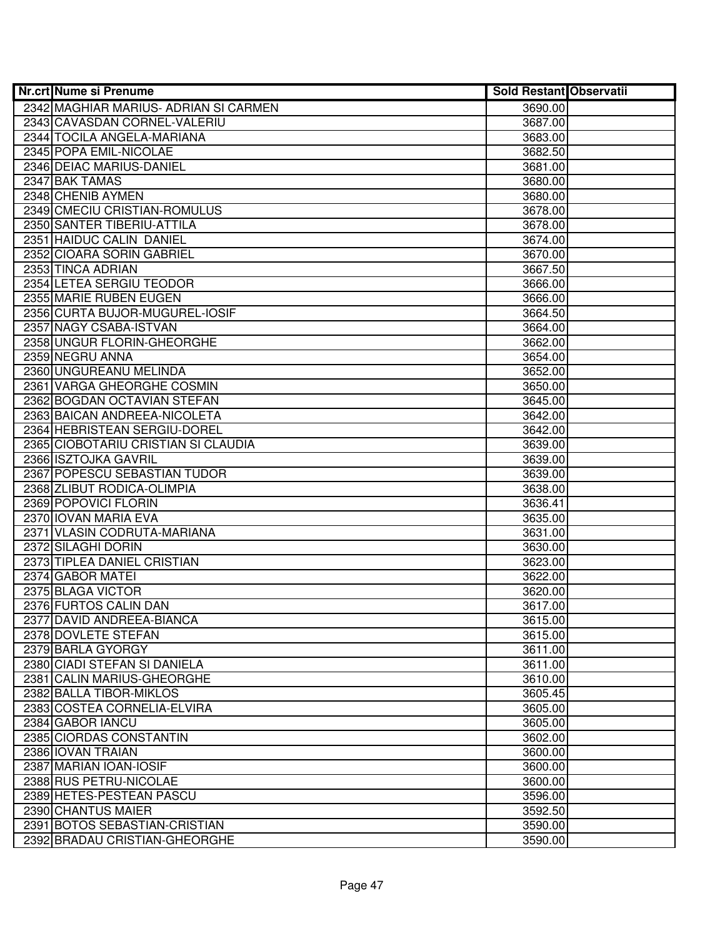| <b>Nr.crt Nume si Prenume</b>                    | <b>Sold Restant Observatii</b> |  |
|--------------------------------------------------|--------------------------------|--|
| 2342 MAGHIAR MARIUS- ADRIAN SI CARMEN            | 3690.00                        |  |
| 2343 CAVASDAN CORNEL-VALERIU                     | 3687.00                        |  |
| 2344 TOCILA ANGELA-MARIANA                       | 3683.00                        |  |
| 2345 POPA EMIL-NICOLAE                           | 3682.50                        |  |
| 2346 DEIAC MARIUS-DANIEL                         | 3681.00                        |  |
| 2347 BAK TAMAS                                   | 3680.00                        |  |
| 2348 CHENIB AYMEN                                | 3680.00                        |  |
| 2349 CMECIU CRISTIAN-ROMULUS                     | 3678.00                        |  |
| 2350 SANTER TIBERIU-ATTILA                       | 3678.00                        |  |
| 2351 HAIDUC CALIN DANIEL                         | 3674.00                        |  |
| 2352 CIOARA SORIN GABRIEL                        | 3670.00                        |  |
| 2353 TINCA ADRIAN                                | 3667.50                        |  |
| 2354 LETEA SERGIU TEODOR                         | 3666.00                        |  |
| 2355 MARIE RUBEN EUGEN                           | 3666.00                        |  |
| 2356 CURTA BUJOR-MUGUREL-IOSIF                   | 3664.50                        |  |
| 2357 NAGY CSABA-ISTVAN                           | 3664.00                        |  |
| 2358 UNGUR FLORIN-GHEORGHE                       | 3662.00                        |  |
| 2359 NEGRU ANNA                                  | 3654.00                        |  |
| 2360 UNGUREANU MELINDA                           | 3652.00                        |  |
| 2361 VARGA GHEORGHE COSMIN                       | 3650.00                        |  |
| 2362 BOGDAN OCTAVIAN STEFAN                      | 3645.00                        |  |
| 2363 BAICAN ANDREEA-NICOLETA                     | 3642.00                        |  |
| 2364 HEBRISTEAN SERGIU-DOREL                     | 3642.00                        |  |
| 2365 CIOBOTARIU CRISTIAN SI CLAUDIA              | 3639.00                        |  |
| 2366 ISZTOJKA GAVRIL                             | 3639.00                        |  |
| 2367 POPESCU SEBASTIAN TUDOR                     | 3639.00                        |  |
| 2368 ZLIBUT RODICA-OLIMPIA                       | 3638.00                        |  |
| 2369 POPOVICI FLORIN                             | 3636.41                        |  |
| 2370 IOVAN MARIA EVA                             | 3635.00                        |  |
| 2371 VLASIN CODRUTA-MARIANA                      | 3631.00                        |  |
| 2372 SILAGHI DORIN                               | 3630.00                        |  |
| 2373 TIPLEA DANIEL CRISTIAN                      | 3623.00                        |  |
| 2374 GABOR MATEI                                 | 3622.00                        |  |
| 2375 BLAGA VICTOR                                | 3620.00                        |  |
| 2376 FURTOS CALIN DAN                            | 3617.00                        |  |
| 2377 DAVID ANDREEA-BIANCA<br>2378 DOVLETE STEFAN | 3615.00<br>3615.00             |  |
| 2379 BARLA GYORGY                                | 3611.00                        |  |
| 2380 CIADI STEFAN SI DANIELA                     | 3611.00                        |  |
| 2381 CALIN MARIUS-GHEORGHE                       | 3610.00                        |  |
| 2382 BALLA TIBOR-MIKLOS                          | 3605.45                        |  |
| 2383 COSTEA CORNELIA-ELVIRA                      | 3605.00                        |  |
| 2384 GABOR IANCU                                 | 3605.00                        |  |
| 2385 CIORDAS CONSTANTIN                          | 3602.00                        |  |
| 2386 IOVAN TRAIAN                                | 3600.00                        |  |
| 2387 MARIAN IOAN-IOSIF                           | 3600.00                        |  |
| 2388 RUS PETRU-NICOLAE                           | 3600.00                        |  |
| 2389 HETES-PESTEAN PASCU                         | 3596.00                        |  |
| 2390 CHANTUS MAIER                               | 3592.50                        |  |
| 2391 BOTOS SEBASTIAN-CRISTIAN                    | 3590.00                        |  |
| 2392 BRADAU CRISTIAN-GHEORGHE                    | 3590.00                        |  |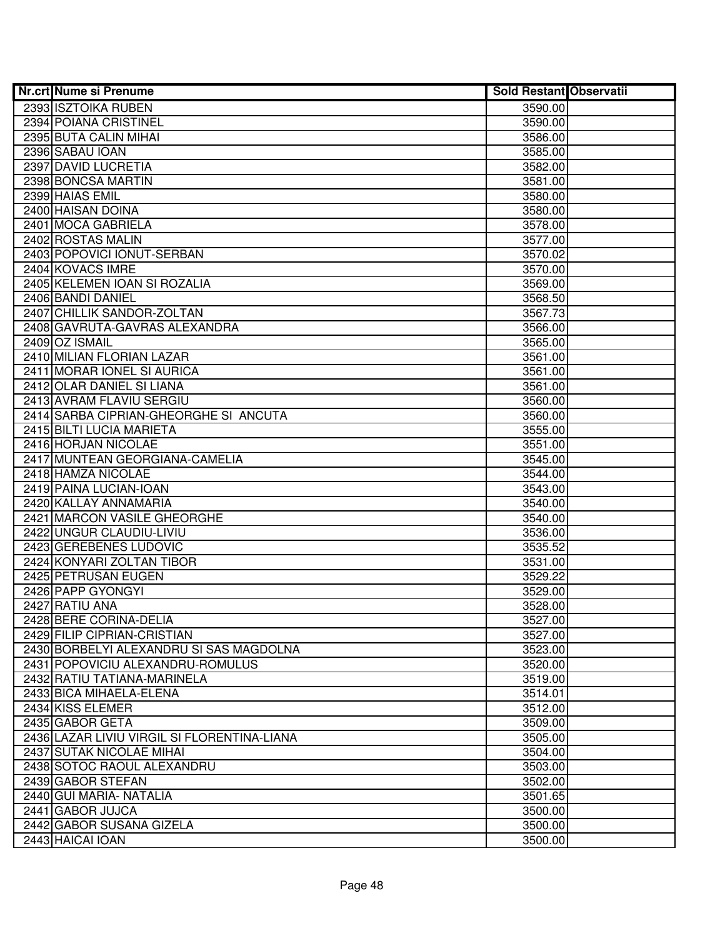| <b>Nr.crt Nume si Prenume</b>                   | <b>Sold Restant Observatii</b> |  |
|-------------------------------------------------|--------------------------------|--|
| 2393 ISZTOIKA RUBEN                             | 3590.00                        |  |
| 2394 POIANA CRISTINEL                           | 3590.00                        |  |
| 2395 BUTA CALIN MIHAI                           | 3586.00                        |  |
| 2396 SABAU IOAN                                 | 3585.00                        |  |
| 2397 DAVID LUCRETIA                             | 3582.00                        |  |
| 2398 BONCSA MARTIN                              | 3581.00                        |  |
| 2399 HAIAS EMIL                                 | 3580.00                        |  |
| 2400 HAISAN DOINA                               | 3580.00                        |  |
| 2401 MOCA GABRIELA                              | 3578.00                        |  |
| 2402 ROSTAS MALIN                               | 3577.00                        |  |
| 2403 POPOVICI IONUT-SERBAN                      | 3570.02                        |  |
| 2404 KOVACS IMRE                                | 3570.00                        |  |
| 2405 KELEMEN IOAN SI ROZALIA                    | 3569.00                        |  |
| 2406 BANDI DANIEL                               | 3568.50                        |  |
| 2407 CHILLIK SANDOR-ZOLTAN                      | 3567.73                        |  |
| 2408 GAVRUTA-GAVRAS ALEXANDRA                   | 3566.00                        |  |
| 2409 OZ ISMAIL                                  | 3565.00                        |  |
| 2410 MILIAN FLORIAN LAZAR                       | 3561.00                        |  |
| 2411 MORAR IONEL SI AURICA                      | 3561.00                        |  |
| 2412 OLAR DANIEL SI LIANA                       | 3561.00                        |  |
| 2413 AVRAM FLAVIU SERGIU                        | 3560.00                        |  |
| 2414 SARBA CIPRIAN-GHEORGHE SI ANCUTA           | 3560.00                        |  |
| 2415 BILTI LUCIA MARIETA                        | 3555.00                        |  |
| 2416 HORJAN NICOLAE                             | 3551.00                        |  |
| 2417 MUNTEAN GEORGIANA-CAMELIA                  | 3545.00                        |  |
| 2418 HAMZA NICOLAE                              | 3544.00                        |  |
| 2419 PAINA LUCIAN-IOAN<br>2420 KALLAY ANNAMARIA | 3543.00<br>3540.00             |  |
| 2421 MARCON VASILE GHEORGHE                     | 3540.00                        |  |
| 2422 UNGUR CLAUDIU-LIVIU                        | 3536.00                        |  |
| 2423 GEREBENES LUDOVIC                          | 3535.52                        |  |
| 2424 KONYARI ZOLTAN TIBOR                       | 3531.00                        |  |
| 2425 PETRUSAN EUGEN                             | 3529.22                        |  |
| 2426 PAPP GYONGYI                               | 3529.00                        |  |
| 2427 RATIU ANA                                  | 3528.00                        |  |
| 2428 BERE CORINA-DELIA                          | 3527.00                        |  |
| 2429 FILIP CIPRIAN-CRISTIAN                     | 3527.00                        |  |
| 2430 BORBELYI ALEXANDRU SI SAS MAGDOLNA         | 3523.00                        |  |
| 2431 POPOVICIU ALEXANDRU-ROMULUS                | 3520.00                        |  |
| 2432 RATIU TATIANA-MARINELA                     | 3519.00                        |  |
| 2433 BICA MIHAELA-ELENA                         | 3514.01                        |  |
| 2434 KISS ELEMER                                | 3512.00                        |  |
| 2435 GABOR GETA                                 | 3509.00                        |  |
| 2436 LAZAR LIVIU VIRGIL SI FLORENTINA-LIANA     | 3505.00                        |  |
| 2437 SUTAK NICOLAE MIHAI                        | 3504.00                        |  |
| 2438 SOTOC RAOUL ALEXANDRU                      | 3503.00                        |  |
| 2439 GABOR STEFAN                               | 3502.00                        |  |
| 2440 GUI MARIA- NATALIA                         | 3501.65                        |  |
| 2441 GABOR JUJCA                                | 3500.00                        |  |
| 2442 GABOR SUSANA GIZELA                        | 3500.00                        |  |
| 2443 HAICAI IOAN                                | 3500.00                        |  |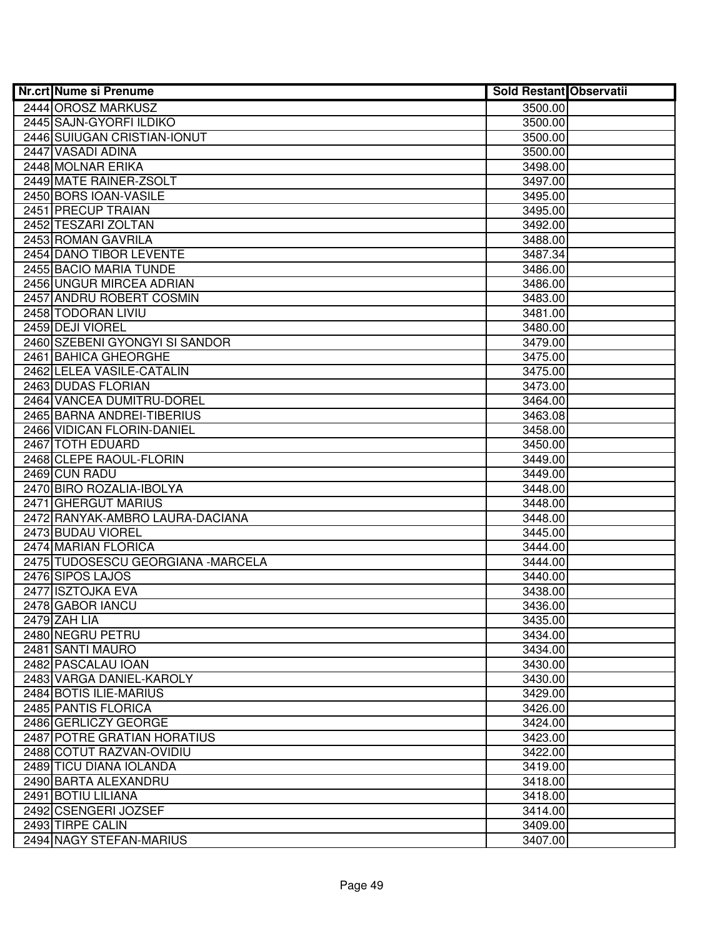| <b>Nr.crt Nume si Prenume</b>      | <b>Sold Restant Observatii</b> |  |
|------------------------------------|--------------------------------|--|
| 2444 OROSZ MARKUSZ                 | 3500.00                        |  |
| 2445 SAJN-GYORFI ILDIKO            | 3500.00                        |  |
| 2446 SUIUGAN CRISTIAN-IONUT        | 3500.00                        |  |
| 2447 VASADI ADINA                  | 3500.00                        |  |
| 2448 MOLNAR ERIKA                  | 3498.00                        |  |
| 2449 MATE RAINER-ZSOLT             | 3497.00                        |  |
| 2450 BORS IOAN-VASILE              | 3495.00                        |  |
| 2451 PRECUP TRAIAN                 | 3495.00                        |  |
| 2452 TESZARI ZOLTAN                | 3492.00                        |  |
| 2453 ROMAN GAVRILA                 | 3488.00                        |  |
| 2454 DANO TIBOR LEVENTE            | 3487.34                        |  |
| 2455 BACIO MARIA TUNDE             | 3486.00                        |  |
| 2456 UNGUR MIRCEA ADRIAN           | 3486.00                        |  |
| 2457 ANDRU ROBERT COSMIN           | 3483.00                        |  |
| 2458 TODORAN LIVIU                 | 3481.00                        |  |
| 2459 DEJI VIOREL                   | 3480.00                        |  |
| 2460 SZEBENI GYONGYI SI SANDOR     | 3479.00                        |  |
| 2461 BAHICA GHEORGHE               | 3475.00                        |  |
| 2462 LELEA VASILE-CATALIN          | 3475.00                        |  |
| 2463 DUDAS FLORIAN                 | 3473.00                        |  |
| 2464 VANCEA DUMITRU-DOREL          | 3464.00                        |  |
| 2465 BARNA ANDREI-TIBERIUS         | 3463.08                        |  |
| 2466 VIDICAN FLORIN-DANIEL         | 3458.00                        |  |
| 2467 TOTH EDUARD                   | 3450.00                        |  |
| 2468 CLEPE RAOUL-FLORIN            | 3449.00                        |  |
| 2469 CUN RADU                      | 3449.00                        |  |
| 2470 BIRO ROZALIA-IBOLYA           | 3448.00                        |  |
| 2471 GHERGUT MARIUS                | 3448.00                        |  |
| 2472 RANYAK-AMBRO LAURA-DACIANA    | 3448.00                        |  |
| 2473 BUDAU VIOREL                  | 3445.00                        |  |
| 2474 MARIAN FLORICA                | 3444.00                        |  |
| 2475 TUDOSESCU GEORGIANA - MARCELA | 3444.00                        |  |
| 2476 SIPOS LAJOS                   | 3440.00                        |  |
| 2477 ISZTOJKA EVA                  | 3438.00                        |  |
| 2478 GABOR IANCU<br>2479 ZAH LIA   | 3436.00                        |  |
| 2480 NEGRU PETRU                   | 3435.00                        |  |
| 2481 SANTI MAURO                   | 3434.00<br>3434.00             |  |
| 2482 PASCALAU IOAN                 | 3430.00                        |  |
| 2483 VARGA DANIEL-KAROLY           | 3430.00                        |  |
| 2484 BOTIS ILIE-MARIUS             | 3429.00                        |  |
| 2485 PANTIS FLORICA                | 3426.00                        |  |
| 2486 GERLICZY GEORGE               | 3424.00                        |  |
| 2487 POTRE GRATIAN HORATIUS        | 3423.00                        |  |
| 2488 COTUT RAZVAN-OVIDIU           | 3422.00                        |  |
| 2489 TICU DIANA IOLANDA            | 3419.00                        |  |
| 2490 BARTA ALEXANDRU               | 3418.00                        |  |
| 2491 BOTIU LILIANA                 | 3418.00                        |  |
| 2492 CSENGERI JOZSEF               | 3414.00                        |  |
| 2493 TIRPE CALIN                   | 3409.00                        |  |
| 2494 NAGY STEFAN-MARIUS            | 3407.00                        |  |
|                                    |                                |  |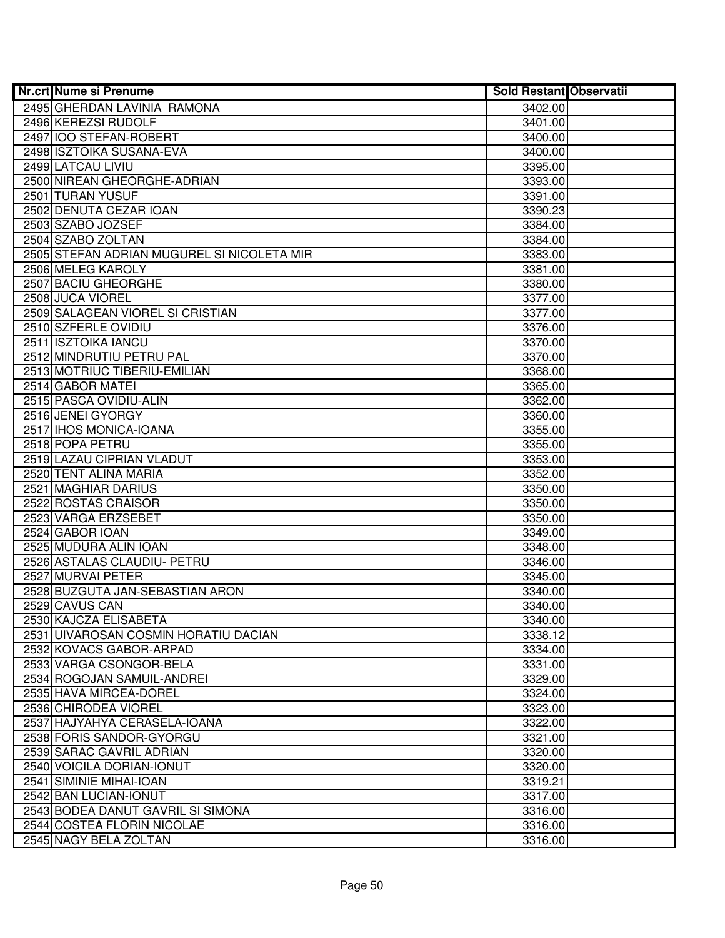| <b>Nr.crt Nume si Prenume</b>                        | <b>Sold Restant Observatii</b> |  |
|------------------------------------------------------|--------------------------------|--|
| 2495 GHERDAN LAVINIA RAMONA                          | 3402.00                        |  |
| 2496 KEREZSI RUDOLF                                  | 3401.00                        |  |
| 2497 IOO STEFAN-ROBERT                               | 3400.00                        |  |
| 2498 ISZTOIKA SUSANA-EVA                             | 3400.00                        |  |
| 2499 LATCAU LIVIU                                    | 3395.00                        |  |
| 2500 NIREAN GHEORGHE-ADRIAN                          | 3393.00                        |  |
| 2501 TURAN YUSUF                                     | 3391.00                        |  |
| 2502 DENUTA CEZAR IOAN                               | 3390.23                        |  |
| 2503 SZABO JOZSEF                                    | 3384.00                        |  |
| 2504 SZABO ZOLTAN                                    | 3384.00                        |  |
| 2505 STEFAN ADRIAN MUGUREL SI NICOLETA MIR           | 3383.00                        |  |
| 2506 MELEG KAROLY                                    | 3381.00                        |  |
| 2507 BACIU GHEORGHE                                  | 3380.00                        |  |
| 2508 JUCA VIOREL                                     | 3377.00                        |  |
| 2509 SALAGEAN VIOREL SI CRISTIAN                     | 3377.00                        |  |
| 2510 SZFERLE OVIDIU                                  | 3376.00                        |  |
| 2511 ISZTOIKA IANCU                                  | 3370.00                        |  |
| 2512 MINDRUTIU PETRU PAL                             | 3370.00                        |  |
| 2513 MOTRIUC TIBERIU-EMILIAN                         | 3368.00                        |  |
| 2514 GABOR MATEI                                     | 3365.00                        |  |
| 2515 PASCA OVIDIU-ALIN                               | 3362.00                        |  |
| 2516 JENEI GYORGY                                    | 3360.00                        |  |
| 2517 IHOS MONICA-IOANA                               | 3355.00                        |  |
| 2518 POPA PETRU                                      | 3355.00                        |  |
| 2519 LAZAU CIPRIAN VLADUT                            | 3353.00                        |  |
| 2520 TENT ALINA MARIA                                | 3352.00                        |  |
| 2521 MAGHIAR DARIUS                                  | 3350.00                        |  |
| 2522 ROSTAS CRAISOR                                  | 3350.00                        |  |
| 2523 VARGA ERZSEBET                                  | 3350.00                        |  |
| 2524 GABOR IOAN                                      | 3349.00                        |  |
| 2525 MUDURA ALIN IOAN                                | 3348.00                        |  |
| 2526 ASTALAS CLAUDIU- PETRU                          | 3346.00                        |  |
| 2527 MURVAI PETER                                    | 3345.00                        |  |
| 2528 BUZGUTA JAN-SEBASTIAN ARON                      | 3340.00                        |  |
| 2529 CAVUS CAN                                       | 3340.00                        |  |
| 2530 KAJCZA ELISABETA                                | 3340.00                        |  |
| 2531 UIVAROSAN COSMIN HORATIU DACIAN                 | 3338.12                        |  |
| 2532 KOVACS GABOR-ARPAD                              | 3334.00                        |  |
| 2533 VARGA CSONGOR-BELA                              | 3331.00                        |  |
| 2534 ROGOJAN SAMUIL-ANDREI                           | 3329.00                        |  |
| 2535 HAVA MIRCEA-DOREL                               | 3324.00                        |  |
| 2536 CHIRODEA VIOREL                                 | 3323.00                        |  |
| 2537 HAJYAHYA CERASELA-IOANA                         | 3322.00                        |  |
| 2538 FORIS SANDOR-GYORGU<br>2539 SARAC GAVRIL ADRIAN | 3321.00                        |  |
| 2540 VOICILA DORIAN-IONUT                            | 3320.00<br>3320.00             |  |
| 2541 SIMINIE MIHAI-IOAN                              | 3319.21                        |  |
| 2542 BAN LUCIAN-IONUT                                | 3317.00                        |  |
| 2543 BODEA DANUT GAVRIL SI SIMONA                    | 3316.00                        |  |
| 2544 COSTEA FLORIN NICOLAE                           | 3316.00                        |  |
| 2545 NAGY BELA ZOLTAN                                | 3316.00                        |  |
|                                                      |                                |  |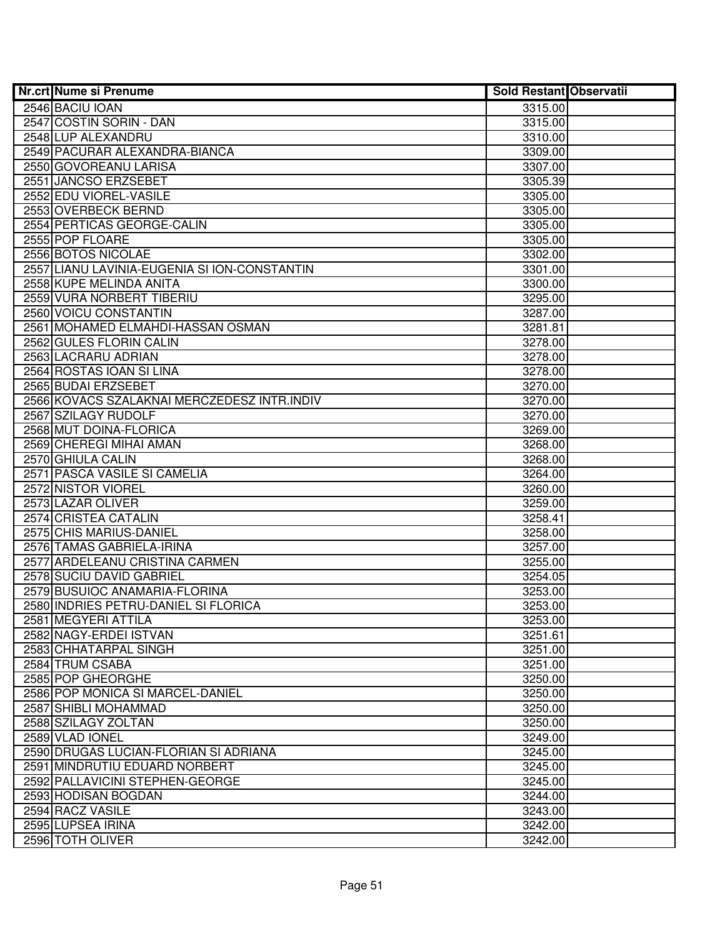| <b>Nr.crt Nume si Prenume</b>                | <b>Sold Restant Observatii</b> |  |
|----------------------------------------------|--------------------------------|--|
| 2546 BACIU IOAN                              | 3315.00                        |  |
| 2547 COSTIN SORIN - DAN                      | 3315.00                        |  |
| 2548 LUP ALEXANDRU                           | 3310.00                        |  |
| 2549 PACURAR ALEXANDRA-BIANCA                | 3309.00                        |  |
| 2550 GOVOREANU LARISA                        | 3307.00                        |  |
| 2551 JANCSO ERZSEBET                         | 3305.39                        |  |
| 2552 EDU VIOREL-VASILE                       | 3305.00                        |  |
| 2553 OVERBECK BERND                          | 3305.00                        |  |
| 2554 PERTICAS GEORGE-CALIN                   | 3305.00                        |  |
| 2555 POP FLOARE                              | 3305.00                        |  |
| 2556 BOTOS NICOLAE                           | 3302.00                        |  |
| 2557 LIANU LAVINIA-EUGENIA SI ION-CONSTANTIN | 3301.00                        |  |
| 2558 KUPE MELINDA ANITA                      | 3300.00                        |  |
| 2559 VURA NORBERT TIBERIU                    | 3295.00                        |  |
| 2560 VOICU CONSTANTIN                        | 3287.00                        |  |
| 2561 MOHAMED ELMAHDI-HASSAN OSMAN            | 3281.81                        |  |
| 2562 GULES FLORIN CALIN                      | 3278.00                        |  |
| 2563 LACRARU ADRIAN                          | 3278.00                        |  |
| 2564 ROSTAS IOAN SI LINA                     | 3278.00                        |  |
| 2565 BUDAI ERZSEBET                          | 3270.00                        |  |
| 2566 KOVACS SZALAKNAI MERCZEDESZ INTR.INDIV  | 3270.00                        |  |
| 2567 SZILAGY RUDOLF                          | 3270.00                        |  |
| 2568 MUT DOINA-FLORICA                       | 3269.00                        |  |
| 2569 CHEREGI MIHAI AMAN                      | 3268.00                        |  |
| 2570 GHIULA CALIN                            | 3268.00                        |  |
| 2571 PASCA VASILE SI CAMELIA                 | 3264.00                        |  |
| 2572 NISTOR VIOREL                           | 3260.00                        |  |
| 2573 LAZAR OLIVER                            | 3259.00                        |  |
| 2574 CRISTEA CATALIN                         | 3258.41                        |  |
| 2575 CHIS MARIUS-DANIEL                      | 3258.00                        |  |
| 2576 TAMAS GABRIELA-IRINA                    | 3257.00                        |  |
| 2577 ARDELEANU CRISTINA CARMEN               | 3255.00                        |  |
| 2578 SUCIU DAVID GABRIEL                     | 3254.05                        |  |
| 2579 BUSUIOC ANAMARIA-FLORINA                | 3253.00                        |  |
| 2580 INDRIES PETRU-DANIEL SI FLORICA         | 3253.00                        |  |
| 2581 MEGYERI ATTILA                          | 3253.00                        |  |
| 2582 NAGY-ERDEI ISTVAN                       | 3251.61                        |  |
| 2583 CHHATARPAL SINGH                        | 3251.00                        |  |
| 2584 TRUM CSABA                              | 3251.00                        |  |
| 2585 POP GHEORGHE                            | 3250.00                        |  |
| 2586 POP MONICA SI MARCEL-DANIEL             | 3250.00                        |  |
| 2587 SHIBLI MOHAMMAD                         | 3250.00                        |  |
| 2588 SZILAGY ZOLTAN                          | 3250.00                        |  |
| 2589 VLAD IONEL                              | 3249.00                        |  |
| 2590 DRUGAS LUCIAN-FLORIAN SI ADRIANA        | 3245.00                        |  |
| 2591 MINDRUTIU EDUARD NORBERT                | 3245.00                        |  |
| 2592 PALLAVICINI STEPHEN-GEORGE              | 3245.00                        |  |
| 2593 HODISAN BOGDAN                          | 3244.00                        |  |
| 2594 RACZ VASILE                             | 3243.00                        |  |
| 2595 LUPSEA IRINA                            | 3242.00                        |  |
| 2596 TOTH OLIVER                             | 3242.00                        |  |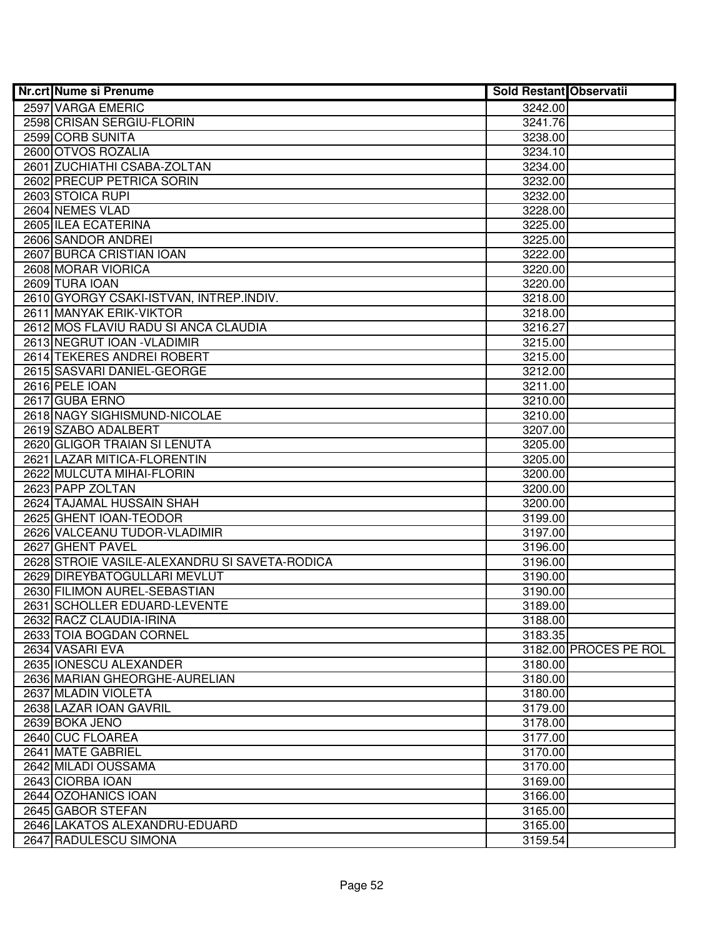| <b>Nr.crt Nume si Prenume</b>                                | <b>Sold Restant Observatii</b> |                       |
|--------------------------------------------------------------|--------------------------------|-----------------------|
| 2597 VARGA EMERIC                                            | 3242.00                        |                       |
| 2598 CRISAN SERGIU-FLORIN                                    | 3241.76                        |                       |
| 2599 CORB SUNITA                                             | 3238.00                        |                       |
| 2600 OTVOS ROZALIA                                           | 3234.10                        |                       |
| 2601 ZUCHIATHI CSABA-ZOLTAN                                  | 3234.00                        |                       |
| 2602 PRECUP PETRICA SORIN                                    | 3232.00                        |                       |
| 2603 STOICA RUPI                                             | 3232.00                        |                       |
| 2604 NEMES VLAD                                              | 3228.00                        |                       |
| 2605 ILEA ECATERINA                                          | 3225.00                        |                       |
| 2606 SANDOR ANDREI                                           | 3225.00                        |                       |
| 2607 BURCA CRISTIAN IOAN                                     | 3222.00                        |                       |
| 2608 MORAR VIORICA                                           | 3220.00                        |                       |
| 2609 TURA IOAN                                               | 3220.00                        |                       |
| 2610 GYORGY CSAKI-ISTVAN, INTREP.INDIV.                      | 3218.00                        |                       |
| 2611 MANYAK ERIK-VIKTOR                                      | 3218.00                        |                       |
| 2612 MOS FLAVIU RADU SI ANCA CLAUDIA                         | 3216.27                        |                       |
| 2613 NEGRUT IOAN - VLADIMIR                                  | 3215.00                        |                       |
| 2614 TEKERES ANDREI ROBERT                                   | 3215.00                        |                       |
| 2615 SASVARI DANIEL-GEORGE                                   | 3212.00                        |                       |
| 2616 PELE IOAN                                               | 3211.00                        |                       |
| 2617 GUBA ERNO                                               | 3210.00                        |                       |
| 2618 NAGY SIGHISMUND-NICOLAE                                 | 3210.00                        |                       |
| 2619 SZABO ADALBERT                                          | 3207.00                        |                       |
| 2620 GLIGOR TRAIAN SI LENUTA                                 | 3205.00                        |                       |
| 2621 LAZAR MITICA-FLORENTIN                                  | 3205.00                        |                       |
| 2622 MULCUTA MIHAI-FLORIN                                    | 3200.00                        |                       |
| 2623 PAPP ZOLTAN                                             | 3200.00                        |                       |
| 2624 TAJAMAL HUSSAIN SHAH                                    | 3200.00                        |                       |
| 2625 GHENT IOAN-TEODOR                                       | 3199.00                        |                       |
| 2626 VALCEANU TUDOR-VLADIMIR                                 | 3197.00                        |                       |
| 2627 GHENT PAVEL                                             | 3196.00                        |                       |
| 2628 STROIE VASILE-ALEXANDRU SI SAVETA-RODICA                | 3196.00                        |                       |
| 2629 DIREYBATOGULLARI MEVLUT                                 | 3190.00                        |                       |
| 2630 FILIMON AUREL-SEBASTIAN<br>2631 SCHOLLER EDUARD-LEVENTE | 3190.00                        |                       |
| 2632 RACZ CLAUDIA-IRINA                                      | 3189.00                        |                       |
| 2633 TOIA BOGDAN CORNEL                                      | 3188.00<br>3183.35             |                       |
| 2634 VASARI EVA                                              |                                | 3182.00 PROCES PE ROL |
| 2635 IONESCU ALEXANDER                                       | 3180.00                        |                       |
| 2636 MARIAN GHEORGHE-AURELIAN                                | 3180.00                        |                       |
| 2637 MLADIN VIOLETA                                          | 3180.00                        |                       |
| 2638 LAZAR IOAN GAVRIL                                       | 3179.00                        |                       |
| 2639 BOKA JENO                                               | 3178.00                        |                       |
| 2640 CUC FLOAREA                                             | 3177.00                        |                       |
| 2641 MATE GABRIEL                                            | 3170.00                        |                       |
| 2642 MILADI OUSSAMA                                          | 3170.00                        |                       |
| 2643 CIORBA IOAN                                             | 3169.00                        |                       |
| 2644 OZOHANICS IOAN                                          | 3166.00                        |                       |
| 2645 GABOR STEFAN                                            | 3165.00                        |                       |
| 2646 LAKATOS ALEXANDRU-EDUARD                                | 3165.00                        |                       |
| 2647 RADULESCU SIMONA                                        | 3159.54                        |                       |
|                                                              |                                |                       |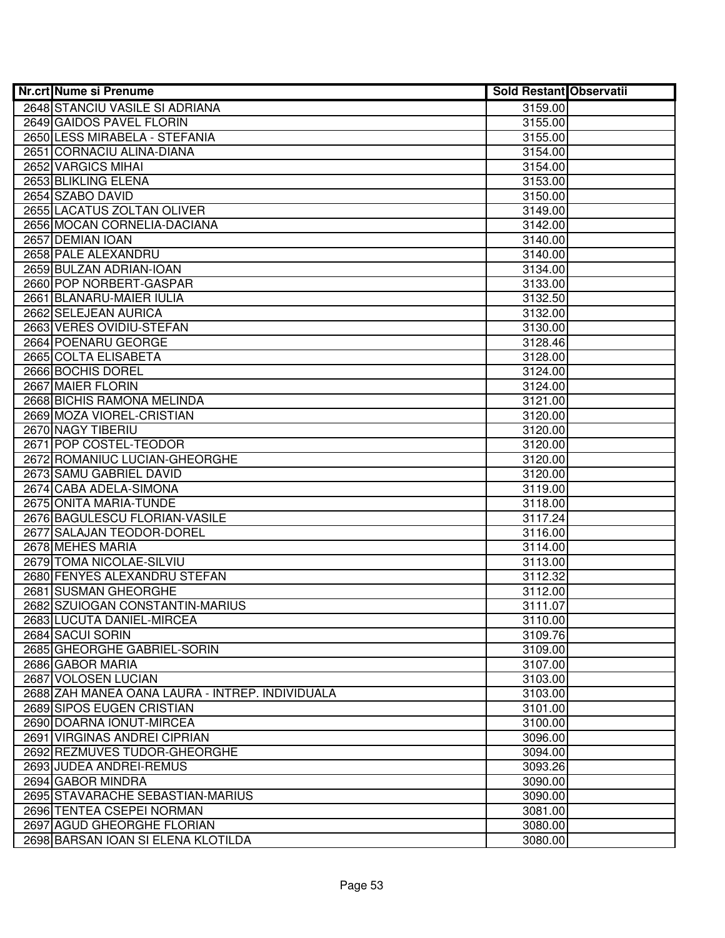| <b>Nr.crt Nume si Prenume</b>                   | <b>Sold Restant Observatii</b> |  |
|-------------------------------------------------|--------------------------------|--|
| 2648 STANCIU VASILE SI ADRIANA                  | 3159.00                        |  |
| 2649 GAIDOS PAVEL FLORIN                        | 3155.00                        |  |
| 2650 LESS MIRABELA - STEFANIA                   | 3155.00                        |  |
| 2651 CORNACIU ALINA-DIANA                       | 3154.00                        |  |
| 2652 VARGICS MIHAI                              | 3154.00                        |  |
| 2653 BLIKLING ELENA                             | 3153.00                        |  |
| 2654 SZABO DAVID                                | 3150.00                        |  |
| 2655 LACATUS ZOLTAN OLIVER                      | 3149.00                        |  |
| 2656 MOCAN CORNELIA-DACIANA                     | 3142.00                        |  |
| 2657 DEMIAN IOAN                                | 3140.00                        |  |
| 2658 PALE ALEXANDRU                             | 3140.00                        |  |
| 2659 BULZAN ADRIAN-IOAN                         | 3134.00                        |  |
| 2660 POP NORBERT-GASPAR                         | 3133.00                        |  |
| 2661 BLANARU-MAIER IULIA                        | 3132.50                        |  |
| 2662 SELEJEAN AURICA                            | 3132.00                        |  |
| 2663 VERES OVIDIU-STEFAN                        | 3130.00                        |  |
| 2664 POENARU GEORGE                             | 3128.46                        |  |
| 2665 COLTA ELISABETA                            | 3128.00                        |  |
| 2666 BOCHIS DOREL                               | 3124.00                        |  |
| 2667 MAIER FLORIN                               | 3124.00                        |  |
| 2668 BICHIS RAMONA MELINDA                      | 3121.00                        |  |
| 2669 MOZA VIOREL-CRISTIAN                       | 3120.00                        |  |
| 2670 NAGY TIBERIU                               | 3120.00                        |  |
| 2671 POP COSTEL-TEODOR                          | 3120.00                        |  |
| 2672 ROMANIUC LUCIAN-GHEORGHE                   | 3120.00                        |  |
| 2673 SAMU GABRIEL DAVID                         | 3120.00                        |  |
| 2674 CABA ADELA-SIMONA                          | 3119.00                        |  |
| 2675 ONITA MARIA-TUNDE                          | 3118.00                        |  |
| 2676 BAGULESCU FLORIAN-VASILE                   | 3117.24                        |  |
| 2677 SALAJAN TEODOR-DOREL                       | 3116.00                        |  |
| 2678 MEHES MARIA                                | 3114.00                        |  |
| 2679 TOMA NICOLAE-SILVIU                        | 3113.00                        |  |
| 2680 FENYES ALEXANDRU STEFAN                    | 3112.32                        |  |
| 2681 SUSMAN GHEORGHE                            | 3112.00                        |  |
| 2682 SZUIOGAN CONSTANTIN-MARIUS                 | 3111.07                        |  |
| 2683 LUCUTA DANIEL-MIRCEA                       | 3110.00                        |  |
| 2684 SACUI SORIN<br>2685 GHEORGHE GABRIEL-SORIN | 3109.76<br>3109.00             |  |
|                                                 |                                |  |
| 2686 GABOR MARIA<br>2687 VOLOSEN LUCIAN         | 3107.00<br>3103.00             |  |
| 2688 ZAH MANEA OANA LAURA - INTREP. INDIVIDUALA | 3103.00                        |  |
| 2689 SIPOS EUGEN CRISTIAN                       |                                |  |
| 2690 DOARNA IONUT-MIRCEA                        | 3101.00<br>3100.00             |  |
| 2691 VIRGINAS ANDREI CIPRIAN                    |                                |  |
| 2692 REZMUVES TUDOR-GHEORGHE                    | 3096.00<br>3094.00             |  |
| 2693 JUDEA ANDREI-REMUS                         | 3093.26                        |  |
| 2694 GABOR MINDRA                               | 3090.00                        |  |
| 2695 STAVARACHE SEBASTIAN-MARIUS                | 3090.00                        |  |
| 2696 TENTEA CSEPEI NORMAN                       | 3081.00                        |  |
| 2697 AGUD GHEORGHE FLORIAN                      | 3080.00                        |  |
| 2698 BARSAN IOAN SI ELENA KLOTILDA              | 3080.00                        |  |
|                                                 |                                |  |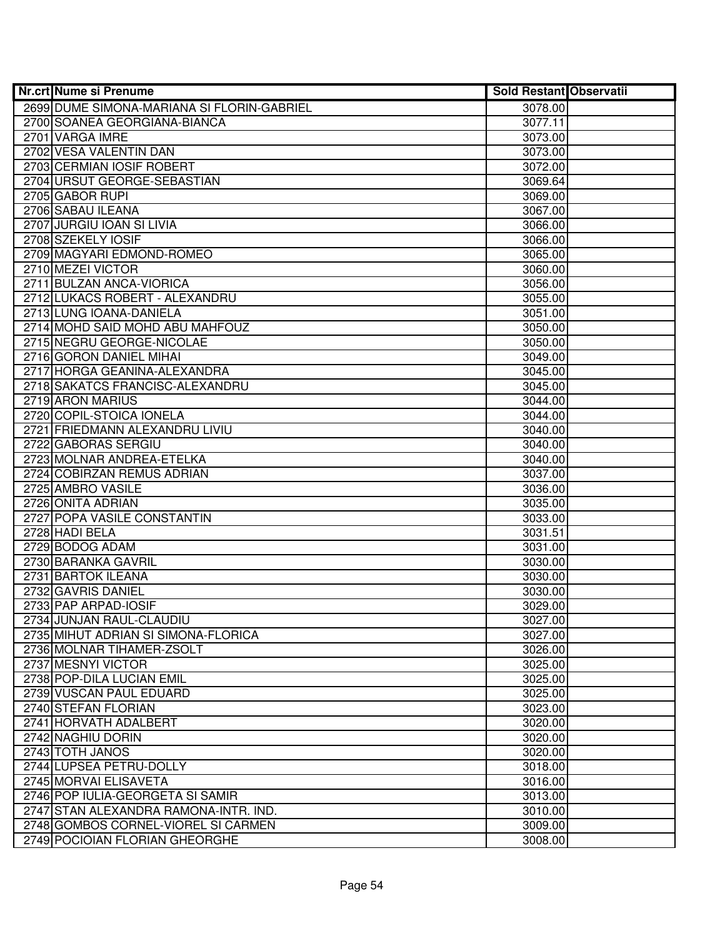| <b>Nr.crt Nume si Prenume</b>              | <b>Sold Restant Observatii</b> |  |
|--------------------------------------------|--------------------------------|--|
| 2699 DUME SIMONA-MARIANA SI FLORIN-GABRIEL | 3078.00                        |  |
| 2700 SOANEA GEORGIANA-BIANCA               | 3077.11                        |  |
| 2701 VARGA IMRE                            | 3073.00                        |  |
| 2702 VESA VALENTIN DAN                     | 3073.00                        |  |
| 2703 CERMIAN IOSIF ROBERT                  | 3072.00                        |  |
| 2704 URSUT GEORGE-SEBASTIAN                | 3069.64                        |  |
| 2705 GABOR RUPI                            | 3069.00                        |  |
| 2706 SABAU ILEANA                          | 3067.00                        |  |
| 2707 JURGIU IOAN SI LIVIA                  | 3066.00                        |  |
| 2708 SZEKELY IOSIF                         | 3066.00                        |  |
| 2709 MAGYARI EDMOND-ROMEO                  | 3065.00                        |  |
| 2710 MEZEI VICTOR                          | 3060.00                        |  |
| 2711 BULZAN ANCA-VIORICA                   | 3056.00                        |  |
| 2712 LUKACS ROBERT - ALEXANDRU             | 3055.00                        |  |
| 2713 LUNG IOANA-DANIELA                    | 3051.00                        |  |
| 2714 MOHD SAID MOHD ABU MAHFOUZ            | 3050.00                        |  |
| 2715 NEGRU GEORGE-NICOLAE                  | 3050.00                        |  |
| 2716 GORON DANIEL MIHAI                    | 3049.00                        |  |
| 2717 HORGA GEANINA-ALEXANDRA               | 3045.00                        |  |
| 2718 SAKATCS FRANCISC-ALEXANDRU            | 3045.00                        |  |
| 2719 ARON MARIUS                           | 3044.00                        |  |
| 2720 COPIL-STOICA IONELA                   | 3044.00                        |  |
| 2721 FRIEDMANN ALEXANDRU LIVIU             | 3040.00                        |  |
| 2722 GABORAS SERGIU                        | 3040.00                        |  |
| 2723 MOLNAR ANDREA-ETELKA                  | 3040.00                        |  |
| 2724 COBIRZAN REMUS ADRIAN                 | 3037.00                        |  |
| 2725 AMBRO VASILE                          | 3036.00                        |  |
| 2726 ONITA ADRIAN                          | 3035.00                        |  |
| 2727 POPA VASILE CONSTANTIN                | 3033.00                        |  |
| 2728 HADI BELA                             | 3031.51                        |  |
| 2729 BODOG ADAM                            | 3031.00                        |  |
| 2730 BARANKA GAVRIL                        | 3030.00                        |  |
| 2731 BARTOK ILEANA<br>2732 GAVRIS DANIEL   | 3030.00<br>3030.00             |  |
| 2733 PAP ARPAD-IOSIF                       | 3029.00                        |  |
| 2734 JUNJAN RAUL-CLAUDIU                   | 3027.00                        |  |
| 2735 MIHUT ADRIAN SI SIMONA-FLORICA        | 3027.00                        |  |
| 2736 MOLNAR TIHAMER-ZSOLT                  | 3026.00                        |  |
| 2737 MESNYI VICTOR                         | 3025.00                        |  |
| 2738 POP-DILA LUCIAN EMIL                  | 3025.00                        |  |
| 2739 VUSCAN PAUL EDUARD                    | 3025.00                        |  |
| 2740 STEFAN FLORIAN                        | 3023.00                        |  |
| 2741 HORVATH ADALBERT                      | 3020.00                        |  |
| 2742 NAGHIU DORIN                          | 3020.00                        |  |
| 2743 TOTH JANOS                            | 3020.00                        |  |
| 2744 LUPSEA PETRU-DOLLY                    | 3018.00                        |  |
| 2745 MORVAI ELISAVETA                      | 3016.00                        |  |
| 2746 POP IULIA-GEORGETA SI SAMIR           | 3013.00                        |  |
| 2747 STAN ALEXANDRA RAMONA-INTR. IND.      | 3010.00                        |  |
| 2748 GOMBOS CORNEL-VIOREL SI CARMEN        | 3009.00                        |  |
| 2749 POCIOIAN FLORIAN GHEORGHE             | 3008.00                        |  |
|                                            |                                |  |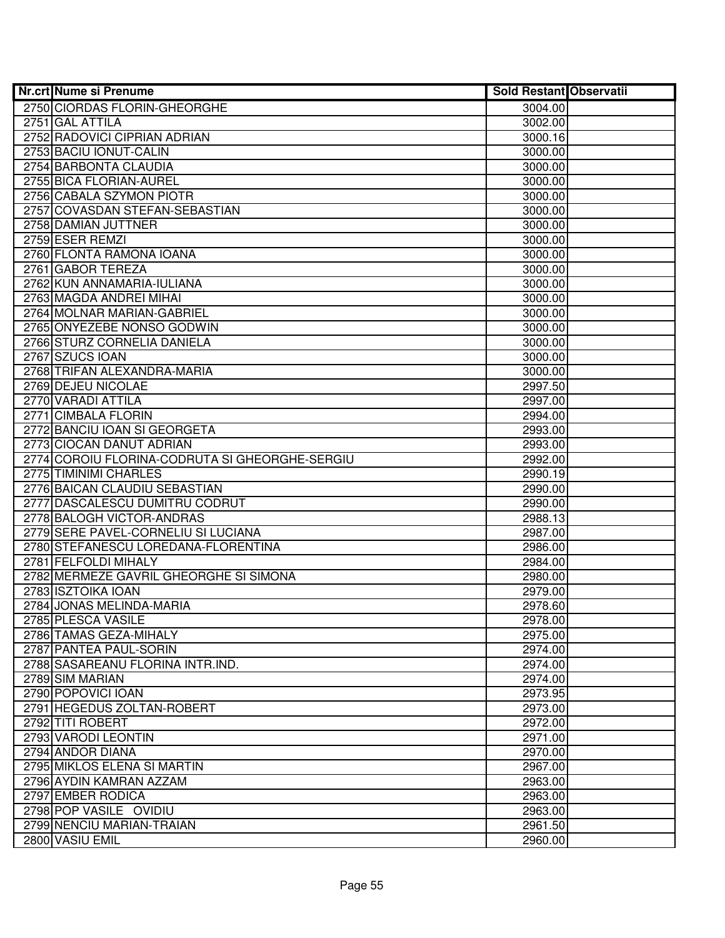| <b>Nr.crt Nume si Prenume</b>                               | <b>Sold Restant Observatii</b> |  |
|-------------------------------------------------------------|--------------------------------|--|
| 2750 CIORDAS FLORIN-GHEORGHE                                | 3004.00                        |  |
| 2751 GAL ATTILA                                             | 3002.00                        |  |
| 2752 RADOVICI CIPRIAN ADRIAN                                | 3000.16                        |  |
| 2753 BACIU IONUT-CALIN                                      | 3000.00                        |  |
| 2754 BARBONTA CLAUDIA                                       | 3000.00                        |  |
| 2755 BICA FLORIAN-AUREL                                     | 3000.00                        |  |
| 2756 CABALA SZYMON PIOTR                                    | 3000.00                        |  |
| 2757 COVASDAN STEFAN-SEBASTIAN                              | 3000.00                        |  |
| 2758 DAMIAN JUTTNER                                         | 3000.00                        |  |
| 2759 ESER REMZI                                             | 3000.00                        |  |
| 2760 FLONTA RAMONA IOANA                                    | 3000.00                        |  |
| 2761 GABOR TEREZA                                           | 3000.00                        |  |
| 2762 KUN ANNAMARIA-IULIANA                                  | 3000.00                        |  |
| 2763 MAGDA ANDREI MIHAI                                     | 3000.00                        |  |
| 2764 MOLNAR MARIAN-GABRIEL                                  | 3000.00                        |  |
| 2765 ONYEZEBE NONSO GODWIN                                  | 3000.00                        |  |
| 2766 STURZ CORNELIA DANIELA                                 | 3000.00                        |  |
| 2767 SZUCS IOAN                                             | 3000.00                        |  |
| 2768 TRIFAN ALEXANDRA-MARIA                                 | 3000.00                        |  |
| 2769 DEJEU NICOLAE                                          | 2997.50                        |  |
| 2770 VARADI ATTILA                                          | 2997.00                        |  |
| 2771 CIMBALA FLORIN                                         | 2994.00                        |  |
| 2772 BANCIU IOAN SI GEORGETA                                | 2993.00                        |  |
| 2773 CIOCAN DANUT ADRIAN                                    | 2993.00                        |  |
| 2774 COROIU FLORINA-CODRUTA SI GHEORGHE-SERGIU              | 2992.00                        |  |
| 2775 TIMINIMI CHARLES                                       | 2990.19                        |  |
| 2776 BAICAN CLAUDIU SEBASTIAN                               | 2990.00                        |  |
| 2777 DASCALESCU DUMITRU CODRUT                              | 2990.00                        |  |
| 2778 BALOGH VICTOR-ANDRAS                                   | 2988.13                        |  |
| 2779 SERE PAVEL-CORNELIU SI LUCIANA                         | 2987.00                        |  |
| 2780 STEFANESCU LOREDANA-FLORENTINA<br>2781 FELFOLDI MIHALY | 2986.00                        |  |
| 2782 MERMEZE GAVRIL GHEORGHE SI SIMONA                      | 2984.00<br>2980.00             |  |
| 2783 ISZTOIKA IOAN                                          | 2979.00                        |  |
| 2784 JONAS MELINDA-MARIA                                    | 2978.60                        |  |
| 2785 PLESCA VASILE                                          | 2978.00                        |  |
| 2786 TAMAS GEZA-MIHALY                                      | 2975.00                        |  |
| 2787 PANTEA PAUL-SORIN                                      | 2974.00                        |  |
| 2788 SASAREANU FLORINA INTR.IND.                            | 2974.00                        |  |
| 2789 SIM MARIAN                                             | 2974.00                        |  |
| 2790 POPOVICI IOAN                                          | 2973.95                        |  |
| 2791 HEGEDUS ZOLTAN-ROBERT                                  | 2973.00                        |  |
| 2792 TITI ROBERT                                            | 2972.00                        |  |
| 2793 VARODI LEONTIN                                         | 2971.00                        |  |
| 2794 ANDOR DIANA                                            | 2970.00                        |  |
| 2795 MIKLOS ELENA SI MARTIN                                 | 2967.00                        |  |
| 2796 AYDIN KAMRAN AZZAM                                     | 2963.00                        |  |
| 2797 EMBER RODICA                                           | 2963.00                        |  |
| 2798 POP VASILE OVIDIU                                      | 2963.00                        |  |
| 2799 NENCIU MARIAN-TRAIAN                                   | 2961.50                        |  |
| 2800 VASIU EMIL                                             | 2960.00                        |  |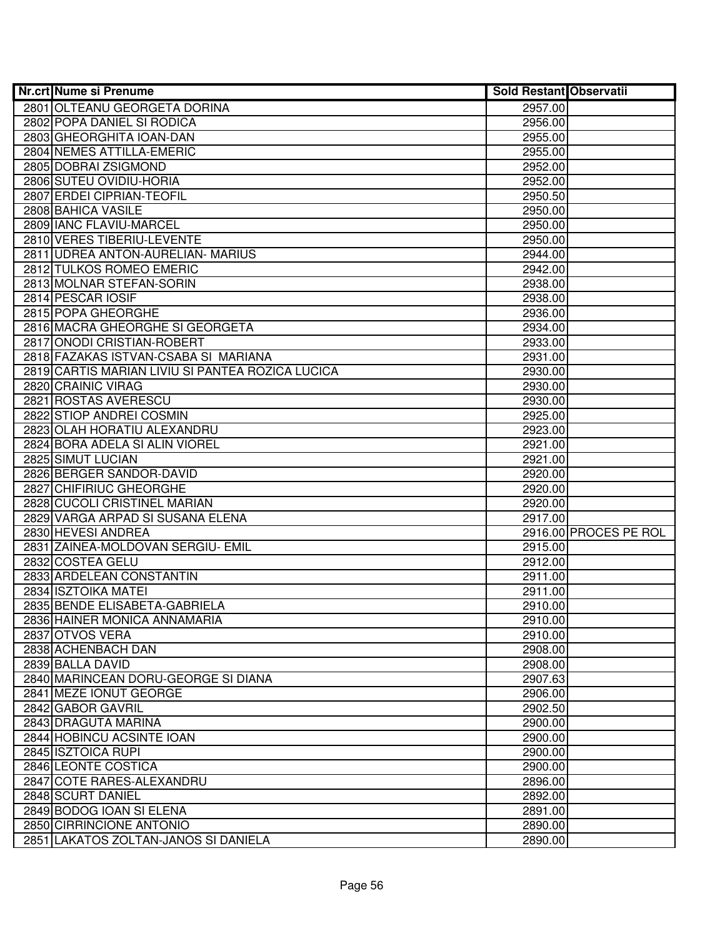| Nr.crt Nume si Prenume                           | <b>Sold Restant Observatii</b> |                       |
|--------------------------------------------------|--------------------------------|-----------------------|
| 2801 OLTEANU GEORGETA DORINA                     | 2957.00                        |                       |
| 2802 POPA DANIEL SI RODICA                       | 2956.00                        |                       |
| 2803 GHEORGHITA IOAN-DAN                         | 2955.00                        |                       |
| 2804 NEMES ATTILLA-EMERIC                        | 2955.00                        |                       |
| 2805 DOBRAI ZSIGMOND                             | 2952.00                        |                       |
| 2806 SUTEU OVIDIU-HORIA                          | 2952.00                        |                       |
| 2807 ERDEI CIPRIAN-TEOFIL                        | 2950.50                        |                       |
| 2808 BAHICA VASILE                               | 2950.00                        |                       |
| 2809 IANC FLAVIU-MARCEL                          | 2950.00                        |                       |
| 2810 VERES TIBERIU-LEVENTE                       | 2950.00                        |                       |
| 2811 UDREA ANTON-AURELIAN- MARIUS                | 2944.00                        |                       |
| 2812 TULKOS ROMEO EMERIC                         | 2942.00                        |                       |
| 2813 MOLNAR STEFAN-SORIN                         | 2938.00                        |                       |
| 2814 PESCAR IOSIF                                | 2938.00                        |                       |
| 2815 POPA GHEORGHE                               | 2936.00                        |                       |
| 2816 MACRA GHEORGHE SI GEORGETA                  | 2934.00                        |                       |
| 2817 ONODI CRISTIAN-ROBERT                       | 2933.00                        |                       |
| 2818 FAZAKAS ISTVAN-CSABA SI MARIANA             | 2931.00                        |                       |
| 2819 CARTIS MARIAN LIVIU SI PANTEA ROZICA LUCICA | 2930.00                        |                       |
| 2820 CRAINIC VIRAG                               | 2930.00                        |                       |
| 2821 ROSTAS AVERESCU                             | 2930.00                        |                       |
| 2822 STIOP ANDREI COSMIN                         | 2925.00                        |                       |
| 2823 OLAH HORATIU ALEXANDRU                      | 2923.00                        |                       |
| 2824 BORA ADELA SI ALIN VIOREL                   | 2921.00                        |                       |
| 2825 SIMUT LUCIAN                                | 2921.00                        |                       |
| 2826 BERGER SANDOR-DAVID                         | 2920.00                        |                       |
| 2827 CHIFIRIUC GHEORGHE                          | 2920.00                        |                       |
| 2828 CUCOLI CRISTINEL MARIAN                     | 2920.00                        |                       |
| 2829 VARGA ARPAD SI SUSANA ELENA                 | 2917.00                        |                       |
| 2830 HEVESI ANDREA                               |                                | 2916.00 PROCES PE ROL |
| 2831 ZAINEA-MOLDOVAN SERGIU- EMIL                | 2915.00                        |                       |
| 2832 COSTEA GELU                                 | 2912.00                        |                       |
| 2833 ARDELEAN CONSTANTIN                         | 2911.00                        |                       |
| 2834 ISZTOIKA MATEI                              | 2911.00                        |                       |
| 2835 BENDE ELISABETA-GABRIELA                    | 2910.00                        |                       |
| 2836 HAINER MONICA ANNAMARIA                     | 2910.00                        |                       |
| 2837 OTVOS VERA                                  | 2910.00                        |                       |
| 2838 ACHENBACH DAN                               | 2908.00                        |                       |
| 2839 BALLA DAVID                                 | 2908.00                        |                       |
| 2840 MARINCEAN DORU-GEORGE SI DIANA              | 2907.63                        |                       |
| 2841 MEZE IONUT GEORGE                           | 2906.00                        |                       |
| 2842 GABOR GAVRIL                                | 2902.50                        |                       |
| 2843 DRAGUTA MARINA                              | 2900.00                        |                       |
| 2844 HOBINCU ACSINTE IOAN                        | 2900.00                        |                       |
| 2845 ISZTOICA RUPI                               | 2900.00                        |                       |
| 2846 LEONTE COSTICA                              | 2900.00                        |                       |
| 2847 COTE RARES-ALEXANDRU                        | 2896.00                        |                       |
| 2848 SCURT DANIEL                                | 2892.00                        |                       |
| 2849 BODOG IOAN SI ELENA                         | 2891.00                        |                       |
| 2850 CIRRINCIONE ANTONIO                         | 2890.00                        |                       |
| 2851 LAKATOS ZOLTAN-JANOS SI DANIELA             | 2890.00                        |                       |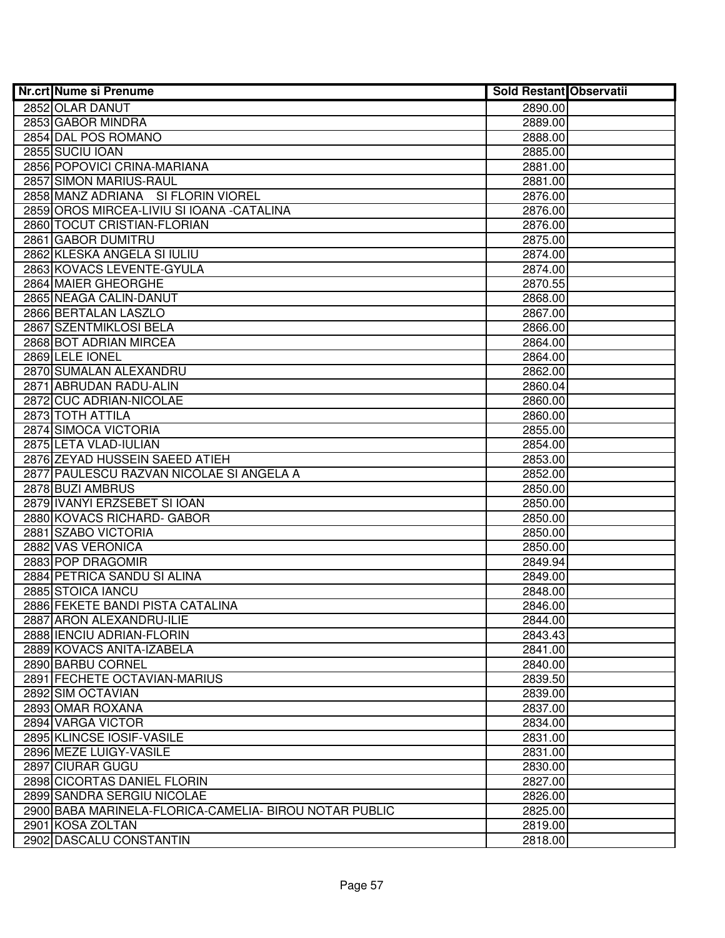| Nr.crt Nume si Prenume                                 | <b>Sold Restant Observatii</b> |  |
|--------------------------------------------------------|--------------------------------|--|
| 2852 OLAR DANUT                                        | 2890.00                        |  |
| 2853 GABOR MINDRA                                      | 2889.00                        |  |
| 2854 DAL POS ROMANO                                    | 2888.00                        |  |
| 2855 SUCIU IOAN                                        | 2885.00                        |  |
| 2856 POPOVICI CRINA-MARIANA                            | 2881.00                        |  |
| 2857 SIMON MARIUS-RAUL                                 | 2881.00                        |  |
| 2858 MANZ ADRIANA SI FLORIN VIOREL                     | 2876.00                        |  |
| 2859 OROS MIRCEA-LIVIU SI IOANA - CATALINA             | 2876.00                        |  |
| 2860 TOCUT CRISTIAN-FLORIAN                            | 2876.00                        |  |
| 2861 GABOR DUMITRU                                     | 2875.00                        |  |
| 2862 KLESKA ANGELA SI IULIU                            | 2874.00                        |  |
| 2863 KOVACS LEVENTE-GYULA                              | 2874.00                        |  |
| 2864 MAIER GHEORGHE                                    | 2870.55                        |  |
| 2865 NEAGA CALIN-DANUT                                 | 2868.00                        |  |
| 2866 BERTALAN LASZLO                                   | 2867.00                        |  |
| 2867 SZENTMIKLOSI BELA                                 | 2866.00                        |  |
| 2868 BOT ADRIAN MIRCEA                                 | 2864.00                        |  |
| 2869 LELE IONEL                                        | 2864.00                        |  |
| 2870 SUMALAN ALEXANDRU                                 | 2862.00                        |  |
| 2871 ABRUDAN RADU-ALIN                                 | 2860.04                        |  |
| 2872 CUC ADRIAN-NICOLAE                                | 2860.00                        |  |
| 2873 TOTH ATTILA                                       | 2860.00                        |  |
| 2874 SIMOCA VICTORIA                                   | 2855.00                        |  |
| 2875 LETA VLAD-IULIAN                                  | 2854.00                        |  |
| 2876 ZEYAD HUSSEIN SAEED ATIEH                         | 2853.00                        |  |
| 2877 PAULESCU RAZVAN NICOLAE SI ANGELA A               | 2852.00                        |  |
| 2878 BUZI AMBRUS                                       | 2850.00                        |  |
| 2879 IVANYI ERZSEBET SI IOAN                           | 2850.00                        |  |
| 2880 KOVACS RICHARD- GABOR                             | 2850.00                        |  |
| 2881 SZABO VICTORIA                                    | 2850.00                        |  |
| 2882 VAS VERONICA                                      | 2850.00                        |  |
| 2883 POP DRAGOMIR                                      | 2849.94                        |  |
| 2884 PETRICA SANDU SI ALINA                            | 2849.00                        |  |
| 2885 STOICA IANCU                                      | 2848.00                        |  |
| 2886 FEKETE BANDI PISTA CATALINA                       | 2846.00                        |  |
| 2887 ARON ALEXANDRU-ILIE                               | 2844.00                        |  |
| 2888 IENCIU ADRIAN-FLORIN                              | 2843.43                        |  |
| 2889 KOVACS ANITA-IZABELA                              | 2841.00                        |  |
| 2890 BARBU CORNEL                                      | 2840.00                        |  |
| 2891 FECHETE OCTAVIAN-MARIUS                           | 2839.50                        |  |
| 2892 SIM OCTAVIAN                                      | 2839.00                        |  |
| 2893 OMAR ROXANA                                       | 2837.00                        |  |
| 2894 VARGA VICTOR                                      | 2834.00                        |  |
| 2895 KLINCSE IOSIF-VASILE                              | 2831.00                        |  |
| 2896 MEZE LUIGY-VASILE                                 | 2831.00                        |  |
| 2897 CIURAR GUGU                                       | 2830.00                        |  |
| 2898 CICORTAS DANIEL FLORIN                            | 2827.00                        |  |
| 2899 SANDRA SERGIU NICOLAE                             | 2826.00                        |  |
| 2900 BABA MARINELA-FLORICA-CAMELIA- BIROU NOTAR PUBLIC | 2825.00                        |  |
| 2901 KOSA ZOLTAN                                       | 2819.00                        |  |
| 2902 DASCALU CONSTANTIN                                | 2818.00                        |  |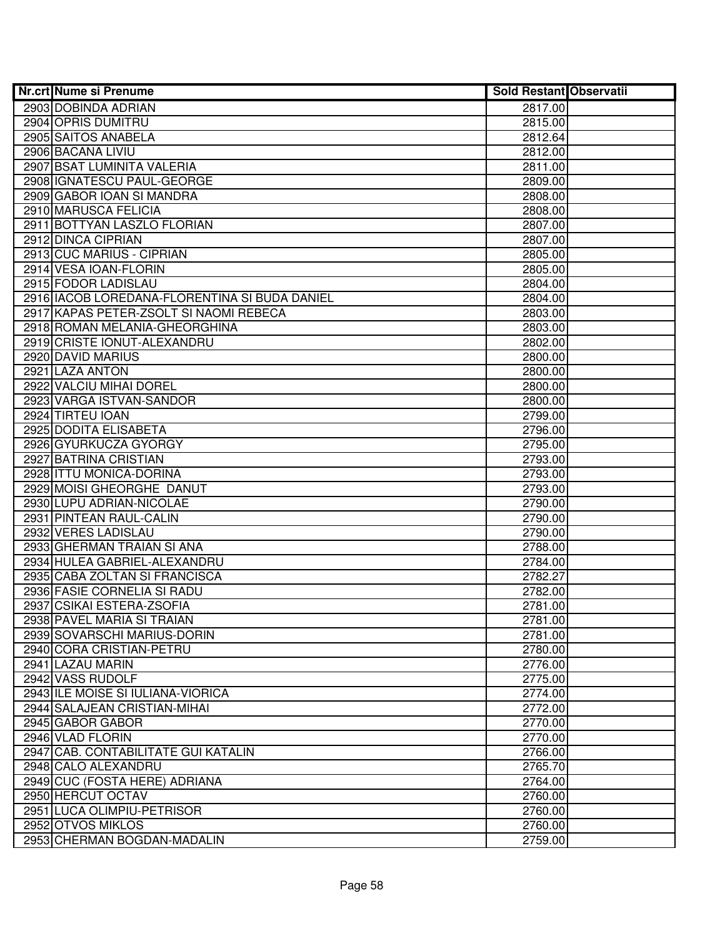| <b>Nr.crt Nume si Prenume</b>                 | <b>Sold Restant Observatii</b> |  |
|-----------------------------------------------|--------------------------------|--|
| 2903 DOBINDA ADRIAN                           | 2817.00                        |  |
| 2904 OPRIS DUMITRU                            | 2815.00                        |  |
| 2905 SAITOS ANABELA                           | 2812.64                        |  |
| 2906 BACANA LIVIU                             | 2812.00                        |  |
| 2907 BSAT LUMINITA VALERIA                    | 2811.00                        |  |
| 2908 GNATESCU PAUL-GEORGE                     | 2809.00                        |  |
| 2909 GABOR IOAN SI MANDRA                     | 2808.00                        |  |
| 2910 MARUSCA FELICIA                          | 2808.00                        |  |
| 2911 BOTTYAN LASZLO FLORIAN                   | 2807.00                        |  |
| 2912 DINCA CIPRIAN                            | 2807.00                        |  |
| 2913 CUC MARIUS - CIPRIAN                     | 2805.00                        |  |
| 2914 VESA IOAN-FLORIN                         | 2805.00                        |  |
| 2915 FODOR LADISLAU                           | 2804.00                        |  |
| 2916 IACOB LOREDANA-FLORENTINA SI BUDA DANIEL | 2804.00                        |  |
| 2917 KAPAS PETER-ZSOLT SI NAOMI REBECA        | 2803.00                        |  |
| 2918 ROMAN MELANIA-GHEORGHINA                 | 2803.00                        |  |
| 2919 CRISTE IONUT-ALEXANDRU                   | 2802.00                        |  |
| 2920 DAVID MARIUS                             | 2800.00                        |  |
| 2921 LAZA ANTON                               | 2800.00                        |  |
| 2922 VALCIU MIHAI DOREL                       | 2800.00                        |  |
| 2923 VARGA ISTVAN-SANDOR                      | 2800.00                        |  |
| 2924 TIRTEU IOAN                              | 2799.00                        |  |
| 2925 DODITA ELISABETA                         | 2796.00                        |  |
| 2926 GYURKUCZA GYORGY                         | 2795.00                        |  |
| 2927 BATRINA CRISTIAN                         | 2793.00                        |  |
| 2928 ITTU MONICA-DORINA                       | 2793.00                        |  |
| 2929 MOISI GHEORGHE DANUT                     | 2793.00                        |  |
| 2930 LUPU ADRIAN-NICOLAE                      | 2790.00                        |  |
| 2931 PINTEAN RAUL-CALIN                       | 2790.00                        |  |
| 2932 VERES LADISLAU                           | 2790.00                        |  |
| 2933 GHERMAN TRAIAN SI ANA                    | 2788.00                        |  |
| 2934 HULEA GABRIEL-ALEXANDRU                  | 2784.00                        |  |
| 2935 CABA ZOLTAN SI FRANCISCA                 | 2782.27                        |  |
| 2936 FASIE CORNELIA SI RADU                   | 2782.00                        |  |
| 2937 CSIKAI ESTERA-ZSOFIA                     | 2781.00                        |  |
| 2938 PAVEL MARIA SI TRAIAN                    | 2781.00                        |  |
| 2939 SOVARSCHI MARIUS-DORIN                   | 2781.00                        |  |
| 2940 CORA CRISTIAN-PETRU                      | 2780.00                        |  |
| 2941 LAZAU MARIN                              | 2776.00                        |  |
| 2942 VASS RUDOLF                              | 2775.00                        |  |
| 2943 ILE MOISE SI IULIANA-VIORICA             | 2774.00                        |  |
| 2944 SALAJEAN CRISTIAN-MIHAI                  | 2772.00                        |  |
| 2945 GABOR GABOR                              | 2770.00                        |  |
| 2946 VLAD FLORIN                              | 2770.00                        |  |
| 2947 CAB. CONTABILITATE GUI KATALIN           | 2766.00                        |  |
| 2948 CALO ALEXANDRU                           | 2765.70                        |  |
| 2949 CUC (FOSTA HERE) ADRIANA                 | 2764.00                        |  |
| 2950 HERCUT OCTAV                             | 2760.00                        |  |
| 2951 LUCA OLIMPIU-PETRISOR                    | 2760.00                        |  |
| 2952 OTVOS MIKLOS                             | 2760.00                        |  |
| 2953 CHERMAN BOGDAN-MADALIN                   | 2759.00                        |  |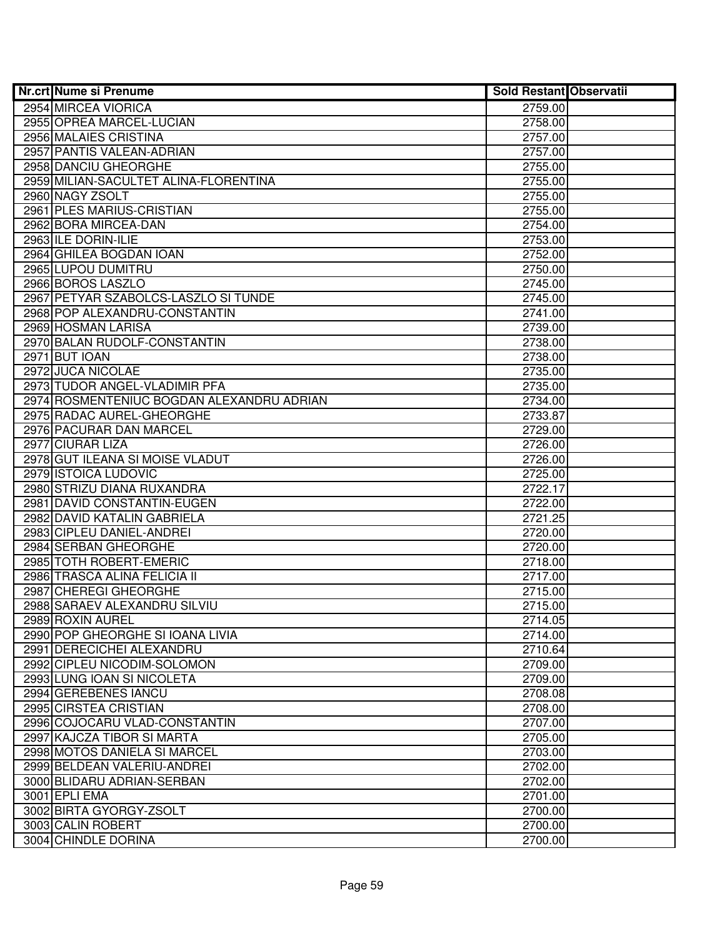| <b>Nr.crt Nume si Prenume</b>                          | <b>Sold Restant Observatii</b> |  |
|--------------------------------------------------------|--------------------------------|--|
| 2954 MIRCEA VIORICA                                    | 2759.00                        |  |
| 2955 OPREA MARCEL-LUCIAN                               | 2758.00                        |  |
| 2956 MALAIES CRISTINA                                  | 2757.00                        |  |
| 2957 PANTIS VALEAN-ADRIAN                              | 2757.00                        |  |
| 2958 DANCIU GHEORGHE                                   | 2755.00                        |  |
| 2959 MILIAN-SACULTET ALINA-FLORENTINA                  | 2755.00                        |  |
| 2960 NAGY ZSOLT                                        | 2755.00                        |  |
| 2961 PLES MARIUS-CRISTIAN                              | 2755.00                        |  |
| 2962 BORA MIRCEA-DAN                                   | 2754.00                        |  |
| 2963 ILE DORIN-ILIE                                    | 2753.00                        |  |
| 2964 GHILEA BOGDAN IOAN                                | 2752.00                        |  |
| 2965 LUPOU DUMITRU                                     | 2750.00                        |  |
| 2966 BOROS LASZLO                                      | 2745.00                        |  |
| 2967 PETYAR SZABOLCS-LASZLO SI TUNDE                   | 2745.00                        |  |
| 2968 POP ALEXANDRU-CONSTANTIN                          | 2741.00                        |  |
| 2969 HOSMAN LARISA                                     | 2739.00                        |  |
| 2970 BALAN RUDOLF-CONSTANTIN                           | 2738.00                        |  |
| 2971 BUT IOAN                                          | 2738.00                        |  |
| 2972 JUCA NICOLAE                                      | 2735.00                        |  |
| 2973 TUDOR ANGEL-VLADIMIR PFA                          | 2735.00                        |  |
| 2974 ROSMENTENIUC BOGDAN ALEXANDRU ADRIAN              | 2734.00                        |  |
| 2975 RADAC AUREL-GHEORGHE                              | 2733.87                        |  |
| 2976 PACURAR DAN MARCEL                                | 2729.00                        |  |
| 2977 CIURAR LIZA                                       | 2726.00                        |  |
| 2978 GUT ILEANA SI MOISE VLADUT                        | 2726.00                        |  |
| 2979 ISTOICA LUDOVIC                                   | 2725.00                        |  |
| 2980 STRIZU DIANA RUXANDRA                             | 2722.17                        |  |
| 2981 DAVID CONSTANTIN-EUGEN                            | 2722.00                        |  |
| 2982 DAVID KATALIN GABRIELA                            | 2721.25                        |  |
| 2983 CIPLEU DANIEL-ANDREI                              | 2720.00                        |  |
| 2984 SERBAN GHEORGHE                                   | 2720.00                        |  |
| 2985 TOTH ROBERT-EMERIC                                | 2718.00                        |  |
| 2986 TRASCA ALINA FELICIA II                           | 2717.00                        |  |
| 2987 CHEREGI GHEORGHE                                  | 2715.00                        |  |
| 2988 SARAEV ALEXANDRU SILVIU                           | 2715.00                        |  |
| 2989 ROXIN AUREL                                       | 2714.05                        |  |
| 2990 POP GHEORGHE SI IOANA LIVIA                       | 2714.00                        |  |
| 2991 DERECICHEI ALEXANDRU                              | 2710.64                        |  |
| 2992 CIPLEU NICODIM-SOLOMON                            | 2709.00                        |  |
| 2993 LUNG IOAN SI NICOLETA                             | 2709.00                        |  |
| 2994 GEREBENES IANCU                                   | 2708.08                        |  |
| 2995 CIRSTEA CRISTIAN<br>2996 COJOCARU VLAD-CONSTANTIN | 2708.00                        |  |
| 2997 KAJCZA TIBOR SI MARTA                             | 2707.00                        |  |
| 2998 MOTOS DANIELA SI MARCEL                           | 2705.00                        |  |
| 2999 BELDEAN VALERIU-ANDREI                            | 2703.00                        |  |
| 3000 BLIDARU ADRIAN-SERBAN                             | 2702.00                        |  |
| 3001 EPLI EMA                                          | 2702.00<br>2701.00             |  |
| 3002 BIRTA GYORGY-ZSOLT                                | 2700.00                        |  |
| 3003 CALIN ROBERT                                      | 2700.00                        |  |
| 3004 CHINDLE DORINA                                    | 2700.00                        |  |
|                                                        |                                |  |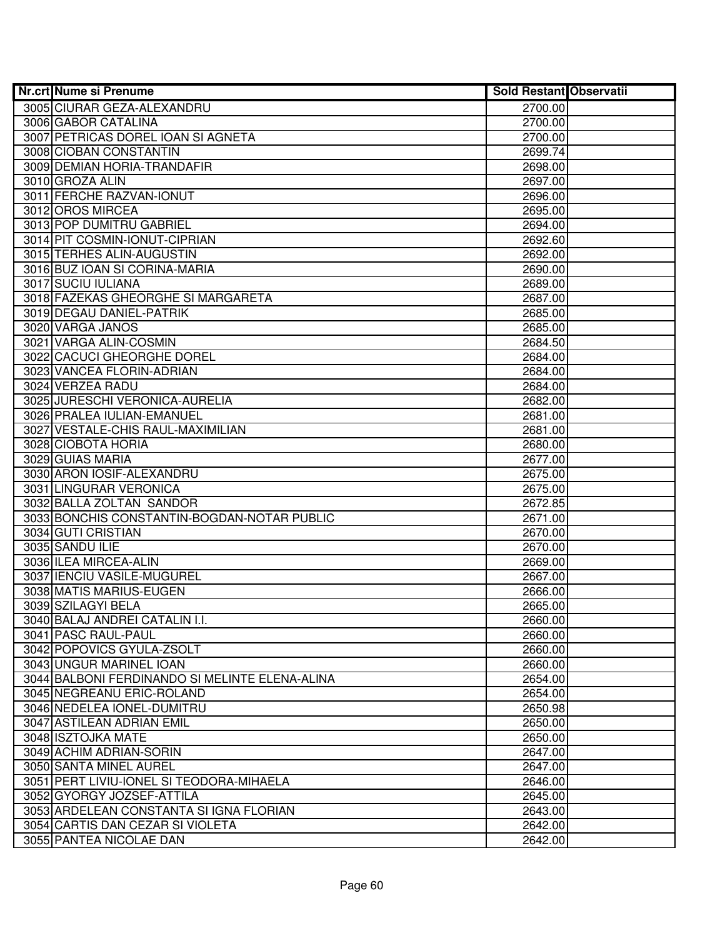| <b>Nr.crt Nume si Prenume</b>                  | <b>Sold Restant Observatii</b> |  |
|------------------------------------------------|--------------------------------|--|
| 3005 CIURAR GEZA-ALEXANDRU                     | 2700.00                        |  |
| 3006 GABOR CATALINA                            | 2700.00                        |  |
| 3007 PETRICAS DOREL IOAN SI AGNETA             | 2700.00                        |  |
| 3008 CIOBAN CONSTANTIN                         | 2699.74                        |  |
| 3009 DEMIAN HORIA-TRANDAFIR                    | 2698.00                        |  |
| 3010 GROZA ALIN                                | 2697.00                        |  |
| 3011 FERCHE RAZVAN-IONUT                       | 2696.00                        |  |
| 3012 OROS MIRCEA                               | 2695.00                        |  |
| 3013 POP DUMITRU GABRIEL                       | 2694.00                        |  |
| 3014 PIT COSMIN-IONUT-CIPRIAN                  | 2692.60                        |  |
| 3015 TERHES ALIN-AUGUSTIN                      | 2692.00                        |  |
| 3016 BUZ IOAN SI CORINA-MARIA                  | 2690.00                        |  |
| 3017 SUCIU IULIANA                             | 2689.00                        |  |
| 3018 FAZEKAS GHEORGHE SI MARGARETA             | 2687.00                        |  |
| 3019 DEGAU DANIEL-PATRIK                       | 2685.00                        |  |
| 3020 VARGA JANOS                               | 2685.00                        |  |
| 3021 VARGA ALIN-COSMIN                         | 2684.50                        |  |
| 3022 CACUCI GHEORGHE DOREL                     | 2684.00                        |  |
| 3023 VANCEA FLORIN-ADRIAN                      | 2684.00                        |  |
| 3024 VERZEA RADU                               | 2684.00                        |  |
| 3025 JURESCHI VERONICA-AURELIA                 | 2682.00                        |  |
| 3026 PRALEA IULIAN-EMANUEL                     | 2681.00                        |  |
| 3027 VESTALE-CHIS RAUL-MAXIMILIAN              | 2681.00                        |  |
| 3028 CIOBOTA HORIA                             | 2680.00                        |  |
| 3029 GUIAS MARIA                               | 2677.00                        |  |
| 3030 ARON IOSIF-ALEXANDRU                      | 2675.00                        |  |
| 3031 LINGURAR VERONICA                         | 2675.00                        |  |
| 3032 BALLA ZOLTAN SANDOR                       | 2672.85                        |  |
| 3033 BONCHIS CONSTANTIN-BOGDAN-NOTAR PUBLIC    | 2671.00                        |  |
| 3034 GUTI CRISTIAN                             | 2670.00                        |  |
| 3035 SANDU ILIE                                | 2670.00                        |  |
| 3036 ILEA MIRCEA-ALIN                          | 2669.00                        |  |
| 3037 IENCIU VASILE-MUGUREL                     | 2667.00                        |  |
| 3038 MATIS MARIUS-EUGEN                        | 2666.00                        |  |
| 3039 SZILAGYI BELA                             | 2665.00                        |  |
| 3040 BALAJ ANDREI CATALIN I.I.                 | 2660.00                        |  |
| 3041 PASC RAUL-PAUL                            | 2660.00                        |  |
| 3042 POPOVICS GYULA-ZSOLT                      | 2660.00                        |  |
| 3043 UNGUR MARINEL IOAN                        | 2660.00                        |  |
| 3044 BALBONI FERDINANDO SI MELINTE ELENA-ALINA | 2654.00                        |  |
| 3045 NEGREANU ERIC-ROLAND                      | 2654.00                        |  |
| 3046 NEDELEA IONEL-DUMITRU                     | 2650.98                        |  |
| 3047 ASTILEAN ADRIAN EMIL                      | 2650.00                        |  |
| 3048 ISZTOJKA MATE                             | 2650.00                        |  |
| 3049 ACHIM ADRIAN-SORIN                        | 2647.00                        |  |
| 3050 SANTA MINEL AUREL                         | 2647.00                        |  |
| 3051 PERT LIVIU-IONEL SI TEODORA-MIHAELA       | 2646.00                        |  |
| 3052 GYORGY JOZSEF-ATTILA                      | 2645.00                        |  |
| 3053 ARDELEAN CONSTANTA SI IGNA FLORIAN        | 2643.00                        |  |
| 3054 CARTIS DAN CEZAR SI VIOLETA               | 2642.00                        |  |
| 3055 PANTEA NICOLAE DAN                        | 2642.00                        |  |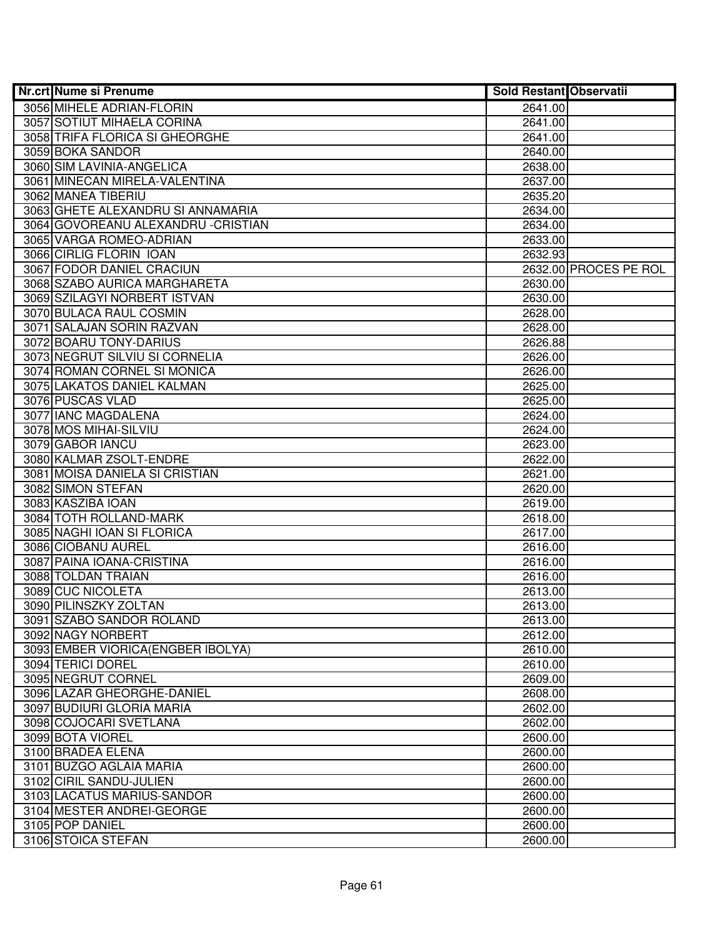| <b>Nr.crt Nume si Prenume</b>       | <b>Sold Restant Observatii</b> |                       |
|-------------------------------------|--------------------------------|-----------------------|
| 3056 MIHELE ADRIAN-FLORIN           | 2641.00                        |                       |
| 3057 SOTIUT MIHAELA CORINA          | 2641.00                        |                       |
| 3058 TRIFA FLORICA SI GHEORGHE      | 2641.00                        |                       |
| 3059 BOKA SANDOR                    | 2640.00                        |                       |
| 3060 SIM LAVINIA-ANGELICA           | 2638.00                        |                       |
| 3061 MINECAN MIRELA-VALENTINA       | 2637.00                        |                       |
| 3062 MANEA TIBERIU                  | 2635.20                        |                       |
| 3063 GHETE ALEXANDRU SI ANNAMARIA   | 2634.00                        |                       |
| 3064 GOVOREANU ALEXANDRU - CRISTIAN | 2634.00                        |                       |
| 3065 VARGA ROMEO-ADRIAN             | 2633.00                        |                       |
| 3066 CIRLIG FLORIN IOAN             | 2632.93                        |                       |
| 3067 FODOR DANIEL CRACIUN           |                                | 2632.00 PROCES PE ROL |
| 3068 SZABO AURICA MARGHARETA        | 2630.00                        |                       |
| 3069 SZILAGYI NORBERT ISTVAN        | 2630.00                        |                       |
| 3070 BULACA RAUL COSMIN             | 2628.00                        |                       |
| 3071 SALAJAN SORIN RAZVAN           | 2628.00                        |                       |
| 3072 BOARU TONY-DARIUS              | 2626.88                        |                       |
| 3073 NEGRUT SILVIU SI CORNELIA      | 2626.00                        |                       |
| 3074 ROMAN CORNEL SI MONICA         | 2626.00                        |                       |
| 3075 LAKATOS DANIEL KALMAN          | 2625.00                        |                       |
| 3076 PUSCAS VLAD                    | 2625.00                        |                       |
| 3077 IANC MAGDALENA                 | 2624.00                        |                       |
| 3078 MOS MIHAI-SILVIU               | 2624.00                        |                       |
| 3079 GABOR IANCU                    | 2623.00                        |                       |
| 3080 KALMAR ZSOLT-ENDRE             | 2622.00                        |                       |
| 3081 MOISA DANIELA SI CRISTIAN      | 2621.00                        |                       |
| 3082 SIMON STEFAN                   | 2620.00                        |                       |
| 3083 KASZIBA IOAN                   | 2619.00                        |                       |
| 3084 TOTH ROLLAND-MARK              | 2618.00                        |                       |
| 3085 NAGHI IOAN SI FLORICA          | 2617.00                        |                       |
| 3086 CIOBANU AUREL                  | 2616.00                        |                       |
| 3087 PAINA IOANA-CRISTINA           | 2616.00                        |                       |
| 3088 TOLDAN TRAIAN                  | 2616.00                        |                       |
| 3089 CUC NICOLETA                   | 2613.00                        |                       |
| 3090 PILINSZKY ZOLTAN               | 2613.00                        |                       |
| 3091 SZABO SANDOR ROLAND            | 2613.00                        |                       |
| 3092 NAGY NORBERT                   | 2612.00                        |                       |
| 3093 EMBER VIORICA (ENGBER IBOLYA)  | 2610.00                        |                       |
| 3094 TERICI DOREL                   | 2610.00                        |                       |
| 3095 NEGRUT CORNEL                  | 2609.00                        |                       |
| 3096 LAZAR GHEORGHE-DANIEL          | 2608.00                        |                       |
| 3097 BUDIURI GLORIA MARIA           | 2602.00                        |                       |
| 3098 COJOCARI SVETLANA              | 2602.00                        |                       |
| 3099 BOTA VIOREL                    | 2600.00                        |                       |
| 3100 BRADEA ELENA                   | 2600.00                        |                       |
| 3101 BUZGO AGLAIA MARIA             | 2600.00                        |                       |
| 3102 CIRIL SANDU-JULIEN             | 2600.00                        |                       |
| 3103 LACATUS MARIUS-SANDOR          | 2600.00                        |                       |
| 3104 MESTER ANDREI-GEORGE           | 2600.00                        |                       |
| 3105 POP DANIEL                     | 2600.00                        |                       |
| 3106 STOICA STEFAN                  | 2600.00                        |                       |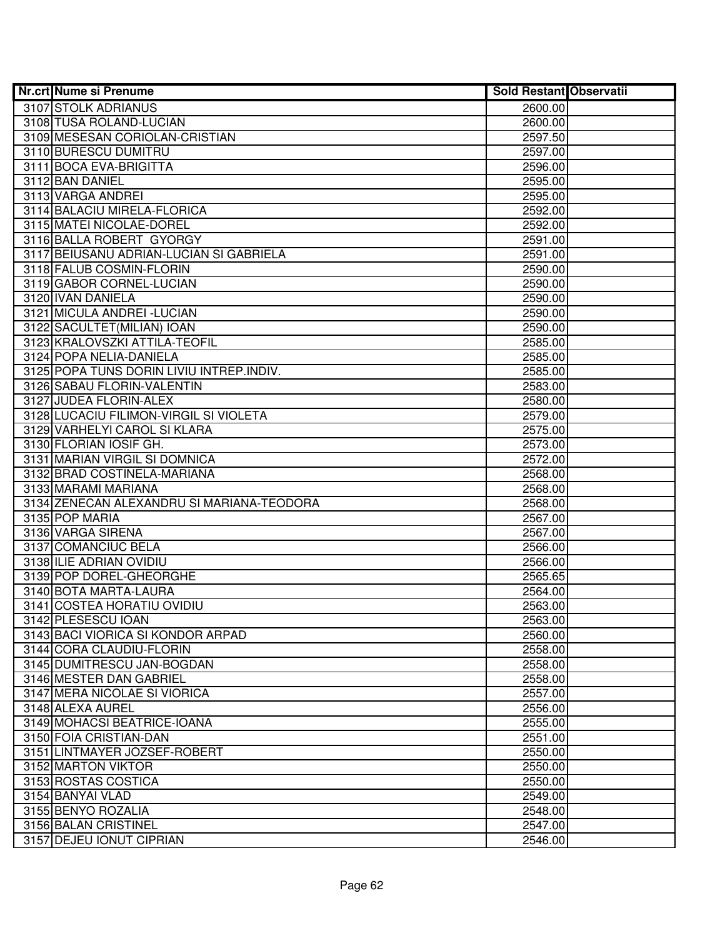| <b>Nr.crt Nume si Prenume</b>              | <b>Sold Restant Observatii</b> |  |
|--------------------------------------------|--------------------------------|--|
| 3107 STOLK ADRIANUS                        | 2600.00                        |  |
| 3108 TUSA ROLAND-LUCIAN                    | 2600.00                        |  |
| 3109 MESESAN CORIOLAN-CRISTIAN             | 2597.50                        |  |
| 3110 BURESCU DUMITRU                       | 2597.00                        |  |
| 3111 BOCA EVA-BRIGITTA                     | 2596.00                        |  |
| 3112 BAN DANIEL                            | 2595.00                        |  |
| 3113 VARGA ANDREI                          | 2595.00                        |  |
| 3114 BALACIU MIRELA-FLORICA                | 2592.00                        |  |
| 3115 MATEI NICOLAE-DOREL                   | 2592.00                        |  |
| 3116 BALLA ROBERT GYORGY                   | 2591.00                        |  |
| 3117 BEIUSANU ADRIAN-LUCIAN SI GABRIELA    | 2591.00                        |  |
| 3118 FALUB COSMIN-FLORIN                   | 2590.00                        |  |
| 3119 GABOR CORNEL-LUCIAN                   | 2590.00                        |  |
| 3120 IVAN DANIELA                          | 2590.00                        |  |
| 3121 MICULA ANDREI - LUCIAN                | 2590.00                        |  |
| 3122 SACULTET (MILIAN) IOAN                | 2590.00                        |  |
| 3123 KRALOVSZKI ATTILA-TEOFIL              | 2585.00                        |  |
| 3124 POPA NELIA-DANIELA                    | 2585.00                        |  |
| 3125 POPA TUNS DORIN LIVIU INTREP. INDIV.  | 2585.00                        |  |
| 3126 SABAU FLORIN-VALENTIN                 | 2583.00                        |  |
| 3127 JUDEA FLORIN-ALEX                     | 2580.00                        |  |
| 3128 LUCACIU FILIMON-VIRGIL SI VIOLETA     | 2579.00                        |  |
| 3129 VARHELYI CAROL SI KLARA               | 2575.00                        |  |
| 3130 FLORIAN IOSIF GH.                     | 2573.00                        |  |
| 3131 MARIAN VIRGIL SI DOMNICA              | 2572.00                        |  |
| 3132 BRAD COSTINELA-MARIANA                | 2568.00                        |  |
| 3133 MARAMI MARIANA                        | 2568.00                        |  |
| 3134 ZENECAN ALEXANDRU SI MARIANA-TEODORA  | 2568.00                        |  |
| 3135 POP MARIA                             | 2567.00                        |  |
| 3136 VARGA SIRENA                          | 2567.00                        |  |
| 3137 COMANCIUC BELA                        | 2566.00                        |  |
| 3138 ILIE ADRIAN OVIDIU                    | 2566.00                        |  |
| 3139 POP DOREL-GHEORGHE                    | 2565.65                        |  |
| 3140 BOTA MARTA-LAURA                      | 2564.00                        |  |
| 3141 COSTEA HORATIU OVIDIU                 | 2563.00                        |  |
| 3142 PLESESCU IOAN                         | 2563.00                        |  |
| 3143 BACI VIORICA SI KONDOR ARPAD          | 2560.00                        |  |
| 3144 CORA CLAUDIU-FLORIN                   | 2558.00                        |  |
| 3145 DUMITRESCU JAN-BOGDAN                 | 2558.00                        |  |
| 3146 MESTER DAN GABRIEL                    | 2558.00                        |  |
| 3147 MERA NICOLAE SI VIORICA               | 2557.00                        |  |
| 3148 ALEXA AUREL                           | 2556.00                        |  |
| 3149 MOHACSI BEATRICE-IOANA                | 2555.00                        |  |
| 3150 FOIA CRISTIAN-DAN                     | 2551.00                        |  |
| 3151 LINTMAYER JOZSEF-ROBERT               | 2550.00                        |  |
| 3152 MARTON VIKTOR                         | 2550.00                        |  |
| 3153 ROSTAS COSTICA                        | 2550.00                        |  |
| 3154 BANYAI VLAD                           | 2549.00                        |  |
| 3155 BENYO ROZALIA<br>3156 BALAN CRISTINEL | 2548.00<br>2547.00             |  |
| 3157 DEJEU IONUT CIPRIAN                   |                                |  |
|                                            | 2546.00                        |  |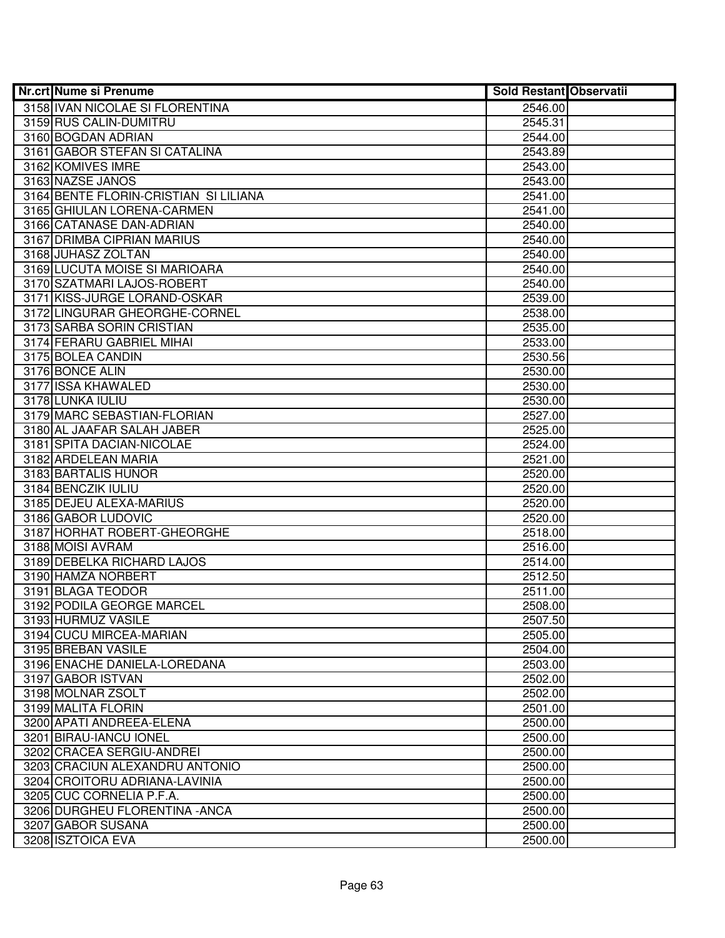| <b>Nr.crt Nume si Prenume</b>         | <b>Sold Restant Observatii</b> |  |
|---------------------------------------|--------------------------------|--|
| 3158 IVAN NICOLAE SI FLORENTINA       | 2546.00                        |  |
| 3159 RUS CALIN-DUMITRU                | 2545.31                        |  |
| 3160 BOGDAN ADRIAN                    | 2544.00                        |  |
| 3161 GABOR STEFAN SI CATALINA         | 2543.89                        |  |
| 3162 KOMIVES IMRE                     | 2543.00                        |  |
| 3163 NAZSE JANOS                      | 2543.00                        |  |
| 3164 BENTE FLORIN-CRISTIAN SI LILIANA | 2541.00                        |  |
| 3165 GHIULAN LORENA-CARMEN            | 2541.00                        |  |
| 3166 CATANASE DAN-ADRIAN              | 2540.00                        |  |
| 3167 DRIMBA CIPRIAN MARIUS            | 2540.00                        |  |
| 3168 JUHASZ ZOLTAN                    | 2540.00                        |  |
| 3169 LUCUTA MOISE SI MARIOARA         | 2540.00                        |  |
| 3170 SZATMARI LAJOS-ROBERT            | 2540.00                        |  |
| 3171 KISS-JURGE LORAND-OSKAR          | 2539.00                        |  |
| 3172 LINGURAR GHEORGHE-CORNEL         | 2538.00                        |  |
| 3173 SARBA SORIN CRISTIAN             | 2535.00                        |  |
| 3174 FERARU GABRIEL MIHAI             | 2533.00                        |  |
| 3175 BOLEA CANDIN                     | 2530.56                        |  |
| 3176 BONCE ALIN                       | 2530.00                        |  |
| 3177 ISSA KHAWALED                    | 2530.00                        |  |
| 3178 LUNKA IULIU                      | 2530.00                        |  |
| 3179 MARC SEBASTIAN-FLORIAN           | 2527.00                        |  |
| 3180 AL JAAFAR SALAH JABER            | 2525.00                        |  |
| 3181 SPITA DACIAN-NICOLAE             | 2524.00                        |  |
| 3182 ARDELEAN MARIA                   | 2521.00                        |  |
| 3183 BARTALIS HUNOR                   | 2520.00                        |  |
| 3184 BENCZIK IULIU                    | 2520.00                        |  |
| 3185 DEJEU ALEXA-MARIUS               | 2520.00                        |  |
| 3186 GABOR LUDOVIC                    | 2520.00                        |  |
| 3187 HORHAT ROBERT-GHEORGHE           | 2518.00                        |  |
| 3188 MOISI AVRAM                      | 2516.00                        |  |
| 3189 DEBELKA RICHARD LAJOS            | 2514.00                        |  |
| 3190 HAMZA NORBERT                    | 2512.50                        |  |
| 3191 BLAGA TEODOR                     | 2511.00                        |  |
| 3192 PODILA GEORGE MARCEL             | 2508.00                        |  |
| 3193 HURMUZ VASILE                    | 2507.50                        |  |
| 3194 CUCU MIRCEA-MARIAN               | 2505.00                        |  |
| 3195 BREBAN VASILE                    | 2504.00                        |  |
| 3196 ENACHE DANIELA-LOREDANA          | 2503.00                        |  |
| 3197 GABOR ISTVAN                     | 2502.00                        |  |
| 3198 MOLNAR ZSOLT                     | 2502.00                        |  |
| 3199 MALITA FLORIN                    | 2501.00                        |  |
| 3200 APATI ANDREEA-ELENA              | 2500.00                        |  |
| 3201 BIRAU-IANCU IONEL                | 2500.00                        |  |
| 3202 CRACEA SERGIU-ANDREI             | 2500.00                        |  |
| 3203 CRACIUN ALEXANDRU ANTONIO        | 2500.00                        |  |
| 3204 CROITORU ADRIANA-LAVINIA         | 2500.00                        |  |
| 3205 CUC CORNELIA P.F.A.              | 2500.00                        |  |
| 3206 DURGHEU FLORENTINA - ANCA        | 2500.00                        |  |
| 3207 GABOR SUSANA                     | 2500.00                        |  |
| 3208 ISZTOICA EVA                     | 2500.00                        |  |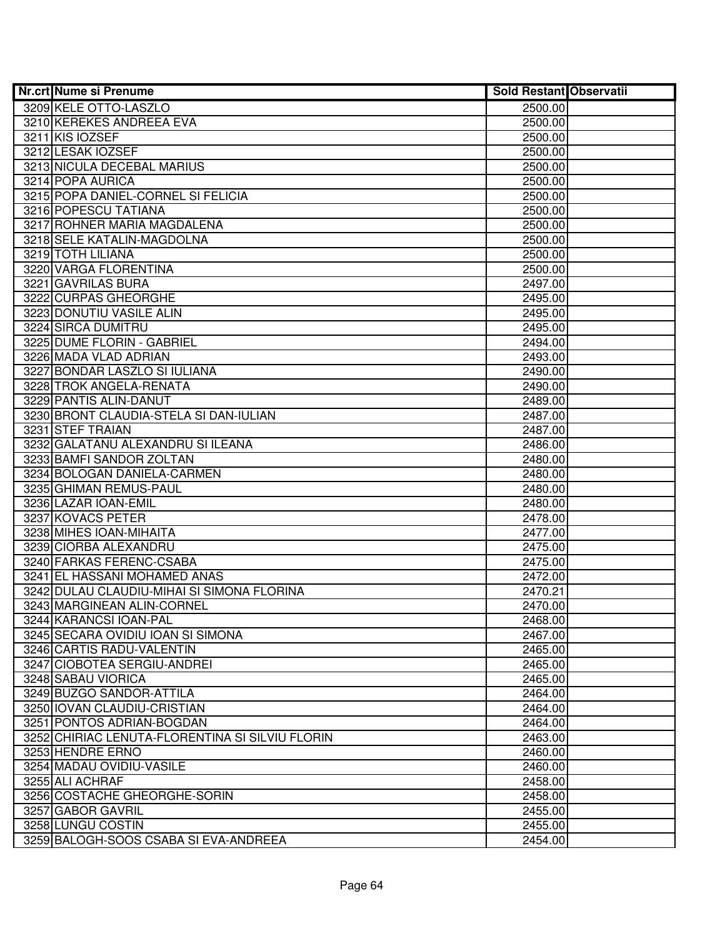| <b>Nr.crt Nume si Prenume</b>                        | <b>Sold Restant Observatii</b> |  |
|------------------------------------------------------|--------------------------------|--|
| 3209 KELE OTTO-LASZLO                                | 2500.00                        |  |
| 3210 KEREKES ANDREEA EVA                             | 2500.00                        |  |
| 3211 KIS IOZSEF                                      | 2500.00                        |  |
| 3212 LESAK IOZSEF                                    | 2500.00                        |  |
| 3213 NICULA DECEBAL MARIUS                           | 2500.00                        |  |
| 3214 POPA AURICA                                     | 2500.00                        |  |
| 3215 POPA DANIEL-CORNEL SI FELICIA                   | 2500.00                        |  |
| 3216 POPESCU TATIANA                                 | 2500.00                        |  |
| 3217 ROHNER MARIA MAGDALENA                          | 2500.00                        |  |
| 3218 SELE KATALIN-MAGDOLNA                           | 2500.00                        |  |
| 3219 TOTH LILIANA                                    | 2500.00                        |  |
| 3220 VARGA FLORENTINA                                | 2500.00                        |  |
| 3221 GAVRILAS BURA                                   | 2497.00                        |  |
| 3222 CURPAS GHEORGHE                                 | 2495.00                        |  |
| 3223 DONUTIU VASILE ALIN                             | 2495.00                        |  |
| 3224 SIRCA DUMITRU                                   | 2495.00                        |  |
| 3225 DUME FLORIN - GABRIEL                           | 2494.00                        |  |
| 3226 MADA VLAD ADRIAN                                | 2493.00                        |  |
| 3227 BONDAR LASZLO SI IULIANA                        | 2490.00                        |  |
| 3228 TROK ANGELA-RENATA                              | 2490.00                        |  |
| 3229 PANTIS ALIN-DANUT                               | 2489.00                        |  |
| 3230 BRONT CLAUDIA-STELA SI DAN-IULIAN               | 2487.00                        |  |
| 3231 STEF TRAIAN                                     | 2487.00                        |  |
| 3232 GALATANU ALEXANDRU SI ILEANA                    | 2486.00                        |  |
| 3233 BAMFI SANDOR ZOLTAN                             | 2480.00                        |  |
| 3234 BOLOGAN DANIELA-CARMEN                          | 2480.00                        |  |
| 3235 GHIMAN REMUS-PAUL                               | 2480.00                        |  |
| 3236 LAZAR IOAN-EMIL                                 | 2480.00                        |  |
| 3237 KOVACS PETER                                    | 2478.00                        |  |
| 3238 MIHES IOAN-MIHAITA                              | 2477.00                        |  |
| 3239 CIORBA ALEXANDRU                                | 2475.00                        |  |
| 3240 FARKAS FERENC-CSABA                             | 2475.00                        |  |
| 3241 EL HASSANI MOHAMED ANAS                         | 2472.00                        |  |
| 3242 DULAU CLAUDIU-MIHAI SI SIMONA FLORINA           | 2470.21                        |  |
| 3243 MARGINEAN ALIN-CORNEL<br>3244 KARANCSI IOAN-PAL | 2470.00<br>2468.00             |  |
| 3245 SECARA OVIDIU IOAN SI SIMONA                    | 2467.00                        |  |
| 3246 CARTIS RADU-VALENTIN                            | 2465.00                        |  |
| 3247 CIOBOTEA SERGIU-ANDREI                          | 2465.00                        |  |
| 3248 SABAU VIORICA                                   | 2465.00                        |  |
| 3249 BUZGO SANDOR-ATTILA                             | 2464.00                        |  |
| 3250 IOVAN CLAUDIU-CRISTIAN                          | 2464.00                        |  |
| 3251 PONTOS ADRIAN-BOGDAN                            | 2464.00                        |  |
| 3252 CHIRIAC LENUTA-FLORENTINA SI SILVIU FLORIN      | 2463.00                        |  |
| 3253 HENDRE ERNO                                     | 2460.00                        |  |
| 3254 MADAU OVIDIU-VASILE                             | 2460.00                        |  |
| 3255 ALI ACHRAF                                      | 2458.00                        |  |
| 3256 COSTACHE GHEORGHE-SORIN                         | 2458.00                        |  |
| 3257 GABOR GAVRIL                                    | 2455.00                        |  |
| 3258 LUNGU COSTIN                                    | 2455.00                        |  |
| 3259 BALOGH-SOOS CSABA SI EVA-ANDREEA                | 2454.00                        |  |
|                                                      |                                |  |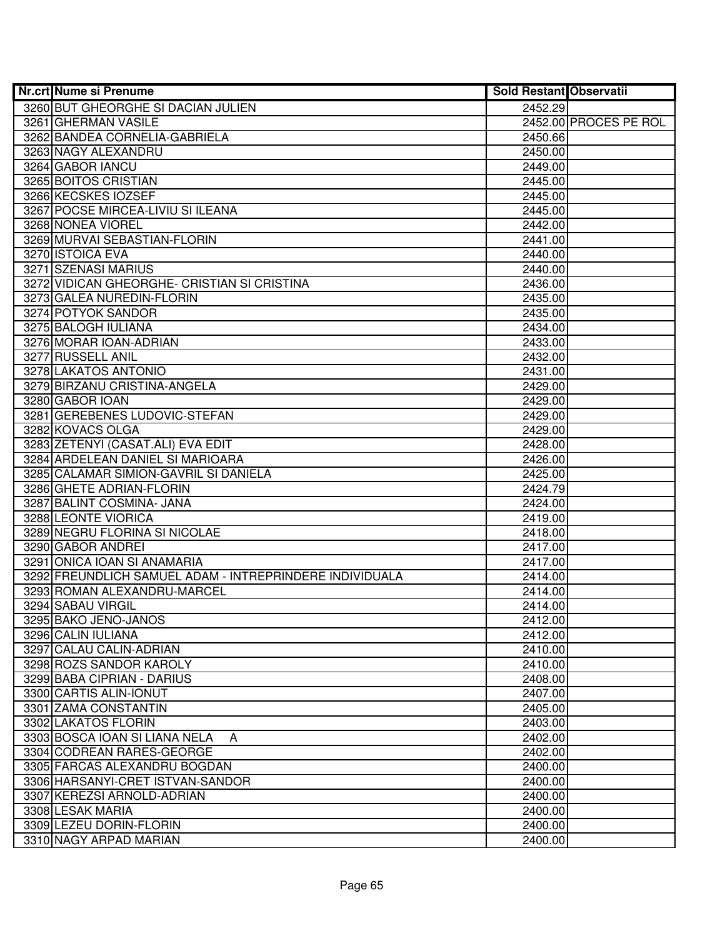| <b>Nr.crt Nume si Prenume</b>                           | <b>Sold Restant Observatii</b> |                       |
|---------------------------------------------------------|--------------------------------|-----------------------|
| 3260 BUT GHEORGHE SI DACIAN JULIEN                      | 2452.29                        |                       |
| 3261 GHERMAN VASILE                                     |                                | 2452.00 PROCES PE ROL |
| 3262 BANDEA CORNELIA-GABRIELA                           | 2450.66                        |                       |
| 3263 NAGY ALEXANDRU                                     | 2450.00                        |                       |
| 3264 GABOR IANCU                                        | 2449.00                        |                       |
| 3265 BOITOS CRISTIAN                                    | 2445.00                        |                       |
| 3266 KECSKES IOZSEF                                     | 2445.00                        |                       |
| 3267 POCSE MIRCEA-LIVIU SI ILEANA                       | 2445.00                        |                       |
| 3268 NONEA VIOREL                                       | 2442.00                        |                       |
| 3269 MURVAI SEBASTIAN-FLORIN                            | 2441.00                        |                       |
| 3270 ISTOICA EVA                                        | 2440.00                        |                       |
| 3271 SZENASI MARIUS                                     | 2440.00                        |                       |
| 3272 VIDICAN GHEORGHE- CRISTIAN SI CRISTINA             | 2436.00                        |                       |
| 3273 GALEA NUREDIN-FLORIN                               | 2435.00                        |                       |
| 3274 POTYOK SANDOR                                      | 2435.00                        |                       |
| 3275 BALOGH IULIANA                                     | 2434.00                        |                       |
| 3276 MORAR IOAN-ADRIAN                                  | 2433.00                        |                       |
| 3277 RUSSELL ANIL                                       | 2432.00                        |                       |
| 3278 LAKATOS ANTONIO                                    | 2431.00                        |                       |
| 3279 BIRZANU CRISTINA-ANGELA                            | 2429.00                        |                       |
| 3280 GABOR IOAN                                         | 2429.00                        |                       |
| 3281 GEREBENES LUDOVIC-STEFAN                           | 2429.00                        |                       |
| 3282 KOVACS OLGA                                        | 2429.00                        |                       |
| 3283 ZETENYI (CASAT.ALI) EVA EDIT                       | 2428.00                        |                       |
| 3284 ARDELEAN DANIEL SI MARIOARA                        | 2426.00                        |                       |
| 3285 CALAMAR SIMION-GAVRIL SI DANIELA                   | 2425.00                        |                       |
| 3286 GHETE ADRIAN-FLORIN                                | 2424.79                        |                       |
| 3287 BALINT COSMINA- JANA                               | 2424.00                        |                       |
| 3288 LEONTE VIORICA<br>3289 NEGRU FLORINA SI NICOLAE    | 2419.00<br>2418.00             |                       |
| 3290 GABOR ANDREI                                       | 2417.00                        |                       |
| 3291 ONICA IOAN SI ANAMARIA                             | 2417.00                        |                       |
| 3292 FREUNDLICH SAMUEL ADAM - INTREPRINDERE INDIVIDUALA | 2414.00                        |                       |
| 3293 ROMAN ALEXANDRU-MARCEL                             | 2414.00                        |                       |
| 3294 SABAU VIRGIL                                       | 2414.00                        |                       |
| 3295 BAKO JENO-JANOS                                    | 2412.00                        |                       |
| 3296 CALIN IULIANA                                      | 2412.00                        |                       |
| 3297 CALAU CALIN-ADRIAN                                 | 2410.00                        |                       |
| 3298 ROZS SANDOR KAROLY                                 | 2410.00                        |                       |
| 3299 BABA CIPRIAN - DARIUS                              | 2408.00                        |                       |
| 3300 CARTIS ALIN-IONUT                                  | 2407.00                        |                       |
| 3301 ZAMA CONSTANTIN                                    | 2405.00                        |                       |
| 3302 LAKATOS FLORIN                                     | 2403.00                        |                       |
| 3303 BOSCA IOAN SI LIANA NELA<br>A                      | 2402.00                        |                       |
| 3304 CODREAN RARES-GEORGE                               | 2402.00                        |                       |
| 3305 FARCAS ALEXANDRU BOGDAN                            | 2400.00                        |                       |
| 3306 HARSANYI-CRET ISTVAN-SANDOR                        | 2400.00                        |                       |
| 3307 KEREZSI ARNOLD-ADRIAN                              | 2400.00                        |                       |
| 3308 LESAK MARIA                                        | 2400.00                        |                       |
| 3309 LEZEU DORIN-FLORIN                                 | 2400.00                        |                       |
| 3310 NAGY ARPAD MARIAN                                  | 2400.00                        |                       |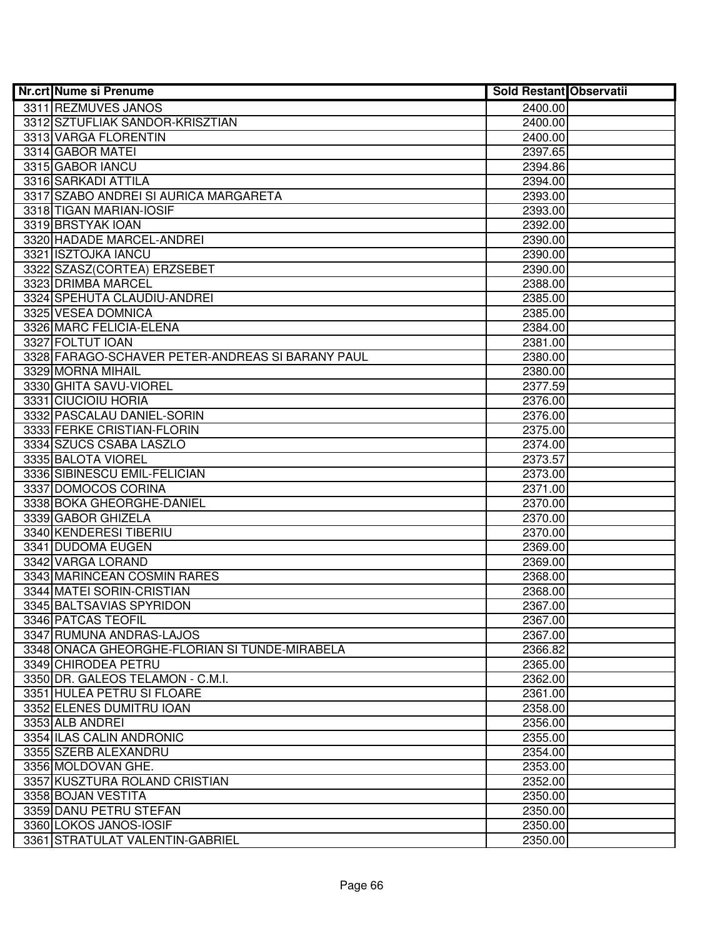| <b>Nr.crt Nume si Prenume</b>                    | <b>Sold Restant Observatii</b> |  |
|--------------------------------------------------|--------------------------------|--|
| 3311 REZMUVES JANOS                              | 2400.00                        |  |
| 3312 SZTUFLIAK SANDOR-KRISZTIAN                  | 2400.00                        |  |
| 3313 VARGA FLORENTIN                             | 2400.00                        |  |
| 3314 GABOR MATEI                                 | 2397.65                        |  |
| 3315 GABOR IANCU                                 | 2394.86                        |  |
| 3316 SARKADI ATTILA                              | 2394.00                        |  |
| 3317 SZABO ANDREI SI AURICA MARGARETA            | 2393.00                        |  |
| 3318 TIGAN MARIAN-IOSIF                          | 2393.00                        |  |
| 3319 BRSTYAK IOAN                                | 2392.00                        |  |
| 3320 HADADE MARCEL-ANDREI                        | 2390.00                        |  |
| 3321 ISZTOJKA IANCU                              | 2390.00                        |  |
| 3322 SZASZ(CORTEA) ERZSEBET                      | 2390.00                        |  |
| 3323 DRIMBA MARCEL                               | 2388.00                        |  |
| 3324 SPEHUTA CLAUDIU-ANDREI                      | 2385.00                        |  |
| 3325 VESEA DOMNICA                               | 2385.00                        |  |
| 3326 MARC FELICIA-ELENA                          | 2384.00                        |  |
| 3327 FOLTUT IOAN                                 | 2381.00                        |  |
| 3328 FARAGO-SCHAVER PETER-ANDREAS SI BARANY PAUL | 2380.00                        |  |
| 3329 MORNA MIHAIL                                | 2380.00                        |  |
| 3330 GHITA SAVU-VIOREL                           | 2377.59                        |  |
| 3331 CIUCIOIU HORIA                              | 2376.00                        |  |
| 3332 PASCALAU DANIEL-SORIN                       | 2376.00                        |  |
| 3333 FERKE CRISTIAN-FLORIN                       | 2375.00                        |  |
| 3334 SZUCS CSABA LASZLO                          | 2374.00                        |  |
| 3335 BALOTA VIOREL                               | 2373.57                        |  |
| 3336 SIBINESCU EMIL-FELICIAN                     | 2373.00                        |  |
| 3337 DOMOCOS CORINA                              | 2371.00                        |  |
| 3338 BOKA GHEORGHE-DANIEL                        | 2370.00                        |  |
| 3339 GABOR GHIZELA                               | 2370.00                        |  |
| 3340 KENDERESI TIBERIU                           | 2370.00                        |  |
| 3341 DUDOMA EUGEN                                | 2369.00                        |  |
| 3342 VARGA LORAND                                | 2369.00                        |  |
| 3343 MARINCEAN COSMIN RARES                      | 2368.00                        |  |
| 3344 MATEI SORIN-CRISTIAN                        | 2368.00                        |  |
| 3345 BALTSAVIAS SPYRIDON<br>3346 PATCAS TEOFIL   | 2367.00                        |  |
| 3347 RUMUNA ANDRAS-LAJOS                         | 2367.00                        |  |
| 3348 ONACA GHEORGHE-FLORIAN SI TUNDE-MIRABELA    | 2367.00<br>2366.82             |  |
| 3349 CHIRODEA PETRU                              | 2365.00                        |  |
| 3350 DR. GALEOS TELAMON - C.M.I.                 | 2362.00                        |  |
| 3351 HULEA PETRU SI FLOARE                       | 2361.00                        |  |
| 3352 ELENES DUMITRU IOAN                         | 2358.00                        |  |
| 3353 ALB ANDREI                                  | 2356.00                        |  |
| 3354 ILAS CALIN ANDRONIC                         | 2355.00                        |  |
| 3355 SZERB ALEXANDRU                             | 2354.00                        |  |
| 3356 MOLDOVAN GHE.                               | 2353.00                        |  |
| 3357 KUSZTURA ROLAND CRISTIAN                    | 2352.00                        |  |
| 3358 BOJAN VESTITA                               | 2350.00                        |  |
| 3359 DANU PETRU STEFAN                           | 2350.00                        |  |
| 3360 LOKOS JANOS-IOSIF                           | 2350.00                        |  |
| 3361 STRATULAT VALENTIN-GABRIEL                  | 2350.00                        |  |
|                                                  |                                |  |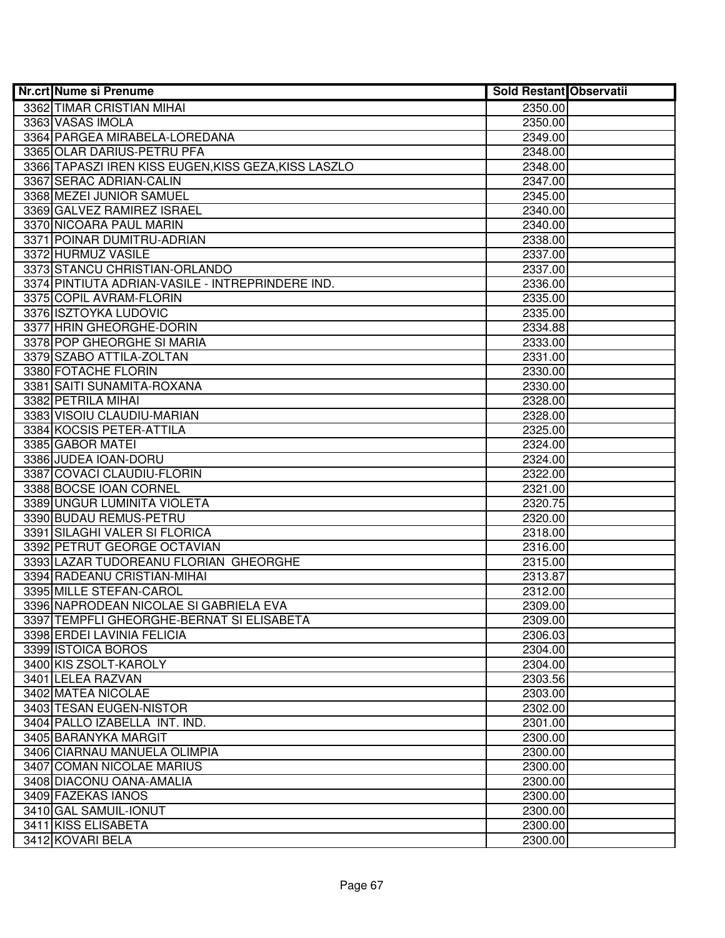| <b>Nr.crt Nume si Prenume</b>                        | <b>Sold Restant Observatii</b> |  |
|------------------------------------------------------|--------------------------------|--|
| 3362 TIMAR CRISTIAN MIHAI                            | 2350.00                        |  |
| 3363 VASAS IMOLA                                     | 2350.00                        |  |
| 3364 PARGEA MIRABELA-LOREDANA                        | 2349.00                        |  |
| 3365 OLAR DARIUS-PETRU PFA                           | 2348.00                        |  |
| 3366 TAPASZI IREN KISS EUGEN, KISS GEZA, KISS LASZLO | 2348.00                        |  |
| 3367 SERAC ADRIAN-CALIN                              | 2347.00                        |  |
| 3368 MEZEI JUNIOR SAMUEL                             | 2345.00                        |  |
| 3369 GALVEZ RAMIREZ ISRAEL                           | 2340.00                        |  |
| 3370 NICOARA PAUL MARIN                              | 2340.00                        |  |
| 3371 POINAR DUMITRU-ADRIAN                           | 2338.00                        |  |
| 3372 HURMUZ VASILE                                   | 2337.00                        |  |
| 3373 STANCU CHRISTIAN-ORLANDO                        | 2337.00                        |  |
| 3374 PINTIUTA ADRIAN-VASILE - INTREPRINDERE IND.     | 2336.00                        |  |
| 3375 COPIL AVRAM-FLORIN                              | 2335.00                        |  |
| 3376 ISZTOYKA LUDOVIC                                | 2335.00                        |  |
| 3377 HRIN GHEORGHE-DORIN                             | 2334.88                        |  |
| 3378 POP GHEORGHE SI MARIA                           | 2333.00                        |  |
| 3379 SZABO ATTILA-ZOLTAN                             | 2331.00                        |  |
| 3380 FOTACHE FLORIN                                  | 2330.00                        |  |
| 3381 SAITI SUNAMITA-ROXANA                           | 2330.00                        |  |
| 3382 PETRILA MIHAI                                   | 2328.00                        |  |
| 3383 VISOIU CLAUDIU-MARIAN                           | 2328.00                        |  |
| 3384 KOCSIS PETER-ATTILA                             | 2325.00                        |  |
| 3385 GABOR MATEI                                     | 2324.00                        |  |
| 3386 JUDEA IOAN-DORU                                 | 2324.00                        |  |
| 3387 COVACI CLAUDIU-FLORIN                           | 2322.00                        |  |
| 3388 BOCSE IOAN CORNEL                               | 2321.00                        |  |
| 3389 UNGUR LUMINITA VIOLETA                          | 2320.75                        |  |
| 3390 BUDAU REMUS-PETRU                               | 2320.00                        |  |
| 3391 SILAGHI VALER SI FLORICA                        | 2318.00                        |  |
| 3392 PETRUT GEORGE OCTAVIAN                          | 2316.00                        |  |
| 3393 LAZAR TUDOREANU FLORIAN GHEORGHE                | 2315.00                        |  |
| 3394 RADEANU CRISTIAN-MIHAI                          | 2313.87                        |  |
| 3395 MILLE STEFAN-CAROL                              | 2312.00                        |  |
| 3396 NAPRODEAN NICOLAE SI GABRIELA EVA               | 2309.00                        |  |
| 3397 TEMPFLI GHEORGHE-BERNAT SI ELISABETA            | 2309.00                        |  |
| 3398 ERDEI LAVINIA FELICIA                           | 2306.03                        |  |
| 3399 ISTOICA BOROS                                   | 2304.00                        |  |
| 3400 KIS ZSOLT-KAROLY                                | 2304.00                        |  |
| 3401 LELEA RAZVAN                                    | 2303.56                        |  |
| 3402 MATEA NICOLAE                                   | 2303.00                        |  |
| 3403 TESAN EUGEN-NISTOR                              | 2302.00                        |  |
| 3404 PALLO IZABELLA INT. IND.                        | 2301.00                        |  |
| 3405 BARANYKA MARGIT                                 | 2300.00                        |  |
| 3406 CIARNAU MANUELA OLIMPIA                         | 2300.00                        |  |
| 3407 COMAN NICOLAE MARIUS                            | 2300.00                        |  |
| 3408 DIACONU OANA-AMALIA                             | 2300.00                        |  |
| 3409 FAZEKAS IANOS                                   | 2300.00                        |  |
| 3410 GAL SAMUIL-IONUT                                | 2300.00                        |  |
| 3411 KISS ELISABETA                                  | 2300.00                        |  |
| 3412 KOVARI BELA                                     | 2300.00                        |  |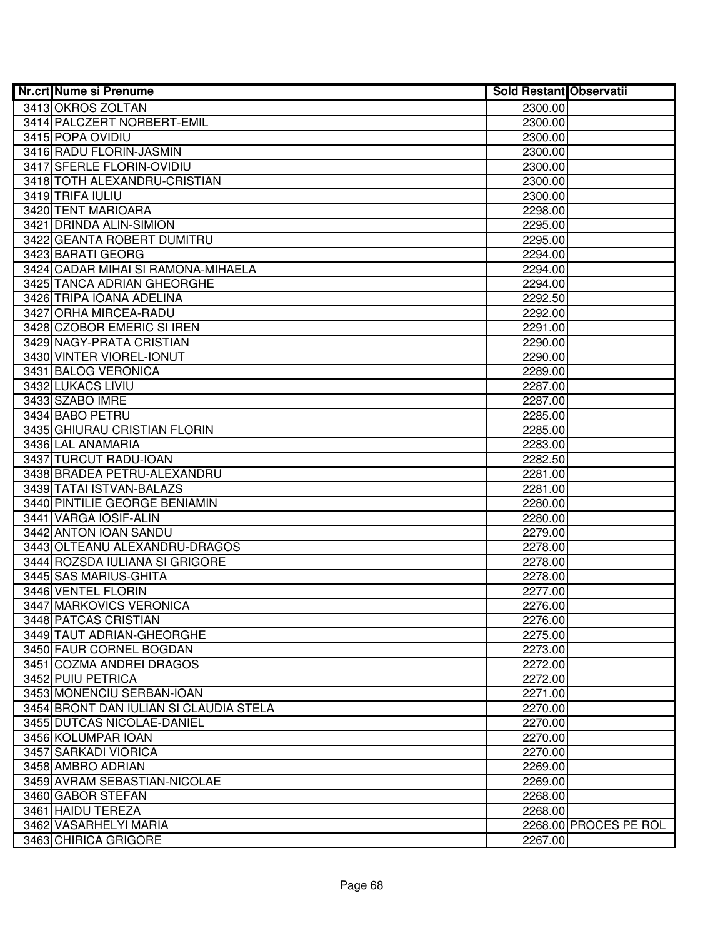| <b>Nr.crt Nume si Prenume</b>          | <b>Sold Restant Observatii</b> |                       |
|----------------------------------------|--------------------------------|-----------------------|
| 3413 OKROS ZOLTAN                      | 2300.00                        |                       |
| 3414 PALCZERT NORBERT-EMIL             | 2300.00                        |                       |
| 3415 POPA OVIDIU                       | 2300.00                        |                       |
| 3416 RADU FLORIN-JASMIN                | 2300.00                        |                       |
| 3417 SFERLE FLORIN-OVIDIU              | 2300.00                        |                       |
| 3418 TOTH ALEXANDRU-CRISTIAN           | 2300.00                        |                       |
| 3419 TRIFA IULIU                       | 2300.00                        |                       |
| 3420 TENT MARIOARA                     | 2298.00                        |                       |
| 3421 DRINDA ALIN-SIMION                | 2295.00                        |                       |
| 3422 GEANTA ROBERT DUMITRU             | 2295.00                        |                       |
| 3423 BARATI GEORG                      | 2294.00                        |                       |
| 3424 CADAR MIHAI SI RAMONA-MIHAELA     | 2294.00                        |                       |
| 3425 TANCA ADRIAN GHEORGHE             | 2294.00                        |                       |
| 3426 TRIPA IOANA ADELINA               | 2292.50                        |                       |
| 3427 ORHA MIRCEA-RADU                  | 2292.00                        |                       |
| 3428 CZOBOR EMERIC SI IREN             | 2291.00                        |                       |
| 3429 NAGY-PRATA CRISTIAN               | 2290.00                        |                       |
| 3430 VINTER VIOREL-IONUT               | 2290.00                        |                       |
| 3431 BALOG VERONICA                    | 2289.00                        |                       |
| 3432 LUKACS LIVIU                      | 2287.00                        |                       |
| 3433 SZABO IMRE                        | 2287.00                        |                       |
| 3434 BABO PETRU                        | 2285.00                        |                       |
| 3435 GHIURAU CRISTIAN FLORIN           | 2285.00                        |                       |
| 3436 LAL ANAMARIA                      | 2283.00                        |                       |
| 3437 TURCUT RADU-IOAN                  | 2282.50                        |                       |
| 3438 BRADEA PETRU-ALEXANDRU            | 2281.00                        |                       |
| 3439 TATAI ISTVAN-BALAZS               | 2281.00                        |                       |
| 3440 PINTILIE GEORGE BENIAMIN          | 2280.00                        |                       |
| 3441 VARGA IOSIF-ALIN                  | 2280.00                        |                       |
| 3442 ANTON IOAN SANDU                  | 2279.00                        |                       |
| 3443 OLTEANU ALEXANDRU-DRAGOS          | 2278.00                        |                       |
| 3444 ROZSDA IULIANA SI GRIGORE         | 2278.00                        |                       |
| 3445 SAS MARIUS-GHITA                  | 2278.00                        |                       |
| 3446 VENTEL FLORIN                     | 2277.00                        |                       |
| 3447 MARKOVICS VERONICA                | 2276.00                        |                       |
| 3448 PATCAS CRISTIAN                   | 2276.00                        |                       |
| 3449 TAUT ADRIAN-GHEORGHE              | 2275.00                        |                       |
| 3450 FAUR CORNEL BOGDAN                | 2273.00                        |                       |
| 3451 COZMA ANDREI DRAGOS               | 2272.00                        |                       |
| 3452 PUIU PETRICA                      | 2272.00                        |                       |
| 3453 MONENCIU SERBAN-IOAN              | 2271.00                        |                       |
| 3454 BRONT DAN IULIAN SI CLAUDIA STELA | 2270.00                        |                       |
| 3455 DUTCAS NICOLAE-DANIEL             | 2270.00                        |                       |
| 3456 KOLUMPAR IOAN                     | 2270.00                        |                       |
| 3457 SARKADI VIORICA                   | 2270.00                        |                       |
| 3458 AMBRO ADRIAN                      | 2269.00                        |                       |
| 3459 AVRAM SEBASTIAN-NICOLAE           | 2269.00                        |                       |
| 3460 GABOR STEFAN                      | 2268.00                        |                       |
| 3461 HAIDU TEREZA                      | 2268.00                        |                       |
| 3462 VASARHELYI MARIA                  |                                | 2268.00 PROCES PE ROL |
| 3463 CHIRICA GRIGORE                   | 2267.00                        |                       |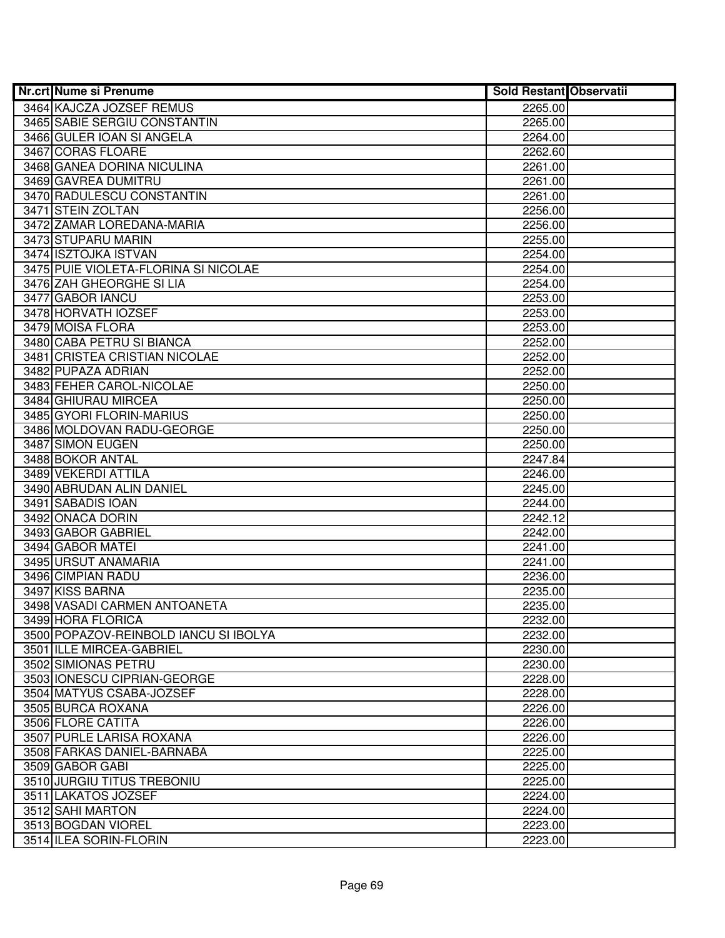| <b>Nr.crt Nume si Prenume</b>         | <b>Sold Restant Observatii</b> |  |
|---------------------------------------|--------------------------------|--|
| 3464 KAJCZA JOZSEF REMUS              | 2265.00                        |  |
| 3465 SABIE SERGIU CONSTANTIN          | 2265.00                        |  |
| 3466 GULER IOAN SI ANGELA             | 2264.00                        |  |
| 3467 CORAS FLOARE                     | 2262.60                        |  |
| 3468 GANEA DORINA NICULINA            | 2261.00                        |  |
| 3469 GAVREA DUMITRU                   | 2261.00                        |  |
| 3470 RADULESCU CONSTANTIN             | 2261.00                        |  |
| 3471 STEIN ZOLTAN                     | 2256.00                        |  |
| 3472 ZAMAR LOREDANA-MARIA             | 2256.00                        |  |
| 3473 STUPARU MARIN                    | 2255.00                        |  |
| 3474 ISZTOJKA ISTVAN                  | 2254.00                        |  |
| 3475 PUIE VIOLETA-FLORINA SI NICOLAE  | 2254.00                        |  |
| 3476 ZAH GHEORGHE SI LIA              | 2254.00                        |  |
| 3477 GABOR IANCU                      | 2253.00                        |  |
| 3478 HORVATH IOZSEF                   | 2253.00                        |  |
| 3479 MOISA FLORA                      | 2253.00                        |  |
| 3480 CABA PETRU SI BIANCA             | 2252.00                        |  |
| 3481 CRISTEA CRISTIAN NICOLAE         | 2252.00                        |  |
| 3482 PUPAZA ADRIAN                    | 2252.00                        |  |
| 3483 FEHER CAROL-NICOLAE              | 2250.00                        |  |
| 3484 GHIURAU MIRCEA                   | 2250.00                        |  |
| 3485 GYORI FLORIN-MARIUS              | 2250.00                        |  |
| 3486 MOLDOVAN RADU-GEORGE             | 2250.00                        |  |
| 3487 SIMON EUGEN                      | 2250.00                        |  |
| 3488 BOKOR ANTAL                      | 2247.84                        |  |
| 3489 VEKERDI ATTILA                   | 2246.00                        |  |
| 3490 ABRUDAN ALIN DANIEL              | 2245.00                        |  |
| 3491 SABADIS IOAN                     | 2244.00                        |  |
| 3492 ONACA DORIN                      | 2242.12                        |  |
| 3493 GABOR GABRIEL                    | 2242.00                        |  |
| 3494 GABOR MATEI                      | 2241.00                        |  |
| 3495 URSUT ANAMARIA                   | 2241.00                        |  |
| 3496 CIMPIAN RADU                     | 2236.00                        |  |
| 3497 KISS BARNA                       | 2235.00                        |  |
| 3498 VASADI CARMEN ANTOANETA          | 2235.00                        |  |
| 3499 HORA FLORICA                     | 2232.00                        |  |
| 3500 POPAZOV-REINBOLD IANCU SI IBOLYA | 2232.00                        |  |
| 3501 ILLE MIRCEA-GABRIEL              | 2230.00                        |  |
| 3502 SIMIONAS PETRU                   | 2230.00                        |  |
| 3503 IONESCU CIPRIAN-GEORGE           | 2228.00                        |  |
| 3504 MATYUS CSABA-JOZSEF              | 2228.00                        |  |
| 3505 BURCA ROXANA                     | 2226.00                        |  |
| 3506 FLORE CATITA                     | 2226.00                        |  |
| 3507 PURLE LARISA ROXANA              | 2226.00                        |  |
| 3508 FARKAS DANIEL-BARNABA            | 2225.00                        |  |
| 3509 GABOR GABI                       | 2225.00                        |  |
| 3510 JURGIU TITUS TREBONIU            | 2225.00                        |  |
| 3511 LAKATOS JOZSEF                   | 2224.00                        |  |
| 3512 SAHI MARTON                      | 2224.00                        |  |
| 3513 BOGDAN VIOREL                    | 2223.00                        |  |
| 3514 ILEA SORIN-FLORIN                | 2223.00                        |  |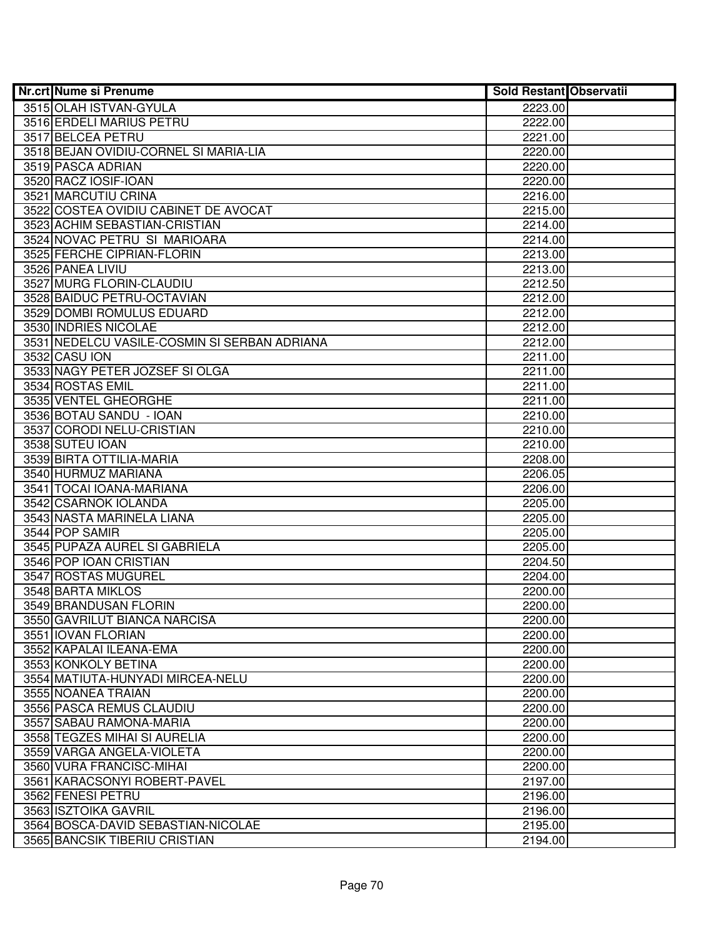| <b>Nr.crt Nume si Prenume</b>                | Sold Restant Observatii |  |
|----------------------------------------------|-------------------------|--|
| 3515 OLAH ISTVAN-GYULA                       | 2223.00                 |  |
| 3516 ERDELI MARIUS PETRU                     | 2222.00                 |  |
| 3517 BELCEA PETRU                            | 2221.00                 |  |
| 3518 BEJAN OVIDIU-CORNEL SI MARIA-LIA        | 2220.00                 |  |
| 3519 PASCA ADRIAN                            | 2220.00                 |  |
| 3520 RACZ IOSIF-IOAN                         | 2220.00                 |  |
| 3521 MARCUTIU CRINA                          | 2216.00                 |  |
| 3522 COSTEA OVIDIU CABINET DE AVOCAT         | 2215.00                 |  |
| 3523 ACHIM SEBASTIAN-CRISTIAN                | 2214.00                 |  |
| 3524 NOVAC PETRU SI MARIOARA                 | 2214.00                 |  |
| 3525 FERCHE CIPRIAN-FLORIN                   | 2213.00                 |  |
| 3526 PANEA LIVIU                             | 2213.00                 |  |
| 3527 MURG FLORIN-CLAUDIU                     | 2212.50                 |  |
| 3528 BAIDUC PETRU-OCTAVIAN                   | 2212.00                 |  |
| 3529 DOMBI ROMULUS EDUARD                    | 2212.00                 |  |
| 3530 INDRIES NICOLAE                         | 2212.00                 |  |
| 3531 NEDELCU VASILE-COSMIN SI SERBAN ADRIANA | 2212.00                 |  |
| 3532 CASU ION                                | 2211.00                 |  |
| 3533 NAGY PETER JOZSEF SI OLGA               | 2211.00                 |  |
| 3534 ROSTAS EMIL                             | 2211.00                 |  |
| 3535 VENTEL GHEORGHE                         | 2211.00                 |  |
| 3536 BOTAU SANDU - IOAN                      | 2210.00                 |  |
| 3537 CORODI NELU-CRISTIAN                    | 2210.00                 |  |
| 3538 SUTEU IOAN                              | 2210.00                 |  |
| 3539 BIRTA OTTILIA-MARIA                     | 2208.00                 |  |
| 3540 HURMUZ MARIANA                          | 2206.05                 |  |
| 3541 TOCAI IOANA-MARIANA                     | 2206.00                 |  |
| 3542 CSARNOK IOLANDA                         | 2205.00                 |  |
| 3543 NASTA MARINELA LIANA                    | 2205.00                 |  |
| 3544 POP SAMIR                               | 2205.00                 |  |
| 3545 PUPAZA AUREL SI GABRIELA                | 2205.00                 |  |
| 3546 POP IOAN CRISTIAN                       | 2204.50                 |  |
| 3547 ROSTAS MUGUREL                          | 2204.00                 |  |
| 3548 BARTA MIKLOS                            | 2200.00                 |  |
| 3549 BRANDUSAN FLORIN                        | 2200.00                 |  |
| 3550 GAVRILUT BIANCA NARCISA                 | 2200.00                 |  |
| 3551 IOVAN FLORIAN                           | 2200.00                 |  |
| 3552 KAPALAI ILEANA-EMA                      | 2200.00                 |  |
| 3553 KONKOLY BETINA                          | 2200.00                 |  |
| 3554 MATIUTA-HUNYADI MIRCEA-NELU             | 2200.00                 |  |
| 3555 NOANEA TRAIAN                           | 2200.00                 |  |
| 3556 PASCA REMUS CLAUDIU                     | 2200.00                 |  |
| 3557 SABAU RAMONA-MARIA                      | 2200.00                 |  |
| 3558 TEGZES MIHAI SI AURELIA                 | 2200.00                 |  |
| 3559 VARGA ANGELA-VIOLETA                    | 2200.00                 |  |
| 3560 VURA FRANCISC-MIHAI                     | 2200.00                 |  |
| 3561 KARACSONYI ROBERT-PAVEL                 | 2197.00                 |  |
| 3562 FENESI PETRU                            | 2196.00                 |  |
| 3563 ISZTOIKA GAVRIL                         | 2196.00                 |  |
| 3564 BOSCA-DAVID SEBASTIAN-NICOLAE           | 2195.00                 |  |
| 3565 BANCSIK TIBERIU CRISTIAN                | 2194.00                 |  |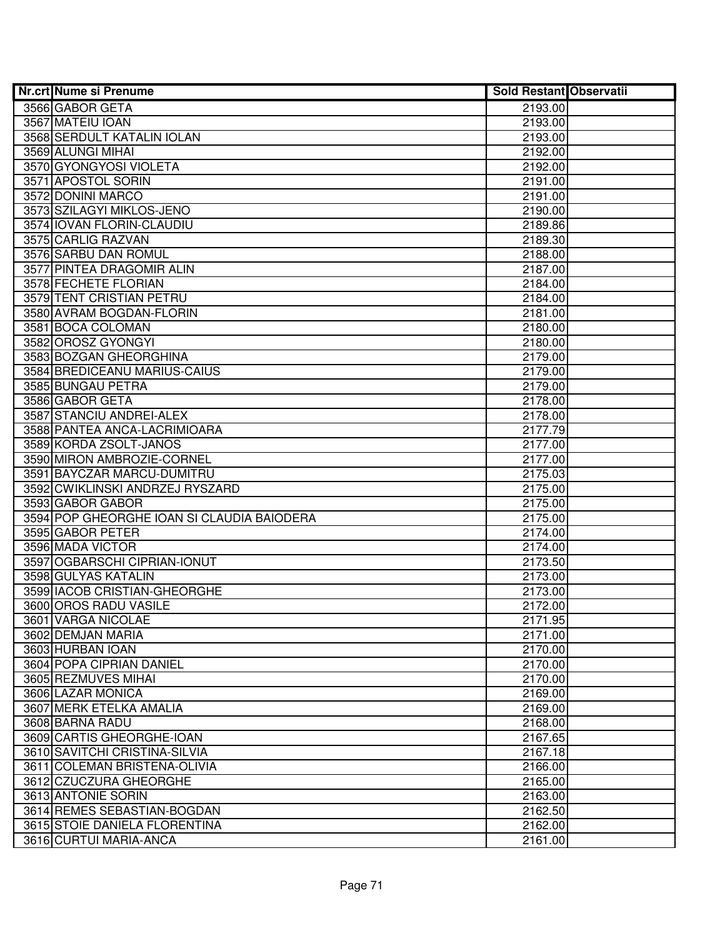| <b>Nr.crt Nume si Prenume</b>                                | <b>Sold Restant Observatii</b> |  |
|--------------------------------------------------------------|--------------------------------|--|
| 3566 GABOR GETA                                              | 2193.00                        |  |
| 3567 MATEIU IOAN                                             | 2193.00                        |  |
| 3568 SERDULT KATALIN IOLAN                                   | 2193.00                        |  |
| 3569 ALUNGI MIHAI                                            | 2192.00                        |  |
| 3570 GYONGYOSI VIOLETA                                       | 2192.00                        |  |
| 3571 APOSTOL SORIN                                           | 2191.00                        |  |
| 3572 DONINI MARCO                                            | 2191.00                        |  |
| 3573 SZILAGYI MIKLOS-JENO                                    | 2190.00                        |  |
| 3574 IOVAN FLORIN-CLAUDIU                                    | 2189.86                        |  |
| 3575 CARLIG RAZVAN                                           | 2189.30                        |  |
| 3576 SARBU DAN ROMUL                                         | 2188.00                        |  |
| 3577 PINTEA DRAGOMIR ALIN                                    | 2187.00                        |  |
| 3578 FECHETE FLORIAN                                         | 2184.00                        |  |
| 3579 TENT CRISTIAN PETRU                                     | 2184.00                        |  |
| 3580 AVRAM BOGDAN-FLORIN                                     | 2181.00                        |  |
| 3581 BOCA COLOMAN                                            | 2180.00                        |  |
| 3582 OROSZ GYONGYI                                           | 2180.00                        |  |
| 3583 BOZGAN GHEORGHINA                                       | 2179.00                        |  |
| 3584 BREDICEANU MARIUS-CAIUS                                 | 2179.00                        |  |
| 3585 BUNGAU PETRA                                            | 2179.00                        |  |
| 3586 GABOR GETA                                              | 2178.00                        |  |
| 3587 STANCIU ANDREI-ALEX                                     | 2178.00                        |  |
| 3588 PANTEA ANCA-LACRIMIOARA                                 | 2177.79                        |  |
| 3589 KORDA ZSOLT-JANOS                                       | 2177.00                        |  |
| 3590 MIRON AMBROZIE-CORNEL                                   | 2177.00                        |  |
| 3591 BAYCZAR MARCU-DUMITRU                                   | 2175.03                        |  |
| 3592 CWIKLINSKI ANDRZEJ RYSZARD                              | 2175.00                        |  |
| 3593 GABOR GABOR                                             | 2175.00                        |  |
| 3594 POP GHEORGHE IOAN SI CLAUDIA BAIODERA                   | 2175.00                        |  |
| 3595 GABOR PETER                                             | 2174.00                        |  |
| 3596 MADA VICTOR                                             | 2174.00                        |  |
| 3597 OGBARSCHI CIPRIAN-IONUT                                 | 2173.50                        |  |
| 3598 GULYAS KATALIN                                          | 2173.00                        |  |
| 3599 IACOB CRISTIAN-GHEORGHE                                 | 2173.00                        |  |
| 3600 OROS RADU VASILE                                        | 2172.00                        |  |
| 3601 VARGA NICOLAE                                           | 2171.95                        |  |
| 3602 DEMJAN MARIA                                            | 2171.00                        |  |
| 3603 HURBAN IOAN                                             | 2170.00                        |  |
| 3604 POPA CIPRIAN DANIEL                                     | 2170.00                        |  |
| 3605 REZMUVES MIHAI                                          | 2170.00                        |  |
| 3606 LAZAR MONICA                                            | 2169.00                        |  |
| 3607 MERK ETELKA AMALIA                                      | 2169.00                        |  |
| 3608 BARNA RADU                                              | 2168.00                        |  |
| 3609 CARTIS GHEORGHE-IOAN                                    | 2167.65                        |  |
| 3610 SAVITCHI CRISTINA-SILVIA                                | 2167.18                        |  |
| 3611 COLEMAN BRISTENA-OLIVIA                                 | 2166.00                        |  |
| 3612 CZUCZURA GHEORGHE                                       | 2165.00                        |  |
| 3613 ANTONIE SORIN                                           | 2163.00                        |  |
| 3614 REMES SEBASTIAN-BOGDAN<br>3615 STOIE DANIELA FLORENTINA | 2162.50<br>2162.00             |  |
| 3616 CURTUI MARIA-ANCA                                       |                                |  |
|                                                              | 2161.00                        |  |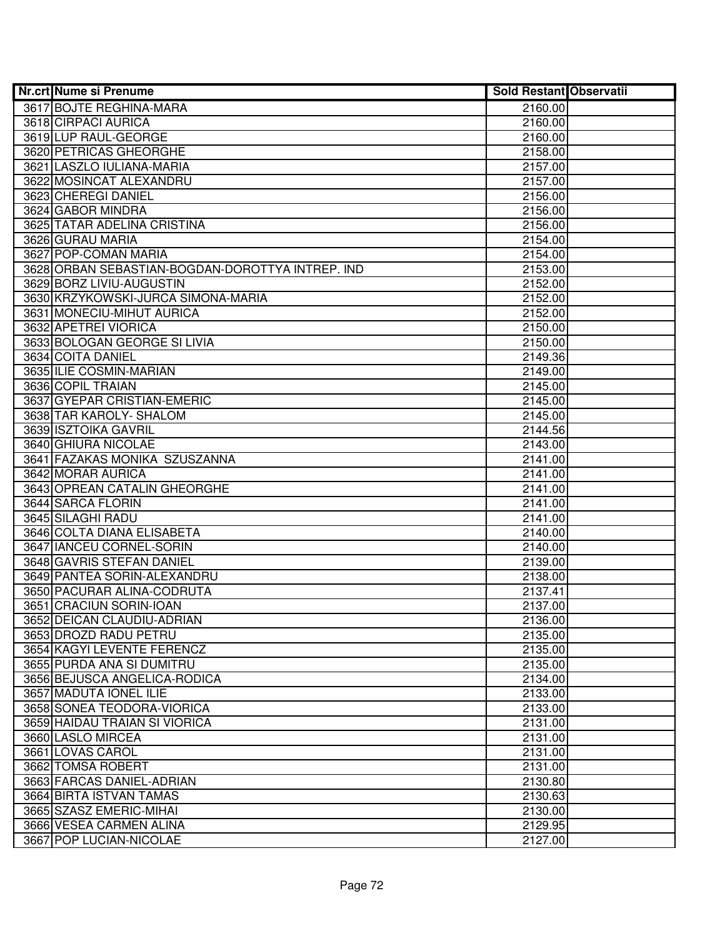| <b>Nr.crt Nume si Prenume</b>                    | <b>Sold Restant Observatii</b> |  |
|--------------------------------------------------|--------------------------------|--|
| 3617 BOJTE REGHINA-MARA                          | 2160.00                        |  |
| 3618 CIRPACI AURICA                              | 2160.00                        |  |
| 3619 LUP RAUL-GEORGE                             | 2160.00                        |  |
| 3620 PETRICAS GHEORGHE                           | 2158.00                        |  |
| 3621 LASZLO IULIANA-MARIA                        | 2157.00                        |  |
| 3622 MOSINCAT ALEXANDRU                          | 2157.00                        |  |
| 3623 CHEREGI DANIEL                              | 2156.00                        |  |
| 3624 GABOR MINDRA                                | 2156.00                        |  |
| 3625 TATAR ADELINA CRISTINA                      | 2156.00                        |  |
| 3626 GURAU MARIA                                 | 2154.00                        |  |
| 3627 POP-COMAN MARIA                             | 2154.00                        |  |
| 3628 ORBAN SEBASTIAN-BOGDAN-DOROTTYA INTREP. IND | 2153.00                        |  |
| 3629 BORZ LIVIU-AUGUSTIN                         | 2152.00                        |  |
| 3630 KRZYKOWSKI-JURCA SIMONA-MARIA               | 2152.00                        |  |
| 3631 MONECIU-MIHUT AURICA                        | 2152.00                        |  |
| 3632 APETREI VIORICA                             | 2150.00                        |  |
| 3633 BOLOGAN GEORGE SI LIVIA                     | 2150.00                        |  |
| 3634 COITA DANIEL                                | 2149.36                        |  |
| 3635 ILIE COSMIN-MARIAN                          | 2149.00                        |  |
| 3636 COPIL TRAIAN                                | 2145.00                        |  |
| 3637 GYEPAR CRISTIAN-EMERIC                      | 2145.00                        |  |
| 3638 TAR KAROLY- SHALOM                          | 2145.00                        |  |
| 3639 ISZTOIKA GAVRIL                             | 2144.56                        |  |
| 3640 GHIURA NICOLAE                              | 2143.00                        |  |
| 3641 FAZAKAS MONIKA SZUSZANNA                    | 2141.00                        |  |
| 3642 MORAR AURICA                                | 2141.00                        |  |
| 3643 OPREAN CATALIN GHEORGHE                     | 2141.00                        |  |
| 3644 SARCA FLORIN                                | 2141.00                        |  |
| 3645 SILAGHI RADU                                | 2141.00                        |  |
| 3646 COLTA DIANA ELISABETA                       | 2140.00                        |  |
| 3647 IANCEU CORNEL-SORIN                         | 2140.00                        |  |
| 3648 GAVRIS STEFAN DANIEL                        | 2139.00                        |  |
| 3649 PANTEA SORIN-ALEXANDRU                      | 2138.00                        |  |
| 3650 PACURAR ALINA-CODRUTA                       | 2137.41                        |  |
| 3651 CRACIUN SORIN-IOAN                          | 2137.00                        |  |
| 3652 DEICAN CLAUDIU-ADRIAN                       | 2136.00                        |  |
| 3653 DROZD RADU PETRU                            | 2135.00                        |  |
| 3654 KAGYI LEVENTE FERENCZ                       | 2135.00                        |  |
| 3655 PURDA ANA SI DUMITRU                        | 2135.00                        |  |
| 3656 BEJUSCA ANGELICA-RODICA                     | 2134.00                        |  |
| 3657 MADUTA IONEL ILIE                           | 2133.00                        |  |
| 3658 SONEA TEODORA-VIORICA                       | 2133.00                        |  |
| 3659 HAIDAU TRAIAN SI VIORICA                    | 2131.00                        |  |
| 3660 LASLO MIRCEA                                | 2131.00                        |  |
| 3661 LOVAS CAROL                                 | 2131.00                        |  |
| 3662 TOMSA ROBERT                                | 2131.00                        |  |
| 3663 FARCAS DANIEL-ADRIAN                        | 2130.80                        |  |
| 3664 BIRTA ISTVAN TAMAS                          | 2130.63                        |  |
| 3665 SZASZ EMERIC-MIHAI                          | 2130.00                        |  |
| 3666 VESEA CARMEN ALINA                          | 2129.95                        |  |
| 3667 POP LUCIAN-NICOLAE                          | 2127.00                        |  |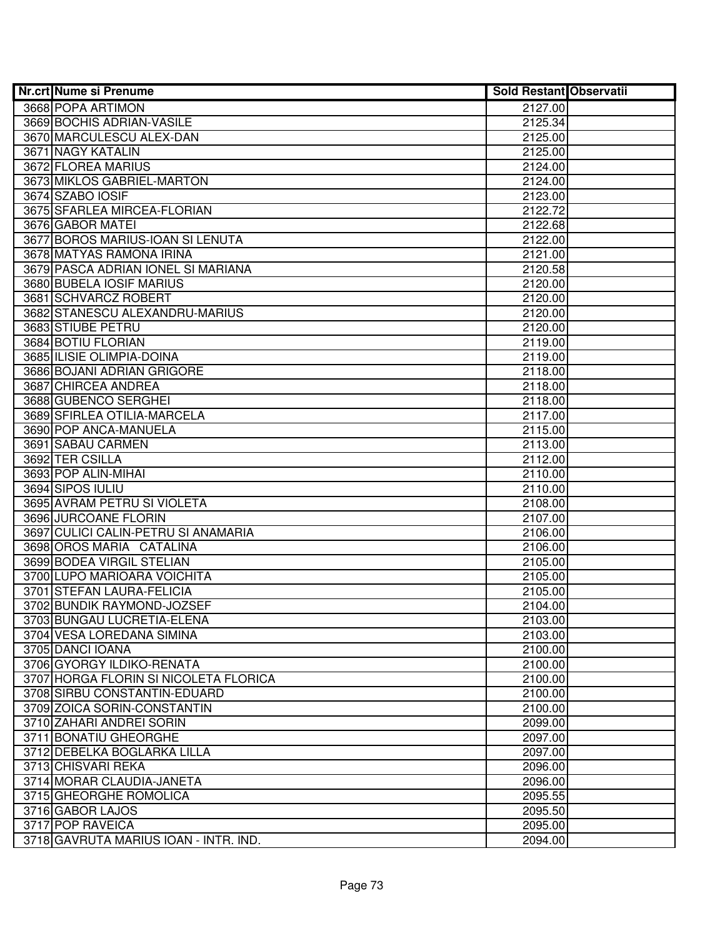| <b>Nr.crt Nume si Prenume</b>         | <b>Sold Restant Observatii</b> |  |
|---------------------------------------|--------------------------------|--|
| 3668 POPA ARTIMON                     | 2127.00                        |  |
| 3669 BOCHIS ADRIAN-VASILE             | 2125.34                        |  |
| 3670 MARCULESCU ALEX-DAN              | 2125.00                        |  |
| 3671 NAGY KATALIN                     | 2125.00                        |  |
| 3672 FLOREA MARIUS                    | 2124.00                        |  |
| 3673 MIKLOS GABRIEL-MARTON            | 2124.00                        |  |
| 3674 SZABO IOSIF                      | 2123.00                        |  |
| 3675 SFARLEA MIRCEA-FLORIAN           | 2122.72                        |  |
| 3676 GABOR MATEI                      | 2122.68                        |  |
| 3677 BOROS MARIUS-IOAN SI LENUTA      | 2122.00                        |  |
| 3678 MATYAS RAMONA IRINA              | 2121.00                        |  |
| 3679 PASCA ADRIAN IONEL SI MARIANA    | 2120.58                        |  |
| 3680 BUBELA IOSIF MARIUS              | 2120.00                        |  |
| 3681 SCHVARCZ ROBERT                  | 2120.00                        |  |
| 3682 STANESCU ALEXANDRU-MARIUS        | 2120.00                        |  |
| 3683 STIUBE PETRU                     | 2120.00                        |  |
| 3684 BOTIU FLORIAN                    | 2119.00                        |  |
| 3685 ILISIE OLIMPIA-DOINA             | 2119.00                        |  |
| 3686 BOJANI ADRIAN GRIGORE            | 2118.00                        |  |
| 3687 CHIRCEA ANDREA                   | 2118.00                        |  |
| 3688 GUBENCO SERGHEI                  | 2118.00                        |  |
| 3689 SFIRLEA OTILIA-MARCELA           | 2117.00                        |  |
| 3690 POP ANCA-MANUELA                 | 2115.00                        |  |
| 3691 SABAU CARMEN                     | 2113.00                        |  |
| 3692 TER CSILLA                       | 2112.00                        |  |
| 3693 POP ALIN-MIHAI                   | 2110.00                        |  |
| 3694 SIPOS IULIU                      | 2110.00                        |  |
| 3695 AVRAM PETRU SI VIOLETA           | 2108.00                        |  |
| 3696 JURCOANE FLORIN                  | 2107.00                        |  |
| 3697 CULICI CALIN-PETRU SI ANAMARIA   | 2106.00                        |  |
| 3698 OROS MARIA CATALINA              | 2106.00                        |  |
| 3699 BODEA VIRGIL STELIAN             | 2105.00                        |  |
| 3700 LUPO MARIOARA VOICHITA           | 2105.00                        |  |
| 3701 STEFAN LAURA-FELICIA             | 2105.00                        |  |
| 3702 BUNDIK RAYMOND-JOZSEF            | 2104.00                        |  |
| 3703 BUNGAU LUCRETIA-ELENA            | 2103.00                        |  |
| 3704 VESA LOREDANA SIMINA             | 2103.00                        |  |
| 3705 DANCI IOANA                      | 2100.00                        |  |
| 3706 GYORGY ILDIKO-RENATA             | 2100.00                        |  |
| 3707 HORGA FLORIN SI NICOLETA FLORICA | 2100.00                        |  |
| 3708 SIRBU CONSTANTIN-EDUARD          | 2100.00                        |  |
| 3709 ZOICA SORIN-CONSTANTIN           | 2100.00                        |  |
| 3710 ZAHARI ANDREI SORIN              | 2099.00                        |  |
| 3711 BONATIU GHEORGHE                 | 2097.00                        |  |
| 3712 DEBELKA BOGLARKA LILLA           | 2097.00                        |  |
| 3713 CHISVARI REKA                    | 2096.00                        |  |
| 3714 MORAR CLAUDIA-JANETA             | 2096.00                        |  |
| 3715 GHEORGHE ROMOLICA                | 2095.55                        |  |
| 3716 GABOR LAJOS                      | 2095.50                        |  |
| 3717 POP RAVEICA                      | 2095.00                        |  |
| 3718 GAVRUTA MARIUS IOAN - INTR. IND. | 2094.00                        |  |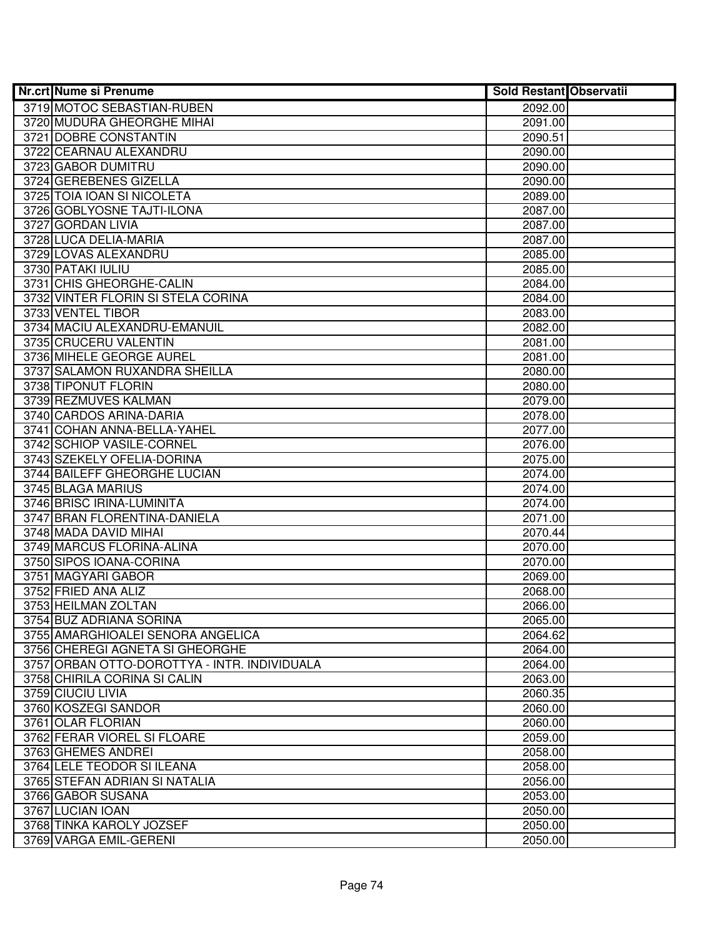| <b>Nr.crt Nume si Prenume</b>                                                   | <b>Sold Restant Observatii</b> |  |
|---------------------------------------------------------------------------------|--------------------------------|--|
| 3719 MOTOC SEBASTIAN-RUBEN                                                      | 2092.00                        |  |
| 3720 MUDURA GHEORGHE MIHAI                                                      | 2091.00                        |  |
| 3721 DOBRE CONSTANTIN                                                           | 2090.51                        |  |
| 3722 CEARNAU ALEXANDRU                                                          | 2090.00                        |  |
| 3723 GABOR DUMITRU                                                              | 2090.00                        |  |
| 3724 GEREBENES GIZELLA                                                          | 2090.00                        |  |
| 3725 TOIA IOAN SI NICOLETA                                                      | 2089.00                        |  |
| 3726 GOBLYOSNE TAJTI-ILONA                                                      | 2087.00                        |  |
| 3727 GORDAN LIVIA                                                               | 2087.00                        |  |
| 3728 LUCA DELIA-MARIA                                                           | 2087.00                        |  |
| 3729 LOVAS ALEXANDRU                                                            | 2085.00                        |  |
| 3730 PATAKI IULIU                                                               | 2085.00                        |  |
| 3731 CHIS GHEORGHE-CALIN                                                        | 2084.00                        |  |
| 3732 VINTER FLORIN SI STELA CORINA                                              | 2084.00                        |  |
| 3733 VENTEL TIBOR                                                               | 2083.00                        |  |
| 3734 MACIU ALEXANDRU-EMANUIL                                                    | 2082.00                        |  |
| 3735 CRUCERU VALENTIN                                                           | 2081.00                        |  |
| 3736 MIHELE GEORGE AUREL                                                        | 2081.00                        |  |
| 3737 SALAMON RUXANDRA SHEILLA                                                   | 2080.00                        |  |
| 3738 TIPONUT FLORIN                                                             | 2080.00                        |  |
| 3739 REZMUVES KALMAN                                                            | 2079.00                        |  |
| 3740 CARDOS ARINA-DARIA                                                         | 2078.00                        |  |
| 3741 COHAN ANNA-BELLA-YAHEL                                                     | 2077.00                        |  |
| 3742 SCHIOP VASILE-CORNEL                                                       | 2076.00                        |  |
| 3743 SZEKELY OFELIA-DORINA                                                      | 2075.00                        |  |
| 3744 BAILEFF GHEORGHE LUCIAN                                                    | 2074.00                        |  |
| 3745 BLAGA MARIUS                                                               | 2074.00                        |  |
| 3746 BRISC IRINA-LUMINITA                                                       | 2074.00                        |  |
| 3747 BRAN FLORENTINA-DANIELA                                                    | 2071.00                        |  |
| 3748 MADA DAVID MIHAI                                                           | 2070.44                        |  |
| 3749 MARCUS FLORINA-ALINA                                                       | 2070.00                        |  |
| 3750 SIPOS IOANA-CORINA                                                         | 2070.00                        |  |
| 3751 MAGYARI GABOR                                                              | 2069.00                        |  |
| 3752 FRIED ANA ALIZ                                                             | 2068.00                        |  |
| 3753 HEILMAN ZOLTAN                                                             | 2066.00                        |  |
| 3754 BUZ ADRIANA SORINA                                                         | 2065.00                        |  |
| 3755 AMARGHIOALEI SENORA ANGELICA                                               | 2064.62                        |  |
| 3756 CHEREGI AGNETA SI GHEORGHE<br>3757 ORBAN OTTO-DOROTTYA - INTR. INDIVIDUALA | 2064.00                        |  |
| 3758 CHIRILA CORINA SI CALIN                                                    | 2064.00                        |  |
|                                                                                 | 2063.00                        |  |
| 3759 CIUCIU LIVIA<br>3760 KOSZEGI SANDOR                                        | 2060.35<br>2060.00             |  |
| 3761 OLAR FLORIAN                                                               | 2060.00                        |  |
|                                                                                 |                                |  |
| 3762 FERAR VIOREL SI FLOARE<br>3763 GHEMES ANDREI                               | 2059.00<br>2058.00             |  |
| 3764 LELE TEODOR SI ILEANA                                                      | 2058.00                        |  |
| 3765 STEFAN ADRIAN SI NATALIA                                                   | 2056.00                        |  |
| 3766 GABOR SUSANA                                                               | 2053.00                        |  |
| 3767 LUCIAN IOAN                                                                | 2050.00                        |  |
| 3768 TINKA KAROLY JOZSEF                                                        | 2050.00                        |  |
| 3769 VARGA EMIL-GERENI                                                          | 2050.00                        |  |
|                                                                                 |                                |  |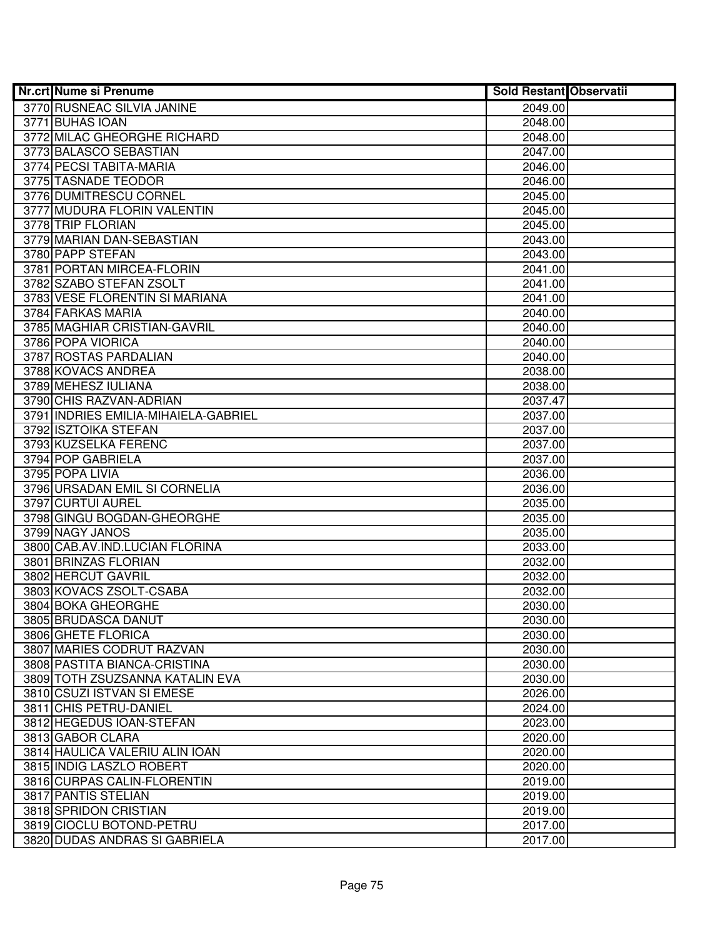| <b>Nr.crt Nume si Prenume</b>        | <b>Sold Restant Observatii</b> |  |
|--------------------------------------|--------------------------------|--|
| 3770 RUSNEAC SILVIA JANINE           | 2049.00                        |  |
| 3771 BUHAS IOAN                      | 2048.00                        |  |
| 3772 MILAC GHEORGHE RICHARD          | 2048.00                        |  |
| 3773 BALASCO SEBASTIAN               | 2047.00                        |  |
| 3774 PECSI TABITA-MARIA              | 2046.00                        |  |
| 3775 TASNADE TEODOR                  | 2046.00                        |  |
| 3776 DUMITRESCU CORNEL               | 2045.00                        |  |
| 3777 MUDURA FLORIN VALENTIN          | 2045.00                        |  |
| 3778 TRIP FLORIAN                    | 2045.00                        |  |
| 3779 MARIAN DAN-SEBASTIAN            | 2043.00                        |  |
| 3780 PAPP STEFAN                     | 2043.00                        |  |
| 3781 PORTAN MIRCEA-FLORIN            | 2041.00                        |  |
| 3782 SZABO STEFAN ZSOLT              | 2041.00                        |  |
| 3783 VESE FLORENTIN SI MARIANA       | 2041.00                        |  |
| 3784 FARKAS MARIA                    | 2040.00                        |  |
| 3785 MAGHIAR CRISTIAN-GAVRIL         | 2040.00                        |  |
| 3786 POPA VIORICA                    | 2040.00                        |  |
| 3787 ROSTAS PARDALIAN                | 2040.00                        |  |
| 3788 KOVACS ANDREA                   | 2038.00                        |  |
| 3789 MEHESZ IULIANA                  | 2038.00                        |  |
| 3790 CHIS RAZVAN-ADRIAN              | 2037.47                        |  |
| 3791 INDRIES EMILIA-MIHAIELA-GABRIEL | 2037.00                        |  |
| 3792 ISZTOIKA STEFAN                 | 2037.00                        |  |
| 3793 KUZSELKA FERENC                 | 2037.00                        |  |
| 3794 POP GABRIELA                    | 2037.00                        |  |
| 3795 POPA LIVIA                      | 2036.00                        |  |
| 3796 URSADAN EMIL SI CORNELIA        | 2036.00                        |  |
| 3797 CURTUI AUREL                    | 2035.00                        |  |
| 3798 GINGU BOGDAN-GHEORGHE           | 2035.00                        |  |
| 3799 NAGY JANOS                      | 2035.00                        |  |
| 3800 CAB.AV.IND.LUCIAN FLORINA       | 2033.00                        |  |
| 3801 BRINZAS FLORIAN                 | 2032.00                        |  |
| 3802 HERCUT GAVRIL                   | 2032.00                        |  |
| 3803 KOVACS ZSOLT-CSABA              | 2032.00                        |  |
| 3804 BOKA GHEORGHE                   | 2030.00                        |  |
| 3805 BRUDASCA DANUT                  | 2030.00                        |  |
| 3806 GHETE FLORICA                   | 2030.00                        |  |
| 3807 MARIES CODRUT RAZVAN            | 2030.00                        |  |
| 3808 PASTITA BIANCA-CRISTINA         | 2030.00                        |  |
| 3809 TOTH ZSUZSANNA KATALIN EVA      | 2030.00                        |  |
| 3810 CSUZI ISTVAN SI EMESE           | 2026.00                        |  |
| 3811 CHIS PETRU-DANIEL               | 2024.00                        |  |
| 3812 HEGEDUS IOAN-STEFAN             | 2023.00                        |  |
| 3813 GABOR CLARA                     | 2020.00                        |  |
| 3814 HAULICA VALERIU ALIN IOAN       | 2020.00                        |  |
| 3815 INDIG LASZLO ROBERT             | 2020.00                        |  |
| 3816 CURPAS CALIN-FLORENTIN          | 2019.00                        |  |
| 3817 PANTIS STELIAN                  | 2019.00                        |  |
| 3818 SPRIDON CRISTIAN                | 2019.00                        |  |
| 3819 CIOCLU BOTOND-PETRU             | 2017.00                        |  |
| 3820 DUDAS ANDRAS SI GABRIELA        | 2017.00                        |  |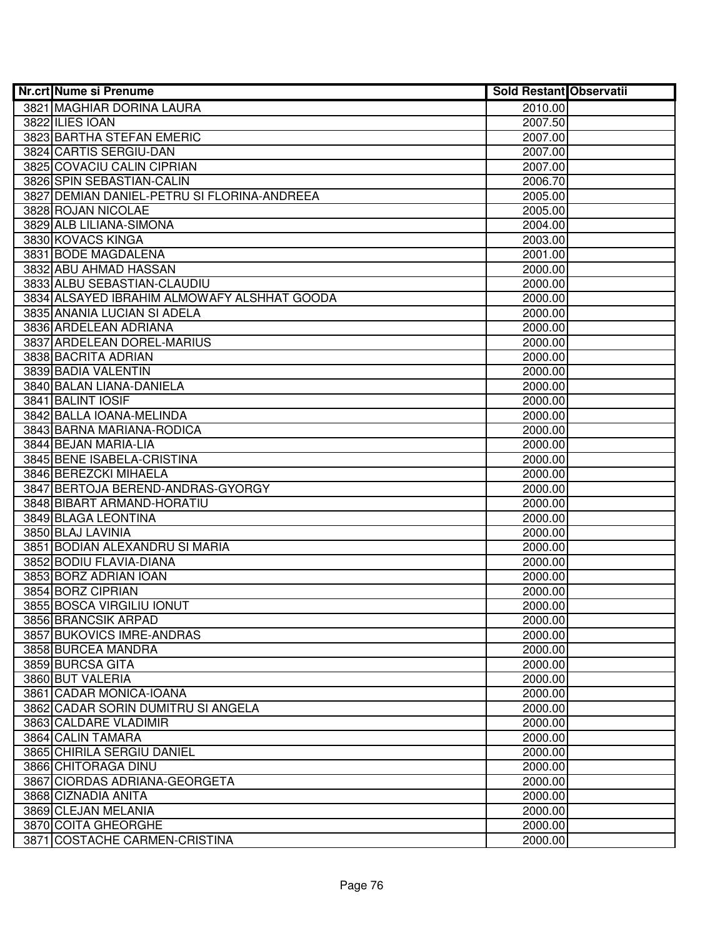| <b>Nr.crt Nume si Prenume</b>               | <b>Sold Restant Observatii</b> |  |
|---------------------------------------------|--------------------------------|--|
| 3821 MAGHIAR DORINA LAURA                   | 2010.00                        |  |
| 3822 ILIES IOAN                             | 2007.50                        |  |
| 3823 BARTHA STEFAN EMERIC                   | 2007.00                        |  |
| 3824 CARTIS SERGIU-DAN                      | 2007.00                        |  |
| 3825 COVACIU CALIN CIPRIAN                  | 2007.00                        |  |
| 3826 SPIN SEBASTIAN-CALIN                   | 2006.70                        |  |
| 3827 DEMIAN DANIEL-PETRU SI FLORINA-ANDREEA | 2005.00                        |  |
| 3828 ROJAN NICOLAE                          | 2005.00                        |  |
| 3829 ALB LILIANA-SIMONA                     | 2004.00                        |  |
| 3830 KOVACS KINGA                           | 2003.00                        |  |
| 3831 BODE MAGDALENA                         | 2001.00                        |  |
| 3832 ABU AHMAD HASSAN                       | 2000.00                        |  |
| 3833 ALBU SEBASTIAN-CLAUDIU                 | 2000.00                        |  |
| 3834 ALSAYED IBRAHIM ALMOWAFY ALSHHAT GOODA | 2000.00                        |  |
| 3835 ANANIA LUCIAN SI ADELA                 | 2000.00                        |  |
| 3836 ARDELEAN ADRIANA                       | 2000.00                        |  |
| 3837 ARDELEAN DOREL-MARIUS                  | 2000.00                        |  |
| 3838 BACRITA ADRIAN                         | 2000.00                        |  |
| 3839 BADIA VALENTIN                         | 2000.00                        |  |
| 3840 BALAN LIANA-DANIELA                    | 2000.00                        |  |
| 3841 BALINT IOSIF                           | 2000.00                        |  |
| 3842 BALLA IOANA-MELINDA                    | 2000.00                        |  |
| 3843 BARNA MARIANA-RODICA                   | 2000.00                        |  |
| 3844 BEJAN MARIA-LIA                        | 2000.00                        |  |
| 3845 BENE ISABELA-CRISTINA                  | 2000.00                        |  |
| 3846 BEREZCKI MIHAELA                       | 2000.00                        |  |
| 3847 BERTOJA BEREND-ANDRAS-GYORGY           | 2000.00                        |  |
| 3848 BIBART ARMAND-HORATIU                  | 2000.00                        |  |
| 3849 BLAGA LEONTINA                         | 2000.00                        |  |
| 3850 BLAJ LAVINIA                           | 2000.00                        |  |
| 3851 BODIAN ALEXANDRU SI MARIA              | 2000.00                        |  |
| 3852 BODIU FLAVIA-DIANA                     | 2000.00                        |  |
| 3853 BORZ ADRIAN IOAN                       | 2000.00                        |  |
| 3854 BORZ CIPRIAN                           | 2000.00                        |  |
| 3855 BOSCA VIRGILIU IONUT                   | 2000.00                        |  |
| 3856 BRANCSIK ARPAD                         | 2000.00                        |  |
| 3857 BUKOVICS IMRE-ANDRAS                   | 2000.00                        |  |
| 3858 BURCEA MANDRA                          | 2000.00                        |  |
| 3859 BURCSA GITA                            | 2000.00                        |  |
| 3860 BUT VALERIA                            | 2000.00                        |  |
| 3861 CADAR MONICA-IOANA                     | 2000.00                        |  |
| 3862 CADAR SORIN DUMITRU SI ANGELA          | 2000.00                        |  |
| 3863 CALDARE VLADIMIR                       | 2000.00                        |  |
| 3864 CALIN TAMARA                           | 2000.00                        |  |
| 3865 CHIRILA SERGIU DANIEL                  | 2000.00                        |  |
| 3866 CHITORAGA DINU                         | 2000.00                        |  |
| 3867 CIORDAS ADRIANA-GEORGETA               | 2000.00                        |  |
| 3868 CIZNADIA ANITA                         | 2000.00                        |  |
| 3869 CLEJAN MELANIA                         | 2000.00                        |  |
| 3870 COITA GHEORGHE                         | 2000.00                        |  |
| 3871 COSTACHE CARMEN-CRISTINA               | 2000.00                        |  |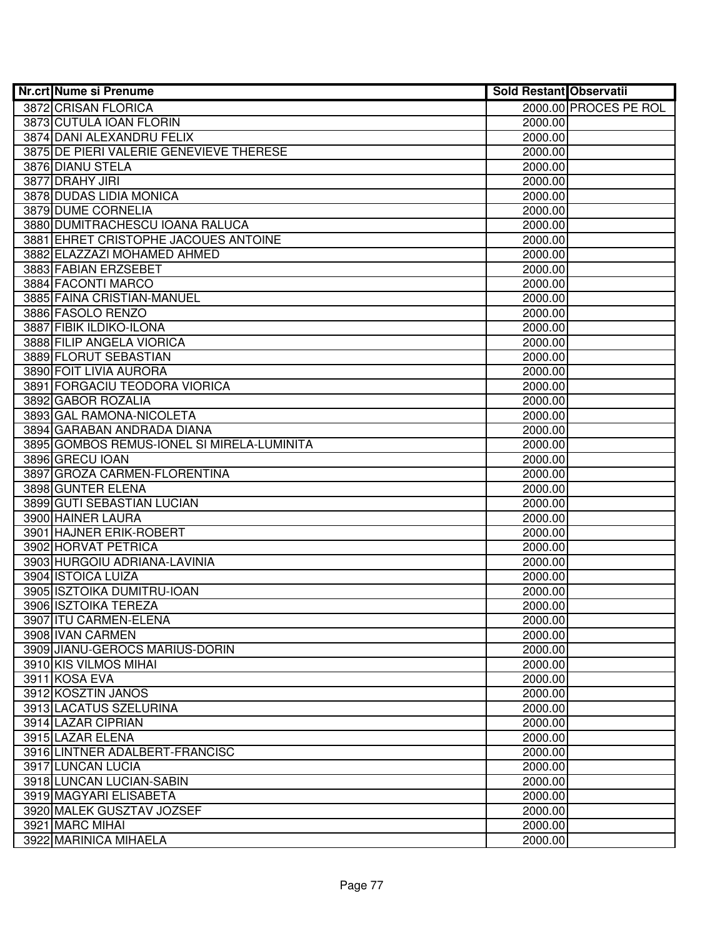| Nr.crt Nume si Prenume                     | Sold Restant Observatii |                       |
|--------------------------------------------|-------------------------|-----------------------|
| 3872 CRISAN FLORICA                        |                         | 2000.00 PROCES PE ROL |
| 3873 CUTULA IOAN FLORIN                    | 2000.00                 |                       |
| 3874 DANI ALEXANDRU FELIX                  | 2000.00                 |                       |
| 3875 DE PIERI VALERIE GENEVIEVE THERESE    | 2000.00                 |                       |
| 3876 DIANU STELA                           | 2000.00                 |                       |
| 3877 DRAHY JIRI                            | 2000.00                 |                       |
| 3878 DUDAS LIDIA MONICA                    | 2000.00                 |                       |
| 3879 DUME CORNELIA                         | 2000.00                 |                       |
| 3880 DUMITRACHESCU IOANA RALUCA            | 2000.00                 |                       |
| 3881 EHRET CRISTOPHE JACOUES ANTOINE       | 2000.00                 |                       |
| 3882 ELAZZAZI MOHAMED AHMED                | 2000.00                 |                       |
| 3883 FABIAN ERZSEBET                       | 2000.00                 |                       |
| 3884 FACONTI MARCO                         | 2000.00                 |                       |
| 3885 FAINA CRISTIAN-MANUEL                 | 2000.00                 |                       |
| 3886 FASOLO RENZO                          | 2000.00                 |                       |
| 3887 FIBIK ILDIKO-ILONA                    | 2000.00                 |                       |
| 3888 FILIP ANGELA VIORICA                  | 2000.00                 |                       |
| 3889 FLORUT SEBASTIAN                      | 2000.00                 |                       |
| 3890 FOIT LIVIA AURORA                     | 2000.00                 |                       |
| 3891 FORGACIU TEODORA VIORICA              | 2000.00                 |                       |
| 3892 GABOR ROZALIA                         | 2000.00                 |                       |
| 3893 GAL RAMONA-NICOLETA                   | 2000.00                 |                       |
| 3894 GARABAN ANDRADA DIANA                 | 2000.00                 |                       |
| 3895 GOMBOS REMUS-IONEL SI MIRELA-LUMINITA | 2000.00                 |                       |
| 3896 GRECU IOAN                            | 2000.00                 |                       |
| 3897 GROZA CARMEN-FLORENTINA               | 2000.00                 |                       |
| 3898 GUNTER ELENA                          | 2000.00                 |                       |
| 3899 GUTI SEBASTIAN LUCIAN                 | 2000.00                 |                       |
| 3900 HAINER LAURA                          | 2000.00                 |                       |
| 3901 HAJNER ERIK-ROBERT                    | 2000.00                 |                       |
| 3902 HORVAT PETRICA                        | 2000.00                 |                       |
| 3903 HURGOIU ADRIANA-LAVINIA               | 2000.00                 |                       |
| 3904 ISTOICA LUIZA                         | 2000.00                 |                       |
| 3905 ISZTOIKA DUMITRU-IOAN                 | 2000.00                 |                       |
| 3906 ISZTOIKA TEREZA                       | 2000.00                 |                       |
| 3907 ITU CARMEN-ELENA                      | 2000.00                 |                       |
| 3908 IVAN CARMEN                           | 2000.00                 |                       |
| 3909 JIANU-GEROCS MARIUS-DORIN             | 2000.00                 |                       |
| 3910 KIS VILMOS MIHAI                      | 2000.00                 |                       |
| 3911 KOSA EVA                              | 2000.00                 |                       |
| 3912 KOSZTIN JANOS                         | 2000.00                 |                       |
| 3913 LACATUS SZELURINA                     | 2000.00                 |                       |
| 3914 LAZAR CIPRIAN                         | 2000.00                 |                       |
| 3915 LAZAR ELENA                           | 2000.00                 |                       |
| 3916 LINTNER ADALBERT-FRANCISC             | 2000.00                 |                       |
| 3917 LUNCAN LUCIA                          | 2000.00                 |                       |
| 3918 LUNCAN LUCIAN-SABIN                   | 2000.00                 |                       |
| 3919 MAGYARI ELISABETA                     | 2000.00                 |                       |
| 3920 MALEK GUSZTAV JOZSEF                  | 2000.00                 |                       |
| 3921 MARC MIHAI                            | 2000.00                 |                       |
| 3922 MARINICA MIHAELA                      | 2000.00                 |                       |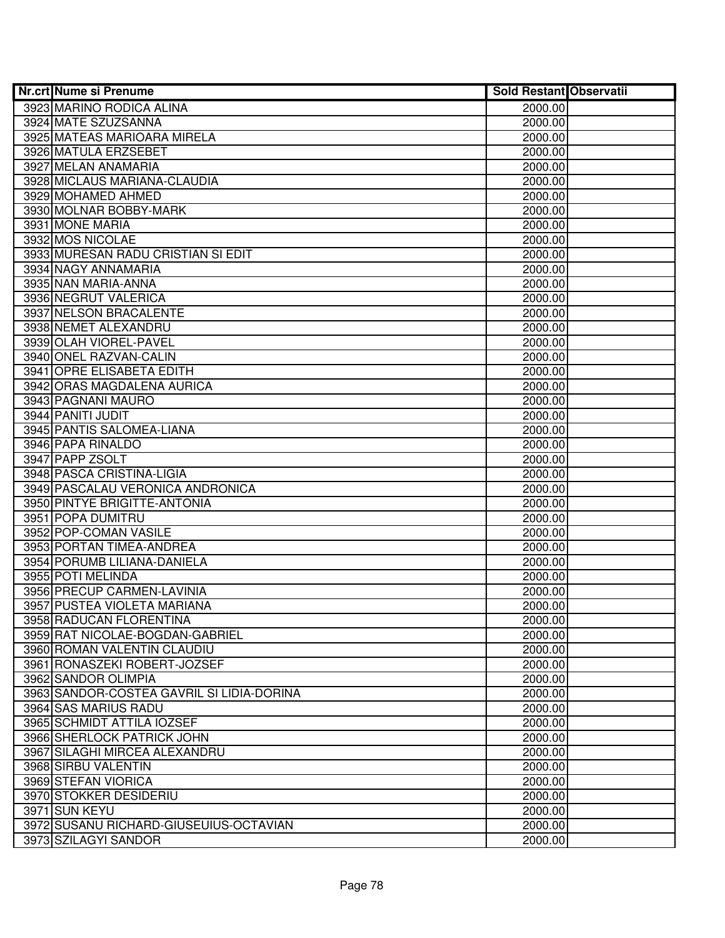| <b>Nr.crt Nume si Prenume</b>             | <b>Sold Restant Observatii</b> |  |
|-------------------------------------------|--------------------------------|--|
| 3923 MARINO RODICA ALINA                  | 2000.00                        |  |
| 3924 MATE SZUZSANNA                       | 2000.00                        |  |
| 3925 MATEAS MARIOARA MIRELA               | 2000.00                        |  |
| 3926 MATULA ERZSEBET                      | 2000.00                        |  |
| 3927 MELAN ANAMARIA                       | 2000.00                        |  |
| 3928 MICLAUS MARIANA-CLAUDIA              | 2000.00                        |  |
| 3929 MOHAMED AHMED                        | 2000.00                        |  |
| 3930 MOLNAR BOBBY-MARK                    | 2000.00                        |  |
| 3931 MONE MARIA                           | 2000.00                        |  |
| 3932 MOS NICOLAE                          | 2000.00                        |  |
| 3933 MURESAN RADU CRISTIAN SI EDIT        | 2000.00                        |  |
| 3934 NAGY ANNAMARIA                       | 2000.00                        |  |
| 3935 NAN MARIA-ANNA                       | 2000.00                        |  |
| 3936 NEGRUT VALERICA                      | 2000.00                        |  |
| 3937 NELSON BRACALENTE                    | 2000.00                        |  |
| 3938 NEMET ALEXANDRU                      | 2000.00                        |  |
| 3939 OLAH VIOREL-PAVEL                    | 2000.00                        |  |
| 3940 ONEL RAZVAN-CALIN                    | 2000.00                        |  |
| 3941 OPRE ELISABETA EDITH                 | 2000.00                        |  |
| 3942 ORAS MAGDALENA AURICA                | 2000.00                        |  |
| 3943 PAGNANI MAURO                        | 2000.00                        |  |
| 3944 PANITI JUDIT                         | 2000.00                        |  |
| 3945 PANTIS SALOMEA-LIANA                 | 2000.00                        |  |
| 3946 PAPA RINALDO                         | 2000.00                        |  |
| 3947 PAPP ZSOLT                           | 2000.00                        |  |
| 3948 PASCA CRISTINA-LIGIA                 | 2000.00                        |  |
| 3949 PASCALAU VERONICA ANDRONICA          | 2000.00                        |  |
| 3950 PINTYE BRIGITTE-ANTONIA              | 2000.00                        |  |
| 3951 POPA DUMITRU                         | 2000.00                        |  |
| 3952 POP-COMAN VASILE                     | 2000.00                        |  |
| 3953 PORTAN TIMEA-ANDREA                  | 2000.00                        |  |
| 3954 PORUMB LILIANA-DANIELA               | 2000.00                        |  |
| 3955 POTI MELINDA                         | 2000.00                        |  |
| 3956 PRECUP CARMEN-LAVINIA                | 2000.00                        |  |
| 3957 PUSTEA VIOLETA MARIANA               | 2000.00                        |  |
| 3958 RADUCAN FLORENTINA                   | 2000.00                        |  |
| 3959 RAT NICOLAE-BOGDAN-GABRIEL           | 2000.00                        |  |
| 3960 ROMAN VALENTIN CLAUDIU               | 2000.00                        |  |
| 3961 RONASZEKI ROBERT-JOZSEF              | 2000.00                        |  |
| 3962 SANDOR OLIMPIA                       | 2000.00                        |  |
| 3963 SANDOR-COSTEA GAVRIL SI LIDIA-DORINA | 2000.00                        |  |
| 3964 SAS MARIUS RADU                      | 2000.00                        |  |
| 3965 SCHMIDT ATTILA IOZSEF                | 2000.00                        |  |
| 3966 SHERLOCK PATRICK JOHN                | 2000.00                        |  |
| 3967 SILAGHI MIRCEA ALEXANDRU             | 2000.00                        |  |
| 3968 SIRBU VALENTIN                       | 2000.00                        |  |
| 3969 STEFAN VIORICA                       | 2000.00                        |  |
| 3970 STOKKER DESIDERIU                    | 2000.00                        |  |
| 3971 SUN KEYU                             | 2000.00                        |  |
| 3972 SUSANU RICHARD-GIUSEUIUS-OCTAVIAN    | 2000.00                        |  |
| 3973 SZILAGYI SANDOR                      | 2000.00                        |  |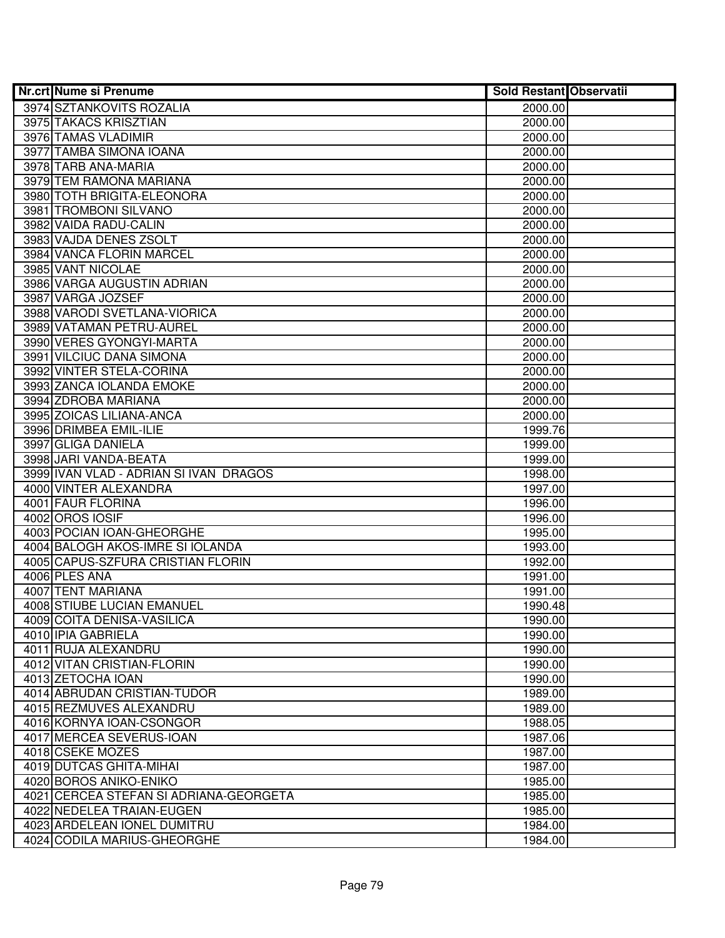| <b>Nr.crt Nume si Prenume</b>                        | <b>Sold Restant Observatii</b> |  |
|------------------------------------------------------|--------------------------------|--|
| 3974 SZTANKOVITS ROZALIA                             | 2000.00                        |  |
| 3975 TAKACS KRISZTIAN                                | 2000.00                        |  |
| 3976 TAMAS VLADIMIR                                  | 2000.00                        |  |
| 3977 TAMBA SIMONA IOANA                              | 2000.00                        |  |
| 3978 TARB ANA-MARIA                                  | 2000.00                        |  |
| 3979 TEM RAMONA MARIANA                              | 2000.00                        |  |
| 3980 TOTH BRIGITA-ELEONORA                           | 2000.00                        |  |
| 3981 TROMBONI SILVANO                                | 2000.00                        |  |
| 3982 VAIDA RADU-CALIN                                | 2000.00                        |  |
| 3983 VAJDA DENES ZSOLT                               | 2000.00                        |  |
| 3984 VANCA FLORIN MARCEL                             | 2000.00                        |  |
| 3985 VANT NICOLAE                                    | 2000.00                        |  |
| 3986 VARGA AUGUSTIN ADRIAN                           | 2000.00                        |  |
| 3987 VARGA JOZSEF                                    | 2000.00                        |  |
| 3988 VARODI SVETLANA-VIORICA                         | 2000.00                        |  |
| 3989 VATAMAN PETRU-AUREL                             | 2000.00                        |  |
| 3990 VERES GYONGYI-MARTA                             | 2000.00                        |  |
| 3991 VILCIUC DANA SIMONA                             | 2000.00                        |  |
| 3992 VINTER STELA-CORINA                             | 2000.00                        |  |
| 3993 ZANCA IOLANDA EMOKE                             | 2000.00                        |  |
| 3994 ZDROBA MARIANA                                  | 2000.00                        |  |
| 3995 ZOICAS LILIANA-ANCA                             | 2000.00                        |  |
| 3996 DRIMBEA EMIL-ILIE                               | 1999.76                        |  |
| 3997 GLIGA DANIELA                                   | 1999.00                        |  |
| 3998 JARI VANDA-BEATA                                | 1999.00                        |  |
| 3999 IVAN VLAD - ADRIAN SI IVAN DRAGOS               | 1998.00                        |  |
| 4000 VINTER ALEXANDRA                                | 1997.00                        |  |
| 4001 FAUR FLORINA                                    | 1996.00                        |  |
| 4002 OROS IOSIF                                      | 1996.00                        |  |
| 4003 POCIAN IOAN-GHEORGHE                            | 1995.00                        |  |
| 4004 BALOGH AKOS-IMRE SI IOLANDA                     | 1993.00                        |  |
| 4005 CAPUS-SZFURA CRISTIAN FLORIN                    | 1992.00                        |  |
| 4006 PLES ANA                                        | 1991.00                        |  |
| 4007 TENT MARIANA                                    | 1991.00                        |  |
| 4008 STIUBE LUCIAN EMANUEL                           | 1990.48                        |  |
| 4009 COITA DENISA-VASILICA                           | 1990.00                        |  |
| 4010 IPIA GABRIELA<br>4011 RUJA ALEXANDRU            | 1990.00                        |  |
|                                                      | 1990.00                        |  |
| 4012 VITAN CRISTIAN-FLORIN<br>4013 ZETOCHA IOAN      | 1990.00<br>1990.00             |  |
| 4014 ABRUDAN CRISTIAN-TUDOR                          | 1989.00                        |  |
| 4015 REZMUVES ALEXANDRU                              |                                |  |
|                                                      | 1989.00                        |  |
| 4016 KORNYA IOAN-CSONGOR<br>4017 MERCEA SEVERUS-IOAN | 1988.05<br>1987.06             |  |
| 4018 CSEKE MOZES                                     | 1987.00                        |  |
| 4019 DUTCAS GHITA-MIHAI                              | 1987.00                        |  |
| 4020 BOROS ANIKO-ENIKO                               | 1985.00                        |  |
| 4021 CERCEA STEFAN SI ADRIANA-GEORGETA               | 1985.00                        |  |
| 4022 NEDELEA TRAIAN-EUGEN                            | 1985.00                        |  |
| 4023 ARDELEAN IONEL DUMITRU                          | 1984.00                        |  |
| 4024 CODILA MARIUS-GHEORGHE                          | 1984.00                        |  |
|                                                      |                                |  |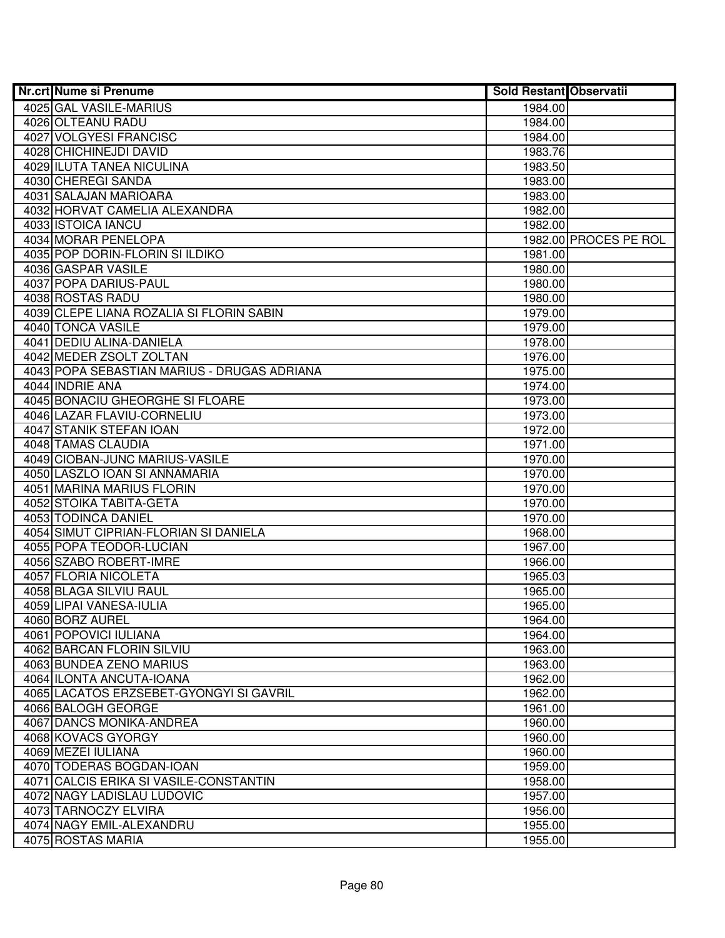| 4025 GAL VASILE-MARIUS<br>1984.00<br>4026 OLTEANU RADU<br>1984.00<br>4027 VOLGYESI FRANCISC<br>1984.00<br>4028 CHICHINEJDI DAVID<br>1983.76<br>4029 ILUTA TANEA NICULINA<br>1983.50<br>4030 CHEREGI SANDA<br>1983.00<br>4031 SALAJAN MARIOARA<br>1983.00 |  |
|----------------------------------------------------------------------------------------------------------------------------------------------------------------------------------------------------------------------------------------------------------|--|
|                                                                                                                                                                                                                                                          |  |
|                                                                                                                                                                                                                                                          |  |
|                                                                                                                                                                                                                                                          |  |
|                                                                                                                                                                                                                                                          |  |
|                                                                                                                                                                                                                                                          |  |
|                                                                                                                                                                                                                                                          |  |
|                                                                                                                                                                                                                                                          |  |
| 4032 HORVAT CAMELIA ALEXANDRA<br>1982.00                                                                                                                                                                                                                 |  |
| 4033 ISTOICA IANCU<br>1982.00                                                                                                                                                                                                                            |  |
| 4034 MORAR PENELOPA<br>1982.00 PROCES PE ROL                                                                                                                                                                                                             |  |
| 4035 POP DORIN-FLORIN SI ILDIKO<br>1981.00                                                                                                                                                                                                               |  |
| 4036 GASPAR VASILE<br>1980.00                                                                                                                                                                                                                            |  |
| 4037 POPA DARIUS-PAUL<br>1980.00                                                                                                                                                                                                                         |  |
| 4038 ROSTAS RADU<br>1980.00                                                                                                                                                                                                                              |  |
| 4039 CLEPE LIANA ROZALIA SI FLORIN SABIN<br>1979.00                                                                                                                                                                                                      |  |
| 4040 TONCA VASILE<br>1979.00                                                                                                                                                                                                                             |  |
| 4041 DEDIU ALINA-DANIELA<br>1978.00                                                                                                                                                                                                                      |  |
| 4042 MEDER ZSOLT ZOLTAN<br>1976.00                                                                                                                                                                                                                       |  |
| 4043 POPA SEBASTIAN MARIUS - DRUGAS ADRIANA<br>1975.00                                                                                                                                                                                                   |  |
| 4044 INDRIE ANA<br>1974.00                                                                                                                                                                                                                               |  |
| 4045 BONACIU GHEORGHE SI FLOARE<br>1973.00                                                                                                                                                                                                               |  |
| 4046 LAZAR FLAVIU-CORNELIU<br>1973.00                                                                                                                                                                                                                    |  |
| 4047 STANIK STEFAN IOAN<br>1972.00                                                                                                                                                                                                                       |  |
| 4048 TAMAS CLAUDIA<br>1971.00                                                                                                                                                                                                                            |  |
| 4049 CIOBAN-JUNC MARIUS-VASILE<br>1970.00                                                                                                                                                                                                                |  |
| 4050 LASZLO IOAN SI ANNAMARIA<br>1970.00                                                                                                                                                                                                                 |  |
| 4051 MARINA MARIUS FLORIN<br>1970.00                                                                                                                                                                                                                     |  |
| 4052 STOIKA TABITA-GETA<br>1970.00                                                                                                                                                                                                                       |  |
| 4053 TODINCA DANIEL<br>1970.00                                                                                                                                                                                                                           |  |
| 4054 SIMUT CIPRIAN-FLORIAN SI DANIELA<br>1968.00                                                                                                                                                                                                         |  |
| 4055 POPA TEODOR-LUCIAN<br>1967.00                                                                                                                                                                                                                       |  |
| 4056 SZABO ROBERT-IMRE<br>1966.00                                                                                                                                                                                                                        |  |
| 4057 FLORIA NICOLETA<br>1965.03<br>4058 BLAGA SILVIU RAUL<br>1965.00                                                                                                                                                                                     |  |
| 4059 LIPAI VANESA-IULIA<br>1965.00                                                                                                                                                                                                                       |  |
| 4060 BORZ AUREL<br>1964.00                                                                                                                                                                                                                               |  |
| 4061 POPOVICI IULIANA<br>1964.00                                                                                                                                                                                                                         |  |
| <b>4062 BARCAN FLORIN SILVIU</b><br>1963.00                                                                                                                                                                                                              |  |
| 4063 BUNDEA ZENO MARIUS<br>1963.00                                                                                                                                                                                                                       |  |
| 4064 ILONTA ANCUTA-IOANA<br>1962.00                                                                                                                                                                                                                      |  |
| 4065 LACATOS ERZSEBET-GYONGYI SI GAVRIL<br>1962.00                                                                                                                                                                                                       |  |
| 4066 BALOGH GEORGE<br>1961.00                                                                                                                                                                                                                            |  |
| 4067 DANCS MONIKA-ANDREA<br>1960.00                                                                                                                                                                                                                      |  |
| 4068 KOVACS GYORGY<br>1960.00                                                                                                                                                                                                                            |  |
| 4069 MEZEI IULIANA<br>1960.00                                                                                                                                                                                                                            |  |
| 4070 TODERAS BOGDAN-IOAN<br>1959.00                                                                                                                                                                                                                      |  |
| 4071 CALCIS ERIKA SI VASILE-CONSTANTIN<br>1958.00                                                                                                                                                                                                        |  |
| 4072 NAGY LADISLAU LUDOVIC<br>1957.00                                                                                                                                                                                                                    |  |
| 4073 TARNOCZY ELVIRA<br>1956.00                                                                                                                                                                                                                          |  |
| 4074 NAGY EMIL-ALEXANDRU<br>1955.00                                                                                                                                                                                                                      |  |
| 4075 ROSTAS MARIA<br>1955.00                                                                                                                                                                                                                             |  |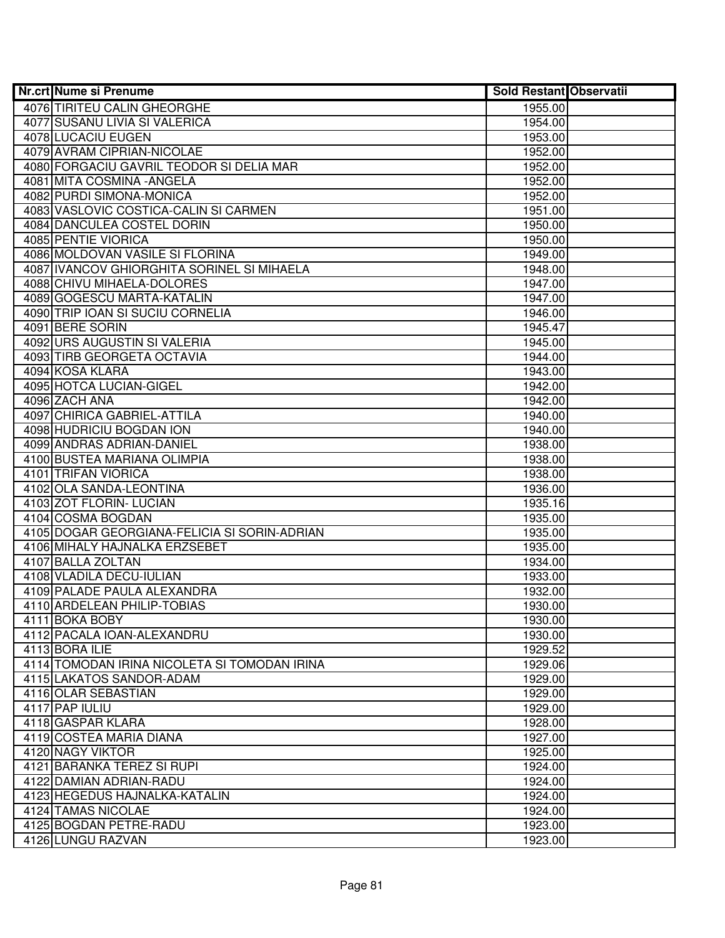| Nr.crt Nume si Prenume                       | <b>Sold Restant Observatii</b> |  |
|----------------------------------------------|--------------------------------|--|
| 4076 TIRITEU CALIN GHEORGHE                  | 1955.00                        |  |
| 4077 SUSANU LIVIA SI VALERICA                | 1954.00                        |  |
| 4078 LUCACIU EUGEN                           | 1953.00                        |  |
| 4079 AVRAM CIPRIAN-NICOLAE                   | 1952.00                        |  |
| 4080 FORGACIU GAVRIL TEODOR SI DELIA MAR     | 1952.00                        |  |
| 4081 MITA COSMINA - ANGELA                   | 1952.00                        |  |
| 4082 PURDI SIMONA-MONICA                     | 1952.00                        |  |
| 4083 VASLOVIC COSTICA-CALIN SI CARMEN        | 1951.00                        |  |
| 4084 DANCULEA COSTEL DORIN                   | 1950.00                        |  |
| 4085 PENTIE VIORICA                          | 1950.00                        |  |
| 4086 MOLDOVAN VASILE SI FLORINA              | 1949.00                        |  |
| 4087 IVANCOV GHIORGHITA SORINEL SI MIHAELA   | 1948.00                        |  |
| 4088 CHIVU MIHAELA-DOLORES                   | 1947.00                        |  |
| 4089 GOGESCU MARTA-KATALIN                   | 1947.00                        |  |
| 4090 TRIP IOAN SI SUCIU CORNELIA             | 1946.00                        |  |
| 4091 BERE SORIN                              | 1945.47                        |  |
| 4092 URS AUGUSTIN SI VALERIA                 | 1945.00                        |  |
| 4093 TIRB GEORGETA OCTAVIA                   | 1944.00                        |  |
| 4094 KOSA KLARA                              | 1943.00                        |  |
| 4095 HOTCA LUCIAN-GIGEL                      | 1942.00                        |  |
| 4096 ZACH ANA                                | 1942.00                        |  |
| 4097 CHIRICA GABRIEL-ATTILA                  | 1940.00                        |  |
| 4098 HUDRICIU BOGDAN ION                     | 1940.00                        |  |
| 4099 ANDRAS ADRIAN-DANIEL                    | 1938.00                        |  |
| 4100 BUSTEA MARIANA OLIMPIA                  | 1938.00                        |  |
| 4101 TRIFAN VIORICA                          | 1938.00                        |  |
| 4102 OLA SANDA-LEONTINA                      | 1936.00                        |  |
| 4103 ZOT FLORIN- LUCIAN                      | 1935.16                        |  |
| 4104 COSMA BOGDAN                            | 1935.00                        |  |
| 4105 DOGAR GEORGIANA-FELICIA SI SORIN-ADRIAN | 1935.00                        |  |
| 4106 MIHALY HAJNALKA ERZSEBET                | 1935.00                        |  |
| 4107 BALLA ZOLTAN                            | 1934.00                        |  |
| 4108 VLADILA DECU-IULIAN                     | 1933.00                        |  |
| 4109 PALADE PAULA ALEXANDRA                  | 1932.00                        |  |
| 4110 ARDELEAN PHILIP-TOBIAS                  | 1930.00                        |  |
| 4111 BOKA BOBY                               | 1930.00                        |  |
| 4112 PACALA IOAN-ALEXANDRU                   | 1930.00                        |  |
| 4113 BORA ILIE                               | 1929.52                        |  |
| 4114 TOMODAN IRINA NICOLETA SI TOMODAN IRINA | 1929.06                        |  |
| 4115 LAKATOS SANDOR-ADAM                     | 1929.00                        |  |
| 4116 OLAR SEBASTIAN                          | 1929.00                        |  |
| 4117 PAP IULIU                               | 1929.00                        |  |
| 4118 GASPAR KLARA                            | 1928.00                        |  |
| 4119 COSTEA MARIA DIANA                      | 1927.00                        |  |
| 4120 NAGY VIKTOR                             | 1925.00                        |  |
| 4121 BARANKA TEREZ SI RUPI                   | 1924.00                        |  |
| 4122 DAMIAN ADRIAN-RADU                      | 1924.00                        |  |
| 4123 HEGEDUS HAJNALKA-KATALIN                | 1924.00                        |  |
| 4124 TAMAS NICOLAE                           | 1924.00                        |  |
| 4125 BOGDAN PETRE-RADU                       | 1923.00                        |  |
| 4126 LUNGU RAZVAN                            | 1923.00                        |  |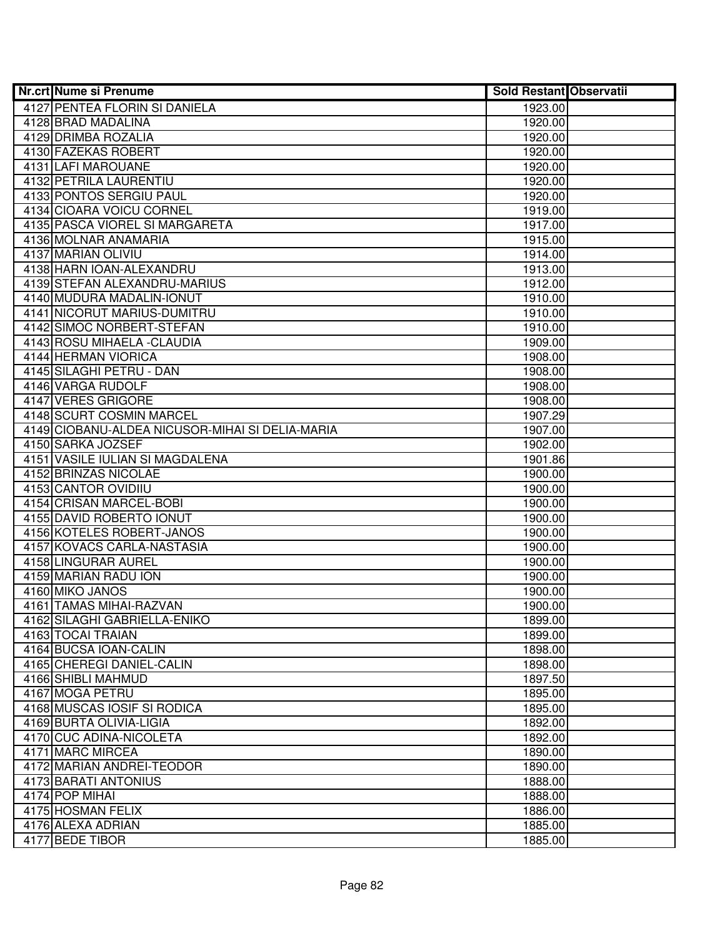| Nr.crt Nume si Prenume                          | <b>Sold Restant Observatii</b> |  |
|-------------------------------------------------|--------------------------------|--|
| <b>4127 PENTEA FLORIN SI DANIELA</b>            | 1923.00                        |  |
| 4128 BRAD MADALINA                              | 1920.00                        |  |
| 4129 DRIMBA ROZALIA                             | 1920.00                        |  |
| 4130 FAZEKAS ROBERT                             | 1920.00                        |  |
| 4131 LAFI MAROUANE                              | 1920.00                        |  |
| 4132 PETRILA LAURENTIU                          | 1920.00                        |  |
| 4133 PONTOS SERGIU PAUL                         | 1920.00                        |  |
| 4134 CIOARA VOICU CORNEL                        | 1919.00                        |  |
| 4135 PASCA VIOREL SI MARGARETA                  | 1917.00                        |  |
| 4136 MOLNAR ANAMARIA                            | 1915.00                        |  |
| 4137 MARIAN OLIVIU                              | 1914.00                        |  |
| 4138 HARN IOAN-ALEXANDRU                        | 1913.00                        |  |
| 4139 STEFAN ALEXANDRU-MARIUS                    | 1912.00                        |  |
| 4140 MUDURA MADALIN-IONUT                       | 1910.00                        |  |
| 4141 NICORUT MARIUS-DUMITRU                     | 1910.00                        |  |
| 4142 SIMOC NORBERT-STEFAN                       | 1910.00                        |  |
| 4143 ROSU MIHAELA - CLAUDIA                     | 1909.00                        |  |
| 4144 HERMAN VIORICA                             | 1908.00                        |  |
| 4145 SILAGHI PETRU - DAN                        | 1908.00                        |  |
| 4146 VARGA RUDOLF                               | 1908.00                        |  |
| 4147 VERES GRIGORE                              | 1908.00                        |  |
| 4148 SCURT COSMIN MARCEL                        | 1907.29                        |  |
| 4149 CIOBANU-ALDEA NICUSOR-MIHAI SI DELIA-MARIA | 1907.00                        |  |
| 4150 SARKA JOZSEF                               | 1902.00                        |  |
| 4151 VASILE IULIAN SI MAGDALENA                 | 1901.86                        |  |
| 4152 BRINZAS NICOLAE                            | 1900.00                        |  |
| 4153 CANTOR OVIDIIU                             | 1900.00                        |  |
| 4154 CRISAN MARCEL-BOBI                         | 1900.00                        |  |
| 4155 DAVID ROBERTO IONUT                        | 1900.00                        |  |
| 4156 KOTELES ROBERT-JANOS                       | 1900.00                        |  |
| 4157 KOVACS CARLA-NASTASIA                      | 1900.00                        |  |
| 4158 LINGURAR AUREL                             | 1900.00                        |  |
| 4159 MARIAN RADU ION                            | 1900.00                        |  |
| 4160 MIKO JANOS<br>4161 TAMAS MIHAI-RAZVAN      | 1900.00                        |  |
| 4162 SILAGHI GABRIELLA-ENIKO                    | 1900.00<br>1899.00             |  |
| 4163 TOCAI TRAIAN                               | 1899.00                        |  |
| 4164 BUCSA IOAN-CALIN                           | 1898.00                        |  |
| 4165 CHEREGI DANIEL-CALIN                       | 1898.00                        |  |
| 4166 SHIBLI MAHMUD                              | 1897.50                        |  |
| 4167 MOGA PETRU                                 | 1895.00                        |  |
| 4168 MUSCAS IOSIF SI RODICA                     | 1895.00                        |  |
| 4169 BURTA OLIVIA-LIGIA                         | 1892.00                        |  |
| 4170 CUC ADINA-NICOLETA                         | 1892.00                        |  |
| 4171 MARC MIRCEA                                | 1890.00                        |  |
| 4172 MARIAN ANDREI-TEODOR                       | 1890.00                        |  |
| 4173 BARATI ANTONIUS                            | 1888.00                        |  |
| 4174 POP MIHAI                                  | 1888.00                        |  |
| 4175 HOSMAN FELIX                               | 1886.00                        |  |
| 4176 ALEXA ADRIAN                               | 1885.00                        |  |
| 4177 BEDE TIBOR                                 | 1885.00                        |  |
|                                                 |                                |  |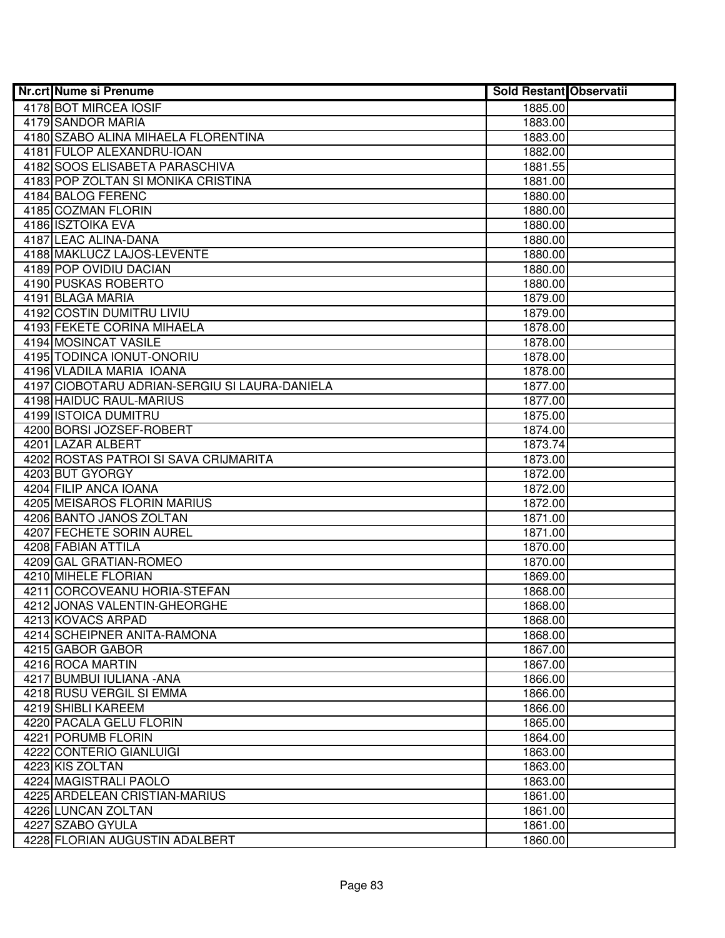| <b>Nr.crt Nume si Prenume</b>                 | <b>Sold Restant Observatii</b> |  |
|-----------------------------------------------|--------------------------------|--|
| 4178 BOT MIRCEA IOSIF                         | 1885.00                        |  |
| 4179 SANDOR MARIA                             | 1883.00                        |  |
| 4180 SZABO ALINA MIHAELA FLORENTINA           | 1883.00                        |  |
| 4181 FULOP ALEXANDRU-IOAN                     | 1882.00                        |  |
| 4182 SOOS ELISABETA PARASCHIVA                | 1881.55                        |  |
| 4183 POP ZOLTAN SI MONIKA CRISTINA            | 1881.00                        |  |
| 4184 BALOG FERENC                             | 1880.00                        |  |
| 4185 COZMAN FLORIN                            | 1880.00                        |  |
| 4186 ISZTOIKA EVA                             | 1880.00                        |  |
| 4187 LEAC ALINA-DANA                          | 1880.00                        |  |
| 4188 MAKLUCZ LAJOS-LEVENTE                    | 1880.00                        |  |
| 4189 POP OVIDIU DACIAN                        | 1880.00                        |  |
| 4190 PUSKAS ROBERTO                           | 1880.00                        |  |
| 4191 BLAGA MARIA                              | 1879.00                        |  |
| 4192 COSTIN DUMITRU LIVIU                     | 1879.00                        |  |
| 4193 FEKETE CORINA MIHAELA                    | 1878.00                        |  |
| 4194 MOSINCAT VASILE                          | 1878.00                        |  |
| 4195 TODINCA IONUT-ONORIU                     | 1878.00                        |  |
| 4196 VLADILA MARIA IOANA                      | 1878.00                        |  |
| 4197 CIOBOTARU ADRIAN-SERGIU SI LAURA-DANIELA | 1877.00                        |  |
| 4198 HAIDUC RAUL-MARIUS                       | 1877.00                        |  |
| 4199 ISTOICA DUMITRU                          | 1875.00                        |  |
| 4200 BORSI JOZSEF-ROBERT                      | 1874.00                        |  |
| 4201 LAZAR ALBERT                             | 1873.74                        |  |
| 4202 ROSTAS PATROI SI SAVA CRIJMARITA         | 1873.00                        |  |
| 4203 BUT GYORGY                               | 1872.00                        |  |
| 4204 FILIP ANCA IOANA                         | 1872.00                        |  |
| 4205 MEISAROS FLORIN MARIUS                   | 1872.00                        |  |
| 4206 BANTO JANOS ZOLTAN                       | 1871.00                        |  |
| 4207 FECHETE SORIN AUREL                      | 1871.00                        |  |
| 4208 FABIAN ATTILA                            | 1870.00                        |  |
| 4209 GAL GRATIAN-ROMEO                        | 1870.00                        |  |
| 4210 MIHELE FLORIAN                           | 1869.00                        |  |
| 4211 CORCOVEANU HORIA-STEFAN                  | 1868.00                        |  |
| 4212 JONAS VALENTIN-GHEORGHE                  | 1868.00                        |  |
| 4213 KOVACS ARPAD                             | 1868.00                        |  |
| 4214 SCHEIPNER ANITA-RAMONA                   | 1868.00                        |  |
| 4215 GABOR GABOR                              | 1867.00                        |  |
| 4216 ROCA MARTIN                              | 1867.00                        |  |
| 4217 BUMBUI IULIANA - ANA                     | 1866.00                        |  |
| 4218 RUSU VERGIL SI EMMA                      | 1866.00                        |  |
| 4219 SHIBLI KAREEM                            | 1866.00                        |  |
| 4220 PACALA GELU FLORIN                       | 1865.00                        |  |
| 4221 PORUMB FLORIN                            | 1864.00                        |  |
| 4222 CONTERIO GIANLUIGI                       | 1863.00                        |  |
| 4223 KIS ZOLTAN                               | 1863.00                        |  |
| 4224 MAGISTRALI PAOLO                         | 1863.00                        |  |
| 4225 ARDELEAN CRISTIAN-MARIUS                 | 1861.00                        |  |
| 4226 LUNCAN ZOLTAN                            | 1861.00                        |  |
| 4227 SZABO GYULA                              | 1861.00                        |  |
| 4228 FLORIAN AUGUSTIN ADALBERT                | 1860.00                        |  |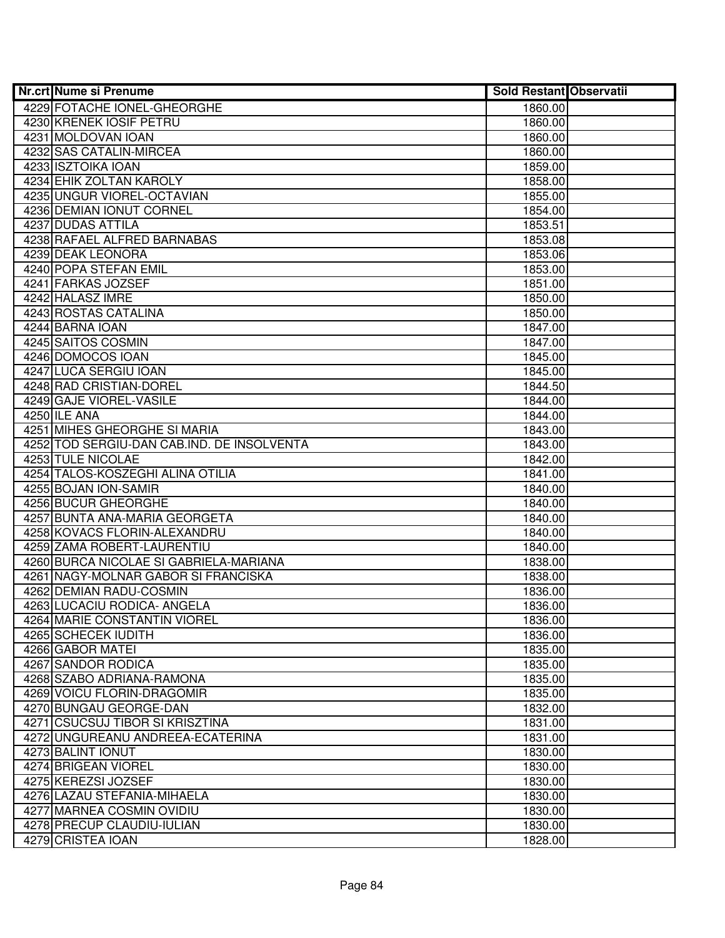| 4229 FOTACHE IONEL-GHEORGHE<br>1860.00<br>4230 KRENEK IOSIF PETRU<br>1860.00<br>4231 MOLDOVAN IOAN<br>1860.00<br>4232 SAS CATALIN-MIRCEA<br>1860.00<br>4233 ISZTOIKA IOAN<br>1859.00<br>4234 EHIK ZOLTAN KAROLY<br>1858.00<br>4235 UNGUR VIOREL-OCTAVIAN<br>1855.00<br>4236 DEMIAN IONUT CORNEL<br>1854.00<br><b>4237 DUDAS ATTILA</b><br>1853.51<br>4238 RAFAEL ALFRED BARNABAS<br>1853.08<br>4239 DEAK LEONORA<br>1853.06<br>4240 POPA STEFAN EMIL<br>1853.00<br>4241 FARKAS JOZSEF<br>1851.00<br>4242 HALASZ IMRE<br>1850.00<br>4243 ROSTAS CATALINA<br>1850.00<br>4244 BARNA IOAN<br>1847.00<br>4245 SAITOS COSMIN<br>1847.00<br>4246 DOMOCOS IOAN<br>1845.00<br>4247 LUCA SERGIU IOAN<br>1845.00<br>4248 RAD CRISTIAN-DOREL<br>1844.50<br>4249 GAJE VIOREL-VASILE<br>1844.00<br>4250 ILE ANA<br>1844.00<br>4251 MIHES GHEORGHE SI MARIA<br>1843.00<br>4252 TOD SERGIU-DAN CAB.IND. DE INSOLVENTA<br>1843.00<br>4253 TULE NICOLAE<br>1842.00<br>4254 TALOS-KOSZEGHI ALINA OTILIA<br>1841.00<br>4255 BOJAN ION-SAMIR<br>1840.00<br>4256 BUCUR GHEORGHE<br>1840.00<br>4257 BUNTA ANA-MARIA GEORGETA<br>1840.00<br>4258 KOVACS FLORIN-ALEXANDRU<br>1840.00<br>4259 ZAMA ROBERT-LAURENTIU<br>1840.00<br>4260 BURCA NICOLAE SI GABRIELA-MARIANA<br>1838.00 | Nr.crt Nume si Prenume | <b>Sold Restant Observatii</b> |  |
|-----------------------------------------------------------------------------------------------------------------------------------------------------------------------------------------------------------------------------------------------------------------------------------------------------------------------------------------------------------------------------------------------------------------------------------------------------------------------------------------------------------------------------------------------------------------------------------------------------------------------------------------------------------------------------------------------------------------------------------------------------------------------------------------------------------------------------------------------------------------------------------------------------------------------------------------------------------------------------------------------------------------------------------------------------------------------------------------------------------------------------------------------------------------------------------------------------------------------------------------------------------|------------------------|--------------------------------|--|
|                                                                                                                                                                                                                                                                                                                                                                                                                                                                                                                                                                                                                                                                                                                                                                                                                                                                                                                                                                                                                                                                                                                                                                                                                                                           |                        |                                |  |
|                                                                                                                                                                                                                                                                                                                                                                                                                                                                                                                                                                                                                                                                                                                                                                                                                                                                                                                                                                                                                                                                                                                                                                                                                                                           |                        |                                |  |
|                                                                                                                                                                                                                                                                                                                                                                                                                                                                                                                                                                                                                                                                                                                                                                                                                                                                                                                                                                                                                                                                                                                                                                                                                                                           |                        |                                |  |
|                                                                                                                                                                                                                                                                                                                                                                                                                                                                                                                                                                                                                                                                                                                                                                                                                                                                                                                                                                                                                                                                                                                                                                                                                                                           |                        |                                |  |
|                                                                                                                                                                                                                                                                                                                                                                                                                                                                                                                                                                                                                                                                                                                                                                                                                                                                                                                                                                                                                                                                                                                                                                                                                                                           |                        |                                |  |
|                                                                                                                                                                                                                                                                                                                                                                                                                                                                                                                                                                                                                                                                                                                                                                                                                                                                                                                                                                                                                                                                                                                                                                                                                                                           |                        |                                |  |
|                                                                                                                                                                                                                                                                                                                                                                                                                                                                                                                                                                                                                                                                                                                                                                                                                                                                                                                                                                                                                                                                                                                                                                                                                                                           |                        |                                |  |
|                                                                                                                                                                                                                                                                                                                                                                                                                                                                                                                                                                                                                                                                                                                                                                                                                                                                                                                                                                                                                                                                                                                                                                                                                                                           |                        |                                |  |
|                                                                                                                                                                                                                                                                                                                                                                                                                                                                                                                                                                                                                                                                                                                                                                                                                                                                                                                                                                                                                                                                                                                                                                                                                                                           |                        |                                |  |
|                                                                                                                                                                                                                                                                                                                                                                                                                                                                                                                                                                                                                                                                                                                                                                                                                                                                                                                                                                                                                                                                                                                                                                                                                                                           |                        |                                |  |
|                                                                                                                                                                                                                                                                                                                                                                                                                                                                                                                                                                                                                                                                                                                                                                                                                                                                                                                                                                                                                                                                                                                                                                                                                                                           |                        |                                |  |
|                                                                                                                                                                                                                                                                                                                                                                                                                                                                                                                                                                                                                                                                                                                                                                                                                                                                                                                                                                                                                                                                                                                                                                                                                                                           |                        |                                |  |
|                                                                                                                                                                                                                                                                                                                                                                                                                                                                                                                                                                                                                                                                                                                                                                                                                                                                                                                                                                                                                                                                                                                                                                                                                                                           |                        |                                |  |
|                                                                                                                                                                                                                                                                                                                                                                                                                                                                                                                                                                                                                                                                                                                                                                                                                                                                                                                                                                                                                                                                                                                                                                                                                                                           |                        |                                |  |
|                                                                                                                                                                                                                                                                                                                                                                                                                                                                                                                                                                                                                                                                                                                                                                                                                                                                                                                                                                                                                                                                                                                                                                                                                                                           |                        |                                |  |
|                                                                                                                                                                                                                                                                                                                                                                                                                                                                                                                                                                                                                                                                                                                                                                                                                                                                                                                                                                                                                                                                                                                                                                                                                                                           |                        |                                |  |
|                                                                                                                                                                                                                                                                                                                                                                                                                                                                                                                                                                                                                                                                                                                                                                                                                                                                                                                                                                                                                                                                                                                                                                                                                                                           |                        |                                |  |
|                                                                                                                                                                                                                                                                                                                                                                                                                                                                                                                                                                                                                                                                                                                                                                                                                                                                                                                                                                                                                                                                                                                                                                                                                                                           |                        |                                |  |
|                                                                                                                                                                                                                                                                                                                                                                                                                                                                                                                                                                                                                                                                                                                                                                                                                                                                                                                                                                                                                                                                                                                                                                                                                                                           |                        |                                |  |
|                                                                                                                                                                                                                                                                                                                                                                                                                                                                                                                                                                                                                                                                                                                                                                                                                                                                                                                                                                                                                                                                                                                                                                                                                                                           |                        |                                |  |
|                                                                                                                                                                                                                                                                                                                                                                                                                                                                                                                                                                                                                                                                                                                                                                                                                                                                                                                                                                                                                                                                                                                                                                                                                                                           |                        |                                |  |
|                                                                                                                                                                                                                                                                                                                                                                                                                                                                                                                                                                                                                                                                                                                                                                                                                                                                                                                                                                                                                                                                                                                                                                                                                                                           |                        |                                |  |
|                                                                                                                                                                                                                                                                                                                                                                                                                                                                                                                                                                                                                                                                                                                                                                                                                                                                                                                                                                                                                                                                                                                                                                                                                                                           |                        |                                |  |
|                                                                                                                                                                                                                                                                                                                                                                                                                                                                                                                                                                                                                                                                                                                                                                                                                                                                                                                                                                                                                                                                                                                                                                                                                                                           |                        |                                |  |
|                                                                                                                                                                                                                                                                                                                                                                                                                                                                                                                                                                                                                                                                                                                                                                                                                                                                                                                                                                                                                                                                                                                                                                                                                                                           |                        |                                |  |
|                                                                                                                                                                                                                                                                                                                                                                                                                                                                                                                                                                                                                                                                                                                                                                                                                                                                                                                                                                                                                                                                                                                                                                                                                                                           |                        |                                |  |
|                                                                                                                                                                                                                                                                                                                                                                                                                                                                                                                                                                                                                                                                                                                                                                                                                                                                                                                                                                                                                                                                                                                                                                                                                                                           |                        |                                |  |
|                                                                                                                                                                                                                                                                                                                                                                                                                                                                                                                                                                                                                                                                                                                                                                                                                                                                                                                                                                                                                                                                                                                                                                                                                                                           |                        |                                |  |
|                                                                                                                                                                                                                                                                                                                                                                                                                                                                                                                                                                                                                                                                                                                                                                                                                                                                                                                                                                                                                                                                                                                                                                                                                                                           |                        |                                |  |
|                                                                                                                                                                                                                                                                                                                                                                                                                                                                                                                                                                                                                                                                                                                                                                                                                                                                                                                                                                                                                                                                                                                                                                                                                                                           |                        |                                |  |
|                                                                                                                                                                                                                                                                                                                                                                                                                                                                                                                                                                                                                                                                                                                                                                                                                                                                                                                                                                                                                                                                                                                                                                                                                                                           |                        |                                |  |
|                                                                                                                                                                                                                                                                                                                                                                                                                                                                                                                                                                                                                                                                                                                                                                                                                                                                                                                                                                                                                                                                                                                                                                                                                                                           |                        |                                |  |
| 4261 NAGY-MOLNAR GABOR SI FRANCISKA<br>1838.00<br>4262 DEMIAN RADU-COSMIN<br>1836.00                                                                                                                                                                                                                                                                                                                                                                                                                                                                                                                                                                                                                                                                                                                                                                                                                                                                                                                                                                                                                                                                                                                                                                      |                        |                                |  |
| 4263 LUCACIU RODICA- ANGELA<br>1836.00                                                                                                                                                                                                                                                                                                                                                                                                                                                                                                                                                                                                                                                                                                                                                                                                                                                                                                                                                                                                                                                                                                                                                                                                                    |                        |                                |  |
| 4264 MARIE CONSTANTIN VIOREL<br>1836.00                                                                                                                                                                                                                                                                                                                                                                                                                                                                                                                                                                                                                                                                                                                                                                                                                                                                                                                                                                                                                                                                                                                                                                                                                   |                        |                                |  |
| 4265 SCHECEK IUDITH<br>1836.00                                                                                                                                                                                                                                                                                                                                                                                                                                                                                                                                                                                                                                                                                                                                                                                                                                                                                                                                                                                                                                                                                                                                                                                                                            |                        |                                |  |
| 4266 GABOR MATEI<br>1835.00                                                                                                                                                                                                                                                                                                                                                                                                                                                                                                                                                                                                                                                                                                                                                                                                                                                                                                                                                                                                                                                                                                                                                                                                                               |                        |                                |  |
| 4267 SANDOR RODICA<br>1835.00                                                                                                                                                                                                                                                                                                                                                                                                                                                                                                                                                                                                                                                                                                                                                                                                                                                                                                                                                                                                                                                                                                                                                                                                                             |                        |                                |  |
| 4268 SZABO ADRIANA-RAMONA<br>1835.00                                                                                                                                                                                                                                                                                                                                                                                                                                                                                                                                                                                                                                                                                                                                                                                                                                                                                                                                                                                                                                                                                                                                                                                                                      |                        |                                |  |
| 4269 VOICU FLORIN-DRAGOMIR<br>1835.00                                                                                                                                                                                                                                                                                                                                                                                                                                                                                                                                                                                                                                                                                                                                                                                                                                                                                                                                                                                                                                                                                                                                                                                                                     |                        |                                |  |
| 4270 BUNGAU GEORGE-DAN<br>1832.00                                                                                                                                                                                                                                                                                                                                                                                                                                                                                                                                                                                                                                                                                                                                                                                                                                                                                                                                                                                                                                                                                                                                                                                                                         |                        |                                |  |
| 4271 CSUCSUJ TIBOR SI KRISZTINA<br>1831.00                                                                                                                                                                                                                                                                                                                                                                                                                                                                                                                                                                                                                                                                                                                                                                                                                                                                                                                                                                                                                                                                                                                                                                                                                |                        |                                |  |
| 4272 UNGUREANU ANDREEA-ECATERINA<br>1831.00                                                                                                                                                                                                                                                                                                                                                                                                                                                                                                                                                                                                                                                                                                                                                                                                                                                                                                                                                                                                                                                                                                                                                                                                               |                        |                                |  |
| 4273 BALINT IONUT<br>1830.00                                                                                                                                                                                                                                                                                                                                                                                                                                                                                                                                                                                                                                                                                                                                                                                                                                                                                                                                                                                                                                                                                                                                                                                                                              |                        |                                |  |
| 4274 BRIGEAN VIOREL<br>1830.00                                                                                                                                                                                                                                                                                                                                                                                                                                                                                                                                                                                                                                                                                                                                                                                                                                                                                                                                                                                                                                                                                                                                                                                                                            |                        |                                |  |
| 4275 KEREZSI JOZSEF<br>1830.00                                                                                                                                                                                                                                                                                                                                                                                                                                                                                                                                                                                                                                                                                                                                                                                                                                                                                                                                                                                                                                                                                                                                                                                                                            |                        |                                |  |
| 4276 LAZAU STEFANIA-MIHAELA<br>1830.00                                                                                                                                                                                                                                                                                                                                                                                                                                                                                                                                                                                                                                                                                                                                                                                                                                                                                                                                                                                                                                                                                                                                                                                                                    |                        |                                |  |
| 4277 MARNEA COSMIN OVIDIU<br>1830.00                                                                                                                                                                                                                                                                                                                                                                                                                                                                                                                                                                                                                                                                                                                                                                                                                                                                                                                                                                                                                                                                                                                                                                                                                      |                        |                                |  |
| 4278 PRECUP CLAUDIU-IULIAN<br>1830.00                                                                                                                                                                                                                                                                                                                                                                                                                                                                                                                                                                                                                                                                                                                                                                                                                                                                                                                                                                                                                                                                                                                                                                                                                     |                        |                                |  |
| 4279 CRISTEA IOAN<br>1828.00                                                                                                                                                                                                                                                                                                                                                                                                                                                                                                                                                                                                                                                                                                                                                                                                                                                                                                                                                                                                                                                                                                                                                                                                                              |                        |                                |  |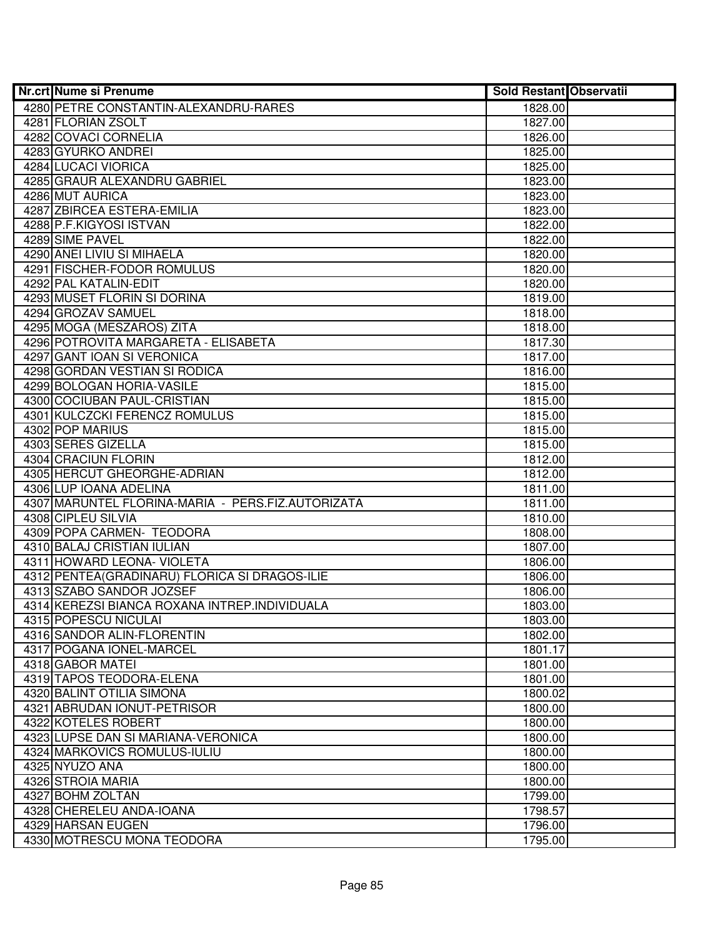| Nr.crt Nume si Prenume                            | <b>Sold Restant Observatii</b> |  |
|---------------------------------------------------|--------------------------------|--|
| 4280 PETRE CONSTANTIN-ALEXANDRU-RARES             | 1828.00                        |  |
| 4281 FLORIAN ZSOLT                                | 1827.00                        |  |
| 4282 COVACI CORNELIA                              | 1826.00                        |  |
| 4283 GYURKO ANDREI                                | 1825.00                        |  |
| 4284 LUCACI VIORICA                               | 1825.00                        |  |
| 4285 GRAUR ALEXANDRU GABRIEL                      | 1823.00                        |  |
| 4286 MUT AURICA                                   | 1823.00                        |  |
| 4287 ZBIRCEA ESTERA-EMILIA                        | 1823.00                        |  |
| 4288 P.F.KIGYOSI ISTVAN                           | 1822.00                        |  |
| 4289 SIME PAVEL                                   | 1822.00                        |  |
| 4290 ANEI LIVIU SI MIHAELA                        | 1820.00                        |  |
| 4291 FISCHER-FODOR ROMULUS                        | 1820.00                        |  |
| 4292 PAL KATALIN-EDIT                             | 1820.00                        |  |
| 4293 MUSET FLORIN SI DORINA                       | 1819.00                        |  |
| 4294 GROZAV SAMUEL                                | 1818.00                        |  |
| 4295 MOGA (MESZAROS) ZITA                         | 1818.00                        |  |
| 4296 POTROVITA MARGARETA - ELISABETA              | 1817.30                        |  |
| 4297 GANT IOAN SI VERONICA                        | 1817.00                        |  |
| 4298 GORDAN VESTIAN SI RODICA                     | 1816.00                        |  |
| 4299 BOLOGAN HORIA-VASILE                         | 1815.00                        |  |
| 4300 COCIUBAN PAUL-CRISTIAN                       | 1815.00                        |  |
| 4301 KULCZCKI FERENCZ ROMULUS                     | 1815.00                        |  |
| 4302 POP MARIUS                                   | 1815.00                        |  |
| 4303 SERES GIZELLA                                | 1815.00                        |  |
| 4304 CRACIUN FLORIN                               | 1812.00                        |  |
| 4305 HERCUT GHEORGHE-ADRIAN                       | 1812.00                        |  |
| 4306 LUP IOANA ADELINA                            | 1811.00                        |  |
| 4307 MARUNTEL FLORINA-MARIA - PERS.FIZ.AUTORIZATA | 1811.00                        |  |
| 4308 CIPLEU SILVIA                                | 1810.00                        |  |
| 4309 POPA CARMEN- TEODORA                         | 1808.00                        |  |
| 4310 BALAJ CRISTIAN IULIAN                        | 1807.00                        |  |
| 4311 HOWARD LEONA- VIOLETA                        | 1806.00                        |  |
| 4312 PENTEA (GRADINARU) FLORICA SI DRAGOS-ILIE    | 1806.00                        |  |
| 4313 SZABO SANDOR JOZSEF                          | 1806.00                        |  |
| 4314 KEREZSI BIANCA ROXANA INTREP.INDIVIDUALA     | 1803.00                        |  |
| 4315 POPESCU NICULAI                              | 1803.00                        |  |
| 4316 SANDOR ALIN-FLORENTIN                        | 1802.00                        |  |
| 4317 POGANA IONEL-MARCEL                          | 1801.17                        |  |
| 4318 GABOR MATEI                                  | 1801.00                        |  |
| 4319 TAPOS TEODORA-ELENA                          | 1801.00                        |  |
| 4320 BALINT OTILIA SIMONA                         | 1800.02                        |  |
| 4321 ABRUDAN IONUT-PETRISOR                       | 1800.00                        |  |
| 4322 KOTELES ROBERT                               | 1800.00                        |  |
| 4323 LUPSE DAN SI MARIANA-VERONICA                | 1800.00                        |  |
| 4324 MARKOVICS ROMULUS-IULIU                      | 1800.00                        |  |
| 4325 NYUZO ANA                                    | 1800.00                        |  |
| 4326 STROIA MARIA                                 | 1800.00                        |  |
| 4327 BOHM ZOLTAN                                  | 1799.00                        |  |
| 4328 CHERELEU ANDA-IOANA                          | 1798.57                        |  |
| 4329 HARSAN EUGEN                                 | 1796.00                        |  |
| 4330 MOTRESCU MONA TEODORA                        | 1795.00                        |  |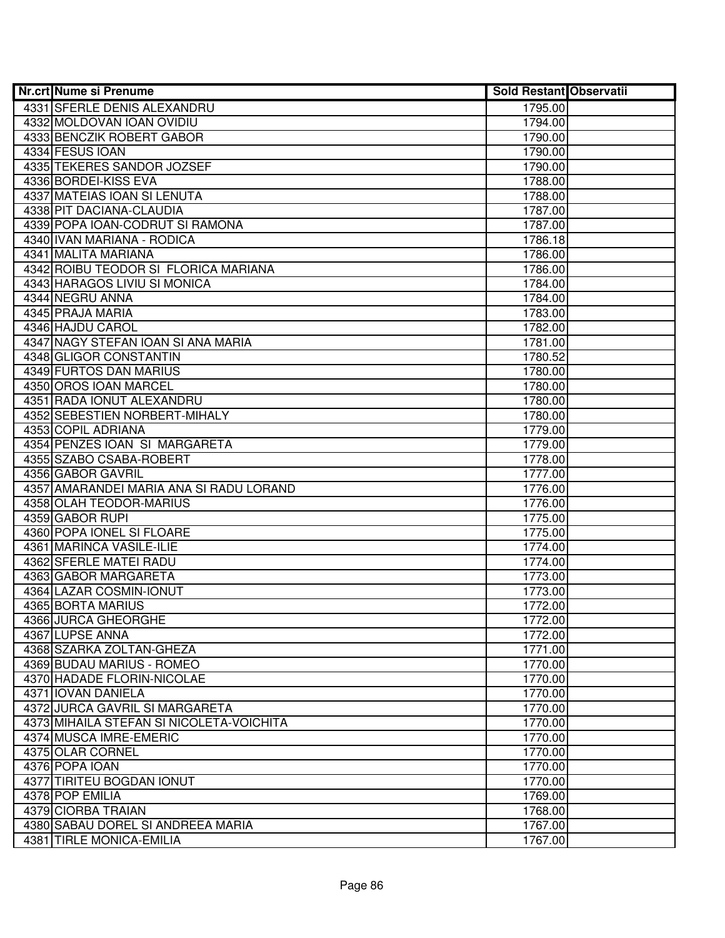| Nr.crt Nume si Prenume                   | <b>Sold Restant Observatii</b> |  |
|------------------------------------------|--------------------------------|--|
| 4331 SFERLE DENIS ALEXANDRU              | 1795.00                        |  |
| 4332 MOLDOVAN IOAN OVIDIU                | 1794.00                        |  |
| 4333 BENCZIK ROBERT GABOR                | 1790.00                        |  |
| 4334 FESUS IOAN                          | 1790.00                        |  |
| 4335 TEKERES SANDOR JOZSEF               | 1790.00                        |  |
| 4336 BORDEI-KISS EVA                     | 1788.00                        |  |
| 4337 MATEIAS IOAN SI LENUTA              | 1788.00                        |  |
| 4338 PIT DACIANA-CLAUDIA                 | 1787.00                        |  |
| 4339 POPA IOAN-CODRUT SI RAMONA          | 1787.00                        |  |
| 4340 IVAN MARIANA - RODICA               | 1786.18                        |  |
| 4341 MALITA MARIANA                      | 1786.00                        |  |
| 4342 ROIBU TEODOR SI FLORICA MARIANA     | 1786.00                        |  |
| 4343 HARAGOS LIVIU SI MONICA             | 1784.00                        |  |
| 4344 NEGRU ANNA                          | 1784.00                        |  |
| 4345 PRAJA MARIA                         | 1783.00                        |  |
| 4346 HAJDU CAROL                         | 1782.00                        |  |
| 4347 NAGY STEFAN IOAN SI ANA MARIA       | 1781.00                        |  |
| 4348 GLIGOR CONSTANTIN                   | 1780.52                        |  |
| 4349 FURTOS DAN MARIUS                   | 1780.00                        |  |
| 4350 OROS IOAN MARCEL                    | 1780.00                        |  |
| 4351 RADA IONUT ALEXANDRU                | 1780.00                        |  |
| 4352 SEBESTIEN NORBERT-MIHALY            | 1780.00                        |  |
| 4353 COPIL ADRIANA                       | 1779.00                        |  |
| 4354 PENZES IOAN SI MARGARETA            | 1779.00                        |  |
| 4355 SZABO CSABA-ROBERT                  | 1778.00                        |  |
| 4356 GABOR GAVRIL                        | 1777.00                        |  |
| 4357 AMARANDEI MARIA ANA SI RADU LORAND  | 1776.00                        |  |
| 4358 OLAH TEODOR-MARIUS                  | 1776.00                        |  |
| 4359 GABOR RUPI                          | 1775.00                        |  |
| 4360 POPA IONEL SI FLOARE                | 1775.00                        |  |
| 4361 MARINCA VASILE-ILIE                 | 1774.00                        |  |
| 4362 SFERLE MATEI RADU                   | 1774.00                        |  |
| 4363 GABOR MARGARETA                     | 1773.00                        |  |
| 4364 LAZAR COSMIN-IONUT                  | 1773.00                        |  |
| 4365 BORTA MARIUS                        | 1772.00                        |  |
| 4366 JURCA GHEORGHE                      | 1772.00                        |  |
| 4367 LUPSE ANNA                          | 1772.00                        |  |
| 4368 SZARKA ZOLTAN-GHEZA                 | 1771.00                        |  |
| 4369 BUDAU MARIUS - ROMEO                | 1770.00                        |  |
| 4370 HADADE FLORIN-NICOLAE               | 1770.00                        |  |
| 4371 IOVAN DANIELA                       | 1770.00                        |  |
| 4372 JURCA GAVRIL SI MARGARETA           | 1770.00                        |  |
| 4373 MIHAILA STEFAN SI NICOLETA-VOICHITA | 1770.00                        |  |
| 4374 MUSCA IMRE-EMERIC                   | 1770.00                        |  |
| 4375 OLAR CORNEL                         | 1770.00                        |  |
| 4376 POPA IOAN                           | 1770.00                        |  |
| 4377 TIRITEU BOGDAN IONUT                | 1770.00                        |  |
| 4378 POP EMILIA                          | 1769.00                        |  |
| 4379 CIORBA TRAIAN                       | 1768.00                        |  |
| 4380 SABAU DOREL SI ANDREEA MARIA        | 1767.00                        |  |
| 4381 TIRLE MONICA-EMILIA                 | 1767.00                        |  |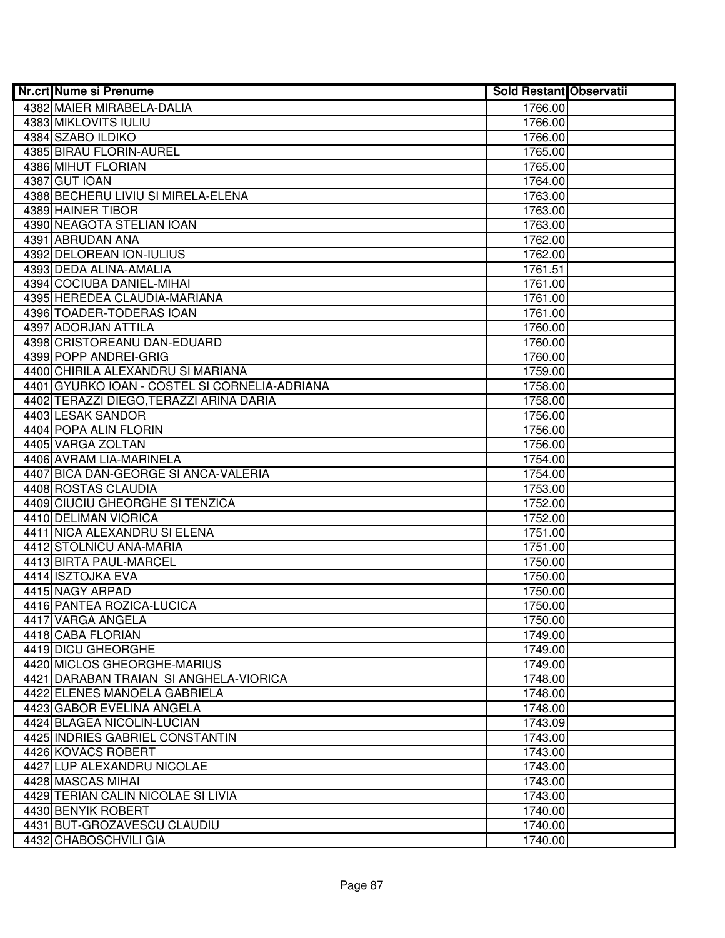| Nr.crt Nume si Prenume                        | <b>Sold Restant Observatii</b> |  |
|-----------------------------------------------|--------------------------------|--|
| 4382 MAIER MIRABELA-DALIA                     | 1766.00                        |  |
| 4383 MIKLOVITS IULIU                          | 1766.00                        |  |
| 4384 SZABO ILDIKO                             | 1766.00                        |  |
| 4385 BIRAU FLORIN-AUREL                       | 1765.00                        |  |
| 4386 MIHUT FLORIAN                            | 1765.00                        |  |
| 4387 GUT IOAN                                 | 1764.00                        |  |
| 4388 BECHERU LIVIU SI MIRELA-ELENA            | 1763.00                        |  |
| 4389 HAINER TIBOR                             | 1763.00                        |  |
| 4390 NEAGOTA STELIAN IOAN                     | 1763.00                        |  |
| 4391 ABRUDAN ANA                              | 1762.00                        |  |
| 4392 DELOREAN ION-IULIUS                      | 1762.00                        |  |
| 4393 DEDA ALINA-AMALIA                        | 1761.51                        |  |
| 4394 COCIUBA DANIEL-MIHAI                     | 1761.00                        |  |
| 4395 HEREDEA CLAUDIA-MARIANA                  | 1761.00                        |  |
| 4396 TOADER-TODERAS IOAN                      | 1761.00                        |  |
| 4397 ADORJAN ATTILA                           | 1760.00                        |  |
| 4398 CRISTOREANU DAN-EDUARD                   | 1760.00                        |  |
| 4399 POPP ANDREI-GRIG                         | 1760.00                        |  |
| 4400 CHIRILA ALEXANDRU SI MARIANA             | 1759.00                        |  |
| 4401 GYURKO IOAN - COSTEL SI CORNELIA-ADRIANA | 1758.00                        |  |
| 4402 TERAZZI DIEGO, TERAZZI ARINA DARIA       | 1758.00                        |  |
| 4403 LESAK SANDOR                             | 1756.00                        |  |
| 4404 POPA ALIN FLORIN                         | 1756.00                        |  |
| 4405 VARGA ZOLTAN                             | 1756.00                        |  |
| 4406 AVRAM LIA-MARINELA                       | 1754.00                        |  |
| 4407 BICA DAN-GEORGE SI ANCA-VALERIA          | 1754.00                        |  |
| 4408 ROSTAS CLAUDIA                           | 1753.00                        |  |
| 4409 CIUCIU GHEORGHE SI TENZICA               | 1752.00                        |  |
| 4410 DELIMAN VIORICA                          | 1752.00                        |  |
| 4411 NICA ALEXANDRU SI ELENA                  | 1751.00                        |  |
| 4412 STOLNICU ANA-MARIA                       | 1751.00                        |  |
| 4413 BIRTA PAUL-MARCEL                        | 1750.00                        |  |
| 4414 ISZTOJKA EVA                             | 1750.00                        |  |
| 4415 NAGY ARPAD                               | 1750.00                        |  |
| 4416 PANTEA ROZICA-LUCICA                     | 1750.00                        |  |
| 4417 VARGA ANGELA                             | 1750.00                        |  |
| 4418 CABA FLORIAN                             | 1749.00                        |  |
| 4419 DICU GHEORGHE                            | 1749.00                        |  |
| 4420 MICLOS GHEORGHE-MARIUS                   | 1749.00                        |  |
| 4421 DARABAN TRAIAN SI ANGHELA-VIORICA        | 1748.00                        |  |
| 4422 ELENES MANOELA GABRIELA                  | 1748.00                        |  |
| 4423 GABOR EVELINA ANGELA                     | 1748.00                        |  |
| 4424 BLAGEA NICOLIN-LUCIAN                    | 1743.09                        |  |
| 4425 INDRIES GABRIEL CONSTANTIN               | 1743.00                        |  |
| 4426 KOVACS ROBERT                            | 1743.00                        |  |
| 4427 LUP ALEXANDRU NICOLAE                    | 1743.00                        |  |
| 4428 MASCAS MIHAI                             | 1743.00                        |  |
| 4429 TERIAN CALIN NICOLAE SI LIVIA            | 1743.00                        |  |
| 4430 BENYIK ROBERT                            | 1740.00                        |  |
| 4431 BUT-GROZAVESCU CLAUDIU                   | 1740.00                        |  |
| 4432 CHABOSCHVILI GIA                         | 1740.00                        |  |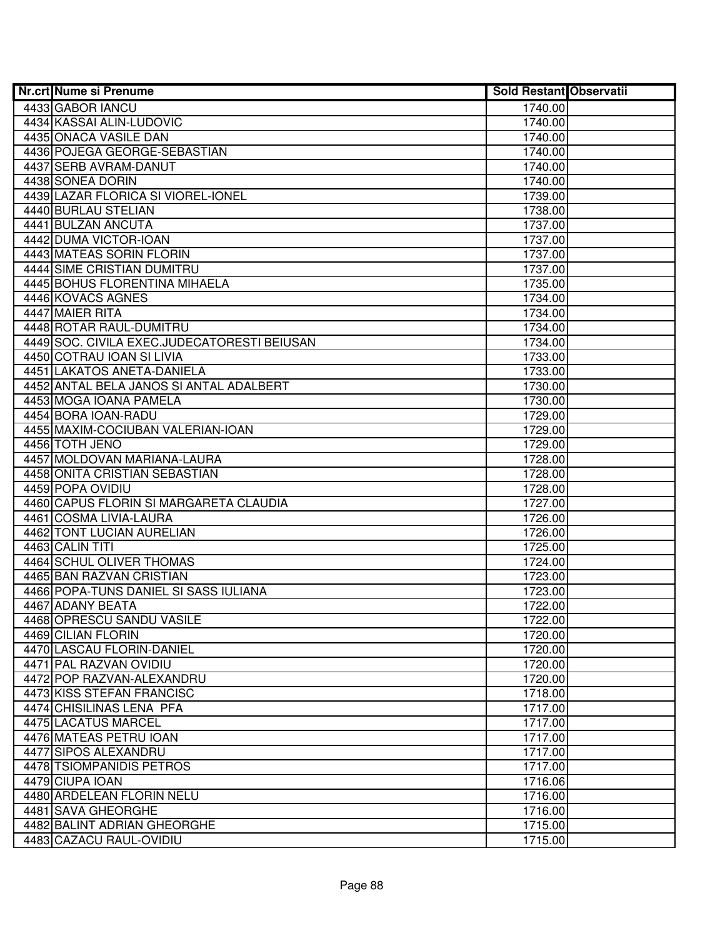| Nr.crt Nume si Prenume                      | Sold Restant Observatii |  |
|---------------------------------------------|-------------------------|--|
| 4433 GABOR IANCU                            | 1740.00                 |  |
| 4434 KASSAI ALIN-LUDOVIC                    | 1740.00                 |  |
| 4435 ONACA VASILE DAN                       | 1740.00                 |  |
| 4436 POJEGA GEORGE-SEBASTIAN                | 1740.00                 |  |
| 4437 SERB AVRAM-DANUT                       | 1740.00                 |  |
| 4438 SONEA DORIN                            | 1740.00                 |  |
| 4439 LAZAR FLORICA SI VIOREL-IONEL          | 1739.00                 |  |
| 4440 BURLAU STELIAN                         | 1738.00                 |  |
| 4441 BULZAN ANCUTA                          | 1737.00                 |  |
| 4442 DUMA VICTOR-IOAN                       | 1737.00                 |  |
| 4443 MATEAS SORIN FLORIN                    | 1737.00                 |  |
| <b>4444 SIME CRISTIAN DUMITRU</b>           | 1737.00                 |  |
| 4445 BOHUS FLORENTINA MIHAELA               | 1735.00                 |  |
| 4446 KOVACS AGNES                           | 1734.00                 |  |
| 4447 MAIER RITA                             | 1734.00                 |  |
| 4448 ROTAR RAUL-DUMITRU                     | 1734.00                 |  |
| 4449 SOC. CIVILA EXEC.JUDECATORESTI BEIUSAN | 1734.00                 |  |
| 4450 COTRAU IOAN SI LIVIA                   | 1733.00                 |  |
| 4451 LAKATOS ANETA-DANIELA                  | 1733.00                 |  |
| 4452 ANTAL BELA JANOS SI ANTAL ADALBERT     | 1730.00                 |  |
| 4453 MOGA IOANA PAMELA                      | 1730.00                 |  |
| 4454 BORA IOAN-RADU                         | 1729.00                 |  |
| 4455 MAXIM-COCIUBAN VALERIAN-IOAN           | 1729.00                 |  |
| 4456 TOTH JENO                              | 1729.00                 |  |
| 4457 MOLDOVAN MARIANA-LAURA                 | 1728.00                 |  |
| 4458 ONITA CRISTIAN SEBASTIAN               | 1728.00                 |  |
| 4459 POPA OVIDIU                            | 1728.00                 |  |
| 4460 CAPUS FLORIN SI MARGARETA CLAUDIA      | 1727.00                 |  |
| 4461 COSMA LIVIA-LAURA                      | 1726.00                 |  |
| 4462 TONT LUCIAN AURELIAN                   | 1726.00                 |  |
| 4463 CALIN TITI                             | 1725.00                 |  |
| 4464 SCHUL OLIVER THOMAS                    | 1724.00                 |  |
| 4465 BAN RAZVAN CRISTIAN                    | 1723.00                 |  |
| 4466 POPA-TUNS DANIEL SI SASS IULIANA       | 1723.00                 |  |
| 4467 ADANY BEATA                            | 1722.00                 |  |
| 4468 OPRESCU SANDU VASILE                   | 1722.00                 |  |
| 4469 CILIAN FLORIN                          | 1720.00                 |  |
| 4470 LASCAU FLORIN-DANIEL                   | 1720.00                 |  |
| 4471 PAL RAZVAN OVIDIU                      | 1720.00                 |  |
| 4472 POP RAZVAN-ALEXANDRU                   | 1720.00                 |  |
| 4473 KISS STEFAN FRANCISC                   | 1718.00                 |  |
| 4474 CHISILINAS LENA PFA                    | 1717.00                 |  |
| 4475 LACATUS MARCEL                         | 1717.00                 |  |
| 4476 MATEAS PETRU IOAN                      | 1717.00                 |  |
| 4477 SIPOS ALEXANDRU                        | 1717.00                 |  |
| 4478 TSIOMPANIDIS PETROS                    | 1717.00                 |  |
| 4479 CIUPA IOAN                             | 1716.06                 |  |
| 4480 ARDELEAN FLORIN NELU                   | 1716.00                 |  |
| 4481 SAVA GHEORGHE                          | 1716.00                 |  |
| 4482 BALINT ADRIAN GHEORGHE                 | 1715.00                 |  |
| 4483 CAZACU RAUL-OVIDIU                     | 1715.00                 |  |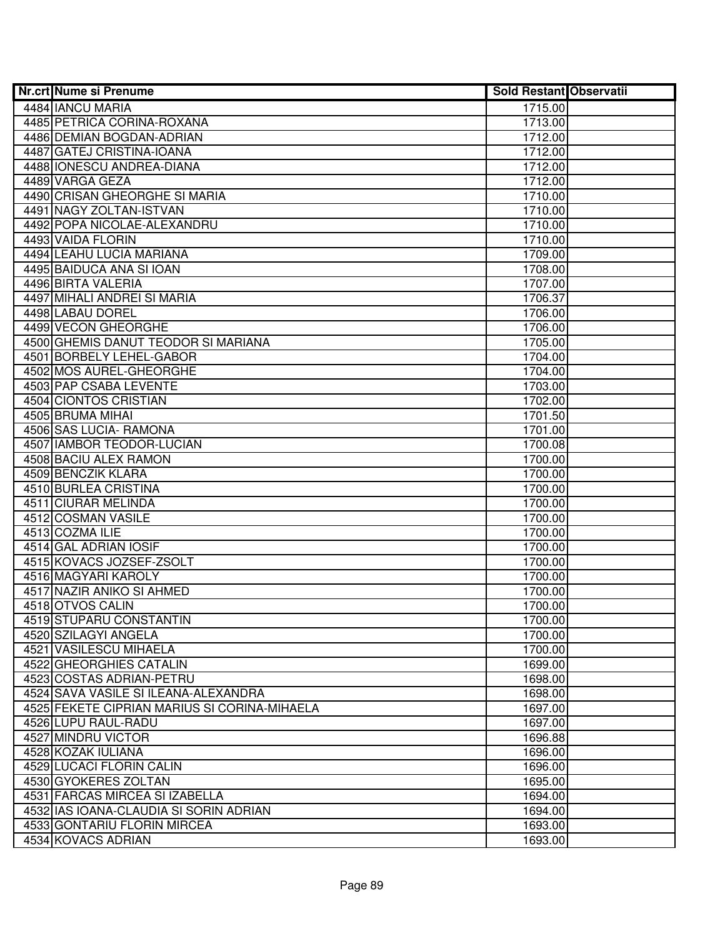| Nr.crt Nume si Prenume                       | <b>Sold Restant Observatii</b> |  |
|----------------------------------------------|--------------------------------|--|
| 4484 IANCU MARIA                             | 1715.00                        |  |
| 4485 PETRICA CORINA-ROXANA                   | 1713.00                        |  |
| 4486 DEMIAN BOGDAN-ADRIAN                    | 1712.00                        |  |
| 4487 GATEJ CRISTINA-IOANA                    | 1712.00                        |  |
| 4488 IONESCU ANDREA-DIANA                    | 1712.00                        |  |
| 4489 VARGA GEZA                              | 1712.00                        |  |
| 4490 CRISAN GHEORGHE SI MARIA                | 1710.00                        |  |
| 4491 NAGY ZOLTAN-ISTVAN                      | 1710.00                        |  |
| 4492 POPA NICOLAE-ALEXANDRU                  | 1710.00                        |  |
| 4493 VAIDA FLORIN                            | 1710.00                        |  |
| 4494 LEAHU LUCIA MARIANA                     | 1709.00                        |  |
| 4495 BAIDUCA ANA SI IOAN                     | 1708.00                        |  |
| 4496 BIRTA VALERIA                           | 1707.00                        |  |
| 4497 MIHALI ANDREI SI MARIA                  | 1706.37                        |  |
| 4498 LABAU DOREL                             | 1706.00                        |  |
| 4499 VECON GHEORGHE                          | 1706.00                        |  |
| 4500 GHEMIS DANUT TEODOR SI MARIANA          | 1705.00                        |  |
| 4501 BORBELY LEHEL-GABOR                     | 1704.00                        |  |
| 4502 MOS AUREL-GHEORGHE                      | 1704.00                        |  |
| 4503 PAP CSABA LEVENTE                       | 1703.00                        |  |
| 4504 CIONTOS CRISTIAN                        | 1702.00                        |  |
| 4505 BRUMA MIHAI                             | 1701.50                        |  |
| 4506 SAS LUCIA- RAMONA                       | 1701.00                        |  |
| 4507 IAMBOR TEODOR-LUCIAN                    | 1700.08                        |  |
| 4508 BACIU ALEX RAMON                        | 1700.00                        |  |
| 4509 BENCZIK KLARA                           | 1700.00                        |  |
| 4510 BURLEA CRISTINA                         | 1700.00                        |  |
| 4511 CIURAR MELINDA                          | 1700.00                        |  |
| 4512 COSMAN VASILE                           | 1700.00                        |  |
| 4513 COZMA ILIE                              | 1700.00                        |  |
| 4514 GAL ADRIAN IOSIF                        | 1700.00                        |  |
| 4515 KOVACS JOZSEF-ZSOLT                     | 1700.00                        |  |
| 4516 MAGYARI KAROLY                          | 1700.00                        |  |
| 4517 NAZIR ANIKO SI AHMED                    | 1700.00                        |  |
| 4518 OTVOS CALIN                             | 1700.00                        |  |
| 4519 STUPARU CONSTANTIN                      | 1700.00                        |  |
| 4520 SZILAGYI ANGELA                         | 1700.00                        |  |
| 4521 VASILESCU MIHAELA                       | 1700.00                        |  |
| 4522 GHEORGHIES CATALIN                      | 1699.00                        |  |
| 4523 COSTAS ADRIAN-PETRU                     | 1698.00                        |  |
| 4524 SAVA VASILE SI ILEANA-ALEXANDRA         | 1698.00                        |  |
| 4525 FEKETE CIPRIAN MARIUS SI CORINA-MIHAELA | 1697.00                        |  |
| 4526 LUPU RAUL-RADU                          | 1697.00                        |  |
| 4527 MINDRU VICTOR                           | 1696.88                        |  |
| 4528 KOZAK IULIANA                           | 1696.00                        |  |
| 4529 LUCACI FLORIN CALIN                     | 1696.00                        |  |
| 4530 GYOKERES ZOLTAN                         | 1695.00                        |  |
| 4531 FARCAS MIRCEA SI IZABELLA               | 1694.00                        |  |
| 4532 IAS IOANA-CLAUDIA SI SORIN ADRIAN       | 1694.00                        |  |
| 4533 GONTARIU FLORIN MIRCEA                  | 1693.00                        |  |
| 4534 KOVACS ADRIAN                           | 1693.00                        |  |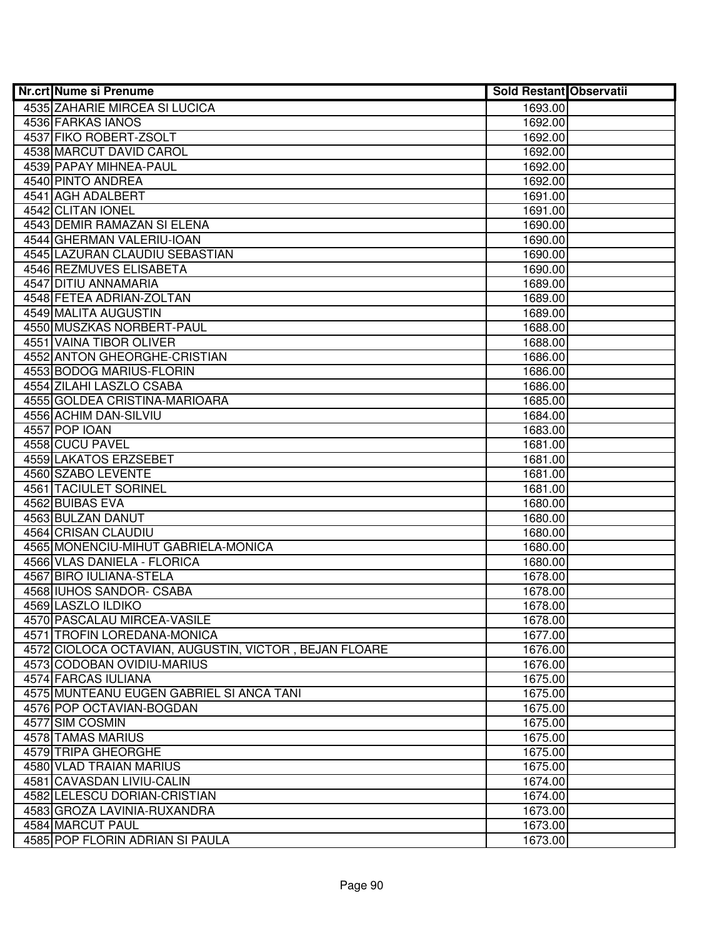| Nr.crt Nume si Prenume                                | <b>Sold Restant Observatii</b> |  |
|-------------------------------------------------------|--------------------------------|--|
| 4535 ZAHARIE MIRCEA SI LUCICA                         | 1693.00                        |  |
| 4536 FARKAS IANOS                                     | 1692.00                        |  |
| 4537 FIKO ROBERT-ZSOLT                                | 1692.00                        |  |
| 4538 MARCUT DAVID CAROL                               | 1692.00                        |  |
| 4539 PAPAY MIHNEA-PAUL                                | 1692.00                        |  |
| 4540 PINTO ANDREA                                     | 1692.00                        |  |
| 4541 AGH ADALBERT                                     | 1691.00                        |  |
| 4542 CLITAN IONEL                                     | 1691.00                        |  |
| 4543 DEMIR RAMAZAN SI ELENA                           | 1690.00                        |  |
| 4544 GHERMAN VALERIU-IOAN                             | 1690.00                        |  |
| 4545 LAZURAN CLAUDIU SEBASTIAN                        | 1690.00                        |  |
| 4546 REZMUVES ELISABETA                               | 1690.00                        |  |
| 4547 DITIU ANNAMARIA                                  | 1689.00                        |  |
| 4548 FETEA ADRIAN-ZOLTAN                              | 1689.00                        |  |
| 4549 MALITA AUGUSTIN                                  | 1689.00                        |  |
| 4550 MUSZKAS NORBERT-PAUL                             | 1688.00                        |  |
| 4551 VAINA TIBOR OLIVER                               | 1688.00                        |  |
| 4552 ANTON GHEORGHE-CRISTIAN                          | 1686.00                        |  |
| 4553 BODOG MARIUS-FLORIN                              | 1686.00                        |  |
| 4554 ZILAHI LASZLO CSABA                              | 1686.00                        |  |
| 4555 GOLDEA CRISTINA-MARIOARA                         | 1685.00                        |  |
| 4556 ACHIM DAN-SILVIU                                 | 1684.00                        |  |
| 4557 POP IOAN                                         | 1683.00                        |  |
| 4558 CUCU PAVEL                                       | 1681.00                        |  |
| <b>4559 LAKATOS ERZSEBET</b>                          | 1681.00                        |  |
| 4560 SZABO LEVENTE                                    | 1681.00                        |  |
| <b>4561 TACIULET SORINEL</b>                          | 1681.00                        |  |
| 4562 BUIBAS EVA                                       | 1680.00                        |  |
| 4563 BULZAN DANUT                                     | 1680.00                        |  |
| 4564 CRISAN CLAUDIU                                   | 1680.00                        |  |
| 4565 MONENCIU-MIHUT GABRIELA-MONICA                   | 1680.00                        |  |
| 4566 VLAS DANIELA - FLORICA                           | 1680.00                        |  |
| 4567 BIRO IULIANA-STELA                               | 1678.00                        |  |
| 4568 IUHOS SANDOR- CSABA                              | 1678.00                        |  |
| 4569 LASZLO ILDIKO                                    | 1678.00                        |  |
| 4570 PASCALAU MIRCEA-VASILE                           | 1678.00                        |  |
| 4571 TROFIN LOREDANA-MONICA                           | 1677.00                        |  |
| 4572 CIOLOCA OCTAVIAN, AUGUSTIN, VICTOR, BEJAN FLOARE | 1676.00                        |  |
| 4573 CODOBAN OVIDIU-MARIUS                            | 1676.00                        |  |
| 4574 FARCAS IULIANA                                   | 1675.00                        |  |
| 4575 MUNTEANU EUGEN GABRIEL SI ANCA TANI              | 1675.00                        |  |
| 4576 POP OCTAVIAN-BOGDAN                              | 1675.00                        |  |
| 4577 SIM COSMIN                                       | 1675.00                        |  |
| 4578 TAMAS MARIUS                                     | 1675.00                        |  |
| 4579 TRIPA GHEORGHE                                   | 1675.00                        |  |
| 4580 VLAD TRAIAN MARIUS                               | 1675.00                        |  |
| 4581 CAVASDAN LIVIU-CALIN                             | 1674.00                        |  |
| 4582 LELESCU DORIAN-CRISTIAN                          | 1674.00                        |  |
| 4583 GROZA LAVINIA-RUXANDRA                           | 1673.00                        |  |
| 4584 MARCUT PAUL                                      | 1673.00                        |  |
| 4585 POP FLORIN ADRIAN SI PAULA                       | 1673.00                        |  |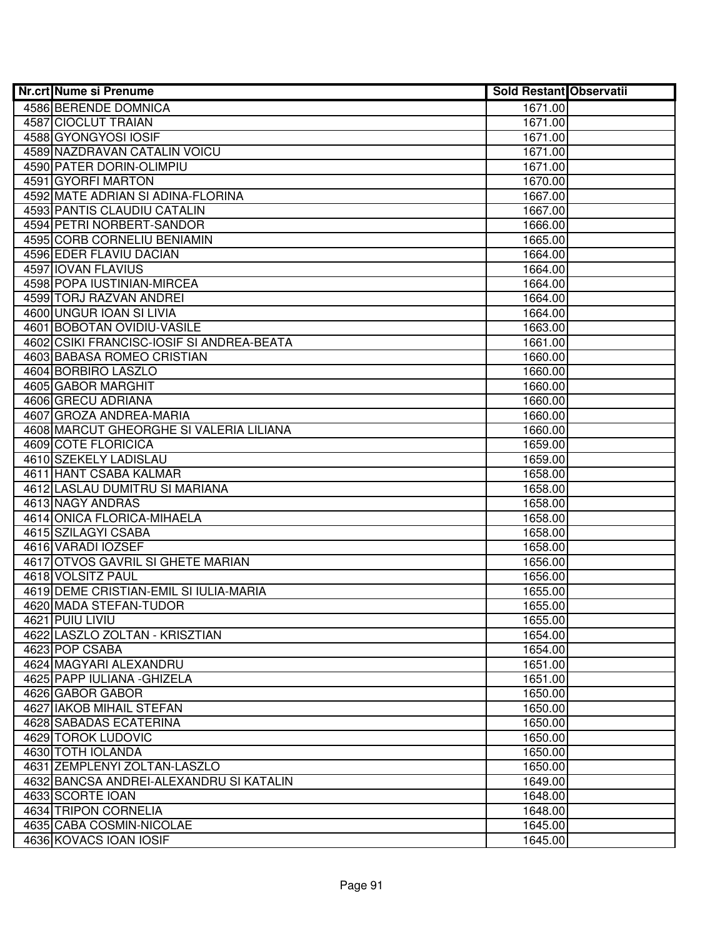| Nr.crt Nume si Prenume                    | <b>Sold Restant Observatii</b> |  |
|-------------------------------------------|--------------------------------|--|
| 4586 BERENDE DOMNICA                      | 1671.00                        |  |
| 4587 CIOCLUT TRAIAN                       | 1671.00                        |  |
| 4588 GYONGYOSI IOSIF                      | 1671.00                        |  |
| 4589 NAZDRAVAN CATALIN VOICU              | 1671.00                        |  |
| 4590 PATER DORIN-OLIMPIU                  | 1671.00                        |  |
| 4591 GYORFI MARTON                        | 1670.00                        |  |
| 4592 MATE ADRIAN SI ADINA-FLORINA         | 1667.00                        |  |
| 4593 PANTIS CLAUDIU CATALIN               | 1667.00                        |  |
| 4594 PETRI NORBERT-SANDOR                 | 1666.00                        |  |
| 4595 CORB CORNELIU BENIAMIN               | 1665.00                        |  |
| 4596 EDER FLAVIU DACIAN                   | 1664.00                        |  |
| 4597 IOVAN FLAVIUS                        | 1664.00                        |  |
| 4598 POPA IUSTINIAN-MIRCEA                | 1664.00                        |  |
| 4599 TORJ RAZVAN ANDREI                   | 1664.00                        |  |
| 4600 UNGUR IOAN SI LIVIA                  | 1664.00                        |  |
| 4601 BOBOTAN OVIDIU-VASILE                | 1663.00                        |  |
| 4602 CSIKI FRANCISC-IOSIF SI ANDREA-BEATA | 1661.00                        |  |
| <b>4603 BABASA ROMEO CRISTIAN</b>         | 1660.00                        |  |
| 4604 BORBIRO LASZLO                       | 1660.00                        |  |
| 4605 GABOR MARGHIT                        | 1660.00                        |  |
| 4606 GRECU ADRIANA                        | 1660.00                        |  |
| 4607 GROZA ANDREA-MARIA                   | 1660.00                        |  |
| 4608 MARCUT GHEORGHE SI VALERIA LILIANA   | 1660.00                        |  |
| 4609 COTE FLORICICA                       | 1659.00                        |  |
| 4610 SZEKELY LADISLAU                     | 1659.00                        |  |
| 4611 HANT CSABA KALMAR                    | 1658.00                        |  |
| 4612 LASLAU DUMITRU SI MARIANA            | 1658.00                        |  |
| 4613 NAGY ANDRAS                          | 1658.00                        |  |
| 4614 ONICA FLORICA-MIHAELA                | 1658.00                        |  |
| 4615 SZILAGYI CSABA                       | 1658.00                        |  |
| 4616 VARADI IOZSEF                        | 1658.00                        |  |
| 4617 OTVOS GAVRIL SI GHETE MARIAN         | 1656.00                        |  |
| 4618 VOLSITZ PAUL                         | 1656.00                        |  |
| 4619 DEME CRISTIAN-EMIL SI IULIA-MARIA    | 1655.00                        |  |
| 4620 MADA STEFAN-TUDOR<br>4621 PUIU LIVIU | 1655.00<br>1655.00             |  |
| 4622 LASZLO ZOLTAN - KRISZTIAN            |                                |  |
| 4623 POP CSABA                            | 1654.00<br>1654.00             |  |
| 4624 MAGYARI ALEXANDRU                    | 1651.00                        |  |
| 4625 PAPP IULIANA - GHIZELA               | 1651.00                        |  |
| 4626 GABOR GABOR                          | 1650.00                        |  |
| 4627 IAKOB MIHAIL STEFAN                  | 1650.00                        |  |
| 4628 SABADAS ECATERINA                    | 1650.00                        |  |
| 4629 TOROK LUDOVIC                        | 1650.00                        |  |
| 4630 TOTH IOLANDA                         | 1650.00                        |  |
| 4631 ZEMPLENYI ZOLTAN-LASZLO              | 1650.00                        |  |
| 4632 BANCSA ANDREI-ALEXANDRU SI KATALIN   | 1649.00                        |  |
| 4633 SCORTE IOAN                          | 1648.00                        |  |
| 4634 TRIPON CORNELIA                      | 1648.00                        |  |
| 4635 CABA COSMIN-NICOLAE                  | 1645.00                        |  |
| 4636 KOVACS IOAN IOSIF                    | 1645.00                        |  |
|                                           |                                |  |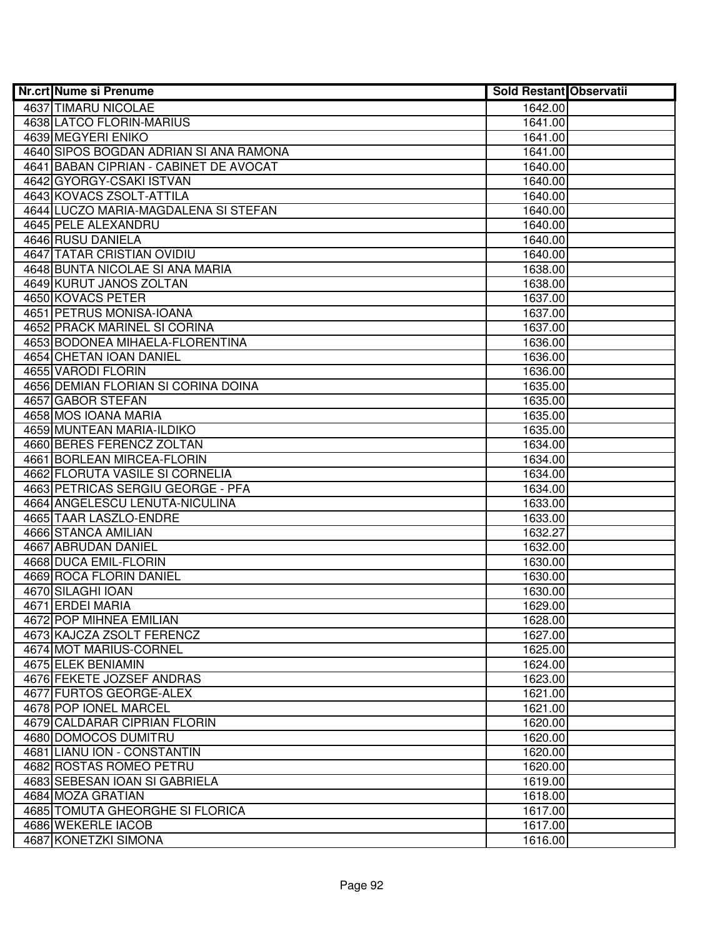| <b>Nr.crt Nume si Prenume</b>          | <b>Sold Restant Observatii</b> |  |
|----------------------------------------|--------------------------------|--|
| 4637 TIMARU NICOLAE                    | 1642.00                        |  |
| 4638 LATCO FLORIN-MARIUS               | 1641.00                        |  |
| 4639 MEGYERI ENIKO                     | 1641.00                        |  |
| 4640 SIPOS BOGDAN ADRIAN SI ANA RAMONA | 1641.00                        |  |
| 4641 BABAN CIPRIAN - CABINET DE AVOCAT | 1640.00                        |  |
| 4642 GYORGY-CSAKI ISTVAN               | 1640.00                        |  |
| 4643 KOVACS ZSOLT-ATTILA               | 1640.00                        |  |
| 4644 LUCZO MARIA-MAGDALENA SI STEFAN   | 1640.00                        |  |
| 4645 PELE ALEXANDRU                    | 1640.00                        |  |
| 4646 RUSU DANIELA                      | 1640.00                        |  |
| <b>4647 TATAR CRISTIAN OVIDIU</b>      | 1640.00                        |  |
| 4648 BUNTA NICOLAE SI ANA MARIA        | 1638.00                        |  |
| 4649 KURUT JANOS ZOLTAN                | 1638.00                        |  |
| 4650 KOVACS PETER                      | 1637.00                        |  |
| 4651 PETRUS MONISA-IOANA               | 1637.00                        |  |
| 4652 PRACK MARINEL SI CORINA           | 1637.00                        |  |
| 4653 BODONEA MIHAELA-FLORENTINA        | 1636.00                        |  |
| 4654 CHETAN IOAN DANIEL                | 1636.00                        |  |
| 4655 VARODI FLORIN                     | 1636.00                        |  |
| 4656 DEMIAN FLORIAN SI CORINA DOINA    | 1635.00                        |  |
| 4657 GABOR STEFAN                      | 1635.00                        |  |
| 4658 MOS IOANA MARIA                   | 1635.00                        |  |
| 4659 MUNTEAN MARIA-ILDIKO              | 1635.00                        |  |
| 4660 BERES FERENCZ ZOLTAN              | 1634.00                        |  |
| 4661 BORLEAN MIRCEA-FLORIN             | 1634.00                        |  |
| 4662 FLORUTA VASILE SI CORNELIA        | 1634.00                        |  |
| 4663 PETRICAS SERGIU GEORGE - PFA      | 1634.00                        |  |
| 4664 ANGELESCU LENUTA-NICULINA         | 1633.00                        |  |
| 4665 TAAR LASZLO-ENDRE                 | 1633.00                        |  |
| 4666 STANCA AMILIAN                    | 1632.27                        |  |
| 4667 ABRUDAN DANIEL                    | 1632.00                        |  |
| 4668 DUCA EMIL-FLORIN                  | 1630.00                        |  |
| 4669 ROCA FLORIN DANIEL                | 1630.00                        |  |
| 4670 SILAGHI IOAN                      | 1630.00                        |  |
| 4671 ERDEI MARIA                       | 1629.00                        |  |
| 4672 POP MIHNEA EMILIAN                | 1628.00                        |  |
| 4673 KAJCZA ZSOLT FERENCZ              | 1627.00                        |  |
| 4674 MOT MARIUS-CORNEL                 | 1625.00                        |  |
| 4675 ELEK BENIAMIN                     | 1624.00                        |  |
| 4676 FEKETE JOZSEF ANDRAS              | 1623.00                        |  |
| 4677 FURTOS GEORGE-ALEX                | 1621.00                        |  |
| 4678 POP JONEL MARCEL                  | 1621.00                        |  |
| 4679 CALDARAR CIPRIAN FLORIN           | 1620.00                        |  |
| 4680 DOMOCOS DUMITRU                   | 1620.00                        |  |
| 4681 LIANU ION - CONSTANTIN            | 1620.00                        |  |
| 4682 ROSTAS ROMEO PETRU                | 1620.00                        |  |
| 4683 SEBESAN IOAN SI GABRIELA          | 1619.00                        |  |
| 4684 MOZA GRATIAN                      | 1618.00                        |  |
| 4685 TOMUTA GHEORGHE SI FLORICA        | 1617.00                        |  |
| 4686 WEKERLE IACOB                     | 1617.00                        |  |
| 4687 KONETZKI SIMONA                   | 1616.00                        |  |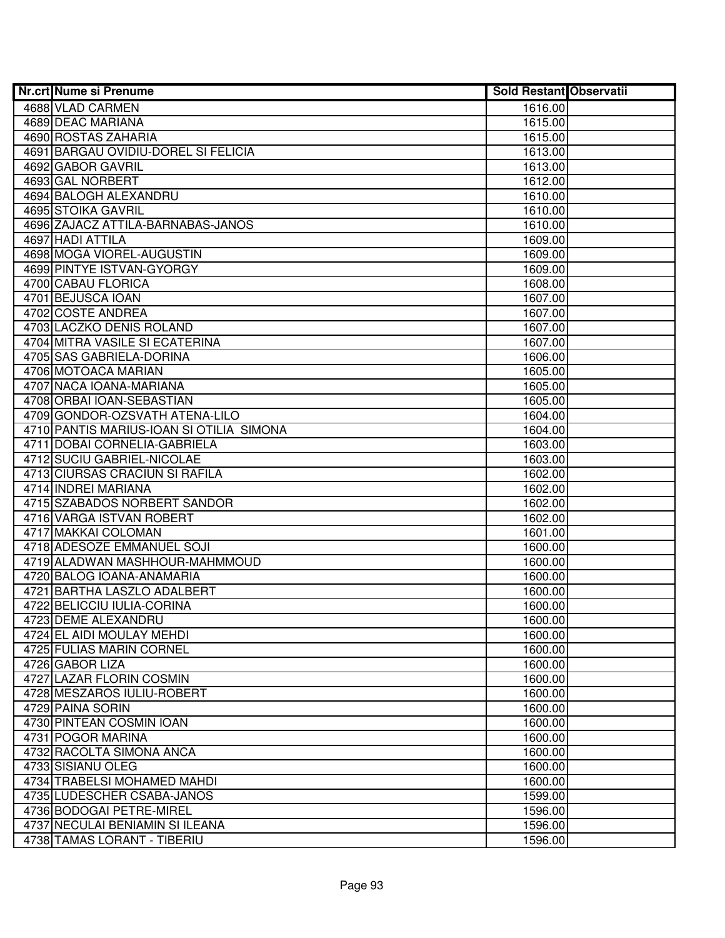| Nr.crt Nume si Prenume                   | <b>Sold Restant Observatii</b> |  |
|------------------------------------------|--------------------------------|--|
| 4688 VLAD CARMEN                         | 1616.00                        |  |
| 4689 DEAC MARIANA                        | 1615.00                        |  |
| 4690 ROSTAS ZAHARIA                      | 1615.00                        |  |
| 4691 BARGAU OVIDIU-DOREL SI FELICIA      | 1613.00                        |  |
| 4692 GABOR GAVRIL                        | 1613.00                        |  |
| 4693 GAL NORBERT                         | 1612.00                        |  |
| 4694 BALOGH ALEXANDRU                    | 1610.00                        |  |
| 4695 STOIKA GAVRIL                       | 1610.00                        |  |
| 4696 ZAJACZ ATTILA-BARNABAS-JANOS        | 1610.00                        |  |
| 4697 HADI ATTILA                         | 1609.00                        |  |
| 4698 MOGA VIOREL-AUGUSTIN                | 1609.00                        |  |
| 4699 PINTYE ISTVAN-GYORGY                | 1609.00                        |  |
| 4700 CABAU FLORICA                       | 1608.00                        |  |
| 4701 BEJUSCA IOAN                        | 1607.00                        |  |
| 4702 COSTE ANDREA                        | 1607.00                        |  |
| 4703 LACZKO DENIS ROLAND                 | 1607.00                        |  |
| 4704 MITRA VASILE SI ECATERINA           | 1607.00                        |  |
| 4705 SAS GABRIELA-DORINA                 | 1606.00                        |  |
| 4706 MOTOACA MARIAN                      | 1605.00                        |  |
| 4707 NACA IOANA-MARIANA                  | 1605.00                        |  |
| 4708 ORBAI IOAN-SEBASTIAN                | 1605.00                        |  |
| 4709 GONDOR-OZSVATH ATENA-LILO           | 1604.00                        |  |
| 4710 PANTIS MARIUS-IOAN SI OTILIA SIMONA | 1604.00                        |  |
| 4711 DOBAI CORNELIA-GABRIELA             | 1603.00                        |  |
| 4712 SUCIU GABRIEL-NICOLAE               | 1603.00                        |  |
| 4713 CIURSAS CRACIUN SI RAFILA           | 1602.00                        |  |
| 4714 INDREI MARIANA                      | 1602.00                        |  |
| 4715 SZABADOS NORBERT SANDOR             | 1602.00                        |  |
| 4716 VARGA ISTVAN ROBERT                 | 1602.00                        |  |
| 4717 MAKKAI COLOMAN                      | 1601.00                        |  |
| 4718 ADESOZE EMMANUEL SOJI               | 1600.00                        |  |
| 4719 ALADWAN MASHHOUR-MAHMMOUD           | 1600.00                        |  |
| 4720 BALOG IOANA-ANAMARIA                | 1600.00                        |  |
| 4721 BARTHA LASZLO ADALBERT              | 1600.00                        |  |
| 4722 BELICCIU IULIA-CORINA               | 1600.00                        |  |
| 4723 DEME ALEXANDRU                      | 1600.00                        |  |
| 4724 EL AIDI MOULAY MEHDI                | 1600.00                        |  |
| 4725 FULIAS MARIN CORNEL                 | 1600.00                        |  |
| 4726 GABOR LIZA                          | 1600.00                        |  |
| 4727 LAZAR FLORIN COSMIN                 | 1600.00                        |  |
| 4728 MESZAROS IULIU-ROBERT               | 1600.00                        |  |
| 4729 PAINA SORIN                         | 1600.00                        |  |
| 4730 PINTEAN COSMIN IOAN                 | 1600.00                        |  |
| 4731 POGOR MARINA                        | 1600.00                        |  |
| 4732 RACOLTA SIMONA ANCA                 | 1600.00                        |  |
| 4733 SISIANU OLEG                        | 1600.00                        |  |
| 4734 TRABELSI MOHAMED MAHDI              | 1600.00                        |  |
| 4735 LUDESCHER CSABA-JANOS               | 1599.00                        |  |
| 4736 BODOGAI PETRE-MIREL                 | 1596.00                        |  |
| 4737 NECULAI BENIAMIN SI ILEANA          | 1596.00                        |  |
| 4738 TAMAS LORANT - TIBERIU              | 1596.00                        |  |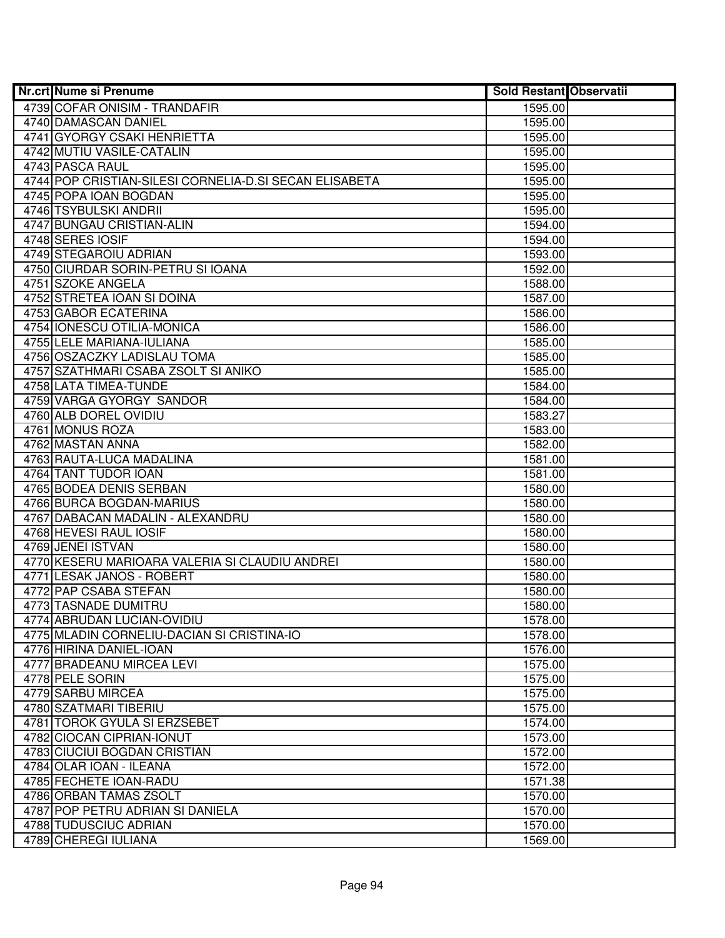| <b>Nr.crt Nume si Prenume</b>                          | <b>Sold Restant Observatii</b> |  |
|--------------------------------------------------------|--------------------------------|--|
| 4739 COFAR ONISIM - TRANDAFIR                          | 1595.00                        |  |
| 4740 DAMASCAN DANIEL                                   | 1595.00                        |  |
| 4741 GYORGY CSAKI HENRIETTA                            | 1595.00                        |  |
| 4742 MUTIU VASILE-CATALIN                              | 1595.00                        |  |
| 4743 PASCA RAUL                                        | 1595.00                        |  |
| 4744 POP CRISTIAN-SILESI CORNELIA-D.SI SECAN ELISABETA | 1595.00                        |  |
| 4745 POPA IOAN BOGDAN                                  | 1595.00                        |  |
| 4746 TSYBULSKI ANDRII                                  | 1595.00                        |  |
| 4747 BUNGAU CRISTIAN-ALIN                              | 1594.00                        |  |
| 4748 SERES IOSIF                                       | 1594.00                        |  |
| 4749 STEGAROIU ADRIAN                                  | 1593.00                        |  |
| 4750 CIURDAR SORIN-PETRU SI IOANA                      | 1592.00                        |  |
| 4751 SZOKE ANGELA                                      | 1588.00                        |  |
| 4752 STRETEA IOAN SI DOINA                             | 1587.00                        |  |
| 4753 GABOR ECATERINA                                   | 1586.00                        |  |
| 4754 IONESCU OTILIA-MONICA                             | 1586.00                        |  |
| 4755 LELE MARIANA-IULIANA                              | 1585.00                        |  |
| 4756 OSZACZKY LADISLAU TOMA                            | 1585.00                        |  |
| 4757 SZATHMARI CSABA ZSOLT SI ANIKO                    | 1585.00                        |  |
| 4758 LATA TIMEA-TUNDE                                  | 1584.00                        |  |
| 4759 VARGA GYORGY SANDOR                               | 1584.00                        |  |
| 4760 ALB DOREL OVIDIU                                  | 1583.27                        |  |
| 4761 MONUS ROZA                                        | 1583.00                        |  |
| 4762 MASTAN ANNA                                       | 1582.00                        |  |
| 4763 RAUTA-LUCA MADALINA                               | 1581.00                        |  |
| 4764 TANT TUDOR IOAN                                   | 1581.00                        |  |
| 4765 BODEA DENIS SERBAN                                | 1580.00                        |  |
| 4766 BURCA BOGDAN-MARIUS                               | 1580.00                        |  |
| 4767 DABACAN MADALIN - ALEXANDRU                       | 1580.00                        |  |
| 4768 HEVESI RAUL IOSIF                                 | 1580.00                        |  |
| 4769 JENEI ISTVAN                                      | 1580.00                        |  |
| 4770 KESERU MARIOARA VALERIA SI CLAUDIU ANDREI         | 1580.00                        |  |
| 4771 LESAK JANOS - ROBERT                              | 1580.00                        |  |
| 4772 PAP CSABA STEFAN                                  | 1580.00                        |  |
| 4773 TASNADE DUMITRU                                   | 1580.00                        |  |
| 4774 ABRUDAN LUCIAN-OVIDIU                             | 1578.00                        |  |
| 4775 MLADIN CORNELIU-DACIAN SI CRISTINA-IO             | 1578.00                        |  |
| 4776 HIRINA DANIEL-IOAN                                | 1576.00                        |  |
| 4777 BRADEANU MIRCEA LEVI                              | 1575.00                        |  |
| 4778 PELE SORIN                                        | 1575.00                        |  |
| 4779 SARBU MIRCEA                                      | 1575.00                        |  |
| 4780 SZATMARI TIBERIU                                  | 1575.00                        |  |
| 4781 TOROK GYULA SI ERZSEBET                           | 1574.00                        |  |
| 4782 CIOCAN CIPRIAN-IONUT                              | 1573.00                        |  |
| 4783 CIUCIUI BOGDAN CRISTIAN                           | 1572.00                        |  |
| 4784 OLAR IOAN - ILEANA                                | 1572.00                        |  |
| 4785 FECHETE IOAN-RADU                                 | 1571.38                        |  |
| 4786 ORBAN TAMAS ZSOLT                                 | 1570.00                        |  |
| 4787 POP PETRU ADRIAN SI DANIELA                       | 1570.00                        |  |
| 4788 TUDUSCIUC ADRIAN                                  | 1570.00                        |  |
| 4789 CHEREGI IULIANA                                   | 1569.00                        |  |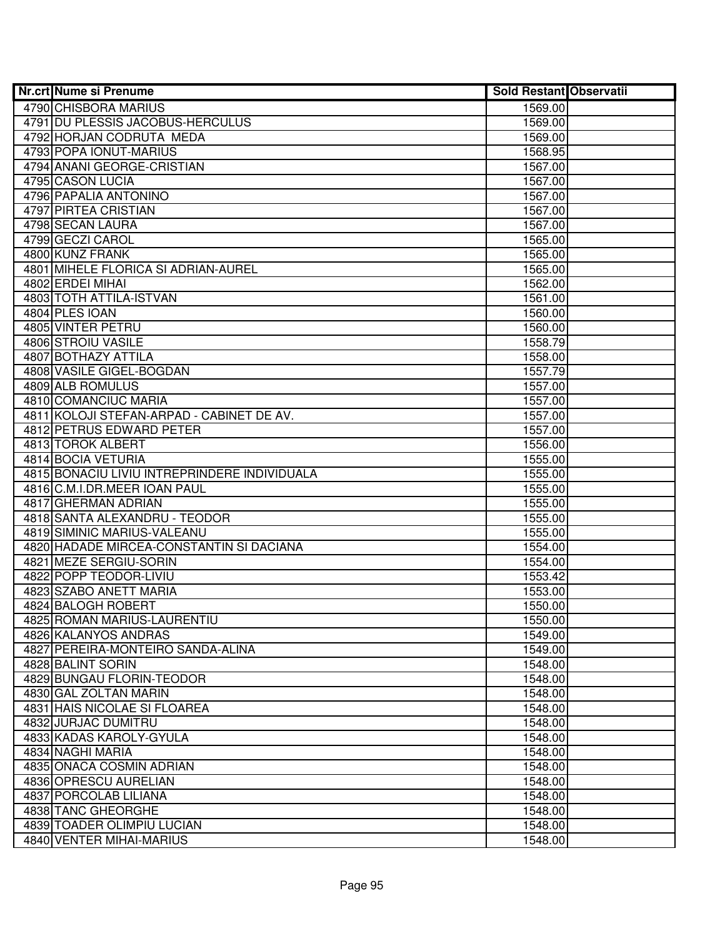| Nr.crt Nume si Prenume                       | <b>Sold Restant Observatii</b> |  |
|----------------------------------------------|--------------------------------|--|
| 4790 CHISBORA MARIUS                         | 1569.00                        |  |
| 4791 DU PLESSIS JACOBUS-HERCULUS             | 1569.00                        |  |
| 4792 HORJAN CODRUTA MEDA                     | 1569.00                        |  |
| 4793 POPA IONUT-MARIUS                       | 1568.95                        |  |
| 4794 ANANI GEORGE-CRISTIAN                   | 1567.00                        |  |
| 4795 CASON LUCIA                             | 1567.00                        |  |
| 4796 PAPALIA ANTONINO                        | 1567.00                        |  |
| 4797 PIRTEA CRISTIAN                         | 1567.00                        |  |
| 4798 SECAN LAURA                             | 1567.00                        |  |
| 4799 GECZI CAROL                             | 1565.00                        |  |
| 4800 KUNZ FRANK                              | 1565.00                        |  |
| 4801 MIHELE FLORICA SI ADRIAN-AUREL          | 1565.00                        |  |
| 4802 ERDEI MIHAI                             | 1562.00                        |  |
| 4803 TOTH ATTILA-ISTVAN                      | 1561.00                        |  |
| 4804 PLES IOAN                               | 1560.00                        |  |
| 4805 VINTER PETRU                            | 1560.00                        |  |
| 4806 STROIU VASILE                           | 1558.79                        |  |
| 4807 BOTHAZY ATTILA                          | 1558.00                        |  |
| 4808 VASILE GIGEL-BOGDAN                     | 1557.79                        |  |
| 4809 ALB ROMULUS                             | 1557.00                        |  |
| 4810 COMANCIUC MARIA                         | 1557.00                        |  |
| 4811 KOLOJI STEFAN-ARPAD - CABINET DE AV.    | 1557.00                        |  |
| <b>4812 PETRUS EDWARD PETER</b>              | 1557.00                        |  |
| 4813 TOROK ALBERT                            | 1556.00                        |  |
| 4814 BOCIA VETURIA                           | 1555.00                        |  |
| 4815 BONACIU LIVIU INTREPRINDERE INDIVIDUALA | 1555.00                        |  |
| 4816 C.M.I.DR.MEER IOAN PAUL                 | 1555.00                        |  |
| 4817 GHERMAN ADRIAN                          | 1555.00                        |  |
| 4818 SANTA ALEXANDRU - TEODOR                | 1555.00                        |  |
| 4819 SIMINIC MARIUS-VALEANU                  | 1555.00                        |  |
| 4820 HADADE MIRCEA-CONSTANTIN SI DACIANA     | 1554.00                        |  |
| 4821 MEZE SERGIU-SORIN                       | 1554.00                        |  |
| 4822 POPP TEODOR-LIVIU                       | 1553.42                        |  |
| 4823 SZABO ANETT MARIA                       | 1553.00                        |  |
| 4824 BALOGH ROBERT                           | 1550.00                        |  |
| 4825 ROMAN MARIUS-LAURENTIU                  | 1550.00                        |  |
| 4826 KALANYOS ANDRAS                         | 1549.00                        |  |
| 4827 PEREIRA-MONTEIRO SANDA-ALINA            | 1549.00                        |  |
| 4828 BALINT SORIN                            | 1548.00                        |  |
| 4829 BUNGAU FLORIN-TEODOR                    | 1548.00                        |  |
| 4830 GAL ZOLTAN MARIN                        | 1548.00                        |  |
| 4831 HAIS NICOLAE SI FLOAREA                 | 1548.00                        |  |
| 4832 JURJAC DUMITRU                          | 1548.00                        |  |
| 4833 KADAS KAROLY-GYULA                      | 1548.00                        |  |
| 4834 NAGHI MARIA                             | 1548.00                        |  |
| 4835 ONACA COSMIN ADRIAN                     | 1548.00                        |  |
| 4836 OPRESCU AURELIAN                        | 1548.00                        |  |
| 4837 PORCOLAB LILIANA                        | 1548.00                        |  |
| 4838 TANC GHEORGHE                           | 1548.00                        |  |
| 4839 TOADER OLIMPIU LUCIAN                   | 1548.00                        |  |
| 4840 VENTER MIHAI-MARIUS                     | 1548.00                        |  |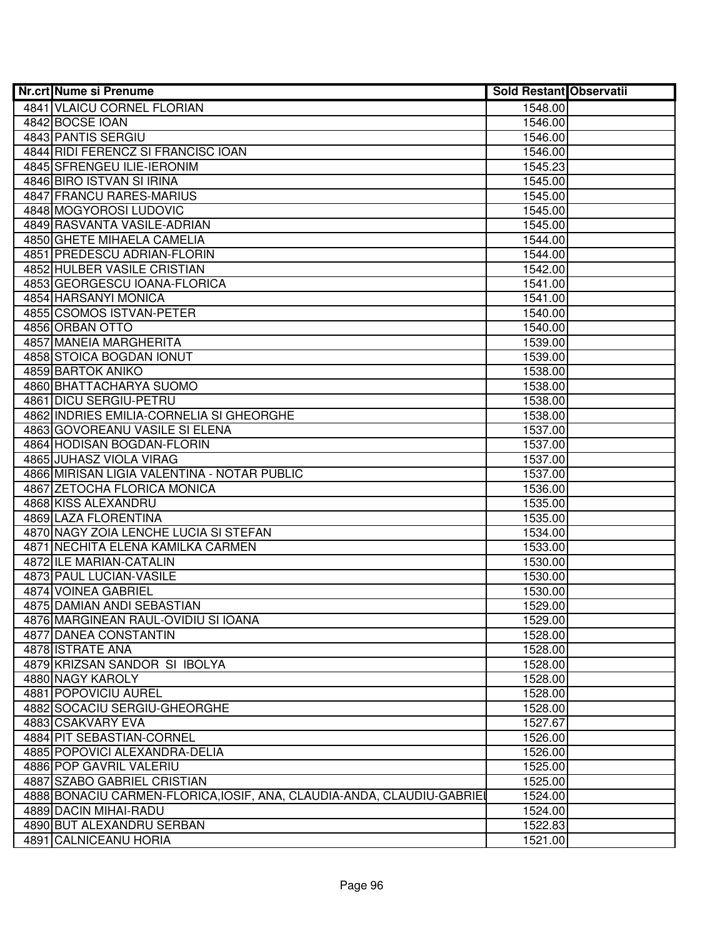| Nr.crt Nume si Prenume                                                 | <b>Sold Restant Observatii</b> |  |
|------------------------------------------------------------------------|--------------------------------|--|
| 4841 VLAICU CORNEL FLORIAN                                             | 1548.00                        |  |
| 4842 BOCSE IOAN                                                        | 1546.00                        |  |
| 4843 PANTIS SERGIU                                                     | 1546.00                        |  |
| 4844 RIDI FERENCZ SI FRANCISC IOAN                                     | 1546.00                        |  |
| 4845 SFRENGEU ILIE-IERONIM                                             | 1545.23                        |  |
| 4846 BIRO ISTVAN SI IRINA                                              | 1545.00                        |  |
| 4847 FRANCU RARES-MARIUS                                               | 1545.00                        |  |
| 4848 MOGYOROSI LUDOVIC                                                 | 1545.00                        |  |
| 4849 RASVANTA VASILE-ADRIAN                                            | 1545.00                        |  |
| <b>4850 GHETE MIHAELA CAMELIA</b>                                      | 1544.00                        |  |
| 4851 PREDESCU ADRIAN-FLORIN                                            | 1544.00                        |  |
| <b>4852 HULBER VASILE CRISTIAN</b>                                     | 1542.00                        |  |
| 4853 GEORGESCU IOANA-FLORICA                                           | 1541.00                        |  |
| 4854 HARSANYI MONICA                                                   | 1541.00                        |  |
| 4855 CSOMOS ISTVAN-PETER                                               | 1540.00                        |  |
| 4856 ORBAN OTTO                                                        | 1540.00                        |  |
| 4857 MANEIA MARGHERITA                                                 | 1539.00                        |  |
| 4858 STOICA BOGDAN IONUT                                               | 1539.00                        |  |
| 4859 BARTOK ANIKO                                                      | 1538.00                        |  |
| 4860 BHATTACHARYA SUOMO                                                | 1538.00                        |  |
| 4861 DICU SERGIU-PETRU                                                 | 1538.00                        |  |
| 4862 INDRIES EMILIA-CORNELIA SI GHEORGHE                               | 1538.00                        |  |
| 4863 GOVOREANU VASILE SI ELENA                                         | 1537.00                        |  |
| 4864 HODISAN BOGDAN-FLORIN                                             | 1537.00                        |  |
| 4865 JUHASZ VIOLA VIRAG                                                | 1537.00                        |  |
| 4866 MIRISAN LIGIA VALENTINA - NOTAR PUBLIC                            | 1537.00                        |  |
| 4867 ZETOCHA FLORICA MONICA                                            | 1536.00                        |  |
| 4868 KISS ALEXANDRU                                                    | 1535.00                        |  |
| 4869 LAZA FLORENTINA                                                   | 1535.00                        |  |
| 4870 NAGY ZOIA LENCHE LUCIA SI STEFAN                                  | 1534.00                        |  |
| 4871 NECHITA ELENA KAMILKA CARMEN                                      | 1533.00                        |  |
| 4872 ILE MARIAN-CATALIN                                                | 1530.00                        |  |
| 4873 PAUL LUCIAN-VASILE                                                | 1530.00                        |  |
| 4874 VOINEA GABRIEL                                                    | 1530.00                        |  |
| 4875 DAMIAN ANDI SEBASTIAN                                             | 1529.00                        |  |
| 4876 MARGINEAN RAUL-OVIDIU SI IOANA                                    | 1529.00                        |  |
| 4877 DANEA CONSTANTIN                                                  | 1528.00                        |  |
| 4878 ISTRATE ANA                                                       | 1528.00                        |  |
| 4879 KRIZSAN SANDOR SI IBOLYA                                          | 1528.00                        |  |
| 4880 NAGY KAROLY                                                       | 1528.00                        |  |
| 4881 POPOVICIU AUREL                                                   | 1528.00                        |  |
| 4882 SOCACIU SERGIU-GHEORGHE                                           | 1528.00                        |  |
| 4883 CSAKVARY EVA                                                      | 1527.67                        |  |
| 4884 PIT SEBASTIAN-CORNEL                                              | 1526.00                        |  |
| 4885 POPOVICI ALEXANDRA-DELIA                                          | 1526.00                        |  |
| 4886 POP GAVRIL VALERIU                                                | 1525.00                        |  |
| 4887 SZABO GABRIEL CRISTIAN                                            | 1525.00                        |  |
| 4888 BONACIU CARMEN-FLORICA, IOSIF, ANA, CLAUDIA-ANDA, CLAUDIU-GABRIEI | 1524.00                        |  |
| 4889 DACIN MIHAI-RADU                                                  | 1524.00                        |  |
| 4890 BUT ALEXANDRU SERBAN                                              | 1522.83                        |  |
| 4891 CALNICEANU HORIA                                                  | 1521.00                        |  |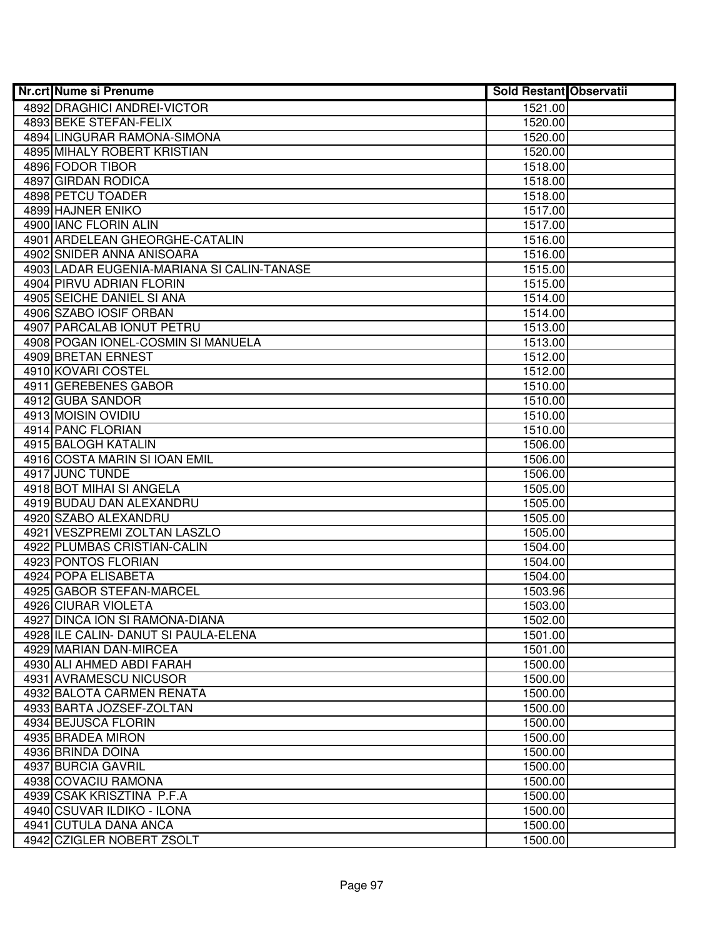| <b>Nr.crt Nume si Prenume</b>              | <b>Sold Restant Observatii</b> |  |
|--------------------------------------------|--------------------------------|--|
| 4892 DRAGHICI ANDREI-VICTOR                | 1521.00                        |  |
| 4893 BEKE STEFAN-FELIX                     | 1520.00                        |  |
| 4894 LINGURAR RAMONA-SIMONA                | 1520.00                        |  |
| 4895 MIHALY ROBERT KRISTIAN                | 1520.00                        |  |
| 4896 FODOR TIBOR                           | 1518.00                        |  |
| 4897 GIRDAN RODICA                         | 1518.00                        |  |
| 4898 PETCU TOADER                          | 1518.00                        |  |
| 4899 HAJNER ENIKO                          | 1517.00                        |  |
| 4900 IANC FLORIN ALIN                      | 1517.00                        |  |
| 4901 ARDELEAN GHEORGHE-CATALIN             | 1516.00                        |  |
| 4902 SNIDER ANNA ANISOARA                  | 1516.00                        |  |
| 4903 LADAR EUGENIA-MARIANA SI CALIN-TANASE | 1515.00                        |  |
| 4904 PIRVU ADRIAN FLORIN                   | 1515.00                        |  |
| 4905 SEICHE DANIEL SI ANA                  | 1514.00                        |  |
| 4906 SZABO IOSIF ORBAN                     | 1514.00                        |  |
| 4907 PARCALAB IONUT PETRU                  | 1513.00                        |  |
| 4908 POGAN IONEL-COSMIN SI MANUELA         | 1513.00                        |  |
| 4909 BRETAN ERNEST                         | 1512.00                        |  |
| 4910 KOVARI COSTEL                         | 1512.00                        |  |
| 4911 GEREBENES GABOR                       | 1510.00                        |  |
| 4912 GUBA SANDOR                           | 1510.00                        |  |
| 4913 MOISIN OVIDIU                         | 1510.00                        |  |
| 4914 PANC FLORIAN                          | 1510.00                        |  |
| 4915 BALOGH KATALIN                        | 1506.00                        |  |
| 4916 COSTA MARIN SI IOAN EMIL              | 1506.00                        |  |
| 4917 JUNC TUNDE                            | 1506.00                        |  |
| 4918 BOT MIHAI SI ANGELA                   | 1505.00                        |  |
| 4919 BUDAU DAN ALEXANDRU                   | 1505.00                        |  |
| 4920 SZABO ALEXANDRU                       | 1505.00                        |  |
| 4921 VESZPREMI ZOLTAN LASZLO               | 1505.00                        |  |
| 4922 PLUMBAS CRISTIAN-CALIN                | 1504.00                        |  |
| 4923 PONTOS FLORIAN                        | 1504.00                        |  |
| 4924 POPA ELISABETA                        | 1504.00                        |  |
| 4925 GABOR STEFAN-MARCEL                   | 1503.96                        |  |
| 4926 CIURAR VIOLETA                        | 1503.00                        |  |
| 4927 DINCA ION SI RAMONA-DIANA             | 1502.00                        |  |
| 4928 ILE CALIN- DANUT SI PAULA-ELENA       | 1501.00                        |  |
| 4929 MARIAN DAN-MIRCEA                     | 1501.00                        |  |
| 4930 ALI AHMED ABDI FARAH                  | 1500.00                        |  |
| 4931 AVRAMESCU NICUSOR                     | 1500.00                        |  |
| 4932 BALOTA CARMEN RENATA                  | 1500.00                        |  |
| 4933 BARTA JOZSEF-ZOLTAN                   | 1500.00                        |  |
| 4934 BEJUSCA FLORIN                        | 1500.00                        |  |
| 4935 BRADEA MIRON                          | 1500.00                        |  |
| 4936 BRINDA DOINA                          | 1500.00                        |  |
| 4937 BURCIA GAVRIL                         | 1500.00                        |  |
| 4938 COVACIU RAMONA                        | 1500.00                        |  |
| 4939 CSAK KRISZTINA P.F.A                  | 1500.00                        |  |
| 4940 CSUVAR ILDIKO - ILONA                 | 1500.00                        |  |
| 4941 CUTULA DANA ANCA                      | 1500.00                        |  |
| 4942 CZIGLER NOBERT ZSOLT                  | 1500.00                        |  |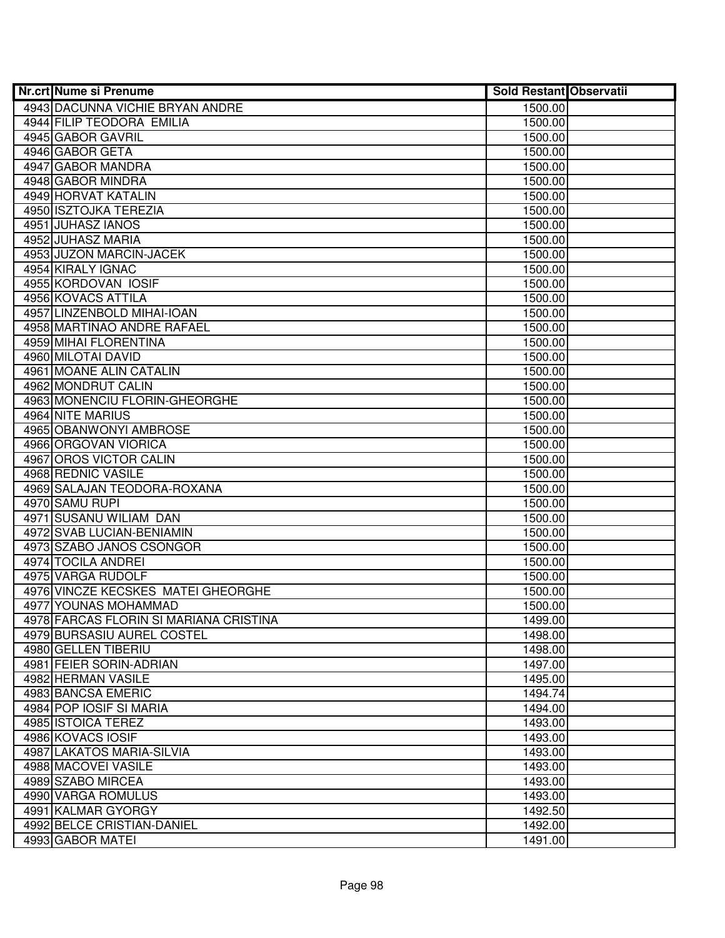| Nr.crt Nume si Prenume                 | <b>Sold Restant Observatii</b> |  |
|----------------------------------------|--------------------------------|--|
| 4943 DACUNNA VICHIE BRYAN ANDRE        | 1500.00                        |  |
| 4944 FILIP TEODORA EMILIA              | 1500.00                        |  |
| 4945 GABOR GAVRIL                      | 1500.00                        |  |
| 4946 GABOR GETA                        | 1500.00                        |  |
| 4947 GABOR MANDRA                      | 1500.00                        |  |
| 4948 GABOR MINDRA                      | 1500.00                        |  |
| 4949 HORVAT KATALIN                    | 1500.00                        |  |
| 4950 ISZTOJKA TEREZIA                  | 1500.00                        |  |
| 4951 JUHASZ IANOS                      | 1500.00                        |  |
| 4952 JUHASZ MARIA                      | 1500.00                        |  |
| 4953 JUZON MARCIN-JACEK                | 1500.00                        |  |
| 4954 KIRALY IGNAC                      | 1500.00                        |  |
| 4955 KORDOVAN IOSIF                    | 1500.00                        |  |
| 4956 KOVACS ATTILA                     | 1500.00                        |  |
| 4957 LINZENBOLD MIHAI-IOAN             | 1500.00                        |  |
| 4958 MARTINAO ANDRE RAFAEL             | 1500.00                        |  |
| 4959 MIHAI FLORENTINA                  | 1500.00                        |  |
| 4960 MILOTAI DAVID                     | 1500.00                        |  |
| 4961 MOANE ALIN CATALIN                | 1500.00                        |  |
| 4962 MONDRUT CALIN                     | 1500.00                        |  |
| 4963 MONENCIU FLORIN-GHEORGHE          | 1500.00                        |  |
| 4964 NITE MARIUS                       | 1500.00                        |  |
| 4965 OBANWONYI AMBROSE                 | 1500.00                        |  |
| 4966 ORGOVAN VIORICA                   | 1500.00                        |  |
| 4967 OROS VICTOR CALIN                 | 1500.00                        |  |
| 4968 REDNIC VASILE                     | 1500.00                        |  |
| 4969 SALAJAN TEODORA-ROXANA            | 1500.00                        |  |
| 4970 SAMU RUPI                         | 1500.00                        |  |
| 4971 SUSANU WILIAM DAN                 | 1500.00                        |  |
| 4972 SVAB LUCIAN-BENIAMIN              | 1500.00                        |  |
| 4973 SZABO JANOS CSONGOR               | 1500.00                        |  |
| 4974 TOCILA ANDREI                     | 1500.00                        |  |
| 4975 VARGA RUDOLF                      | 1500.00                        |  |
| 4976 VINCZE KECSKES MATEI GHEORGHE     | 1500.00                        |  |
| 4977 YOUNAS MOHAMMAD                   | 1500.00                        |  |
| 4978 FARCAS FLORIN SI MARIANA CRISTINA | 1499.00                        |  |
| 4979 BURSASIU AUREL COSTEL             | 1498.00                        |  |
| 4980 GELLEN TIBERIU                    | 1498.00                        |  |
| 4981 FEIER SORIN-ADRIAN                | 1497.00                        |  |
| 4982 HERMAN VASILE                     | 1495.00                        |  |
| 4983 BANCSA EMERIC                     | 1494.74                        |  |
| 4984 POP IOSIF SI MARIA                | 1494.00                        |  |
| 4985 ISTOICA TEREZ                     | 1493.00                        |  |
| 4986 KOVACS IOSIF                      | 1493.00                        |  |
| 4987 LAKATOS MARIA-SILVIA              | 1493.00                        |  |
| 4988 MACOVEI VASILE                    | 1493.00                        |  |
| 4989 SZABO MIRCEA                      | 1493.00                        |  |
| 4990 VARGA ROMULUS                     | 1493.00                        |  |
| 4991 KALMAR GYORGY                     | 1492.50                        |  |
| 4992 BELCE CRISTIAN-DANIEL             | 1492.00                        |  |
| 4993 GABOR MATEI                       | 1491.00                        |  |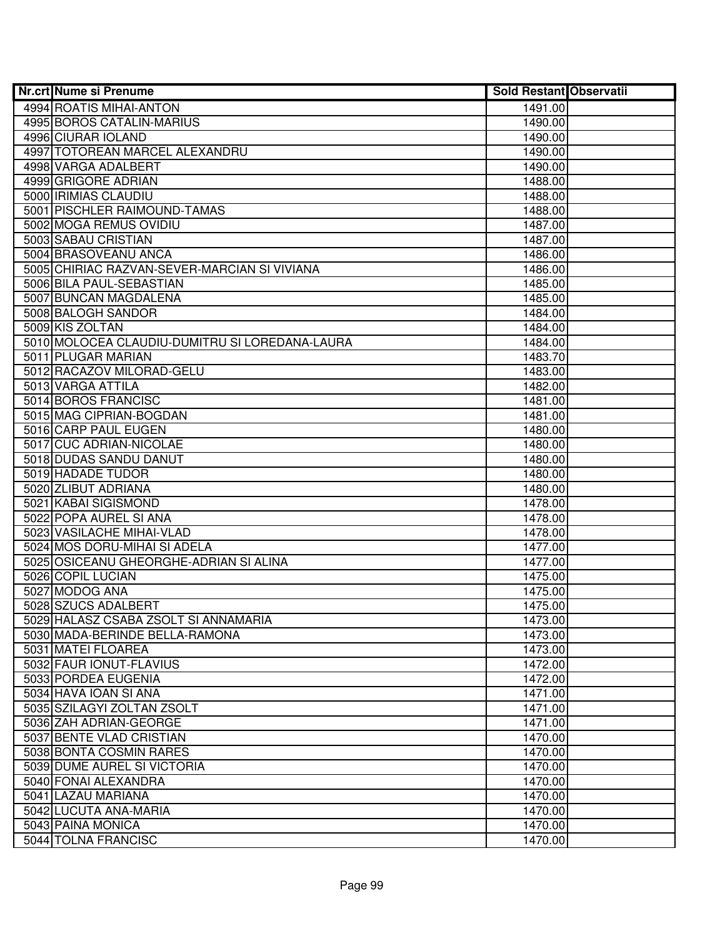| <b>Nr.crt Nume si Prenume</b>                  | <b>Sold Restant Observatii</b> |  |
|------------------------------------------------|--------------------------------|--|
| 4994 ROATIS MIHAI-ANTON                        | 1491.00                        |  |
| 4995 BOROS CATALIN-MARIUS                      | 1490.00                        |  |
| 4996 CIURAR IOLAND                             | 1490.00                        |  |
| 4997 TOTOREAN MARCEL ALEXANDRU                 | 1490.00                        |  |
| 4998 VARGA ADALBERT                            | 1490.00                        |  |
| 4999 GRIGORE ADRIAN                            | 1488.00                        |  |
| 5000 IRIMIAS CLAUDIU                           | 1488.00                        |  |
| 5001 PISCHLER RAIMOUND-TAMAS                   | 1488.00                        |  |
| 5002 MOGA REMUS OVIDIU                         | 1487.00                        |  |
| 5003 SABAU CRISTIAN                            | 1487.00                        |  |
| 5004 BRASOVEANU ANCA                           | 1486.00                        |  |
| 5005 CHIRIAC RAZVAN-SEVER-MARCIAN SI VIVIANA   | 1486.00                        |  |
| 5006 BILA PAUL-SEBASTIAN                       | 1485.00                        |  |
| 5007 BUNCAN MAGDALENA                          | 1485.00                        |  |
| 5008 BALOGH SANDOR                             | 1484.00                        |  |
| 5009 KIS ZOLTAN                                | 1484.00                        |  |
| 5010 MOLOCEA CLAUDIU-DUMITRU SI LOREDANA-LAURA | 1484.00                        |  |
| 5011 PLUGAR MARIAN                             | 1483.70                        |  |
| 5012 RACAZOV MILORAD-GELU                      | 1483.00                        |  |
| 5013 VARGA ATTILA                              | 1482.00                        |  |
| 5014 BOROS FRANCISC                            | 1481.00                        |  |
| 5015 MAG CIPRIAN-BOGDAN                        | 1481.00                        |  |
| 5016 CARP PAUL EUGEN                           | 1480.00                        |  |
| 5017 CUC ADRIAN-NICOLAE                        | 1480.00                        |  |
| 5018 DUDAS SANDU DANUT                         | 1480.00                        |  |
| 5019 HADADE TUDOR                              | 1480.00                        |  |
| 5020 ZLIBUT ADRIANA                            | 1480.00                        |  |
| 5021 KABAI SIGISMOND                           | 1478.00                        |  |
| 5022 POPA AUREL SI ANA                         | 1478.00                        |  |
| 5023 VASILACHE MIHAI-VLAD                      | 1478.00                        |  |
| 5024 MOS DORU-MIHAI SI ADELA                   | 1477.00                        |  |
| 5025 OSICEANU GHEORGHE-ADRIAN SI ALINA         | 1477.00                        |  |
| 5026 COPIL LUCIAN                              | 1475.00                        |  |
| 5027 MODOG ANA                                 | 1475.00                        |  |
| 5028 SZUCS ADALBERT                            | 1475.00                        |  |
| 5029 HALASZ CSABA ZSOLT SI ANNAMARIA           | 1473.00                        |  |
| 5030 MADA-BERINDE BELLA-RAMONA                 | 1473.00                        |  |
| 5031 MATEI FLOAREA                             | 1473.00                        |  |
| 5032 FAUR IONUT-FLAVIUS                        | 1472.00                        |  |
| 5033 PORDEA EUGENIA                            | 1472.00                        |  |
| 5034 HAVA IOAN SI ANA                          | 1471.00                        |  |
| 5035 SZILAGYI ZOLTAN ZSOLT                     | 1471.00                        |  |
| 5036 ZAH ADRIAN-GEORGE                         | 1471.00                        |  |
| 5037 BENTE VLAD CRISTIAN                       | 1470.00                        |  |
| 5038 BONTA COSMIN RARES                        | 1470.00                        |  |
| 5039 DUME AUREL SI VICTORIA                    | 1470.00                        |  |
| 5040 FONAI ALEXANDRA                           | 1470.00                        |  |
| 5041 LAZAU MARIANA                             | 1470.00                        |  |
| 5042 LUCUTA ANA-MARIA                          | 1470.00                        |  |
| 5043 PAINA MONICA                              | 1470.00                        |  |
| 5044 TOLNA FRANCISC                            | 1470.00                        |  |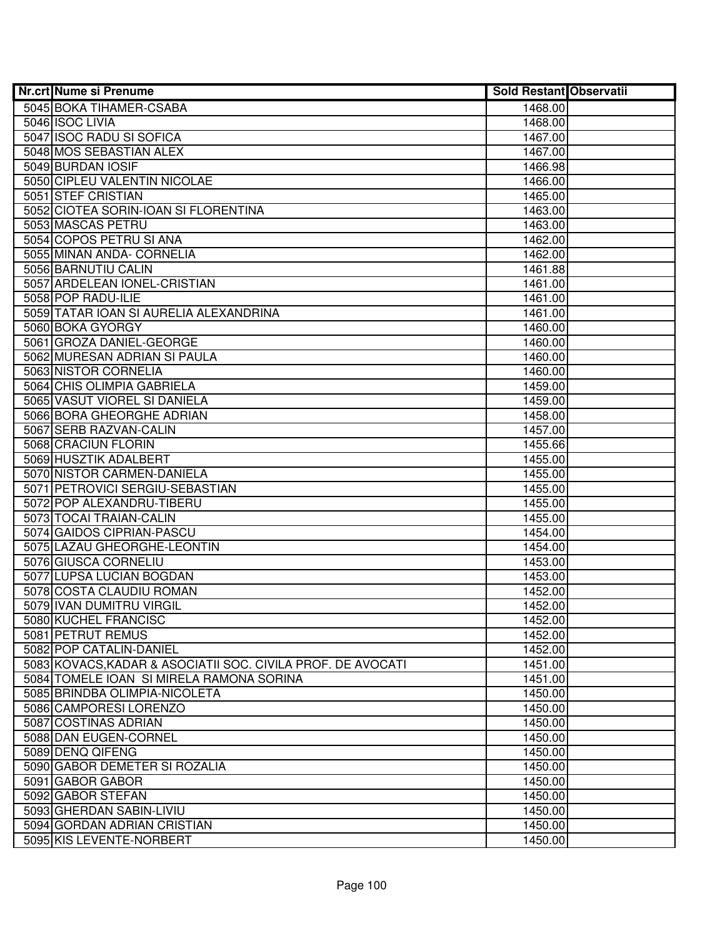| Nr.crt Nume si Prenume                                      | <b>Sold Restant Observatii</b> |  |
|-------------------------------------------------------------|--------------------------------|--|
| 5045 BOKA TIHAMER-CSABA                                     | 1468.00                        |  |
| 5046 ISOC LIVIA                                             | 1468.00                        |  |
| 5047 ISOC RADU SI SOFICA                                    | 1467.00                        |  |
| 5048 MOS SEBASTIAN ALEX                                     | 1467.00                        |  |
| 5049 BURDAN IOSIF                                           | 1466.98                        |  |
| 5050 CIPLEU VALENTIN NICOLAE                                | 1466.00                        |  |
| 5051 STEF CRISTIAN                                          | 1465.00                        |  |
| 5052 CIOTEA SORIN-IOAN SI FLORENTINA                        | 1463.00                        |  |
| 5053 MASCAS PETRU                                           | 1463.00                        |  |
| 5054 COPOS PETRU SI ANA                                     | 1462.00                        |  |
| 5055 MINAN ANDA- CORNELIA                                   | 1462.00                        |  |
| 5056 BARNUTIU CALIN                                         | 1461.88                        |  |
| 5057 ARDELEAN IONEL-CRISTIAN                                | 1461.00                        |  |
| 5058 POP RADU-ILIE                                          | 1461.00                        |  |
| 5059 TATAR IOAN SI AURELIA ALEXANDRINA                      | 1461.00                        |  |
| 5060 BOKA GYORGY                                            | 1460.00                        |  |
| 5061 GROZA DANIEL-GEORGE                                    | 1460.00                        |  |
| 5062 MURESAN ADRIAN SI PAULA                                | 1460.00                        |  |
| 5063 NISTOR CORNELIA                                        | 1460.00                        |  |
| 5064 CHIS OLIMPIA GABRIELA                                  | 1459.00                        |  |
| 5065 VASUT VIOREL SI DANIELA                                | 1459.00                        |  |
| 5066 BORA GHEORGHE ADRIAN                                   | 1458.00                        |  |
| 5067 SERB RAZVAN-CALIN                                      | 1457.00                        |  |
| 5068 CRACIUN FLORIN                                         | 1455.66                        |  |
| 5069 HUSZTIK ADALBERT                                       | 1455.00                        |  |
| 5070 NISTOR CARMEN-DANIELA                                  | 1455.00                        |  |
| 5071 PETROVICI SERGIU-SEBASTIAN                             | 1455.00                        |  |
| 5072 POP ALEXANDRU-TIBERU                                   | 1455.00                        |  |
| 5073 TOCAI TRAIAN-CALIN                                     | 1455.00                        |  |
| 5074 GAIDOS CIPRIAN-PASCU                                   | 1454.00                        |  |
| 5075 LAZAU GHEORGHE-LEONTIN                                 | 1454.00                        |  |
| 5076 GIUSCA CORNELIU                                        | 1453.00                        |  |
| 5077 LUPSA LUCIAN BOGDAN                                    | 1453.00                        |  |
| 5078 COSTA CLAUDIU ROMAN                                    | 1452.00                        |  |
| 5079 IVAN DUMITRU VIRGIL                                    | 1452.00                        |  |
| 5080 KUCHEL FRANCISC                                        | 1452.00                        |  |
| 5081 PETRUT REMUS                                           | 1452.00                        |  |
| 5082 POP CATALIN-DANIEL                                     | 1452.00                        |  |
| 5083 KOVACS, KADAR & ASOCIATII SOC. CIVILA PROF. DE AVOCATI | 1451.00                        |  |
| 5084 TOMELE IOAN SI MIRELA RAMONA SORINA                    | 1451.00                        |  |
| 5085 BRINDBA OLIMPIA-NICOLETA                               | 1450.00                        |  |
| 5086 CAMPORESI LORENZO                                      | 1450.00                        |  |
| 5087 COSTINAS ADRIAN                                        | 1450.00                        |  |
| 5088 DAN EUGEN-CORNEL                                       | 1450.00                        |  |
| 5089 DENQ QIFENG                                            | 1450.00                        |  |
| 5090 GABOR DEMETER SI ROZALIA                               | 1450.00                        |  |
| 5091 GABOR GABOR                                            | 1450.00                        |  |
| 5092 GABOR STEFAN                                           | 1450.00                        |  |
| 5093 GHERDAN SABIN-LIVIU                                    | 1450.00                        |  |
| 5094 GORDAN ADRIAN CRISTIAN                                 | 1450.00                        |  |
| 5095 KIS LEVENTE-NORBERT                                    | 1450.00                        |  |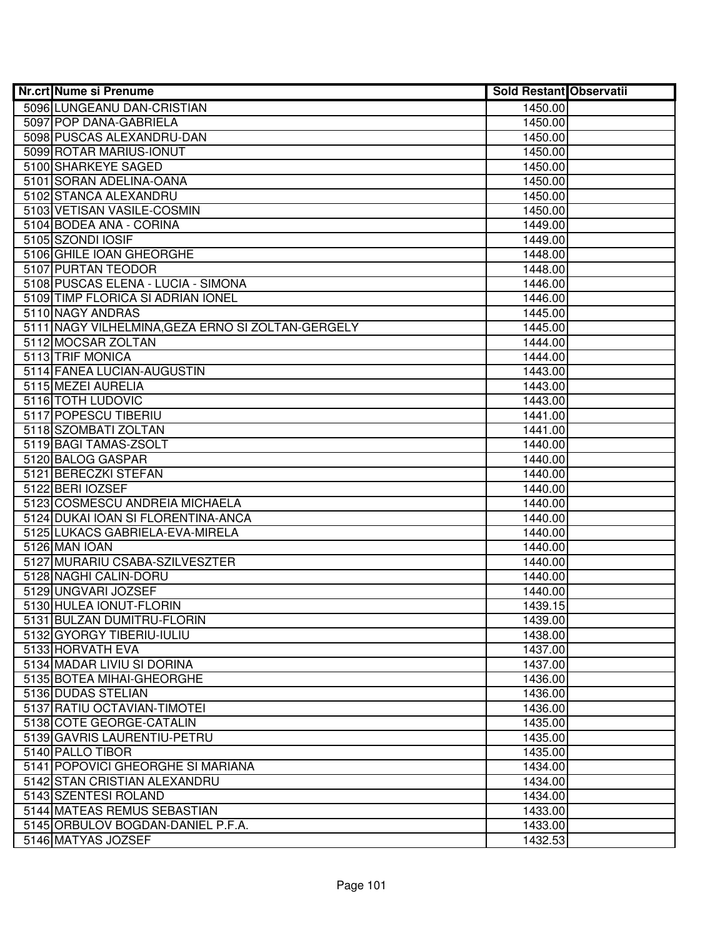| Nr.crt Nume si Prenume                                  | <b>Sold Restant Observatii</b> |  |
|---------------------------------------------------------|--------------------------------|--|
| 5096 LUNGEANU DAN-CRISTIAN                              | 1450.00                        |  |
| 5097 POP DANA-GABRIELA                                  | 1450.00                        |  |
| 5098 PUSCAS ALEXANDRU-DAN                               | 1450.00                        |  |
| 5099 ROTAR MARIUS-IONUT                                 | 1450.00                        |  |
| 5100 SHARKEYE SAGED                                     | 1450.00                        |  |
| 5101 SORAN ADELINA-OANA                                 | 1450.00                        |  |
| 5102 STANCA ALEXANDRU                                   | 1450.00                        |  |
| 5103 VETISAN VASILE-COSMIN                              | 1450.00                        |  |
| 5104 BODEA ANA - CORINA                                 | 1449.00                        |  |
| 5105 SZONDI IOSIF                                       | 1449.00                        |  |
| 5106 GHILE IOAN GHEORGHE                                | 1448.00                        |  |
| 5107 PURTAN TEODOR                                      | 1448.00                        |  |
| 5108 PUSCAS ELENA - LUCIA - SIMONA                      | 1446.00                        |  |
| 5109 TIMP FLORICA SI ADRIAN IONEL                       | 1446.00                        |  |
| 5110 NAGY ANDRAS                                        | 1445.00                        |  |
| 5111 NAGY VILHELMINA, GEZA ERNO SI ZOLTAN-GERGELY       | 1445.00                        |  |
| 5112 MOCSAR ZOLTAN                                      | 1444.00                        |  |
| 5113 TRIF MONICA                                        | 1444.00                        |  |
| 5114 FANEA LUCIAN-AUGUSTIN                              | 1443.00                        |  |
| 5115 MEZEI AURELIA                                      | 1443.00                        |  |
| 5116 TOTH LUDOVIC                                       | 1443.00                        |  |
| 5117 POPESCU TIBERIU                                    | 1441.00                        |  |
| 5118 SZOMBATI ZOLTAN                                    | 1441.00                        |  |
| 5119 BAGI TAMAS-ZSOLT                                   | 1440.00                        |  |
| 5120 BALOG GASPAR                                       | 1440.00                        |  |
| 5121 BERECZKI STEFAN                                    | 1440.00                        |  |
| 5122 BERI IOZSEF                                        | 1440.00                        |  |
| 5123 COSMESCU ANDREIA MICHAELA                          | 1440.00                        |  |
| 5124 DUKAI IOAN SI FLORENTINA-ANCA                      | 1440.00                        |  |
| 5125 LUKACS GABRIELA-EVA-MIRELA                         | 1440.00                        |  |
| 5126 MAN IOAN                                           | 1440.00                        |  |
| 5127 MURARIU CSABA-SZILVESZTER                          | 1440.00                        |  |
| 5128 NAGHI CALIN-DORU                                   | 1440.00                        |  |
| 5129 UNGVARI JOZSEF                                     | 1440.00                        |  |
| 5130 HULEA IONUT-FLORIN                                 | 1439.15                        |  |
| 5131 BULZAN DUMITRU-FLORIN<br>5132 GYORGY TIBERIU-IULIU | 1439.00                        |  |
| 5133 HORVATH EVA                                        | 1438.00<br>1437.00             |  |
| 5134 MADAR LIVIU SI DORINA                              | 1437.00                        |  |
| 5135 BOTEA MIHAI-GHEORGHE                               | 1436.00                        |  |
| 5136 DUDAS STELIAN                                      | 1436.00                        |  |
| 5137 RATIU OCTAVIAN-TIMOTEI                             | 1436.00                        |  |
| 5138 COTE GEORGE-CATALIN                                | 1435.00                        |  |
| 5139 GAVRIS LAURENTIU-PETRU                             | 1435.00                        |  |
| 5140 PALLO TIBOR                                        | 1435.00                        |  |
| 5141 POPOVICI GHEORGHE SI MARIANA                       | 1434.00                        |  |
| 5142 STAN CRISTIAN ALEXANDRU                            | 1434.00                        |  |
| 5143 SZENTESI ROLAND                                    | 1434.00                        |  |
| 5144 MATEAS REMUS SEBASTIAN                             | 1433.00                        |  |
| 5145 ORBULOV BOGDAN-DANIEL P.F.A.                       | 1433.00                        |  |
| 5146 MATYAS JOZSEF                                      | 1432.53                        |  |
|                                                         |                                |  |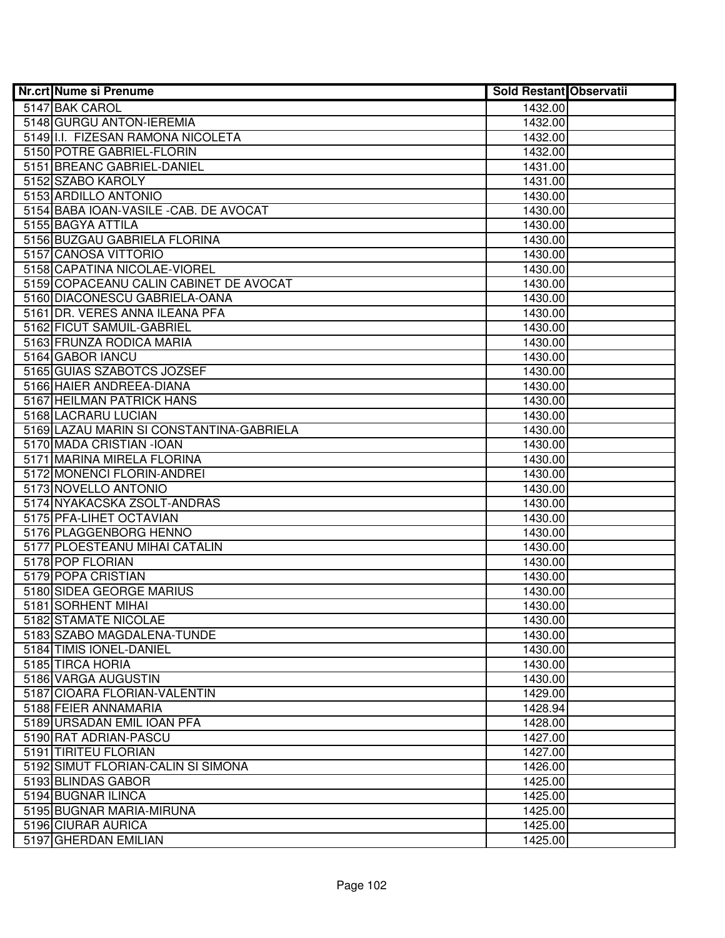| Nr.crt Nume si Prenume                   | <b>Sold Restant Observatii</b> |  |
|------------------------------------------|--------------------------------|--|
| 5147 BAK CAROL                           | 1432.00                        |  |
| 5148 GURGU ANTON-IEREMIA                 | 1432.00                        |  |
| 5149 I.I. FIZESAN RAMONA NICOLETA        | 1432.00                        |  |
| 5150 POTRE GABRIEL-FLORIN                | 1432.00                        |  |
| 5151 BREANC GABRIEL-DANIEL               | 1431.00                        |  |
| 5152 SZABO KAROLY                        | 1431.00                        |  |
| 5153 ARDILLO ANTONIO                     | 1430.00                        |  |
| 5154 BABA IOAN-VASILE - CAB. DE AVOCAT   | 1430.00                        |  |
| 5155 BAGYA ATTILA                        | 1430.00                        |  |
| 5156 BUZGAU GABRIELA FLORINA             | 1430.00                        |  |
| 5157 CANOSA VITTORIO                     | 1430.00                        |  |
| 5158 CAPATINA NICOLAE-VIOREL             | 1430.00                        |  |
| 5159 COPACEANU CALIN CABINET DE AVOCAT   | 1430.00                        |  |
| 5160 DIACONESCU GABRIELA-OANA            | 1430.00                        |  |
| 5161 DR. VERES ANNA ILEANA PFA           | 1430.00                        |  |
| 5162 FICUT SAMUIL-GABRIEL                | 1430.00                        |  |
| 5163 FRUNZA RODICA MARIA                 | 1430.00                        |  |
| 5164 GABOR IANCU                         | 1430.00                        |  |
| 5165 GUIAS SZABOTCS JOZSEF               | 1430.00                        |  |
| 5166 HAIER ANDREEA-DIANA                 | 1430.00                        |  |
| 5167 HEILMAN PATRICK HANS                | 1430.00                        |  |
| 5168 LACRARU LUCIAN                      | 1430.00                        |  |
| 5169 LAZAU MARIN SI CONSTANTINA-GABRIELA | 1430.00                        |  |
| 5170 MADA CRISTIAN - IOAN                | 1430.00                        |  |
| 5171 MARINA MIRELA FLORINA               | 1430.00                        |  |
| 5172 MONENCI FLORIN-ANDREI               | 1430.00                        |  |
| 5173 NOVELLO ANTONIO                     | 1430.00                        |  |
| 5174 NYAKACSKA ZSOLT-ANDRAS              | 1430.00                        |  |
| 5175 PFA-LIHET OCTAVIAN                  | 1430.00                        |  |
| 5176 PLAGGENBORG HENNO                   | 1430.00                        |  |
| 5177 PLOESTEANU MIHAI CATALIN            | 1430.00                        |  |
| 5178 POP FLORIAN                         | 1430.00                        |  |
| 5179 POPA CRISTIAN                       | 1430.00                        |  |
| 5180 SIDEA GEORGE MARIUS                 | 1430.00                        |  |
| 5181 SORHENT MIHAI                       | 1430.00                        |  |
| 5182 STAMATE NICOLAE                     | 1430.00                        |  |
| 5183 SZABO MAGDALENA-TUNDE               | 1430.00                        |  |
| 5184 TIMIS IONEL-DANIEL                  | 1430.00                        |  |
| 5185 TIRCA HORIA                         | 1430.00                        |  |
| 5186 VARGA AUGUSTIN                      | 1430.00                        |  |
| 5187 CIOARA FLORIAN-VALENTIN             | 1429.00                        |  |
| 5188 FEIER ANNAMARIA                     | 1428.94                        |  |
| 5189 URSADAN EMIL IOAN PFA               | 1428.00                        |  |
| 5190 RAT ADRIAN-PASCU                    | 1427.00                        |  |
| 5191 TIRITEU FLORIAN                     | 1427.00                        |  |
| 5192 SIMUT FLORIAN-CALIN SI SIMONA       | 1426.00                        |  |
| 5193 BLINDAS GABOR                       | 1425.00                        |  |
| 5194 BUGNAR ILINCA                       | 1425.00                        |  |
| 5195 BUGNAR MARIA-MIRUNA                 | 1425.00                        |  |
| 5196 CIURAR AURICA                       | 1425.00                        |  |
| 5197 GHERDAN EMILIAN                     | 1425.00                        |  |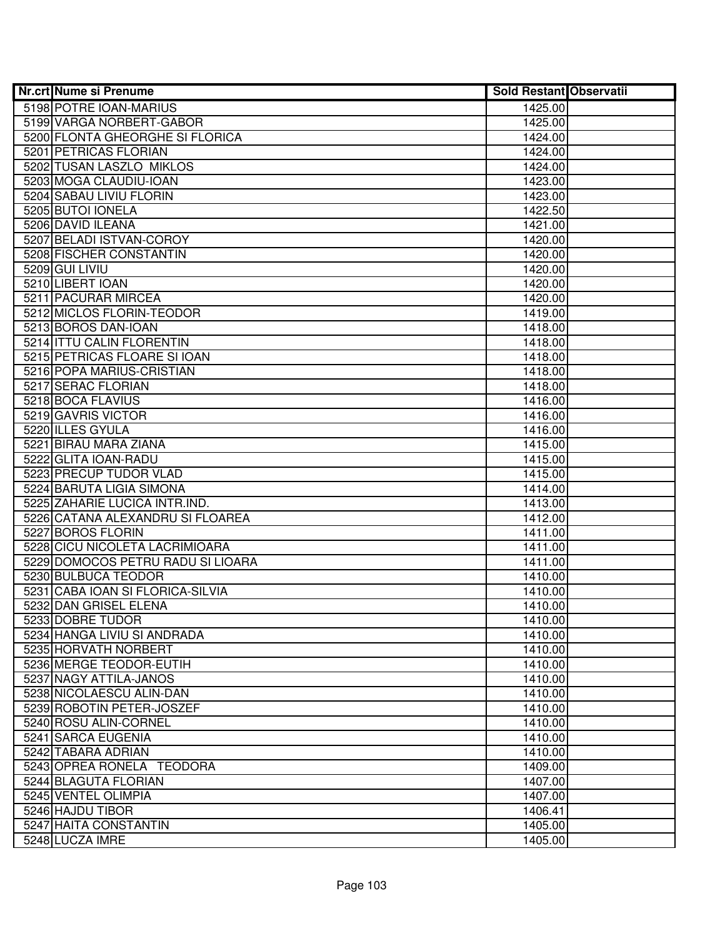| <b>Nr.crt Nume si Prenume</b>     | <b>Sold Restant Observatii</b> |  |
|-----------------------------------|--------------------------------|--|
| 5198 POTRE IOAN-MARIUS            | 1425.00                        |  |
| 5199 VARGA NORBERT-GABOR          | 1425.00                        |  |
| 5200 FLONTA GHEORGHE SI FLORICA   | 1424.00                        |  |
| 5201 PETRICAS FLORIAN             | 1424.00                        |  |
| 5202 TUSAN LASZLO MIKLOS          | 1424.00                        |  |
| 5203 MOGA CLAUDIU-IOAN            | 1423.00                        |  |
| 5204 SABAU LIVIU FLORIN           | 1423.00                        |  |
| 5205 BUTOI IONELA                 | 1422.50                        |  |
| 5206 DAVID ILEANA                 | 1421.00                        |  |
| 5207 BELADI ISTVAN-COROY          | 1420.00                        |  |
| 5208 FISCHER CONSTANTIN           | 1420.00                        |  |
| 5209 GUI LIVIU                    | 1420.00                        |  |
| 5210 LIBERT IOAN                  | 1420.00                        |  |
| 5211 PACURAR MIRCEA               | 1420.00                        |  |
| 5212 MICLOS FLORIN-TEODOR         | 1419.00                        |  |
| 5213 BOROS DAN-IOAN               | 1418.00                        |  |
| 5214 ITTU CALIN FLORENTIN         | 1418.00                        |  |
| 5215 PETRICAS FLOARE SI IOAN      | 1418.00                        |  |
| 5216 POPA MARIUS-CRISTIAN         | 1418.00                        |  |
| 5217 SERAC FLORIAN                | 1418.00                        |  |
| 5218 BOCA FLAVIUS                 | 1416.00                        |  |
| 5219 GAVRIS VICTOR                | 1416.00                        |  |
| 5220 ILLES GYULA                  | 1416.00                        |  |
| 5221 BIRAU MARA ZIANA             | 1415.00                        |  |
| 5222 GLITA IOAN-RADU              | 1415.00                        |  |
| 5223 PRECUP TUDOR VLAD            | 1415.00                        |  |
| 5224 BARUTA LIGIA SIMONA          | 1414.00                        |  |
| 5225 ZAHARIE LUCICA INTR.IND.     | 1413.00                        |  |
| 5226 CATANA ALEXANDRU SI FLOAREA  | 1412.00                        |  |
| 5227 BOROS FLORIN                 | 1411.00                        |  |
| 5228 CICU NICOLETA LACRIMIOARA    | 1411.00                        |  |
| 5229 DOMOCOS PETRU RADU SI LIOARA | 1411.00                        |  |
| 5230 BULBUCA TEODOR               | 1410.00                        |  |
| 5231 CABA IOAN SI FLORICA-SILVIA  | 1410.00                        |  |
| 5232 DAN GRISEL ELENA             | 1410.00                        |  |
| 5233 DOBRE TUDOR                  | 1410.00                        |  |
| 5234 HANGA LIVIU SI ANDRADA       | 1410.00                        |  |
| 5235 HORVATH NORBERT              | 1410.00                        |  |
| 5236 MERGE TEODOR-EUTIH           | 1410.00                        |  |
| 5237 NAGY ATTILA-JANOS            | 1410.00                        |  |
| 5238 NICOLAESCU ALIN-DAN          | 1410.00                        |  |
| 5239 ROBOTIN PETER-JOSZEF         | 1410.00                        |  |
| 5240 ROSU ALIN-CORNEL             | 1410.00                        |  |
| 5241 SARCA EUGENIA                | 1410.00                        |  |
| 5242 TABARA ADRIAN                | 1410.00                        |  |
| 5243 OPREA RONELA TEODORA         | 1409.00                        |  |
| 5244 BLAGUTA FLORIAN              | 1407.00                        |  |
| 5245 VENTEL OLIMPIA               | 1407.00                        |  |
| 5246 HAJDU TIBOR                  | 1406.41                        |  |
| 5247 HAITA CONSTANTIN             | 1405.00                        |  |
| 5248 LUCZA IMRE                   | 1405.00                        |  |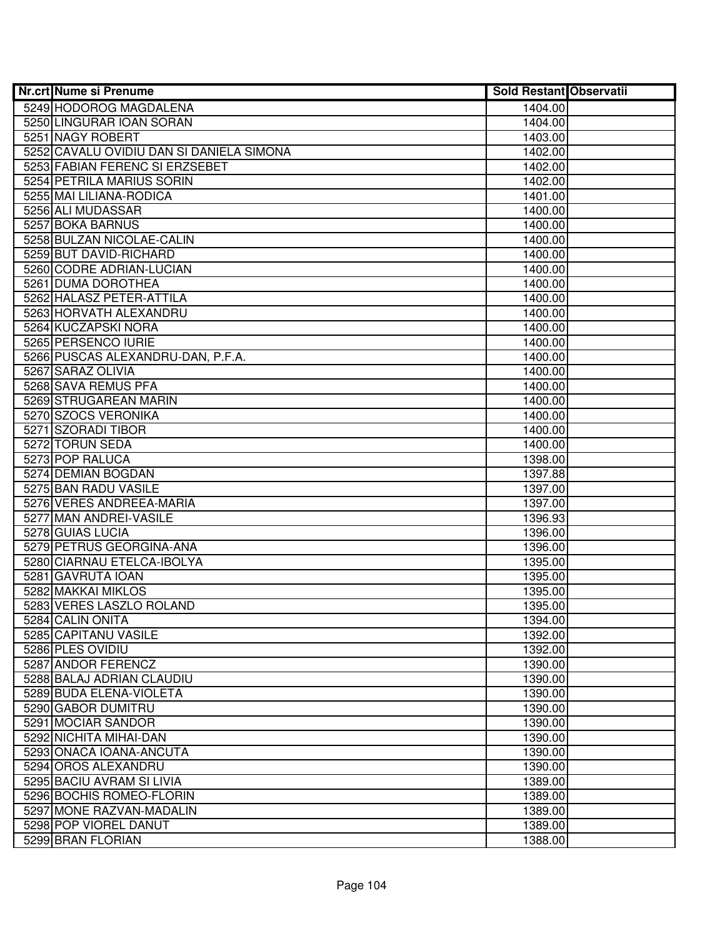| <b>Nr.crt Nume si Prenume</b>            | <b>Sold Restant Observatii</b> |  |
|------------------------------------------|--------------------------------|--|
| 5249 HODOROG MAGDALENA                   | 1404.00                        |  |
| 5250 LINGURAR IOAN SORAN                 | 1404.00                        |  |
| 5251 NAGY ROBERT                         | 1403.00                        |  |
| 5252 CAVALU OVIDIU DAN SI DANIELA SIMONA | 1402.00                        |  |
| 5253 FABIAN FERENC SI ERZSEBET           | 1402.00                        |  |
| 5254 PETRILA MARIUS SORIN                | 1402.00                        |  |
| 5255 MAI LILIANA-RODICA                  | 1401.00                        |  |
| 5256 ALI MUDASSAR                        | 1400.00                        |  |
| 5257 BOKA BARNUS                         | 1400.00                        |  |
| 5258 BULZAN NICOLAE-CALIN                | 1400.00                        |  |
| 5259 BUT DAVID-RICHARD                   | 1400.00                        |  |
| 5260 CODRE ADRIAN-LUCIAN                 | 1400.00                        |  |
| 5261 DUMA DOROTHEA                       | 1400.00                        |  |
| 5262 HALASZ PETER-ATTILA                 | 1400.00                        |  |
| 5263 HORVATH ALEXANDRU                   | 1400.00                        |  |
| 5264 KUCZAPSKI NORA                      | 1400.00                        |  |
| 5265 PERSENCO IURIE                      | 1400.00                        |  |
| 5266 PUSCAS ALEXANDRU-DAN, P.F.A.        | 1400.00                        |  |
| 5267 SARAZ OLIVIA                        | 1400.00                        |  |
| 5268 SAVA REMUS PFA                      | 1400.00                        |  |
| 5269 STRUGAREAN MARIN                    | 1400.00                        |  |
| 5270 SZOCS VERONIKA                      | 1400.00                        |  |
| 5271 SZORADI TIBOR                       | 1400.00                        |  |
| 5272 TORUN SEDA                          | 1400.00                        |  |
| 5273 POP RALUCA                          | 1398.00                        |  |
| 5274 DEMIAN BOGDAN                       | 1397.88                        |  |
| 5275 BAN RADU VASILE                     | 1397.00                        |  |
| 5276 VERES ANDREEA-MARIA                 | 1397.00                        |  |
| 5277 MAN ANDREI-VASILE                   | 1396.93                        |  |
| 5278 GUIAS LUCIA                         | 1396.00                        |  |
| 5279 PETRUS GEORGINA-ANA                 | 1396.00                        |  |
| 5280 CIARNAU ETELCA-IBOLYA               | 1395.00                        |  |
| 5281 GAVRUTA IOAN                        | 1395.00                        |  |
| 5282 MAKKAI MIKLOS                       | 1395.00                        |  |
| 5283 VERES LASZLO ROLAND                 | 1395.00                        |  |
| 5284 CALIN ONITA                         | 1394.00                        |  |
| 5285 CAPITANU VASILE                     | 1392.00                        |  |
| 5286 PLES OVIDIU                         | 1392.00                        |  |
| 5287 ANDOR FERENCZ                       | 1390.00                        |  |
| 5288 BALAJ ADRIAN CLAUDIU                | 1390.00                        |  |
| 5289 BUDA ELENA-VIOLETA                  | 1390.00                        |  |
| 5290 GABOR DUMITRU                       | 1390.00                        |  |
| 5291 MOCIAR SANDOR                       | 1390.00                        |  |
| 5292 NICHITA MIHAI-DAN                   | 1390.00                        |  |
| 5293 ONACA IOANA-ANCUTA                  | 1390.00                        |  |
| 5294 OROS ALEXANDRU                      | 1390.00                        |  |
| 5295 BACIU AVRAM SI LIVIA                | 1389.00                        |  |
| 5296 BOCHIS ROMEO-FLORIN                 | 1389.00                        |  |
| 5297 MONE RAZVAN-MADALIN                 | 1389.00                        |  |
| 5298 POP VIOREL DANUT                    | 1389.00                        |  |
| 5299 BRAN FLORIAN                        | 1388.00                        |  |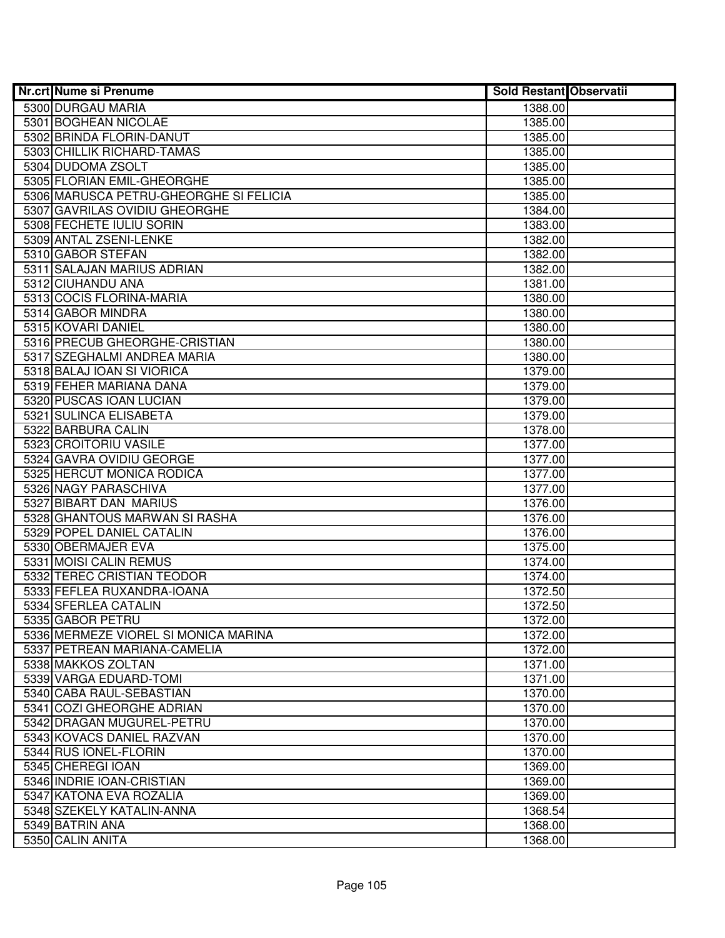| Nr.crt Nume si Prenume                 | <b>Sold Restant Observatii</b> |  |
|----------------------------------------|--------------------------------|--|
| 5300 DURGAU MARIA                      | 1388.00                        |  |
| 5301 BOGHEAN NICOLAE                   | 1385.00                        |  |
| 5302 BRINDA FLORIN-DANUT               | 1385.00                        |  |
| 5303 CHILLIK RICHARD-TAMAS             | 1385.00                        |  |
| 5304 DUDOMA ZSOLT                      | 1385.00                        |  |
| 5305 FLORIAN EMIL-GHEORGHE             | 1385.00                        |  |
| 5306 MARUSCA PETRU-GHEORGHE SI FELICIA | 1385.00                        |  |
| 5307 GAVRILAS OVIDIU GHEORGHE          | 1384.00                        |  |
| 5308 FECHETE IULIU SORIN               | 1383.00                        |  |
| 5309 ANTAL ZSENI-LENKE                 | 1382.00                        |  |
| 5310 GABOR STEFAN                      | 1382.00                        |  |
| 5311 SALAJAN MARIUS ADRIAN             | 1382.00                        |  |
| 5312 CIUHANDU ANA                      | 1381.00                        |  |
| 5313 COCIS FLORINA-MARIA               | 1380.00                        |  |
| 5314 GABOR MINDRA                      | 1380.00                        |  |
| 5315 KOVARI DANIEL                     | 1380.00                        |  |
| 5316 PRECUB GHEORGHE-CRISTIAN          | 1380.00                        |  |
| 5317 SZEGHALMI ANDREA MARIA            | 1380.00                        |  |
| 5318 BALAJ IOAN SI VIORICA             | 1379.00                        |  |
| 5319 FEHER MARIANA DANA                | 1379.00                        |  |
| 5320 PUSCAS IOAN LUCIAN                | 1379.00                        |  |
| 5321 SULINCA ELISABETA                 | 1379.00                        |  |
| 5322 BARBURA CALIN                     | 1378.00                        |  |
| 5323 CROITORIU VASILE                  | 1377.00                        |  |
| 5324 GAVRA OVIDIU GEORGE               | 1377.00                        |  |
| 5325 HERCUT MONICA RODICA              | 1377.00                        |  |
| 5326 NAGY PARASCHIVA                   | 1377.00                        |  |
| 5327 BIBART DAN MARIUS                 | 1376.00                        |  |
| 5328 GHANTOUS MARWAN SI RASHA          | 1376.00                        |  |
| 5329 POPEL DANIEL CATALIN              | 1376.00                        |  |
| 5330 OBERMAJER EVA                     | 1375.00                        |  |
| 5331 MOISI CALIN REMUS                 | 1374.00                        |  |
| 5332 TEREC CRISTIAN TEODOR             | 1374.00                        |  |
| 5333 FEFLEA RUXANDRA-IOANA             | 1372.50                        |  |
| 5334 SFERLEA CATALIN                   | 1372.50                        |  |
| 5335 GABOR PETRU                       | 1372.00                        |  |
| 5336 MERMEZE VIOREL SI MONICA MARINA   | 1372.00                        |  |
| 5337 PETREAN MARIANA-CAMELIA           | 1372.00                        |  |
| 5338 MAKKOS ZOLTAN                     | 1371.00                        |  |
| 5339 VARGA EDUARD-TOMI                 | 1371.00                        |  |
| 5340 CABA RAUL-SEBASTIAN               | 1370.00                        |  |
| 5341 COZI GHEORGHE ADRIAN              | 1370.00                        |  |
| 5342 DRAGAN MUGUREL-PETRU              | 1370.00                        |  |
| 5343 KOVACS DANIEL RAZVAN              | 1370.00                        |  |
| 5344 RUS IONEL-FLORIN                  | 1370.00                        |  |
| 5345 CHEREGI IOAN                      | 1369.00                        |  |
| 5346 INDRIE IOAN-CRISTIAN              | 1369.00                        |  |
| 5347 KATONA EVA ROZALIA                | 1369.00                        |  |
| 5348 SZEKELY KATALIN-ANNA              | 1368.54                        |  |
| 5349 BATRIN ANA                        | 1368.00                        |  |
| 5350 CALIN ANITA                       | 1368.00                        |  |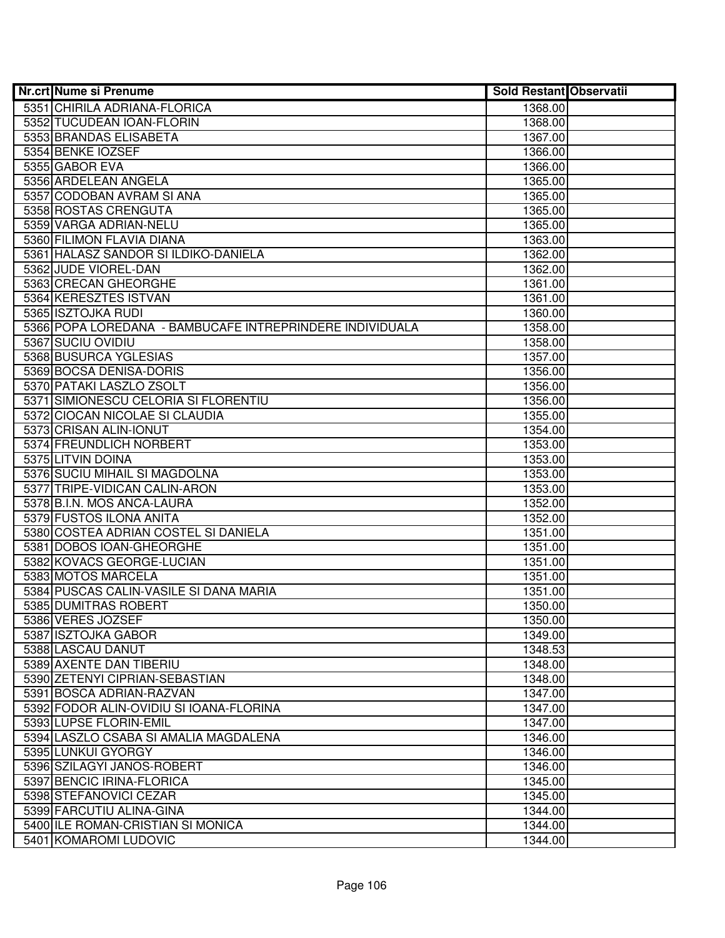| <b>Nr.crt Nume si Prenume</b>                            | <b>Sold Restant Observatii</b> |  |
|----------------------------------------------------------|--------------------------------|--|
| 5351 CHIRILA ADRIANA-FLORICA                             | 1368.00                        |  |
| 5352 TUCUDEAN IOAN-FLORIN                                | 1368.00                        |  |
| 5353 BRANDAS ELISABETA                                   | 1367.00                        |  |
| 5354 BENKE IOZSEF                                        | 1366.00                        |  |
| 5355 GABOR EVA                                           | 1366.00                        |  |
| 5356 ARDELEAN ANGELA                                     | 1365.00                        |  |
| 5357 CODOBAN AVRAM SI ANA                                | 1365.00                        |  |
| 5358 ROSTAS CRENGUTA                                     | 1365.00                        |  |
| 5359 VARGA ADRIAN-NELU                                   | 1365.00                        |  |
| 5360 FILIMON FLAVIA DIANA                                | 1363.00                        |  |
| 5361 HALASZ SANDOR SI ILDIKO-DANIELA                     | 1362.00                        |  |
| 5362 JUDE VIOREL-DAN                                     | 1362.00                        |  |
| 5363 CRECAN GHEORGHE                                     | 1361.00                        |  |
| 5364 KERESZTES ISTVAN                                    | 1361.00                        |  |
| 5365 ISZTOJKA RUDI                                       | 1360.00                        |  |
| 5366 POPA LOREDANA - BAMBUCAFE INTREPRINDERE INDIVIDUALA | 1358.00                        |  |
| 5367 SUCIU OVIDIU                                        | 1358.00                        |  |
| 5368 BUSURCA YGLESIAS                                    | 1357.00                        |  |
| 5369 BOCSA DENISA-DORIS                                  | 1356.00                        |  |
| 5370 PATAKI LASZLO ZSOLT                                 | 1356.00                        |  |
| 5371 SIMIONESCU CELORIA SI FLORENTIU                     | 1356.00                        |  |
| 5372 CIOCAN NICOLAE SI CLAUDIA                           | 1355.00                        |  |
| 5373 CRISAN ALIN-IONUT                                   | 1354.00                        |  |
| 5374 FREUNDLICH NORBERT                                  | 1353.00                        |  |
| 5375 LITVIN DOINA                                        | 1353.00                        |  |
| 5376 SUCIU MIHAIL SI MAGDOLNA                            | 1353.00                        |  |
| 5377 TRIPE-VIDICAN CALIN-ARON                            | 1353.00                        |  |
| 5378 B.I.N. MOS ANCA-LAURA                               | 1352.00                        |  |
| 5379 FUSTOS ILONA ANITA                                  | 1352.00                        |  |
| 5380 COSTEA ADRIAN COSTEL SI DANIELA                     | 1351.00                        |  |
| 5381 DOBOS IOAN-GHEORGHE                                 | 1351.00                        |  |
| 5382 KOVACS GEORGE-LUCIAN                                | 1351.00                        |  |
| 5383 MOTOS MARCELA                                       | 1351.00                        |  |
| 5384 PUSCAS CALIN-VASILE SI DANA MARIA                   | 1351.00                        |  |
| 5385 DUMITRAS ROBERT                                     | 1350.00                        |  |
| 5386 VERES JOZSEF                                        | 1350.00                        |  |
| 5387 ISZTOJKA GABOR                                      | 1349.00                        |  |
| 5388 LASCAU DANUT                                        | 1348.53                        |  |
| 5389 AXENTE DAN TIBERIU                                  | 1348.00                        |  |
| 5390 ZETENYI CIPRIAN-SEBASTIAN                           | 1348.00                        |  |
| 5391 BOSCA ADRIAN-RAZVAN                                 | 1347.00                        |  |
| 5392 FODOR ALIN-OVIDIU SI IOANA-FLORINA                  | 1347.00                        |  |
| 5393 LUPSE FLORIN-EMIL                                   | 1347.00                        |  |
| 5394 LASZLO CSABA SI AMALIA MAGDALENA                    | 1346.00                        |  |
| 5395 LUNKUI GYORGY                                       | 1346.00                        |  |
| 5396 SZILAGYI JANOS-ROBERT                               | 1346.00                        |  |
| 5397 BENCIC IRINA-FLORICA                                | 1345.00                        |  |
| 5398 STEFANOVICI CEZAR                                   | 1345.00                        |  |
| 5399 FARCUTIU ALINA-GINA                                 | 1344.00                        |  |
| 5400 ILE ROMAN-CRISTIAN SI MONICA                        | 1344.00                        |  |
| 5401 KOMAROMI LUDOVIC                                    | 1344.00                        |  |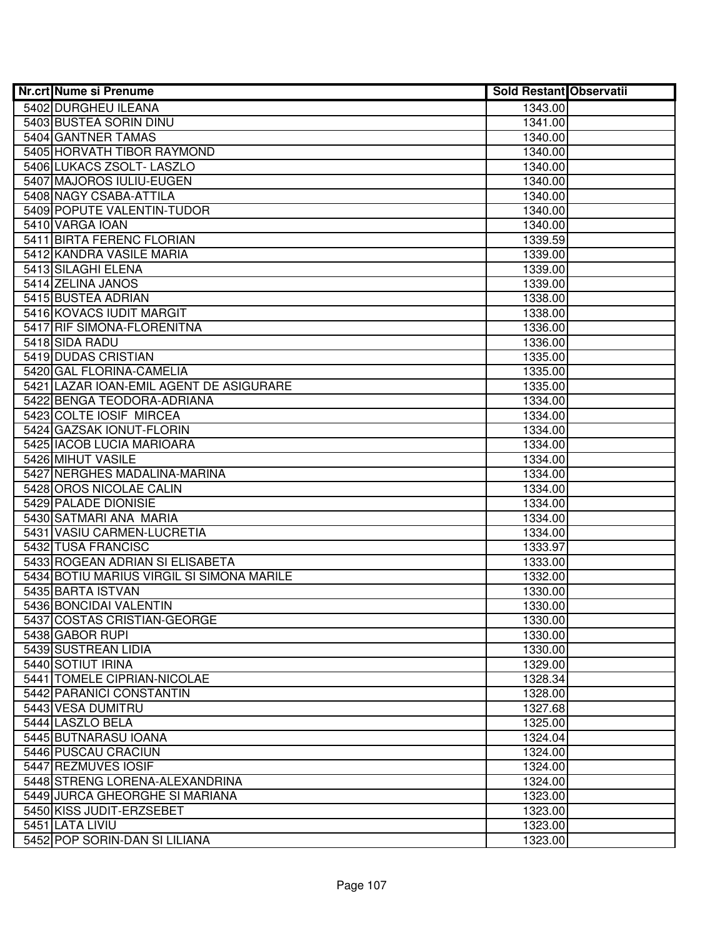| Nr.crt Nume si Prenume                    | <b>Sold Restant Observatii</b> |  |
|-------------------------------------------|--------------------------------|--|
| 5402 DURGHEU ILEANA                       | 1343.00                        |  |
| 5403 BUSTEA SORIN DINU                    | 1341.00                        |  |
| 5404 GANTNER TAMAS                        | 1340.00                        |  |
| 5405 HORVATH TIBOR RAYMOND                | 1340.00                        |  |
| 5406 LUKACS ZSOLT- LASZLO                 | 1340.00                        |  |
| 5407 MAJOROS IULIU-EUGEN                  | 1340.00                        |  |
| 5408 NAGY CSABA-ATTILA                    | 1340.00                        |  |
| 5409 POPUTE VALENTIN-TUDOR                | 1340.00                        |  |
| 5410 VARGA IOAN                           | 1340.00                        |  |
| 5411 BIRTA FERENC FLORIAN                 | 1339.59                        |  |
| 5412 KANDRA VASILE MARIA                  | 1339.00                        |  |
| 5413 SILAGHI ELENA                        | 1339.00                        |  |
| 5414 ZELINA JANOS                         | 1339.00                        |  |
| 5415 BUSTEA ADRIAN                        | 1338.00                        |  |
| 5416 KOVACS IUDIT MARGIT                  | 1338.00                        |  |
| 5417 RIF SIMONA-FLORENITNA                | 1336.00                        |  |
| 5418 SIDA RADU                            | 1336.00                        |  |
| 5419 DUDAS CRISTIAN                       | 1335.00                        |  |
| 5420 GAL FLORINA-CAMELIA                  | 1335.00                        |  |
| 5421 LAZAR IOAN-EMIL AGENT DE ASIGURARE   | 1335.00                        |  |
| 5422 BENGA TEODORA-ADRIANA                | 1334.00                        |  |
| 5423 COLTE IOSIF MIRCEA                   | 1334.00                        |  |
| 5424 GAZSAK IONUT-FLORIN                  | 1334.00                        |  |
| 5425 IACOB LUCIA MARIOARA                 | 1334.00                        |  |
| 5426 MIHUT VASILE                         | 1334.00                        |  |
| 5427 NERGHES MADALINA-MARINA              | 1334.00                        |  |
| 5428 OROS NICOLAE CALIN                   | 1334.00                        |  |
| 5429 PALADE DIONISIE                      | 1334.00                        |  |
| 5430 SATMARI ANA MARIA                    | 1334.00                        |  |
| 5431 VASIU CARMEN-LUCRETIA                | 1334.00                        |  |
| 5432 TUSA FRANCISC                        | 1333.97                        |  |
| 5433 ROGEAN ADRIAN SI ELISABETA           | 1333.00                        |  |
| 5434 BOTIU MARIUS VIRGIL SI SIMONA MARILE | 1332.00                        |  |
| 5435 BARTA ISTVAN                         | 1330.00                        |  |
| 5436 BONCIDAI VALENTIN                    | 1330.00                        |  |
| 5437 COSTAS CRISTIAN-GEORGE               | 1330.00                        |  |
| 5438 GABOR RUPI<br>5439 SUSTREAN LIDIA    | 1330.00<br>1330.00             |  |
| 5440 SOTIUT IRINA                         | 1329.00                        |  |
| 5441 TOMELE CIPRIAN-NICOLAE               | 1328.34                        |  |
| 5442 PARANICI CONSTANTIN                  | 1328.00                        |  |
| 5443 VESA DUMITRU                         | 1327.68                        |  |
| 5444 LASZLO BELA                          | 1325.00                        |  |
| 5445 BUTNARASU IOANA                      | 1324.04                        |  |
| 5446 PUSCAU CRACIUN                       | 1324.00                        |  |
| 5447 REZMUVES IOSIF                       | 1324.00                        |  |
| 5448 STRENG LORENA-ALEXANDRINA            | 1324.00                        |  |
| 5449 JURCA GHEORGHE SI MARIANA            | 1323.00                        |  |
| 5450 KISS JUDIT-ERZSEBET                  | 1323.00                        |  |
| 5451 LATA LIVIU                           | 1323.00                        |  |
| 5452 POP SORIN-DAN SI LILIANA             | 1323.00                        |  |
|                                           |                                |  |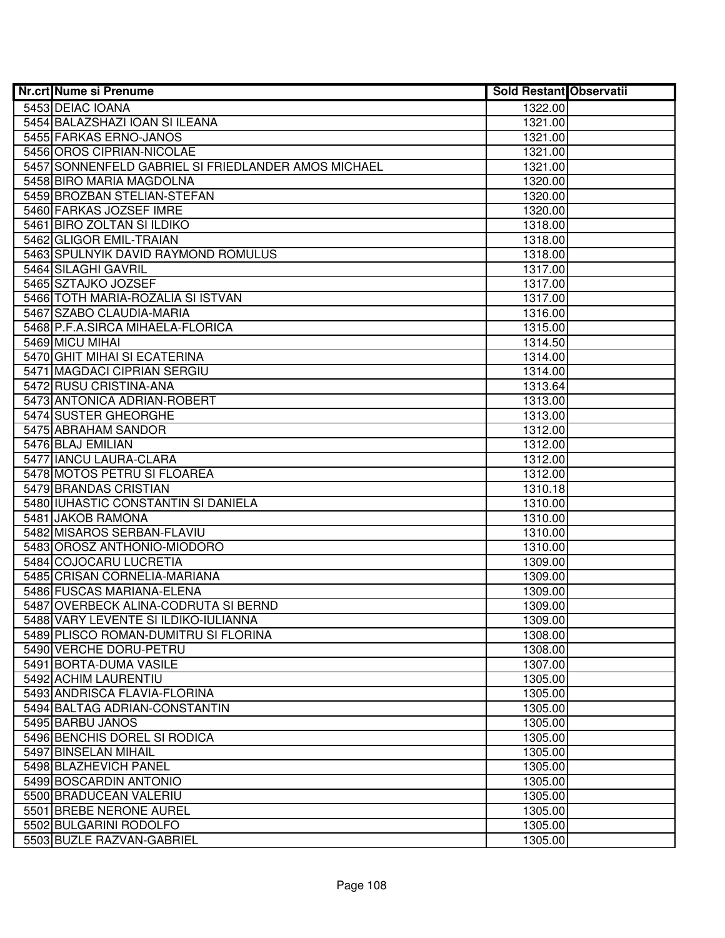| Nr.crt Nume si Prenume                                         | <b>Sold Restant Observatii</b> |  |
|----------------------------------------------------------------|--------------------------------|--|
| 5453 DEIAC IOANA                                               | 1322.00                        |  |
| 5454 BALAZSHAZI IOAN SI ILEANA                                 | 1321.00                        |  |
| 5455 FARKAS ERNO-JANOS                                         | 1321.00                        |  |
| 5456 OROS CIPRIAN-NICOLAE                                      | 1321.00                        |  |
| 5457 SONNENFELD GABRIEL SI FRIEDLANDER AMOS MICHAEL            | 1321.00                        |  |
| 5458 BIRO MARIA MAGDOLNA                                       | 1320.00                        |  |
| 5459 BROZBAN STELIAN-STEFAN                                    | 1320.00                        |  |
| 5460 FARKAS JOZSEF IMRE                                        | 1320.00                        |  |
| 5461 BIRO ZOLTAN SI ILDIKO                                     | 1318.00                        |  |
| 5462 GLIGOR EMIL-TRAIAN                                        | 1318.00                        |  |
| 5463 SPULNYIK DAVID RAYMOND ROMULUS                            | 1318.00                        |  |
| 5464 SILAGHI GAVRIL                                            | 1317.00                        |  |
| 5465 SZTAJKO JOZSEF                                            | 1317.00                        |  |
| 5466 TOTH MARIA-ROZALIA SI ISTVAN                              | 1317.00                        |  |
| 5467 SZABO CLAUDIA-MARIA                                       | 1316.00                        |  |
| 5468 P.F.A.SIRCA MIHAELA-FLORICA                               | 1315.00                        |  |
| 5469 MICU MIHAI                                                | 1314.50                        |  |
| 5470 GHIT MIHAI SI ECATERINA                                   | 1314.00                        |  |
| 5471 MAGDACI CIPRIAN SERGIU                                    | 1314.00                        |  |
| 5472 RUSU CRISTINA-ANA                                         | 1313.64                        |  |
| 5473 ANTONICA ADRIAN-ROBERT                                    | 1313.00                        |  |
| 5474 SUSTER GHEORGHE                                           | 1313.00                        |  |
| 5475 ABRAHAM SANDOR                                            | 1312.00                        |  |
| 5476 BLAJ EMILIAN                                              | 1312.00                        |  |
| 5477 IANCU LAURA-CLARA                                         | 1312.00                        |  |
| 5478 MOTOS PETRU SI FLOAREA                                    | 1312.00                        |  |
| 5479 BRANDAS CRISTIAN                                          | 1310.18                        |  |
| 5480 IUHASTIC CONSTANTIN SI DANIELA                            | 1310.00                        |  |
| 5481 JAKOB RAMONA                                              | 1310.00                        |  |
| 5482 MISAROS SERBAN-FLAVIU                                     | 1310.00                        |  |
| 5483 OROSZ ANTHONIO-MIODORO                                    | 1310.00                        |  |
| 5484 COJOCARU LUCRETIA                                         | 1309.00                        |  |
| 5485 CRISAN CORNELIA-MARIANA                                   | 1309.00                        |  |
| 5486 FUSCAS MARIANA-ELENA                                      | 1309.00                        |  |
| 5487 OVERBECK ALINA-CODRUTA SI BERND                           | 1309.00<br>1309.00             |  |
| 5488 VARY LEVENTE SI ILDIKO-IULIANNA                           |                                |  |
| 5489 PLISCO ROMAN-DUMITRU SI FLORINA<br>5490 VERCHE DORU-PETRU | 1308.00<br>1308.00             |  |
| 5491 BORTA-DUMA VASILE                                         | 1307.00                        |  |
| 5492 ACHIM LAURENTIU                                           | 1305.00                        |  |
| 5493 ANDRISCA FLAVIA-FLORINA                                   | 1305.00                        |  |
| 5494 BALTAG ADRIAN-CONSTANTIN                                  | 1305.00                        |  |
| 5495 BARBU JANOS                                               | 1305.00                        |  |
| 5496 BENCHIS DOREL SI RODICA                                   | 1305.00                        |  |
| 5497 BINSELAN MIHAIL                                           | 1305.00                        |  |
| 5498 BLAZHEVICH PANEL                                          | 1305.00                        |  |
| 5499 BOSCARDIN ANTONIO                                         | 1305.00                        |  |
| 5500 BRADUCEAN VALERIU                                         | 1305.00                        |  |
| 5501 BREBE NERONE AUREL                                        | 1305.00                        |  |
| 5502 BULGARINI RODOLFO                                         | 1305.00                        |  |
| 5503 BUZLE RAZVAN-GABRIEL                                      | 1305.00                        |  |
|                                                                |                                |  |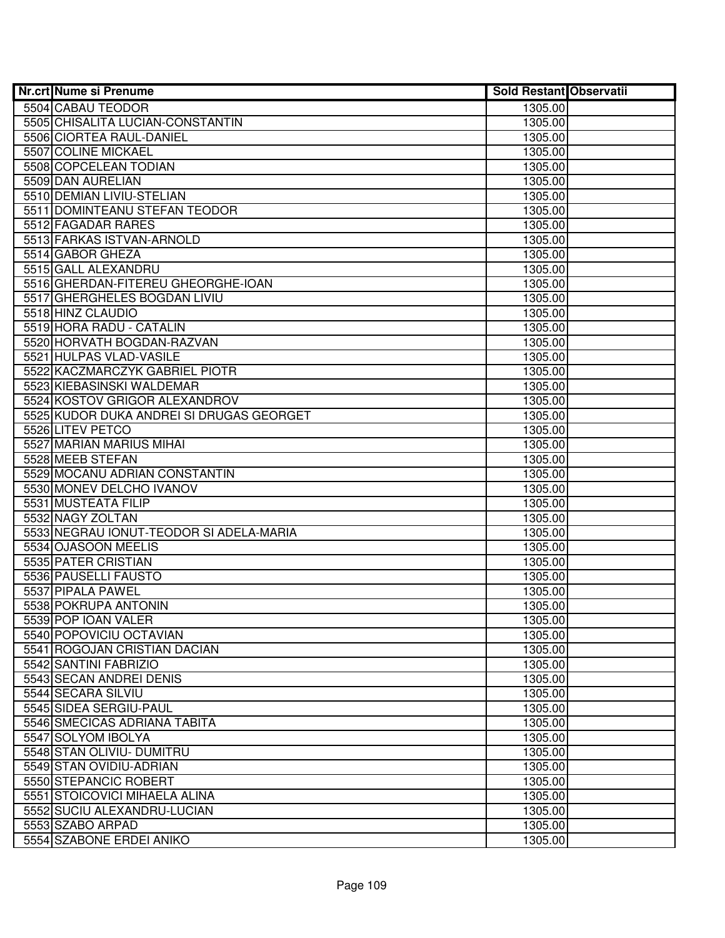| <b>Nr.crt Nume si Prenume</b>                        | <b>Sold Restant Observatii</b> |  |
|------------------------------------------------------|--------------------------------|--|
| 5504 CABAU TEODOR                                    | 1305.00                        |  |
| 5505 CHISALITA LUCIAN-CONSTANTIN                     | 1305.00                        |  |
| 5506 CIORTEA RAUL-DANIEL                             | 1305.00                        |  |
| 5507 COLINE MICKAEL                                  | 1305.00                        |  |
| 5508 COPCELEAN TODIAN                                | 1305.00                        |  |
| 5509 DAN AURELIAN                                    | 1305.00                        |  |
| 5510 DEMIAN LIVIU-STELIAN                            | 1305.00                        |  |
| 5511 DOMINTEANU STEFAN TEODOR                        | 1305.00                        |  |
| 5512 FAGADAR RARES                                   | 1305.00                        |  |
| 5513 FARKAS ISTVAN-ARNOLD                            | 1305.00                        |  |
| 5514 GABOR GHEZA                                     | 1305.00                        |  |
| 5515 GALL ALEXANDRU                                  | 1305.00                        |  |
| 5516 GHERDAN-FITEREU GHEORGHE-IOAN                   | 1305.00                        |  |
| 5517 GHERGHELES BOGDAN LIVIU                         | 1305.00                        |  |
| 5518 HINZ CLAUDIO                                    | 1305.00                        |  |
| 5519 HORA RADU - CATALIN                             | 1305.00                        |  |
| 5520 HORVATH BOGDAN-RAZVAN                           | 1305.00                        |  |
| 5521 HULPAS VLAD-VASILE                              | 1305.00                        |  |
| 5522 KACZMARCZYK GABRIEL PIOTR                       | 1305.00                        |  |
| 5523 KIEBASINSKI WALDEMAR                            | 1305.00                        |  |
| 5524 KOSTOV GRIGOR ALEXANDROV                        | 1305.00                        |  |
| 5525 KUDOR DUKA ANDREI SI DRUGAS GEORGET             | 1305.00                        |  |
| 5526 LITEV PETCO                                     | 1305.00                        |  |
| 5527 MARIAN MARIUS MIHAI                             | 1305.00                        |  |
| 5528 MEEB STEFAN                                     | 1305.00                        |  |
| 5529 MOCANU ADRIAN CONSTANTIN                        | 1305.00                        |  |
| 5530 MONEV DELCHO IVANOV                             | 1305.00                        |  |
| 5531 MUSTEATA FILIP                                  | 1305.00                        |  |
| 5532 NAGY ZOLTAN                                     | 1305.00                        |  |
| 5533 NEGRAU IONUT-TEODOR SI ADELA-MARIA              | 1305.00                        |  |
| 5534 OJASOON MEELIS                                  | 1305.00                        |  |
| 5535 PATER CRISTIAN                                  | 1305.00                        |  |
| 5536 PAUSELLI FAUSTO                                 | 1305.00                        |  |
| 5537 PIPALA PAWEL                                    | 1305.00                        |  |
| 5538 POKRUPA ANTONIN                                 | 1305.00                        |  |
| 5539 POP IOAN VALER                                  | 1305.00                        |  |
| 5540 POPOVICIU OCTAVIAN                              | 1305.00                        |  |
| 5541 ROGOJAN CRISTIAN DACIAN                         | 1305.00                        |  |
| 5542 SANTINI FABRIZIO                                | 1305.00                        |  |
| 5543 SECAN ANDREI DENIS<br>5544 SECARA SILVIU        | 1305.00                        |  |
| 5545 SIDEA SERGIU-PAUL                               | 1305.00                        |  |
| 5546 SMECICAS ADRIANA TABITA                         | 1305.00<br>1305.00             |  |
|                                                      |                                |  |
| 5547 SOLYOM IBOLYA                                   | 1305.00                        |  |
| 5548 STAN OLIVIU- DUMITRU<br>5549 STAN OVIDIU-ADRIAN | 1305.00<br>1305.00             |  |
| 5550 STEPANCIC ROBERT                                | 1305.00                        |  |
| 5551 STOICOVICI MIHAELA ALINA                        | 1305.00                        |  |
| 5552 SUCIU ALEXANDRU-LUCIAN                          | 1305.00                        |  |
| 5553 SZABO ARPAD                                     | 1305.00                        |  |
| 5554 SZABONE ERDEI ANIKO                             | 1305.00                        |  |
|                                                      |                                |  |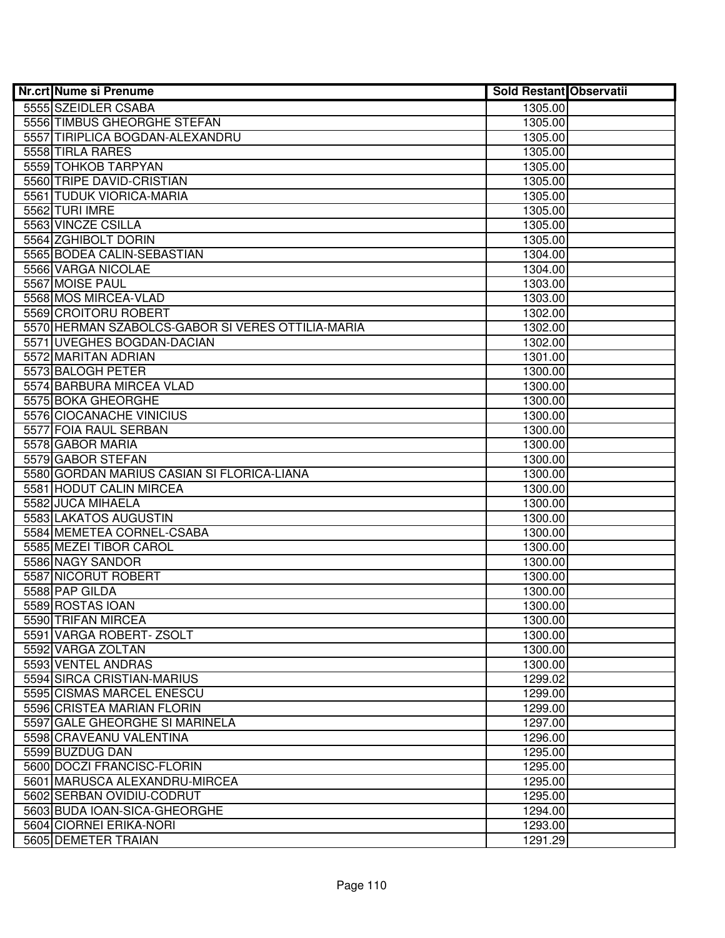| <b>Nr.crt Nume si Prenume</b>                     | <b>Sold Restant Observatii</b> |  |
|---------------------------------------------------|--------------------------------|--|
| 5555 SZEIDLER CSABA                               | 1305.00                        |  |
| 5556 TIMBUS GHEORGHE STEFAN                       | 1305.00                        |  |
| 5557 TIRIPLICA BOGDAN-ALEXANDRU                   | 1305.00                        |  |
| 5558 TIRLA RARES                                  | 1305.00                        |  |
| 5559 TOHKOB TARPYAN                               | 1305.00                        |  |
| 5560 TRIPE DAVID-CRISTIAN                         | 1305.00                        |  |
| 5561 TUDUK VIORICA-MARIA                          | 1305.00                        |  |
| 5562 TURI IMRE                                    | 1305.00                        |  |
| 5563 VINCZE CSILLA                                | 1305.00                        |  |
| 5564 ZGHIBOLT DORIN                               | 1305.00                        |  |
| 5565 BODEA CALIN-SEBASTIAN                        | 1304.00                        |  |
| 5566 VARGA NICOLAE                                | 1304.00                        |  |
| 5567 MOISE PAUL                                   | 1303.00                        |  |
| 5568 MOS MIRCEA-VLAD                              | 1303.00                        |  |
| 5569 CROITORU ROBERT                              | 1302.00                        |  |
| 5570 HERMAN SZABOLCS-GABOR SI VERES OTTILIA-MARIA | 1302.00                        |  |
| 5571 UVEGHES BOGDAN-DACIAN                        | 1302.00                        |  |
| 5572 MARITAN ADRIAN                               | 1301.00                        |  |
| 5573 BALOGH PETER                                 | 1300.00                        |  |
| 5574 BARBURA MIRCEA VLAD                          | 1300.00                        |  |
| 5575 BOKA GHEORGHE                                | 1300.00                        |  |
| 5576 CIOCANACHE VINICIUS                          | 1300.00                        |  |
| 5577 FOIA RAUL SERBAN                             | 1300.00                        |  |
| 5578 GABOR MARIA                                  | 1300.00                        |  |
| 5579 GABOR STEFAN                                 | 1300.00                        |  |
| 5580 GORDAN MARIUS CASIAN SI FLORICA-LIANA        | 1300.00                        |  |
| 5581 HODUT CALIN MIRCEA                           | 1300.00                        |  |
| 5582 JUCA MIHAELA                                 | 1300.00                        |  |
| 5583 LAKATOS AUGUSTIN                             | 1300.00                        |  |
| 5584 MEMETEA CORNEL-CSABA                         | 1300.00                        |  |
| 5585 MEZEI TIBOR CAROL                            | 1300.00                        |  |
| 5586 NAGY SANDOR                                  | 1300.00                        |  |
| 5587 NICORUT ROBERT                               | 1300.00                        |  |
| 5588 PAP GILDA                                    | 1300.00                        |  |
| 5589 ROSTAS IOAN                                  | 1300.00                        |  |
| 5590 TRIFAN MIRCEA                                | 1300.00                        |  |
| 5591 VARGA ROBERT- ZSOLT                          | 1300.00                        |  |
| 5592 VARGA ZOLTAN                                 | 1300.00                        |  |
| 5593 VENTEL ANDRAS                                | 1300.00                        |  |
| 5594 SIRCA CRISTIAN-MARIUS                        | 1299.02                        |  |
| 5595 CISMAS MARCEL ENESCU                         | 1299.00                        |  |
| 5596 CRISTEA MARIAN FLORIN                        | 1299.00                        |  |
| 5597 GALE GHEORGHE SI MARINELA                    | 1297.00                        |  |
| 5598 CRAVEANU VALENTINA                           | 1296.00                        |  |
| 5599 BUZDUG DAN                                   | 1295.00                        |  |
| 5600 DOCZI FRANCISC-FLORIN                        | 1295.00                        |  |
| 5601 MARUSCA ALEXANDRU-MIRCEA                     | 1295.00                        |  |
| 5602 SERBAN OVIDIU-CODRUT                         | 1295.00                        |  |
| 5603 BUDA IOAN-SICA-GHEORGHE                      | 1294.00                        |  |
| 5604 CIORNEI ERIKA-NORI                           | 1293.00                        |  |
| 5605 DEMETER TRAIAN                               | 1291.29                        |  |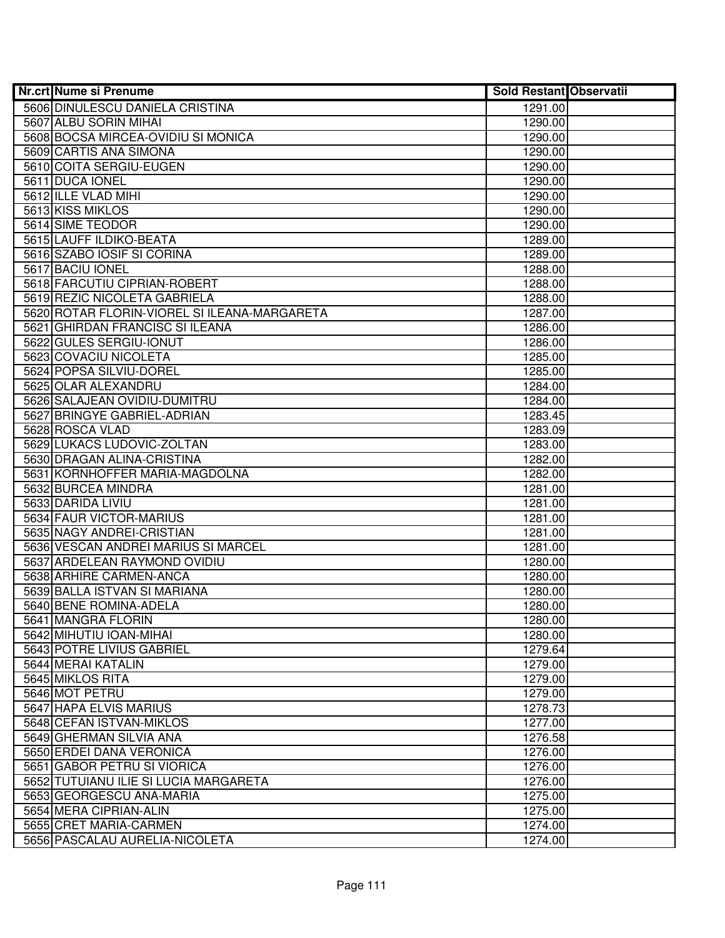| <b>Nr.crt Nume si Prenume</b>                | <b>Sold Restant Observatii</b> |  |
|----------------------------------------------|--------------------------------|--|
| 5606 DINULESCU DANIELA CRISTINA              | 1291.00                        |  |
| 5607 ALBU SORIN MIHAI                        | 1290.00                        |  |
| 5608 BOCSA MIRCEA-OVIDIU SI MONICA           | 1290.00                        |  |
| 5609 CARTIS ANA SIMONA                       | 1290.00                        |  |
| 5610 COITA SERGIU-EUGEN                      | 1290.00                        |  |
| 5611 DUCA IONEL                              | 1290.00                        |  |
| 5612 ILLE VLAD MIHI                          | 1290.00                        |  |
| 5613 KISS MIKLOS                             | 1290.00                        |  |
| 5614 SIME TEODOR                             | 1290.00                        |  |
| 5615 LAUFF ILDIKO-BEATA                      | 1289.00                        |  |
| 5616 SZABO IOSIF SI CORINA                   | 1289.00                        |  |
| 5617 BACIU IONEL                             | 1288.00                        |  |
| 5618 FARCUTIU CIPRIAN-ROBERT                 | 1288.00                        |  |
| 5619 REZIC NICOLETA GABRIELA                 | 1288.00                        |  |
| 5620 ROTAR FLORIN-VIOREL SI ILEANA-MARGARETA | 1287.00                        |  |
| 5621 GHIRDAN FRANCISC SI ILEANA              | 1286.00                        |  |
| 5622 GULES SERGIU-IONUT                      | 1286.00                        |  |
| 5623 COVACIU NICOLETA                        | 1285.00                        |  |
| 5624 POPSA SILVIU-DOREL                      | 1285.00                        |  |
| 5625 OLAR ALEXANDRU                          | 1284.00                        |  |
| 5626 SALAJEAN OVIDIU-DUMITRU                 | 1284.00                        |  |
| 5627 BRINGYE GABRIEL-ADRIAN                  | 1283.45                        |  |
| 5628 ROSCA VLAD                              | 1283.09                        |  |
| 5629 LUKACS LUDOVIC-ZOLTAN                   | 1283.00                        |  |
| 5630 DRAGAN ALINA-CRISTINA                   | 1282.00                        |  |
| 5631 KORNHOFFER MARIA-MAGDOLNA               | 1282.00                        |  |
| 5632 BURCEA MINDRA                           | 1281.00                        |  |
| 5633 DARIDA LIVIU                            | 1281.00                        |  |
| 5634 FAUR VICTOR-MARIUS                      | 1281.00                        |  |
| 5635 NAGY ANDREI-CRISTIAN                    | 1281.00                        |  |
| 5636 VESCAN ANDREI MARIUS SI MARCEL          | 1281.00                        |  |
| 5637 ARDELEAN RAYMOND OVIDIU                 | 1280.00                        |  |
| 5638 ARHIRE CARMEN-ANCA                      | 1280.00                        |  |
| 5639 BALLA ISTVAN SI MARIANA                 | 1280.00                        |  |
| 5640 BENE ROMINA-ADELA                       | 1280.00                        |  |
| 5641 MANGRA FLORIN                           | 1280.00                        |  |
| 5642 MIHUTIU IOAN-MIHAI                      | 1280.00                        |  |
| 5643 POTRE LIVIUS GABRIEL                    | 1279.64                        |  |
| 5644 MERAI KATALIN                           | 1279.00                        |  |
| 5645 MIKLOS RITA                             | 1279.00                        |  |
| 5646 MOT PETRU                               | 1279.00                        |  |
| 5647 HAPA ELVIS MARIUS                       | 1278.73                        |  |
| 5648 CEFAN ISTVAN-MIKLOS                     | 1277.00                        |  |
| 5649 GHERMAN SILVIA ANA                      | 1276.58                        |  |
| 5650 ERDEI DANA VERONICA                     | 1276.00                        |  |
| 5651 GABOR PETRU SI VIORICA                  | 1276.00                        |  |
| 5652 TUTUIANU ILIE SI LUCIA MARGARETA        | 1276.00                        |  |
| 5653 GEORGESCU ANA-MARIA                     | 1275.00                        |  |
| 5654 MERA CIPRIAN-ALIN                       | 1275.00                        |  |
| 5655 CRET MARIA-CARMEN                       | 1274.00                        |  |
| 5656 PASCALAU AURELIA-NICOLETA               | 1274.00                        |  |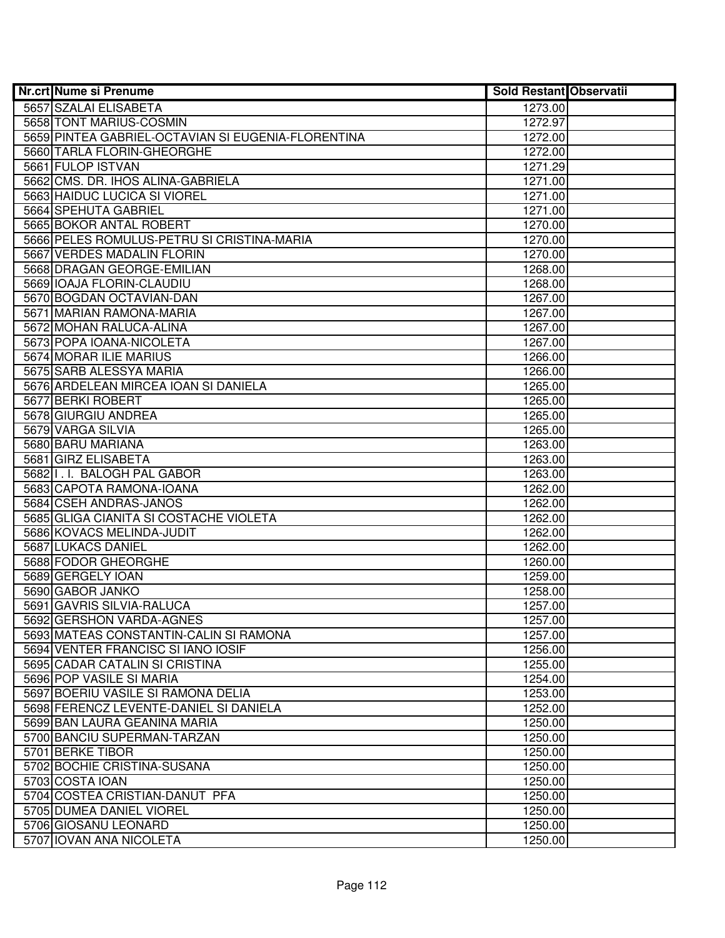| <b>Nr.crt Nume si Prenume</b>                      | <b>Sold Restant Observatii</b> |  |
|----------------------------------------------------|--------------------------------|--|
| 5657 SZALAI ELISABETA                              | 1273.00                        |  |
| 5658 TONT MARIUS-COSMIN                            | 1272.97                        |  |
| 5659 PINTEA GABRIEL-OCTAVIAN SI EUGENIA-FLORENTINA | 1272.00                        |  |
| 5660 TARLA FLORIN-GHEORGHE                         | 1272.00                        |  |
| 5661 FULOP ISTVAN                                  | 1271.29                        |  |
| 5662 CMS. DR. IHOS ALINA-GABRIELA                  | 1271.00                        |  |
| 5663 HAIDUC LUCICA SI VIOREL                       | 1271.00                        |  |
| 5664 SPEHUTA GABRIEL                               | 1271.00                        |  |
| 5665 BOKOR ANTAL ROBERT                            | 1270.00                        |  |
| 5666 PELES ROMULUS-PETRU SI CRISTINA-MARIA         | 1270.00                        |  |
| 5667 VERDES MADALIN FLORIN                         | 1270.00                        |  |
| 5668 DRAGAN GEORGE-EMILIAN                         | 1268.00                        |  |
| 5669 IOAJA FLORIN-CLAUDIU                          | 1268.00                        |  |
| 5670 BOGDAN OCTAVIAN-DAN                           | 1267.00                        |  |
| 5671 MARIAN RAMONA-MARIA                           | 1267.00                        |  |
| 5672 MOHAN RALUCA-ALINA                            | 1267.00                        |  |
| 5673 POPA IOANA-NICOLETA                           | 1267.00                        |  |
| 5674 MORAR ILIE MARIUS                             | 1266.00                        |  |
| 5675 SARB ALESSYA MARIA                            | 1266.00                        |  |
| 5676 ARDELEAN MIRCEA IOAN SI DANIELA               | 1265.00                        |  |
| 5677 BERKI ROBERT                                  | 1265.00                        |  |
| 5678 GIURGIU ANDREA                                | 1265.00                        |  |
| 5679 VARGA SILVIA                                  | 1265.00                        |  |
| 5680 BARU MARIANA                                  | 1263.00                        |  |
| 5681 GIRZ ELISABETA                                | 1263.00                        |  |
| 5682 I.I. BALOGH PAL GABOR                         | 1263.00                        |  |
| 5683 CAPOTA RAMONA-IOANA                           | 1262.00                        |  |
| 5684 CSEH ANDRAS-JANOS                             | 1262.00                        |  |
| 5685 GLIGA CIANITA SI COSTACHE VIOLETA             | 1262.00                        |  |
| 5686 KOVACS MELINDA-JUDIT                          | 1262.00                        |  |
| 5687 LUKACS DANIEL                                 | 1262.00                        |  |
| 5688 FODOR GHEORGHE                                | 1260.00                        |  |
| 5689 GERGELY IOAN                                  | 1259.00                        |  |
| 5690 GABOR JANKO                                   | 1258.00                        |  |
| 5691 GAVRIS SILVIA-RALUCA                          | 1257.00                        |  |
| 5692 GERSHON VARDA-AGNES                           | 1257.00                        |  |
| 5693 MATEAS CONSTANTIN-CALIN SI RAMONA             | 1257.00                        |  |
| 5694 VENTER FRANCISC SI IANO IOSIF                 | 1256.00                        |  |
| 5695 CADAR CATALIN SI CRISTINA                     | 1255.00                        |  |
| 5696 POP VASILE SI MARIA                           | 1254.00                        |  |
| 5697 BOERIU VASILE SI RAMONA DELIA                 | 1253.00                        |  |
| 5698 FERENCZ LEVENTE-DANIEL SI DANIELA             | 1252.00                        |  |
| 5699 BAN LAURA GEANINA MARIA                       | 1250.00                        |  |
| 5700 BANCIU SUPERMAN-TARZAN                        | 1250.00                        |  |
| 5701 BERKE TIBOR                                   | 1250.00                        |  |
| 5702 BOCHIE CRISTINA-SUSANA                        | 1250.00                        |  |
| 5703 COSTA IOAN                                    | 1250.00                        |  |
| 5704 COSTEA CRISTIAN-DANUT PFA                     | 1250.00                        |  |
| 5705 DUMEA DANIEL VIOREL                           | 1250.00                        |  |
| 5706 GIOSANU LEONARD                               | 1250.00                        |  |
| 5707 IOVAN ANA NICOLETA                            | 1250.00                        |  |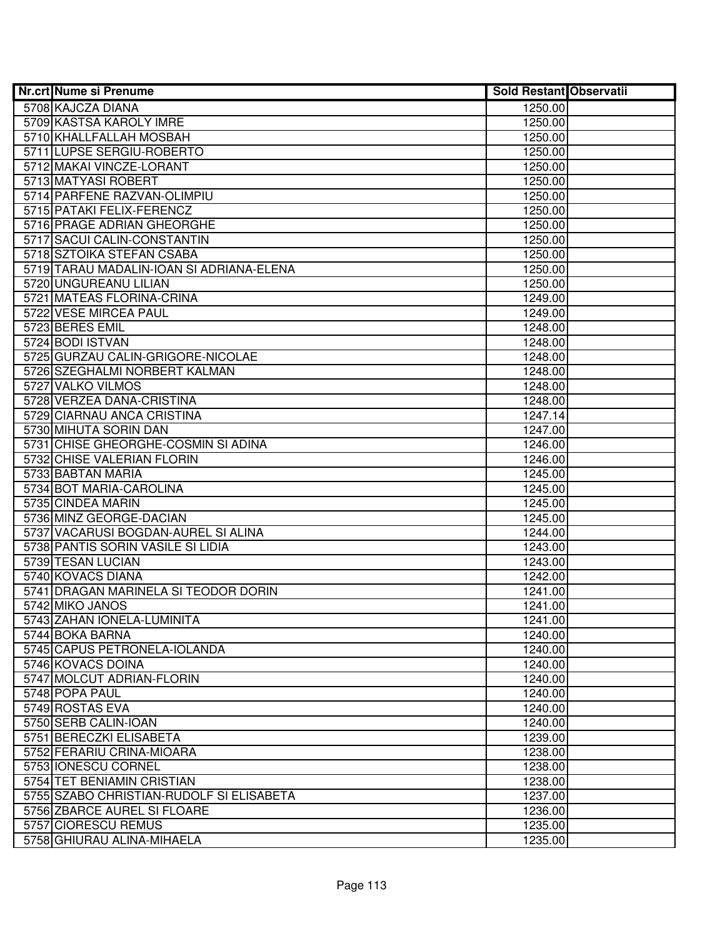| <b>Nr.crt Nume si Prenume</b>                      | <b>Sold Restant Observatii</b> |  |
|----------------------------------------------------|--------------------------------|--|
| 5708 KAJCZA DIANA                                  | 1250.00                        |  |
| 5709 KASTSA KAROLY IMRE                            | 1250.00                        |  |
| 5710 KHALLFALLAH MOSBAH                            | 1250.00                        |  |
| 5711 LUPSE SERGIU-ROBERTO                          | 1250.00                        |  |
| 5712 MAKAI VINCZE-LORANT                           | 1250.00                        |  |
| 5713 MATYASI ROBERT                                | 1250.00                        |  |
| 5714 PARFENE RAZVAN-OLIMPIU                        | 1250.00                        |  |
| 5715 PATAKI FELIX-FERENCZ                          | 1250.00                        |  |
| 5716 PRAGE ADRIAN GHEORGHE                         | 1250.00                        |  |
| 5717 SACUI CALIN-CONSTANTIN                        | 1250.00                        |  |
| 5718 SZTOIKA STEFAN CSABA                          | 1250.00                        |  |
| 5719 TARAU MADALIN-IOAN SI ADRIANA-ELENA           | 1250.00                        |  |
| 5720 UNGUREANU LILIAN                              | 1250.00                        |  |
| 5721 MATEAS FLORINA-CRINA                          | 1249.00                        |  |
| 5722 VESE MIRCEA PAUL                              | 1249.00                        |  |
| 5723 BERES EMIL                                    | 1248.00                        |  |
| 5724 BODI ISTVAN                                   | 1248.00                        |  |
| 5725 GURZAU CALIN-GRIGORE-NICOLAE                  | 1248.00                        |  |
| 5726 SZEGHALMI NORBERT KALMAN                      | 1248.00                        |  |
| 5727 VALKO VILMOS                                  | 1248.00                        |  |
| 5728 VERZEA DANA-CRISTINA                          | 1248.00                        |  |
| 5729 CIARNAU ANCA CRISTINA                         | 1247.14                        |  |
| 5730 MIHUTA SORIN DAN                              | 1247.00                        |  |
| 5731 CHISE GHEORGHE-COSMIN SI ADINA                | 1246.00                        |  |
| 5732 CHISE VALERIAN FLORIN                         | 1246.00                        |  |
| 5733 BABTAN MARIA                                  | 1245.00                        |  |
| 5734 BOT MARIA-CAROLINA                            | 1245.00                        |  |
| 5735 CINDEA MARIN                                  | 1245.00                        |  |
| 5736 MINZ GEORGE-DACIAN                            | 1245.00                        |  |
| 5737 VACARUSI BOGDAN-AUREL SI ALINA                | 1244.00                        |  |
| 5738 PANTIS SORIN VASILE SI LIDIA                  | 1243.00                        |  |
| 5739 TESAN LUCIAN                                  | 1243.00                        |  |
| 5740 KOVACS DIANA                                  | 1242.00                        |  |
| 5741 DRAGAN MARINELA SI TEODOR DORIN               | 1241.00                        |  |
| 5742 MIKO JANOS                                    | 1241.00                        |  |
| 5743 ZAHAN IONELA-LUMINITA                         | 1241.00                        |  |
| 5744 BOKA BARNA                                    | 1240.00                        |  |
| 5745 CAPUS PETRONELA-IOLANDA                       | 1240.00                        |  |
| 5746 KOVACS DOINA                                  | 1240.00                        |  |
| 5747 MOLCUT ADRIAN-FLORIN                          | 1240.00                        |  |
| 5748 POPA PAUL                                     | 1240.00                        |  |
| 5749 ROSTAS EVA                                    | 1240.00                        |  |
| 5750 SERB CALIN-IOAN                               | 1240.00                        |  |
| 5751 BERECZKI ELISABETA                            | 1239.00                        |  |
| 5752 FERARIU CRINA-MIOARA                          | 1238.00                        |  |
| 5753 IONESCU CORNEL                                | 1238.00                        |  |
| 5754 TET BENIAMIN CRISTIAN                         | 1238.00                        |  |
| 5755 SZABO CHRISTIAN-RUDOLF SI ELISABETA           | 1237.00                        |  |
| 5756 ZBARCE AUREL SI FLOARE<br>5757 CIORESCU REMUS | 1236.00<br>1235.00             |  |
| 5758 GHIURAU ALINA-MIHAELA                         |                                |  |
|                                                    | 1235.00                        |  |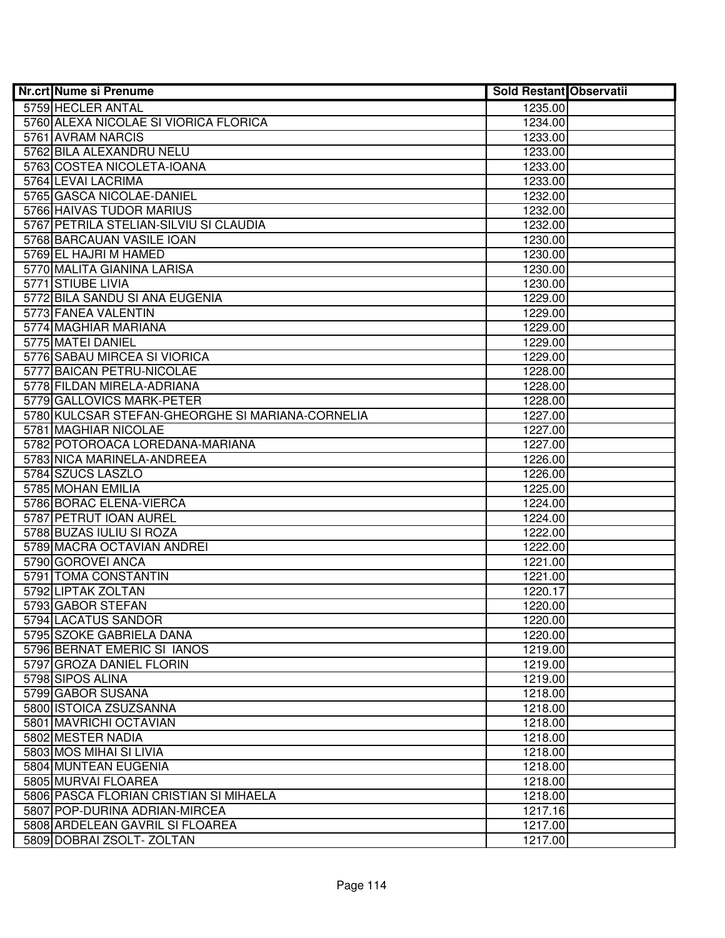| <b>Nr.crt Nume si Prenume</b>                    | <b>Sold Restant Observatii</b> |  |
|--------------------------------------------------|--------------------------------|--|
| 5759 HECLER ANTAL                                | 1235.00                        |  |
| 5760 ALEXA NICOLAE SI VIORICA FLORICA            | 1234.00                        |  |
| 5761 AVRAM NARCIS                                | 1233.00                        |  |
| 5762 BILA ALEXANDRU NELU                         | 1233.00                        |  |
| 5763 COSTEA NICOLETA-IOANA                       | 1233.00                        |  |
| 5764 LEVAI LACRIMA                               | 1233.00                        |  |
| 5765 GASCA NICOLAE-DANIEL                        | 1232.00                        |  |
| 5766 HAIVAS TUDOR MARIUS                         | 1232.00                        |  |
| 5767 PETRILA STELIAN-SILVIU SI CLAUDIA           | 1232.00                        |  |
| 5768 BARCAUAN VASILE IOAN                        | 1230.00                        |  |
| 5769 EL HAJRI M HAMED                            | 1230.00                        |  |
| 5770 MALITA GIANINA LARISA                       | 1230.00                        |  |
| 5771 STIUBE LIVIA                                | 1230.00                        |  |
| 5772 BILA SANDU SI ANA EUGENIA                   | 1229.00                        |  |
| 5773 FANEA VALENTIN                              | 1229.00                        |  |
| 5774 MAGHIAR MARIANA                             | 1229.00                        |  |
| 5775 MATEI DANIEL                                | 1229.00                        |  |
| 5776 SABAU MIRCEA SI VIORICA                     | 1229.00                        |  |
| 5777 BAICAN PETRU-NICOLAE                        | 1228.00                        |  |
| 5778 FILDAN MIRELA-ADRIANA                       | 1228.00                        |  |
| 5779 GALLOVICS MARK-PETER                        | 1228.00                        |  |
| 5780 KULCSAR STEFAN-GHEORGHE SI MARIANA-CORNELIA | 1227.00                        |  |
| 5781 MAGHIAR NICOLAE                             | 1227.00                        |  |
| 5782 POTOROACA LOREDANA-MARIANA                  | 1227.00                        |  |
| 5783 NICA MARINELA-ANDREEA                       | 1226.00                        |  |
| 5784 SZUCS LASZLO                                | 1226.00                        |  |
| 5785 MOHAN EMILIA                                | 1225.00                        |  |
| 5786 BORAC ELENA-VIERCA                          | 1224.00                        |  |
| 5787 PETRUT IOAN AUREL                           | 1224.00                        |  |
| 5788 BUZAS IULIU SI ROZA                         | 1222.00                        |  |
| 5789 MACRA OCTAVIAN ANDREI                       | 1222.00                        |  |
| 5790 GOROVEI ANCA                                | 1221.00                        |  |
| 5791 TOMA CONSTANTIN                             | 1221.00                        |  |
| 5792 LIPTAK ZOLTAN                               | 1220.17                        |  |
| 5793 GABOR STEFAN                                | 1220.00                        |  |
| 5794 LACATUS SANDOR                              | 1220.00                        |  |
| 5795 SZOKE GABRIELA DANA                         | 1220.00                        |  |
| 5796 BERNAT EMERIC SI IANOS                      | 1219.00                        |  |
| 5797 GROZA DANIEL FLORIN                         | 1219.00                        |  |
| 5798 SIPOS ALINA                                 | 1219.00                        |  |
| 5799 GABOR SUSANA                                | 1218.00                        |  |
| 5800 ISTOICA ZSUZSANNA                           | 1218.00                        |  |
| 5801 MAVRICHI OCTAVIAN                           | 1218.00                        |  |
| 5802 MESTER NADIA                                | 1218.00                        |  |
| 5803 MOS MIHAI SI LIVIA                          | 1218.00                        |  |
| 5804 MUNTEAN EUGENIA                             | 1218.00                        |  |
| 5805 MURVAI FLOAREA                              | 1218.00                        |  |
| 5806 PASCA FLORIAN CRISTIAN SI MIHAELA           | 1218.00                        |  |
| 5807 POP-DURINA ADRIAN-MIRCEA                    | 1217.16                        |  |
| 5808 ARDELEAN GAVRIL SI FLOAREA                  | 1217.00                        |  |
| 5809 DOBRAI ZSOLT- ZOLTAN                        | 1217.00                        |  |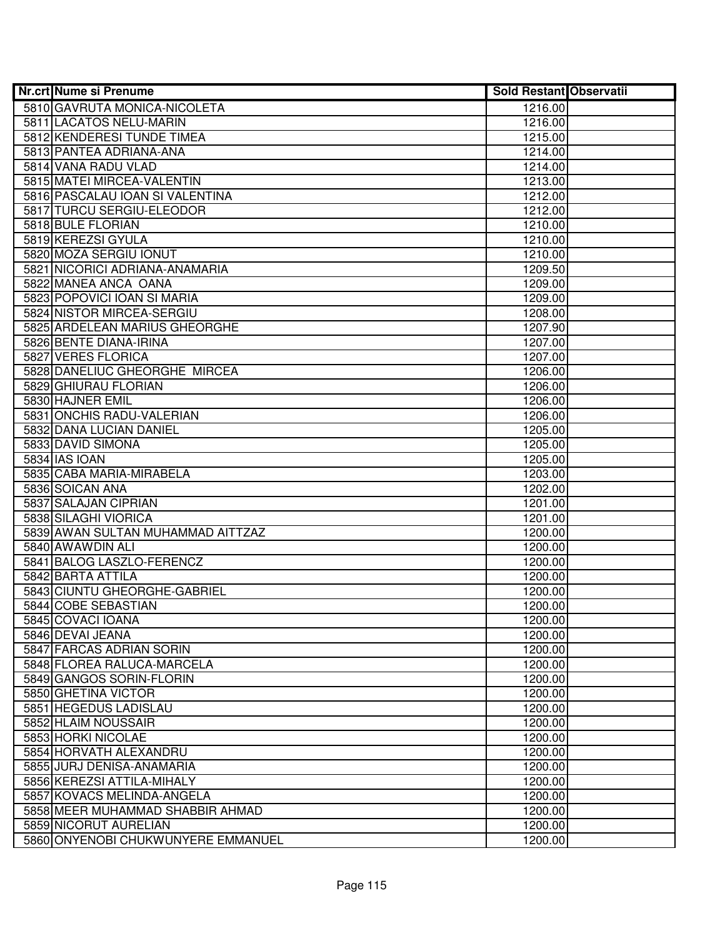| <b>Nr.crt Nume si Prenume</b>      | <b>Sold Restant Observatii</b> |  |
|------------------------------------|--------------------------------|--|
| 5810 GAVRUTA MONICA-NICOLETA       | 1216.00                        |  |
| 5811 LACATOS NELU-MARIN            | 1216.00                        |  |
| 5812 KENDERESI TUNDE TIMEA         | 1215.00                        |  |
| 5813 PANTEA ADRIANA-ANA            | 1214.00                        |  |
| 5814 VANA RADU VLAD                | 1214.00                        |  |
| 5815 MATEI MIRCEA-VALENTIN         | 1213.00                        |  |
| 5816 PASCALAU IOAN SI VALENTINA    | 1212.00                        |  |
| 5817 TURCU SERGIU-ELEODOR          | 1212.00                        |  |
| 5818 BULE FLORIAN                  | 1210.00                        |  |
| 5819 KEREZSI GYULA                 | 1210.00                        |  |
| 5820 MOZA SERGIU IONUT             | 1210.00                        |  |
| 5821 NICORICI ADRIANA-ANAMARIA     | 1209.50                        |  |
| 5822 MANEA ANCA OANA               | 1209.00                        |  |
| 5823 POPOVICI IOAN SI MARIA        | 1209.00                        |  |
| 5824 NISTOR MIRCEA-SERGIU          | 1208.00                        |  |
| 5825 ARDELEAN MARIUS GHEORGHE      | 1207.90                        |  |
| 5826 BENTE DIANA-IRINA             | 1207.00                        |  |
| 5827 VERES FLORICA                 | 1207.00                        |  |
| 5828 DANELIUC GHEORGHE MIRCEA      | 1206.00                        |  |
| 5829 GHIURAU FLORIAN               | 1206.00                        |  |
| 5830 HAJNER EMIL                   | 1206.00                        |  |
| 5831 ONCHIS RADU-VALERIAN          | 1206.00                        |  |
| 5832 DANA LUCIAN DANIEL            | 1205.00                        |  |
| 5833 DAVID SIMONA                  | 1205.00                        |  |
| 5834 IAS IOAN                      | 1205.00                        |  |
| 5835 CABA MARIA-MIRABELA           | 1203.00                        |  |
| 5836 SOICAN ANA                    | 1202.00                        |  |
| 5837 SALAJAN CIPRIAN               | 1201.00                        |  |
| 5838 SILAGHI VIORICA               | 1201.00                        |  |
| 5839 AWAN SULTAN MUHAMMAD AITTZAZ  | 1200.00                        |  |
| 5840 AWAWDIN ALI                   | 1200.00                        |  |
| 5841 BALOG LASZLO-FERENCZ          | 1200.00                        |  |
| 5842 BARTA ATTILA                  | 1200.00                        |  |
| 5843 CIUNTU GHEORGHE-GABRIEL       | 1200.00                        |  |
| 5844 COBE SEBASTIAN                | 1200.00                        |  |
| 5845 COVACI IOANA                  | 1200.00                        |  |
| 5846 DEVAI JEANA                   | 1200.00                        |  |
| 5847 FARCAS ADRIAN SORIN           | 1200.00                        |  |
| 5848 FLOREA RALUCA-MARCELA         | 1200.00                        |  |
| 5849 GANGOS SORIN-FLORIN           | 1200.00                        |  |
| 5850 GHETINA VICTOR                | 1200.00                        |  |
| 5851 HEGEDUS LADISLAU              | 1200.00                        |  |
| 5852 HLAIM NOUSSAIR                | 1200.00                        |  |
| 5853 HORKI NICOLAE                 | 1200.00                        |  |
| 5854 HORVATH ALEXANDRU             | 1200.00                        |  |
| 5855 JURJ DENISA-ANAMARIA          | 1200.00                        |  |
| 5856 KEREZSI ATTILA-MIHALY         | 1200.00                        |  |
| 5857 KOVACS MELINDA-ANGELA         | 1200.00                        |  |
| 5858 MEER MUHAMMAD SHABBIR AHMAD   | 1200.00                        |  |
| 5859 NICORUT AURELIAN              | 1200.00                        |  |
| 5860 ONYENOBI CHUKWUNYERE EMMANUEL | 1200.00                        |  |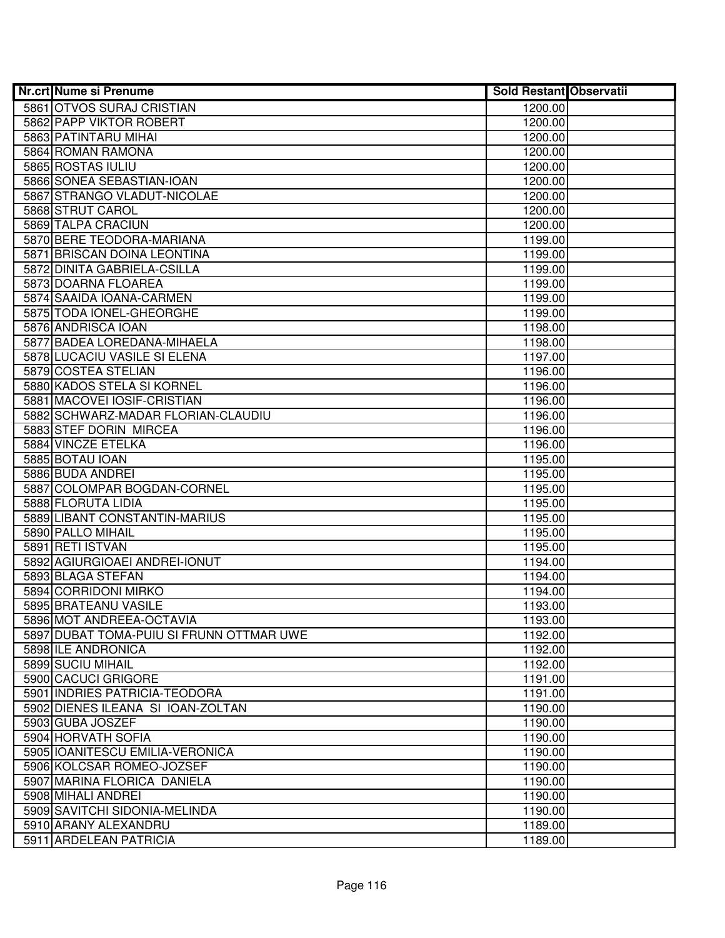| <b>Nr.crt Nume si Prenume</b>            | <b>Sold Restant Observatii</b> |  |
|------------------------------------------|--------------------------------|--|
| 5861 OTVOS SURAJ CRISTIAN                | 1200.00                        |  |
| 5862 PAPP VIKTOR ROBERT                  | 1200.00                        |  |
| 5863 PATINTARU MIHAI                     | 1200.00                        |  |
| 5864 ROMAN RAMONA                        | 1200.00                        |  |
| 5865 ROSTAS IULIU                        | 1200.00                        |  |
| 5866 SONEA SEBASTIAN-IOAN                | 1200.00                        |  |
| 5867 STRANGO VLADUT-NICOLAE              | 1200.00                        |  |
| 5868 STRUT CAROL                         | 1200.00                        |  |
| 5869 TALPA CRACIUN                       | 1200.00                        |  |
| 5870 BERE TEODORA-MARIANA                | 1199.00                        |  |
| 5871 BRISCAN DOINA LEONTINA              | 1199.00                        |  |
| 5872 DINITA GABRIELA-CSILLA              | 1199.00                        |  |
| 5873 DOARNA FLOAREA                      | 1199.00                        |  |
| 5874 SAAIDA IOANA-CARMEN                 | 1199.00                        |  |
| 5875 TODA IONEL-GHEORGHE                 | 1199.00                        |  |
| 5876 ANDRISCA IOAN                       | 1198.00                        |  |
| 5877 BADEA LOREDANA-MIHAELA              | 1198.00                        |  |
| 5878 LUCACIU VASILE SI ELENA             | 1197.00                        |  |
| 5879 COSTEA STELIAN                      | 1196.00                        |  |
| 5880 KADOS STELA SI KORNEL               | 1196.00                        |  |
| 5881 MACOVEI IOSIF-CRISTIAN              | 1196.00                        |  |
| 5882 SCHWARZ-MADAR FLORIAN-CLAUDIU       | 1196.00                        |  |
| 5883 STEF DORIN MIRCEA                   | 1196.00                        |  |
| 5884 VINCZE ETELKA                       | 1196.00                        |  |
| 5885 BOTAU IOAN                          | 1195.00                        |  |
| 5886 BUDA ANDREI                         | 1195.00                        |  |
| 5887 COLOMPAR BOGDAN-CORNEL              | 1195.00                        |  |
| 5888 FLORUTA LIDIA                       | 1195.00                        |  |
| 5889 LIBANT CONSTANTIN-MARIUS            | 1195.00                        |  |
| 5890 PALLO MIHAIL                        | 1195.00                        |  |
| 5891 RETI ISTVAN                         | 1195.00                        |  |
| 5892 AGIURGIOAEI ANDREI-IONUT            | 1194.00                        |  |
| 5893 BLAGA STEFAN                        | 1194.00                        |  |
| 5894 CORRIDONI MIRKO                     | 1194.00                        |  |
| 5895 BRATEANU VASILE                     | 1193.00                        |  |
| 5896 MOT ANDREEA-OCTAVIA                 | 1193.00                        |  |
| 5897 DUBAT TOMA-PUIU SI FRUNN OTTMAR UWE | 1192.00                        |  |
| 5898 ILE ANDRONICA                       | 1192.00                        |  |
| 5899 SUCIU MIHAIL                        | 1192.00                        |  |
| 5900 CACUCI GRIGORE                      | 1191.00                        |  |
| 5901 INDRIES PATRICIA-TEODORA            | 1191.00                        |  |
| 5902 DIENES ILEANA SI IOAN-ZOLTAN        | 1190.00                        |  |
| 5903 GUBA JOSZEF                         | 1190.00                        |  |
| 5904 HORVATH SOFIA                       | 1190.00                        |  |
| 5905 IOANITESCU EMILIA-VERONICA          | 1190.00                        |  |
| 5906 KOLCSAR ROMEO-JOZSEF                | 1190.00                        |  |
| 5907 MARINA FLORICA DANIELA              | 1190.00                        |  |
| 5908 MIHALI ANDREI                       | 1190.00                        |  |
| 5909 SAVITCHI SIDONIA-MELINDA            | 1190.00                        |  |
| 5910 ARANY ALEXANDRU                     | 1189.00                        |  |
| 5911 ARDELEAN PATRICIA                   | 1189.00                        |  |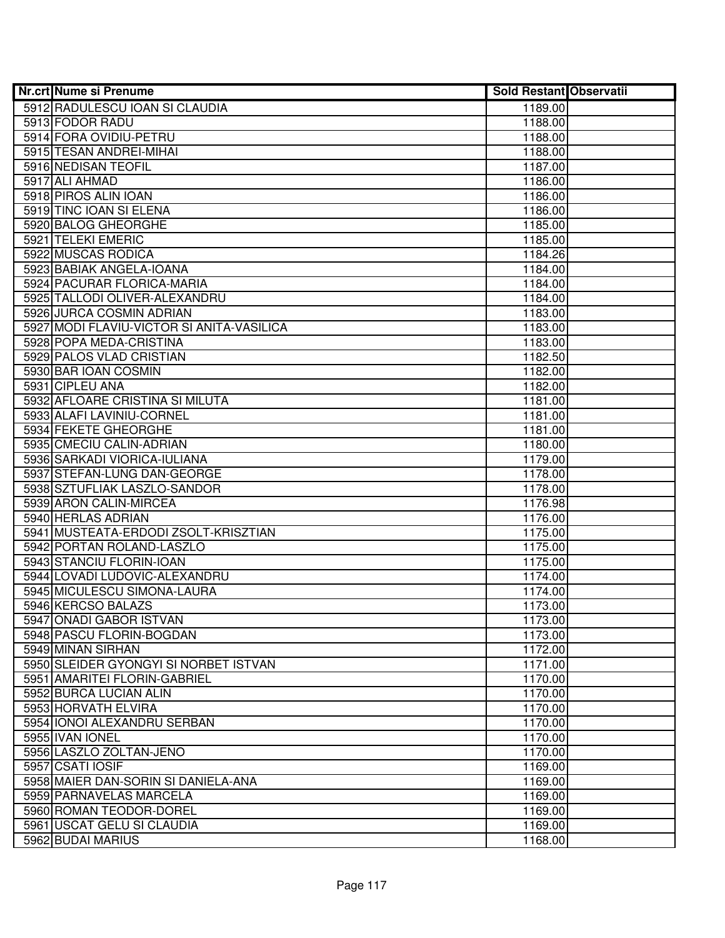| Nr.crt Nume si Prenume                    | <b>Sold Restant Observatii</b> |  |
|-------------------------------------------|--------------------------------|--|
| 5912 RADULESCU IOAN SI CLAUDIA            | 1189.00                        |  |
| 5913 FODOR RADU                           | 1188.00                        |  |
| 5914 FORA OVIDIU-PETRU                    | 1188.00                        |  |
| 5915 TESAN ANDREI-MIHAI                   | 1188.00                        |  |
| 5916 NEDISAN TEOFIL                       | 1187.00                        |  |
| 5917 ALI AHMAD                            | 1186.00                        |  |
| 5918 PIROS ALIN IOAN                      | 1186.00                        |  |
| 5919 TINC IOAN SI ELENA                   | 1186.00                        |  |
| 5920 BALOG GHEORGHE                       | 1185.00                        |  |
| 5921 TELEKI EMERIC                        | 1185.00                        |  |
| 5922 MUSCAS RODICA                        | 1184.26                        |  |
| 5923 BABIAK ANGELA-IOANA                  | 1184.00                        |  |
| 5924 PACURAR FLORICA-MARIA                | 1184.00                        |  |
| 5925 TALLODI OLIVER-ALEXANDRU             | 1184.00                        |  |
| 5926 JURCA COSMIN ADRIAN                  | 1183.00                        |  |
| 5927 MODI FLAVIU-VICTOR SI ANITA-VASILICA | 1183.00                        |  |
| 5928 POPA MEDA-CRISTINA                   | 1183.00                        |  |
| 5929 PALOS VLAD CRISTIAN                  | 1182.50                        |  |
| 5930 BAR JOAN COSMIN                      | 1182.00                        |  |
| 5931 CIPLEU ANA                           | 1182.00                        |  |
| 5932 AFLOARE CRISTINA SI MILUTA           | 1181.00                        |  |
| 5933 ALAFI LAVINIU-CORNEL                 | 1181.00                        |  |
| 5934 FEKETE GHEORGHE                      | 1181.00                        |  |
| 5935 CMECIU CALIN-ADRIAN                  | 1180.00                        |  |
| 5936 SARKADI VIORICA-IULIANA              | 1179.00                        |  |
| 5937 STEFAN-LUNG DAN-GEORGE               | 1178.00                        |  |
| 5938 SZTUFLIAK LASZLO-SANDOR              | 1178.00                        |  |
| 5939 ARON CALIN-MIRCEA                    | 1176.98                        |  |
| 5940 HERLAS ADRIAN                        | 1176.00                        |  |
| 5941 MUSTEATA-ERDODI ZSOLT-KRISZTIAN      | 1175.00                        |  |
| 5942 PORTAN ROLAND-LASZLO                 | 1175.00                        |  |
| 5943 STANCIU FLORIN-IOAN                  | 1175.00                        |  |
| 5944 LOVADI LUDOVIC-ALEXANDRU             | 1174.00                        |  |
| 5945 MICULESCU SIMONA-LAURA               | 1174.00                        |  |
| 5946 KERCSO BALAZS                        | 1173.00                        |  |
| 5947 ONADI GABOR ISTVAN                   | 1173.00                        |  |
| 5948 PASCU FLORIN-BOGDAN                  | 1173.00                        |  |
| 5949 MINAN SIRHAN                         | 1172.00                        |  |
| 5950 SLEIDER GYONGYI SI NORBET ISTVAN     | 1171.00                        |  |
| 5951 AMARITEI FLORIN-GABRIEL              | 1170.00                        |  |
| 5952 BURCA LUCIAN ALIN                    | 1170.00                        |  |
| 5953 HORVATH ELVIRA                       | 1170.00                        |  |
| 5954 IONOI ALEXANDRU SERBAN               | 1170.00                        |  |
| 5955 IVAN IONEL                           | 1170.00                        |  |
| 5956 LASZLO ZOLTAN-JENO                   | 1170.00                        |  |
| 5957 CSATI IOSIF                          | 1169.00                        |  |
| 5958 MAIER DAN-SORIN SI DANIELA-ANA       | 1169.00                        |  |
| 5959 PARNAVELAS MARCELA                   | 1169.00                        |  |
| 5960 ROMAN TEODOR-DOREL                   | 1169.00                        |  |
| 5961 USCAT GELU SI CLAUDIA                | 1169.00                        |  |
| 5962 BUDAI MARIUS                         | 1168.00                        |  |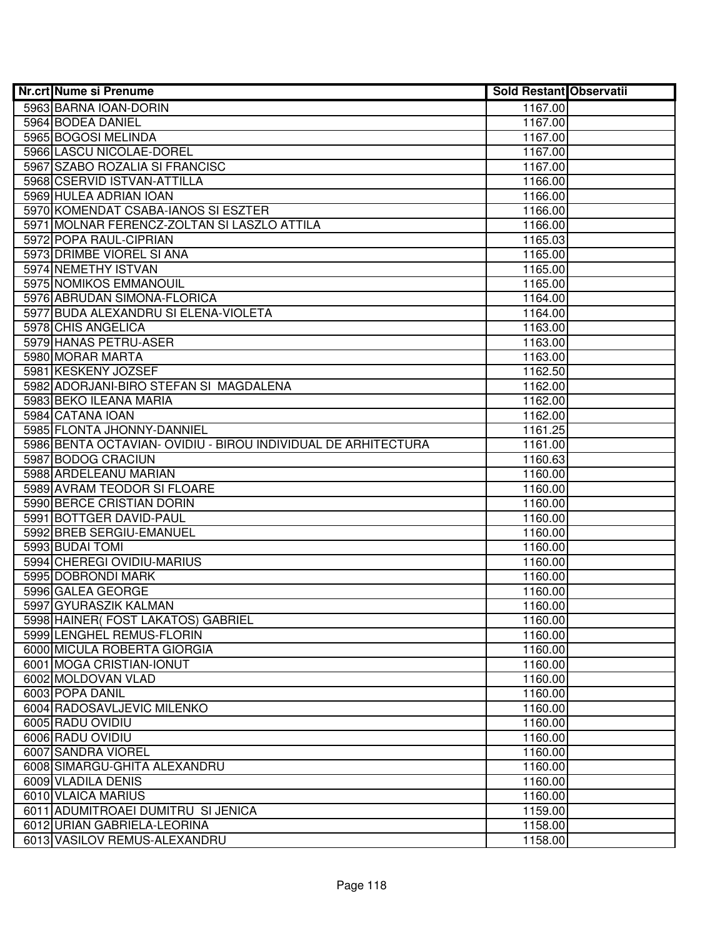| <b>Nr.crt Nume si Prenume</b>                                 | <b>Sold Restant Observatii</b> |  |
|---------------------------------------------------------------|--------------------------------|--|
| 5963 BARNA IOAN-DORIN                                         | 1167.00                        |  |
| 5964 BODEA DANIEL                                             | 1167.00                        |  |
| 5965 BOGOSI MELINDA                                           | 1167.00                        |  |
| 5966 LASCU NICOLAE-DOREL                                      | 1167.00                        |  |
| 5967 SZABO ROZALIA SI FRANCISC                                | 1167.00                        |  |
| 5968 CSERVID ISTVAN-ATTILLA                                   | 1166.00                        |  |
| 5969 HULEA ADRIAN IOAN                                        | 1166.00                        |  |
| 5970 KOMENDAT CSABA-IANOS SI ESZTER                           | 1166.00                        |  |
| 5971 MOLNAR FERENCZ-ZOLTAN SI LASZLO ATTILA                   | 1166.00                        |  |
| 5972 POPA RAUL-CIPRIAN                                        | 1165.03                        |  |
| 5973 DRIMBE VIOREL SI ANA                                     | 1165.00                        |  |
| 5974 NEMETHY ISTVAN                                           | 1165.00                        |  |
| 5975 NOMIKOS EMMANOUIL                                        | 1165.00                        |  |
| 5976 ABRUDAN SIMONA-FLORICA                                   | 1164.00                        |  |
| 5977 BUDA ALEXANDRU SI ELENA-VIOLETA                          | 1164.00                        |  |
| 5978 CHIS ANGELICA                                            | 1163.00                        |  |
| 5979 HANAS PETRU-ASER                                         | 1163.00                        |  |
| 5980 MORAR MARTA                                              | 1163.00                        |  |
| 5981 KESKENY JOZSEF                                           | 1162.50                        |  |
| 5982 ADORJANI-BIRO STEFAN SI MAGDALENA                        | 1162.00                        |  |
| 5983 BEKO ILEANA MARIA                                        | 1162.00                        |  |
| 5984 CATANA IOAN                                              | 1162.00                        |  |
| 5985 FLONTA JHONNY-DANNIEL                                    | 1161.25                        |  |
| 5986 BENTA OCTAVIAN- OVIDIU - BIROU INDIVIDUAL DE ARHITECTURA | 1161.00                        |  |
| 5987 BODOG CRACIUN                                            | 1160.63                        |  |
| 5988 ARDELEANU MARIAN                                         | 1160.00                        |  |
| 5989 AVRAM TEODOR SI FLOARE                                   | 1160.00                        |  |
| 5990 BERCE CRISTIAN DORIN                                     | 1160.00                        |  |
| 5991 BOTTGER DAVID-PAUL                                       | 1160.00                        |  |
| 5992 BREB SERGIU-EMANUEL                                      | 1160.00                        |  |
| 5993 BUDAI TOMI                                               | 1160.00                        |  |
| 5994 CHEREGI OVIDIU-MARIUS                                    | 1160.00                        |  |
| 5995 DOBRONDI MARK                                            | 1160.00                        |  |
| 5996 GALEA GEORGE                                             | 1160.00                        |  |
| 5997 GYURASZIK KALMAN                                         | 1160.00                        |  |
| 5998 HAINER (FOST LAKATOS) GABRIEL                            | 1160.00                        |  |
| 5999 LENGHEL REMUS-FLORIN                                     | 1160.00                        |  |
| 6000 MICULA ROBERTA GIORGIA                                   | 1160.00                        |  |
| 6001 MOGA CRISTIAN-IONUT                                      | 1160.00                        |  |
| 6002 MOLDOVAN VLAD                                            | 1160.00                        |  |
| 6003 POPA DANIL                                               | 1160.00                        |  |
| 6004 RADOSAVLJEVIC MILENKO                                    | 1160.00                        |  |
| 6005 RADU OVIDIU                                              | 1160.00                        |  |
| 6006 RADU OVIDIU                                              | 1160.00                        |  |
| 6007 SANDRA VIOREL                                            | 1160.00                        |  |
| 6008 SIMARGU-GHITA ALEXANDRU                                  | 1160.00                        |  |
| 6009 VLADILA DENIS                                            | 1160.00                        |  |
| 6010 VLAICA MARIUS                                            | 1160.00                        |  |
| 6011 ADUMITROAEI DUMITRU SI JENICA                            | 1159.00                        |  |
| 6012 URIAN GABRIELA-LEORINA                                   | 1158.00                        |  |
| 6013 VASILOV REMUS-ALEXANDRU                                  | 1158.00                        |  |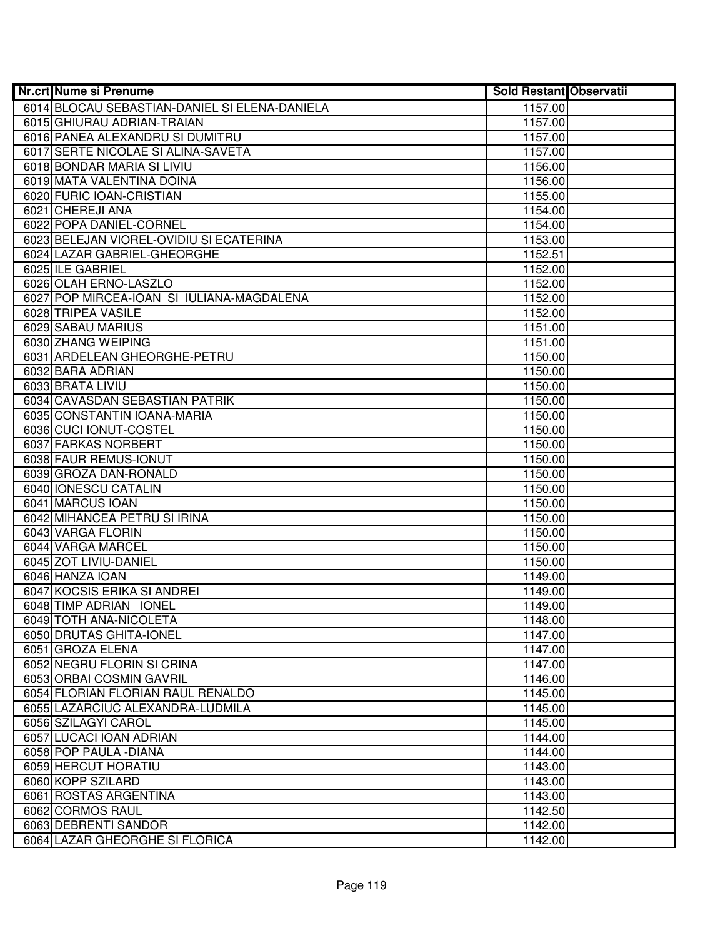| <b>Nr.crt Nume si Prenume</b>                 | Sold Restant Observatii |  |
|-----------------------------------------------|-------------------------|--|
| 6014 BLOCAU SEBASTIAN-DANIEL SI ELENA-DANIELA | 1157.00                 |  |
| 6015 GHIURAU ADRIAN-TRAIAN                    | 1157.00                 |  |
| 6016 PANEA ALEXANDRU SI DUMITRU               | 1157.00                 |  |
| 6017 SERTE NICOLAE SI ALINA-SAVETA            | 1157.00                 |  |
| 6018 BONDAR MARIA SI LIVIU                    | 1156.00                 |  |
| 6019 MATA VALENTINA DOINA                     | 1156.00                 |  |
| 6020 FURIC IOAN-CRISTIAN                      | 1155.00                 |  |
| 6021 CHEREJI ANA                              | 1154.00                 |  |
| 6022 POPA DANIEL-CORNEL                       | 1154.00                 |  |
| 6023 BELEJAN VIOREL-OVIDIU SI ECATERINA       | 1153.00                 |  |
| 6024 LAZAR GABRIEL-GHEORGHE                   | 1152.51                 |  |
| 6025 ILE GABRIEL                              | 1152.00                 |  |
| 6026 OLAH ERNO-LASZLO                         | 1152.00                 |  |
| 6027 POP MIRCEA-IOAN SI IULIANA-MAGDALENA     | 1152.00                 |  |
| 6028 TRIPEA VASILE                            | 1152.00                 |  |
| 6029 SABAU MARIUS                             | 1151.00                 |  |
| 6030 ZHANG WEIPING                            | 1151.00                 |  |
| 6031 ARDELEAN GHEORGHE-PETRU                  | 1150.00                 |  |
| 6032 BARA ADRIAN                              | 1150.00                 |  |
| 6033 BRATA LIVIU                              | 1150.00                 |  |
| 6034 CAVASDAN SEBASTIAN PATRIK                | 1150.00                 |  |
| 6035 CONSTANTIN IOANA-MARIA                   | 1150.00                 |  |
| 6036 CUCI IONUT-COSTEL                        | 1150.00                 |  |
| 6037 FARKAS NORBERT                           | 1150.00                 |  |
| 6038 FAUR REMUS-IONUT                         | 1150.00                 |  |
| 6039 GROZA DAN-RONALD                         | 1150.00                 |  |
| 6040 IONESCU CATALIN                          | 1150.00                 |  |
| 6041 MARCUS IOAN                              | 1150.00                 |  |
| 6042 MIHANCEA PETRU SI IRINA                  | 1150.00                 |  |
| 6043 VARGA FLORIN                             | 1150.00                 |  |
| 6044 VARGA MARCEL                             | 1150.00                 |  |
| 6045 ZOT LIVIU-DANIEL                         | 1150.00                 |  |
| 6046 HANZA IOAN                               | 1149.00                 |  |
| 6047 KOCSIS ERIKA SI ANDREI                   | 1149.00                 |  |
| 6048 TIMP ADRIAN IONEL                        | 1149.00                 |  |
| 6049 TOTH ANA-NICOLETA                        | 1148.00                 |  |
| 6050 DRUTAS GHITA-IONEL                       | 1147.00                 |  |
| 6051 GROZA ELENA                              | 1147.00                 |  |
| 6052 NEGRU FLORIN SI CRINA                    | 1147.00                 |  |
| 6053 ORBAI COSMIN GAVRIL                      | 1146.00                 |  |
| 6054 FLORIAN FLORIAN RAUL RENALDO             | 1145.00                 |  |
| 6055 LAZARCIUC ALEXANDRA-LUDMILA              | 1145.00                 |  |
| 6056 SZILAGYI CAROL                           | 1145.00                 |  |
| 6057 LUCACI IOAN ADRIAN                       | 1144.00                 |  |
| 6058 POP PAULA - DIANA                        | 1144.00                 |  |
| 6059 HERCUT HORATIU                           | 1143.00                 |  |
| 6060 KOPP SZILARD                             | 1143.00                 |  |
| 6061 ROSTAS ARGENTINA                         | 1143.00                 |  |
| 6062 CORMOS RAUL                              | 1142.50                 |  |
| 6063 DEBRENTI SANDOR                          | 1142.00                 |  |
| 6064 LAZAR GHEORGHE SI FLORICA                | 1142.00                 |  |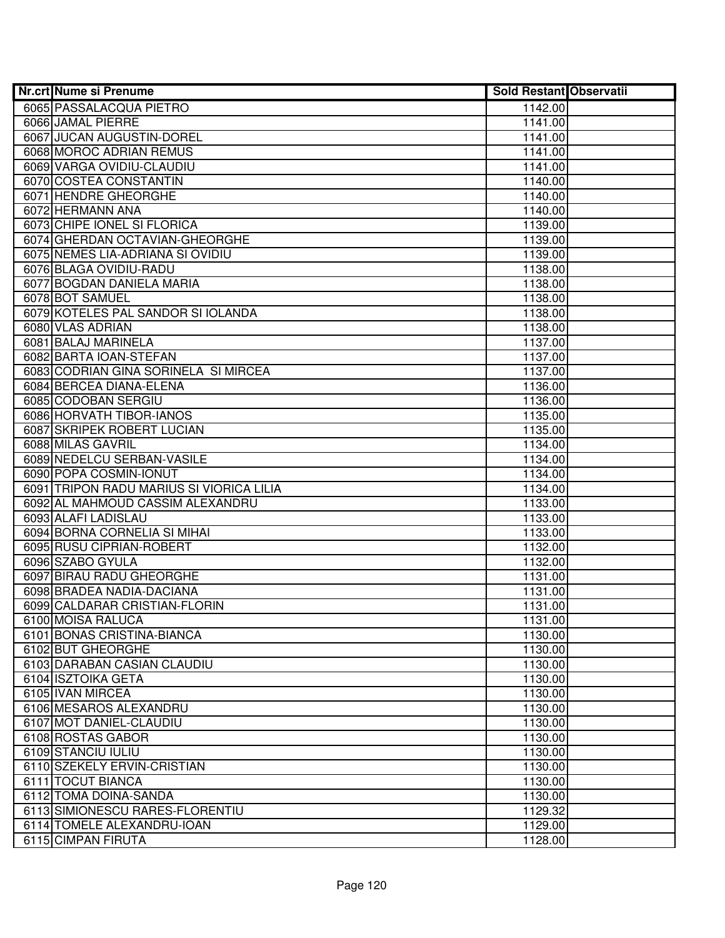| <b>Nr.crt Nume si Prenume</b>            | <b>Sold Restant Observatii</b> |  |
|------------------------------------------|--------------------------------|--|
| 6065 PASSALACQUA PIETRO                  | 1142.00                        |  |
| 6066 JAMAL PIERRE                        | 1141.00                        |  |
| 6067 JUCAN AUGUSTIN-DOREL                | 1141.00                        |  |
| 6068 MOROC ADRIAN REMUS                  | 1141.00                        |  |
| 6069 VARGA OVIDIU-CLAUDIU                | 1141.00                        |  |
| 6070 COSTEA CONSTANTIN                   | 1140.00                        |  |
| 6071 HENDRE GHEORGHE                     | 1140.00                        |  |
| 6072 HERMANN ANA                         | 1140.00                        |  |
| 6073 CHIPE IONEL SI FLORICA              | 1139.00                        |  |
| 6074 GHERDAN OCTAVIAN-GHEORGHE           | 1139.00                        |  |
| 6075 NEMES LIA-ADRIANA SI OVIDIU         | 1139.00                        |  |
| 6076 BLAGA OVIDIU-RADU                   | 1138.00                        |  |
| 6077 BOGDAN DANIELA MARIA                | 1138.00                        |  |
| 6078 BOT SAMUEL                          | 1138.00                        |  |
| 6079 KOTELES PAL SANDOR SI IOLANDA       | 1138.00                        |  |
| 6080 VLAS ADRIAN                         | 1138.00                        |  |
| 6081 BALAJ MARINELA                      | 1137.00                        |  |
| 6082 BARTA IOAN-STEFAN                   | 1137.00                        |  |
| 6083 CODRIAN GINA SORINELA SI MIRCEA     | 1137.00                        |  |
| 6084 BERCEA DIANA-ELENA                  | 1136.00                        |  |
| 6085 CODOBAN SERGIU                      | 1136.00                        |  |
| 6086 HORVATH TIBOR-IANOS                 | 1135.00                        |  |
| 6087 SKRIPEK ROBERT LUCIAN               | 1135.00                        |  |
| 6088 MILAS GAVRIL                        | 1134.00                        |  |
| 6089 NEDELCU SERBAN-VASILE               | 1134.00                        |  |
| 6090 POPA COSMIN-IONUT                   | 1134.00                        |  |
| 6091 TRIPON RADU MARIUS SI VIORICA LILIA | 1134.00                        |  |
| 6092 AL MAHMOUD CASSIM ALEXANDRU         | 1133.00                        |  |
| 6093 ALAFI LADISLAU                      | 1133.00                        |  |
| 6094 BORNA CORNELIA SI MIHAI             | 1133.00                        |  |
| 6095 RUSU CIPRIAN-ROBERT                 | 1132.00                        |  |
| 6096 SZABO GYULA                         | 1132.00                        |  |
| 6097 BIRAU RADU GHEORGHE                 | 1131.00                        |  |
| 6098 BRADEA NADIA-DACIANA                | 1131.00                        |  |
| 6099 CALDARAR CRISTIAN-FLORIN            | 1131.00                        |  |
| 6100 MOISA RALUCA                        | 1131.00                        |  |
| 6101 BONAS CRISTINA-BIANCA               | 1130.00                        |  |
| 6102 BUT GHEORGHE                        | 1130.00                        |  |
| 6103 DARABAN CASIAN CLAUDIU              | 1130.00                        |  |
| 6104 ISZTOIKA GETA                       | 1130.00                        |  |
| 6105 IVAN MIRCEA                         | 1130.00                        |  |
| 6106 MESAROS ALEXANDRU                   | 1130.00                        |  |
| 6107 MOT DANIEL-CLAUDIU                  | 1130.00                        |  |
| 6108 ROSTAS GABOR                        | 1130.00                        |  |
| 6109 STANCIU IULIU                       | 1130.00                        |  |
| 6110 SZEKELY ERVIN-CRISTIAN              | 1130.00                        |  |
| 6111 TOCUT BIANCA                        | 1130.00                        |  |
| 6112 TOMA DOINA-SANDA                    | 1130.00                        |  |
| 6113 SIMIONESCU RARES-FLORENTIU          | 1129.32                        |  |
| 6114 TOMELE ALEXANDRU-IOAN               | 1129.00                        |  |
| 6115 CIMPAN FIRUTA                       | 1128.00                        |  |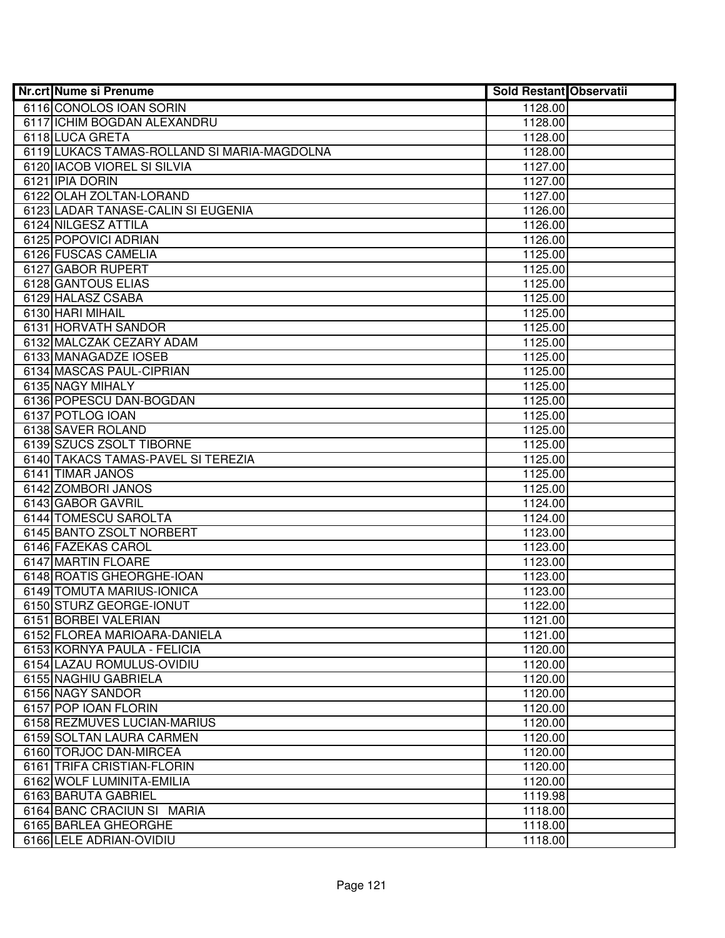| <b>Nr.crt Nume si Prenume</b>               | <b>Sold Restant Observatii</b> |  |
|---------------------------------------------|--------------------------------|--|
| 6116 CONOLOS IOAN SORIN                     | 1128.00                        |  |
| 6117 ICHIM BOGDAN ALEXANDRU                 | 1128.00                        |  |
| 6118 LUCA GRETA                             | 1128.00                        |  |
| 6119 LUKACS TAMAS-ROLLAND SI MARIA-MAGDOLNA | 1128.00                        |  |
| 6120 IACOB VIOREL SI SILVIA                 | 1127.00                        |  |
| 6121 IPIA DORIN                             | 1127.00                        |  |
| 6122 OLAH ZOLTAN-LORAND                     | 1127.00                        |  |
| 6123 LADAR TANASE-CALIN SI EUGENIA          | 1126.00                        |  |
| 6124 NILGESZ ATTILA                         | 1126.00                        |  |
| 6125 POPOVICI ADRIAN                        | 1126.00                        |  |
| 6126 FUSCAS CAMELIA                         | 1125.00                        |  |
| 6127 GABOR RUPERT                           | 1125.00                        |  |
| 6128 GANTOUS ELIAS                          | 1125.00                        |  |
| 6129 HALASZ CSABA                           | 1125.00                        |  |
| 6130 HARI MIHAIL                            | 1125.00                        |  |
| 6131 HORVATH SANDOR                         | 1125.00                        |  |
| 6132 MALCZAK CEZARY ADAM                    | 1125.00                        |  |
| 6133 MANAGADZE IOSEB                        | 1125.00                        |  |
| 6134 MASCAS PAUL-CIPRIAN                    | 1125.00                        |  |
| 6135 NAGY MIHALY                            | 1125.00                        |  |
| 6136 POPESCU DAN-BOGDAN                     | 1125.00                        |  |
| 6137 POTLOG IOAN                            | 1125.00                        |  |
| 6138 SAVER ROLAND                           | 1125.00                        |  |
| 6139 SZUCS ZSOLT TIBORNE                    | 1125.00                        |  |
| 6140 TAKACS TAMAS-PAVEL SI TEREZIA          | 1125.00                        |  |
| 6141 TIMAR JANOS                            | 1125.00                        |  |
| 6142 ZOMBORI JANOS                          | 1125.00                        |  |
| 6143 GABOR GAVRIL                           | 1124.00                        |  |
| 6144 TOMESCU SAROLTA                        | 1124.00                        |  |
| 6145 BANTO ZSOLT NORBERT                    | 1123.00                        |  |
| 6146 FAZEKAS CAROL                          | 1123.00                        |  |
| 6147 MARTIN FLOARE                          | 1123.00                        |  |
| 6148 ROATIS GHEORGHE-IOAN                   | 1123.00                        |  |
| 6149 TOMUTA MARIUS-IONICA                   | 1123.00                        |  |
| 6150 STURZ GEORGE-IONUT                     | 1122.00                        |  |
| 6151 BORBEI VALERIAN                        | 1121.00                        |  |
| 6152 FLOREA MARIOARA-DANIELA                | 1121.00                        |  |
| 6153 KORNYA PAULA - FELICIA                 | 1120.00                        |  |
| 6154 LAZAU ROMULUS-OVIDIU                   | 1120.00                        |  |
| 6155 NAGHIU GABRIELA                        | 1120.00                        |  |
| 6156 NAGY SANDOR                            | 1120.00                        |  |
| 6157 POP IOAN FLORIN                        | 1120.00                        |  |
| 6158 REZMUVES LUCIAN-MARIUS                 | 1120.00                        |  |
| 6159 SOLTAN LAURA CARMEN                    | 1120.00                        |  |
| 6160 TORJOC DAN-MIRCEA                      | 1120.00                        |  |
| 6161 TRIFA CRISTIAN-FLORIN                  | 1120.00                        |  |
| 6162 WOLF LUMINITA-EMILIA                   | 1120.00                        |  |
| 6163 BARUTA GABRIEL                         | 1119.98                        |  |
| 6164 BANC CRACIUN SI MARIA                  | 1118.00                        |  |
| 6165 BARLEA GHEORGHE                        | 1118.00                        |  |
| 6166 LELE ADRIAN-OVIDIU                     | 1118.00                        |  |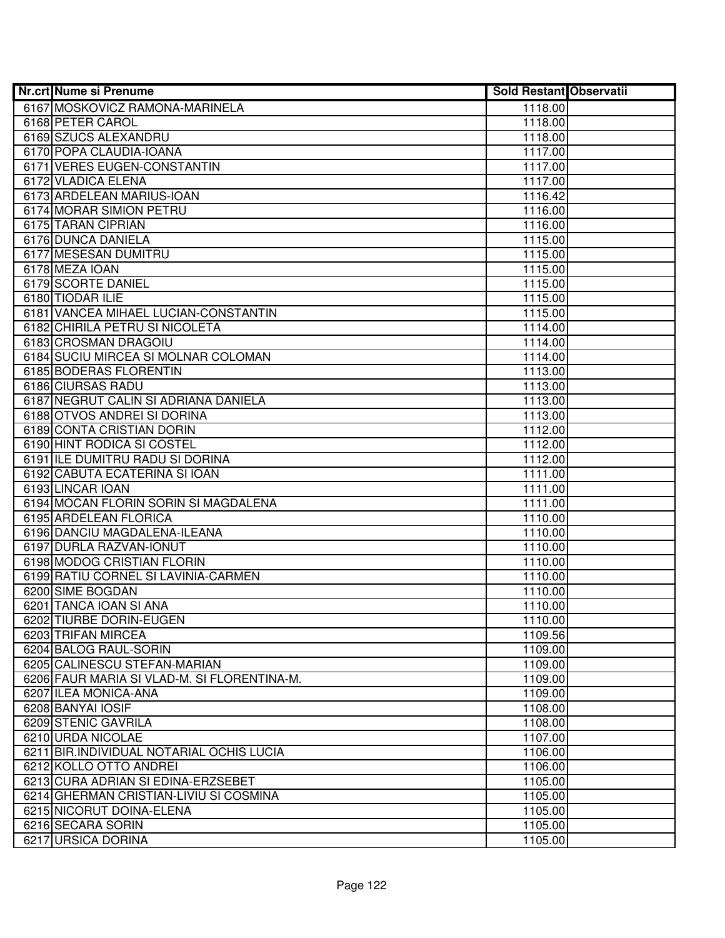| Nr.crt Nume si Prenume                      | <b>Sold Restant Observatii</b> |  |
|---------------------------------------------|--------------------------------|--|
| 6167 MOSKOVICZ RAMONA-MARINELA              | 1118.00                        |  |
| 6168 PETER CAROL                            | 1118.00                        |  |
| 6169 SZUCS ALEXANDRU                        | 1118.00                        |  |
| 6170 POPA CLAUDIA-IOANA                     | 1117.00                        |  |
| 6171 VERES EUGEN-CONSTANTIN                 | 1117.00                        |  |
| 6172 VLADICA ELENA                          | 1117.00                        |  |
| 6173 ARDELEAN MARIUS-IOAN                   | 1116.42                        |  |
| 6174 MORAR SIMION PETRU                     | 1116.00                        |  |
| 6175 TARAN CIPRIAN                          | 1116.00                        |  |
| 6176 DUNCA DANIELA                          | 1115.00                        |  |
| 6177 MESESAN DUMITRU                        | 1115.00                        |  |
| 6178 MEZA IOAN                              | 1115.00                        |  |
| 6179 SCORTE DANIEL                          | 1115.00                        |  |
| 6180 TIODAR ILIE                            | 1115.00                        |  |
| 6181 VANCEA MIHAEL LUCIAN-CONSTANTIN        | 1115.00                        |  |
| 6182 CHIRILA PETRU SI NICOLETA              | 1114.00                        |  |
| 6183 CROSMAN DRAGOIU                        | 1114.00                        |  |
| 6184 SUCIU MIRCEA SI MOLNAR COLOMAN         | 1114.00                        |  |
| 6185 BODERAS FLORENTIN                      | 1113.00                        |  |
| 6186 CIURSAS RADU                           | 1113.00                        |  |
| 6187 NEGRUT CALIN SI ADRIANA DANIELA        | 1113.00                        |  |
| 6188 OTVOS ANDREI SI DORINA                 | 1113.00                        |  |
| 6189 CONTA CRISTIAN DORIN                   | 1112.00                        |  |
| 6190 HINT RODICA SI COSTEL                  | 1112.00                        |  |
| 6191 ILE DUMITRU RADU SI DORINA             | 1112.00                        |  |
| 6192 CABUTA ECATERINA SI IOAN               | 1111.00                        |  |
| 6193 LINCAR IOAN                            | 1111.00                        |  |
| 6194 MOCAN FLORIN SORIN SI MAGDALENA        | 1111.00                        |  |
| 6195 ARDELEAN FLORICA                       | 1110.00                        |  |
| 6196 DANCIU MAGDALENA-ILEANA                | 1110.00                        |  |
| 6197 DURLA RAZVAN-IONUT                     | 1110.00                        |  |
| 6198 MODOG CRISTIAN FLORIN                  | 1110.00                        |  |
| 6199 RATIU CORNEL SI LAVINIA-CARMEN         | 1110.00                        |  |
| 6200 SIME BOGDAN                            | 1110.00                        |  |
| 6201 TANCA IOAN SI ANA                      | 1110.00                        |  |
| 6202 TIURBE DORIN-EUGEN                     | 1110.00                        |  |
| 6203 TRIFAN MIRCEA                          | 1109.56                        |  |
| 6204 BALOG RAUL-SORIN                       | 1109.00                        |  |
| 6205 CALINESCU STEFAN-MARIAN                | 1109.00                        |  |
| 6206 FAUR MARIA SI VLAD-M. SI FLORENTINA-M. | 1109.00                        |  |
| 6207 ILEA MONICA-ANA                        | 1109.00                        |  |
| 6208 BANYAI IOSIF                           | 1108.00                        |  |
| 6209 STENIC GAVRILA                         | 1108.00                        |  |
| 6210 URDA NICOLAE                           | 1107.00                        |  |
| 6211 BIR. INDIVIDUAL NOTARIAL OCHIS LUCIA   | 1106.00                        |  |
| 6212 KOLLO OTTO ANDREI                      | 1106.00                        |  |
| 6213 CURA ADRIAN SI EDINA-ERZSEBET          | 1105.00                        |  |
| 6214 GHERMAN CRISTIAN-LIVIU SI COSMINA      | 1105.00                        |  |
| 6215 NICORUT DOINA-ELENA                    | 1105.00                        |  |
| 6216 SECARA SORIN                           | 1105.00                        |  |
| 6217 URSICA DORINA                          | 1105.00                        |  |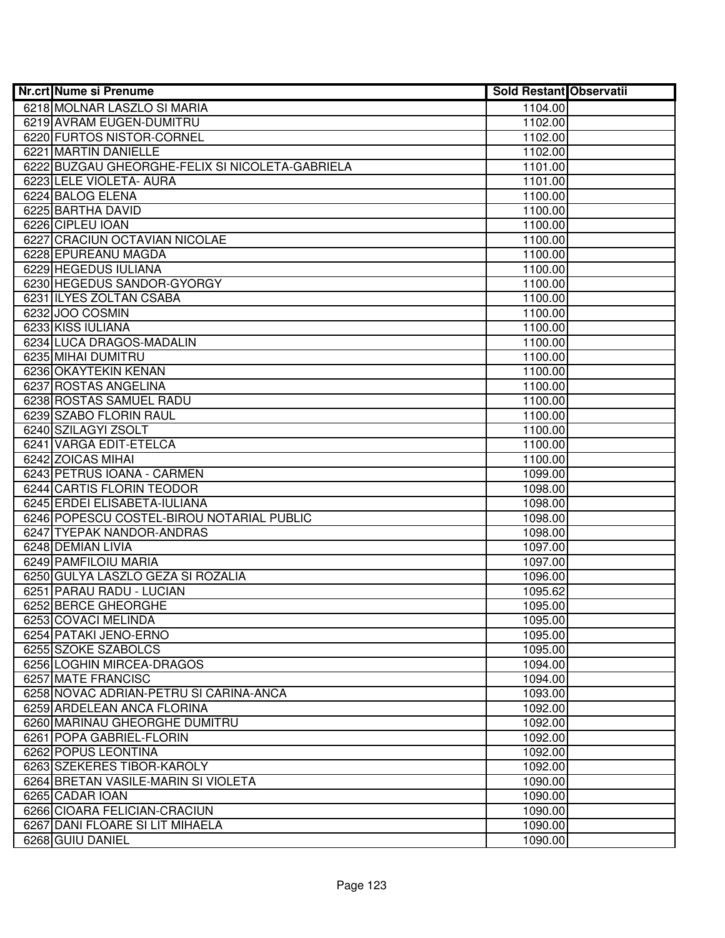| <b>Nr.crt Nume si Prenume</b>                   | <b>Sold Restant Observatii</b> |  |
|-------------------------------------------------|--------------------------------|--|
| 6218 MOLNAR LASZLO SI MARIA                     | 1104.00                        |  |
| 6219 AVRAM EUGEN-DUMITRU                        | 1102.00                        |  |
| 6220 FURTOS NISTOR-CORNEL                       | 1102.00                        |  |
| 6221 MARTIN DANIELLE                            | 1102.00                        |  |
| 6222 BUZGAU GHEORGHE-FELIX SI NICOLETA-GABRIELA | 1101.00                        |  |
| 6223 LELE VIOLETA- AURA                         | 1101.00                        |  |
| 6224 BALOG ELENA                                | 1100.00                        |  |
| 6225 BARTHA DAVID                               | 1100.00                        |  |
| 6226 CIPLEU IOAN                                | 1100.00                        |  |
| 6227 CRACIUN OCTAVIAN NICOLAE                   | 1100.00                        |  |
| 6228 EPUREANU MAGDA                             | 1100.00                        |  |
| 6229 HEGEDUS IULIANA                            | 1100.00                        |  |
| 6230 HEGEDUS SANDOR-GYORGY                      | 1100.00                        |  |
| 6231 ILYES ZOLTAN CSABA                         | 1100.00                        |  |
| 6232 JOO COSMIN                                 | 1100.00                        |  |
| 6233 KISS IULIANA                               | 1100.00                        |  |
| 6234 LUCA DRAGOS-MADALIN                        | 1100.00                        |  |
| 6235 MIHAI DUMITRU                              | 1100.00                        |  |
| 6236 OKAYTEKIN KENAN                            | 1100.00                        |  |
| 6237 ROSTAS ANGELINA                            | 1100.00                        |  |
| 6238 ROSTAS SAMUEL RADU                         | 1100.00                        |  |
| 6239 SZABO FLORIN RAUL                          | 1100.00                        |  |
| 6240 SZILAGYI ZSOLT                             | 1100.00                        |  |
| 6241 VARGA EDIT-ETELCA                          | 1100.00                        |  |
| 6242 ZOICAS MIHAI                               | 1100.00                        |  |
| 6243 PETRUS IOANA - CARMEN                      | 1099.00                        |  |
| 6244 CARTIS FLORIN TEODOR                       | 1098.00                        |  |
| 6245 ERDEI ELISABETA-IULIANA                    | 1098.00                        |  |
| 6246 POPESCU COSTEL-BIROU NOTARIAL PUBLIC       | 1098.00                        |  |
| 6247 TYEPAK NANDOR-ANDRAS                       | 1098.00                        |  |
| 6248 DEMIAN LIVIA                               | 1097.00                        |  |
| 6249 PAMFILOIU MARIA                            | 1097.00                        |  |
| 6250 GULYA LASZLO GEZA SI ROZALIA               | 1096.00                        |  |
| 6251 PARAU RADU - LUCIAN                        | 1095.62                        |  |
| 6252 BERCE GHEORGHE                             | 1095.00                        |  |
| 6253 COVACI MELINDA                             | 1095.00                        |  |
| 6254 PATAKI JENO-ERNO                           | 1095.00                        |  |
| 6255 SZOKE SZABOLCS                             | 1095.00                        |  |
| 6256 LOGHIN MIRCEA-DRAGOS                       | 1094.00                        |  |
| 6257 MATE FRANCISC                              | 1094.00                        |  |
| 6258 NOVAC ADRIAN-PETRU SI CARINA-ANCA          | 1093.00                        |  |
| 6259 ARDELEAN ANCA FLORINA                      | 1092.00                        |  |
| 6260 MARINAU GHEORGHE DUMITRU                   | 1092.00                        |  |
| 6261 POPA GABRIEL-FLORIN                        | 1092.00                        |  |
| 6262 POPUS LEONTINA                             | 1092.00                        |  |
| 6263 SZEKERES TIBOR-KAROLY                      | 1092.00                        |  |
| 6264 BRETAN VASILE-MARIN SI VIOLETA             | 1090.00                        |  |
| 6265 CADAR IOAN                                 | 1090.00                        |  |
| 6266 CIOARA FELICIAN-CRACIUN                    | 1090.00                        |  |
| 6267 DANI FLOARE SI LIT MIHAELA                 | 1090.00                        |  |
| 6268 GUIU DANIEL                                | 1090.00                        |  |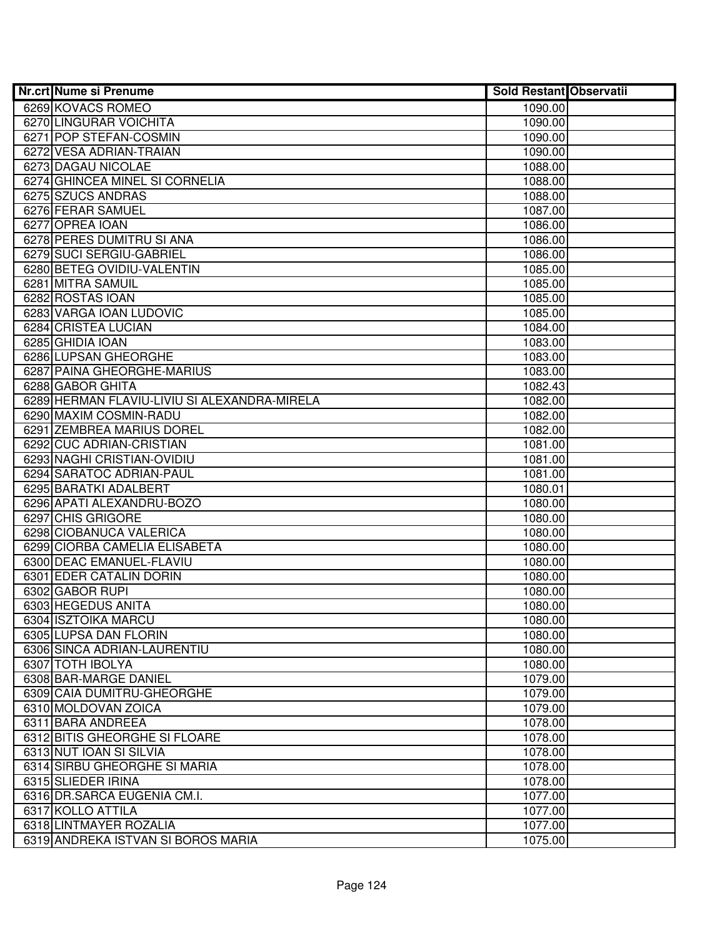| Nr.crt Nume si Prenume                       | <b>Sold Restant Observatii</b> |  |
|----------------------------------------------|--------------------------------|--|
| 6269 KOVACS ROMEO                            | 1090.00                        |  |
| 6270 LINGURAR VOICHITA                       | 1090.00                        |  |
| 6271 POP STEFAN-COSMIN                       | 1090.00                        |  |
| 6272 VESA ADRIAN-TRAIAN                      | 1090.00                        |  |
| 6273 DAGAU NICOLAE                           | 1088.00                        |  |
| 6274 GHINCEA MINEL SI CORNELIA               | 1088.00                        |  |
| 6275 SZUCS ANDRAS                            | 1088.00                        |  |
| 6276 FERAR SAMUEL                            | 1087.00                        |  |
| 6277 OPREA IOAN                              | 1086.00                        |  |
| 6278 PERES DUMITRU SI ANA                    | 1086.00                        |  |
| 6279 SUCI SERGIU-GABRIEL                     | 1086.00                        |  |
| 6280 BETEG OVIDIU-VALENTIN                   | 1085.00                        |  |
| 6281 MITRA SAMUIL                            | 1085.00                        |  |
| 6282 ROSTAS IOAN                             | 1085.00                        |  |
| 6283 VARGA IOAN LUDOVIC                      | 1085.00                        |  |
| 6284 CRISTEA LUCIAN                          | 1084.00                        |  |
| 6285 GHIDIA IOAN                             | 1083.00                        |  |
| 6286 LUPSAN GHEORGHE                         | 1083.00                        |  |
| 6287 PAINA GHEORGHE-MARIUS                   | 1083.00                        |  |
| 6288 GABOR GHITA                             | 1082.43                        |  |
| 6289 HERMAN FLAVIU-LIVIU SI ALEXANDRA-MIRELA | 1082.00                        |  |
| 6290 MAXIM COSMIN-RADU                       | 1082.00                        |  |
| 6291 ZEMBREA MARIUS DOREL                    | 1082.00                        |  |
| 6292 CUC ADRIAN-CRISTIAN                     | 1081.00                        |  |
| 6293 NAGHI CRISTIAN-OVIDIU                   | 1081.00                        |  |
| 6294 SARATOC ADRIAN-PAUL                     | 1081.00                        |  |
| 6295 BARATKI ADALBERT                        | 1080.01                        |  |
| 6296 APATI ALEXANDRU-BOZO                    | 1080.00                        |  |
| 6297 CHIS GRIGORE                            | 1080.00                        |  |
| 6298 CIOBANUCA VALERICA                      | 1080.00                        |  |
| 6299 CIORBA CAMELIA ELISABETA                | 1080.00                        |  |
| 6300 DEAC EMANUEL-FLAVIU                     | 1080.00                        |  |
| 6301 EDER CATALIN DORIN                      | 1080.00                        |  |
| 6302 GABOR RUPI                              | 1080.00                        |  |
| 6303 HEGEDUS ANITA                           | 1080.00                        |  |
| 6304 ISZTOIKA MARCU                          | 1080.00                        |  |
| 6305 LUPSA DAN FLORIN                        | 1080.00                        |  |
| 6306 SINCA ADRIAN-LAURENTIU                  | 1080.00                        |  |
| 6307 TOTH IBOLYA                             | 1080.00                        |  |
| 6308 BAR-MARGE DANIEL                        | 1079.00                        |  |
| 6309 CAIA DUMITRU-GHEORGHE                   | 1079.00                        |  |
| 6310 MOLDOVAN ZOICA                          | 1079.00                        |  |
| 6311 BARA ANDREEA                            | 1078.00                        |  |
| 6312 BITIS GHEORGHE SI FLOARE                | 1078.00                        |  |
| 6313 NUT IOAN SI SILVIA                      | 1078.00                        |  |
| 6314 SIRBU GHEORGHE SI MARIA                 | 1078.00                        |  |
| 6315 SLIEDER IRINA                           | 1078.00                        |  |
| 6316 DR. SARCA EUGENIA CM.I.                 | 1077.00                        |  |
| 6317 KOLLO ATTILA                            | 1077.00                        |  |
| 6318 LINTMAYER ROZALIA                       | 1077.00                        |  |
| 6319 ANDREKA ISTVAN SI BOROS MARIA           | 1075.00                        |  |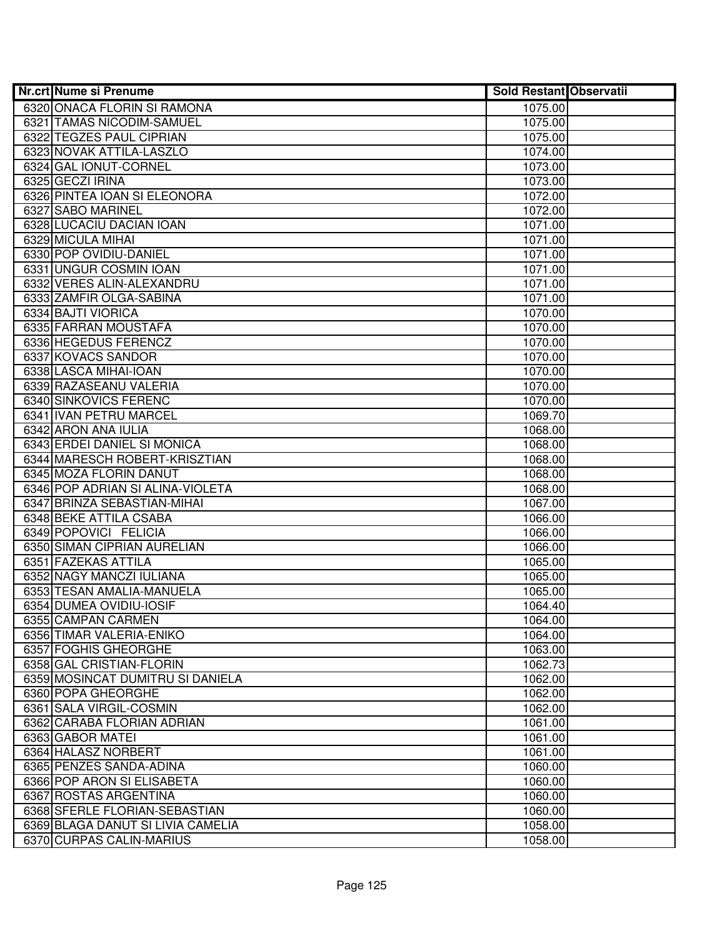| <b>Nr.crt Nume si Prenume</b>     | <b>Sold Restant Observatii</b> |  |
|-----------------------------------|--------------------------------|--|
| 6320 ONACA FLORIN SI RAMONA       | 1075.00                        |  |
| 6321 TAMAS NICODIM-SAMUEL         | 1075.00                        |  |
| 6322 TEGZES PAUL CIPRIAN          | 1075.00                        |  |
| 6323 NOVAK ATTILA-LASZLO          | 1074.00                        |  |
| 6324 GAL IONUT-CORNEL             | 1073.00                        |  |
| 6325 GECZI IRINA                  | 1073.00                        |  |
| 6326 PINTEA IOAN SI ELEONORA      | 1072.00                        |  |
| 6327 SABO MARINEL                 | 1072.00                        |  |
| 6328 LUCACIU DACIAN IOAN          | 1071.00                        |  |
| 6329 MICULA MIHAI                 | 1071.00                        |  |
| 6330 POP OVIDIU-DANIEL            | 1071.00                        |  |
| 6331 UNGUR COSMIN IOAN            | 1071.00                        |  |
| 6332 VERES ALIN-ALEXANDRU         | 1071.00                        |  |
| 6333 ZAMFIR OLGA-SABINA           | 1071.00                        |  |
| 6334 BAJTI VIORICA                | 1070.00                        |  |
| 6335 FARRAN MOUSTAFA              | 1070.00                        |  |
| 6336 HEGEDUS FERENCZ              | 1070.00                        |  |
| 6337 KOVACS SANDOR                | 1070.00                        |  |
| 6338 LASCA MIHAI-IOAN             | 1070.00                        |  |
| 6339 RAZASEANU VALERIA            | 1070.00                        |  |
| 6340 SINKOVICS FERENC             | 1070.00                        |  |
| 6341 IVAN PETRU MARCEL            | 1069.70                        |  |
| 6342 ARON ANA IULIA               | 1068.00                        |  |
| 6343 ERDEI DANIEL SI MONICA       | 1068.00                        |  |
| 6344 MARESCH ROBERT-KRISZTIAN     | 1068.00                        |  |
| 6345 MOZA FLORIN DANUT            | 1068.00                        |  |
| 6346 POP ADRIAN SI ALINA-VIOLETA  | 1068.00                        |  |
| 6347 BRINZA SEBASTIAN-MIHAI       | 1067.00                        |  |
| 6348 BEKE ATTILA CSABA            | 1066.00                        |  |
| 6349 POPOVICI FELICIA             | 1066.00                        |  |
| 6350 SIMAN CIPRIAN AURELIAN       | 1066.00                        |  |
| 6351 FAZEKAS ATTILA               | 1065.00                        |  |
| 6352 NAGY MANCZI IULIANA          | 1065.00                        |  |
| 6353 TESAN AMALIA-MANUELA         | 1065.00                        |  |
| 6354 DUMEA OVIDIU-IOSIF           | 1064.40                        |  |
| 6355 CAMPAN CARMEN                | 1064.00                        |  |
| 6356 TIMAR VALERIA-ENIKO          | 1064.00                        |  |
| 6357 FOGHIS GHEORGHE              | 1063.00                        |  |
| 6358 GAL CRISTIAN-FLORIN          | 1062.73                        |  |
| 6359 MOSINCAT DUMITRU SI DANIELA  | 1062.00                        |  |
| 6360 POPA GHEORGHE                | 1062.00                        |  |
| 6361 SALA VIRGIL-COSMIN           | 1062.00                        |  |
| 6362 CARABA FLORIAN ADRIAN        | 1061.00                        |  |
| 6363 GABOR MATEI                  | 1061.00                        |  |
| 6364 HALASZ NORBERT               | 1061.00                        |  |
| 6365 PENZES SANDA-ADINA           | 1060.00                        |  |
| 6366 POP ARON SI ELISABETA        | 1060.00                        |  |
| 6367 ROSTAS ARGENTINA             | 1060.00                        |  |
| 6368 SFERLE FLORIAN-SEBASTIAN     | 1060.00                        |  |
| 6369 BLAGA DANUT SI LIVIA CAMELIA | 1058.00                        |  |
| 6370 CURPAS CALIN-MARIUS          | 1058.00                        |  |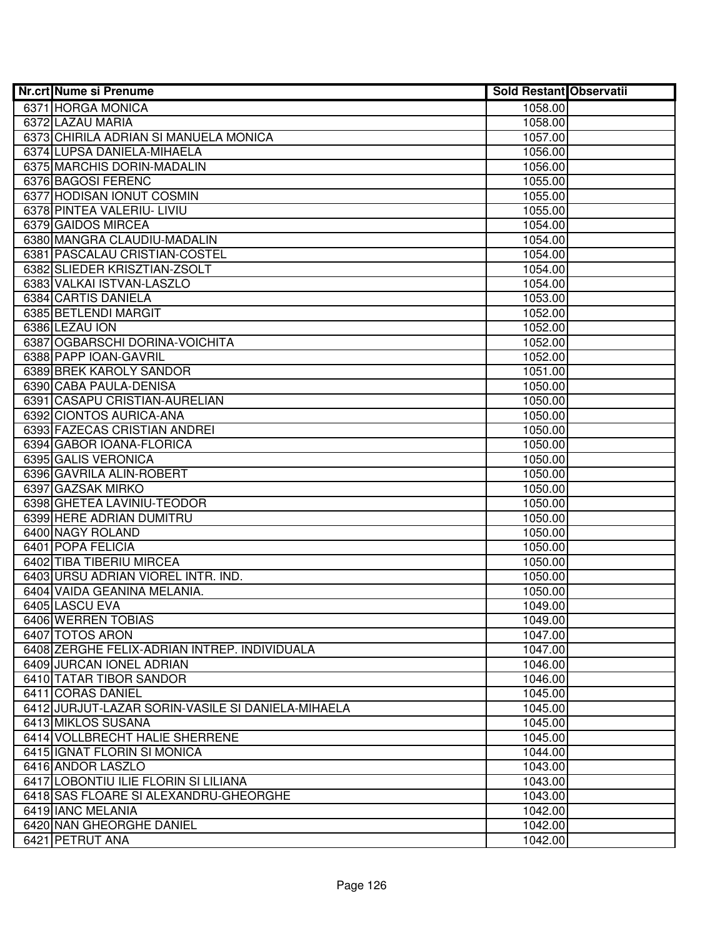| Nr.crt Nume si Prenume                            | <b>Sold Restant Observatii</b> |  |
|---------------------------------------------------|--------------------------------|--|
| 6371 HORGA MONICA                                 | 1058.00                        |  |
| 6372 LAZAU MARIA                                  | 1058.00                        |  |
| 6373 CHIRILA ADRIAN SI MANUELA MONICA             | 1057.00                        |  |
| 6374 LUPSA DANIELA-MIHAELA                        | 1056.00                        |  |
| 6375 MARCHIS DORIN-MADALIN                        | 1056.00                        |  |
| 6376 BAGOSI FERENC                                | 1055.00                        |  |
| 6377 HODISAN IONUT COSMIN                         | 1055.00                        |  |
| 6378 PINTEA VALERIU- LIVIU                        | 1055.00                        |  |
| 6379 GAIDOS MIRCEA                                | 1054.00                        |  |
| 6380 MANGRA CLAUDIU-MADALIN                       | 1054.00                        |  |
| 6381 PASCALAU CRISTIAN-COSTEL                     | 1054.00                        |  |
| 6382 SLIEDER KRISZTIAN-ZSOLT                      | 1054.00                        |  |
| 6383 VALKAI ISTVAN-LASZLO                         | 1054.00                        |  |
| 6384 CARTIS DANIELA                               | 1053.00                        |  |
| 6385 BETLENDI MARGIT                              | 1052.00                        |  |
| 6386 LEZAU ION                                    | 1052.00                        |  |
| 6387 OGBARSCHI DORINA-VOICHITA                    | 1052.00                        |  |
| 6388 PAPP IOAN-GAVRIL                             | 1052.00                        |  |
| 6389 BREK KAROLY SANDOR                           | 1051.00                        |  |
| 6390 CABA PAULA-DENISA                            | 1050.00                        |  |
| 6391 CASAPU CRISTIAN-AURELIAN                     | 1050.00                        |  |
| 6392 CIONTOS AURICA-ANA                           | 1050.00                        |  |
| 6393 FAZECAS CRISTIAN ANDREI                      | 1050.00                        |  |
| 6394 GABOR IOANA-FLORICA                          | 1050.00                        |  |
| 6395 GALIS VERONICA                               | 1050.00                        |  |
| 6396 GAVRILA ALIN-ROBERT                          | 1050.00                        |  |
| 6397 GAZSAK MIRKO                                 | 1050.00                        |  |
| 6398 GHETEA LAVINIU-TEODOR                        | 1050.00                        |  |
| 6399 HERE ADRIAN DUMITRU                          | 1050.00                        |  |
| 6400 NAGY ROLAND                                  | 1050.00                        |  |
| 6401 POPA FELICIA                                 | 1050.00                        |  |
| 6402 TIBA TIBERIU MIRCEA                          | 1050.00                        |  |
| 6403 URSU ADRIAN VIOREL INTR. IND.                | 1050.00                        |  |
| 6404 VAIDA GEANINA MELANIA.                       | 1050.00                        |  |
| 6405 LASCU EVA                                    | 1049.00                        |  |
| 6406 WERREN TOBIAS                                | 1049.00                        |  |
| 6407 TOTOS ARON                                   | 1047.00                        |  |
| 6408 ZERGHE FELIX-ADRIAN INTREP. INDIVIDUALA      | 1047.00                        |  |
| 6409 JURCAN IONEL ADRIAN                          | 1046.00                        |  |
| 6410 TATAR TIBOR SANDOR                           | 1046.00                        |  |
| 6411 CORAS DANIEL                                 | 1045.00                        |  |
| 6412 JURJUT-LAZAR SORIN-VASILE SI DANIELA-MIHAELA | 1045.00                        |  |
| 6413 MIKLOS SUSANA                                | 1045.00                        |  |
| 6414 VOLLBRECHT HALIE SHERRENE                    | 1045.00                        |  |
| 6415 IGNAT FLORIN SI MONICA                       | 1044.00                        |  |
| 6416 ANDOR LASZLO                                 | 1043.00                        |  |
| 6417 LOBONTIU ILIE FLORIN SI LILIANA              | 1043.00                        |  |
| 6418 SAS FLOARE SI ALEXANDRU-GHEORGHE             | 1043.00                        |  |
| 6419 IANC MELANIA                                 | 1042.00                        |  |
| 6420 NAN GHEORGHE DANIEL                          | 1042.00                        |  |
| 6421 PETRUT ANA                                   | 1042.00                        |  |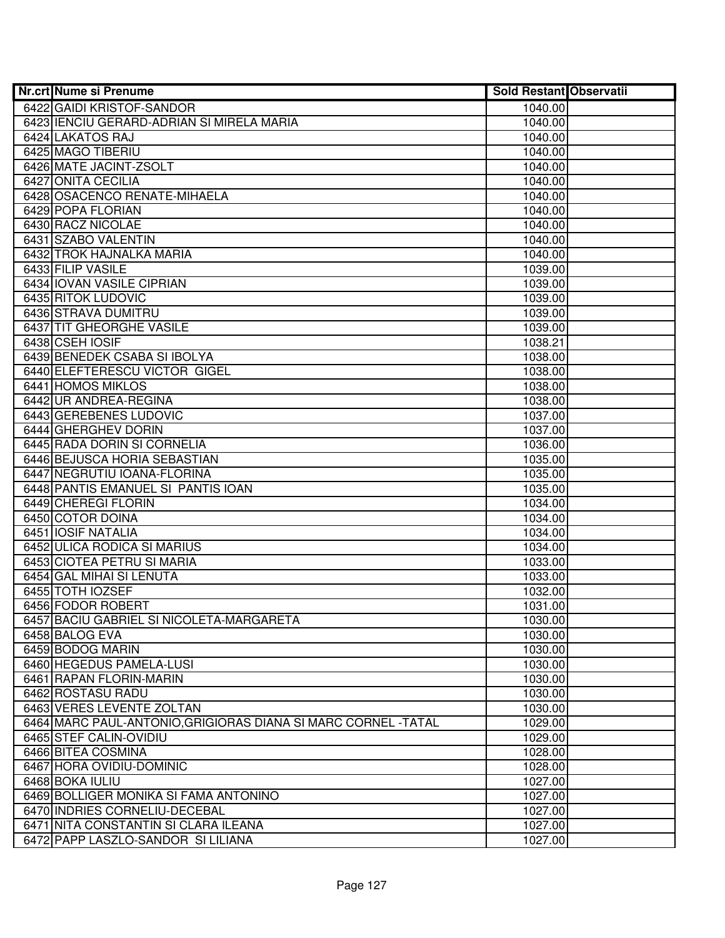| <b>Nr.crt Nume si Prenume</b>                                  | <b>Sold Restant Observatii</b> |  |
|----------------------------------------------------------------|--------------------------------|--|
| 6422 GAIDI KRISTOF-SANDOR                                      | 1040.00                        |  |
| 6423 IENCIU GERARD-ADRIAN SI MIRELA MARIA                      | 1040.00                        |  |
| 6424 LAKATOS RAJ                                               | 1040.00                        |  |
| 6425 MAGO TIBERIU                                              | 1040.00                        |  |
| 6426 MATE JACINT-ZSOLT                                         | 1040.00                        |  |
| 6427 ONITA CECILIA                                             | 1040.00                        |  |
| 6428 OSACENCO RENATE-MIHAELA                                   | 1040.00                        |  |
| 6429 POPA FLORIAN                                              | 1040.00                        |  |
| 6430 RACZ NICOLAE                                              | 1040.00                        |  |
| 6431 SZABO VALENTIN                                            | 1040.00                        |  |
| <b>6432 TROK HAJNALKA MARIA</b>                                | 1040.00                        |  |
| 6433 FILIP VASILE                                              | 1039.00                        |  |
| 6434 IOVAN VASILE CIPRIAN                                      | 1039.00                        |  |
| 6435 RITOK LUDOVIC                                             | 1039.00                        |  |
| 6436 STRAVA DUMITRU                                            | 1039.00                        |  |
| 6437 TIT GHEORGHE VASILE                                       | 1039.00                        |  |
| 6438 CSEH IOSIF                                                | 1038.21                        |  |
| 6439 BENEDEK CSABA SI IBOLYA                                   | 1038.00                        |  |
| 6440 ELEFTERESCU VICTOR GIGEL                                  | 1038.00                        |  |
| 6441 HOMOS MIKLOS                                              | 1038.00                        |  |
| 6442 UR ANDREA-REGINA                                          | 1038.00                        |  |
| 6443 GEREBENES LUDOVIC                                         | 1037.00                        |  |
| 6444 GHERGHEV DORIN                                            | 1037.00                        |  |
| 6445 RADA DORIN SI CORNELIA                                    | 1036.00                        |  |
| 6446 BEJUSCA HORIA SEBASTIAN                                   | 1035.00                        |  |
| 6447 NEGRUTIU IOANA-FLORINA                                    | 1035.00                        |  |
| 6448 PANTIS EMANUEL SI PANTIS IOAN                             | 1035.00                        |  |
| 6449 CHEREGI FLORIN                                            | 1034.00                        |  |
| 6450 COTOR DOINA                                               | 1034.00                        |  |
| 6451 IOSIF NATALIA                                             | 1034.00                        |  |
| 6452 ULICA RODICA SI MARIUS                                    | 1034.00                        |  |
| 6453 CIOTEA PETRU SI MARIA                                     | 1033.00                        |  |
| 6454 GAL MIHAI SI LENUTA                                       | 1033.00                        |  |
| 6455 TOTH IOZSEF                                               | 1032.00                        |  |
| 6456 FODOR ROBERT                                              | 1031.00                        |  |
| 6457 BACIU GABRIEL SI NICOLETA-MARGARETA                       | 1030.00                        |  |
| 6458 BALOG EVA                                                 | 1030.00                        |  |
| 6459 BODOG MARIN                                               | 1030.00                        |  |
| 6460 HEGEDUS PAMELA-LUSI                                       | 1030.00                        |  |
| 6461 RAPAN FLORIN-MARIN                                        | 1030.00                        |  |
| 6462 ROSTASU RADU                                              | 1030.00                        |  |
| 6463 VERES LEVENTE ZOLTAN                                      | 1030.00                        |  |
| 6464 MARC PAUL-ANTONIO, GRIGIORAS DIANA SI MARC CORNEL - TATAL | 1029.00                        |  |
| 6465 STEF CALIN-OVIDIU                                         | 1029.00                        |  |
| 6466 BITEA COSMINA                                             | 1028.00                        |  |
| 6467 HORA OVIDIU-DOMINIC                                       | 1028.00                        |  |
| 6468 BOKA IULIU                                                | 1027.00                        |  |
| 6469 BOLLIGER MONIKA SI FAMA ANTONINO                          | 1027.00                        |  |
| 6470 INDRIES CORNELIU-DECEBAL                                  | 1027.00                        |  |
| 6471 NITA CONSTANTIN SI CLARA ILEANA                           | 1027.00                        |  |
| 6472 PAPP LASZLO-SANDOR SI LILIANA                             | 1027.00                        |  |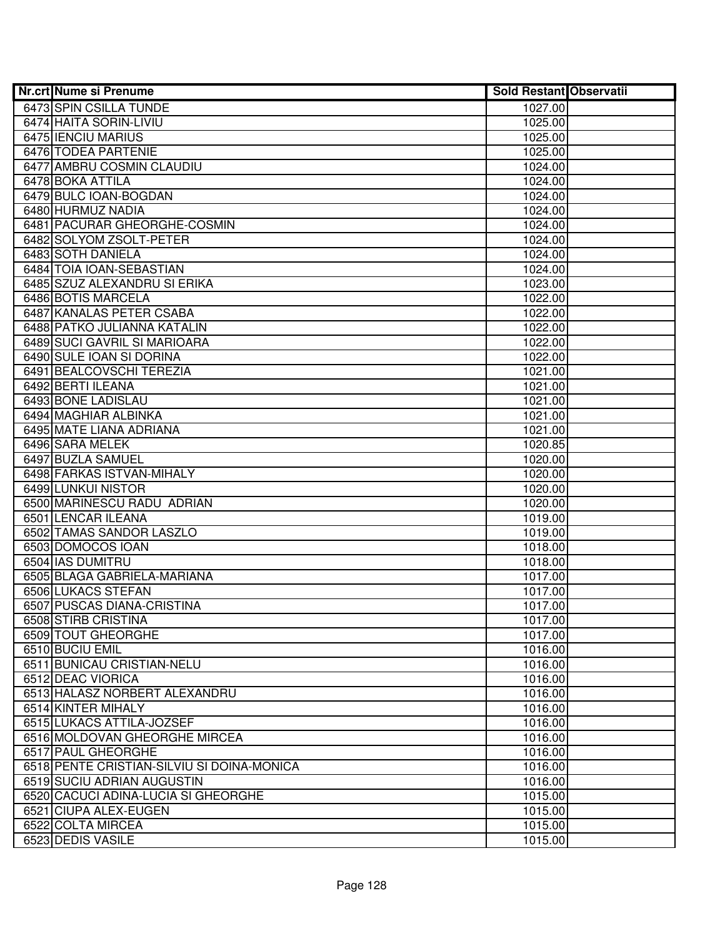| Nr.crt Nume si Prenume                     | <b>Sold Restant Observatii</b> |  |
|--------------------------------------------|--------------------------------|--|
| 6473 SPIN CSILLA TUNDE                     | 1027.00                        |  |
| 6474 HAITA SORIN-LIVIU                     | 1025.00                        |  |
| 6475 IENCIU MARIUS                         | 1025.00                        |  |
| 6476 TODEA PARTENIE                        | 1025.00                        |  |
| 6477 AMBRU COSMIN CLAUDIU                  | 1024.00                        |  |
| 6478 BOKA ATTILA                           | 1024.00                        |  |
| 6479 BULC IOAN-BOGDAN                      | 1024.00                        |  |
| 6480 HURMUZ NADIA                          | 1024.00                        |  |
| 6481 PACURAR GHEORGHE-COSMIN               | 1024.00                        |  |
| 6482 SOLYOM ZSOLT-PETER                    | 1024.00                        |  |
| 6483 SOTH DANIELA                          | 1024.00                        |  |
| 6484 TOIA IOAN-SEBASTIAN                   | 1024.00                        |  |
| 6485 SZUZ ALEXANDRU SI ERIKA               | 1023.00                        |  |
| 6486 BOTIS MARCELA                         | 1022.00                        |  |
| 6487 KANALAS PETER CSABA                   | 1022.00                        |  |
| 6488 PATKO JULIANNA KATALIN                | 1022.00                        |  |
| 6489 SUCI GAVRIL SI MARIOARA               | 1022.00                        |  |
| 6490 SULE IOAN SI DORINA                   | 1022.00                        |  |
| 6491 BEALCOVSCHI TEREZIA                   | 1021.00                        |  |
| 6492 BERTI ILEANA                          | 1021.00                        |  |
| 6493 BONE LADISLAU                         | 1021.00                        |  |
| 6494 MAGHIAR ALBINKA                       | 1021.00                        |  |
| 6495 MATE LIANA ADRIANA                    | 1021.00                        |  |
| 6496 SARA MELEK                            | 1020.85                        |  |
| 6497 BUZLA SAMUEL                          | 1020.00                        |  |
| 6498 FARKAS ISTVAN-MIHALY                  | 1020.00                        |  |
| 6499 LUNKUI NISTOR                         | 1020.00                        |  |
| 6500 MARINESCU RADU ADRIAN                 | 1020.00                        |  |
| 6501 LENCAR ILEANA                         | 1019.00                        |  |
| 6502 TAMAS SANDOR LASZLO                   | 1019.00                        |  |
| 6503 DOMOCOS IOAN                          | 1018.00                        |  |
| 6504 IAS DUMITRU                           | 1018.00                        |  |
| 6505 BLAGA GABRIELA-MARIANA                | 1017.00                        |  |
| 6506 LUKACS STEFAN                         | 1017.00                        |  |
| 6507 PUSCAS DIANA-CRISTINA                 | 1017.00                        |  |
| 6508 STIRB CRISTINA                        | 1017.00                        |  |
| 6509 TOUT GHEORGHE                         | 1017.00                        |  |
| 6510 BUCIU EMIL                            | 1016.00                        |  |
| 6511 BUNICAU CRISTIAN-NELU                 | 1016.00                        |  |
| 6512 DEAC VIORICA                          | 1016.00                        |  |
| 6513 HALASZ NORBERT ALEXANDRU              | 1016.00                        |  |
| 6514 KINTER MIHALY                         | 1016.00                        |  |
| 6515 LUKACS ATTILA-JOZSEF                  | 1016.00                        |  |
| 6516 MOLDOVAN GHEORGHE MIRCEA              | 1016.00                        |  |
| 6517 PAUL GHEORGHE                         | 1016.00                        |  |
| 6518 PENTE CRISTIAN-SILVIU SI DOINA-MONICA | 1016.00                        |  |
| 6519 SUCIU ADRIAN AUGUSTIN                 | 1016.00                        |  |
| 6520 CACUCI ADINA-LUCIA SI GHEORGHE        | 1015.00                        |  |
| 6521 CIUPA ALEX-EUGEN                      | 1015.00                        |  |
| 6522 COLTA MIRCEA                          | 1015.00                        |  |
| 6523 DEDIS VASILE                          | 1015.00                        |  |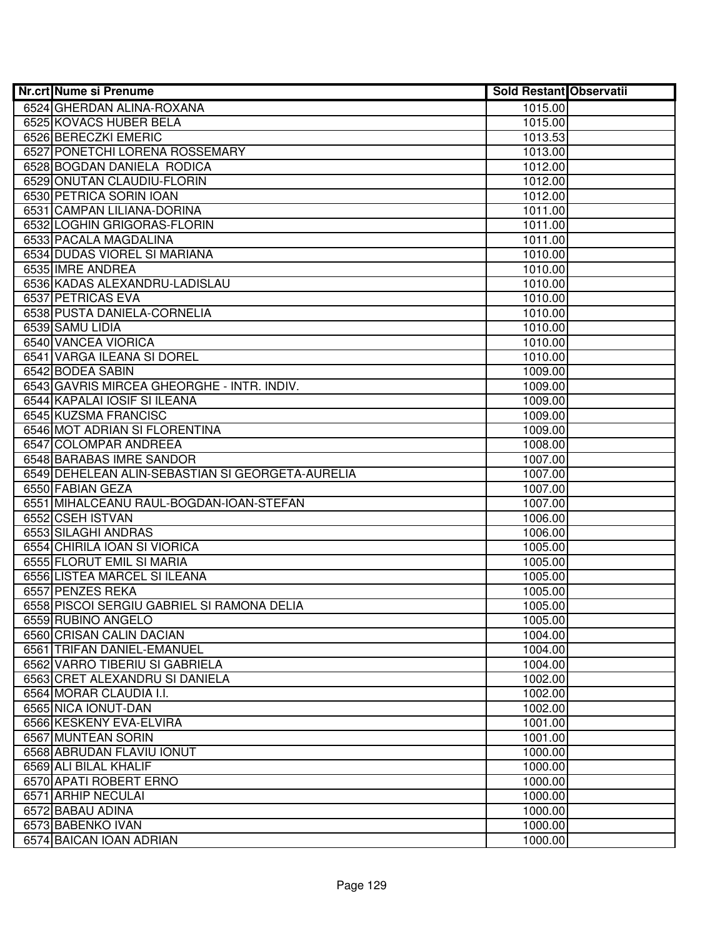| <b>Nr.crt Nume si Prenume</b>                    | <b>Sold Restant Observatii</b> |  |
|--------------------------------------------------|--------------------------------|--|
| 6524 GHERDAN ALINA-ROXANA                        | 1015.00                        |  |
| 6525 KOVACS HUBER BELA                           | 1015.00                        |  |
| 6526 BERECZKI EMERIC                             | 1013.53                        |  |
| 6527 PONETCHI LORENA ROSSEMARY                   | 1013.00                        |  |
| 6528 BOGDAN DANIELA RODICA                       | 1012.00                        |  |
| 6529 ONUTAN CLAUDIU-FLORIN                       | 1012.00                        |  |
| 6530 PETRICA SORIN IOAN                          | 1012.00                        |  |
| 6531 CAMPAN LILIANA-DORINA                       | 1011.00                        |  |
| 6532 LOGHIN GRIGORAS-FLORIN                      | 1011.00                        |  |
| 6533 PACALA MAGDALINA                            | 1011.00                        |  |
| 6534 DUDAS VIOREL SI MARIANA                     | 1010.00                        |  |
| 6535 IMRE ANDREA                                 | 1010.00                        |  |
| 6536 KADAS ALEXANDRU-LADISLAU                    | 1010.00                        |  |
| 6537 PETRICAS EVA                                | 1010.00                        |  |
| 6538 PUSTA DANIELA-CORNELIA                      | 1010.00                        |  |
| 6539 SAMU LIDIA                                  | 1010.00                        |  |
| 6540 VANCEA VIORICA                              | 1010.00                        |  |
| 6541 VARGA ILEANA SI DOREL                       | 1010.00                        |  |
| 6542 BODEA SABIN                                 | 1009.00                        |  |
| 6543 GAVRIS MIRCEA GHEORGHE - INTR. INDIV.       | 1009.00                        |  |
| 6544 KAPALAI IOSIF SI ILEANA                     | 1009.00                        |  |
| 6545 KUZSMA FRANCISC                             | 1009.00                        |  |
| 6546 MOT ADRIAN SI FLORENTINA                    | 1009.00                        |  |
| 6547 COLOMPAR ANDREEA                            | 1008.00                        |  |
| 6548 BARABAS IMRE SANDOR                         | 1007.00                        |  |
| 6549 DEHELEAN ALIN-SEBASTIAN SI GEORGETA-AURELIA | 1007.00                        |  |
| 6550 FABIAN GEZA                                 | 1007.00                        |  |
| 6551 MIHALCEANU RAUL-BOGDAN-IOAN-STEFAN          | 1007.00                        |  |
| 6552 CSEH ISTVAN                                 | 1006.00                        |  |
| 6553 SILAGHI ANDRAS                              | 1006.00                        |  |
| 6554 CHIRILA IOAN SI VIORICA                     | 1005.00                        |  |
| 6555 FLORUT EMIL SI MARIA                        | 1005.00                        |  |
| 6556 LISTEA MARCEL SI ILEANA                     | 1005.00                        |  |
| 6557 PENZES REKA                                 | 1005.00                        |  |
| 6558 PISCOI SERGIU GABRIEL SI RAMONA DELIA       | 1005.00                        |  |
| 6559 RUBINO ANGELO                               | 1005.00                        |  |
| 6560 CRISAN CALIN DACIAN                         | 1004.00                        |  |
| 6561 TRIFAN DANIEL-EMANUEL                       | 1004.00                        |  |
| 6562 VARRO TIBERIU SI GABRIELA                   | 1004.00                        |  |
| 6563 CRET ALEXANDRU SI DANIELA                   | 1002.00                        |  |
| 6564 MORAR CLAUDIA I.I.                          | 1002.00                        |  |
| 6565 NICA IONUT-DAN                              | 1002.00                        |  |
| 6566 KESKENY EVA-ELVIRA                          | 1001.00                        |  |
| 6567 MUNTEAN SORIN                               | 1001.00                        |  |
| 6568 ABRUDAN FLAVIU IONUT                        | 1000.00                        |  |
| 6569 ALI BILAL KHALIF                            | 1000.00                        |  |
| 6570 APATI ROBERT ERNO                           | 1000.00                        |  |
| 6571 ARHIP NECULAI                               | 1000.00                        |  |
| 6572 BABAU ADINA                                 | 1000.00                        |  |
| 6573 BABENKO IVAN                                | 1000.00                        |  |
| 6574 BAICAN IOAN ADRIAN                          | 1000.00                        |  |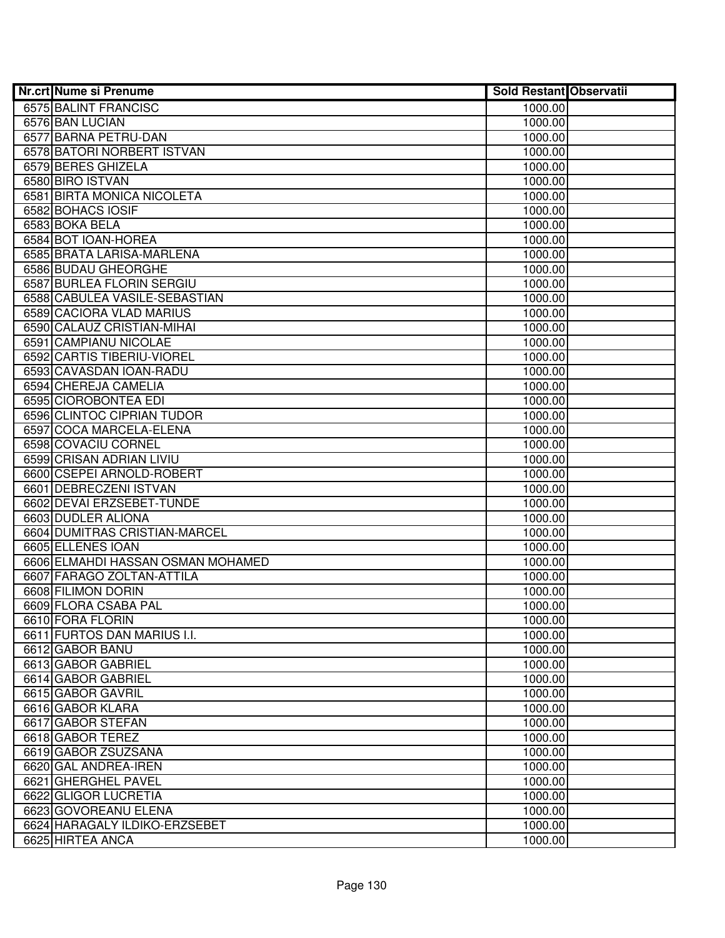| Nr.crt Nume si Prenume                         | <b>Sold Restant Observatii</b> |  |
|------------------------------------------------|--------------------------------|--|
| 6575 BALINT FRANCISC                           | 1000.00                        |  |
| 6576 BAN LUCIAN                                | 1000.00                        |  |
| 6577 BARNA PETRU-DAN                           | 1000.00                        |  |
| 6578 BATORI NORBERT ISTVAN                     | 1000.00                        |  |
| 6579 BERES GHIZELA                             | 1000.00                        |  |
| 6580 BIRO ISTVAN                               | 1000.00                        |  |
| 6581 BIRTA MONICA NICOLETA                     | 1000.00                        |  |
| 6582 BOHACS IOSIF                              | 1000.00                        |  |
| 6583 BOKA BELA                                 | 1000.00                        |  |
| 6584 BOT IOAN-HOREA                            | 1000.00                        |  |
| 6585 BRATA LARISA-MARLENA                      | 1000.00                        |  |
| 6586 BUDAU GHEORGHE                            | 1000.00                        |  |
| 6587 BURLEA FLORIN SERGIU                      | 1000.00                        |  |
| 6588 CABULEA VASILE-SEBASTIAN                  | 1000.00                        |  |
| 6589 CACIORA VLAD MARIUS                       | 1000.00                        |  |
| 6590 CALAUZ CRISTIAN-MIHAI                     | 1000.00                        |  |
| 6591 CAMPIANU NICOLAE                          | 1000.00                        |  |
| 6592 CARTIS TIBERIU-VIOREL                     | 1000.00                        |  |
| 6593 CAVASDAN IOAN-RADU                        | 1000.00                        |  |
| 6594 CHEREJA CAMELIA                           | 1000.00                        |  |
| 6595 CIOROBONTEA EDI                           | 1000.00                        |  |
| 6596 CLINTOC CIPRIAN TUDOR                     | 1000.00                        |  |
| 6597 COCA MARCELA-ELENA                        | 1000.00                        |  |
| 6598 COVACIU CORNEL                            | 1000.00                        |  |
| 6599 CRISAN ADRIAN LIVIU                       | 1000.00                        |  |
| 6600 CSEPEI ARNOLD-ROBERT                      | 1000.00                        |  |
| 6601 DEBRECZENI ISTVAN                         | 1000.00                        |  |
| 6602 DEVAI ERZSEBET-TUNDE                      | 1000.00                        |  |
| 6603 DUDLER ALIONA                             | 1000.00                        |  |
| 6604 DUMITRAS CRISTIAN-MARCEL                  | 1000.00                        |  |
| 6605 ELLENES IOAN                              | 1000.00                        |  |
| 6606 ELMAHDI HASSAN OSMAN MOHAMED              | 1000.00                        |  |
| 6607 FARAGO ZOLTAN-ATTILA                      | 1000.00                        |  |
| 6608 FILIMON DORIN                             | 1000.00                        |  |
| 6609 FLORA CSABA PAL                           | 1000.00                        |  |
| 6610 FORA FLORIN                               | 1000.00                        |  |
| 6611 FURTOS DAN MARIUS I.I.<br>6612 GABOR BANU | 1000.00<br>1000.00             |  |
| 6613 GABOR GABRIEL                             |                                |  |
| 6614 GABOR GABRIEL                             | 1000.00<br>1000.00             |  |
| 6615 GABOR GAVRIL                              | 1000.00                        |  |
| 6616 GABOR KLARA                               | 1000.00                        |  |
| 6617 GABOR STEFAN                              |                                |  |
| 6618 GABOR TEREZ                               | 1000.00<br>1000.00             |  |
| 6619 GABOR ZSUZSANA                            | 1000.00                        |  |
| 6620 GAL ANDREA-IREN                           | 1000.00                        |  |
| 6621 GHERGHEL PAVEL                            | 1000.00                        |  |
| 6622 GLIGOR LUCRETIA                           | 1000.00                        |  |
| 6623 GOVOREANU ELENA                           | 1000.00                        |  |
| 6624 HARAGALY ILDIKO-ERZSEBET                  | 1000.00                        |  |
| 6625 HIRTEA ANCA                               | 1000.00                        |  |
|                                                |                                |  |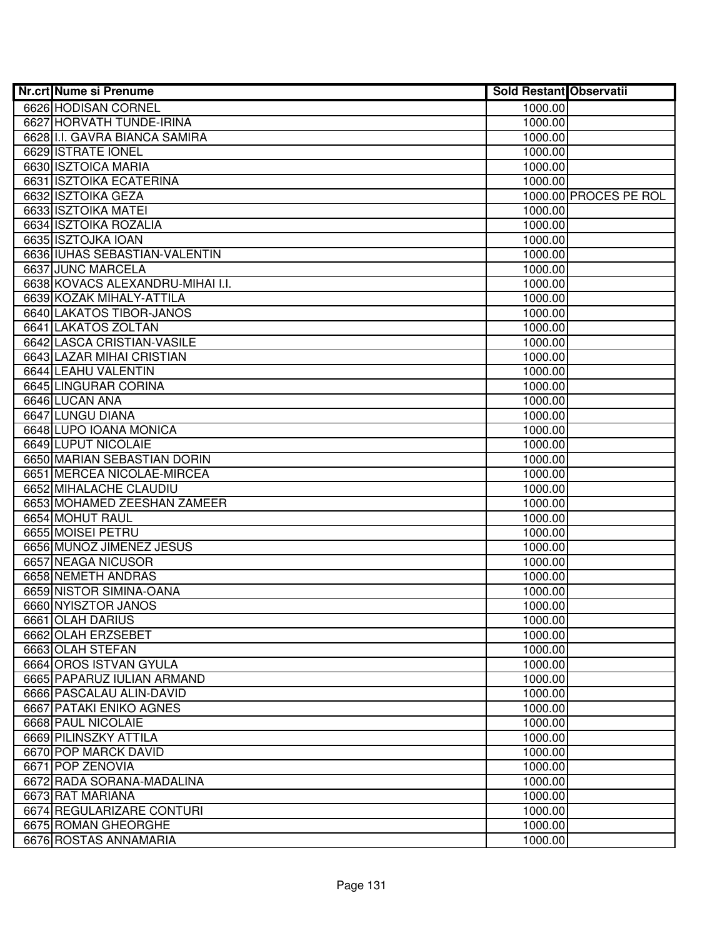| <b>Nr.crt Nume si Prenume</b>    | <b>Sold Restant Observatii</b> |                       |
|----------------------------------|--------------------------------|-----------------------|
| 6626 HODISAN CORNEL              | 1000.00                        |                       |
| 6627 HORVATH TUNDE-IRINA         | 1000.00                        |                       |
| 6628 I.I. GAVRA BIANCA SAMIRA    | 1000.00                        |                       |
| 6629 ISTRATE IONEL               | 1000.00                        |                       |
| 6630 ISZTOICA MARIA              | 1000.00                        |                       |
| 6631 ISZTOIKA ECATERINA          | 1000.00                        |                       |
| 6632 ISZTOIKA GEZA               |                                | 1000.00 PROCES PE ROL |
| 6633 ISZTOIKA MATEI              | 1000.00                        |                       |
| 6634 ISZTOIKA ROZALIA            | 1000.00                        |                       |
| 6635 ISZTOJKA IOAN               | 1000.00                        |                       |
| 6636 IUHAS SEBASTIAN-VALENTIN    | 1000.00                        |                       |
| 6637 JUNC MARCELA                | 1000.00                        |                       |
| 6638 KOVACS ALEXANDRU-MIHAI I.I. | 1000.00                        |                       |
| 6639 KOZAK MIHALY-ATTILA         | 1000.00                        |                       |
| 6640 LAKATOS TIBOR-JANOS         | 1000.00                        |                       |
| 6641 LAKATOS ZOLTAN              | 1000.00                        |                       |
| 6642 LASCA CRISTIAN-VASILE       | 1000.00                        |                       |
| 6643 LAZAR MIHAI CRISTIAN        | 1000.00                        |                       |
| 6644 LEAHU VALENTIN              | 1000.00                        |                       |
| 6645 LINGURAR CORINA             | 1000.00                        |                       |
| 6646 LUCAN ANA                   | 1000.00                        |                       |
| 6647 LUNGU DIANA                 | 1000.00                        |                       |
| 6648 LUPO IOANA MONICA           | 1000.00                        |                       |
| 6649 LUPUT NICOLAIE              | 1000.00                        |                       |
| 6650 MARIAN SEBASTIAN DORIN      | 1000.00                        |                       |
| 6651 MERCEA NICOLAE-MIRCEA       | 1000.00                        |                       |
| 6652 MIHALACHE CLAUDIU           | 1000.00                        |                       |
| 6653 MOHAMED ZEESHAN ZAMEER      | 1000.00                        |                       |
| 6654 MOHUT RAUL                  | 1000.00                        |                       |
| 6655 MOISEI PETRU                | 1000.00                        |                       |
| 6656 MUNOZ JIMENEZ JESUS         | 1000.00                        |                       |
| 6657 NEAGA NICUSOR               | 1000.00                        |                       |
| 6658 NEMETH ANDRAS               | 1000.00                        |                       |
| 6659 NISTOR SIMINA-OANA          | 1000.00                        |                       |
| 6660 NYISZTOR JANOS              | 1000.00                        |                       |
| 6661 OLAH DARIUS                 | 1000.00                        |                       |
| 6662 OLAH ERZSEBET               | 1000.00                        |                       |
| 6663 OLAH STEFAN                 | 1000.00                        |                       |
| 6664 OROS ISTVAN GYULA           | 1000.00                        |                       |
| 6665 PAPARUZ IULIAN ARMAND       | 1000.00                        |                       |
| 6666 PASCALAU ALIN-DAVID         | 1000.00                        |                       |
| 6667 PATAKI ENIKO AGNES          | 1000.00                        |                       |
| 6668 PAUL NICOLAIE               | 1000.00                        |                       |
| 6669 PILINSZKY ATTILA            | 1000.00                        |                       |
| 6670 POP MARCK DAVID             | 1000.00                        |                       |
| 6671 POP ZENOVIA                 | 1000.00                        |                       |
| 6672 RADA SORANA-MADALINA        | 1000.00                        |                       |
| 6673 RAT MARIANA                 | 1000.00                        |                       |
| 6674 REGULARIZARE CONTURI        | 1000.00                        |                       |
| 6675 ROMAN GHEORGHE              | 1000.00                        |                       |
| 6676 ROSTAS ANNAMARIA            | 1000.00                        |                       |